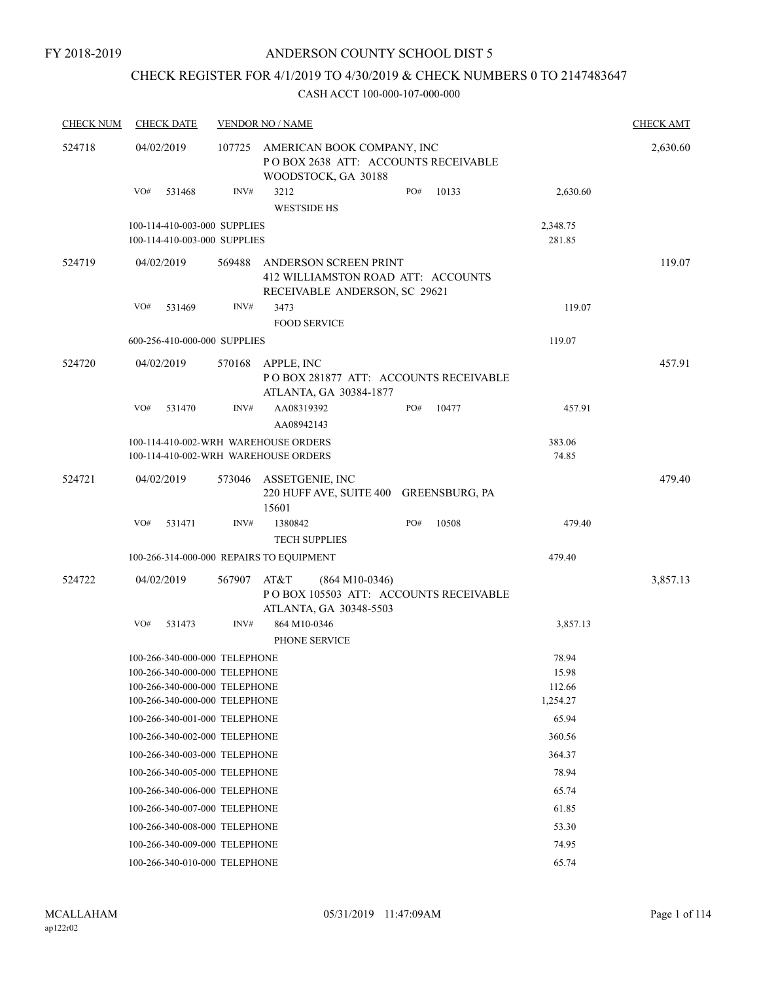# CHECK REGISTER FOR 4/1/2019 TO 4/30/2019 & CHECK NUMBERS 0 TO 2147483647

| <b>CHECK NUM</b> | <b>CHECK DATE</b>                                                                                                                |        | <b>VENDOR NO / NAME</b>         |                                                                                              |     |        |                                      | <b>CHECK AMT</b> |
|------------------|----------------------------------------------------------------------------------------------------------------------------------|--------|---------------------------------|----------------------------------------------------------------------------------------------|-----|--------|--------------------------------------|------------------|
| 524718           | 04/02/2019                                                                                                                       | 107725 |                                 | AMERICAN BOOK COMPANY, INC<br>POBOX 2638 ATT: ACCOUNTS RECEIVABLE<br>WOODSTOCK, GA 30188     |     |        |                                      | 2,630.60         |
|                  | VO#<br>531468                                                                                                                    | INV#   | 3212<br><b>WESTSIDE HS</b>      |                                                                                              | PO# | 10133  | 2,630.60                             |                  |
|                  | 100-114-410-003-000 SUPPLIES<br>100-114-410-003-000 SUPPLIES                                                                     |        |                                 |                                                                                              |     |        | 2,348.75<br>281.85                   |                  |
| 524719           | 04/02/2019                                                                                                                       | 569488 |                                 | ANDERSON SCREEN PRINT<br>412 WILLIAMSTON ROAD ATT: ACCOUNTS<br>RECEIVABLE ANDERSON, SC 29621 |     |        |                                      | 119.07           |
|                  | VO#<br>531469                                                                                                                    | INV#   | 3473<br><b>FOOD SERVICE</b>     |                                                                                              |     | 119.07 |                                      |                  |
|                  | 600-256-410-000-000 SUPPLIES                                                                                                     |        |                                 |                                                                                              |     |        | 119.07                               |                  |
| 524720           | 04/02/2019                                                                                                                       | 570168 | APPLE, INC                      | POBOX 281877 ATT: ACCOUNTS RECEIVABLE<br>ATLANTA, GA 30384-1877                              |     |        |                                      | 457.91           |
|                  | VO#<br>531470                                                                                                                    | INV#   | AA08319392<br>AA08942143        |                                                                                              | PO# | 10477  | 457.91                               |                  |
|                  | 100-114-410-002-WRH WAREHOUSE ORDERS<br>100-114-410-002-WRH WAREHOUSE ORDERS                                                     |        |                                 |                                                                                              |     |        | 383.06<br>74.85                      |                  |
| 524721           | 04/02/2019                                                                                                                       | 573046 | ASSETGENIE, INC<br>15601        | 220 HUFF AVE, SUITE 400 GREENSBURG, PA                                                       |     |        |                                      | 479.40           |
|                  | VO#<br>531471                                                                                                                    | INV#   | 1380842<br><b>TECH SUPPLIES</b> |                                                                                              | PO# | 10508  | 479.40                               |                  |
|                  | 100-266-314-000-000 REPAIRS TO EQUIPMENT                                                                                         |        |                                 |                                                                                              |     |        | 479.40                               |                  |
| 524722           | 04/02/2019                                                                                                                       | 567907 | AT&T                            | $(864 M10-0346)$<br>PO BOX 105503 ATT: ACCOUNTS RECEIVABLE<br>ATLANTA, GA 30348-5503         |     |        |                                      | 3,857.13         |
|                  | VO#<br>531473                                                                                                                    | INV#   | 864 M10-0346<br>PHONE SERVICE   |                                                                                              |     |        | 3,857.13                             |                  |
|                  | 100-266-340-000-000 TELEPHONE<br>100-266-340-000-000 TELEPHONE<br>100-266-340-000-000 TELEPHONE<br>100-266-340-000-000 TELEPHONE |        |                                 |                                                                                              |     |        | 78.94<br>15.98<br>112.66<br>1,254.27 |                  |
|                  | 100-266-340-001-000 TELEPHONE                                                                                                    |        |                                 |                                                                                              |     |        | 65.94                                |                  |
|                  | 100-266-340-002-000 TELEPHONE                                                                                                    |        |                                 |                                                                                              |     |        | 360.56                               |                  |
|                  | 100-266-340-003-000 TELEPHONE                                                                                                    |        |                                 |                                                                                              |     |        | 364.37                               |                  |
|                  | 100-266-340-005-000 TELEPHONE                                                                                                    |        |                                 |                                                                                              |     |        | 78.94                                |                  |
|                  | 100-266-340-006-000 TELEPHONE                                                                                                    |        |                                 |                                                                                              |     |        | 65.74                                |                  |
|                  | 100-266-340-007-000 TELEPHONE                                                                                                    |        |                                 |                                                                                              |     |        | 61.85                                |                  |
|                  | 100-266-340-008-000 TELEPHONE                                                                                                    |        |                                 |                                                                                              |     |        | 53.30                                |                  |
|                  | 100-266-340-009-000 TELEPHONE                                                                                                    |        |                                 |                                                                                              |     |        | 74.95                                |                  |
|                  | 100-266-340-010-000 TELEPHONE                                                                                                    |        |                                 |                                                                                              |     |        | 65.74                                |                  |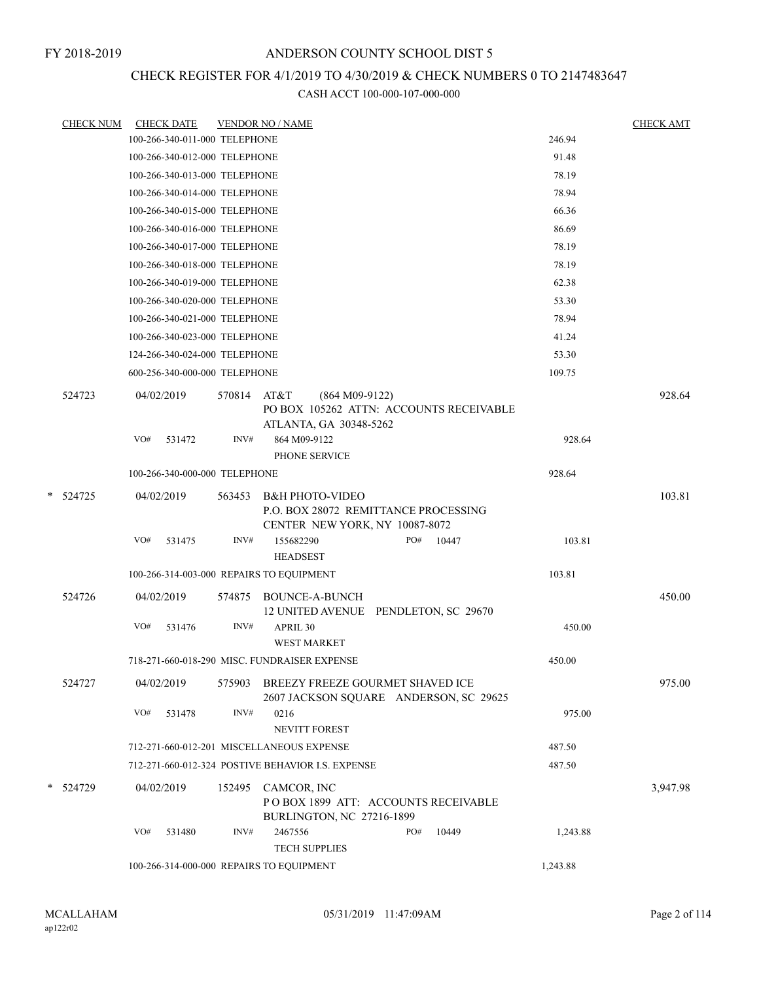# CHECK REGISTER FOR 4/1/2019 TO 4/30/2019 & CHECK NUMBERS 0 TO 2147483647

| <b>CHECK NUM</b> |            | <b>CHECK DATE</b>             |             | <b>VENDOR NO / NAME</b>                                                                              | <b>CHECK AMT</b> |
|------------------|------------|-------------------------------|-------------|------------------------------------------------------------------------------------------------------|------------------|
|                  |            | 100-266-340-011-000 TELEPHONE |             | 246.94                                                                                               |                  |
|                  |            | 100-266-340-012-000 TELEPHONE |             | 91.48                                                                                                |                  |
|                  |            | 100-266-340-013-000 TELEPHONE |             | 78.19                                                                                                |                  |
|                  |            | 100-266-340-014-000 TELEPHONE |             | 78.94                                                                                                |                  |
|                  |            | 100-266-340-015-000 TELEPHONE |             | 66.36                                                                                                |                  |
|                  |            | 100-266-340-016-000 TELEPHONE |             | 86.69                                                                                                |                  |
|                  |            | 100-266-340-017-000 TELEPHONE |             | 78.19                                                                                                |                  |
|                  |            | 100-266-340-018-000 TELEPHONE |             | 78.19                                                                                                |                  |
|                  |            | 100-266-340-019-000 TELEPHONE |             | 62.38                                                                                                |                  |
|                  |            | 100-266-340-020-000 TELEPHONE |             | 53.30                                                                                                |                  |
|                  |            | 100-266-340-021-000 TELEPHONE |             | 78.94                                                                                                |                  |
|                  |            | 100-266-340-023-000 TELEPHONE |             | 41.24                                                                                                |                  |
|                  |            | 124-266-340-024-000 TELEPHONE |             | 53.30                                                                                                |                  |
|                  |            | 600-256-340-000-000 TELEPHONE |             | 109.75                                                                                               |                  |
| 524723           | 04/02/2019 |                               | 570814 AT&T | $(864 M09-9122)$<br>PO BOX 105262 ATTN: ACCOUNTS RECEIVABLE<br>ATLANTA, GA 30348-5262                | 928.64           |
|                  | VO#        | 531472                        | INV#        | 864 M09-9122<br>PHONE SERVICE                                                                        | 928.64           |
|                  |            | 100-266-340-000-000 TELEPHONE |             | 928.64                                                                                               |                  |
| * 524725         |            | 04/02/2019                    | 563453      | <b>B&amp;H PHOTO-VIDEO</b><br>P.O. BOX 28072 REMITTANCE PROCESSING<br>CENTER NEW YORK, NY 10087-8072 | 103.81           |
|                  | VO#        | 531475                        | INV#        | 155682290<br>PO#<br>10447<br><b>HEADSEST</b>                                                         | 103.81           |
|                  |            |                               |             | 103.81<br>100-266-314-003-000 REPAIRS TO EQUIPMENT                                                   |                  |
| 524726           | 04/02/2019 |                               | 574875      | <b>BOUNCE-A-BUNCH</b><br>12 UNITED AVENUE PENDLETON, SC 29670                                        | 450.00           |
|                  | VO#        | 531476                        | INV#        | APRIL 30<br><b>WEST MARKET</b>                                                                       | 450.00           |
|                  |            |                               |             | 718-271-660-018-290 MISC. FUNDRAISER EXPENSE<br>450.00                                               |                  |
| 524727           | 04/02/2019 |                               | 575903      | BREEZY FREEZE GOURMET SHAVED ICE<br>2607 JACKSON SQUARE ANDERSON, SC 29625                           | 975.00           |
|                  | VO#        | 531478                        | INV#        | 0216<br>NEVITT FOREST                                                                                | 975.00           |
|                  |            |                               |             | 712-271-660-012-201 MISCELLANEOUS EXPENSE<br>487.50                                                  |                  |
|                  |            |                               |             | 712-271-660-012-324 POSTIVE BEHAVIOR I.S. EXPENSE<br>487.50                                          |                  |
| * 524729         |            | 04/02/2019                    | 152495      | CAMCOR, INC<br>POBOX 1899 ATT: ACCOUNTS RECEIVABLE<br>BURLINGTON, NC 27216-1899                      | 3,947.98         |
|                  | VO#        | 531480                        | INV#        | 2467556<br>PO#<br>10449<br><b>TECH SUPPLIES</b>                                                      | 1,243.88         |
|                  |            |                               |             | 1,243.88<br>100-266-314-000-000 REPAIRS TO EQUIPMENT                                                 |                  |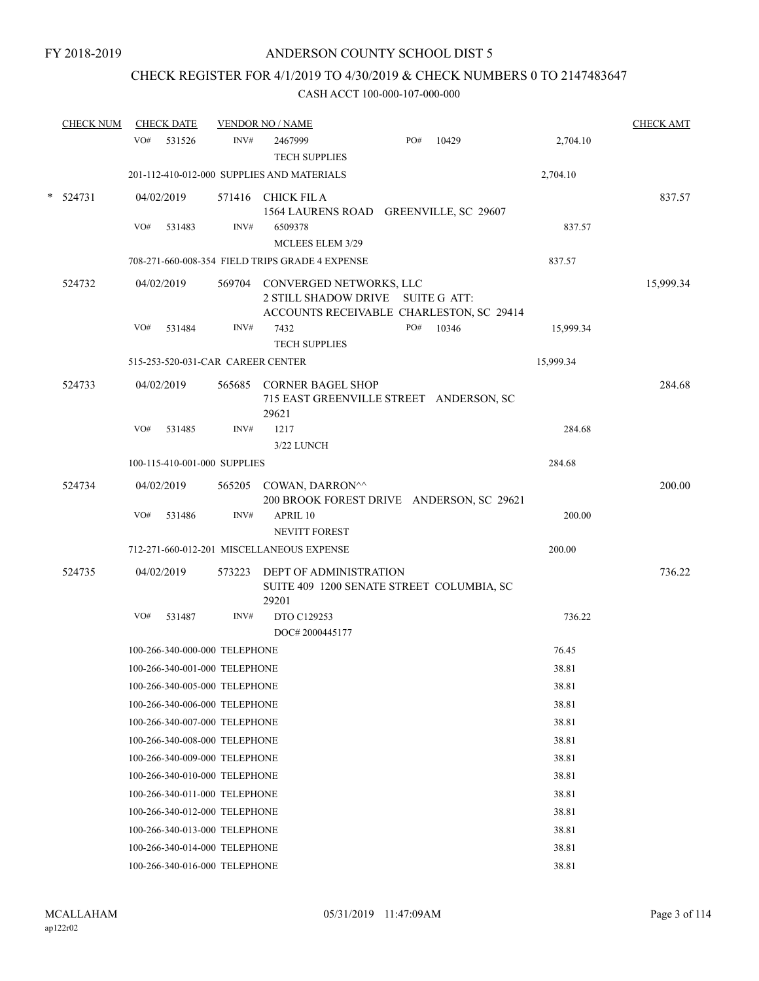# CHECK REGISTER FOR 4/1/2019 TO 4/30/2019 & CHECK NUMBERS 0 TO 2147483647

| <b>CHECK NUM</b> |     | <b>CHECK DATE</b>                 |        | <b>VENDOR NO / NAME</b>                                                                                         |     |       |           | <b>CHECK AMT</b> |
|------------------|-----|-----------------------------------|--------|-----------------------------------------------------------------------------------------------------------------|-----|-------|-----------|------------------|
|                  | VO# | 531526                            | INV#   | 2467999                                                                                                         | PO# | 10429 | 2,704.10  |                  |
|                  |     |                                   |        | <b>TECH SUPPLIES</b>                                                                                            |     |       |           |                  |
|                  |     |                                   |        | 201-112-410-012-000 SUPPLIES AND MATERIALS                                                                      |     |       | 2,704.10  |                  |
| $*$ 524731       |     | 04/02/2019                        |        | 571416 CHICK FILA<br>1564 LAURENS ROAD GREENVILLE, SC 29607                                                     |     |       |           | 837.57           |
|                  | VO# | 531483                            | INV#   | 6509378<br>MCLEES ELEM 3/29                                                                                     |     |       | 837.57    |                  |
|                  |     |                                   |        | 708-271-660-008-354 FIELD TRIPS GRADE 4 EXPENSE                                                                 |     |       | 837.57    |                  |
| 524732           |     | 04/02/2019                        |        | 569704 CONVERGED NETWORKS, LLC<br>2 STILL SHADOW DRIVE SUITE G ATT:<br>ACCOUNTS RECEIVABLE CHARLESTON, SC 29414 |     |       |           | 15,999.34        |
|                  | VO# | 531484                            | INV#   | 7432<br><b>TECH SUPPLIES</b>                                                                                    | PO# | 10346 | 15,999.34 |                  |
|                  |     | 515-253-520-031-CAR CAREER CENTER |        |                                                                                                                 |     |       | 15,999.34 |                  |
| 524733           |     | 04/02/2019                        |        | 565685 CORNER BAGEL SHOP<br>715 EAST GREENVILLE STREET ANDERSON, SC<br>29621                                    |     |       |           | 284.68           |
|                  | VO# | 531485                            | INV#   | 1217<br>3/22 LUNCH                                                                                              |     |       | 284.68    |                  |
|                  |     | 100-115-410-001-000 SUPPLIES      |        |                                                                                                                 |     |       | 284.68    |                  |
| 524734           |     | 04/02/2019                        |        | 565205 COWAN, DARRON^^                                                                                          |     |       |           | 200.00           |
|                  |     |                                   |        | 200 BROOK FOREST DRIVE ANDERSON, SC 29621                                                                       |     |       |           |                  |
|                  | VO# | 531486                            | INV#   | APRIL 10<br>NEVITT FOREST                                                                                       |     |       | 200.00    |                  |
|                  |     |                                   |        | 712-271-660-012-201 MISCELLANEOUS EXPENSE                                                                       |     |       | 200.00    |                  |
| 524735           |     | 04/02/2019                        | 573223 | DEPT OF ADMINISTRATION<br>SUITE 409 1200 SENATE STREET COLUMBIA, SC<br>29201                                    |     |       |           | 736.22           |
|                  | VO# | 531487                            | INV#   | DTO C129253                                                                                                     |     |       | 736.22    |                  |
|                  |     |                                   |        | DOC# 2000445177                                                                                                 |     |       |           |                  |
|                  |     | 100-266-340-000-000 TELEPHONE     |        |                                                                                                                 |     |       | 76.45     |                  |
|                  |     | 100-266-340-001-000 TELEPHONE     |        |                                                                                                                 |     |       | 38.81     |                  |
|                  |     | 100-266-340-005-000 TELEPHONE     |        |                                                                                                                 |     |       | 38.81     |                  |
|                  |     | 100-266-340-006-000 TELEPHONE     |        |                                                                                                                 |     |       | 38.81     |                  |
|                  |     | 100-266-340-007-000 TELEPHONE     |        |                                                                                                                 |     |       | 38.81     |                  |
|                  |     | 100-266-340-008-000 TELEPHONE     |        |                                                                                                                 |     |       | 38.81     |                  |
|                  |     | 100-266-340-009-000 TELEPHONE     |        |                                                                                                                 |     |       | 38.81     |                  |
|                  |     | 100-266-340-010-000 TELEPHONE     |        |                                                                                                                 |     |       | 38.81     |                  |
|                  |     | 100-266-340-011-000 TELEPHONE     |        |                                                                                                                 |     |       | 38.81     |                  |
|                  |     | 100-266-340-012-000 TELEPHONE     |        |                                                                                                                 |     |       | 38.81     |                  |
|                  |     | 100-266-340-013-000 TELEPHONE     |        |                                                                                                                 |     |       | 38.81     |                  |
|                  |     | 100-266-340-014-000 TELEPHONE     |        |                                                                                                                 |     |       | 38.81     |                  |
|                  |     | 100-266-340-016-000 TELEPHONE     |        |                                                                                                                 |     |       | 38.81     |                  |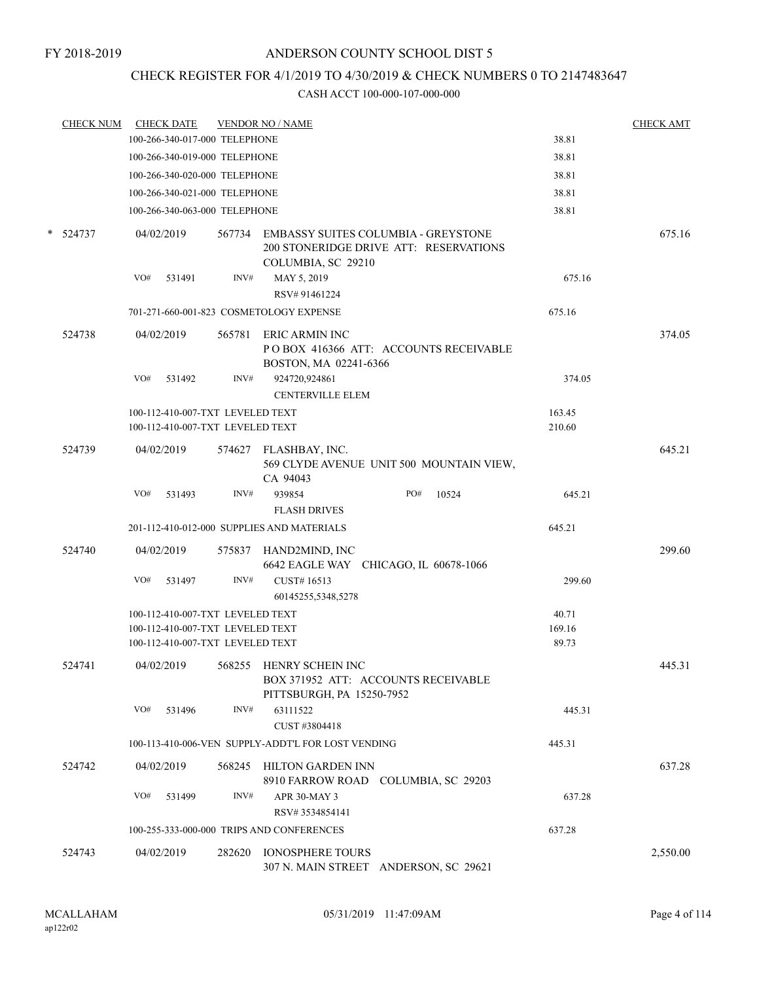# CHECK REGISTER FOR 4/1/2019 TO 4/30/2019 & CHECK NUMBERS 0 TO 2147483647

| <b>CHECK NUM</b> | <b>CHECK DATE</b>                       |        | <b>VENDOR NO / NAME</b>                                                                                    |        | <b>CHECK AMT</b> |
|------------------|-----------------------------------------|--------|------------------------------------------------------------------------------------------------------------|--------|------------------|
|                  | 100-266-340-017-000 TELEPHONE           |        |                                                                                                            | 38.81  |                  |
|                  | 100-266-340-019-000 TELEPHONE           |        |                                                                                                            | 38.81  |                  |
|                  | 100-266-340-020-000 TELEPHONE           |        |                                                                                                            | 38.81  |                  |
|                  | 100-266-340-021-000 TELEPHONE           |        |                                                                                                            | 38.81  |                  |
|                  | 100-266-340-063-000 TELEPHONE           |        |                                                                                                            | 38.81  |                  |
| * 524737         | 04/02/2019                              |        | 567734 EMBASSY SUITES COLUMBIA - GREYSTONE<br>200 STONERIDGE DRIVE ATT: RESERVATIONS<br>COLUMBIA, SC 29210 |        | 675.16           |
|                  | VO#<br>531491                           | INV#   | MAY 5, 2019<br>RSV# 91461224                                                                               | 675.16 |                  |
|                  | 701-271-660-001-823 COSMETOLOGY EXPENSE |        |                                                                                                            | 675.16 |                  |
| 524738           | 04/02/2019                              |        | 565781 ERIC ARMIN INC<br>POBOX 416366 ATT: ACCOUNTS RECEIVABLE<br>BOSTON, MA 02241-6366                    |        | 374.05           |
|                  | VO#<br>531492                           | INV#   | 924720,924861<br><b>CENTERVILLE ELEM</b>                                                                   | 374.05 |                  |
|                  | 100-112-410-007-TXT LEVELED TEXT        |        |                                                                                                            | 163.45 |                  |
|                  | 100-112-410-007-TXT LEVELED TEXT        |        |                                                                                                            | 210.60 |                  |
| 524739           | 04/02/2019                              |        | 574627 FLASHBAY, INC.<br>569 CLYDE AVENUE UNIT 500 MOUNTAIN VIEW,<br>CA 94043                              |        | 645.21           |
|                  | VO#<br>531493                           | INV#   | 939854<br>PO#<br>10524<br><b>FLASH DRIVES</b>                                                              | 645.21 |                  |
|                  |                                         |        | 201-112-410-012-000 SUPPLIES AND MATERIALS                                                                 | 645.21 |                  |
|                  |                                         |        |                                                                                                            |        |                  |
| 524740           | 04/02/2019                              |        | 575837 HAND2MIND, INC                                                                                      |        | 299.60           |
|                  | VO#<br>531497                           | INV#   | 6642 EAGLE WAY CHICAGO, IL 60678-1066<br>CUST#16513<br>60145255,5348,5278                                  | 299.60 |                  |
|                  | 100-112-410-007-TXT LEVELED TEXT        |        |                                                                                                            | 40.71  |                  |
|                  | 100-112-410-007-TXT LEVELED TEXT        |        |                                                                                                            | 169.16 |                  |
|                  | 100-112-410-007-TXT LEVELED TEXT        |        |                                                                                                            | 89.73  |                  |
| 524741           | 04/02/2019                              | 568255 | HENRY SCHEIN INC<br>BOX 371952 ATT: ACCOUNTS RECEIVABLE<br>PITTSBURGH, PA 15250-7952                       |        | 445.31           |
|                  | VO#<br>531496                           | INV#   | 63111522<br>CUST #3804418                                                                                  | 445.31 |                  |
|                  |                                         |        | 100-113-410-006-VEN SUPPLY-ADDT'L FOR LOST VENDING                                                         | 445.31 |                  |
|                  |                                         |        |                                                                                                            |        |                  |
| 524742           | 04/02/2019                              | 568245 | HILTON GARDEN INN<br>8910 FARROW ROAD COLUMBIA, SC 29203                                                   |        | 637.28           |
|                  | VO#<br>531499                           | INV#   | APR 30-MAY 3<br>RSV# 3534854141                                                                            | 637.28 |                  |
|                  |                                         |        | 100-255-333-000-000 TRIPS AND CONFERENCES                                                                  | 637.28 |                  |
| 524743           | 04/02/2019                              | 282620 | <b>IONOSPHERE TOURS</b><br>307 N. MAIN STREET ANDERSON, SC 29621                                           |        | 2,550.00         |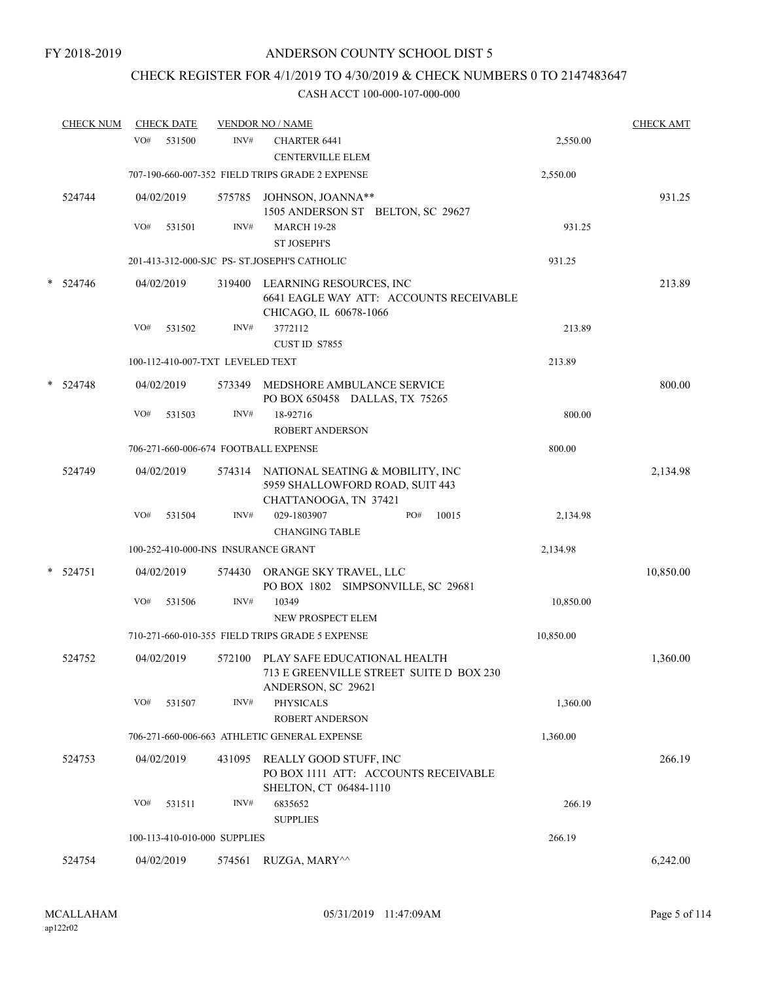# CHECK REGISTER FOR 4/1/2019 TO 4/30/2019 & CHECK NUMBERS 0 TO 2147483647

|   | <b>CHECK NUM</b> |     | <b>CHECK DATE</b> |                                  | <b>VENDOR NO / NAME</b>                                                                              |           | <b>CHECK AMT</b> |
|---|------------------|-----|-------------------|----------------------------------|------------------------------------------------------------------------------------------------------|-----------|------------------|
|   |                  | VO# | 531500            | INV#                             | CHARTER 6441<br><b>CENTERVILLE ELEM</b>                                                              | 2,550.00  |                  |
|   |                  |     |                   |                                  | 707-190-660-007-352 FIELD TRIPS GRADE 2 EXPENSE                                                      | 2,550.00  |                  |
|   | 524744           |     | 04/02/2019        | 575785                           | JOHNSON, JOANNA**<br>1505 ANDERSON ST BELTON, SC 29627                                               |           | 931.25           |
|   |                  | VO# | 531501            | INV#                             | <b>MARCH 19-28</b><br><b>ST JOSEPH'S</b>                                                             | 931.25    |                  |
|   |                  |     |                   |                                  | 201-413-312-000-SJC PS- ST.JOSEPH'S CATHOLIC                                                         | 931.25    |                  |
| * | 524746           |     | 04/02/2019        | 319400                           | LEARNING RESOURCES, INC<br>6641 EAGLE WAY ATT: ACCOUNTS RECEIVABLE<br>CHICAGO, IL 60678-1066         |           | 213.89           |
|   |                  | VO# | 531502            | INV#                             | 3772112<br>CUST ID S7855                                                                             | 213.89    |                  |
|   |                  |     |                   | 100-112-410-007-TXT LEVELED TEXT |                                                                                                      | 213.89    |                  |
| * | 524748           |     | 04/02/2019        | 573349                           | MEDSHORE AMBULANCE SERVICE<br>PO BOX 650458 DALLAS, TX 75265                                         |           | 800.00           |
|   |                  | VO# | 531503            | INV#                             | 18-92716<br><b>ROBERT ANDERSON</b>                                                                   | 800.00    |                  |
|   |                  |     |                   |                                  | 706-271-660-006-674 FOOTBALL EXPENSE                                                                 | 800.00    |                  |
|   | 524749           |     | 04/02/2019        |                                  | 574314 NATIONAL SEATING & MOBILITY, INC<br>5959 SHALLOWFORD ROAD, SUIT 443<br>CHATTANOOGA, TN 37421  |           | 2,134.98         |
|   |                  | VO# | 531504            | INV#                             | PO#<br>10015<br>029-1803907<br><b>CHANGING TABLE</b>                                                 | 2,134.98  |                  |
|   |                  |     |                   |                                  | 100-252-410-000-INS INSURANCE GRANT                                                                  | 2,134.98  |                  |
|   | $*$ 524751       |     | 04/02/2019        | 574430                           | ORANGE SKY TRAVEL, LLC<br>PO BOX 1802 SIMPSONVILLE, SC 29681                                         |           | 10,850.00        |
|   |                  | VO# | 531506            | INV#                             | 10349<br>NEW PROSPECT ELEM                                                                           | 10,850.00 |                  |
|   |                  |     |                   |                                  | 710-271-660-010-355 FIELD TRIPS GRADE 5 EXPENSE                                                      | 10,850.00 |                  |
|   | 524752           |     | 04/02/2019        |                                  | 572100 PLAY SAFE EDUCATIONAL HEALTH<br>713 E GREENVILLE STREET SUITE D BOX 230<br>ANDERSON, SC 29621 |           | 1,360.00         |
|   |                  | VO# | 531507            | INV#                             | <b>PHYSICALS</b><br><b>ROBERT ANDERSON</b>                                                           | 1,360.00  |                  |
|   |                  |     |                   |                                  | 706-271-660-006-663 ATHLETIC GENERAL EXPENSE                                                         | 1,360.00  |                  |
|   | 524753           |     | 04/02/2019        | 431095                           | REALLY GOOD STUFF, INC<br>PO BOX 1111 ATT: ACCOUNTS RECEIVABLE<br>SHELTON, CT 06484-1110             |           | 266.19           |
|   |                  | VO# | 531511            | INV#                             | 6835652<br><b>SUPPLIES</b>                                                                           | 266.19    |                  |
|   |                  |     |                   | 100-113-410-010-000 SUPPLIES     |                                                                                                      | 266.19    |                  |
|   | 524754           |     | 04/02/2019        | 574561                           | RUZGA, MARY^^                                                                                        |           | 6,242.00         |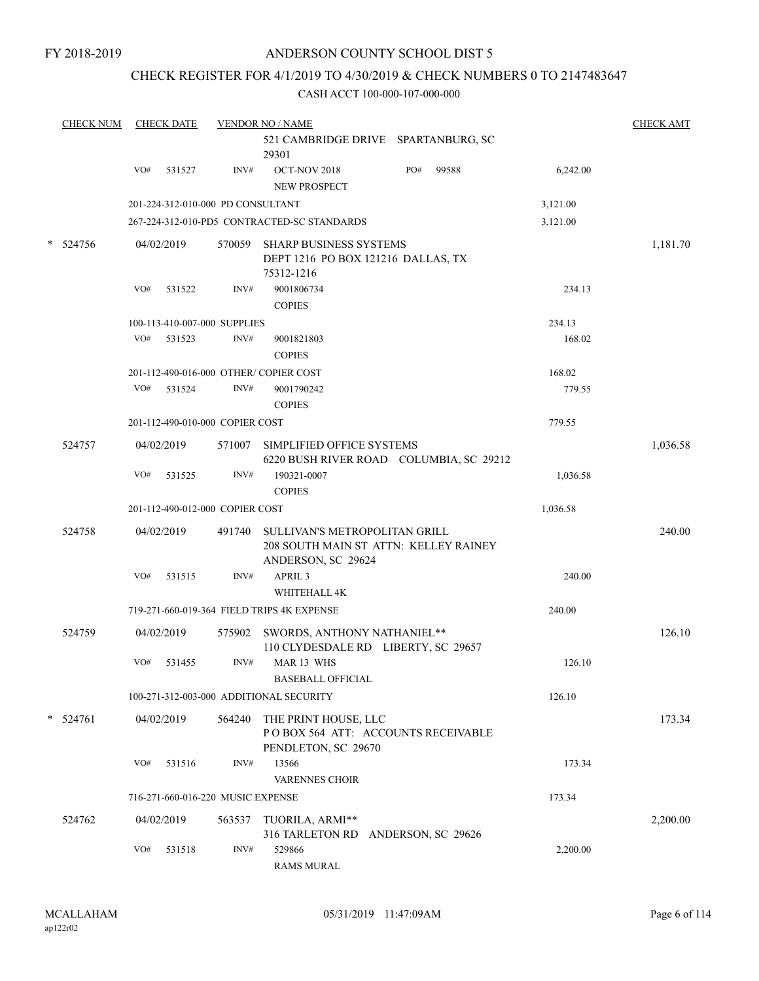## CHECK REGISTER FOR 4/1/2019 TO 4/30/2019 & CHECK NUMBERS 0 TO 2147483647

|        | <b>CHECK NUM</b> |     | <b>CHECK DATE</b>                 |        | <b>VENDOR NO / NAME</b><br>521 CAMBRIDGE DRIVE SPARTANBURG, SC<br>29301                             |     |       |          | <b>CHECK AMT</b> |
|--------|------------------|-----|-----------------------------------|--------|-----------------------------------------------------------------------------------------------------|-----|-------|----------|------------------|
|        |                  | VO# | 531527                            | INV#   | OCT-NOV 2018<br>NEW PROSPECT                                                                        | PO# | 99588 | 6,242.00 |                  |
|        |                  |     | 201-224-312-010-000 PD CONSULTANT |        |                                                                                                     |     |       | 3,121.00 |                  |
|        |                  |     |                                   |        | 267-224-312-010-PD5 CONTRACTED-SC STANDARDS                                                         |     |       | 3,121.00 |                  |
| $\ast$ | 524756           |     | 04/02/2019                        |        | 570059 SHARP BUSINESS SYSTEMS<br>DEPT 1216 PO BOX 121216 DALLAS, TX<br>75312-1216                   |     |       |          | 1,181.70         |
|        |                  | VO# | 531522                            | INV#   | 9001806734<br><b>COPIES</b>                                                                         |     |       | 234.13   |                  |
|        |                  |     | 100-113-410-007-000 SUPPLIES      |        |                                                                                                     |     |       | 234.13   |                  |
|        |                  | VO# | 531523                            | INV#   | 9001821803<br><b>COPIES</b>                                                                         |     |       | 168.02   |                  |
|        |                  |     |                                   |        | 201-112-490-016-000 OTHER/COPIER COST                                                               |     |       | 168.02   |                  |
|        |                  | VO# | 531524                            | INV#   | 9001790242<br><b>COPIES</b>                                                                         |     |       | 779.55   |                  |
|        |                  |     | 201-112-490-010-000 COPIER COST   |        |                                                                                                     |     |       | 779.55   |                  |
|        | 524757           |     | 04/02/2019                        |        | 571007 SIMPLIFIED OFFICE SYSTEMS<br>6220 BUSH RIVER ROAD COLUMBIA, SC 29212                         |     |       |          | 1,036.58         |
|        |                  | VO# | 531525                            | INV#   | 190321-0007<br><b>COPIES</b>                                                                        |     |       | 1,036.58 |                  |
|        |                  |     | 201-112-490-012-000 COPIER COST   |        |                                                                                                     |     |       | 1,036.58 |                  |
|        | 524758           |     | 04/02/2019                        |        | 491740 SULLIVAN'S METROPOLITAN GRILL<br>208 SOUTH MAIN ST ATTN: KELLEY RAINEY<br>ANDERSON, SC 29624 |     |       |          | 240.00           |
|        |                  | VO# | 531515                            | INV#   | APRIL <sub>3</sub><br>WHITEHALL 4K                                                                  |     |       | 240.00   |                  |
|        |                  |     |                                   |        | 719-271-660-019-364 FIELD TRIPS 4K EXPENSE                                                          |     |       | 240.00   |                  |
|        | 524759           |     | 04/02/2019                        | 575902 | SWORDS, ANTHONY NATHANIEL**<br>110 CLYDESDALE RD LIBERTY, SC 29657                                  |     |       |          | 126.10           |
|        |                  | VO# | 531455                            | INV#   | MAR 13 WHS<br><b>BASEBALL OFFICIAL</b>                                                              |     |       | 126.10   |                  |
|        |                  |     |                                   |        | 100-271-312-003-000 ADDITIONAL SECURITY                                                             |     |       | 126.10   |                  |
|        | $* 524761$       |     | 04/02/2019                        | 564240 | THE PRINT HOUSE, LLC<br>POBOX 564 ATT: ACCOUNTS RECEIVABLE<br>PENDLETON, SC 29670                   |     |       |          | 173.34           |
|        |                  | VO# | 531516                            | INV#   | 13566<br>VARENNES CHOIR                                                                             |     |       | 173.34   |                  |
|        |                  |     | 716-271-660-016-220 MUSIC EXPENSE |        |                                                                                                     |     |       | 173.34   |                  |
|        | 524762           |     | 04/02/2019                        | 563537 | TUORILA, ARMI**<br>316 TARLETON RD ANDERSON, SC 29626                                               |     |       |          | 2,200.00         |
|        |                  | VO# | 531518                            | INV#   | 529866<br><b>RAMS MURAL</b>                                                                         |     |       | 2,200.00 |                  |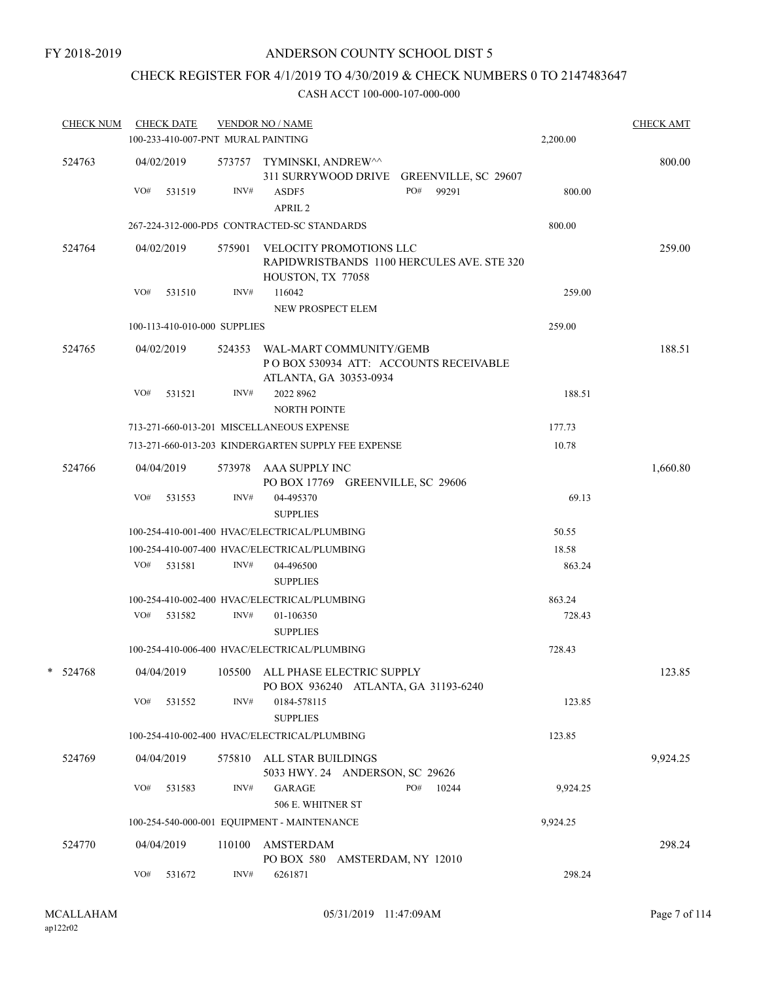## CHECK REGISTER FOR 4/1/2019 TO 4/30/2019 & CHECK NUMBERS 0 TO 2147483647

| <b>CHECK NUM</b> |     | <b>CHECK DATE</b><br>100-233-410-007-PNT MURAL PAINTING |        | <b>VENDOR NO / NAME</b>                                                                            |     |       | 2,200.00 | <b>CHECK AMT</b> |
|------------------|-----|---------------------------------------------------------|--------|----------------------------------------------------------------------------------------------------|-----|-------|----------|------------------|
| 524763           | VO# | 04/02/2019<br>531519                                    | INV#   | 573757 TYMINSKI, ANDREW^^<br>311 SURRYWOOD DRIVE GREENVILLE, SC 29607<br>ASDF5                     | PO# | 99291 | 800.00   | 800.00           |
|                  |     |                                                         |        | APRIL <sub>2</sub>                                                                                 |     |       |          |                  |
|                  |     |                                                         |        | 267-224-312-000-PD5 CONTRACTED-SC STANDARDS                                                        |     |       | 800.00   |                  |
| 524764           |     | 04/02/2019                                              |        | 575901 VELOCITY PROMOTIONS LLC<br>RAPIDWRISTBANDS 1100 HERCULES AVE. STE 320<br>HOUSTON, TX 77058  |     |       |          | 259.00           |
|                  |     | $VO#$ 531510                                            | INV#   | 116042<br>NEW PROSPECT ELEM                                                                        |     |       | 259.00   |                  |
|                  |     | 100-113-410-010-000 SUPPLIES                            |        |                                                                                                    |     |       | 259.00   |                  |
| 524765           |     | 04/02/2019                                              |        | 524353 WAL-MART COMMUNITY/GEMB<br>PO BOX 530934 ATT: ACCOUNTS RECEIVABLE<br>ATLANTA, GA 30353-0934 |     |       |          | 188.51           |
|                  | VO# | 531521                                                  | INV#   | 2022 8962<br><b>NORTH POINTE</b>                                                                   |     |       | 188.51   |                  |
|                  |     |                                                         |        | 713-271-660-013-201 MISCELLANEOUS EXPENSE                                                          |     |       | 177.73   |                  |
|                  |     |                                                         |        | 713-271-660-013-203 KINDERGARTEN SUPPLY FEE EXPENSE                                                |     |       | 10.78    |                  |
| 524766           |     | 04/04/2019                                              |        | 573978 AAA SUPPLY INC<br>PO BOX 17769 GREENVILLE, SC 29606                                         |     |       |          | 1,660.80         |
|                  | VO# | 531553                                                  | INV#   | 04-495370<br><b>SUPPLIES</b>                                                                       |     |       | 69.13    |                  |
|                  |     |                                                         |        | 100-254-410-001-400 HVAC/ELECTRICAL/PLUMBING                                                       |     |       | 50.55    |                  |
|                  |     |                                                         |        | 100-254-410-007-400 HVAC/ELECTRICAL/PLUMBING                                                       |     |       | 18.58    |                  |
|                  |     | VO# 531581                                              | INV#   | 04-496500<br><b>SUPPLIES</b>                                                                       |     |       | 863.24   |                  |
|                  |     |                                                         |        | 100-254-410-002-400 HVAC/ELECTRICAL/PLUMBING                                                       |     |       | 863.24   |                  |
|                  |     | VO# 531582                                              | INV#   | 01-106350<br><b>SUPPLIES</b>                                                                       |     |       | 728.43   |                  |
|                  |     |                                                         |        | 100-254-410-006-400 HVAC/ELECTRICAL/PLUMBING                                                       |     |       | 728.43   |                  |
| $* 524768$       |     |                                                         |        | 04/04/2019 105500 ALL PHASE ELECTRIC SUPPLY<br>PO BOX 936240 ATLANTA, GA 31193-6240                |     |       |          | 123.85           |
|                  | VO# | 531552                                                  | INV#   | 0184-578115<br><b>SUPPLIES</b>                                                                     |     |       | 123.85   |                  |
|                  |     |                                                         |        | 100-254-410-002-400 HVAC/ELECTRICAL/PLUMBING                                                       |     |       | 123.85   |                  |
| 524769           |     | 04/04/2019                                              |        | 575810 ALL STAR BUILDINGS<br>5033 HWY. 24 ANDERSON, SC 29626                                       |     |       |          | 9,924.25         |
|                  | VO# | 531583                                                  | INV#   | <b>GARAGE</b><br>506 E. WHITNER ST                                                                 | PO# | 10244 | 9,924.25 |                  |
|                  |     |                                                         |        | 100-254-540-000-001 EQUIPMENT - MAINTENANCE                                                        |     |       | 9,924.25 |                  |
| 524770           |     | 04/04/2019                                              | 110100 | AMSTERDAM                                                                                          |     |       |          | 298.24           |
|                  | VO# | 531672                                                  | INV#   | PO BOX 580 AMSTERDAM, NY 12010<br>6261871                                                          |     |       | 298.24   |                  |
|                  |     |                                                         |        |                                                                                                    |     |       |          |                  |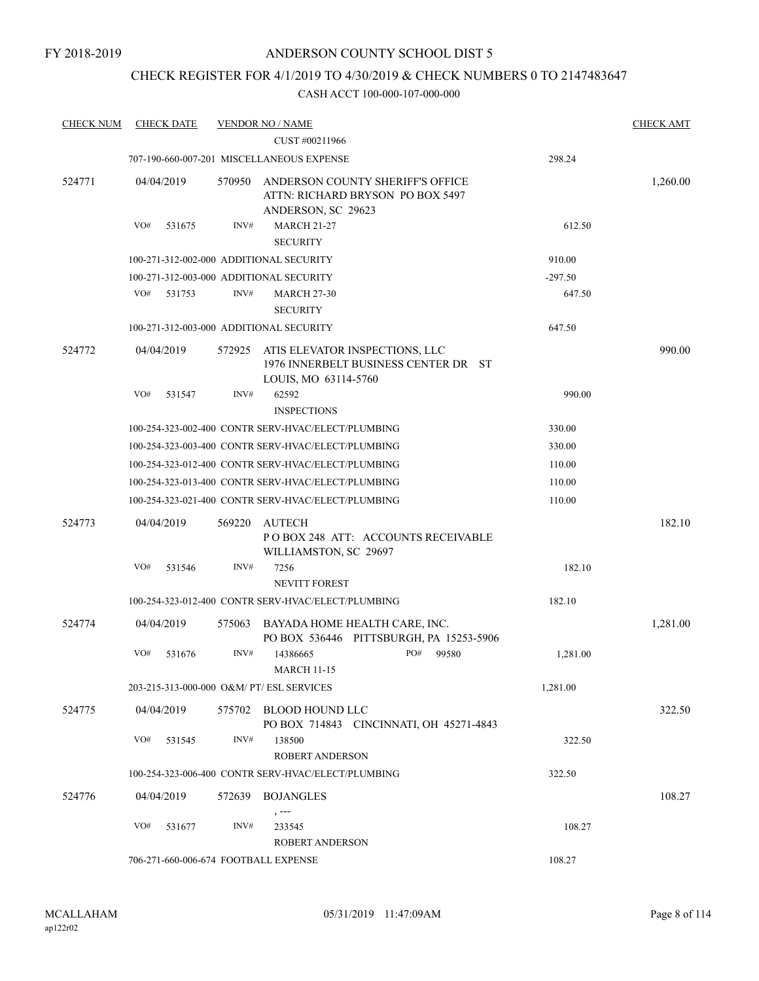## CHECK REGISTER FOR 4/1/2019 TO 4/30/2019 & CHECK NUMBERS 0 TO 2147483647

| <b>CHECK NUM</b> | <b>CHECK DATE</b>                         |        | <b>VENDOR NO / NAME</b><br>CUST #00211966                                                      |           | <b>CHECK AMT</b> |
|------------------|-------------------------------------------|--------|------------------------------------------------------------------------------------------------|-----------|------------------|
|                  |                                           |        |                                                                                                |           |                  |
|                  |                                           |        | 707-190-660-007-201 MISCELLANEOUS EXPENSE                                                      | 298.24    |                  |
| 524771           | 04/04/2019                                | 570950 | ANDERSON COUNTY SHERIFF'S OFFICE<br>ATTN: RICHARD BRYSON PO BOX 5497<br>ANDERSON, SC 29623     |           | 1,260.00         |
|                  | VO#<br>531675                             | INV#   | <b>MARCH 21-27</b>                                                                             | 612.50    |                  |
|                  |                                           |        | <b>SECURITY</b>                                                                                |           |                  |
|                  | 100-271-312-002-000 ADDITIONAL SECURITY   |        |                                                                                                | 910.00    |                  |
|                  | 100-271-312-003-000 ADDITIONAL SECURITY   |        |                                                                                                | $-297.50$ |                  |
|                  | VO#<br>531753                             | INV#   | <b>MARCH 27-30</b><br><b>SECURITY</b>                                                          | 647.50    |                  |
|                  | 100-271-312-003-000 ADDITIONAL SECURITY   |        |                                                                                                | 647.50    |                  |
| 524772           | 04/04/2019                                | 572925 | ATIS ELEVATOR INSPECTIONS, LLC<br>1976 INNERBELT BUSINESS CENTER DR ST<br>LOUIS, MO 63114-5760 |           | 990.00           |
|                  | VO#<br>531547                             | INV#   | 62592<br><b>INSPECTIONS</b>                                                                    | 990.00    |                  |
|                  |                                           |        | 100-254-323-002-400 CONTR SERV-HVAC/ELECT/PLUMBING                                             | 330.00    |                  |
|                  |                                           |        | 100-254-323-003-400 CONTR SERV-HVAC/ELECT/PLUMBING                                             | 330.00    |                  |
|                  |                                           |        | 100-254-323-012-400 CONTR SERV-HVAC/ELECT/PLUMBING                                             | 110.00    |                  |
|                  |                                           |        | 100-254-323-013-400 CONTR SERV-HVAC/ELECT/PLUMBING                                             | 110.00    |                  |
|                  |                                           |        | 100-254-323-021-400 CONTR SERV-HVAC/ELECT/PLUMBING                                             | 110.00    |                  |
|                  |                                           |        |                                                                                                |           |                  |
| 524773           | 04/04/2019                                | 569220 | <b>AUTECH</b><br>POBOX 248 ATT: ACCOUNTS RECEIVABLE<br>WILLIAMSTON, SC 29697                   |           | 182.10           |
|                  | VO#<br>531546                             | INV#   | 7256<br><b>NEVITT FOREST</b>                                                                   | 182.10    |                  |
|                  |                                           |        | 100-254-323-012-400 CONTR SERV-HVAC/ELECT/PLUMBING                                             | 182.10    |                  |
| 524774           | 04/04/2019                                | 575063 | BAYADA HOME HEALTH CARE, INC.<br>PO BOX 536446 PITTSBURGH, PA 15253-5906                       |           | 1,281.00         |
|                  | VO#<br>531676                             | INV#   | 14386665<br>PO#<br>99580<br><b>MARCH 11-15</b>                                                 | 1,281.00  |                  |
|                  | 203-215-313-000-000 O&M/ PT/ ESL SERVICES |        |                                                                                                | 1,281.00  |                  |
| 524775           | 04/04/2019                                |        | 575702 BLOOD HOUND LLC<br>PO BOX 714843 CINCINNATI, OH 45271-4843                              |           | 322.50           |
|                  | VO#<br>531545                             | INV#   | 138500<br><b>ROBERT ANDERSON</b>                                                               | 322.50    |                  |
|                  |                                           |        | 100-254-323-006-400 CONTR SERV-HVAC/ELECT/PLUMBING                                             | 322.50    |                  |
| 524776           | 04/04/2019                                |        | 572639 BOJANGLES                                                                               |           | 108.27           |
|                  |                                           |        | , ---                                                                                          |           |                  |
|                  | VO#<br>531677                             | INV#   | 233545                                                                                         | 108.27    |                  |
|                  |                                           |        | <b>ROBERT ANDERSON</b>                                                                         |           |                  |
|                  | 706-271-660-006-674 FOOTBALL EXPENSE      |        |                                                                                                | 108.27    |                  |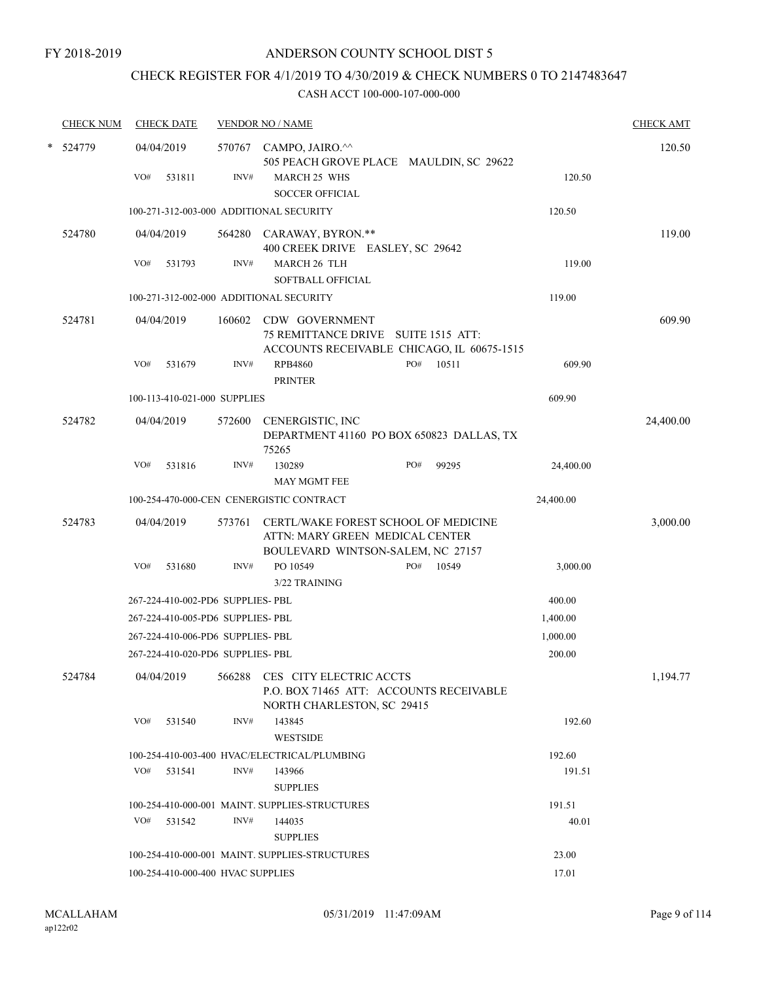# CHECK REGISTER FOR 4/1/2019 TO 4/30/2019 & CHECK NUMBERS 0 TO 2147483647

| <b>CHECK NUM</b> | <b>CHECK DATE</b>                       |        | <b>VENDOR NO / NAME</b>                                                                                      |     |       |           | <b>CHECK AMT</b> |
|------------------|-----------------------------------------|--------|--------------------------------------------------------------------------------------------------------------|-----|-------|-----------|------------------|
| * 524779         | 04/04/2019                              | 570767 | CAMPO, JAIRO.^^<br>505 PEACH GROVE PLACE MAULDIN, SC 29622                                                   |     |       |           | 120.50           |
|                  | VO#<br>531811                           | INV#   | <b>MARCH 25 WHS</b><br><b>SOCCER OFFICIAL</b>                                                                |     |       | 120.50    |                  |
|                  | 100-271-312-003-000 ADDITIONAL SECURITY |        |                                                                                                              |     |       | 120.50    |                  |
| 524780           | 04/04/2019                              |        | 564280 CARAWAY, BYRON.**<br>400 CREEK DRIVE EASLEY, SC 29642                                                 |     |       |           | 119.00           |
|                  | VO#<br>531793                           | INV#   | <b>MARCH 26 TLH</b><br><b>SOFTBALL OFFICIAL</b>                                                              |     |       | 119.00    |                  |
|                  | 100-271-312-002-000 ADDITIONAL SECURITY |        |                                                                                                              |     |       | 119.00    |                  |
| 524781           | 04/04/2019                              | 160602 | CDW GOVERNMENT<br>75 REMITTANCE DRIVE SUITE 1515 ATT:<br>ACCOUNTS RECEIVABLE CHICAGO, IL 60675-1515          |     |       |           | 609.90           |
|                  | VO#<br>531679                           | INV#   | <b>RPB4860</b><br><b>PRINTER</b>                                                                             | PO# | 10511 | 609.90    |                  |
|                  | 100-113-410-021-000 SUPPLIES            |        |                                                                                                              |     |       | 609.90    |                  |
| 524782           | 04/04/2019                              | 572600 | CENERGISTIC, INC<br>DEPARTMENT 41160 PO BOX 650823 DALLAS, TX<br>75265                                       |     |       |           | 24,400.00        |
|                  | VO#<br>531816                           | INV#   | 130289<br><b>MAY MGMT FEE</b>                                                                                | PO# | 99295 | 24,400.00 |                  |
|                  |                                         |        | 100-254-470-000-CEN CENERGISTIC CONTRACT                                                                     |     |       | 24,400.00 |                  |
| 524783           | 04/04/2019                              | 573761 | CERTL/WAKE FOREST SCHOOL OF MEDICINE<br>ATTN: MARY GREEN MEDICAL CENTER<br>BOULEVARD WINTSON-SALEM, NC 27157 |     |       |           | 3,000.00         |
|                  | VO#<br>531680                           | INV#   | PO 10549<br>3/22 TRAINING                                                                                    | PO# | 10549 | 3,000.00  |                  |
|                  | 267-224-410-002-PD6 SUPPLIES- PBL       |        |                                                                                                              |     |       | 400.00    |                  |
|                  | 267-224-410-005-PD6 SUPPLIES- PBL       |        |                                                                                                              |     |       | 1,400.00  |                  |
|                  | 267-224-410-006-PD6 SUPPLIES- PBL       |        |                                                                                                              |     |       | 1,000.00  |                  |
|                  | 267-224-410-020-PD6 SUPPLIES- PBL       |        |                                                                                                              |     |       | 200.00    |                  |
| 524784           | 04/04/2019                              | 566288 | CES CITY ELECTRIC ACCTS<br>P.O. BOX 71465 ATT: ACCOUNTS RECEIVABLE<br>NORTH CHARLESTON, SC 29415             |     |       |           | 1,194.77         |
|                  | VO#<br>531540                           | INV#   | 143845<br><b>WESTSIDE</b>                                                                                    |     |       | 192.60    |                  |
|                  |                                         |        | 100-254-410-003-400 HVAC/ELECTRICAL/PLUMBING                                                                 |     |       | 192.60    |                  |
|                  | VO# 531541                              | INV#   | 143966<br><b>SUPPLIES</b>                                                                                    |     |       | 191.51    |                  |
|                  |                                         |        | 100-254-410-000-001 MAINT. SUPPLIES-STRUCTURES                                                               |     |       | 191.51    |                  |
|                  | VO#<br>531542                           | INV#   | 144035<br><b>SUPPLIES</b>                                                                                    |     |       | 40.01     |                  |
|                  |                                         |        | 100-254-410-000-001 MAINT. SUPPLIES-STRUCTURES                                                               |     |       | 23.00     |                  |
|                  | 100-254-410-000-400 HVAC SUPPLIES       |        |                                                                                                              |     |       | 17.01     |                  |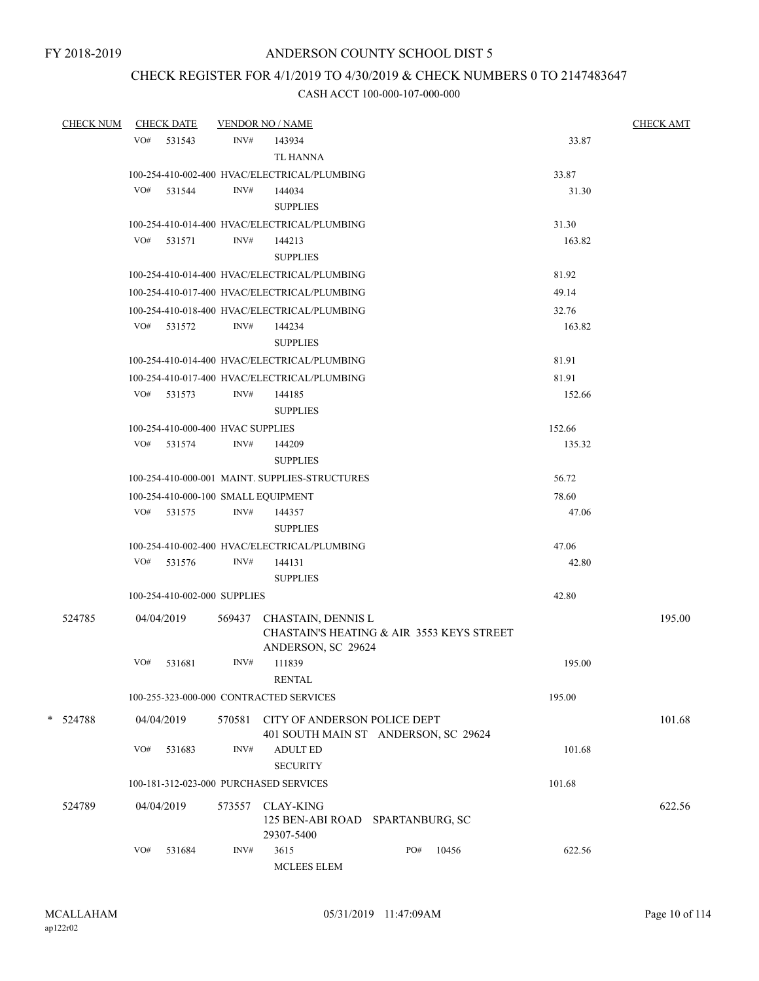## CHECK REGISTER FOR 4/1/2019 TO 4/30/2019 & CHECK NUMBERS 0 TO 2147483647

| <b>CHECK NUM</b> |     | <b>CHECK DATE</b>                 |        | <b>VENDOR NO / NAME</b>                        |     |       |        | <b>CHECK AMT</b> |
|------------------|-----|-----------------------------------|--------|------------------------------------------------|-----|-------|--------|------------------|
|                  |     | VO# 531543                        | INV#   | 143934                                         |     |       | 33.87  |                  |
|                  |     |                                   |        | TL HANNA                                       |     |       |        |                  |
|                  |     |                                   |        | 100-254-410-002-400 HVAC/ELECTRICAL/PLUMBING   |     |       | 33.87  |                  |
|                  | VO# | 531544                            | INV#   | 144034                                         |     |       | 31.30  |                  |
|                  |     |                                   |        | <b>SUPPLIES</b>                                |     |       |        |                  |
|                  |     |                                   |        | 100-254-410-014-400 HVAC/ELECTRICAL/PLUMBING   |     |       | 31.30  |                  |
|                  |     | VO# 531571                        | INV#   | 144213                                         |     |       | 163.82 |                  |
|                  |     |                                   |        | <b>SUPPLIES</b>                                |     |       |        |                  |
|                  |     |                                   |        | 100-254-410-014-400 HVAC/ELECTRICAL/PLUMBING   |     |       | 81.92  |                  |
|                  |     |                                   |        | 100-254-410-017-400 HVAC/ELECTRICAL/PLUMBING   |     |       | 49.14  |                  |
|                  |     |                                   |        | 100-254-410-018-400 HVAC/ELECTRICAL/PLUMBING   |     |       | 32.76  |                  |
|                  |     | VO# 531572                        | INV#   | 144234                                         |     |       | 163.82 |                  |
|                  |     |                                   |        | <b>SUPPLIES</b>                                |     |       |        |                  |
|                  |     |                                   |        | 100-254-410-014-400 HVAC/ELECTRICAL/PLUMBING   |     |       | 81.91  |                  |
|                  |     |                                   |        | 100-254-410-017-400 HVAC/ELECTRICAL/PLUMBING   |     |       | 81.91  |                  |
|                  |     | VO# 531573                        | INV#   | 144185                                         |     |       | 152.66 |                  |
|                  |     |                                   |        | <b>SUPPLIES</b>                                |     |       |        |                  |
|                  |     | 100-254-410-000-400 HVAC SUPPLIES |        |                                                |     |       | 152.66 |                  |
|                  |     | VO# 531574                        | INV#   | 144209                                         |     |       | 135.32 |                  |
|                  |     |                                   |        | <b>SUPPLIES</b>                                |     |       |        |                  |
|                  |     |                                   |        | 100-254-410-000-001 MAINT. SUPPLIES-STRUCTURES |     |       | 56.72  |                  |
|                  |     |                                   |        | 100-254-410-000-100 SMALL EQUIPMENT            |     |       | 78.60  |                  |
|                  |     | VO# 531575                        | INV#   | 144357                                         |     |       | 47.06  |                  |
|                  |     |                                   |        | <b>SUPPLIES</b>                                |     |       |        |                  |
|                  |     |                                   |        | 100-254-410-002-400 HVAC/ELECTRICAL/PLUMBING   |     |       | 47.06  |                  |
|                  |     | VO# 531576                        | INV#   | 144131                                         |     |       | 42.80  |                  |
|                  |     |                                   |        | <b>SUPPLIES</b>                                |     |       |        |                  |
|                  |     | 100-254-410-002-000 SUPPLIES      |        |                                                |     |       | 42.80  |                  |
| 524785           |     | 04/04/2019                        |        | 569437 CHASTAIN, DENNIS L                      |     |       |        | 195.00           |
|                  |     |                                   |        | CHASTAIN'S HEATING & AIR 3553 KEYS STREET      |     |       |        |                  |
|                  |     |                                   |        | ANDERSON, SC 29624                             |     |       |        |                  |
|                  | VO# | 531681                            | INV#   | 111839                                         |     |       | 195.00 |                  |
|                  |     |                                   |        | <b>RENTAL</b>                                  |     |       |        |                  |
|                  |     |                                   |        | 100-255-323-000-000 CONTRACTED SERVICES        |     |       | 195.00 |                  |
| * 524788         |     | 04/04/2019                        | 570581 | CITY OF ANDERSON POLICE DEPT                   |     |       |        | 101.68           |
|                  |     |                                   |        | 401 SOUTH MAIN ST ANDERSON, SC 29624           |     |       |        |                  |
|                  | VO# | 531683                            | INV#   | <b>ADULT ED</b>                                |     |       | 101.68 |                  |
|                  |     |                                   |        | <b>SECURITY</b>                                |     |       |        |                  |
|                  |     |                                   |        | 100-181-312-023-000 PURCHASED SERVICES         |     |       | 101.68 |                  |
| 524789           |     | 04/04/2019                        | 573557 | <b>CLAY-KING</b>                               |     |       |        | 622.56           |
|                  |     |                                   |        | 125 BEN-ABI ROAD SPARTANBURG, SC               |     |       |        |                  |
|                  |     |                                   |        | 29307-5400                                     |     |       |        |                  |
|                  | VO# | 531684                            | INV#   | 3615                                           | PO# | 10456 | 622.56 |                  |
|                  |     |                                   |        | <b>MCLEES ELEM</b>                             |     |       |        |                  |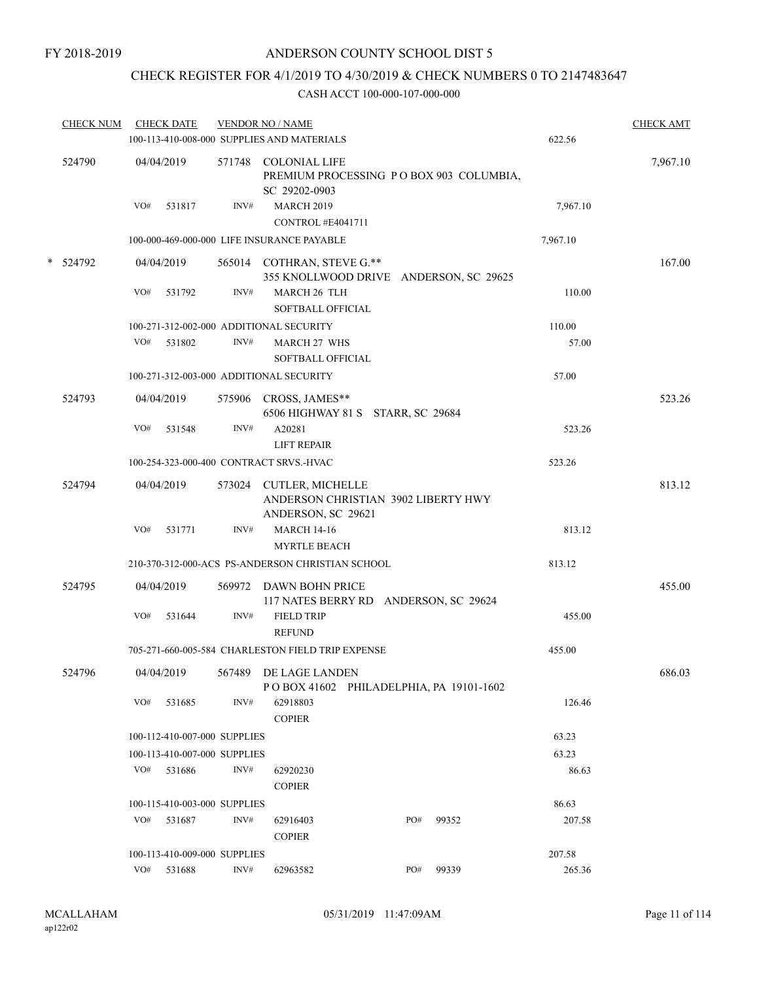## CHECK REGISTER FOR 4/1/2019 TO 4/30/2019 & CHECK NUMBERS 0 TO 2147483647

| <b>CHECK NUM</b> |     | <b>CHECK DATE</b>            |        | <b>VENDOR NO / NAME</b><br>100-113-410-008-000 SUPPLIES AND MATERIALS            |     |       | 622.56   | <b>CHECK AMT</b> |
|------------------|-----|------------------------------|--------|----------------------------------------------------------------------------------|-----|-------|----------|------------------|
|                  |     |                              |        |                                                                                  |     |       |          |                  |
| 524790           |     | 04/04/2019                   |        | 571748 COLONIAL LIFE<br>PREMIUM PROCESSING PO BOX 903 COLUMBIA,<br>SC 29202-0903 |     |       |          | 7,967.10         |
|                  | VO# | 531817                       | INV#   | <b>MARCH 2019</b><br>CONTROL #E4041711                                           |     |       | 7,967.10 |                  |
|                  |     |                              |        | 100-000-469-000-000 LIFE INSURANCE PAYABLE                                       |     |       | 7,967.10 |                  |
| * 524792         |     | 04/04/2019                   |        | 565014 COTHRAN, STEVE G.**                                                       |     |       |          | 167.00           |
|                  | VO# | 531792                       | INV#   | 355 KNOLLWOOD DRIVE ANDERSON, SC 29625<br>MARCH 26 TLH<br>SOFTBALL OFFICIAL      |     |       | 110.00   |                  |
|                  |     |                              |        | 100-271-312-002-000 ADDITIONAL SECURITY                                          |     |       | 110.00   |                  |
|                  | VO# | 531802                       | INV#   | <b>MARCH 27 WHS</b><br>SOFTBALL OFFICIAL                                         |     |       | 57.00    |                  |
|                  |     |                              |        | 100-271-312-003-000 ADDITIONAL SECURITY                                          |     |       | 57.00    |                  |
| 524793           |     | 04/04/2019                   |        | 575906 CROSS, JAMES**<br>6506 HIGHWAY 81 S STARR, SC 29684                       |     |       |          | 523.26           |
|                  | VO# | 531548                       | INV#   | A20281<br><b>LIFT REPAIR</b>                                                     |     |       | 523.26   |                  |
|                  |     |                              |        | 100-254-323-000-400 CONTRACT SRVS.-HVAC                                          |     |       | 523.26   |                  |
| 524794           |     | 04/04/2019                   |        | 573024 CUTLER, MICHELLE                                                          |     |       |          | 813.12           |
|                  |     |                              |        | ANDERSON CHRISTIAN 3902 LIBERTY HWY<br>ANDERSON, SC 29621                        |     |       |          |                  |
|                  | VO# | 531771                       | INV#   | <b>MARCH 14-16</b>                                                               |     |       | 813.12   |                  |
|                  |     |                              |        | <b>MYRTLE BEACH</b>                                                              |     |       |          |                  |
|                  |     |                              |        | 210-370-312-000-ACS PS-ANDERSON CHRISTIAN SCHOOL                                 |     |       | 813.12   |                  |
| 524795           |     | 04/04/2019                   | 569972 | DAWN BOHN PRICE<br>117 NATES BERRY RD ANDERSON, SC 29624                         |     |       |          | 455.00           |
|                  | VO# | 531644                       | INV#   | <b>FIELD TRIP</b><br><b>REFUND</b>                                               |     |       | 455.00   |                  |
|                  |     |                              |        | 705-271-660-005-584 CHARLESTON FIELD TRIP EXPENSE                                |     |       | 455.00   |                  |
| 524796           |     | 04/04/2019                   |        | 567489 DE LAGE LANDEN<br>POBOX 41602 PHILADELPHIA, PA 19101-1602                 |     |       |          | 686.03           |
|                  | VO# | 531685                       | INV#   | 62918803<br><b>COPIER</b>                                                        |     |       | 126.46   |                  |
|                  |     | 100-112-410-007-000 SUPPLIES |        |                                                                                  |     |       | 63.23    |                  |
|                  |     | 100-113-410-007-000 SUPPLIES |        |                                                                                  |     |       | 63.23    |                  |
|                  |     | $VO#$ 531686                 | INV#   | 62920230<br><b>COPIER</b>                                                        |     |       | 86.63    |                  |
|                  |     | 100-115-410-003-000 SUPPLIES |        |                                                                                  |     |       | 86.63    |                  |
|                  | VO# | 531687                       | INV#   | 62916403                                                                         | PO# | 99352 | 207.58   |                  |
|                  |     |                              |        | <b>COPIER</b>                                                                    |     |       |          |                  |
|                  |     | 100-113-410-009-000 SUPPLIES |        |                                                                                  |     |       | 207.58   |                  |
|                  | VO# | 531688                       | INV#   | 62963582                                                                         | PO# | 99339 | 265.36   |                  |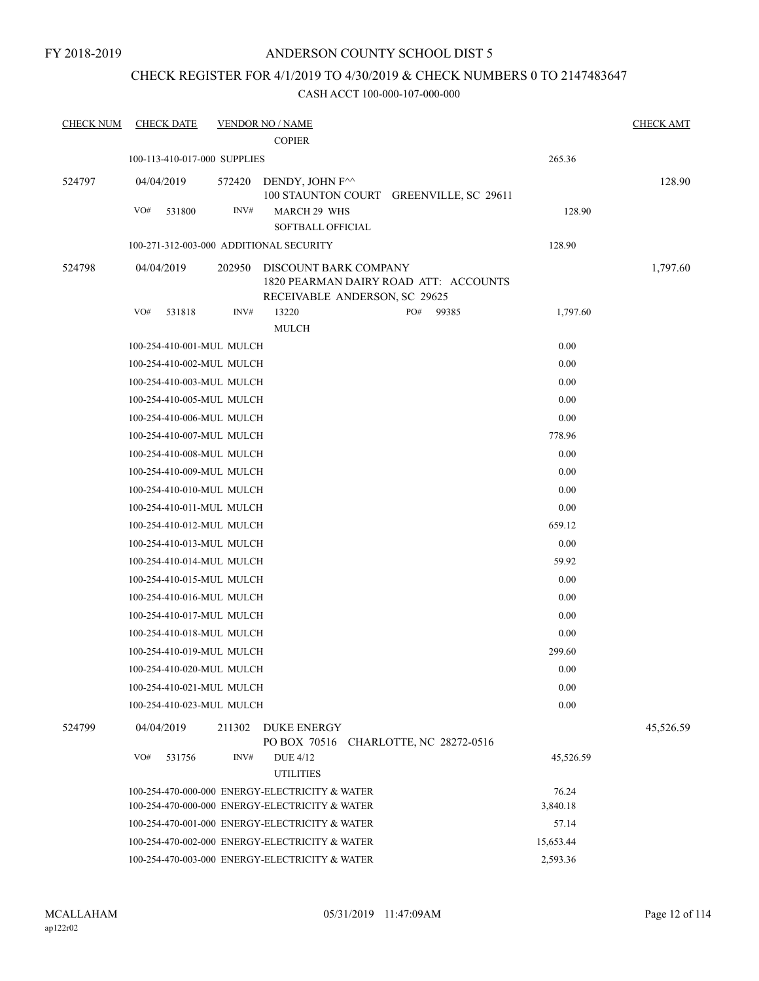# CHECK REGISTER FOR 4/1/2019 TO 4/30/2019 & CHECK NUMBERS 0 TO 2147483647

| <b>CHECK NUM</b> | <b>CHECK DATE</b>                       |        | <b>VENDOR NO / NAME</b>                                                                         |     |       |           | <b>CHECK AMT</b> |
|------------------|-----------------------------------------|--------|-------------------------------------------------------------------------------------------------|-----|-------|-----------|------------------|
|                  |                                         |        | <b>COPIER</b>                                                                                   |     |       |           |                  |
|                  | 100-113-410-017-000 SUPPLIES            |        |                                                                                                 |     |       | 265.36    |                  |
| 524797           | 04/04/2019                              | 572420 | DENDY, JOHN F^^<br>100 STAUNTON COURT GREENVILLE, SC 29611                                      |     |       |           | 128.90           |
|                  | VO#<br>531800                           | INV#   | <b>MARCH 29 WHS</b>                                                                             |     |       | 128.90    |                  |
|                  |                                         |        | <b>SOFTBALL OFFICIAL</b>                                                                        |     |       |           |                  |
|                  | 100-271-312-003-000 ADDITIONAL SECURITY |        |                                                                                                 |     |       | 128.90    |                  |
| 524798           | 04/04/2019                              | 202950 | DISCOUNT BARK COMPANY<br>1820 PEARMAN DAIRY ROAD ATT: ACCOUNTS<br>RECEIVABLE ANDERSON, SC 29625 |     |       |           | 1,797.60         |
|                  | VO#<br>531818                           | INV#   | 13220<br><b>MULCH</b>                                                                           | PO# | 99385 | 1,797.60  |                  |
|                  | 100-254-410-001-MUL MULCH               |        |                                                                                                 |     |       | 0.00      |                  |
|                  | 100-254-410-002-MUL MULCH               |        |                                                                                                 |     |       | 0.00      |                  |
|                  | 100-254-410-003-MUL MULCH               |        |                                                                                                 |     |       | 0.00      |                  |
|                  | 100-254-410-005-MUL MULCH               |        |                                                                                                 |     |       | 0.00      |                  |
|                  | 100-254-410-006-MUL MULCH               |        |                                                                                                 |     |       | 0.00      |                  |
|                  | 100-254-410-007-MUL MULCH               |        |                                                                                                 |     |       | 778.96    |                  |
|                  | 100-254-410-008-MUL MULCH               |        |                                                                                                 |     |       | 0.00      |                  |
|                  | 100-254-410-009-MUL MULCH               |        |                                                                                                 |     |       | 0.00      |                  |
|                  | 100-254-410-010-MUL MULCH               |        |                                                                                                 |     |       | 0.00      |                  |
|                  | 100-254-410-011-MUL MULCH               |        |                                                                                                 |     |       | 0.00      |                  |
|                  | 100-254-410-012-MUL MULCH               |        |                                                                                                 |     |       | 659.12    |                  |
|                  | 100-254-410-013-MUL MULCH               |        |                                                                                                 |     |       | 0.00      |                  |
|                  | 100-254-410-014-MUL MULCH               |        |                                                                                                 |     |       | 59.92     |                  |
|                  | 100-254-410-015-MUL MULCH               |        |                                                                                                 |     |       | 0.00      |                  |
|                  | 100-254-410-016-MUL MULCH               |        |                                                                                                 |     |       | 0.00      |                  |
|                  | 100-254-410-017-MUL MULCH               |        |                                                                                                 |     |       | 0.00      |                  |
|                  | 100-254-410-018-MUL MULCH               |        |                                                                                                 |     |       | 0.00      |                  |
|                  | 100-254-410-019-MUL MULCH               |        |                                                                                                 |     |       | 299.60    |                  |
|                  | 100-254-410-020-MUL MULCH               |        |                                                                                                 |     |       | 0.00      |                  |
|                  | 100-254-410-021-MUL MULCH               |        |                                                                                                 |     |       | $0.00\,$  |                  |
|                  | 100-254-410-023-MUL MULCH               |        |                                                                                                 |     |       | $0.00\,$  |                  |
| 524799           | 04/04/2019                              | 211302 | <b>DUKE ENERGY</b><br>PO BOX 70516 CHARLOTTE, NC 28272-0516                                     |     |       |           | 45,526.59        |
|                  | VO#<br>531756                           | INV#   | <b>DUE 4/12</b><br><b>UTILITIES</b>                                                             |     |       | 45,526.59 |                  |
|                  |                                         |        | 100-254-470-000-000 ENERGY-ELECTRICITY & WATER                                                  |     |       | 76.24     |                  |
|                  |                                         |        | 100-254-470-000-000 ENERGY-ELECTRICITY & WATER                                                  |     |       | 3,840.18  |                  |
|                  |                                         |        | 100-254-470-001-000 ENERGY-ELECTRICITY & WATER                                                  |     |       | 57.14     |                  |
|                  |                                         |        | 100-254-470-002-000 ENERGY-ELECTRICITY & WATER                                                  |     |       | 15,653.44 |                  |
|                  |                                         |        | 100-254-470-003-000 ENERGY-ELECTRICITY & WATER                                                  |     |       | 2,593.36  |                  |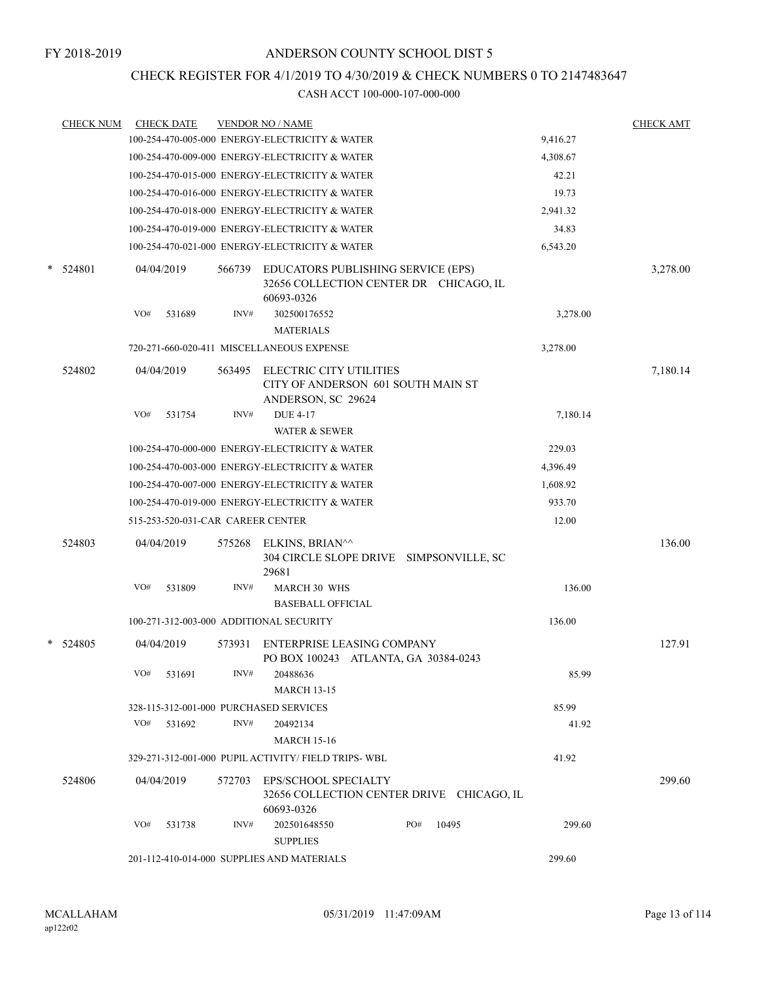## CHECK REGISTER FOR 4/1/2019 TO 4/30/2019 & CHECK NUMBERS 0 TO 2147483647

|   | <b>CHECK NUM</b> |     | <b>CHECK DATE</b>                 |        | <b>VENDOR NO / NAME</b>                                                                    |     |       |          | <b>CHECK AMT</b> |  |  |
|---|------------------|-----|-----------------------------------|--------|--------------------------------------------------------------------------------------------|-----|-------|----------|------------------|--|--|
|   |                  |     |                                   |        | 100-254-470-005-000 ENERGY-ELECTRICITY & WATER                                             |     |       | 9,416.27 |                  |  |  |
|   |                  |     |                                   |        | 100-254-470-009-000 ENERGY-ELECTRICITY & WATER                                             |     |       | 4,308.67 |                  |  |  |
|   |                  |     |                                   |        | 100-254-470-015-000 ENERGY-ELECTRICITY & WATER                                             |     |       | 42.21    |                  |  |  |
|   |                  |     |                                   |        | 100-254-470-016-000 ENERGY-ELECTRICITY & WATER                                             |     |       | 19.73    |                  |  |  |
|   |                  |     |                                   |        | 100-254-470-018-000 ENERGY-ELECTRICITY & WATER                                             |     |       | 2,941.32 |                  |  |  |
|   |                  |     |                                   |        | 100-254-470-019-000 ENERGY-ELECTRICITY & WATER                                             |     |       | 34.83    |                  |  |  |
|   |                  |     |                                   |        | 100-254-470-021-000 ENERGY-ELECTRICITY & WATER                                             |     |       | 6,543.20 |                  |  |  |
| * | 524801           |     | 04/04/2019                        | 566739 | EDUCATORS PUBLISHING SERVICE (EPS)<br>32656 COLLECTION CENTER DR CHICAGO, IL<br>60693-0326 |     |       |          | 3,278.00         |  |  |
|   |                  | VO# | 531689                            | INV#   | 302500176552<br><b>MATERIALS</b>                                                           |     |       | 3,278.00 |                  |  |  |
|   |                  |     |                                   |        | 720-271-660-020-411 MISCELLANEOUS EXPENSE                                                  |     |       | 3,278.00 |                  |  |  |
|   | 524802           |     | 04/04/2019                        | 563495 | <b>ELECTRIC CITY UTILITIES</b><br>CITY OF ANDERSON 601 SOUTH MAIN ST<br>ANDERSON, SC 29624 |     |       |          | 7,180.14         |  |  |
|   |                  | VO# | 531754                            | INV#   | <b>DUE 4-17</b><br><b>WATER &amp; SEWER</b>                                                |     |       | 7,180.14 |                  |  |  |
|   |                  |     |                                   |        | 100-254-470-000-000 ENERGY-ELECTRICITY & WATER                                             |     |       | 229.03   |                  |  |  |
|   |                  |     |                                   |        | 100-254-470-003-000 ENERGY-ELECTRICITY & WATER                                             |     |       | 4,396.49 | 136.00<br>127.91 |  |  |
|   |                  |     |                                   |        | 100-254-470-007-000 ENERGY-ELECTRICITY & WATER                                             |     |       | 1,608.92 |                  |  |  |
|   |                  |     |                                   |        | 100-254-470-019-000 ENERGY-ELECTRICITY & WATER                                             |     |       | 933.70   |                  |  |  |
|   |                  |     | 515-253-520-031-CAR CAREER CENTER |        |                                                                                            |     |       | 12.00    |                  |  |  |
|   |                  |     |                                   |        |                                                                                            |     |       |          |                  |  |  |
|   | 524803           |     | 04/04/2019                        | 575268 | ELKINS, BRIAN^^<br>304 CIRCLE SLOPE DRIVE SIMPSONVILLE, SC<br>29681                        |     |       |          |                  |  |  |
|   |                  | VO# | 531809                            | INV#   | <b>MARCH 30 WHS</b><br><b>BASEBALL OFFICIAL</b>                                            |     |       | 136.00   |                  |  |  |
|   |                  |     |                                   |        | 100-271-312-003-000 ADDITIONAL SECURITY                                                    |     |       | 136.00   |                  |  |  |
|   | * 524805         |     | 04/04/2019                        | 573931 | ENTERPRISE LEASING COMPANY<br>PO BOX 100243 ATLANTA, GA 30384-0243                         |     |       |          |                  |  |  |
|   |                  |     | VO# 531691                        | INV#   | 20488636<br><b>MARCH 13-15</b>                                                             |     |       | 85.99    |                  |  |  |
|   |                  |     |                                   |        | 328-115-312-001-000 PURCHASED SERVICES                                                     |     |       | 85.99    |                  |  |  |
|   |                  |     | VO# 531692                        | INV#   | 20492134<br><b>MARCH 15-16</b>                                                             |     |       | 41.92    |                  |  |  |
|   |                  |     |                                   |        | 329-271-312-001-000 PUPIL ACTIVITY/ FIELD TRIPS- WBL                                       |     |       | 41.92    |                  |  |  |
|   | 524806           |     | 04/04/2019                        |        | 572703 EPS/SCHOOL SPECIALTY<br>32656 COLLECTION CENTER DRIVE CHICAGO, IL<br>60693-0326     |     |       |          | 299.60           |  |  |
|   |                  | VO# | 531738                            | INV#   | 202501648550<br><b>SUPPLIES</b>                                                            | PO# | 10495 | 299.60   |                  |  |  |
|   |                  |     |                                   |        | 201-112-410-014-000 SUPPLIES AND MATERIALS                                                 |     |       | 299.60   |                  |  |  |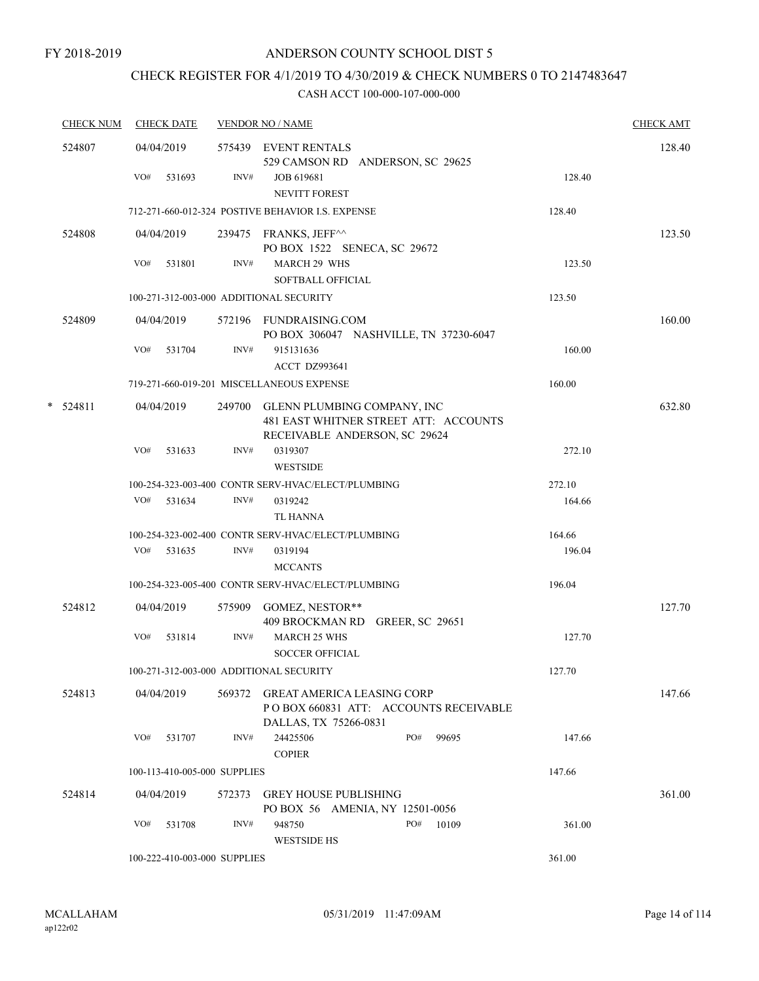# CHECK REGISTER FOR 4/1/2019 TO 4/30/2019 & CHECK NUMBERS 0 TO 2147483647

|   | <b>CHECK NUM</b> | <b>CHECK DATE</b>                       |        | <b>VENDOR NO / NAME</b>                                                                                      |        | <b>CHECK AMT</b> |
|---|------------------|-----------------------------------------|--------|--------------------------------------------------------------------------------------------------------------|--------|------------------|
|   | 524807           | 04/04/2019                              |        | 575439 EVENT RENTALS<br>529 CAMSON RD ANDERSON, SC 29625                                                     |        | 128.40           |
|   |                  | VO#<br>531693                           | INV#   | JOB 619681<br>NEVITT FOREST                                                                                  | 128.40 |                  |
|   |                  |                                         |        | 712-271-660-012-324 POSTIVE BEHAVIOR I.S. EXPENSE                                                            | 128.40 |                  |
|   | 524808           | 04/04/2019                              |        | 239475 FRANKS, JEFF^^<br>PO BOX 1522 SENECA, SC 29672                                                        |        | 123.50           |
|   |                  | VO#<br>531801                           | INV#   | <b>MARCH 29 WHS</b><br><b>SOFTBALL OFFICIAL</b>                                                              | 123.50 |                  |
|   |                  | 100-271-312-003-000 ADDITIONAL SECURITY |        |                                                                                                              | 123.50 |                  |
|   | 524809           | 04/04/2019                              |        | 572196 FUNDRAISING.COM<br>PO BOX 306047 NASHVILLE, TN 37230-6047                                             |        | 160.00           |
|   |                  | VO#<br>531704                           | INV#   | 915131636<br>ACCT DZ993641                                                                                   | 160.00 |                  |
|   |                  |                                         |        | 719-271-660-019-201 MISCELLANEOUS EXPENSE                                                                    | 160.00 |                  |
| * | 524811           | 04/04/2019                              |        | 249700 GLENN PLUMBING COMPANY, INC<br>481 EAST WHITNER STREET ATT: ACCOUNTS<br>RECEIVABLE ANDERSON, SC 29624 |        | 632.80           |
|   |                  | VO#<br>531633                           | INV#   | 0319307<br><b>WESTSIDE</b>                                                                                   | 272.10 |                  |
|   |                  |                                         |        | 100-254-323-003-400 CONTR SERV-HVAC/ELECT/PLUMBING                                                           | 272.10 |                  |
|   |                  | VO# 531634                              | INV#   | 0319242<br>TL HANNA                                                                                          | 164.66 |                  |
|   |                  |                                         |        | 100-254-323-002-400 CONTR SERV-HVAC/ELECT/PLUMBING                                                           | 164.66 |                  |
|   |                  | $VO#$ 531635                            | INV#   | 0319194<br><b>MCCANTS</b>                                                                                    | 196.04 |                  |
|   |                  |                                         |        | 100-254-323-005-400 CONTR SERV-HVAC/ELECT/PLUMBING                                                           | 196.04 |                  |
|   | 524812           | 04/04/2019                              |        | 575909 GOMEZ, NESTOR**<br>409 BROCKMAN RD GREER, SC 29651                                                    |        | 127.70           |
|   |                  | VO#<br>531814                           | INV#   | <b>MARCH 25 WHS</b><br><b>SOCCER OFFICIAL</b>                                                                | 127.70 |                  |
|   |                  | 100-271-312-003-000 ADDITIONAL SECURITY |        |                                                                                                              | 127.70 |                  |
|   | 524813           | 04/04/2019                              | 569372 | <b>GREAT AMERICA LEASING CORP</b><br>PO BOX 660831 ATT: ACCOUNTS RECEIVABLE<br>DALLAS, TX 75266-0831         |        | 147.66           |
|   |                  | VO#<br>531707                           | INV#   | 24425506<br>PO#<br>99695<br><b>COPIER</b>                                                                    | 147.66 |                  |
|   |                  | 100-113-410-005-000 SUPPLIES            |        |                                                                                                              | 147.66 |                  |
|   | 524814           | 04/04/2019                              | 572373 | <b>GREY HOUSE PUBLISHING</b><br>PO BOX 56 AMENIA, NY 12501-0056                                              |        | 361.00           |
|   |                  | VO#<br>531708                           | INV#   | 948750<br>PO#<br>10109<br><b>WESTSIDE HS</b>                                                                 | 361.00 |                  |
|   |                  | 100-222-410-003-000 SUPPLIES            |        |                                                                                                              | 361.00 |                  |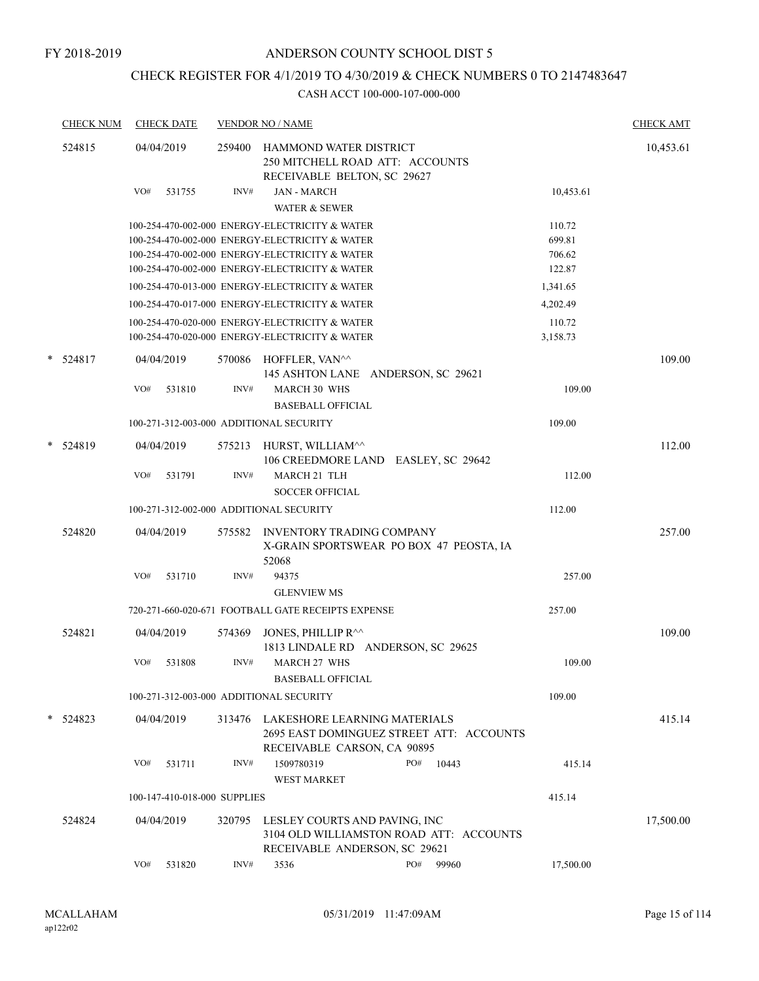# CHECK REGISTER FOR 4/1/2019 TO 4/30/2019 & CHECK NUMBERS 0 TO 2147483647

|   | <b>CHECK NUM</b> |     | <b>CHECK DATE</b>            |                | <b>VENDOR NO / NAME</b>                                                                                                                                                                              |              |                                      | <b>CHECK AMT</b> |
|---|------------------|-----|------------------------------|----------------|------------------------------------------------------------------------------------------------------------------------------------------------------------------------------------------------------|--------------|--------------------------------------|------------------|
|   | 524815           | VO# | 04/04/2019<br>531755         | 259400<br>INV# | HAMMOND WATER DISTRICT<br>250 MITCHELL ROAD ATT: ACCOUNTS<br>RECEIVABLE BELTON, SC 29627<br><b>JAN - MARCH</b><br><b>WATER &amp; SEWER</b>                                                           |              | 10,453.61                            | 10,453.61        |
|   |                  |     |                              |                | 100-254-470-002-000 ENERGY-ELECTRICITY & WATER<br>100-254-470-002-000 ENERGY-ELECTRICITY & WATER<br>100-254-470-002-000 ENERGY-ELECTRICITY & WATER<br>100-254-470-002-000 ENERGY-ELECTRICITY & WATER |              | 110.72<br>699.81<br>706.62<br>122.87 |                  |
|   |                  |     |                              |                | 100-254-470-013-000 ENERGY-ELECTRICITY & WATER                                                                                                                                                       |              | 1,341.65                             |                  |
|   |                  |     |                              |                | 100-254-470-017-000 ENERGY-ELECTRICITY & WATER                                                                                                                                                       |              | 4,202.49                             |                  |
|   |                  |     |                              |                | 100-254-470-020-000 ENERGY-ELECTRICITY & WATER<br>100-254-470-020-000 ENERGY-ELECTRICITY & WATER                                                                                                     |              | 110.72<br>3,158.73                   |                  |
| * | 524817           |     | 04/04/2019                   |                | 570086 HOFFLER, VAN^^<br>145 ASHTON LANE ANDERSON, SC 29621                                                                                                                                          |              |                                      | 109.00           |
|   |                  | VO# | 531810                       | INV#           | <b>MARCH 30 WHS</b><br><b>BASEBALL OFFICIAL</b>                                                                                                                                                      |              | 109.00                               |                  |
|   |                  |     |                              |                | 100-271-312-003-000 ADDITIONAL SECURITY                                                                                                                                                              |              | 109.00                               |                  |
| * | 524819           |     | 04/04/2019                   | 575213         | HURST, WILLIAM^^<br>106 CREEDMORE LAND EASLEY, SC 29642                                                                                                                                              |              |                                      | 112.00           |
|   |                  | VO# | 531791                       | INV#           | <b>MARCH 21 TLH</b><br><b>SOCCER OFFICIAL</b>                                                                                                                                                        |              | 112.00                               |                  |
|   |                  |     |                              |                | 100-271-312-002-000 ADDITIONAL SECURITY                                                                                                                                                              |              | 112.00                               |                  |
|   | 524820           |     | 04/04/2019                   | 575582         | <b>INVENTORY TRADING COMPANY</b><br>X-GRAIN SPORTSWEAR PO BOX 47 PEOSTA, IA<br>52068                                                                                                                 |              |                                      | 257.00           |
|   |                  | VO# | 531710                       | INV#           | 94375<br><b>GLENVIEW MS</b>                                                                                                                                                                          |              | 257.00                               |                  |
|   |                  |     |                              |                | 720-271-660-020-671 FOOTBALL GATE RECEIPTS EXPENSE                                                                                                                                                   |              | 257.00                               |                  |
|   | 524821           |     | 04/04/2019                   | 574369         | JONES, PHILLIP R^^<br>1813 LINDALE RD ANDERSON, SC 29625                                                                                                                                             |              |                                      | 109.00           |
|   |                  | VO# | 531808                       | INV#           | <b>MARCH 27 WHS</b><br><b>BASEBALL OFFICIAL</b>                                                                                                                                                      |              | 109.00                               |                  |
|   |                  |     |                              |                | 100-271-312-003-000 ADDITIONAL SECURITY                                                                                                                                                              |              | 109.00                               |                  |
|   | $*$ 524823       |     | 04/04/2019                   |                | 313476 LAKESHORE LEARNING MATERIALS<br>2695 EAST DOMINGUEZ STREET ATT: ACCOUNTS<br>RECEIVABLE CARSON, CA 90895                                                                                       |              |                                      | 415.14           |
|   |                  | VO# | 531711                       | INV#           | 1509780319<br><b>WEST MARKET</b>                                                                                                                                                                     | PO#<br>10443 | 415.14                               |                  |
|   |                  |     | 100-147-410-018-000 SUPPLIES |                |                                                                                                                                                                                                      |              | 415.14                               |                  |
|   | 524824           |     | 04/04/2019                   | 320795         | LESLEY COURTS AND PAVING, INC<br>3104 OLD WILLIAMSTON ROAD ATT: ACCOUNTS<br>RECEIVABLE ANDERSON, SC 29621                                                                                            |              |                                      | 17,500.00        |
|   |                  | VO# | 531820                       | INV#           | 3536                                                                                                                                                                                                 | PO#<br>99960 | 17,500.00                            |                  |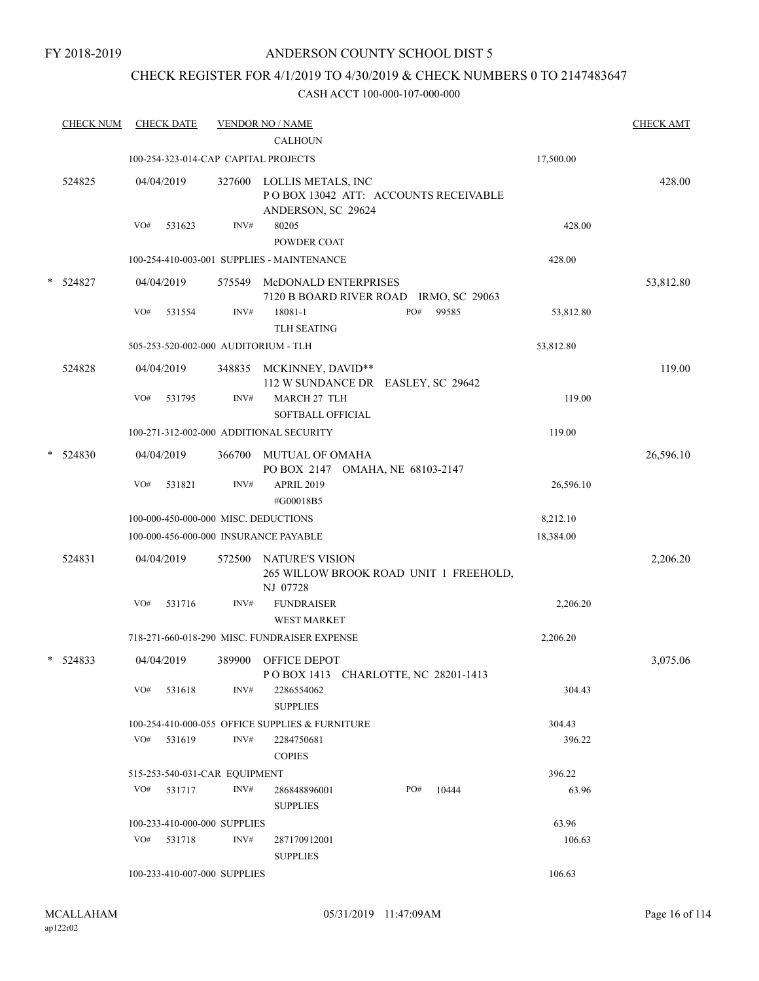## CHECK REGISTER FOR 4/1/2019 TO 4/30/2019 & CHECK NUMBERS 0 TO 2147483647

|        | <b>CHECK NUM</b> | <b>CHECK DATE</b>                       |        | <b>VENDOR NO / NAME</b>                                                          |     |       |           | <b>CHECK AMT</b> |
|--------|------------------|-----------------------------------------|--------|----------------------------------------------------------------------------------|-----|-------|-----------|------------------|
|        |                  | 100-254-323-014-CAP CAPITAL PROJECTS    |        | <b>CALHOUN</b>                                                                   |     |       | 17,500.00 |                  |
|        |                  |                                         |        |                                                                                  |     |       |           |                  |
|        | 524825           | 04/04/2019                              | 327600 | LOLLIS METALS, INC<br>POBOX 13042 ATT: ACCOUNTS RECEIVABLE<br>ANDERSON, SC 29624 |     |       |           | 428.00           |
|        |                  | VO#<br>531623                           | INV#   | 80205<br>POWDER COAT                                                             |     |       | 428.00    |                  |
|        |                  |                                         |        | 100-254-410-003-001 SUPPLIES - MAINTENANCE                                       |     |       | 428.00    |                  |
| $\ast$ | 524827           | 04/04/2019                              | 575549 | McDONALD ENTERPRISES<br>7120 B BOARD RIVER ROAD IRMO, SC 29063                   |     |       |           | 53,812.80        |
|        |                  | VO#<br>531554                           | INV#   | 18081-1<br><b>TLH SEATING</b>                                                    | PO# | 99585 | 53,812.80 |                  |
|        |                  | 505-253-520-002-000 AUDITORIUM - TLH    |        |                                                                                  |     |       | 53,812.80 |                  |
|        | 524828           | 04/04/2019                              |        | 348835 MCKINNEY, DAVID**<br>112 W SUNDANCE DR EASLEY, SC 29642                   |     |       |           | 119.00           |
|        |                  | VO#<br>531795                           | INV#   | MARCH 27 TLH<br>SOFTBALL OFFICIAL                                                |     |       | 119.00    |                  |
|        |                  | 100-271-312-002-000 ADDITIONAL SECURITY |        |                                                                                  |     |       | 119.00    |                  |
| $\ast$ | 524830           | 04/04/2019                              | 366700 | MUTUAL OF OMAHA<br>PO BOX 2147 OMAHA, NE 68103-2147                              |     |       |           | 26,596.10        |
|        |                  | VO#<br>531821                           | INV#   | <b>APRIL 2019</b><br>#G00018B5                                                   |     |       | 26,596.10 |                  |
|        |                  | 100-000-450-000-000 MISC. DEDUCTIONS    |        |                                                                                  |     |       | 8,212.10  |                  |
|        |                  | 100-000-456-000-000 INSURANCE PAYABLE   |        |                                                                                  |     |       | 18,384.00 |                  |
|        | 524831           | 04/04/2019                              | 572500 | NATURE'S VISION<br>265 WILLOW BROOK ROAD UNIT 1 FREEHOLD,<br>NJ 07728            |     |       |           | 2,206.20         |
|        |                  | VO#<br>531716                           | INV#   | <b>FUNDRAISER</b><br><b>WEST MARKET</b>                                          |     |       | 2,206.20  |                  |
|        |                  |                                         |        | 718-271-660-018-290 MISC. FUNDRAISER EXPENSE                                     |     |       | 2,206.20  |                  |
| $\ast$ | 524833           | 04/04/2019                              | 389900 | OFFICE DEPOT<br>POBOX 1413 CHARLOTTE, NC 28201-1413                              |     |       |           | 3,075.06         |
|        |                  | $VO#$ 531618                            | INV#   | 2286554062<br><b>SUPPLIES</b>                                                    |     |       | 304.43    |                  |
|        |                  |                                         |        | 100-254-410-000-055 OFFICE SUPPLIES & FURNITURE                                  |     |       | 304.43    |                  |
|        |                  | $VO#$ 531619                            | INV#   | 2284750681<br><b>COPIES</b>                                                      |     |       | 396.22    |                  |
|        |                  | 515-253-540-031-CAR EQUIPMENT           |        |                                                                                  |     |       | 396.22    |                  |
|        |                  | VO# 531717                              | INV#   | 286848896001<br><b>SUPPLIES</b>                                                  | PO# | 10444 | 63.96     |                  |
|        |                  | 100-233-410-000-000 SUPPLIES            |        |                                                                                  |     |       | 63.96     |                  |
|        |                  | VO# 531718                              | INV#   | 287170912001<br><b>SUPPLIES</b>                                                  |     |       | 106.63    |                  |
|        |                  | 100-233-410-007-000 SUPPLIES            |        |                                                                                  |     |       | 106.63    |                  |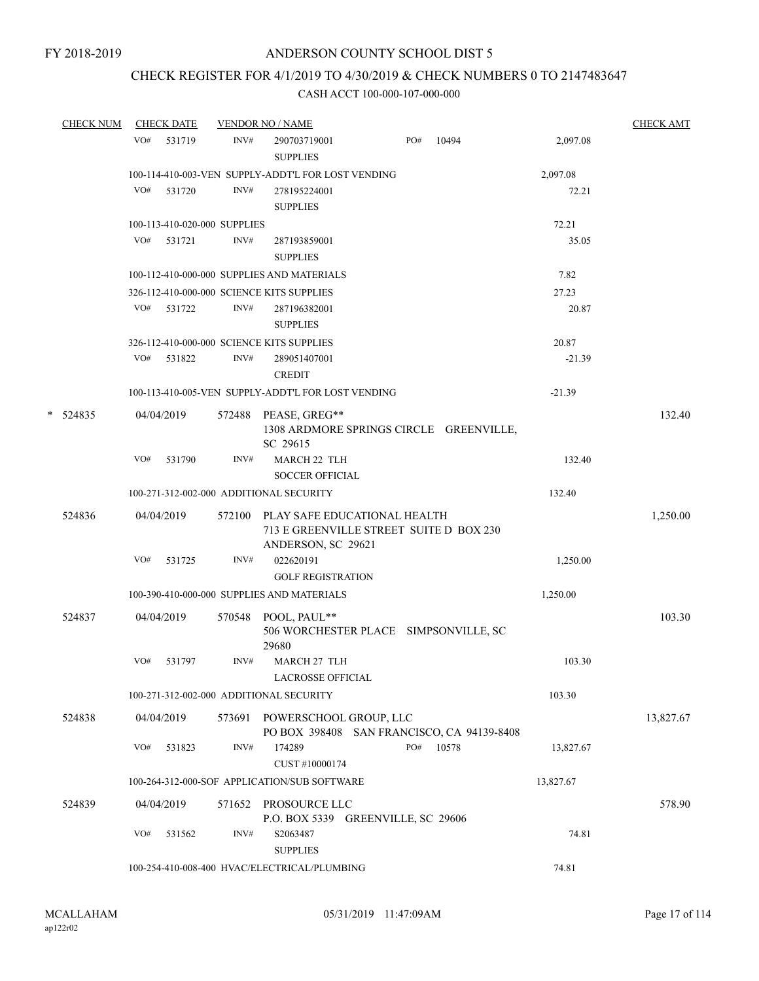# CHECK REGISTER FOR 4/1/2019 TO 4/30/2019 & CHECK NUMBERS 0 TO 2147483647

|   | <b>CHECK NUM</b> |     | <b>CHECK DATE</b>            |        | <b>VENDOR NO / NAME</b>                                                        |     |       |           | <b>CHECK AMT</b> |
|---|------------------|-----|------------------------------|--------|--------------------------------------------------------------------------------|-----|-------|-----------|------------------|
|   |                  | VO# | 531719                       | INV#   | 290703719001<br><b>SUPPLIES</b>                                                | PO# | 10494 | 2,097.08  |                  |
|   |                  |     |                              |        | 100-114-410-003-VEN SUPPLY-ADDT'L FOR LOST VENDING                             |     |       | 2,097.08  |                  |
|   |                  | VO# | 531720                       | INV#   | 278195224001<br><b>SUPPLIES</b>                                                |     |       | 72.21     |                  |
|   |                  |     | 100-113-410-020-000 SUPPLIES |        |                                                                                |     |       | 72.21     |                  |
|   |                  | VO# | 531721                       | INV#   | 287193859001<br><b>SUPPLIES</b>                                                |     |       | 35.05     |                  |
|   |                  |     |                              |        | 100-112-410-000-000 SUPPLIES AND MATERIALS                                     |     |       | 7.82      |                  |
|   |                  |     |                              |        | 326-112-410-000-000 SCIENCE KITS SUPPLIES                                      |     |       | 27.23     |                  |
|   |                  | VO# | 531722                       | INV#   | 287196382001<br><b>SUPPLIES</b>                                                |     |       | 20.87     |                  |
|   |                  |     |                              |        | 326-112-410-000-000 SCIENCE KITS SUPPLIES                                      |     |       | 20.87     |                  |
|   |                  | VO# | 531822                       | INV#   | 289051407001<br><b>CREDIT</b>                                                  |     |       | $-21.39$  |                  |
|   |                  |     |                              |        | 100-113-410-005-VEN SUPPLY-ADDT'L FOR LOST VENDING                             |     |       | $-21.39$  |                  |
| * | 524835           |     | 04/04/2019                   |        | 572488 PEASE, GREG**<br>1308 ARDMORE SPRINGS CIRCLE GREENVILLE,<br>SC 29615    |     |       |           | 132.40           |
|   |                  | VO# | 531790                       | INV#   | MARCH 22 TLH<br><b>SOCCER OFFICIAL</b>                                         |     |       | 132.40    |                  |
|   |                  |     |                              |        | 100-271-312-002-000 ADDITIONAL SECURITY                                        |     |       | 132.40    |                  |
|   | 524836           |     | 04/04/2019                   |        | 572100 PLAY SAFE EDUCATIONAL HEALTH<br>713 E GREENVILLE STREET SUITE D BOX 230 |     |       |           | 1,250.00         |
|   |                  | VO# | 531725                       | INV#   | ANDERSON, SC 29621<br>022620191<br><b>GOLF REGISTRATION</b>                    |     |       | 1,250.00  |                  |
|   |                  |     |                              |        | 100-390-410-000-000 SUPPLIES AND MATERIALS                                     |     |       | 1,250.00  |                  |
|   | 524837           |     | 04/04/2019                   |        | 570548 POOL, PAUL**<br>506 WORCHESTER PLACE SIMPSONVILLE, SC<br>29680          |     |       |           | 103.30           |
|   |                  | VO# | 531797                       | INV#   | MARCH 27 TLH<br><b>LACROSSE OFFICIAL</b>                                       |     |       | 103.30    |                  |
|   |                  |     |                              |        | 100-271-312-002-000 ADDITIONAL SECURITY                                        |     |       | 103.30    |                  |
|   | 524838           |     | 04/04/2019                   | 573691 | POWERSCHOOL GROUP, LLC<br>PO BOX 398408 SAN FRANCISCO, CA 94139-8408           |     |       |           | 13,827.67        |
|   |                  | VO# | 531823                       | INV#   | 174289<br>CUST #10000174                                                       | PO# | 10578 | 13,827.67 |                  |
|   |                  |     |                              |        | 100-264-312-000-SOF APPLICATION/SUB SOFTWARE                                   |     |       | 13,827.67 |                  |
|   | 524839           |     | 04/04/2019                   | 571652 | PROSOURCE LLC<br>P.O. BOX 5339 GREENVILLE, SC 29606                            |     |       |           | 578.90           |
|   |                  | VO# | 531562                       | INV#   | S2063487<br><b>SUPPLIES</b>                                                    |     |       | 74.81     |                  |
|   |                  |     |                              |        | 100-254-410-008-400 HVAC/ELECTRICAL/PLUMBING                                   |     |       | 74.81     |                  |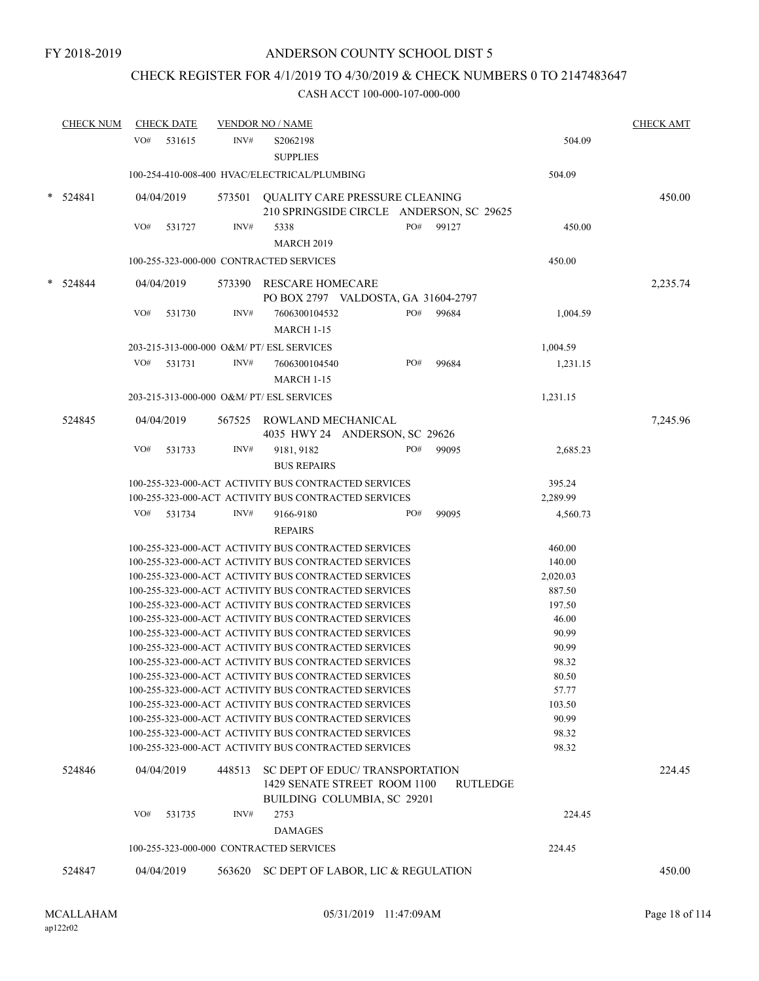## CHECK REGISTER FOR 4/1/2019 TO 4/30/2019 & CHECK NUMBERS 0 TO 2147483647

|        | <b>CHECK NUM</b> |     | <b>CHECK DATE</b> |        | <b>VENDOR NO / NAME</b>                                                                                      |     |       |          |                 | <b>CHECK AMT</b> |
|--------|------------------|-----|-------------------|--------|--------------------------------------------------------------------------------------------------------------|-----|-------|----------|-----------------|------------------|
|        |                  | VO# | 531615            | INV#   | S2062198<br><b>SUPPLIES</b>                                                                                  |     |       |          | 504.09          |                  |
|        |                  |     |                   |        | 100-254-410-008-400 HVAC/ELECTRICAL/PLUMBING                                                                 |     |       |          | 504.09          |                  |
|        | 524841           |     | 04/04/2019        | 573501 | <b>OUALITY CARE PRESSURE CLEANING</b><br>210 SPRINGSIDE CIRCLE ANDERSON, SC 29625                            |     |       |          |                 | 450.00           |
|        |                  | VO# | 531727            | INV#   | 5338<br><b>MARCH 2019</b>                                                                                    | PO# | 99127 |          | 450.00          |                  |
|        |                  |     |                   |        | 100-255-323-000-000 CONTRACTED SERVICES                                                                      |     |       |          | 450.00          |                  |
| $\ast$ | 524844           |     | 04/04/2019        | 573390 | <b>RESCARE HOMECARE</b>                                                                                      |     |       |          |                 | 2,235.74         |
|        |                  |     |                   |        | PO BOX 2797 VALDOSTA, GA 31604-2797                                                                          |     |       |          |                 |                  |
|        |                  | VO# | 531730            | INV#   | 7606300104532<br><b>MARCH 1-15</b>                                                                           | PO# | 99684 |          | 1,004.59        |                  |
|        |                  |     |                   |        | 203-215-313-000-000 O&M/ PT/ ESL SERVICES                                                                    |     |       |          | 1,004.59        |                  |
|        |                  | VO# | 531731            | INV#   | 7606300104540<br><b>MARCH 1-15</b>                                                                           | PO# | 99684 |          | 1,231.15        |                  |
|        |                  |     |                   |        | 203-215-313-000-000 O&M/ PT/ ESL SERVICES                                                                    |     |       |          | 1,231.15        |                  |
|        | 524845           |     | 04/04/2019        |        | 567525 ROWLAND MECHANICAL<br>4035 HWY 24 ANDERSON, SC 29626                                                  |     |       |          |                 | 7,245.96         |
|        |                  | VO# | 531733            | INV#   | 9181, 9182                                                                                                   | PO# | 99095 |          | 2,685.23        |                  |
|        |                  |     |                   |        | <b>BUS REPAIRS</b>                                                                                           |     |       |          |                 |                  |
|        |                  |     |                   |        | 100-255-323-000-ACT ACTIVITY BUS CONTRACTED SERVICES                                                         |     |       |          | 395.24          |                  |
|        |                  |     |                   |        | 100-255-323-000-ACT ACTIVITY BUS CONTRACTED SERVICES                                                         |     |       |          | 2,289.99        |                  |
|        |                  | VO# | 531734            | INV#   | 9166-9180                                                                                                    | PO# | 99095 |          | 4,560.73        |                  |
|        |                  |     |                   |        | <b>REPAIRS</b>                                                                                               |     |       |          |                 |                  |
|        |                  |     |                   |        | 100-255-323-000-ACT ACTIVITY BUS CONTRACTED SERVICES                                                         |     |       |          | 460.00          |                  |
|        |                  |     |                   |        | 100-255-323-000-ACT ACTIVITY BUS CONTRACTED SERVICES                                                         |     |       |          | 140.00          |                  |
|        |                  |     |                   |        | 100-255-323-000-ACT ACTIVITY BUS CONTRACTED SERVICES                                                         |     |       |          | 2,020.03        |                  |
|        |                  |     |                   |        | 100-255-323-000-ACT ACTIVITY BUS CONTRACTED SERVICES                                                         |     |       |          | 887.50          |                  |
|        |                  |     |                   |        | 100-255-323-000-ACT ACTIVITY BUS CONTRACTED SERVICES<br>100-255-323-000-ACT ACTIVITY BUS CONTRACTED SERVICES |     |       |          | 197.50<br>46.00 |                  |
|        |                  |     |                   |        | 100-255-323-000-ACT ACTIVITY BUS CONTRACTED SERVICES                                                         |     |       |          | 90.99           |                  |
|        |                  |     |                   |        | 100-255-323-000-ACT ACTIVITY BUS CONTRACTED SERVICES                                                         |     |       |          | 90.99           |                  |
|        |                  |     |                   |        | 100-255-323-000-ACT ACTIVITY BUS CONTRACTED SERVICES                                                         |     |       |          | 98.32           |                  |
|        |                  |     |                   |        | 100-255-323-000-ACT ACTIVITY BUS CONTRACTED SERVICES                                                         |     |       |          | 80.50           |                  |
|        |                  |     |                   |        | 100-255-323-000-ACT ACTIVITY BUS CONTRACTED SERVICES                                                         |     |       |          | 57.77           |                  |
|        |                  |     |                   |        | 100-255-323-000-ACT ACTIVITY BUS CONTRACTED SERVICES                                                         |     |       |          | 103.50          |                  |
|        |                  |     |                   |        | 100-255-323-000-ACT ACTIVITY BUS CONTRACTED SERVICES                                                         |     |       |          | 90.99           |                  |
|        |                  |     |                   |        | 100-255-323-000-ACT ACTIVITY BUS CONTRACTED SERVICES                                                         |     |       |          | 98.32           |                  |
|        |                  |     |                   |        | 100-255-323-000-ACT ACTIVITY BUS CONTRACTED SERVICES                                                         |     |       |          | 98.32           |                  |
|        | 524846           |     | 04/04/2019        | 448513 | SC DEPT OF EDUC/ TRANSPORTATION<br>1429 SENATE STREET ROOM 1100<br>BUILDING COLUMBIA, SC 29201               |     |       | RUTLEDGE |                 | 224.45           |
|        |                  | VO# | 531735            | INV#   | 2753                                                                                                         |     |       |          | 224.45          |                  |
|        |                  |     |                   |        | <b>DAMAGES</b>                                                                                               |     |       |          |                 |                  |
|        |                  |     |                   |        | 100-255-323-000-000 CONTRACTED SERVICES                                                                      |     |       |          | 224.45          |                  |
|        | 524847           |     | 04/04/2019        | 563620 | SC DEPT OF LABOR, LIC & REGULATION                                                                           |     |       |          |                 | 450.00           |
|        |                  |     |                   |        |                                                                                                              |     |       |          |                 |                  |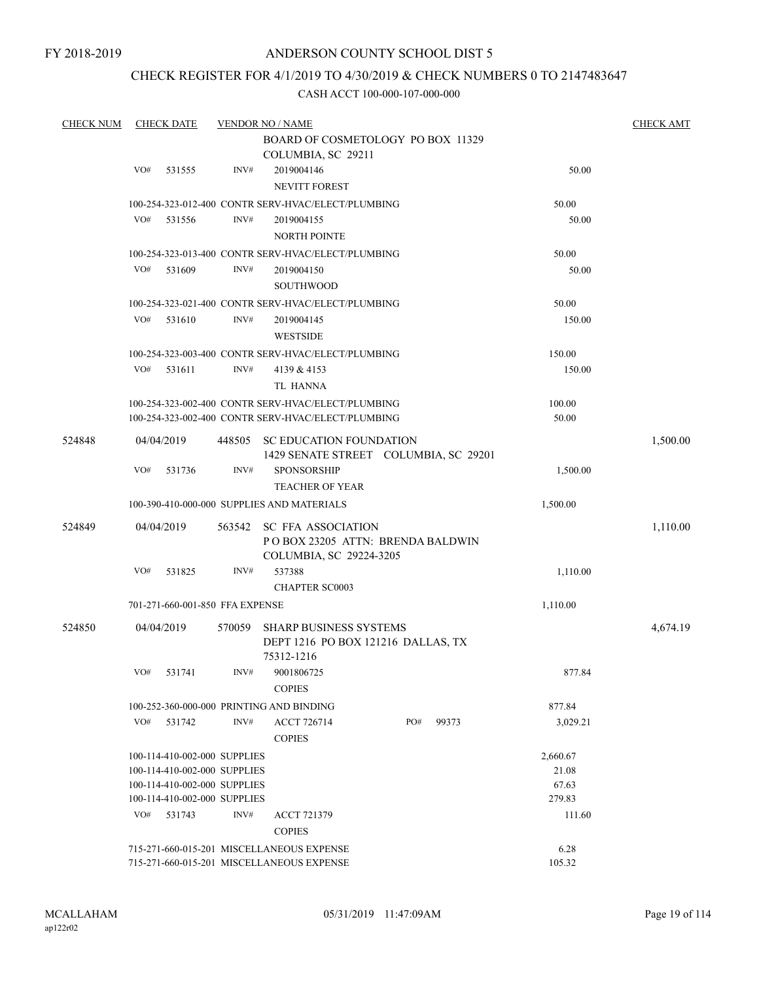## CHECK REGISTER FOR 4/1/2019 TO 4/30/2019 & CHECK NUMBERS 0 TO 2147483647

| <b>CHECK NUM</b> |     | <b>CHECK DATE</b>               |        | <b>VENDOR NO / NAME</b>                            |     |       |          | <b>CHECK AMT</b> |
|------------------|-----|---------------------------------|--------|----------------------------------------------------|-----|-------|----------|------------------|
|                  |     |                                 |        | BOARD OF COSMETOLOGY PO BOX 11329                  |     |       |          |                  |
|                  |     |                                 |        | COLUMBIA, SC 29211                                 |     |       |          |                  |
|                  | VO# | 531555                          | INV#   | 2019004146                                         |     |       | 50.00    |                  |
|                  |     |                                 |        | <b>NEVITT FOREST</b>                               |     |       |          |                  |
|                  |     |                                 |        | 100-254-323-012-400 CONTR SERV-HVAC/ELECT/PLUMBING |     |       | 50.00    |                  |
|                  | VO# | 531556                          | INV#   | 2019004155                                         |     |       | 50.00    |                  |
|                  |     |                                 |        | <b>NORTH POINTE</b>                                |     |       |          |                  |
|                  |     |                                 |        | 100-254-323-013-400 CONTR SERV-HVAC/ELECT/PLUMBING |     |       | 50.00    |                  |
|                  |     |                                 |        |                                                    |     |       |          |                  |
|                  | VO# | 531609                          | INV#   | 2019004150                                         |     |       | 50.00    |                  |
|                  |     |                                 |        | <b>SOUTHWOOD</b>                                   |     |       |          |                  |
|                  |     |                                 |        | 100-254-323-021-400 CONTR SERV-HVAC/ELECT/PLUMBING |     |       | 50.00    |                  |
|                  | VO# | 531610                          | INV#   | 2019004145                                         |     |       | 150.00   |                  |
|                  |     |                                 |        | <b>WESTSIDE</b>                                    |     |       |          |                  |
|                  |     |                                 |        | 100-254-323-003-400 CONTR SERV-HVAC/ELECT/PLUMBING |     |       | 150.00   |                  |
|                  | VO# | 531611                          | INV#   | 4139 & 4153                                        |     |       | 150.00   |                  |
|                  |     |                                 |        | <b>TL HANNA</b>                                    |     |       |          |                  |
|                  |     |                                 |        | 100-254-323-002-400 CONTR SERV-HVAC/ELECT/PLUMBING |     |       | 100.00   |                  |
|                  |     |                                 |        | 100-254-323-002-400 CONTR SERV-HVAC/ELECT/PLUMBING |     |       | 50.00    |                  |
|                  |     |                                 |        |                                                    |     |       |          |                  |
| 524848           |     | 04/04/2019                      | 448505 | <b>SC EDUCATION FOUNDATION</b>                     |     |       |          | 1,500.00         |
|                  |     |                                 |        | 1429 SENATE STREET COLUMBIA, SC 29201              |     |       |          |                  |
|                  | VO# | 531736                          | INV#   | <b>SPONSORSHIP</b>                                 |     |       | 1,500.00 |                  |
|                  |     |                                 |        | <b>TEACHER OF YEAR</b>                             |     |       |          |                  |
|                  |     |                                 |        | 100-390-410-000-000 SUPPLIES AND MATERIALS         |     |       | 1,500.00 |                  |
| 524849           |     | 04/04/2019                      | 563542 | <b>SC FFA ASSOCIATION</b>                          |     |       |          | 1,110.00         |
|                  |     |                                 |        | POBOX 23205 ATTN: BRENDA BALDWIN                   |     |       |          |                  |
|                  |     |                                 |        | COLUMBIA, SC 29224-3205                            |     |       |          |                  |
|                  | VO# | 531825                          | INV#   | 537388                                             |     |       | 1,110.00 |                  |
|                  |     |                                 |        | <b>CHAPTER SC0003</b>                              |     |       |          |                  |
|                  |     | 701-271-660-001-850 FFA EXPENSE |        |                                                    |     |       | 1,110.00 |                  |
|                  |     |                                 |        |                                                    |     |       |          |                  |
| 524850           |     | 04/04/2019                      | 570059 | SHARP BUSINESS SYSTEMS                             |     |       |          | 4,674.19         |
|                  |     |                                 |        | DEPT 1216 PO BOX 121216 DALLAS, TX                 |     |       |          |                  |
|                  |     |                                 |        | 75312-1216                                         |     |       |          |                  |
|                  |     | VO# 531741                      | INV#   | 9001806725                                         |     |       | 877.84   |                  |
|                  |     |                                 |        | <b>COPIES</b>                                      |     |       |          |                  |
|                  |     |                                 |        | 100-252-360-000-000 PRINTING AND BINDING           |     |       | 877.84   |                  |
|                  | VO# | 531742                          | INV#   | ACCT 726714                                        | PO# | 99373 | 3,029.21 |                  |
|                  |     |                                 |        | <b>COPIES</b>                                      |     |       |          |                  |
|                  |     | 100-114-410-002-000 SUPPLIES    |        |                                                    |     |       | 2,660.67 |                  |
|                  |     | 100-114-410-002-000 SUPPLIES    |        |                                                    |     |       | 21.08    |                  |
|                  |     | 100-114-410-002-000 SUPPLIES    |        |                                                    |     |       | 67.63    |                  |
|                  |     | 100-114-410-002-000 SUPPLIES    |        |                                                    |     |       | 279.83   |                  |
|                  | VO# | 531743                          | INV#   | <b>ACCT 721379</b>                                 |     |       | 111.60   |                  |
|                  |     |                                 |        | <b>COPIES</b>                                      |     |       |          |                  |
|                  |     |                                 |        | 715-271-660-015-201 MISCELLANEOUS EXPENSE          |     |       | 6.28     |                  |
|                  |     |                                 |        | 715-271-660-015-201 MISCELLANEOUS EXPENSE          |     |       | 105.32   |                  |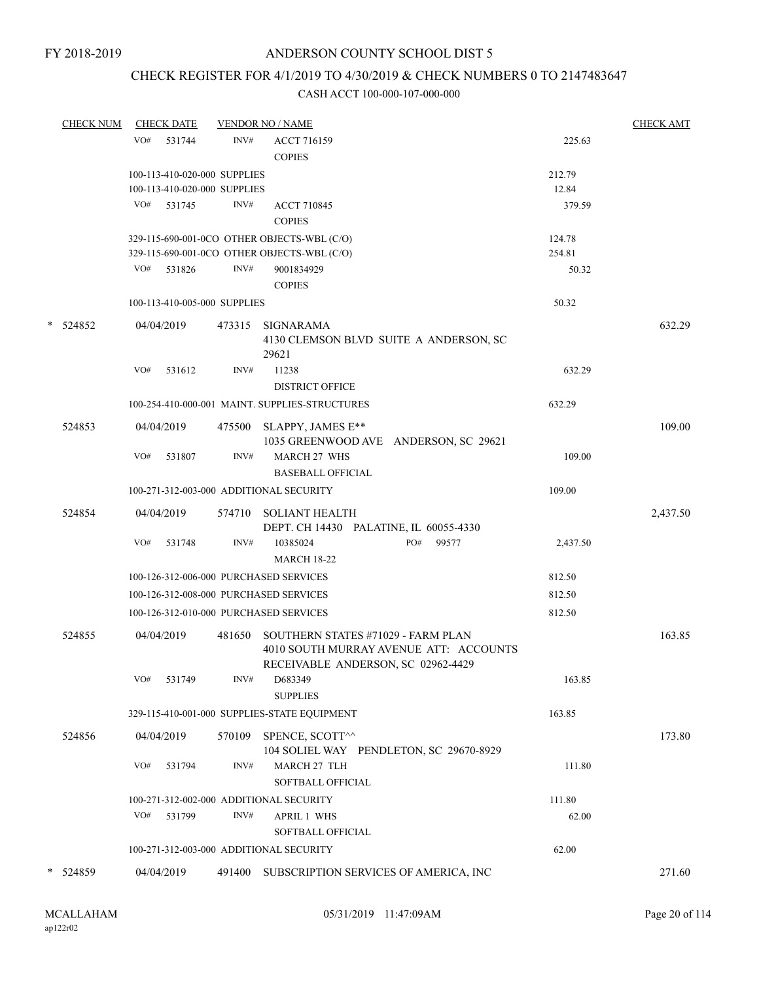## CHECK REGISTER FOR 4/1/2019 TO 4/30/2019 & CHECK NUMBERS 0 TO 2147483647

|   | <b>CHECK NUM</b> | <b>CHECK DATE</b>                       |        | <b>VENDOR NO / NAME</b>                                                                                            |          | <b>CHECK AMT</b> |
|---|------------------|-----------------------------------------|--------|--------------------------------------------------------------------------------------------------------------------|----------|------------------|
|   |                  | VO# 531744                              | INV#   | <b>ACCT 716159</b>                                                                                                 | 225.63   |                  |
|   |                  |                                         |        | <b>COPIES</b>                                                                                                      |          |                  |
|   |                  | 100-113-410-020-000 SUPPLIES            |        |                                                                                                                    | 212.79   |                  |
|   |                  | 100-113-410-020-000 SUPPLIES            |        |                                                                                                                    | 12.84    |                  |
|   |                  | VO# 531745                              | INV#   | ACCT 710845                                                                                                        | 379.59   |                  |
|   |                  |                                         |        | <b>COPIES</b>                                                                                                      |          |                  |
|   |                  |                                         |        | 329-115-690-001-0CO OTHER OBJECTS-WBL (C/O)                                                                        | 124.78   |                  |
|   |                  |                                         |        | 329-115-690-001-0CO OTHER OBJECTS-WBL (C/O)                                                                        | 254.81   |                  |
|   |                  | VO#<br>531826                           | INV#   | 9001834929                                                                                                         | 50.32    |                  |
|   |                  |                                         |        | <b>COPIES</b>                                                                                                      |          |                  |
|   |                  | 100-113-410-005-000 SUPPLIES            |        |                                                                                                                    | 50.32    |                  |
|   | $*$ 524852       | 04/04/2019                              |        | 473315 SIGNARAMA                                                                                                   |          | 632.29           |
|   |                  |                                         |        | 4130 CLEMSON BLVD SUITE A ANDERSON, SC<br>29621                                                                    |          |                  |
|   |                  | VO#<br>531612                           | INV#   | 11238                                                                                                              | 632.29   |                  |
|   |                  |                                         |        | <b>DISTRICT OFFICE</b>                                                                                             |          |                  |
|   |                  |                                         |        | 100-254-410-000-001 MAINT. SUPPLIES-STRUCTURES                                                                     | 632.29   |                  |
|   | 524853           | 04/04/2019                              |        | 475500 SLAPPY, JAMES E**                                                                                           |          | 109.00           |
|   |                  |                                         |        | 1035 GREENWOOD AVE ANDERSON, SC 29621                                                                              |          |                  |
|   |                  | VO#<br>531807                           | INV#   | <b>MARCH 27 WHS</b>                                                                                                | 109.00   |                  |
|   |                  |                                         |        | <b>BASEBALL OFFICIAL</b>                                                                                           |          |                  |
|   |                  | 100-271-312-003-000 ADDITIONAL SECURITY |        |                                                                                                                    | 109.00   |                  |
|   | 524854           | 04/04/2019                              |        | 574710 SOLIANT HEALTH                                                                                              |          | 2,437.50         |
|   |                  |                                         |        | DEPT. CH 14430 PALATINE, IL 60055-4330                                                                             |          |                  |
|   |                  | VO#<br>531748                           | INV#   | PO#<br>99577<br>10385024                                                                                           | 2,437.50 |                  |
|   |                  |                                         |        | <b>MARCH 18-22</b>                                                                                                 |          |                  |
|   |                  | 100-126-312-006-000 PURCHASED SERVICES  |        |                                                                                                                    | 812.50   |                  |
|   |                  | 100-126-312-008-000 PURCHASED SERVICES  |        |                                                                                                                    | 812.50   |                  |
|   |                  | 100-126-312-010-000 PURCHASED SERVICES  |        |                                                                                                                    | 812.50   |                  |
|   | 524855           | 04/04/2019                              | 481650 | SOUTHERN STATES #71029 - FARM PLAN<br>4010 SOUTH MURRAY AVENUE ATT: ACCOUNTS<br>RECEIVABLE ANDERSON, SC 02962-4429 |          | 163.85           |
|   |                  | VO#<br>531749                           | INV#   | D683349<br><b>SUPPLIES</b>                                                                                         | 163.85   |                  |
|   |                  |                                         |        | 329-115-410-001-000 SUPPLIES-STATE EQUIPMENT                                                                       | 163.85   |                  |
|   | 524856           | 04/04/2019                              | 570109 | SPENCE, SCOTT^^                                                                                                    |          | 173.80           |
|   |                  | VO#<br>531794                           | INV#   | 104 SOLIEL WAY PENDLETON, SC 29670-8929<br>MARCH 27 TLH<br>SOFTBALL OFFICIAL                                       | 111.80   |                  |
|   |                  | 100-271-312-002-000 ADDITIONAL SECURITY |        |                                                                                                                    | 111.80   |                  |
|   |                  | VO#<br>531799                           | INV#   | <b>APRIL 1 WHS</b>                                                                                                 | 62.00    |                  |
|   |                  |                                         |        | SOFTBALL OFFICIAL                                                                                                  |          |                  |
|   |                  | 100-271-312-003-000 ADDITIONAL SECURITY |        |                                                                                                                    | 62.00    |                  |
|   |                  |                                         |        |                                                                                                                    |          |                  |
| * | 524859           | 04/04/2019                              |        | 491400 SUBSCRIPTION SERVICES OF AMERICA, INC                                                                       |          | 271.60           |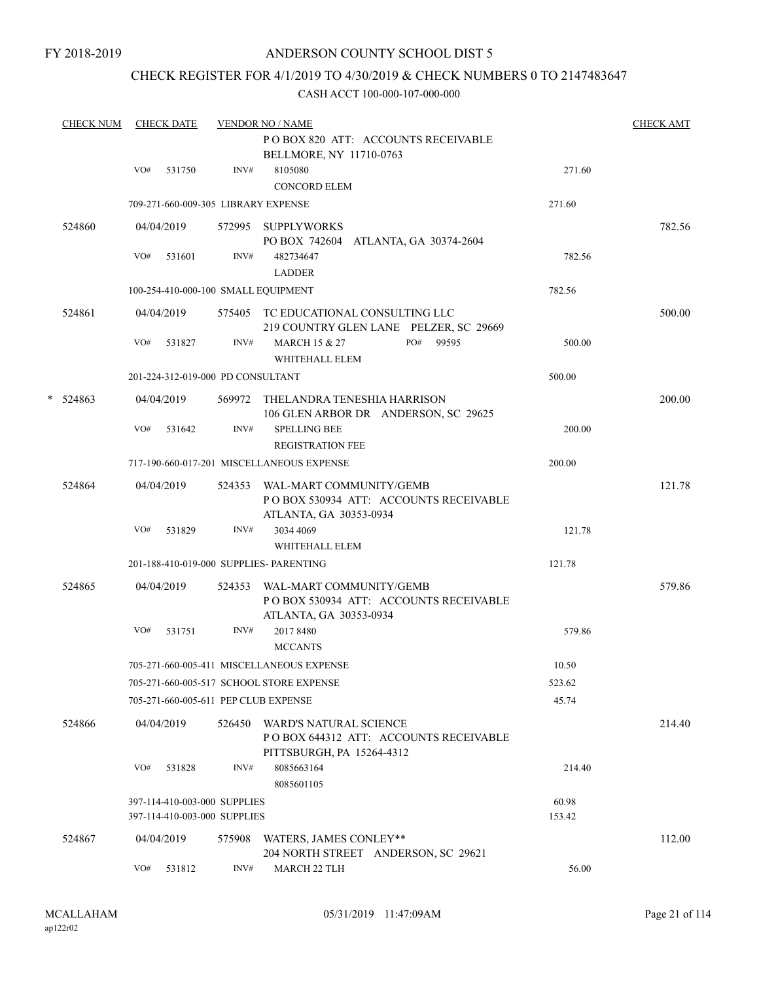## CHECK REGISTER FOR 4/1/2019 TO 4/30/2019 & CHECK NUMBERS 0 TO 2147483647

|   | <b>CHECK NUM</b> |     | <b>CHECK DATE</b> |                                                              | <b>VENDOR NO / NAME</b>                                                                            |                 | <b>CHECK AMT</b> |
|---|------------------|-----|-------------------|--------------------------------------------------------------|----------------------------------------------------------------------------------------------------|-----------------|------------------|
|   |                  |     |                   |                                                              | POBOX 820 ATT: ACCOUNTS RECEIVABLE<br>BELLMORE, NY 11710-0763                                      |                 |                  |
|   |                  | VO# | 531750            | INV#                                                         | 8105080<br><b>CONCORD ELEM</b>                                                                     | 271.60          |                  |
|   |                  |     |                   |                                                              | 709-271-660-009-305 LIBRARY EXPENSE                                                                | 271.60          |                  |
|   | 524860           |     | 04/04/2019        |                                                              | 572995 SUPPLYWORKS<br>PO BOX 742604 ATLANTA, GA 30374-2604                                         |                 | 782.56           |
|   |                  | VO# | 531601            | INV#                                                         | 482734647<br><b>LADDER</b>                                                                         | 782.56          |                  |
|   |                  |     |                   |                                                              | 100-254-410-000-100 SMALL EQUIPMENT                                                                | 782.56          |                  |
|   | 524861           |     | 04/04/2019        |                                                              | 575405 TC EDUCATIONAL CONSULTING LLC<br>219 COUNTRY GLEN LANE PELZER, SC 29669                     |                 | 500.00           |
|   |                  | VO# | 531827            | INV#                                                         | PO#<br><b>MARCH 15 &amp; 27</b><br>99595<br>WHITEHALL ELEM                                         | 500.00          |                  |
|   |                  |     |                   | 201-224-312-019-000 PD CONSULTANT                            |                                                                                                    | 500.00          |                  |
| * | 524863           |     | 04/04/2019        |                                                              | 569972 THELANDRA TENESHIA HARRISON<br>106 GLEN ARBOR DR ANDERSON, SC 29625                         |                 | 200.00           |
|   |                  | VO# | 531642            | INV#                                                         | <b>SPELLING BEE</b><br><b>REGISTRATION FEE</b>                                                     | 200.00          |                  |
|   |                  |     |                   |                                                              | 717-190-660-017-201 MISCELLANEOUS EXPENSE                                                          | 200.00          |                  |
|   | 524864           |     | 04/04/2019        |                                                              | 524353 WAL-MART COMMUNITY/GEMB<br>PO BOX 530934 ATT: ACCOUNTS RECEIVABLE<br>ATLANTA, GA 30353-0934 |                 | 121.78           |
|   |                  | VO# | 531829            | INV#                                                         | 3034 4069<br>WHITEHALL ELEM                                                                        | 121.78          |                  |
|   |                  |     |                   |                                                              | 201-188-410-019-000 SUPPLIES- PARENTING                                                            | 121.78          |                  |
|   | 524865           |     | 04/04/2019        | 524353                                                       | WAL-MART COMMUNITY/GEMB<br>POBOX 530934 ATT: ACCOUNTS RECEIVABLE<br>ATLANTA, GA 30353-0934         |                 | 579.86           |
|   |                  | VO# | 531751            | INV#                                                         | 2017 8480<br><b>MCCANTS</b>                                                                        | 579.86          |                  |
|   |                  |     |                   |                                                              | 705-271-660-005-411 MISCELLANEOUS EXPENSE                                                          | 10.50           |                  |
|   |                  |     |                   |                                                              | 705-271-660-005-517 SCHOOL STORE EXPENSE                                                           | 523.62          |                  |
|   |                  |     |                   |                                                              | 705-271-660-005-611 PEP CLUB EXPENSE                                                               | 45.74           |                  |
|   | 524866           |     | 04/04/2019        | 526450                                                       | WARD'S NATURAL SCIENCE<br>POBOX 644312 ATT: ACCOUNTS RECEIVABLE<br>PITTSBURGH, PA 15264-4312       |                 | 214.40           |
|   |                  | VO# | 531828            | INV#                                                         | 8085663164<br>8085601105                                                                           | 214.40          |                  |
|   |                  |     |                   | 397-114-410-003-000 SUPPLIES<br>397-114-410-003-000 SUPPLIES |                                                                                                    | 60.98<br>153.42 |                  |
|   | 524867           |     | 04/04/2019        | 575908                                                       | WATERS, JAMES CONLEY**<br>204 NORTH STREET ANDERSON, SC 29621                                      |                 | 112.00           |
|   |                  | VO# | 531812            | INV#                                                         | MARCH 22 TLH                                                                                       | 56.00           |                  |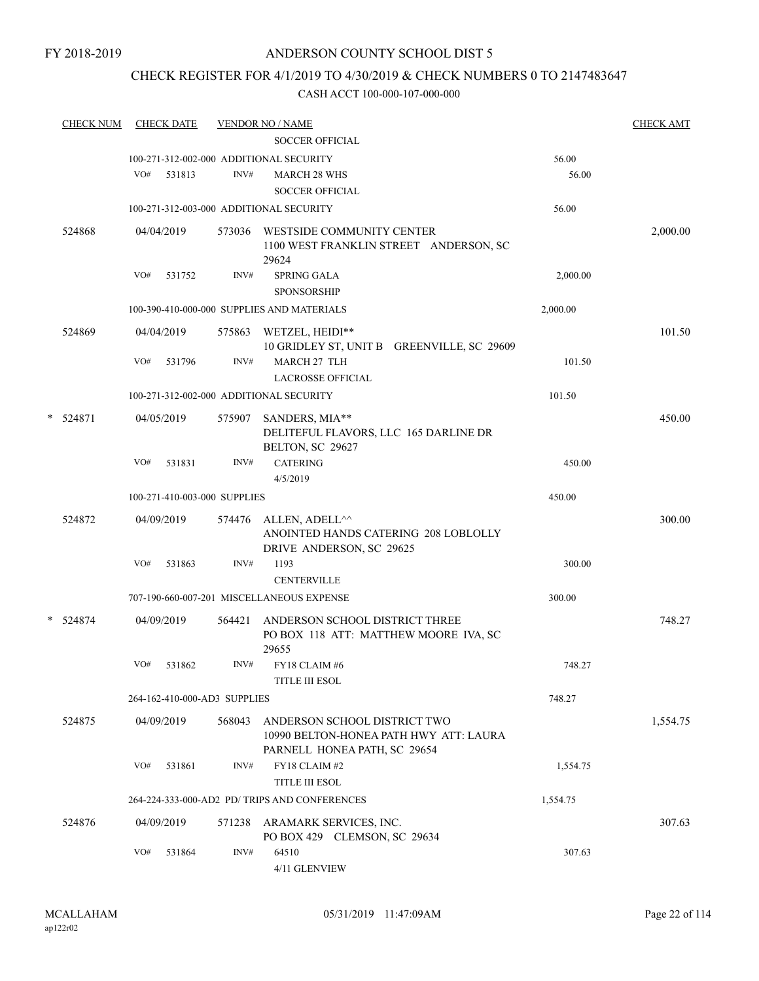## CHECK REGISTER FOR 4/1/2019 TO 4/30/2019 & CHECK NUMBERS 0 TO 2147483647

|   | <b>CHECK NUM</b> |     | <b>CHECK DATE</b> |                              | <b>VENDOR NO / NAME</b>                                                          |          | <b>CHECK AMT</b> |
|---|------------------|-----|-------------------|------------------------------|----------------------------------------------------------------------------------|----------|------------------|
|   |                  |     |                   |                              | SOCCER OFFICIAL                                                                  |          |                  |
|   |                  |     |                   |                              | 100-271-312-002-000 ADDITIONAL SECURITY                                          | 56.00    |                  |
|   |                  | VO# | 531813            | INV#                         | <b>MARCH 28 WHS</b>                                                              | 56.00    |                  |
|   |                  |     |                   |                              | <b>SOCCER OFFICIAL</b>                                                           |          |                  |
|   |                  |     |                   |                              | 100-271-312-003-000 ADDITIONAL SECURITY                                          | 56.00    |                  |
|   | 524868           |     | 04/04/2019        | 573036                       | WESTSIDE COMMUNITY CENTER<br>1100 WEST FRANKLIN STREET ANDERSON, SC              |          | 2,000.00         |
|   |                  |     |                   |                              | 29624                                                                            |          |                  |
|   |                  | VO# | 531752            | INV#                         | SPRING GALA                                                                      | 2,000.00 |                  |
|   |                  |     |                   |                              | <b>SPONSORSHIP</b>                                                               |          |                  |
|   |                  |     |                   |                              | 100-390-410-000-000 SUPPLIES AND MATERIALS                                       | 2,000.00 |                  |
|   | 524869           |     | 04/04/2019        | 575863                       | WETZEL, HEIDI**<br>10 GRIDLEY ST, UNIT B GREENVILLE, SC 29609                    |          | 101.50           |
|   |                  | VO# | 531796            | INV#                         | <b>MARCH 27 TLH</b><br><b>LACROSSE OFFICIAL</b>                                  | 101.50   |                  |
|   |                  |     |                   |                              | 100-271-312-002-000 ADDITIONAL SECURITY                                          | 101.50   |                  |
| * |                  |     |                   |                              |                                                                                  |          |                  |
|   | 524871           |     | 04/05/2019        | 575907                       | SANDERS, MIA**<br>DELITEFUL FLAVORS, LLC 165 DARLINE DR                          |          | 450.00           |
|   |                  |     |                   |                              | BELTON, SC 29627                                                                 |          |                  |
|   |                  | VO# | 531831            | INV#                         | <b>CATERING</b>                                                                  | 450.00   |                  |
|   |                  |     |                   |                              | 4/5/2019                                                                         |          |                  |
|   |                  |     |                   | 100-271-410-003-000 SUPPLIES |                                                                                  | 450.00   |                  |
|   | 524872           |     | 04/09/2019        | 574476                       | ALLEN, ADELL <sup>^^</sup>                                                       |          | 300.00           |
|   |                  |     |                   |                              | ANOINTED HANDS CATERING 208 LOBLOLLY<br>DRIVE ANDERSON, SC 29625                 |          |                  |
|   |                  | VO# | 531863            | INV#                         | 1193                                                                             | 300.00   |                  |
|   |                  |     |                   |                              | <b>CENTERVILLE</b>                                                               |          |                  |
|   |                  |     |                   |                              | 707-190-660-007-201 MISCELLANEOUS EXPENSE                                        | 300.00   |                  |
|   | * 524874         |     | 04/09/2019        | 564421                       | ANDERSON SCHOOL DISTRICT THREE<br>PO BOX 118 ATT: MATTHEW MOORE IVA, SC<br>29655 |          | 748.27           |
|   |                  | VO# | 531862            | INV#                         | FY18 CLAIM #6                                                                    | 748.27   |                  |
|   |                  |     |                   |                              | <b>TITLE III ESOL</b>                                                            |          |                  |
|   |                  |     |                   | 264-162-410-000-AD3 SUPPLIES |                                                                                  | 748.27   |                  |
|   | 524875           |     | 04/09/2019        | 568043                       | ANDERSON SCHOOL DISTRICT TWO<br>10990 BELTON-HONEA PATH HWY ATT: LAURA           |          | 1,554.75         |
|   |                  |     |                   |                              | PARNELL HONEA PATH, SC 29654                                                     |          |                  |
|   |                  | VO# | 531861            | INV#                         | FY18 CLAIM #2                                                                    | 1,554.75 |                  |
|   |                  |     |                   |                              | <b>TITLE III ESOL</b>                                                            |          |                  |
|   |                  |     |                   |                              | 264-224-333-000-AD2 PD/ TRIPS AND CONFERENCES                                    | 1,554.75 |                  |
|   | 524876           |     | 04/09/2019        | 571238                       | ARAMARK SERVICES, INC.<br>PO BOX 429 CLEMSON, SC 29634                           |          | 307.63           |
|   |                  | VO# | 531864            | INV#                         | 64510<br>4/11 GLENVIEW                                                           | 307.63   |                  |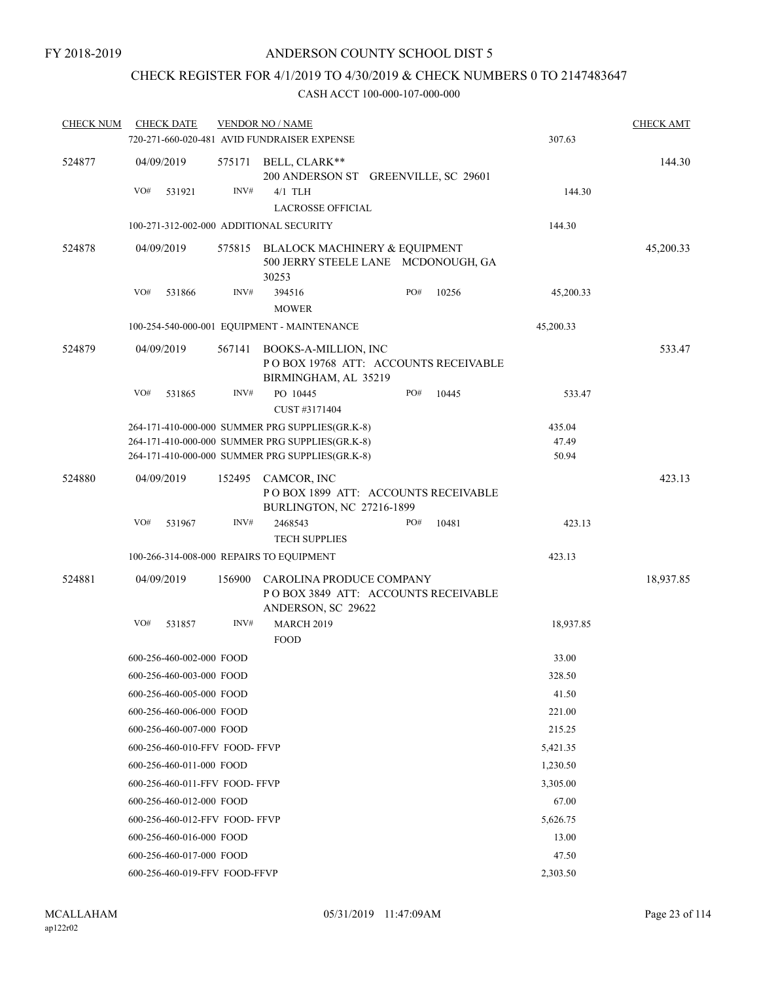# CHECK REGISTER FOR 4/1/2019 TO 4/30/2019 & CHECK NUMBERS 0 TO 2147483647

| <b>CHECK NUM</b> | <b>CHECK DATE</b>                        |        | <b>VENDOR NO / NAME</b>                                                                |                                      |       |           | <b>CHECK AMT</b> |
|------------------|------------------------------------------|--------|----------------------------------------------------------------------------------------|--------------------------------------|-------|-----------|------------------|
|                  |                                          |        | 720-271-660-020-481 AVID FUNDRAISER EXPENSE                                            |                                      |       | 307.63    |                  |
| 524877           | 04/09/2019                               |        | 575171 BELL, CLARK**                                                                   | 200 ANDERSON ST GREENVILLE, SC 29601 |       |           | 144.30           |
|                  | VO#<br>531921                            | INV#   | $4/1$ TLH<br><b>LACROSSE OFFICIAL</b>                                                  |                                      |       | 144.30    |                  |
|                  | 100-271-312-002-000 ADDITIONAL SECURITY  |        |                                                                                        |                                      |       | 144.30    |                  |
|                  |                                          |        |                                                                                        |                                      |       |           |                  |
| 524878           | 04/09/2019                               |        | 575815 BLALOCK MACHINERY & EQUIPMENT<br>500 JERRY STEELE LANE MCDONOUGH, GA<br>30253   |                                      |       |           | 45,200.33        |
|                  | VO#<br>531866                            | INV#   | 394516                                                                                 | PO#                                  | 10256 | 45,200.33 |                  |
|                  |                                          |        | <b>MOWER</b>                                                                           |                                      |       |           |                  |
|                  |                                          |        | 100-254-540-000-001 EQUIPMENT - MAINTENANCE                                            |                                      |       | 45,200.33 |                  |
| 524879           | 04/09/2019                               | 567141 | BOOKS-A-MILLION, INC<br>POBOX 19768 ATT: ACCOUNTS RECEIVABLE<br>BIRMINGHAM, AL 35219   |                                      |       |           | 533.47           |
|                  | VO#<br>531865                            | INV#   | PO 10445<br>CUST #3171404                                                              | PO#                                  | 10445 | 533.47    |                  |
|                  |                                          |        | 264-171-410-000-000 SUMMER PRG SUPPLIES(GR.K-8)                                        |                                      |       | 435.04    |                  |
|                  |                                          |        | 264-171-410-000-000 SUMMER PRG SUPPLIES(GR.K-8)                                        |                                      |       | 47.49     |                  |
|                  |                                          |        | 264-171-410-000-000 SUMMER PRG SUPPLIES(GR.K-8)                                        |                                      |       | 50.94     |                  |
| 524880           | 04/09/2019                               |        | 152495 CAMCOR, INC<br>POBOX 1899 ATT: ACCOUNTS RECEIVABLE<br>BURLINGTON, NC 27216-1899 |                                      |       |           | 423.13           |
|                  | VO#<br>531967                            | INV#   | 2468543<br><b>TECH SUPPLIES</b>                                                        | PO#                                  | 10481 | 423.13    |                  |
|                  | 100-266-314-008-000 REPAIRS TO EQUIPMENT |        |                                                                                        |                                      |       | 423.13    |                  |
| 524881           | 04/09/2019                               | 156900 | CAROLINA PRODUCE COMPANY<br>POBOX 3849 ATT: ACCOUNTS RECEIVABLE<br>ANDERSON, SC 29622  |                                      |       |           | 18,937.85        |
|                  | VO#<br>531857                            | INV#   | <b>MARCH 2019</b><br><b>FOOD</b>                                                       |                                      |       | 18,937.85 |                  |
|                  | 600-256-460-002-000 FOOD                 |        |                                                                                        |                                      |       | 33.00     |                  |
|                  | 600-256-460-003-000 FOOD                 |        |                                                                                        |                                      |       | 328.50    |                  |
|                  | 600-256-460-005-000 FOOD                 |        |                                                                                        |                                      |       | 41.50     |                  |
|                  | 600-256-460-006-000 FOOD                 |        |                                                                                        |                                      |       | 221.00    |                  |
|                  | 600-256-460-007-000 FOOD                 |        |                                                                                        |                                      |       | 215.25    |                  |
|                  | 600-256-460-010-FFV FOOD-FFVP            |        |                                                                                        |                                      |       | 5,421.35  |                  |
|                  | 600-256-460-011-000 FOOD                 |        |                                                                                        |                                      |       | 1,230.50  |                  |
|                  | 600-256-460-011-FFV FOOD-FFVP            |        |                                                                                        |                                      |       | 3,305.00  |                  |
|                  | 600-256-460-012-000 FOOD                 |        |                                                                                        |                                      |       | 67.00     |                  |
|                  | 600-256-460-012-FFV FOOD-FFVP            |        |                                                                                        |                                      |       | 5,626.75  |                  |
|                  | 600-256-460-016-000 FOOD                 |        |                                                                                        |                                      |       | 13.00     |                  |
|                  | 600-256-460-017-000 FOOD                 |        |                                                                                        |                                      |       | 47.50     |                  |
|                  | 600-256-460-019-FFV FOOD-FFVP            |        |                                                                                        | 2,303.50                             |       |           |                  |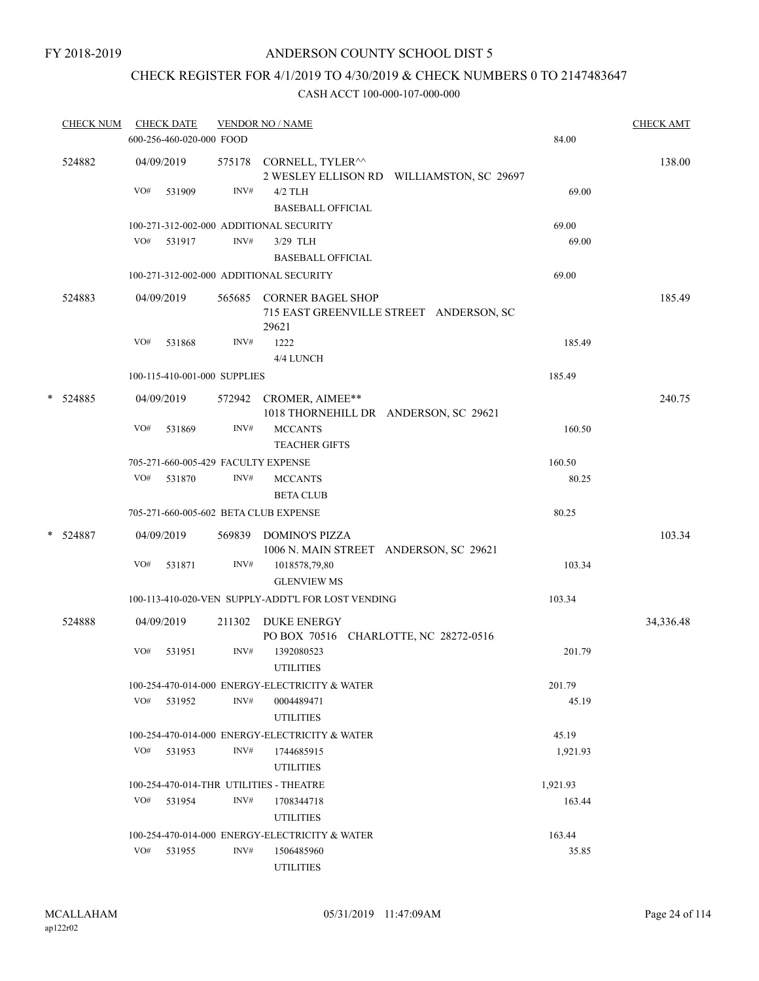# CHECK REGISTER FOR 4/1/2019 TO 4/30/2019 & CHECK NUMBERS 0 TO 2147483647

|   | <b>CHECK NUM</b> |     | <b>CHECK DATE</b><br>600-256-460-020-000 FOOD |        | <b>VENDOR NO / NAME</b>                                     |                                           | 84.00    | <b>CHECK AMT</b> |
|---|------------------|-----|-----------------------------------------------|--------|-------------------------------------------------------------|-------------------------------------------|----------|------------------|
|   | 524882           |     | 04/09/2019                                    |        | 575178 CORNELL, TYLER <sup>^^</sup>                         | 2 WESLEY ELLISON RD WILLIAMSTON, SC 29697 |          | 138.00           |
|   |                  | VO# | 531909                                        | INV#   | $4/2$ TLH<br><b>BASEBALL OFFICIAL</b>                       |                                           | 69.00    |                  |
|   |                  |     |                                               |        | 100-271-312-002-000 ADDITIONAL SECURITY                     |                                           | 69.00    |                  |
|   |                  | VO# | 531917                                        | INV#   | 3/29 TLH<br><b>BASEBALL OFFICIAL</b>                        |                                           | 69.00    |                  |
|   |                  |     |                                               |        | 100-271-312-002-000 ADDITIONAL SECURITY                     |                                           | 69.00    |                  |
|   | 524883           |     | 04/09/2019                                    | 565685 | <b>CORNER BAGEL SHOP</b><br>29621                           | 715 EAST GREENVILLE STREET ANDERSON, SC   |          | 185.49           |
|   |                  | VO# | 531868                                        | INV#   | 1222<br>4/4 LUNCH                                           |                                           | 185.49   |                  |
|   |                  |     | 100-115-410-001-000 SUPPLIES                  |        |                                                             |                                           | 185.49   |                  |
| * | 524885           |     | 04/09/2019                                    |        | 572942 CROMER, AIMEE**                                      | 1018 THORNEHILL DR ANDERSON, SC 29621     |          | 240.75           |
|   |                  | VO# | 531869                                        | INV#   | <b>MCCANTS</b><br><b>TEACHER GIFTS</b>                      |                                           | 160.50   |                  |
|   |                  |     |                                               |        | 705-271-660-005-429 FACULTY EXPENSE                         |                                           | 160.50   |                  |
|   |                  | VO# | 531870                                        | INV#   | <b>MCCANTS</b><br><b>BETA CLUB</b>                          |                                           | 80.25    |                  |
|   |                  |     |                                               |        | 705-271-660-005-602 BETA CLUB EXPENSE                       |                                           | 80.25    |                  |
|   | * 524887         |     | 04/09/2019                                    | 569839 | <b>DOMINO'S PIZZA</b>                                       | 1006 N. MAIN STREET ANDERSON, SC 29621    |          | 103.34           |
|   |                  | VO# | 531871                                        | INV#   | 1018578,79,80<br><b>GLENVIEW MS</b>                         |                                           | 103.34   |                  |
|   |                  |     |                                               |        | 100-113-410-020-VEN SUPPLY-ADDT'L FOR LOST VENDING          |                                           | 103.34   |                  |
|   | 524888           |     | 04/09/2019                                    | 211302 | <b>DUKE ENERGY</b><br>PO BOX 70516 CHARLOTTE, NC 28272-0516 |                                           |          | 34,336.48        |
|   |                  | VO# | 531951                                        | INV#   | 1392080523<br><b>UTILITIES</b>                              |                                           | 201.79   |                  |
|   |                  |     |                                               |        | 100-254-470-014-000 ENERGY-ELECTRICITY & WATER              |                                           | 201.79   |                  |
|   |                  | VO# | 531952                                        | INV#   | 0004489471<br><b>UTILITIES</b>                              |                                           | 45.19    |                  |
|   |                  |     |                                               |        | 100-254-470-014-000 ENERGY-ELECTRICITY & WATER              |                                           | 45.19    |                  |
|   |                  |     | VO# 531953                                    | INV#   | 1744685915<br><b>UTILITIES</b>                              |                                           | 1,921.93 |                  |
|   |                  |     |                                               |        | 100-254-470-014-THR UTILITIES - THEATRE                     |                                           | 1,921.93 |                  |
|   |                  |     | VO# 531954                                    | INV#   | 1708344718<br><b>UTILITIES</b>                              |                                           | 163.44   |                  |
|   |                  |     |                                               |        | 100-254-470-014-000 ENERGY-ELECTRICITY & WATER              |                                           | 163.44   |                  |
|   |                  | VO# | 531955                                        | INV#   | 1506485960<br><b>UTILITIES</b>                              |                                           | 35.85    |                  |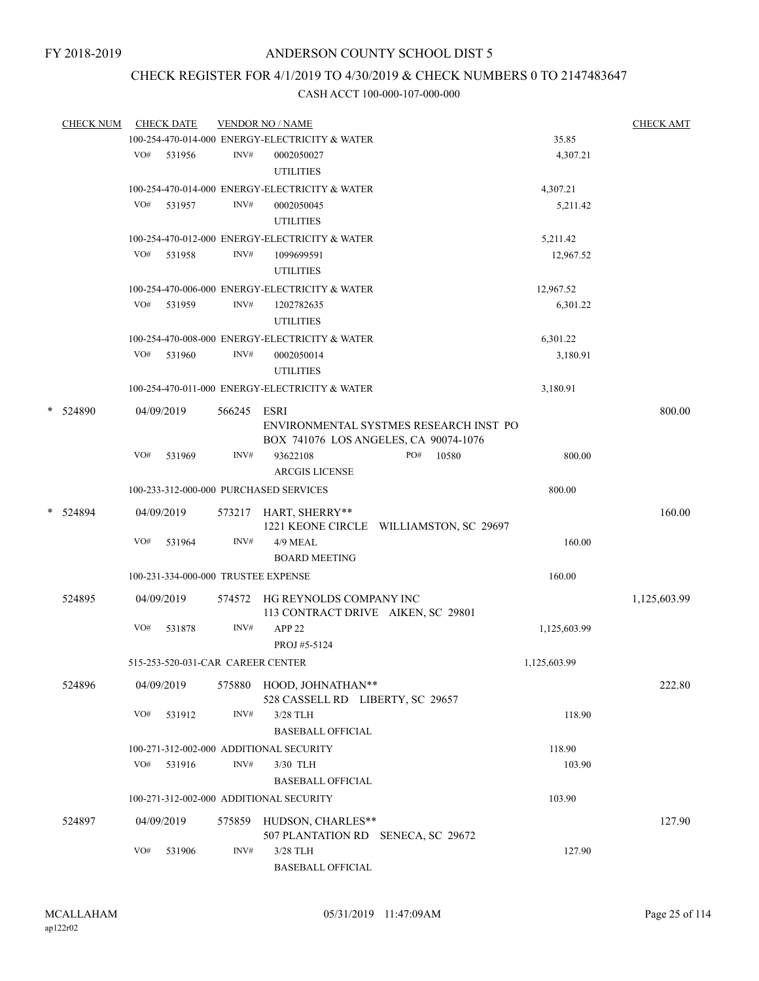## CHECK REGISTER FOR 4/1/2019 TO 4/30/2019 & CHECK NUMBERS 0 TO 2147483647

| <b>CHECK NUM</b> |     | <b>CHECK DATE</b>                   |             | <b>VENDOR NO / NAME</b>                                              |                                         |              | <b>CHECK AMT</b> |
|------------------|-----|-------------------------------------|-------------|----------------------------------------------------------------------|-----------------------------------------|--------------|------------------|
|                  |     |                                     |             | 100-254-470-014-000 ENERGY-ELECTRICITY & WATER                       |                                         | 35.85        |                  |
|                  |     | VO# 531956                          | INV#        | 0002050027                                                           |                                         | 4,307.21     |                  |
|                  |     |                                     |             | <b>UTILITIES</b>                                                     |                                         |              |                  |
|                  |     |                                     |             | 100-254-470-014-000 ENERGY-ELECTRICITY & WATER                       |                                         | 4,307.21     |                  |
|                  | VO# | 531957                              | INV#        | 0002050045<br><b>UTILITIES</b>                                       |                                         | 5,211.42     |                  |
|                  |     |                                     |             | 100-254-470-012-000 ENERGY-ELECTRICITY & WATER                       |                                         | 5,211.42     |                  |
|                  | VO# | 531958                              | INV#        | 1099699591                                                           |                                         | 12,967.52    |                  |
|                  |     |                                     |             | <b>UTILITIES</b>                                                     |                                         |              |                  |
|                  |     |                                     |             | 100-254-470-006-000 ENERGY-ELECTRICITY & WATER                       |                                         | 12,967.52    |                  |
|                  | VO# | 531959                              | INV#        | 1202782635<br><b>UTILITIES</b>                                       |                                         | 6,301.22     |                  |
|                  |     |                                     |             |                                                                      |                                         |              |                  |
|                  |     |                                     |             | 100-254-470-008-000 ENERGY-ELECTRICITY & WATER                       |                                         | 6,301.22     |                  |
|                  | VO# | 531960                              | INV#        | 0002050014<br><b>UTILITIES</b>                                       |                                         | 3,180.91     |                  |
|                  |     |                                     |             | 100-254-470-011-000 ENERGY-ELECTRICITY & WATER                       |                                         | 3,180.91     |                  |
| * 524890         |     | 04/09/2019                          | 566245 ESRI |                                                                      | ENVIRONMENTAL SYSTMES RESEARCH INST PO  |              | 800.00           |
|                  |     |                                     |             | BOX 741076 LOS ANGELES, CA 90074-1076                                |                                         |              |                  |
|                  | VO# | 531969                              | INV#        | 93622108<br><b>ARCGIS LICENSE</b>                                    | PO#<br>10580                            | 800.00       |                  |
|                  |     |                                     |             | 100-233-312-000-000 PURCHASED SERVICES                               |                                         | 800.00       |                  |
| * 524894         |     | 04/09/2019                          |             | 573217 HART, SHERRY**                                                |                                         |              | 160.00           |
|                  | VO# | 531964                              | INV#        | 4/9 MEAL                                                             | 1221 KEONE CIRCLE WILLIAMSTON, SC 29697 | 160.00       |                  |
|                  |     |                                     |             | <b>BOARD MEETING</b>                                                 |                                         |              |                  |
|                  |     | 100-231-334-000-000 TRUSTEE EXPENSE |             |                                                                      |                                         | 160.00       |                  |
| 524895           |     | 04/09/2019                          |             | 574572 HG REYNOLDS COMPANY INC<br>113 CONTRACT DRIVE AIKEN, SC 29801 |                                         |              | 1,125,603.99     |
|                  | VO# | 531878                              | INV#        | APP <sub>22</sub><br>PROJ #5-5124                                    |                                         | 1,125,603.99 |                  |
|                  |     | 515-253-520-031-CAR CAREER CENTER   |             |                                                                      |                                         | 1,125,603.99 |                  |
| 524896           |     | 04/09/2019                          |             | 575880 HOOD, JOHNATHAN**                                             |                                         |              | 222.80           |
|                  | VO# | 531912                              | INV#        | 528 CASSELL RD LIBERTY, SC 29657<br>3/28 TLH                         |                                         | 118.90       |                  |
|                  |     |                                     |             | <b>BASEBALL OFFICIAL</b>                                             |                                         |              |                  |
|                  |     |                                     |             | 100-271-312-002-000 ADDITIONAL SECURITY                              |                                         | 118.90       |                  |
|                  | VO# | 531916                              | INV#        | 3/30 TLH                                                             |                                         | 103.90       |                  |
|                  |     |                                     |             | <b>BASEBALL OFFICIAL</b>                                             |                                         |              |                  |
|                  |     |                                     |             | 100-271-312-002-000 ADDITIONAL SECURITY                              |                                         | 103.90       |                  |
|                  |     |                                     |             |                                                                      |                                         |              |                  |
| 524897           |     | 04/09/2019                          | 575859      | HUDSON, CHARLES**<br>507 PLANTATION RD SENECA, SC 29672              |                                         |              | 127.90           |
|                  | VO# | 531906                              | INV#        | 3/28 TLH                                                             |                                         | 127.90       |                  |
|                  |     |                                     |             | <b>BASEBALL OFFICIAL</b>                                             |                                         |              |                  |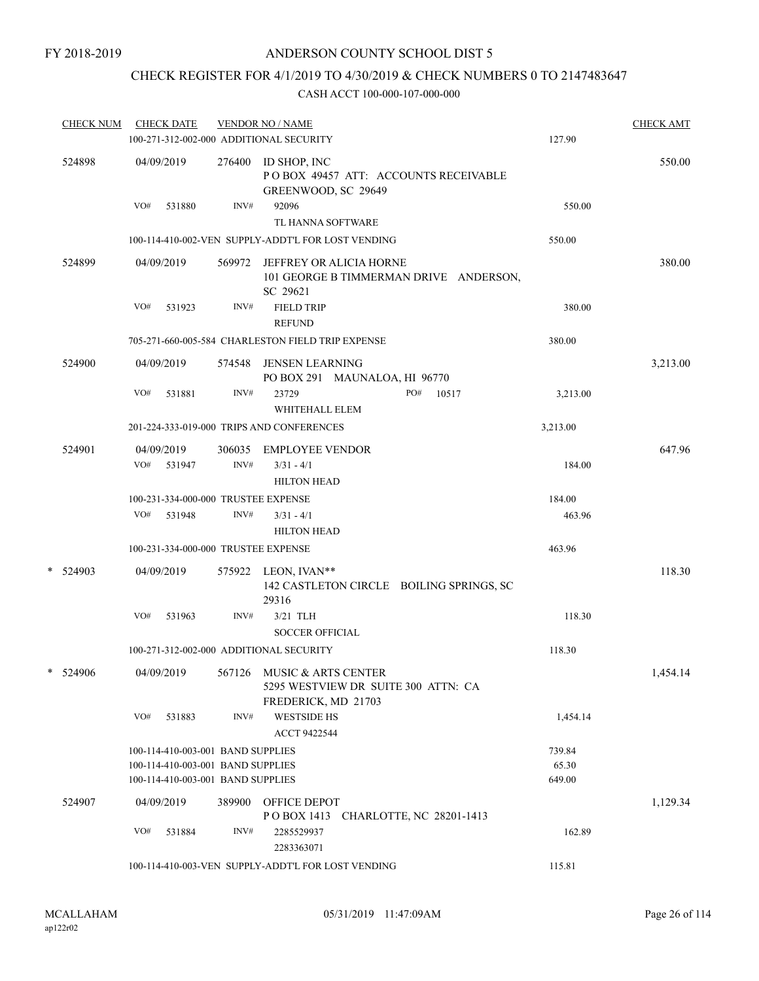## CHECK REGISTER FOR 4/1/2019 TO 4/30/2019 & CHECK NUMBERS 0 TO 2147483647

| <b>CHECK NUM</b> | <b>CHECK DATE</b><br>100-271-312-002-000 ADDITIONAL SECURITY           |                | <b>VENDOR NO / NAME</b>                                                                  | 127.90          | <b>CHECK AMT</b> |
|------------------|------------------------------------------------------------------------|----------------|------------------------------------------------------------------------------------------|-----------------|------------------|
| 524898           | 04/09/2019                                                             |                | 276400 ID SHOP, INC<br>POBOX 49457 ATT: ACCOUNTS RECEIVABLE<br>GREENWOOD, SC 29649       |                 | 550.00           |
|                  | VO#<br>531880                                                          | INV#           | 92096<br>TL HANNA SOFTWARE                                                               | 550.00          |                  |
|                  |                                                                        |                | 100-114-410-002-VEN SUPPLY-ADDT'L FOR LOST VENDING                                       | 550.00          |                  |
| 524899           | 04/09/2019                                                             | 569972         | JEFFREY OR ALICIA HORNE<br>101 GEORGE B TIMMERMAN DRIVE ANDERSON,<br>SC 29621            |                 | 380.00           |
|                  | VO#<br>531923                                                          | INV#           | <b>FIELD TRIP</b><br><b>REFUND</b>                                                       | 380.00          |                  |
|                  |                                                                        |                | 705-271-660-005-584 CHARLESTON FIELD TRIP EXPENSE                                        | 380.00          |                  |
| 524900           | 04/09/2019                                                             | 574548         | <b>JENSEN LEARNING</b><br>PO BOX 291 MAUNALOA, HI 96770                                  |                 | 3,213.00         |
|                  | VO#<br>531881                                                          | INV#           | 23729<br>PO#<br>10517<br>WHITEHALL ELEM                                                  | 3,213.00        |                  |
|                  |                                                                        |                | 201-224-333-019-000 TRIPS AND CONFERENCES                                                | 3,213.00        |                  |
| 524901           | 04/09/2019<br>VO# 531947                                               | 306035<br>INV# | <b>EMPLOYEE VENDOR</b><br>$3/31 - 4/1$<br><b>HILTON HEAD</b>                             | 184.00          | 647.96           |
|                  | 100-231-334-000-000 TRUSTEE EXPENSE                                    |                |                                                                                          | 184.00          |                  |
|                  | VO#<br>531948                                                          | INV#           | $3/31 - 4/1$<br><b>HILTON HEAD</b>                                                       | 463.96          |                  |
|                  | 100-231-334-000-000 TRUSTEE EXPENSE                                    |                |                                                                                          | 463.96          |                  |
| * 524903         | 04/09/2019                                                             |                | 575922 LEON, IVAN**<br>142 CASTLETON CIRCLE BOILING SPRINGS, SC<br>29316                 |                 | 118.30           |
|                  | VO#<br>531963                                                          | INV#           | 3/21 TLH<br><b>SOCCER OFFICIAL</b>                                                       | 118.30          |                  |
|                  | 100-271-312-002-000 ADDITIONAL SECURITY                                |                |                                                                                          | 118.30          |                  |
| * 524906         | 04/09/2019                                                             |                | 567126 MUSIC & ARTS CENTER<br>5295 WESTVIEW DR SUITE 300 ATTN: CA<br>FREDERICK, MD 21703 |                 | 1,454.14         |
|                  | VO#<br>531883                                                          | INV#           | <b>WESTSIDE HS</b><br>ACCT 9422544                                                       | 1,454.14        |                  |
|                  | 100-114-410-003-001 BAND SUPPLIES                                      |                |                                                                                          | 739.84          |                  |
|                  | 100-114-410-003-001 BAND SUPPLIES<br>100-114-410-003-001 BAND SUPPLIES |                |                                                                                          | 65.30<br>649.00 |                  |
| 524907           | 04/09/2019                                                             | 389900         | OFFICE DEPOT<br>POBOX 1413 CHARLOTTE, NC 28201-1413                                      |                 | 1,129.34         |
|                  | VO#<br>531884                                                          | INV#           | 2285529937<br>2283363071                                                                 | 162.89          |                  |
|                  |                                                                        |                | 100-114-410-003-VEN SUPPLY-ADDT'L FOR LOST VENDING                                       | 115.81          |                  |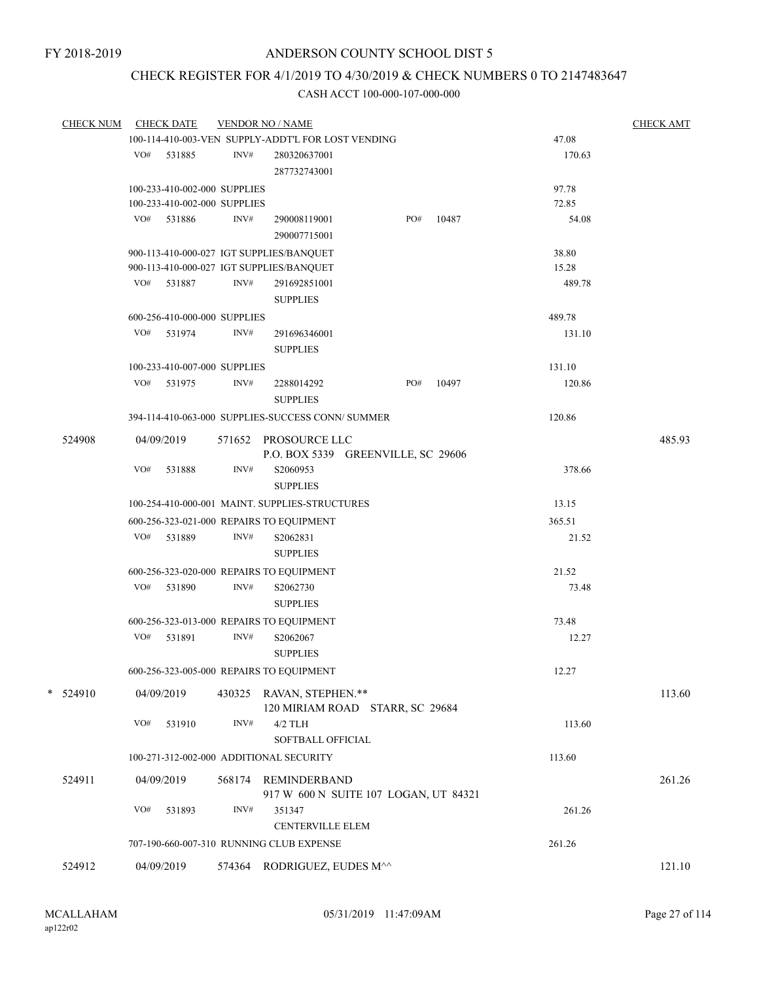## CHECK REGISTER FOR 4/1/2019 TO 4/30/2019 & CHECK NUMBERS 0 TO 2147483647

| <b>CHECK NUM</b> |     | <b>CHECK DATE</b>            |        | <b>VENDOR NO / NAME</b>                            |                                       |       |        | <b>CHECK AMT</b> |
|------------------|-----|------------------------------|--------|----------------------------------------------------|---------------------------------------|-------|--------|------------------|
|                  |     |                              |        | 100-114-410-003-VEN SUPPLY-ADDT'L FOR LOST VENDING |                                       |       | 47.08  |                  |
|                  |     | VO# 531885                   | INV#   | 280320637001                                       |                                       |       | 170.63 |                  |
|                  |     |                              |        | 287732743001                                       |                                       |       |        |                  |
|                  |     | 100-233-410-002-000 SUPPLIES |        |                                                    |                                       |       | 97.78  |                  |
|                  |     | 100-233-410-002-000 SUPPLIES |        |                                                    |                                       |       | 72.85  |                  |
|                  |     | VO# 531886                   | INV#   | 290008119001                                       | PO#                                   | 10487 | 54.08  |                  |
|                  |     |                              |        | 290007715001                                       |                                       |       |        |                  |
|                  |     |                              |        | 900-113-410-000-027 IGT SUPPLIES/BANQUET           |                                       |       | 38.80  |                  |
|                  |     |                              |        | 900-113-410-000-027 IGT SUPPLIES/BANQUET           |                                       |       | 15.28  |                  |
|                  | VO# | 531887                       | INV#   | 291692851001                                       |                                       |       | 489.78 |                  |
|                  |     |                              |        | <b>SUPPLIES</b>                                    |                                       |       |        |                  |
|                  |     | 600-256-410-000-000 SUPPLIES |        |                                                    |                                       |       | 489.78 |                  |
|                  |     | VO# 531974                   | INV#   | 291696346001                                       |                                       |       | 131.10 |                  |
|                  |     |                              |        | <b>SUPPLIES</b>                                    |                                       |       |        |                  |
|                  |     |                              |        |                                                    |                                       |       |        |                  |
|                  |     | 100-233-410-007-000 SUPPLIES |        |                                                    |                                       |       | 131.10 |                  |
|                  | VO# | 531975                       | INV#   | 2288014292                                         | PO#                                   | 10497 | 120.86 |                  |
|                  |     |                              |        | <b>SUPPLIES</b>                                    |                                       |       |        |                  |
|                  |     |                              |        | 394-114-410-063-000 SUPPLIES-SUCCESS CONN/ SUMMER  |                                       |       | 120.86 |                  |
| 524908           |     | 04/09/2019                   |        | 571652 PROSOURCE LLC                               |                                       |       |        | 485.93           |
|                  |     |                              |        |                                                    | P.O. BOX 5339 GREENVILLE, SC 29606    |       |        |                  |
|                  | VO# | 531888                       | INV#   | S2060953                                           |                                       |       | 378.66 |                  |
|                  |     |                              |        | <b>SUPPLIES</b>                                    |                                       |       |        |                  |
|                  |     |                              |        | 100-254-410-000-001 MAINT. SUPPLIES-STRUCTURES     |                                       |       | 13.15  |                  |
|                  |     |                              |        | 600-256-323-021-000 REPAIRS TO EQUIPMENT           |                                       |       | 365.51 |                  |
|                  | VO# | 531889                       | INV#   | S2062831                                           |                                       |       | 21.52  |                  |
|                  |     |                              |        | <b>SUPPLIES</b>                                    |                                       |       |        |                  |
|                  |     |                              |        | 600-256-323-020-000 REPAIRS TO EQUIPMENT           |                                       |       | 21.52  |                  |
|                  |     | VO# 531890                   | INV#   | S2062730                                           |                                       |       | 73.48  |                  |
|                  |     |                              |        | <b>SUPPLIES</b>                                    |                                       |       |        |                  |
|                  |     |                              |        | 600-256-323-013-000 REPAIRS TO EQUIPMENT           |                                       |       | 73.48  |                  |
|                  | VO# | 531891                       | INV#   | S2062067                                           |                                       |       |        |                  |
|                  |     |                              |        |                                                    |                                       |       | 12.27  |                  |
|                  |     |                              |        | <b>SUPPLIES</b>                                    |                                       |       |        |                  |
|                  |     |                              |        | 600-256-323-005-000 REPAIRS TO EQUIPMENT           |                                       |       | 12.27  |                  |
| $*$ 524910       |     | 04/09/2019                   |        | 430325 RAVAN, STEPHEN.**                           |                                       |       |        | 113.60           |
|                  |     |                              |        |                                                    | 120 MIRIAM ROAD STARR, SC 29684       |       |        |                  |
|                  | VO# | 531910                       | INV#   | $4/2$ TLH                                          |                                       |       | 113.60 |                  |
|                  |     |                              |        | SOFTBALL OFFICIAL                                  |                                       |       |        |                  |
|                  |     |                              |        | 100-271-312-002-000 ADDITIONAL SECURITY            |                                       |       | 113.60 |                  |
|                  |     |                              |        |                                                    |                                       |       |        |                  |
| 524911           |     | 04/09/2019                   | 568174 | REMINDERBAND                                       |                                       |       |        | 261.26           |
|                  | VO# |                              | INV#   | 351347                                             | 917 W 600 N SUITE 107 LOGAN, UT 84321 |       |        |                  |
|                  |     | 531893                       |        | <b>CENTERVILLE ELEM</b>                            |                                       |       | 261.26 |                  |
|                  |     |                              |        |                                                    |                                       |       |        |                  |
|                  |     |                              |        | 707-190-660-007-310 RUNNING CLUB EXPENSE           |                                       |       | 261.26 |                  |
| 524912           |     | 04/09/2019                   |        | 574364 RODRIGUEZ, EUDES M^^                        |                                       |       |        | 121.10           |
|                  |     |                              |        |                                                    |                                       |       |        |                  |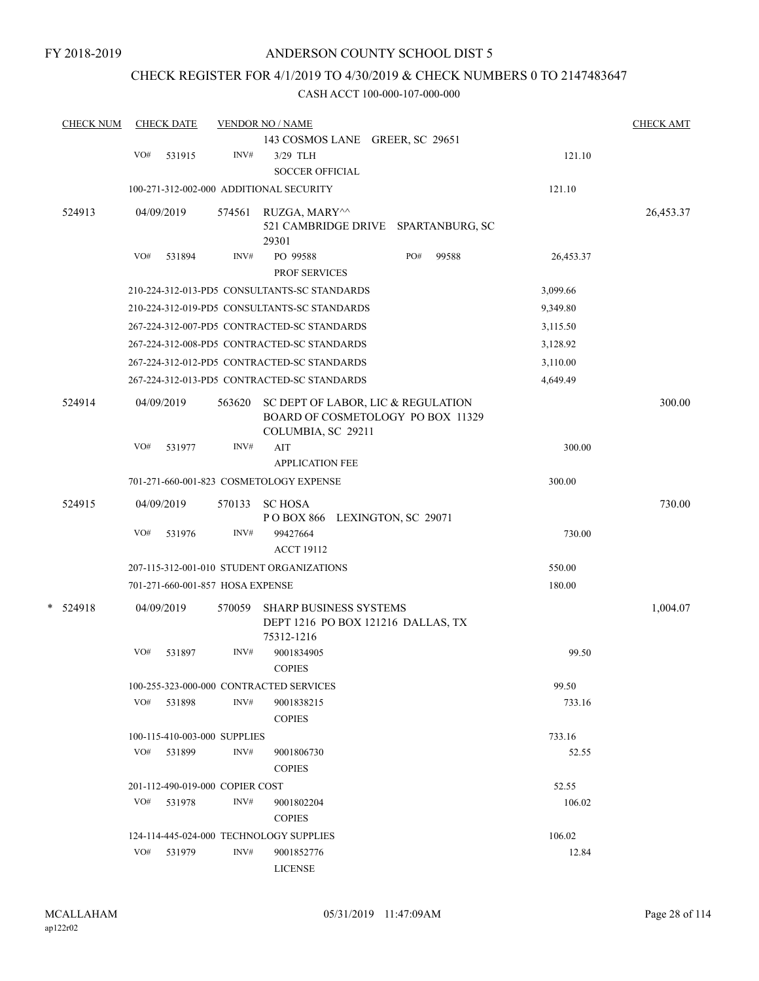## CHECK REGISTER FOR 4/1/2019 TO 4/30/2019 & CHECK NUMBERS 0 TO 2147483647

|        | <b>CHECK NUM</b> |     | <b>CHECK DATE</b> |                                  | <b>VENDOR NO / NAME</b>                          |           | <b>CHECK AMT</b> |
|--------|------------------|-----|-------------------|----------------------------------|--------------------------------------------------|-----------|------------------|
|        |                  |     |                   |                                  | 143 COSMOS LANE GREER, SC 29651                  |           |                  |
|        |                  | VO# | 531915            | INV#                             | 3/29 TLH                                         | 121.10    |                  |
|        |                  |     |                   |                                  | <b>SOCCER OFFICIAL</b>                           |           |                  |
|        |                  |     |                   |                                  | 100-271-312-002-000 ADDITIONAL SECURITY          | 121.10    |                  |
|        | 524913           |     | 04/09/2019        | 574561                           | RUZGA, MARY^^                                    |           | 26,453.37        |
|        |                  |     |                   |                                  | 521 CAMBRIDGE DRIVE SPARTANBURG, SC              |           |                  |
|        |                  |     |                   |                                  | 29301                                            |           |                  |
|        |                  | VO# | 531894            | INV#                             | PO#<br>PO 99588<br>99588                         | 26,453.37 |                  |
|        |                  |     |                   |                                  | PROF SERVICES                                    |           |                  |
|        |                  |     |                   |                                  | 210-224-312-013-PD5 CONSULTANTS-SC STANDARDS     | 3,099.66  |                  |
|        |                  |     |                   |                                  | 210-224-312-019-PD5 CONSULTANTS-SC STANDARDS     | 9,349.80  |                  |
|        |                  |     |                   |                                  | 267-224-312-007-PD5 CONTRACTED-SC STANDARDS      | 3,115.50  |                  |
|        |                  |     |                   |                                  | 267-224-312-008-PD5 CONTRACTED-SC STANDARDS      | 3,128.92  |                  |
|        |                  |     |                   |                                  | 267-224-312-012-PD5 CONTRACTED-SC STANDARDS      | 3,110.00  |                  |
|        |                  |     |                   |                                  | 267-224-312-013-PD5 CONTRACTED-SC STANDARDS      | 4,649.49  |                  |
|        | 524914           |     | 04/09/2019        | 563620                           | SC DEPT OF LABOR, LIC & REGULATION               |           | 300.00           |
|        |                  |     |                   |                                  | BOARD OF COSMETOLOGY PO BOX 11329                |           |                  |
|        |                  |     |                   |                                  | COLUMBIA, SC 29211                               |           |                  |
|        |                  | VO# | 531977            | INV#                             | AIT<br><b>APPLICATION FEE</b>                    | 300.00    |                  |
|        |                  |     |                   |                                  | 701-271-660-001-823 COSMETOLOGY EXPENSE          | 300.00    |                  |
|        |                  |     |                   |                                  |                                                  |           |                  |
|        | 524915           |     | 04/09/2019        | 570133                           | <b>SC HOSA</b>                                   |           | 730.00           |
|        |                  | VO# | 531976            | INV#                             | POBOX 866 LEXINGTON, SC 29071<br>99427664        | 730.00    |                  |
|        |                  |     |                   |                                  | <b>ACCT 19112</b>                                |           |                  |
|        |                  |     |                   |                                  | 207-115-312-001-010 STUDENT ORGANIZATIONS        | 550.00    |                  |
|        |                  |     |                   | 701-271-660-001-857 HOSA EXPENSE |                                                  | 180.00    |                  |
|        |                  |     |                   |                                  |                                                  |           |                  |
| $\ast$ | 524918           |     | 04/09/2019        | 570059                           | <b>SHARP BUSINESS SYSTEMS</b>                    |           | 1,004.07         |
|        |                  |     |                   |                                  | DEPT 1216 PO BOX 121216 DALLAS, TX<br>75312-1216 |           |                  |
|        |                  | VO# | 531897            | INV#                             | 9001834905                                       | 99.50     |                  |
|        |                  |     |                   |                                  | <b>COPIES</b>                                    |           |                  |
|        |                  |     |                   |                                  | 100-255-323-000-000 CONTRACTED SERVICES          | 99.50     |                  |
|        |                  |     | VO# 531898        | INV#                             | 9001838215                                       | 733.16    |                  |
|        |                  |     |                   |                                  | <b>COPIES</b>                                    |           |                  |
|        |                  |     |                   | 100-115-410-003-000 SUPPLIES     |                                                  | 733.16    |                  |
|        |                  | VO# | 531899            | INV#                             | 9001806730                                       | 52.55     |                  |
|        |                  |     |                   |                                  | <b>COPIES</b>                                    |           |                  |
|        |                  |     |                   | 201-112-490-019-000 COPIER COST  |                                                  | 52.55     |                  |
|        |                  |     | VO# 531978        | INV#                             | 9001802204                                       | 106.02    |                  |
|        |                  |     |                   |                                  | <b>COPIES</b>                                    |           |                  |
|        |                  |     |                   |                                  | 124-114-445-024-000 TECHNOLOGY SUPPLIES          | 106.02    |                  |
|        |                  | VO# | 531979            | INV#                             | 9001852776                                       | 12.84     |                  |
|        |                  |     |                   |                                  | <b>LICENSE</b>                                   |           |                  |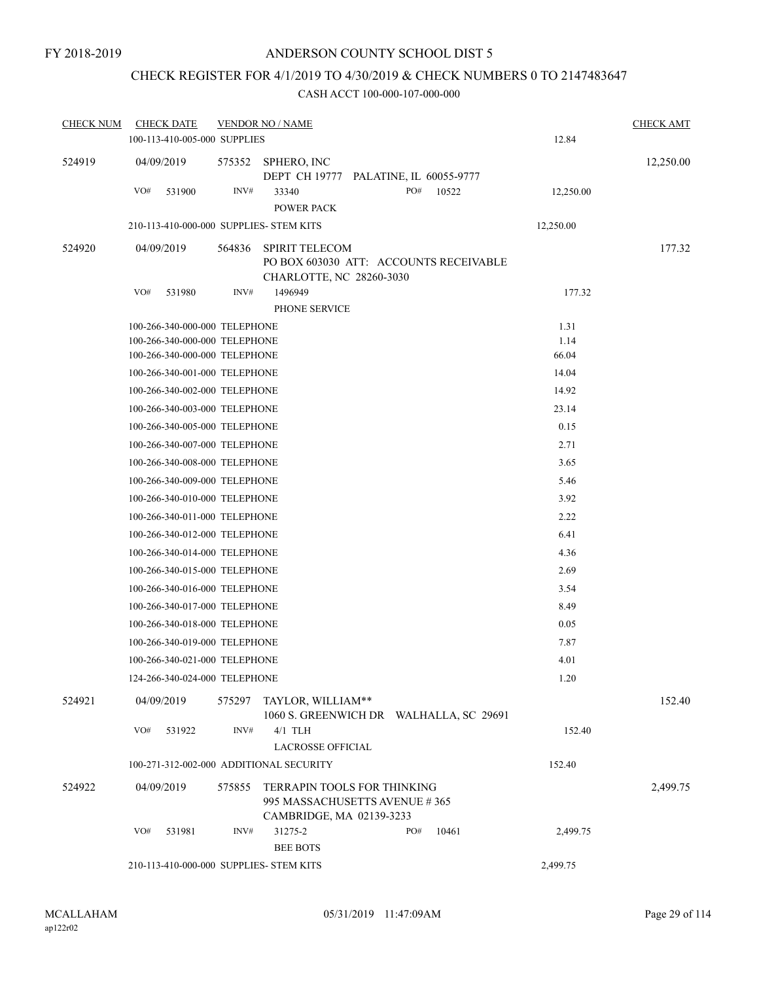## CHECK REGISTER FOR 4/1/2019 TO 4/30/2019 & CHECK NUMBERS 0 TO 2147483647

| <b>CHECK NUM</b> | <b>CHECK DATE</b>                                              | <b>VENDOR NO / NAME</b>                 |                                                                                                 |               | <b>CHECK AMT</b> |
|------------------|----------------------------------------------------------------|-----------------------------------------|-------------------------------------------------------------------------------------------------|---------------|------------------|
|                  | 100-113-410-005-000 SUPPLIES                                   |                                         |                                                                                                 | 12.84         |                  |
| 524919           | 04/09/2019                                                     | 575352<br>SPHERO, INC                   | DEPT CH 19777 PALATINE, IL 60055-9777                                                           |               | 12,250.00        |
|                  | VO#<br>531900                                                  | INV#<br>33340<br><b>POWER PACK</b>      | PO#<br>10522                                                                                    | 12,250.00     |                  |
|                  |                                                                | 210-113-410-000-000 SUPPLIES- STEM KITS |                                                                                                 | 12,250.00     |                  |
| 524920           | 04/09/2019                                                     | 564836<br><b>SPIRIT TELECOM</b>         |                                                                                                 |               | 177.32           |
|                  |                                                                |                                         | PO BOX 603030 ATT: ACCOUNTS RECEIVABLE<br>CHARLOTTE, NC 28260-3030                              |               |                  |
|                  | VO#<br>531980                                                  | INV#<br>1496949                         |                                                                                                 | 177.32        |                  |
|                  |                                                                | PHONE SERVICE                           |                                                                                                 |               |                  |
|                  | 100-266-340-000-000 TELEPHONE                                  |                                         |                                                                                                 | 1.31          |                  |
|                  | 100-266-340-000-000 TELEPHONE<br>100-266-340-000-000 TELEPHONE |                                         |                                                                                                 | 1.14<br>66.04 |                  |
|                  | 100-266-340-001-000 TELEPHONE                                  |                                         |                                                                                                 | 14.04         |                  |
|                  | 100-266-340-002-000 TELEPHONE                                  |                                         |                                                                                                 | 14.92         |                  |
|                  | 100-266-340-003-000 TELEPHONE                                  |                                         |                                                                                                 | 23.14         |                  |
|                  | 100-266-340-005-000 TELEPHONE                                  |                                         |                                                                                                 | 0.15          |                  |
|                  | 100-266-340-007-000 TELEPHONE                                  |                                         |                                                                                                 | 2.71          |                  |
|                  | 100-266-340-008-000 TELEPHONE                                  |                                         |                                                                                                 | 3.65          |                  |
|                  | 100-266-340-009-000 TELEPHONE                                  |                                         |                                                                                                 | 5.46          |                  |
|                  | 100-266-340-010-000 TELEPHONE                                  |                                         |                                                                                                 | 3.92          |                  |
|                  | 100-266-340-011-000 TELEPHONE                                  |                                         |                                                                                                 | 2.22          |                  |
|                  | 100-266-340-012-000 TELEPHONE                                  |                                         |                                                                                                 | 6.41          |                  |
|                  | 100-266-340-014-000 TELEPHONE                                  |                                         |                                                                                                 | 4.36          |                  |
|                  | 100-266-340-015-000 TELEPHONE                                  |                                         |                                                                                                 | 2.69          |                  |
|                  | 100-266-340-016-000 TELEPHONE                                  |                                         |                                                                                                 | 3.54          |                  |
|                  | 100-266-340-017-000 TELEPHONE                                  |                                         |                                                                                                 | 8.49          |                  |
|                  | 100-266-340-018-000 TELEPHONE                                  |                                         |                                                                                                 | 0.05          |                  |
|                  | 100-266-340-019-000 TELEPHONE                                  |                                         |                                                                                                 | 7.87          |                  |
|                  | 100-266-340-021-000 TELEPHONE                                  |                                         |                                                                                                 | 4.01          |                  |
|                  | 124-266-340-024-000 TELEPHONE                                  |                                         |                                                                                                 | 1.20          |                  |
| 524921           | 04/09/2019                                                     | 575297<br>TAYLOR, WILLIAM**             | 1060 S. GREENWICH DR WALHALLA, SC 29691                                                         |               | 152.40           |
|                  | VO#<br>531922                                                  | INV#<br>$4/1$ TLH                       |                                                                                                 | 152.40        |                  |
|                  |                                                                | <b>LACROSSE OFFICIAL</b>                |                                                                                                 |               |                  |
|                  |                                                                | 100-271-312-002-000 ADDITIONAL SECURITY |                                                                                                 | 152.40        |                  |
| 524922           | 04/09/2019                                                     | 575855                                  | <b>TERRAPIN TOOLS FOR THINKING</b><br>995 MASSACHUSETTS AVENUE #365<br>CAMBRIDGE, MA 02139-3233 |               | 2,499.75         |
|                  | VO#<br>531981                                                  | INV#<br>31275-2                         | PO#<br>10461                                                                                    | 2,499.75      |                  |
|                  |                                                                | <b>BEE BOTS</b>                         |                                                                                                 |               |                  |
|                  |                                                                | 210-113-410-000-000 SUPPLIES- STEM KITS |                                                                                                 | 2,499.75      |                  |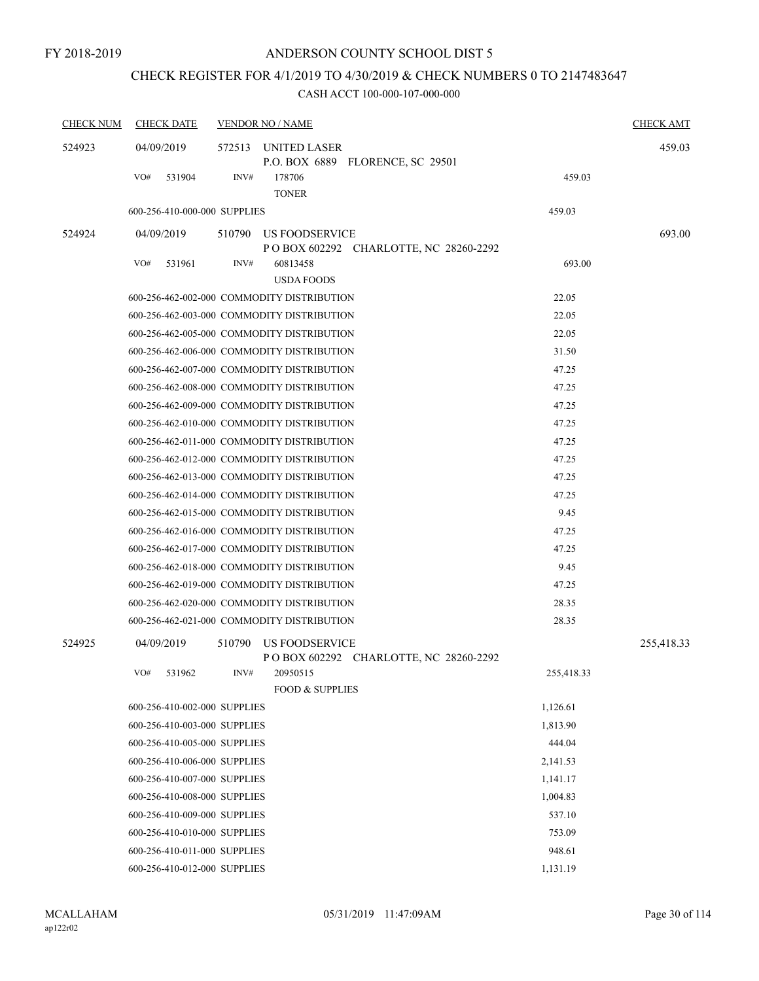# CHECK REGISTER FOR 4/1/2019 TO 4/30/2019 & CHECK NUMBERS 0 TO 2147483647

| <b>CHECK NUM</b> | <b>CHECK DATE</b>            | <b>VENDOR NO / NAME</b>                                             | <b>CHECK AMT</b> |
|------------------|------------------------------|---------------------------------------------------------------------|------------------|
| 524923           | 04/09/2019                   | 572513<br>UNITED LASER<br>P.O. BOX 6889 FLORENCE, SC 29501          | 459.03           |
|                  | VO#<br>531904                | INV#<br>178706<br><b>TONER</b>                                      | 459.03           |
|                  | 600-256-410-000-000 SUPPLIES |                                                                     | 459.03           |
| 524924           | 04/09/2019                   | 510790 US FOODSERVICE<br>P O BOX 602292 CHARLOTTE, NC 28260-2292    | 693.00           |
|                  | VO#<br>531961                | INV#<br>60813458<br><b>USDA FOODS</b>                               | 693.00           |
|                  |                              | 600-256-462-002-000 COMMODITY DISTRIBUTION                          | 22.05            |
|                  |                              | 600-256-462-003-000 COMMODITY DISTRIBUTION                          | 22.05            |
|                  |                              | 600-256-462-005-000 COMMODITY DISTRIBUTION                          | 22.05            |
|                  |                              | 600-256-462-006-000 COMMODITY DISTRIBUTION                          | 31.50            |
|                  |                              | 600-256-462-007-000 COMMODITY DISTRIBUTION                          | 47.25            |
|                  |                              | 600-256-462-008-000 COMMODITY DISTRIBUTION                          | 47.25            |
|                  |                              | 600-256-462-009-000 COMMODITY DISTRIBUTION                          | 47.25            |
|                  |                              | 600-256-462-010-000 COMMODITY DISTRIBUTION                          | 47.25            |
|                  |                              | 600-256-462-011-000 COMMODITY DISTRIBUTION                          | 47.25            |
|                  |                              | 600-256-462-012-000 COMMODITY DISTRIBUTION                          | 47.25            |
|                  |                              | 600-256-462-013-000 COMMODITY DISTRIBUTION                          | 47.25            |
|                  |                              | 600-256-462-014-000 COMMODITY DISTRIBUTION                          | 47.25            |
|                  |                              | 600-256-462-015-000 COMMODITY DISTRIBUTION                          | 9.45             |
|                  |                              | 600-256-462-016-000 COMMODITY DISTRIBUTION                          | 47.25            |
|                  |                              | 600-256-462-017-000 COMMODITY DISTRIBUTION                          | 47.25            |
|                  |                              | 600-256-462-018-000 COMMODITY DISTRIBUTION                          | 9.45             |
|                  |                              | 600-256-462-019-000 COMMODITY DISTRIBUTION                          | 47.25            |
|                  |                              | 600-256-462-020-000 COMMODITY DISTRIBUTION                          | 28.35            |
|                  |                              | 600-256-462-021-000 COMMODITY DISTRIBUTION                          | 28.35            |
| 524925           | 04/09/2019                   | 510790<br>US FOODSERVICE<br>P O BOX 602292 CHARLOTTE, NC 28260-2292 | 255,418.33       |
|                  | VO# 531962                   | INV#<br>20950515<br><b>FOOD &amp; SUPPLIES</b>                      | 255,418.33       |
|                  | 600-256-410-002-000 SUPPLIES |                                                                     | 1,126.61         |
|                  | 600-256-410-003-000 SUPPLIES |                                                                     | 1.813.90         |
|                  | 600-256-410-005-000 SUPPLIES |                                                                     | 444.04           |
|                  | 600-256-410-006-000 SUPPLIES |                                                                     | 2,141.53         |
|                  | 600-256-410-007-000 SUPPLIES |                                                                     | 1,141.17         |
|                  | 600-256-410-008-000 SUPPLIES |                                                                     | 1,004.83         |
|                  | 600-256-410-009-000 SUPPLIES |                                                                     | 537.10           |
|                  | 600-256-410-010-000 SUPPLIES |                                                                     | 753.09           |
|                  | 600-256-410-011-000 SUPPLIES |                                                                     | 948.61           |
|                  | 600-256-410-012-000 SUPPLIES |                                                                     | 1,131.19         |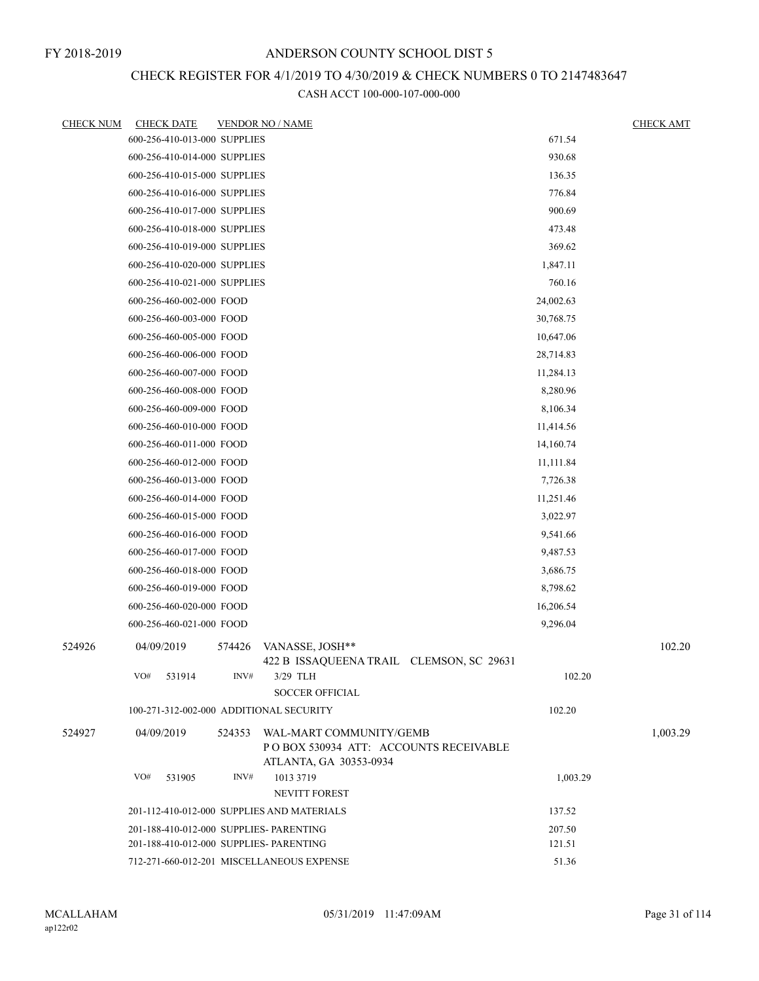# CHECK REGISTER FOR 4/1/2019 TO 4/30/2019 & CHECK NUMBERS 0 TO 2147483647

| <b>CHECK NUM</b> | <b>CHECK DATE</b> |                              |        | <b>VENDOR NO / NAME</b>                                           |           | <b>CHECK AMT</b> |
|------------------|-------------------|------------------------------|--------|-------------------------------------------------------------------|-----------|------------------|
|                  |                   | 600-256-410-013-000 SUPPLIES |        |                                                                   | 671.54    |                  |
|                  |                   | 600-256-410-014-000 SUPPLIES |        |                                                                   | 930.68    |                  |
|                  |                   | 600-256-410-015-000 SUPPLIES |        |                                                                   | 136.35    |                  |
|                  |                   | 600-256-410-016-000 SUPPLIES |        |                                                                   | 776.84    |                  |
|                  |                   | 600-256-410-017-000 SUPPLIES |        |                                                                   | 900.69    |                  |
|                  |                   | 600-256-410-018-000 SUPPLIES |        |                                                                   | 473.48    |                  |
|                  |                   | 600-256-410-019-000 SUPPLIES |        |                                                                   | 369.62    |                  |
|                  |                   | 600-256-410-020-000 SUPPLIES |        |                                                                   | 1,847.11  |                  |
|                  |                   | 600-256-410-021-000 SUPPLIES |        |                                                                   | 760.16    |                  |
|                  |                   | 600-256-460-002-000 FOOD     |        |                                                                   | 24,002.63 |                  |
|                  |                   | 600-256-460-003-000 FOOD     |        |                                                                   | 30,768.75 |                  |
|                  |                   | 600-256-460-005-000 FOOD     |        |                                                                   | 10,647.06 |                  |
|                  |                   | 600-256-460-006-000 FOOD     |        |                                                                   | 28,714.83 |                  |
|                  |                   | 600-256-460-007-000 FOOD     |        |                                                                   | 11,284.13 |                  |
|                  |                   | 600-256-460-008-000 FOOD     |        |                                                                   | 8,280.96  |                  |
|                  |                   | 600-256-460-009-000 FOOD     |        |                                                                   | 8,106.34  |                  |
|                  |                   | 600-256-460-010-000 FOOD     |        |                                                                   | 11,414.56 |                  |
|                  |                   | 600-256-460-011-000 FOOD     |        |                                                                   | 14,160.74 |                  |
|                  |                   | 600-256-460-012-000 FOOD     |        |                                                                   | 11,111.84 |                  |
|                  |                   | 600-256-460-013-000 FOOD     |        |                                                                   | 7,726.38  |                  |
|                  |                   | 600-256-460-014-000 FOOD     |        |                                                                   | 11,251.46 |                  |
|                  |                   | 600-256-460-015-000 FOOD     |        |                                                                   | 3,022.97  |                  |
|                  |                   | 600-256-460-016-000 FOOD     |        |                                                                   | 9,541.66  |                  |
|                  |                   | 600-256-460-017-000 FOOD     |        |                                                                   | 9,487.53  |                  |
|                  |                   | 600-256-460-018-000 FOOD     |        |                                                                   | 3,686.75  |                  |
|                  |                   | 600-256-460-019-000 FOOD     |        |                                                                   | 8,798.62  |                  |
|                  |                   | 600-256-460-020-000 FOOD     |        |                                                                   | 16,206.54 |                  |
|                  |                   | 600-256-460-021-000 FOOD     |        |                                                                   | 9,296.04  |                  |
| 524926           | 04/09/2019        |                              | 574426 | VANASSE, JOSH**                                                   |           | 102.20           |
|                  | VO#               | 531914                       | INV#   | 422 B ISSAQUEENA TRAIL CLEMSON, SC 29631<br>3/29 TLH              | 102.20    |                  |
|                  |                   |                              |        | <b>SOCCER OFFICIAL</b>                                            |           |                  |
|                  |                   |                              |        | 100-271-312-002-000 ADDITIONAL SECURITY                           | 102.20    |                  |
| 524927           | 04/09/2019        |                              | 524353 | WAL-MART COMMUNITY/GEMB<br>PO BOX 530934 ATT: ACCOUNTS RECEIVABLE |           | 1,003.29         |
|                  |                   |                              |        | ATLANTA, GA 30353-0934                                            |           |                  |
|                  | VO#               | 531905                       | INV#   | 1013 3719                                                         | 1,003.29  |                  |
|                  |                   |                              |        | NEVITT FOREST                                                     |           |                  |
|                  |                   |                              |        | 201-112-410-012-000 SUPPLIES AND MATERIALS                        | 137.52    |                  |
|                  |                   |                              |        | 201-188-410-012-000 SUPPLIES- PARENTING                           | 207.50    |                  |
|                  |                   |                              |        | 201-188-410-012-000 SUPPLIES- PARENTING                           | 121.51    |                  |
|                  |                   |                              |        | 712-271-660-012-201 MISCELLANEOUS EXPENSE                         | 51.36     |                  |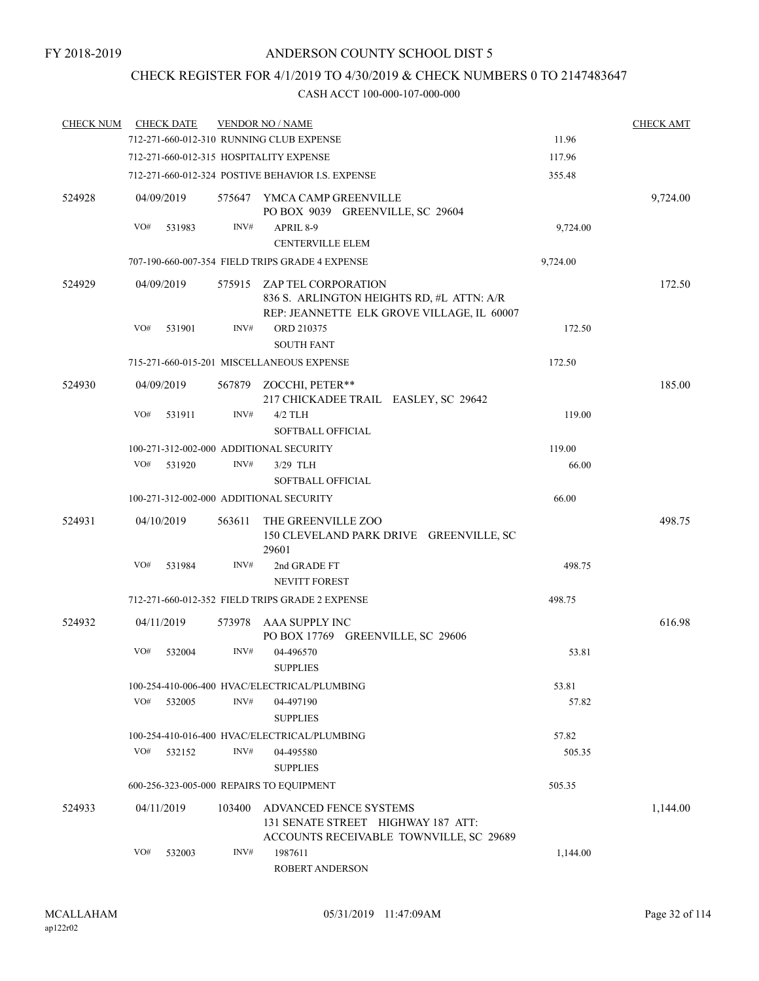## CHECK REGISTER FOR 4/1/2019 TO 4/30/2019 & CHECK NUMBERS 0 TO 2147483647

| <b>CHECK NUM</b> |     | <b>CHECK DATE</b> |        | <b>VENDOR NO / NAME</b>                                                                                               |          | <b>CHECK AMT</b> |
|------------------|-----|-------------------|--------|-----------------------------------------------------------------------------------------------------------------------|----------|------------------|
|                  |     |                   |        | 712-271-660-012-310 RUNNING CLUB EXPENSE                                                                              | 11.96    |                  |
|                  |     |                   |        | 712-271-660-012-315 HOSPITALITY EXPENSE                                                                               | 117.96   |                  |
|                  |     |                   |        | 712-271-660-012-324 POSTIVE BEHAVIOR I.S. EXPENSE                                                                     | 355.48   |                  |
| 524928           |     | 04/09/2019        |        | 575647 YMCA CAMP GREENVILLE<br>PO BOX 9039 GREENVILLE, SC 29604                                                       |          | 9,724.00         |
|                  | VO# | 531983            | INV#   | APRIL 8-9                                                                                                             | 9,724.00 |                  |
|                  |     |                   |        | <b>CENTERVILLE ELEM</b>                                                                                               |          |                  |
|                  |     |                   |        | 707-190-660-007-354 FIELD TRIPS GRADE 4 EXPENSE                                                                       | 9,724.00 |                  |
| 524929           |     | 04/09/2019        |        | 575915 ZAP TEL CORPORATION<br>836 S. ARLINGTON HEIGHTS RD, #L ATTN: A/R<br>REP: JEANNETTE ELK GROVE VILLAGE, IL 60007 |          | 172.50           |
|                  | VO# | 531901            | INV#   | ORD 210375<br><b>SOUTH FANT</b>                                                                                       | 172.50   |                  |
|                  |     |                   |        | 715-271-660-015-201 MISCELLANEOUS EXPENSE                                                                             | 172.50   |                  |
| 524930           |     | 04/09/2019        |        | 567879 ZOCCHI, PETER**<br>217 CHICKADEE TRAIL EASLEY, SC 29642                                                        |          | 185.00           |
|                  | VO# | 531911            | INV#   | $4/2$ TLH<br><b>SOFTBALL OFFICIAL</b>                                                                                 | 119.00   |                  |
|                  |     |                   |        | 100-271-312-002-000 ADDITIONAL SECURITY                                                                               | 119.00   |                  |
|                  | VO# | 531920            | INV#   | $3/29$ TLH                                                                                                            | 66.00    |                  |
|                  |     |                   |        | <b>SOFTBALL OFFICIAL</b>                                                                                              |          |                  |
|                  |     |                   |        | 100-271-312-002-000 ADDITIONAL SECURITY                                                                               | 66.00    |                  |
| 524931           |     | 04/10/2019        | 563611 | THE GREENVILLE ZOO<br>150 CLEVELAND PARK DRIVE GREENVILLE, SC<br>29601                                                |          | 498.75           |
|                  | VO# | 531984            | INV#   | 2nd GRADE FT<br>NEVITT FOREST                                                                                         | 498.75   |                  |
|                  |     |                   |        | 712-271-660-012-352 FIELD TRIPS GRADE 2 EXPENSE                                                                       | 498.75   |                  |
| 524932           |     | 04/11/2019        | 573978 | AAA SUPPLY INC<br>PO BOX 17769 GREENVILLE, SC 29606                                                                   |          | 616.98           |
|                  | VO# | 532004            | INV#   | 04-496570<br><b>SUPPLIES</b>                                                                                          | 53.81    |                  |
|                  |     |                   |        | 100-254-410-006-400 HVAC/ELECTRICAL/PLUMBING                                                                          | 53.81    |                  |
|                  | VO# | 532005            | INV#   | 04-497190<br><b>SUPPLIES</b>                                                                                          | 57.82    |                  |
|                  |     |                   |        | 100-254-410-016-400 HVAC/ELECTRICAL/PLUMBING                                                                          | 57.82    |                  |
|                  | VO# | 532152            | INV#   | 04-495580                                                                                                             | 505.35   |                  |
|                  |     |                   |        | <b>SUPPLIES</b>                                                                                                       |          |                  |
|                  |     |                   |        | 600-256-323-005-000 REPAIRS TO EQUIPMENT                                                                              | 505.35   |                  |
| 524933           |     | 04/11/2019        | 103400 | ADVANCED FENCE SYSTEMS<br>131 SENATE STREET HIGHWAY 187 ATT:<br>ACCOUNTS RECEIVABLE TOWNVILLE, SC 29689               |          | 1,144.00         |
|                  | VO# | 532003            | INV#   | 1987611<br><b>ROBERT ANDERSON</b>                                                                                     | 1,144.00 |                  |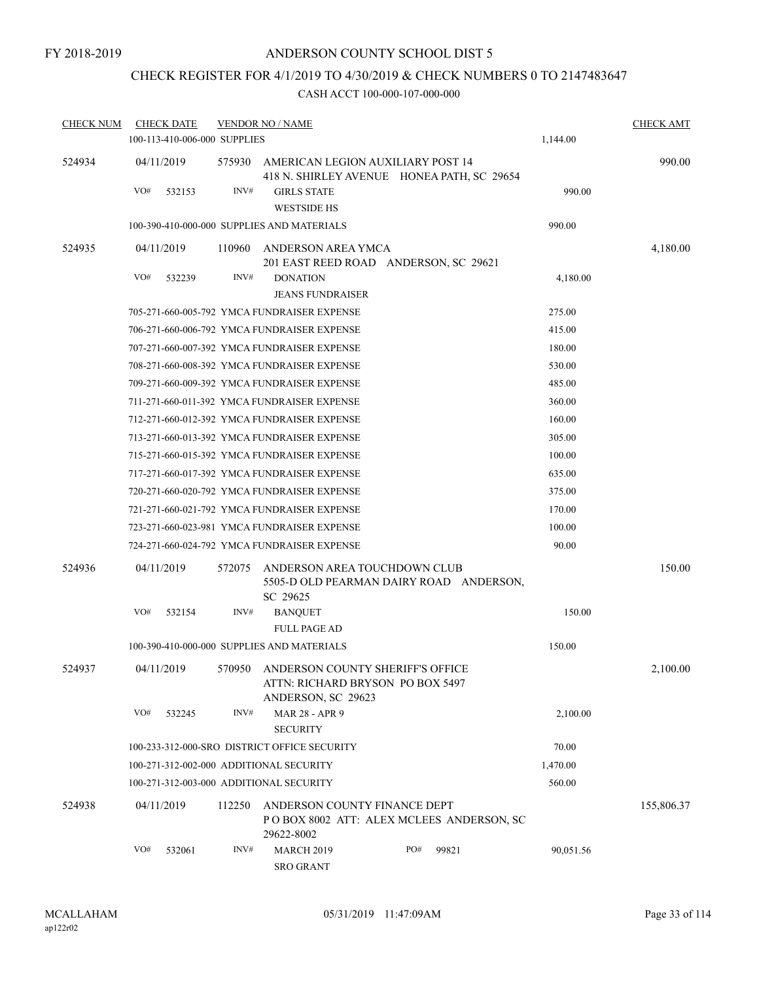# CHECK REGISTER FOR 4/1/2019 TO 4/30/2019 & CHECK NUMBERS 0 TO 2147483647

| <b>CHECK NUM</b> | <b>CHECK DATE</b><br>100-113-410-006-000 SUPPLIES |        | <b>VENDOR NO / NAME</b>                                                                    |     |       | 1,144.00  | <b>CHECK AMT</b> |
|------------------|---------------------------------------------------|--------|--------------------------------------------------------------------------------------------|-----|-------|-----------|------------------|
| 524934           | 04/11/2019                                        | 575930 | AMERICAN LEGION AUXILIARY POST 14<br>418 N. SHIRLEY AVENUE HONEA PATH, SC 29654            |     |       |           | 990.00           |
|                  | VO#<br>532153                                     | INV#   | <b>GIRLS STATE</b><br><b>WESTSIDE HS</b>                                                   |     |       | 990.00    |                  |
|                  |                                                   |        | 100-390-410-000-000 SUPPLIES AND MATERIALS                                                 |     |       | 990.00    |                  |
| 524935           | 04/11/2019                                        | 110960 | ANDERSON AREA YMCA<br>201 EAST REED ROAD ANDERSON, SC 29621                                |     |       |           | 4,180.00         |
|                  | VO#<br>532239                                     | INV#   | <b>DONATION</b><br><b>JEANS FUNDRAISER</b>                                                 |     |       | 4,180.00  |                  |
|                  |                                                   |        | 705-271-660-005-792 YMCA FUNDRAISER EXPENSE                                                |     |       | 275.00    |                  |
|                  |                                                   |        | 706-271-660-006-792 YMCA FUNDRAISER EXPENSE                                                |     |       | 415.00    |                  |
|                  |                                                   |        | 707-271-660-007-392 YMCA FUNDRAISER EXPENSE                                                |     |       | 180.00    |                  |
|                  |                                                   |        | 708-271-660-008-392 YMCA FUNDRAISER EXPENSE                                                |     |       | 530.00    |                  |
|                  |                                                   |        | 709-271-660-009-392 YMCA FUNDRAISER EXPENSE                                                |     |       | 485.00    |                  |
|                  |                                                   |        | 711-271-660-011-392 YMCA FUNDRAISER EXPENSE                                                |     |       | 360.00    |                  |
|                  |                                                   |        | 712-271-660-012-392 YMCA FUNDRAISER EXPENSE                                                |     |       | 160.00    |                  |
|                  |                                                   |        | 713-271-660-013-392 YMCA FUNDRAISER EXPENSE                                                |     |       | 305.00    |                  |
|                  |                                                   |        | 715-271-660-015-392 YMCA FUNDRAISER EXPENSE                                                |     |       | 100.00    |                  |
|                  |                                                   |        | 717-271-660-017-392 YMCA FUNDRAISER EXPENSE                                                |     |       | 635.00    |                  |
|                  |                                                   |        | 720-271-660-020-792 YMCA FUNDRAISER EXPENSE                                                |     |       | 375.00    |                  |
|                  |                                                   |        | 721-271-660-021-792 YMCA FUNDRAISER EXPENSE                                                |     |       | 170.00    |                  |
|                  |                                                   |        | 723-271-660-023-981 YMCA FUNDRAISER EXPENSE                                                |     |       | 100.00    |                  |
|                  |                                                   |        | 724-271-660-024-792 YMCA FUNDRAISER EXPENSE                                                |     |       | 90.00     |                  |
| 524936           | 04/11/2019                                        | 572075 | ANDERSON AREA TOUCHDOWN CLUB<br>5505-D OLD PEARMAN DAIRY ROAD ANDERSON,<br>SC 29625        |     |       |           | 150.00           |
|                  | VO#<br>532154                                     | INV#   | <b>BANQUET</b>                                                                             |     |       | 150.00    |                  |
|                  |                                                   |        | <b>FULL PAGE AD</b>                                                                        |     |       |           |                  |
|                  |                                                   |        | 100-390-410-000-000 SUPPLIES AND MATERIALS                                                 |     |       | 150.00    |                  |
| 524937           | 04/11/2019                                        | 570950 | ANDERSON COUNTY SHERIFF'S OFFICE<br>ATTN: RICHARD BRYSON PO BOX 5497<br>ANDERSON, SC 29623 |     |       |           | 2,100.00         |
|                  | VO#<br>532245                                     | INV#   | MAR 28 - APR 9<br><b>SECURITY</b>                                                          |     |       | 2,100.00  |                  |
|                  |                                                   |        | 100-233-312-000-SRO DISTRICT OFFICE SECURITY                                               |     |       | 70.00     |                  |
|                  | 100-271-312-002-000 ADDITIONAL SECURITY           |        |                                                                                            |     |       | 1,470.00  |                  |
|                  | 100-271-312-003-000 ADDITIONAL SECURITY           |        |                                                                                            |     |       | 560.00    |                  |
| 524938           | 04/11/2019                                        | 112250 | ANDERSON COUNTY FINANCE DEPT<br>POBOX 8002 ATT: ALEX MCLEES ANDERSON, SC<br>29622-8002     |     |       |           | 155,806.37       |
|                  | VO#<br>532061                                     | INV#   | <b>MARCH 2019</b><br><b>SRO GRANT</b>                                                      | PO# | 99821 | 90,051.56 |                  |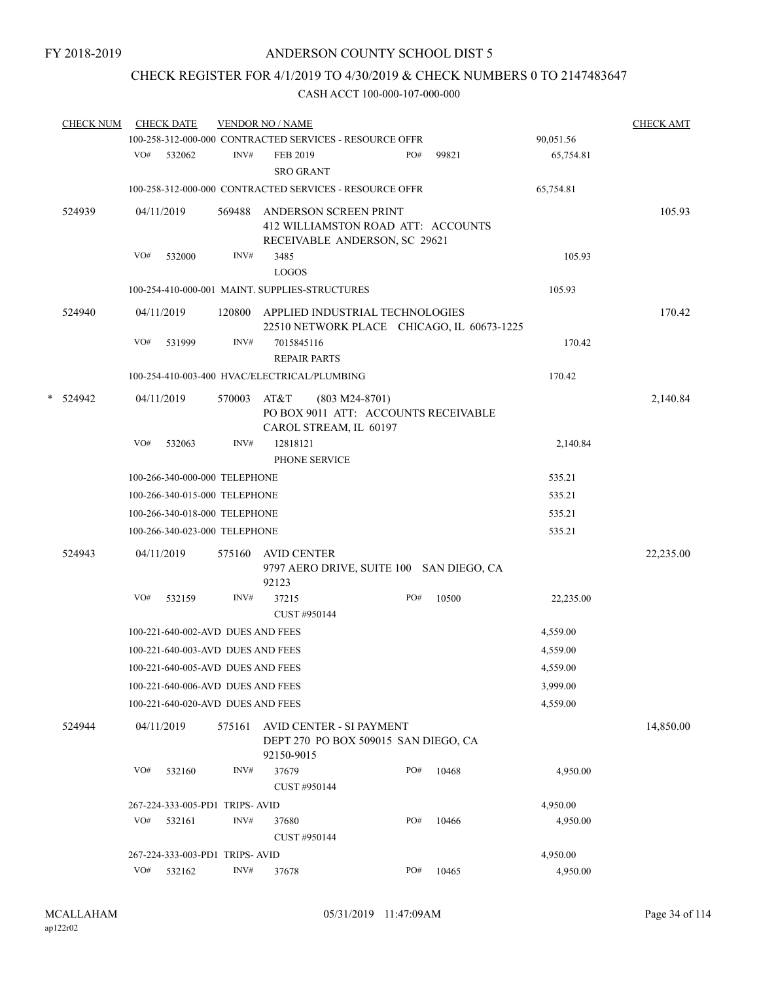# CHECK REGISTER FOR 4/1/2019 TO 4/30/2019 & CHECK NUMBERS 0 TO 2147483647

| <b>CHECK NUM</b> |     | <b>CHECK DATE</b>                 |        | <b>VENDOR NO / NAME</b>                        |                                                                                              |     |                                            |           | <b>CHECK AMT</b> |
|------------------|-----|-----------------------------------|--------|------------------------------------------------|----------------------------------------------------------------------------------------------|-----|--------------------------------------------|-----------|------------------|
|                  |     |                                   |        |                                                | 100-258-312-000-000 CONTRACTED SERVICES - RESOURCE OFFR                                      |     |                                            | 90,051.56 |                  |
|                  |     | VO# 532062                        | INV#   | FEB 2019<br><b>SRO GRANT</b>                   |                                                                                              | PO# | 99821                                      | 65,754.81 |                  |
|                  |     |                                   |        |                                                | 100-258-312-000-000 CONTRACTED SERVICES - RESOURCE OFFR                                      |     |                                            | 65,754.81 |                  |
| 524939           |     | 04/11/2019                        | 569488 |                                                | ANDERSON SCREEN PRINT<br>412 WILLIAMSTON ROAD ATT: ACCOUNTS<br>RECEIVABLE ANDERSON, SC 29621 |     |                                            |           | 105.93           |
|                  | VO# | 532000                            | INV#   | 3485<br><b>LOGOS</b>                           |                                                                                              |     |                                            | 105.93    |                  |
|                  |     |                                   |        | 100-254-410-000-001 MAINT. SUPPLIES-STRUCTURES |                                                                                              |     |                                            | 105.93    |                  |
| 524940           |     | 04/11/2019                        | 120800 |                                                | APPLIED INDUSTRIAL TECHNOLOGIES                                                              |     | 22510 NETWORK PLACE CHICAGO, IL 60673-1225 |           | 170.42           |
|                  | VO# | 531999                            | INV#   | 7015845116<br><b>REPAIR PARTS</b>              |                                                                                              |     |                                            | 170.42    |                  |
|                  |     |                                   |        | 100-254-410-003-400 HVAC/ELECTRICAL/PLUMBING   |                                                                                              |     |                                            | 170.42    |                  |
| * 524942         |     | 04/11/2019                        | 570003 | AT&T                                           | $(803 M24-8701)$<br>PO BOX 9011 ATT: ACCOUNTS RECEIVABLE<br>CAROL STREAM, IL 60197           |     |                                            |           | 2,140.84         |
|                  | VO# | 532063                            | INV#   | 12818121<br>PHONE SERVICE                      |                                                                                              |     |                                            | 2,140.84  |                  |
|                  |     | 100-266-340-000-000 TELEPHONE     |        |                                                |                                                                                              |     |                                            | 535.21    |                  |
|                  |     | 100-266-340-015-000 TELEPHONE     |        |                                                |                                                                                              |     |                                            | 535.21    |                  |
|                  |     | 100-266-340-018-000 TELEPHONE     |        |                                                |                                                                                              |     |                                            | 535.21    |                  |
|                  |     | 100-266-340-023-000 TELEPHONE     |        |                                                |                                                                                              |     |                                            | 535.21    |                  |
| 524943           |     | 04/11/2019                        | 575160 | <b>AVID CENTER</b><br>92123                    |                                                                                              |     | 9797 AERO DRIVE, SUITE 100 SAN DIEGO, CA   |           | 22,235.00        |
|                  | VO# | 532159                            | INV#   | 37215<br>CUST #950144                          |                                                                                              | PO# | 10500                                      | 22,235.00 |                  |
|                  |     | 100-221-640-002-AVD DUES AND FEES |        |                                                |                                                                                              |     |                                            | 4,559.00  |                  |
|                  |     | 100-221-640-003-AVD DUES AND FEES |        |                                                |                                                                                              |     |                                            | 4,559.00  |                  |
|                  |     | 100-221-640-005-AVD DUES AND FEES |        |                                                |                                                                                              |     |                                            | 4,559.00  |                  |
|                  |     | 100-221-640-006-AVD DUES AND FEES |        |                                                |                                                                                              |     |                                            | 3,999.00  |                  |
|                  |     | 100-221-640-020-AVD DUES AND FEES |        |                                                |                                                                                              |     |                                            | 4,559.00  |                  |
| 524944           |     | 04/11/2019                        | 575161 | 92150-9015                                     | AVID CENTER - SI PAYMENT<br>DEPT 270 PO BOX 509015 SAN DIEGO, CA                             |     |                                            |           | 14,850.00        |
|                  | VO# | 532160                            | INV#   | 37679<br>CUST #950144                          |                                                                                              | PO# | 10468                                      | 4,950.00  |                  |
|                  |     | 267-224-333-005-PD1 TRIPS-AVID    |        |                                                |                                                                                              |     |                                            | 4,950.00  |                  |
|                  | VO# | 532161                            | INV#   | 37680<br>CUST #950144                          |                                                                                              | PO# | 10466                                      | 4,950.00  |                  |
|                  |     | 267-224-333-003-PD1 TRIPS-AVID    |        |                                                |                                                                                              |     |                                            | 4,950.00  |                  |
|                  | VO# | 532162                            | INV#   | 37678                                          |                                                                                              | PO# | 10465                                      | 4,950.00  |                  |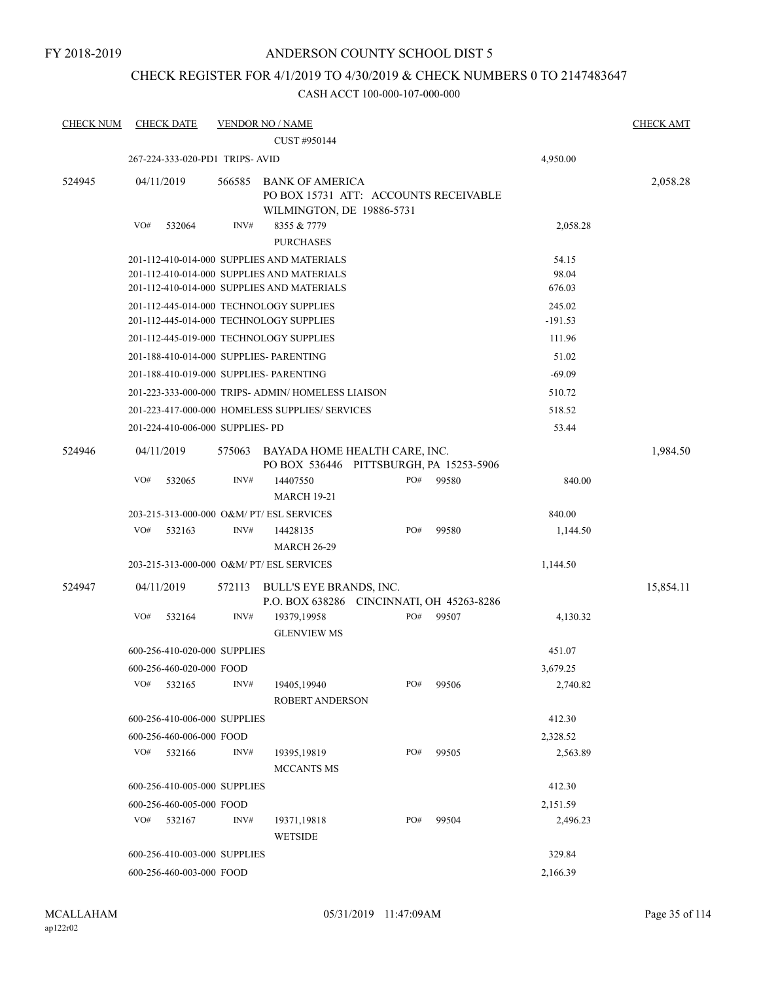## CHECK REGISTER FOR 4/1/2019 TO 4/30/2019 & CHECK NUMBERS 0 TO 2147483647

| <b>CHECK NUM</b> | <b>CHECK DATE</b>                         | <b>VENDOR NO / NAME</b> |                                                                                                                                        |     |       |                          | <b>CHECK AMT</b> |
|------------------|-------------------------------------------|-------------------------|----------------------------------------------------------------------------------------------------------------------------------------|-----|-------|--------------------------|------------------|
|                  |                                           |                         | CUST #950144                                                                                                                           |     |       |                          |                  |
|                  | 267-224-333-020-PD1 TRIPS- AVID           |                         |                                                                                                                                        |     |       | 4,950.00                 |                  |
| 524945           | 04/11/2019                                | 566585                  | <b>BANK OF AMERICA</b><br>PO BOX 15731 ATT: ACCOUNTS RECEIVABLE<br>WILMINGTON, DE 19886-5731                                           |     |       |                          | 2,058.28         |
|                  | VO#<br>532064                             | INV#                    | 8355 & 7779<br><b>PURCHASES</b>                                                                                                        |     |       | 2,058.28                 |                  |
|                  |                                           |                         | 201-112-410-014-000 SUPPLIES AND MATERIALS<br>201-112-410-014-000 SUPPLIES AND MATERIALS<br>201-112-410-014-000 SUPPLIES AND MATERIALS |     |       | 54.15<br>98.04<br>676.03 |                  |
|                  | 201-112-445-014-000 TECHNOLOGY SUPPLIES   |                         | 201-112-445-014-000 TECHNOLOGY SUPPLIES                                                                                                |     |       | 245.02<br>$-191.53$      |                  |
|                  |                                           |                         | 201-112-445-019-000 TECHNOLOGY SUPPLIES                                                                                                |     |       | 111.96                   |                  |
|                  | 201-188-410-014-000 SUPPLIES- PARENTING   |                         |                                                                                                                                        |     |       | 51.02                    |                  |
|                  | 201-188-410-019-000 SUPPLIES- PARENTING   |                         |                                                                                                                                        |     |       | $-69.09$                 |                  |
|                  |                                           |                         | 201-223-333-000-000 TRIPS- ADMIN/ HOMELESS LIAISON                                                                                     |     |       | 510.72                   |                  |
|                  |                                           |                         | 201-223-417-000-000 HOMELESS SUPPLIES/ SERVICES                                                                                        |     |       | 518.52                   |                  |
|                  | 201-224-410-006-000 SUPPLIES- PD          |                         |                                                                                                                                        |     |       | 53.44                    |                  |
| 524946           | 04/11/2019                                | 575063                  | BAYADA HOME HEALTH CARE, INC.<br>PO BOX 536446 PITTSBURGH, PA 15253-5906                                                               |     |       |                          | 1,984.50         |
|                  | VO#<br>532065                             | INV#                    | 14407550<br><b>MARCH 19-21</b>                                                                                                         | PO# | 99580 | 840.00                   |                  |
|                  | 203-215-313-000-000 O&M/ PT/ ESL SERVICES |                         |                                                                                                                                        |     |       | 840.00                   |                  |
|                  | VO#<br>532163                             | INV#                    | 14428135<br><b>MARCH 26-29</b>                                                                                                         | PO# | 99580 | 1,144.50                 |                  |
|                  | 203-215-313-000-000 O&M/ PT/ ESL SERVICES |                         |                                                                                                                                        |     |       | 1,144.50                 |                  |
| 524947           | 04/11/2019                                | 572113                  | BULL'S EYE BRANDS, INC.<br>P.O. BOX 638286 CINCINNATI, OH 45263-8286                                                                   |     |       |                          | 15,854.11        |
|                  | VO#<br>532164                             | INV#                    | 19379,19958<br><b>GLENVIEW MS</b>                                                                                                      | PO# | 99507 | 4,130.32                 |                  |
|                  | 600-256-410-020-000 SUPPLIES              |                         |                                                                                                                                        |     |       | 451.07                   |                  |
|                  | 600-256-460-020-000 FOOD                  |                         |                                                                                                                                        |     |       | 3,679.25                 |                  |
|                  | VO#<br>532165                             | INV#                    | 19405,19940<br>ROBERT ANDERSON                                                                                                         | PO# | 99506 | 2,740.82                 |                  |
|                  | 600-256-410-006-000 SUPPLIES              |                         |                                                                                                                                        |     |       | 412.30                   |                  |
|                  | 600-256-460-006-000 FOOD                  |                         |                                                                                                                                        |     |       | 2,328.52                 |                  |
|                  | VO#<br>532166                             | INV#                    | 19395, 19819<br><b>MCCANTS MS</b>                                                                                                      | PO# | 99505 | 2,563.89                 |                  |
|                  | 600-256-410-005-000 SUPPLIES              |                         |                                                                                                                                        |     |       | 412.30                   |                  |
|                  | 600-256-460-005-000 FOOD                  |                         |                                                                                                                                        |     |       | 2,151.59                 |                  |
|                  | VO#<br>532167                             | INV#                    | 19371,19818<br><b>WETSIDE</b>                                                                                                          | PO# | 99504 | 2,496.23                 |                  |
|                  | 600-256-410-003-000 SUPPLIES              |                         |                                                                                                                                        |     |       | 329.84                   |                  |
|                  | 600-256-460-003-000 FOOD                  |                         |                                                                                                                                        |     |       | 2,166.39                 |                  |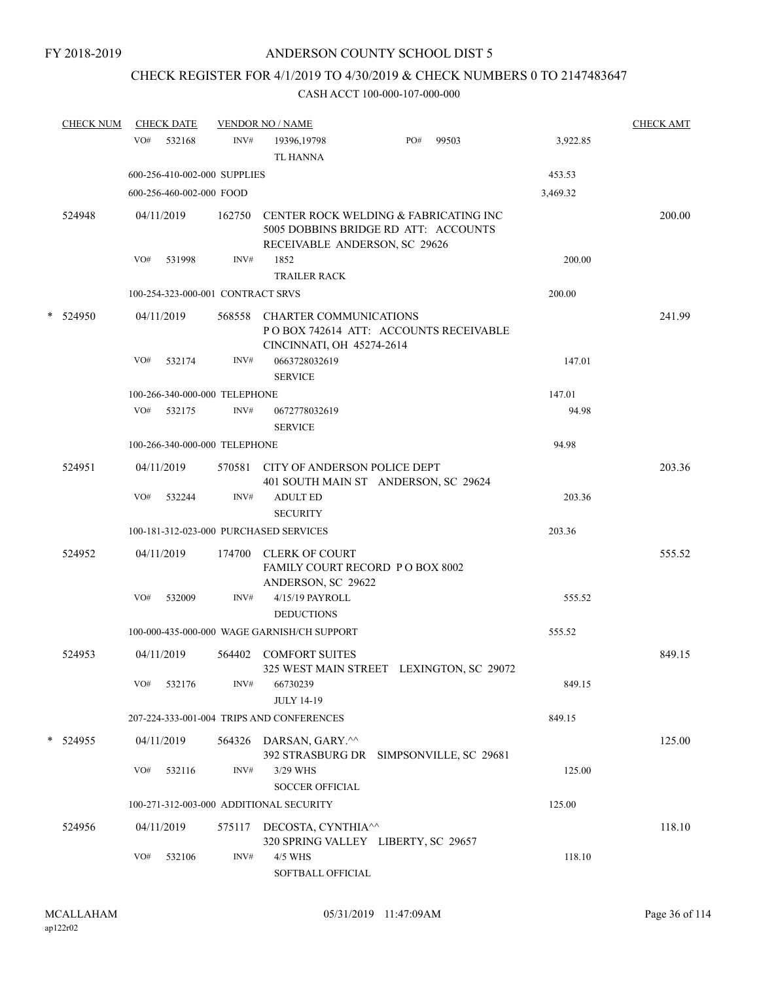# CHECK REGISTER FOR 4/1/2019 TO 4/30/2019 & CHECK NUMBERS 0 TO 2147483647

|   | <b>CHECK NUM</b> | <b>CHECK DATE</b>                       |        | <b>VENDOR NO / NAME</b>                                                                                        |     |       |          | <b>CHECK AMT</b> |
|---|------------------|-----------------------------------------|--------|----------------------------------------------------------------------------------------------------------------|-----|-------|----------|------------------|
|   |                  | VO#<br>532168                           | INV#   | 19396, 19798<br><b>TL HANNA</b>                                                                                | PO# | 99503 | 3,922.85 |                  |
|   |                  | 600-256-410-002-000 SUPPLIES            |        |                                                                                                                |     |       | 453.53   |                  |
|   |                  | 600-256-460-002-000 FOOD                |        |                                                                                                                |     |       | 3,469.32 |                  |
|   | 524948           | 04/11/2019                              | 162750 | CENTER ROCK WELDING & FABRICATING INC<br>5005 DOBBINS BRIDGE RD ATT: ACCOUNTS<br>RECEIVABLE ANDERSON, SC 29626 |     |       |          | 200.00           |
|   |                  | VO#<br>531998                           | INV#   | 1852                                                                                                           |     |       | 200.00   |                  |
|   |                  |                                         |        | <b>TRAILER RACK</b>                                                                                            |     |       |          |                  |
|   |                  | 100-254-323-000-001 CONTRACT SRVS       |        |                                                                                                                |     |       | 200.00   |                  |
| * | 524950           | 04/11/2019                              | 568558 | <b>CHARTER COMMUNICATIONS</b><br>PO BOX 742614 ATT: ACCOUNTS RECEIVABLE<br>CINCINNATI, OH 45274-2614           |     |       |          | 241.99           |
|   |                  | VO#<br>532174                           | INV#   | 0663728032619<br><b>SERVICE</b>                                                                                |     |       | 147.01   |                  |
|   |                  | 100-266-340-000-000 TELEPHONE           |        |                                                                                                                |     |       | 147.01   |                  |
|   |                  | VO#<br>532175                           | INV#   | 0672778032619<br><b>SERVICE</b>                                                                                |     |       | 94.98    |                  |
|   |                  | 100-266-340-000-000 TELEPHONE           |        |                                                                                                                |     |       | 94.98    |                  |
|   | 524951           | 04/11/2019                              | 570581 | CITY OF ANDERSON POLICE DEPT<br>401 SOUTH MAIN ST ANDERSON, SC 29624                                           |     |       |          | 203.36           |
|   |                  | VO#<br>532244                           | INV#   | <b>ADULT ED</b><br><b>SECURITY</b>                                                                             |     |       | 203.36   |                  |
|   |                  | 100-181-312-023-000 PURCHASED SERVICES  |        |                                                                                                                |     |       | 203.36   |                  |
|   | 524952           | 04/11/2019                              | 174700 | <b>CLERK OF COURT</b><br>FAMILY COURT RECORD PO BOX 8002<br>ANDERSON, SC 29622                                 |     |       |          | 555.52           |
|   |                  | VO#<br>532009                           | INV#   | 4/15/19 PAYROLL<br><b>DEDUCTIONS</b>                                                                           |     |       | 555.52   |                  |
|   |                  |                                         |        | 100-000-435-000-000 WAGE GARNISH/CH SUPPORT                                                                    |     |       | 555.52   |                  |
|   | 524953           | 04/11/2019                              | 564402 | <b>COMFORT SUITES</b><br>325 WEST MAIN STREET LEXINGTON, SC 29072                                              |     |       |          | 849.15           |
|   |                  | VO#<br>532176                           | INV#   | 66730239<br><b>JULY 14-19</b>                                                                                  |     |       | 849.15   |                  |
|   |                  |                                         |        | 207-224-333-001-004 TRIPS AND CONFERENCES                                                                      |     |       | 849.15   |                  |
|   | * 524955         | 04/11/2019                              |        | 564326 DARSAN, GARY.^^                                                                                         |     |       |          | 125.00           |
|   |                  | VO#<br>532116                           | INV#   | 392 STRASBURG DR SIMPSONVILLE, SC 29681<br>3/29 WHS                                                            |     |       | 125.00   |                  |
|   |                  |                                         |        | <b>SOCCER OFFICIAL</b>                                                                                         |     |       |          |                  |
|   |                  | 100-271-312-003-000 ADDITIONAL SECURITY |        |                                                                                                                |     |       | 125.00   |                  |
|   | 524956           | 04/11/2019                              | 575117 | DECOSTA, CYNTHIA <sup>^^</sup><br>320 SPRING VALLEY LIBERTY, SC 29657                                          |     |       |          | 118.10           |
|   |                  | VO#<br>532106                           | INV#   | 4/5 WHS<br>SOFTBALL OFFICIAL                                                                                   |     |       | 118.10   |                  |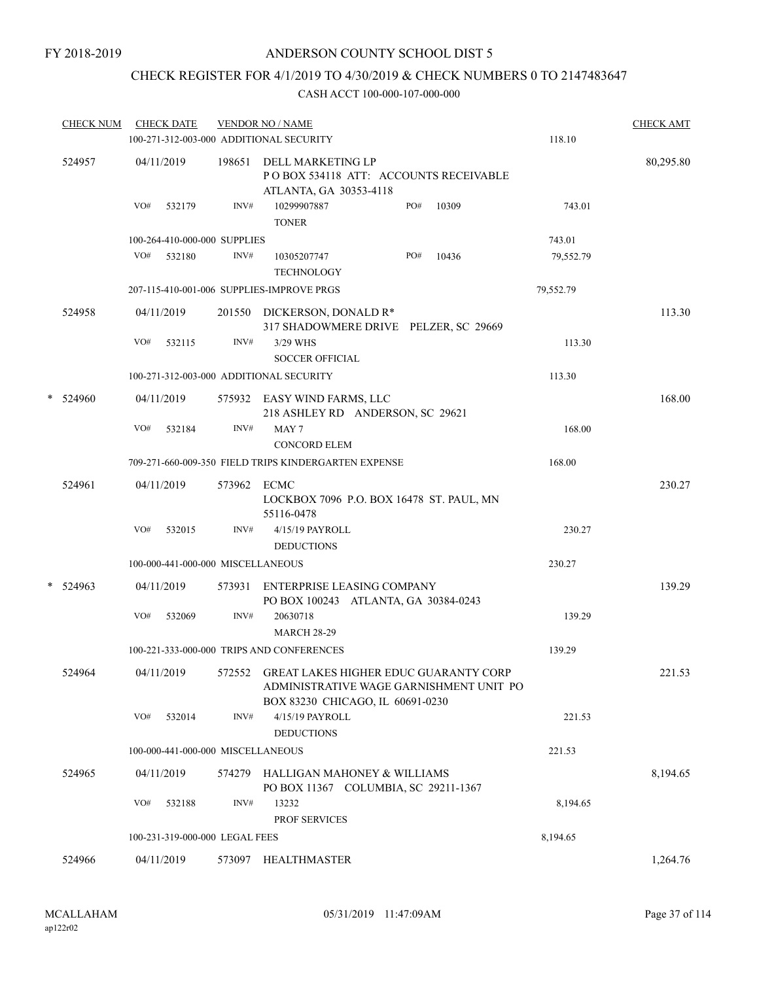## CHECK REGISTER FOR 4/1/2019 TO 4/30/2019 & CHECK NUMBERS 0 TO 2147483647

| <b>CHECK NUM</b> |            | <b>CHECK DATE</b> |                                   | <b>VENDOR NO / NAME</b><br>100-271-312-003-000 ADDITIONAL SECURITY                                                          |     |       | 118.10    | <b>CHECK AMT</b> |
|------------------|------------|-------------------|-----------------------------------|-----------------------------------------------------------------------------------------------------------------------------|-----|-------|-----------|------------------|
|                  |            |                   |                                   |                                                                                                                             |     |       |           |                  |
| 524957           | 04/11/2019 |                   |                                   | 198651 DELL MARKETING LP<br>PO BOX 534118 ATT: ACCOUNTS RECEIVABLE<br>ATLANTA, GA 30353-4118                                |     |       |           | 80,295.80        |
|                  | VO#        | 532179            | INV#                              | 10299907887<br><b>TONER</b>                                                                                                 | PO# | 10309 | 743.01    |                  |
|                  |            |                   | 100-264-410-000-000 SUPPLIES      |                                                                                                                             |     |       | 743.01    |                  |
|                  |            | VO# 532180        | INV#                              | 10305207747<br><b>TECHNOLOGY</b>                                                                                            | PO# | 10436 | 79,552.79 |                  |
|                  |            |                   |                                   | 207-115-410-001-006 SUPPLIES-IMPROVE PRGS                                                                                   |     |       | 79,552.79 |                  |
| 524958           | 04/11/2019 |                   |                                   | 201550 DICKERSON, DONALD R*<br>317 SHADOWMERE DRIVE PELZER, SC 29669                                                        |     |       |           | 113.30           |
|                  | VO#        | 532115            | INV#                              | 3/29 WHS<br><b>SOCCER OFFICIAL</b>                                                                                          |     |       | 113.30    |                  |
|                  |            |                   |                                   | 100-271-312-003-000 ADDITIONAL SECURITY                                                                                     |     |       | 113.30    |                  |
| * 524960         | 04/11/2019 |                   |                                   | 575932 EASY WIND FARMS, LLC<br>218 ASHLEY RD ANDERSON, SC 29621                                                             |     |       |           | 168.00           |
|                  | VO#        | 532184            | INV#                              | MAY <sub>7</sub><br><b>CONCORD ELEM</b>                                                                                     |     |       | 168.00    |                  |
|                  |            |                   |                                   | 709-271-660-009-350 FIELD TRIPS KINDERGARTEN EXPENSE                                                                        |     |       | 168.00    |                  |
| 524961           | 04/11/2019 |                   | 573962 ECMC                       | LOCKBOX 7096 P.O. BOX 16478 ST. PAUL, MN<br>55116-0478                                                                      |     |       |           | 230.27           |
|                  | VO#        | 532015            | INV#                              | 4/15/19 PAYROLL<br><b>DEDUCTIONS</b>                                                                                        |     |       | 230.27    |                  |
|                  |            |                   | 100-000-441-000-000 MISCELLANEOUS |                                                                                                                             |     |       | 230.27    |                  |
| $*$ 524963       | 04/11/2019 |                   | 573931                            | ENTERPRISE LEASING COMPANY<br>PO BOX 100243 ATLANTA, GA 30384-0243                                                          |     |       |           | 139.29           |
|                  | VO#        | 532069            | INV#                              | 20630718<br><b>MARCH 28-29</b>                                                                                              |     |       | 139.29    |                  |
|                  |            |                   |                                   | 100-221-333-000-000 TRIPS AND CONFERENCES                                                                                   |     |       | 139.29    |                  |
| 524964           |            | 04/11/2019        |                                   | 572552 GREAT LAKES HIGHER EDUC GUARANTY CORP<br>ADMINISTRATIVE WAGE GARNISHMENT UNIT PO<br>BOX 83230 CHICAGO, IL 60691-0230 |     |       |           | 221.53           |
|                  | VO#        | 532014            | INV#                              | 4/15/19 PAYROLL<br><b>DEDUCTIONS</b>                                                                                        |     |       | 221.53    |                  |
|                  |            |                   | 100-000-441-000-000 MISCELLANEOUS |                                                                                                                             |     |       | 221.53    |                  |
| 524965           | 04/11/2019 |                   | 574279                            | HALLIGAN MAHONEY & WILLIAMS<br>PO BOX 11367 COLUMBIA, SC 29211-1367                                                         |     |       |           | 8,194.65         |
|                  | VO#        | 532188            | INV#                              | 13232<br>PROF SERVICES                                                                                                      |     |       | 8,194.65  |                  |
|                  |            |                   | 100-231-319-000-000 LEGAL FEES    |                                                                                                                             |     |       | 8,194.65  |                  |
| 524966           | 04/11/2019 |                   |                                   | 573097 HEALTHMASTER                                                                                                         |     |       |           | 1,264.76         |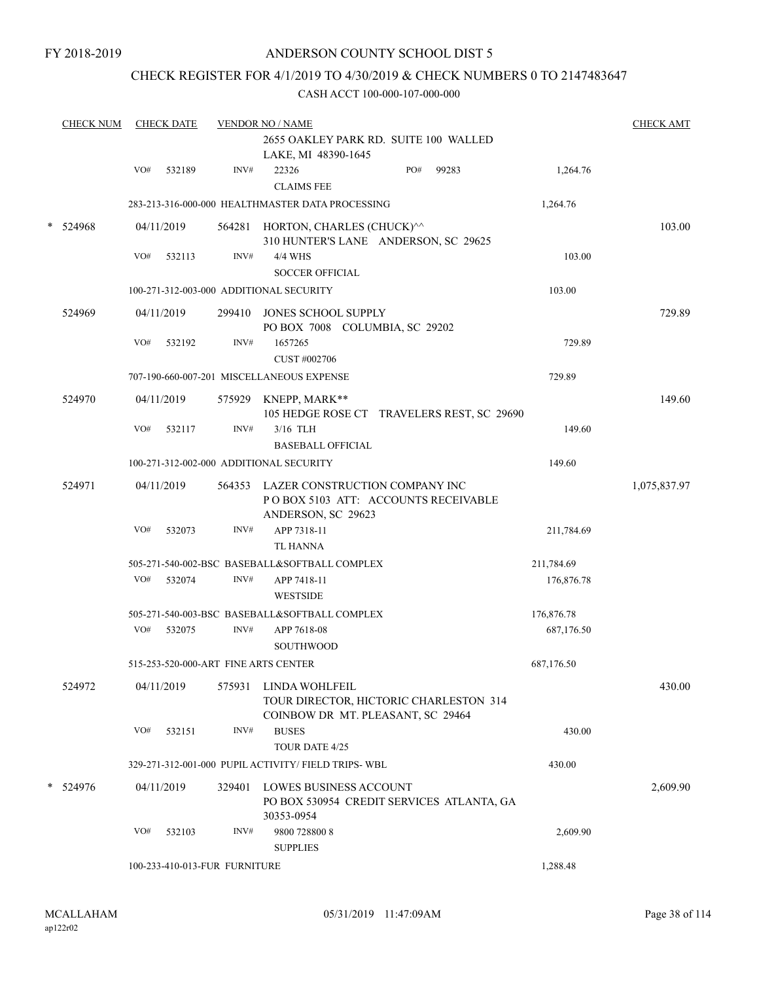FY 2018-2019

## ANDERSON COUNTY SCHOOL DIST 5

## CHECK REGISTER FOR 4/1/2019 TO 4/30/2019 & CHECK NUMBERS 0 TO 2147483647

|        | <b>CHECK NUM</b> |     | <b>CHECK DATE</b> |                               | <b>VENDOR NO / NAME</b>                                                                             |     |       |            | <b>CHECK AMT</b> |
|--------|------------------|-----|-------------------|-------------------------------|-----------------------------------------------------------------------------------------------------|-----|-------|------------|------------------|
|        |                  |     |                   |                               | 2655 OAKLEY PARK RD. SUITE 100 WALLED<br>LAKE, MI 48390-1645                                        |     |       |            |                  |
|        |                  | VO# | 532189            | INV#                          | 22326<br><b>CLAIMS FEE</b>                                                                          | PO# | 99283 | 1,264.76   |                  |
|        |                  |     |                   |                               | 283-213-316-000-000 HEALTHMASTER DATA PROCESSING                                                    |     |       | 1,264.76   |                  |
| $\ast$ | 524968           |     | 04/11/2019        |                               | 564281 HORTON, CHARLES (CHUCK)^^<br>310 HUNTER'S LANE ANDERSON, SC 29625                            |     |       |            | 103.00           |
|        |                  | VO# | 532113            | INV#                          | 4/4 WHS<br><b>SOCCER OFFICIAL</b>                                                                   |     |       | 103.00     |                  |
|        |                  |     |                   |                               | 100-271-312-003-000 ADDITIONAL SECURITY                                                             |     |       | 103.00     |                  |
|        | 524969           |     | 04/11/2019        | 299410                        | JONES SCHOOL SUPPLY<br>PO BOX 7008 COLUMBIA, SC 29202                                               |     |       |            | 729.89           |
|        |                  | VO# | 532192            | INV#                          | 1657265<br>CUST #002706                                                                             |     |       | 729.89     |                  |
|        |                  |     |                   |                               | 707-190-660-007-201 MISCELLANEOUS EXPENSE                                                           |     |       | 729.89     |                  |
|        | 524970           |     | 04/11/2019        |                               | 575929 KNEPP, MARK**<br>105 HEDGE ROSE CT TRAVELERS REST, SC 29690                                  |     |       |            | 149.60           |
|        |                  | VO# | 532117            | INV#                          | 3/16 TLH<br><b>BASEBALL OFFICIAL</b>                                                                |     |       | 149.60     |                  |
|        |                  |     |                   |                               | 100-271-312-002-000 ADDITIONAL SECURITY                                                             |     |       | 149.60     |                  |
|        | 524971           |     | 04/11/2019        |                               | 564353 LAZER CONSTRUCTION COMPANY INC<br>PO BOX 5103 ATT: ACCOUNTS RECEIVABLE<br>ANDERSON, SC 29623 |     |       |            | 1,075,837.97     |
|        |                  | VO# | 532073            | INV#                          | APP 7318-11<br>TL HANNA                                                                             |     |       | 211,784.69 |                  |
|        |                  |     |                   |                               | 505-271-540-002-BSC BASEBALL&SOFTBALL COMPLEX                                                       |     |       | 211,784.69 |                  |
|        |                  | VO# | 532074            | INV#                          | APP 7418-11<br><b>WESTSIDE</b>                                                                      |     |       | 176,876.78 |                  |
|        |                  |     |                   |                               | 505-271-540-003-BSC BASEBALL&SOFTBALL COMPLEX                                                       |     |       | 176,876.78 |                  |
|        |                  |     | VO# 532075        | INV#                          | APP 7618-08<br><b>SOUTHWOOD</b>                                                                     |     |       | 687,176.50 |                  |
|        |                  |     |                   |                               | 515-253-520-000-ART FINE ARTS CENTER                                                                |     |       | 687,176.50 |                  |
|        | 524972           |     | 04/11/2019        | 575931                        | LINDA WOHLFEIL<br>TOUR DIRECTOR, HICTORIC CHARLESTON 314<br>COINBOW DR MT. PLEASANT, SC 29464       |     |       |            | 430.00           |
|        |                  | VO# | 532151            | INV#                          | <b>BUSES</b><br>TOUR DATE 4/25                                                                      |     |       | 430.00     |                  |
|        |                  |     |                   |                               | 329-271-312-001-000 PUPIL ACTIVITY/ FIELD TRIPS-WBL                                                 |     |       | 430.00     |                  |
|        | 524976           |     | 04/11/2019        | 329401                        | LOWES BUSINESS ACCOUNT<br>PO BOX 530954 CREDIT SERVICES ATLANTA, GA<br>30353-0954                   |     |       |            | 2,609.90         |
|        |                  | VO# | 532103            | INV#                          | 9800 728800 8<br><b>SUPPLIES</b>                                                                    |     |       | 2,609.90   |                  |
|        |                  |     |                   | 100-233-410-013-FUR FURNITURE |                                                                                                     |     |       | 1,288.48   |                  |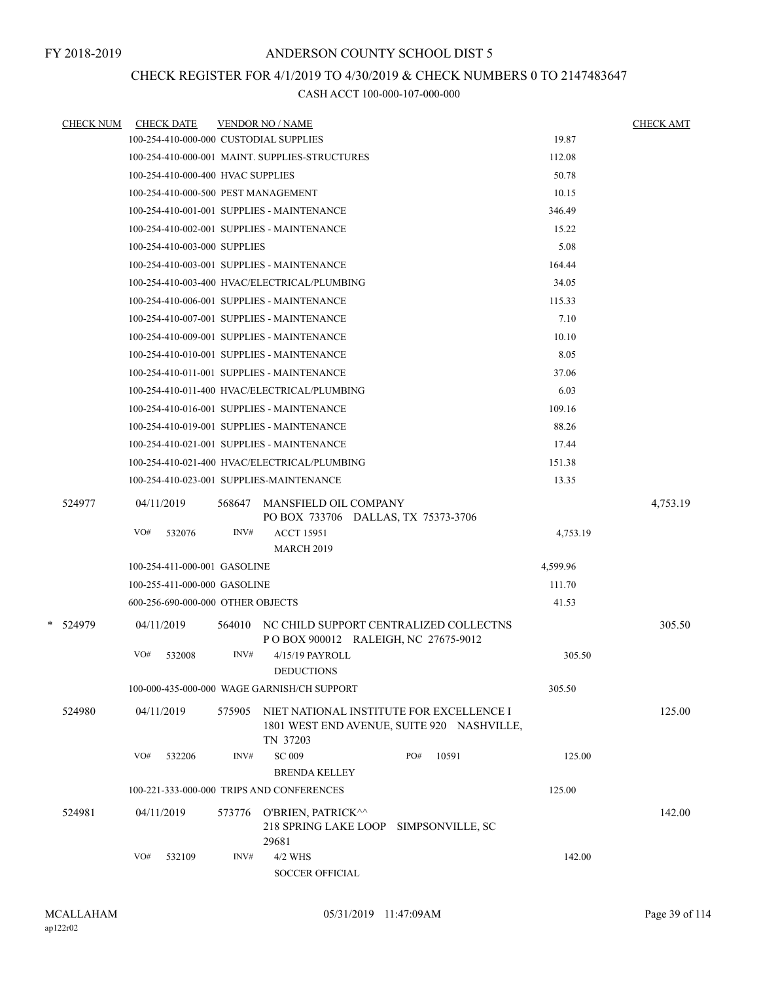## CHECK REGISTER FOR 4/1/2019 TO 4/30/2019 & CHECK NUMBERS 0 TO 2147483647

| <u>CHECK NUM</u> | <b>CHECK DATE</b>                   |        | <b>VENDOR NO / NAME</b>                        |                                                                                        |          | <b>CHECK AMT</b> |
|------------------|-------------------------------------|--------|------------------------------------------------|----------------------------------------------------------------------------------------|----------|------------------|
|                  |                                     |        | 100-254-410-000-000 CUSTODIAL SUPPLIES         |                                                                                        | 19.87    |                  |
|                  |                                     |        | 100-254-410-000-001 MAINT. SUPPLIES-STRUCTURES |                                                                                        | 112.08   |                  |
|                  | 100-254-410-000-400 HVAC SUPPLIES   |        |                                                |                                                                                        | 50.78    |                  |
|                  | 100-254-410-000-500 PEST MANAGEMENT |        |                                                |                                                                                        | 10.15    |                  |
|                  |                                     |        | 100-254-410-001-001 SUPPLIES - MAINTENANCE     |                                                                                        | 346.49   |                  |
|                  |                                     |        | 100-254-410-002-001 SUPPLIES - MAINTENANCE     |                                                                                        | 15.22    |                  |
|                  | 100-254-410-003-000 SUPPLIES        |        |                                                |                                                                                        | 5.08     |                  |
|                  |                                     |        | 100-254-410-003-001 SUPPLIES - MAINTENANCE     |                                                                                        | 164.44   |                  |
|                  |                                     |        | 100-254-410-003-400 HVAC/ELECTRICAL/PLUMBING   |                                                                                        | 34.05    |                  |
|                  |                                     |        | 100-254-410-006-001 SUPPLIES - MAINTENANCE     |                                                                                        | 115.33   |                  |
|                  |                                     |        | 100-254-410-007-001 SUPPLIES - MAINTENANCE     |                                                                                        | 7.10     |                  |
|                  |                                     |        | 100-254-410-009-001 SUPPLIES - MAINTENANCE     |                                                                                        | 10.10    |                  |
|                  |                                     |        | 100-254-410-010-001 SUPPLIES - MAINTENANCE     |                                                                                        | 8.05     |                  |
|                  |                                     |        | 100-254-410-011-001 SUPPLIES - MAINTENANCE     |                                                                                        | 37.06    |                  |
|                  |                                     |        | 100-254-410-011-400 HVAC/ELECTRICAL/PLUMBING   |                                                                                        | 6.03     |                  |
|                  |                                     |        | 100-254-410-016-001 SUPPLIES - MAINTENANCE     |                                                                                        | 109.16   |                  |
|                  |                                     |        | 100-254-410-019-001 SUPPLIES - MAINTENANCE     |                                                                                        | 88.26    |                  |
|                  |                                     |        | 100-254-410-021-001 SUPPLIES - MAINTENANCE     |                                                                                        | 17.44    |                  |
|                  |                                     |        | 100-254-410-021-400 HVAC/ELECTRICAL/PLUMBING   |                                                                                        | 151.38   |                  |
|                  |                                     |        | 100-254-410-023-001 SUPPLIES-MAINTENANCE       |                                                                                        | 13.35    |                  |
| 524977           | 04/11/2019                          | 568647 | MANSFIELD OIL COMPANY                          | PO BOX 733706 DALLAS, TX 75373-3706                                                    |          | 4,753.19         |
|                  | VO#<br>532076                       | INV#   | <b>ACCT 15951</b><br><b>MARCH 2019</b>         |                                                                                        | 4,753.19 |                  |
|                  | 100-254-411-000-001 GASOLINE        |        |                                                |                                                                                        | 4,599.96 |                  |
|                  | 100-255-411-000-000 GASOLINE        |        |                                                |                                                                                        | 111.70   |                  |
|                  | 600-256-690-000-000 OTHER OBJECTS   |        |                                                |                                                                                        | 41.53    |                  |
| * 524979         | 04/11/2019                          | 564010 |                                                | NC CHILD SUPPORT CENTRALIZED COLLECTNS<br>POBOX 900012 RALEIGH, NC 27675-9012          |          | 305.50           |
|                  | VO#<br>532008                       | INV#   | 4/15/19 PAYROLL                                |                                                                                        | 305.50   |                  |
|                  |                                     |        | <b>DEDUCTIONS</b>                              |                                                                                        |          |                  |
|                  |                                     |        | 100-000-435-000-000 WAGE GARNISH/CH SUPPORT    |                                                                                        | 305.50   |                  |
| 524980           | 04/11/2019                          | 575905 | TN 37203                                       | NIET NATIONAL INSTITUTE FOR EXCELLENCE I<br>1801 WEST END AVENUE, SUITE 920 NASHVILLE, |          | 125.00           |
|                  | VO#<br>532206                       | INV#   | <b>SC 009</b><br><b>BRENDA KELLEY</b>          | PO#<br>10591                                                                           | 125.00   |                  |
|                  |                                     |        | 100-221-333-000-000 TRIPS AND CONFERENCES      |                                                                                        | 125.00   |                  |
| 524981           | 04/11/2019                          | 573776 | O'BRIEN, PATRICK^^<br>29681                    | 218 SPRING LAKE LOOP SIMPSONVILLE, SC                                                  |          | 142.00           |
|                  | VO#<br>532109                       | INV#   | 4/2 WHS<br><b>SOCCER OFFICIAL</b>              |                                                                                        | 142.00   |                  |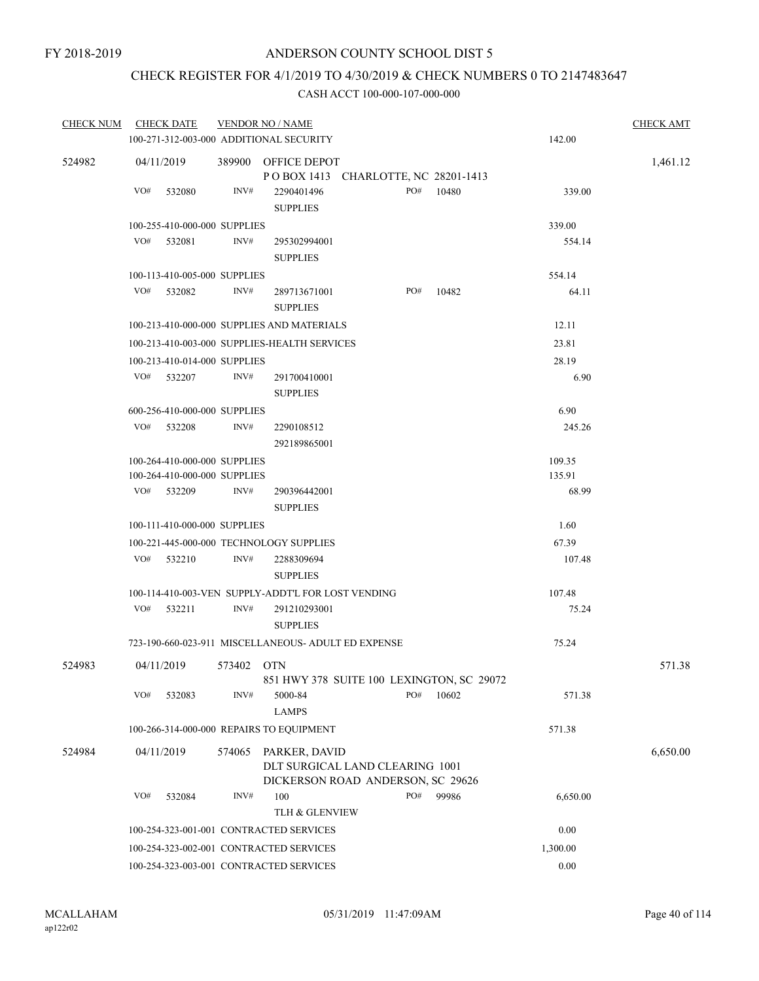## CHECK REGISTER FOR 4/1/2019 TO 4/30/2019 & CHECK NUMBERS 0 TO 2147483647

| <b>CHECK NUM</b> | <b>CHECK DATE</b>                                            | <b>VENDOR NO / NAME</b>                                                                         | <b>CHECK AMT</b> |
|------------------|--------------------------------------------------------------|-------------------------------------------------------------------------------------------------|------------------|
|                  |                                                              | 100-271-312-003-000 ADDITIONAL SECURITY<br>142.00                                               |                  |
| 524982           | 04/11/2019                                                   | 389900 OFFICE DEPOT<br>POBOX 1413 CHARLOTTE, NC 28201-1413                                      | 1,461.12         |
|                  | VO#<br>532080                                                | PO#<br>INV#<br>10480<br>2290401496<br>339.00<br><b>SUPPLIES</b>                                 |                  |
|                  | 100-255-410-000-000 SUPPLIES                                 | 339.00                                                                                          |                  |
|                  | VO#<br>532081                                                | INV#<br>295302994001<br>554.14<br><b>SUPPLIES</b>                                               |                  |
|                  | 100-113-410-005-000 SUPPLIES                                 | 554.14                                                                                          |                  |
|                  | VO#<br>532082                                                | INV#<br>PO#<br>10482<br>64.11<br>289713671001<br><b>SUPPLIES</b>                                |                  |
|                  |                                                              | 12.11<br>100-213-410-000-000 SUPPLIES AND MATERIALS                                             |                  |
|                  |                                                              | 100-213-410-003-000 SUPPLIES-HEALTH SERVICES<br>23.81                                           |                  |
|                  | 100-213-410-014-000 SUPPLIES                                 | 28.19                                                                                           |                  |
|                  | VO#<br>532207                                                | INV#<br>291700410001<br>6.90<br><b>SUPPLIES</b>                                                 |                  |
|                  | 600-256-410-000-000 SUPPLIES                                 | 6.90                                                                                            |                  |
|                  | VO#<br>532208                                                | INV#<br>2290108512<br>245.26<br>292189865001                                                    |                  |
|                  | 100-264-410-000-000 SUPPLIES<br>100-264-410-000-000 SUPPLIES | 109.35<br>135.91                                                                                |                  |
|                  | VO#<br>532209                                                | INV#<br>68.99<br>290396442001<br><b>SUPPLIES</b>                                                |                  |
|                  | 100-111-410-000-000 SUPPLIES                                 | 1.60                                                                                            |                  |
|                  |                                                              | 67.39<br>100-221-445-000-000 TECHNOLOGY SUPPLIES                                                |                  |
|                  | VO#<br>532210                                                | INV#<br>2288309694<br>107.48<br><b>SUPPLIES</b>                                                 |                  |
|                  |                                                              | 100-114-410-003-VEN SUPPLY-ADDT'L FOR LOST VENDING<br>107.48                                    |                  |
|                  | VO#<br>532211                                                | INV#<br>75.24<br>291210293001<br><b>SUPPLIES</b>                                                |                  |
|                  |                                                              | 75.24<br>723-190-660-023-911 MISCELLANEOUS- ADULT ED EXPENSE                                    |                  |
| 524983           | 04/11/2019                                                   | 573402 OTN<br>851 HWY 378 SUITE 100 LEXINGTON, SC 29072                                         | 571.38           |
|                  | VO#<br>532083                                                | PO#<br>INV#<br>5000-84<br>10602<br>571.38<br><b>LAMPS</b>                                       |                  |
|                  |                                                              | 100-266-314-000-000 REPAIRS TO EQUIPMENT<br>571.38                                              |                  |
| 524984           | 04/11/2019                                                   | 574065<br>PARKER, DAVID<br>DLT SURGICAL LAND CLEARING 1001<br>DICKERSON ROAD ANDERSON, SC 29626 | 6,650.00         |
|                  | VO#<br>532084                                                | PO#<br>INV#<br>100<br>99986<br>6,650.00<br>TLH & GLENVIEW                                       |                  |
|                  |                                                              | 0.00<br>100-254-323-001-001 CONTRACTED SERVICES                                                 |                  |
|                  |                                                              | 100-254-323-002-001 CONTRACTED SERVICES<br>1,300.00                                             |                  |
|                  |                                                              | 0.00<br>100-254-323-003-001 CONTRACTED SERVICES                                                 |                  |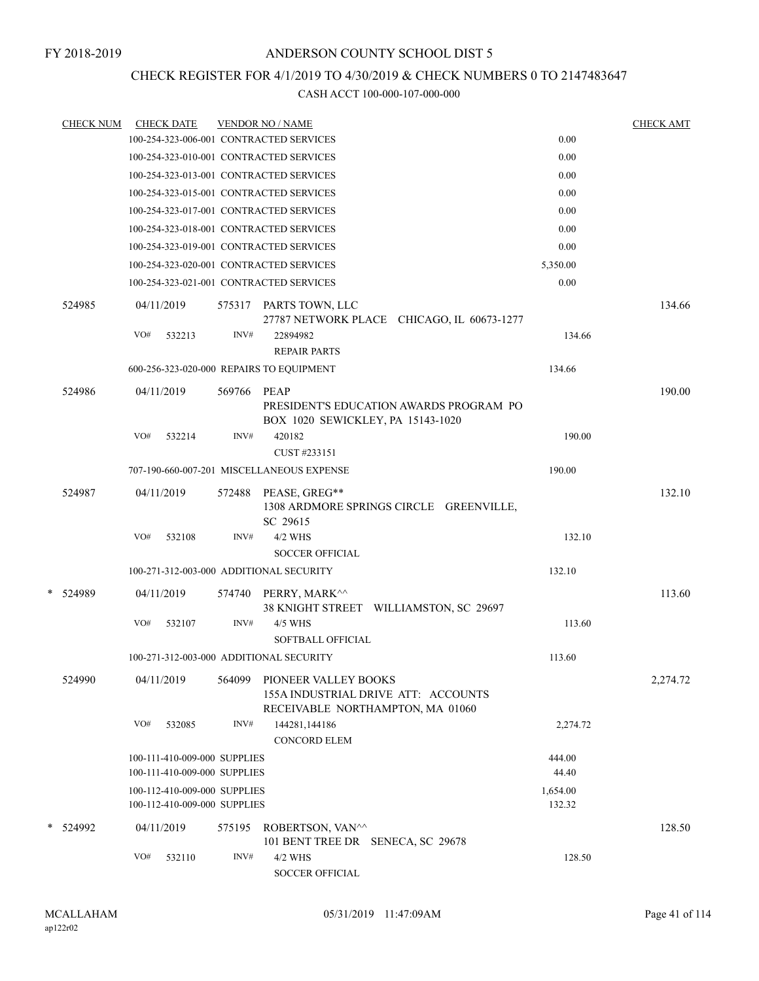## CHECK REGISTER FOR 4/1/2019 TO 4/30/2019 & CHECK NUMBERS 0 TO 2147483647

|   | <b>CHECK NUM</b> |            | <b>CHECK DATE</b>            |        | <b>VENDOR NO / NAME</b>                                                                         |  |          | <b>CHECK AMT</b> |
|---|------------------|------------|------------------------------|--------|-------------------------------------------------------------------------------------------------|--|----------|------------------|
|   |                  |            |                              |        | 100-254-323-006-001 CONTRACTED SERVICES                                                         |  | 0.00     |                  |
|   |                  |            |                              |        | 100-254-323-010-001 CONTRACTED SERVICES                                                         |  | 0.00     |                  |
|   |                  |            |                              |        | 100-254-323-013-001 CONTRACTED SERVICES                                                         |  | 0.00     |                  |
|   |                  |            |                              |        | 100-254-323-015-001 CONTRACTED SERVICES                                                         |  | 0.00     |                  |
|   |                  |            |                              |        | 100-254-323-017-001 CONTRACTED SERVICES                                                         |  | 0.00     |                  |
|   |                  |            |                              |        | 100-254-323-018-001 CONTRACTED SERVICES                                                         |  | 0.00     |                  |
|   |                  |            |                              |        | 100-254-323-019-001 CONTRACTED SERVICES                                                         |  | 0.00     |                  |
|   |                  |            |                              |        | 100-254-323-020-001 CONTRACTED SERVICES                                                         |  | 5,350.00 |                  |
|   |                  |            |                              |        | 100-254-323-021-001 CONTRACTED SERVICES                                                         |  | 0.00     |                  |
|   | 524985           |            | 04/11/2019                   |        | 575317 PARTS TOWN, LLC<br>27787 NETWORK PLACE CHICAGO, IL 60673-1277                            |  |          | 134.66           |
|   |                  | VO#        | 532213                       | INV#   | 22894982                                                                                        |  | 134.66   |                  |
|   |                  |            |                              |        | <b>REPAIR PARTS</b>                                                                             |  |          |                  |
|   |                  |            |                              |        | 600-256-323-020-000 REPAIRS TO EQUIPMENT                                                        |  | 134.66   |                  |
|   | 524986           | 04/11/2019 |                              | 569766 | PEAP<br>PRESIDENT'S EDUCATION AWARDS PROGRAM PO<br>BOX 1020 SEWICKLEY, PA 15143-1020            |  |          | 190.00           |
|   |                  | VO#        | 532214                       | INV#   | 420182<br>CUST #233151                                                                          |  | 190.00   |                  |
|   |                  |            |                              |        | 707-190-660-007-201 MISCELLANEOUS EXPENSE                                                       |  | 190.00   |                  |
|   | 524987           |            | 04/11/2019                   | 572488 | PEASE, GREG**<br>1308 ARDMORE SPRINGS CIRCLE GREENVILLE,<br>SC 29615                            |  |          | 132.10           |
|   |                  | VO#        | 532108                       | INV#   | 4/2 WHS<br><b>SOCCER OFFICIAL</b>                                                               |  | 132.10   |                  |
|   |                  |            |                              |        | 100-271-312-003-000 ADDITIONAL SECURITY                                                         |  | 132.10   |                  |
| * | 524989           |            | 04/11/2019                   | 574740 | PERRY, MARK^^                                                                                   |  |          | 113.60           |
|   |                  |            |                              |        | 38 KNIGHT STREET WILLIAMSTON, SC 29697                                                          |  |          |                  |
|   |                  | VO#        | 532107                       | INV#   | 4/5 WHS<br><b>SOFTBALL OFFICIAL</b>                                                             |  | 113.60   |                  |
|   |                  |            |                              |        | 100-271-312-003-000 ADDITIONAL SECURITY                                                         |  | 113.60   |                  |
|   | 524990           |            | 04/11/2019                   | 564099 | PIONEER VALLEY BOOKS<br>155A INDUSTRIAL DRIVE ATT: ACCOUNTS<br>RECEIVABLE NORTHAMPTON, MA 01060 |  |          | 2,274.72         |
|   |                  | VO#        | 532085                       | INV#   | 144281,144186<br><b>CONCORD ELEM</b>                                                            |  | 2,274.72 |                  |
|   |                  |            | 100-111-410-009-000 SUPPLIES |        |                                                                                                 |  | 444.00   |                  |
|   |                  |            | 100-111-410-009-000 SUPPLIES |        |                                                                                                 |  | 44.40    |                  |
|   |                  |            | 100-112-410-009-000 SUPPLIES |        |                                                                                                 |  | 1,654.00 |                  |
|   |                  |            | 100-112-410-009-000 SUPPLIES |        |                                                                                                 |  | 132.32   |                  |
|   | * 524992         | 04/11/2019 |                              | 575195 | ROBERTSON, VAN^^<br>101 BENT TREE DR SENECA, SC 29678                                           |  |          | 128.50           |
|   |                  | VO#        | 532110                       | INV#   | 4/2 WHS<br><b>SOCCER OFFICIAL</b>                                                               |  | 128.50   |                  |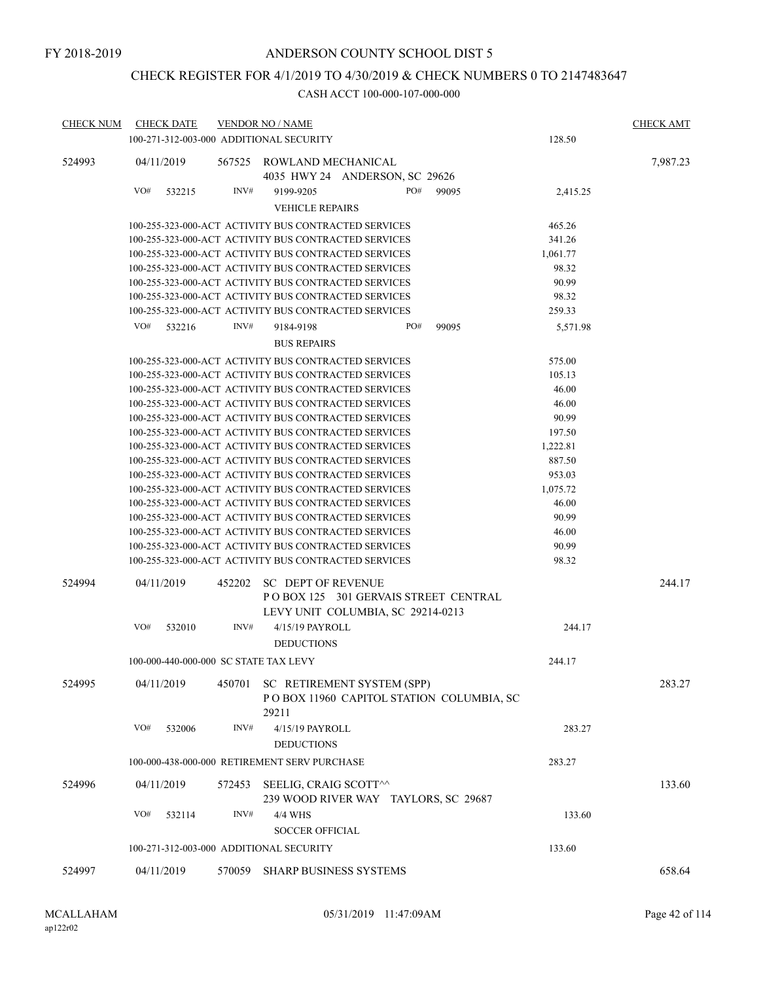## CHECK REGISTER FOR 4/1/2019 TO 4/30/2019 & CHECK NUMBERS 0 TO 2147483647

| <b>CHECK NUM</b> | <b>CHECK DATE</b>                                    |        | <b>VENDOR NO / NAME</b>                                                                                      |                                                                           |                                          |                 | <b>CHECK AMT</b> |
|------------------|------------------------------------------------------|--------|--------------------------------------------------------------------------------------------------------------|---------------------------------------------------------------------------|------------------------------------------|-----------------|------------------|
|                  | 100-271-312-003-000 ADDITIONAL SECURITY              |        |                                                                                                              |                                                                           |                                          | 128.50          |                  |
| 524993           | 04/11/2019                                           | 567525 | ROWLAND MECHANICAL                                                                                           | 4035 HWY 24 ANDERSON, SC 29626                                            |                                          |                 | 7,987.23         |
|                  | VO#<br>532215                                        | INV#   | 9199-9205                                                                                                    | PO#                                                                       | 99095                                    | 2,415.25        |                  |
|                  |                                                      |        | <b>VEHICLE REPAIRS</b>                                                                                       |                                                                           |                                          |                 |                  |
|                  |                                                      |        | 100-255-323-000-ACT ACTIVITY BUS CONTRACTED SERVICES                                                         |                                                                           |                                          | 465.26          |                  |
|                  |                                                      |        | 100-255-323-000-ACT ACTIVITY BUS CONTRACTED SERVICES                                                         |                                                                           |                                          | 341.26          |                  |
|                  | 100-255-323-000-ACT ACTIVITY BUS CONTRACTED SERVICES |        |                                                                                                              |                                                                           |                                          | 1,061.77        |                  |
|                  |                                                      |        | 100-255-323-000-ACT ACTIVITY BUS CONTRACTED SERVICES                                                         |                                                                           |                                          | 98.32           |                  |
|                  |                                                      |        | 100-255-323-000-ACT ACTIVITY BUS CONTRACTED SERVICES                                                         |                                                                           |                                          | 90.99           |                  |
|                  |                                                      |        | 100-255-323-000-ACT ACTIVITY BUS CONTRACTED SERVICES<br>100-255-323-000-ACT ACTIVITY BUS CONTRACTED SERVICES |                                                                           |                                          | 98.32<br>259.33 |                  |
|                  |                                                      |        |                                                                                                              |                                                                           |                                          |                 |                  |
|                  | VO#<br>532216                                        | INV#   | 9184-9198<br><b>BUS REPAIRS</b>                                                                              | PO#                                                                       | 99095                                    | 5,571.98        |                  |
|                  |                                                      |        | 100-255-323-000-ACT ACTIVITY BUS CONTRACTED SERVICES                                                         |                                                                           |                                          | 575.00          |                  |
|                  |                                                      |        | 100-255-323-000-ACT ACTIVITY BUS CONTRACTED SERVICES                                                         |                                                                           |                                          | 105.13          |                  |
|                  |                                                      |        | 100-255-323-000-ACT ACTIVITY BUS CONTRACTED SERVICES                                                         |                                                                           |                                          | 46.00           |                  |
|                  |                                                      |        | 100-255-323-000-ACT ACTIVITY BUS CONTRACTED SERVICES                                                         |                                                                           |                                          | 46.00           |                  |
|                  |                                                      |        | 100-255-323-000-ACT ACTIVITY BUS CONTRACTED SERVICES                                                         |                                                                           |                                          | 90.99           |                  |
|                  |                                                      |        | 100-255-323-000-ACT ACTIVITY BUS CONTRACTED SERVICES                                                         |                                                                           |                                          | 197.50          |                  |
|                  |                                                      |        | 100-255-323-000-ACT ACTIVITY BUS CONTRACTED SERVICES                                                         |                                                                           |                                          | 1,222.81        |                  |
|                  | 100-255-323-000-ACT ACTIVITY BUS CONTRACTED SERVICES |        |                                                                                                              |                                                                           |                                          | 887.50          |                  |
|                  |                                                      |        | 100-255-323-000-ACT ACTIVITY BUS CONTRACTED SERVICES                                                         |                                                                           |                                          | 953.03          |                  |
|                  |                                                      |        | 100-255-323-000-ACT ACTIVITY BUS CONTRACTED SERVICES                                                         |                                                                           |                                          | 1,075.72        |                  |
|                  | 100-255-323-000-ACT ACTIVITY BUS CONTRACTED SERVICES |        |                                                                                                              |                                                                           |                                          | 46.00           |                  |
|                  |                                                      |        | 100-255-323-000-ACT ACTIVITY BUS CONTRACTED SERVICES                                                         |                                                                           |                                          | 90.99           |                  |
|                  |                                                      |        | 100-255-323-000-ACT ACTIVITY BUS CONTRACTED SERVICES<br>100-255-323-000-ACT ACTIVITY BUS CONTRACTED SERVICES |                                                                           |                                          | 46.00<br>90.99  |                  |
|                  |                                                      |        | 100-255-323-000-ACT ACTIVITY BUS CONTRACTED SERVICES                                                         |                                                                           |                                          | 98.32           |                  |
| 524994           | 04/11/2019                                           | 452202 | <b>SC DEPT OF REVENUE</b>                                                                                    | POBOX 125 301 GERVAIS STREET CENTRAL<br>LEVY UNIT COLUMBIA, SC 29214-0213 |                                          |                 | 244.17           |
|                  | VO#<br>532010                                        | INV#   | 4/15/19 PAYROLL<br><b>DEDUCTIONS</b>                                                                         |                                                                           |                                          | 244.17          |                  |
|                  | 100-000-440-000-000 SC STATE TAX LEVY                |        |                                                                                                              |                                                                           |                                          | 244.17          |                  |
| 524995           | 04/11/2019                                           | 450701 | 29211                                                                                                        | SC RETIREMENT SYSTEM (SPP)                                                | POBOX 11960 CAPITOL STATION COLUMBIA, SC |                 | 283.27           |
|                  | VO#<br>532006                                        | INV#   | 4/15/19 PAYROLL<br><b>DEDUCTIONS</b>                                                                         |                                                                           |                                          | 283.27          |                  |
|                  |                                                      |        | 100-000-438-000-000 RETIREMENT SERV PURCHASE                                                                 |                                                                           |                                          | 283.27          |                  |
| 524996           | 04/11/2019                                           | 572453 | SEELIG, CRAIG SCOTT^^                                                                                        | 239 WOOD RIVER WAY TAYLORS, SC 29687                                      |                                          |                 | 133.60           |
|                  | VO#<br>532114                                        | INV#   | 4/4 WHS<br><b>SOCCER OFFICIAL</b>                                                                            |                                                                           |                                          | 133.60          |                  |
|                  | 100-271-312-003-000 ADDITIONAL SECURITY              |        |                                                                                                              |                                                                           |                                          | 133.60          |                  |
| 524997           | 04/11/2019                                           | 570059 | <b>SHARP BUSINESS SYSTEMS</b>                                                                                |                                                                           |                                          |                 | 658.64           |
|                  |                                                      |        |                                                                                                              |                                                                           |                                          |                 |                  |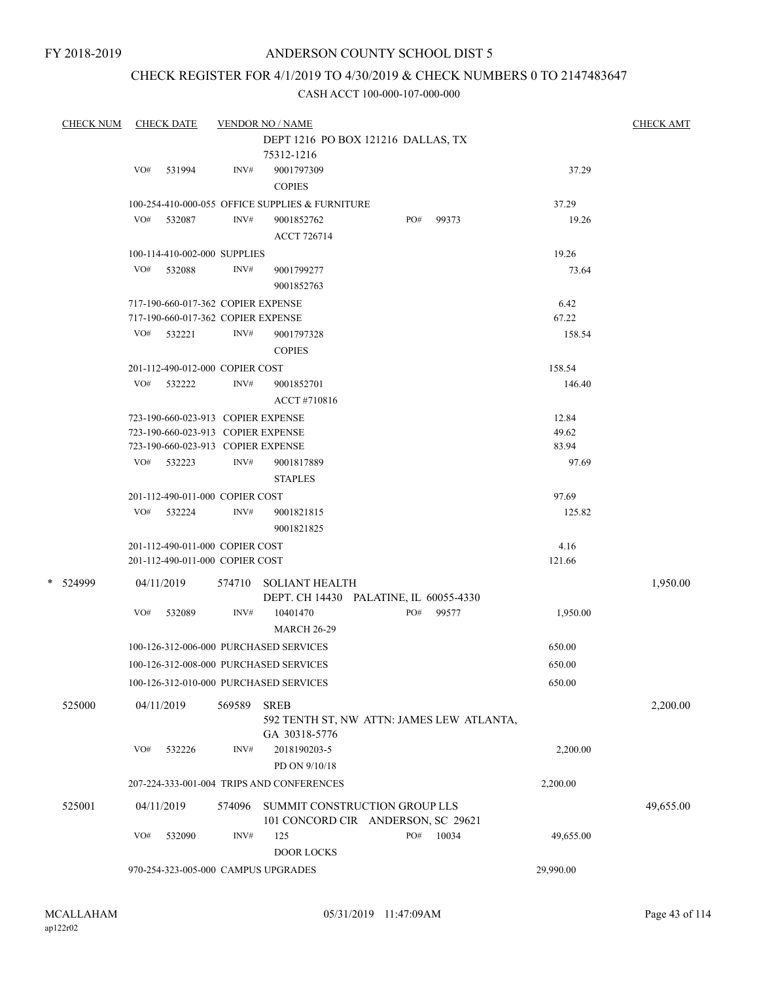## CHECK REGISTER FOR 4/1/2019 TO 4/30/2019 & CHECK NUMBERS 0 TO 2147483647

| <b>CHECK NUM</b> |     | <b>CHECK DATE</b>                  |        | <b>VENDOR NO / NAME</b>                                  |     |       |           | <b>CHECK AMT</b> |
|------------------|-----|------------------------------------|--------|----------------------------------------------------------|-----|-------|-----------|------------------|
|                  |     |                                    |        | DEPT 1216 PO BOX 121216 DALLAS, TX                       |     |       |           |                  |
|                  |     |                                    |        | 75312-1216                                               |     |       |           |                  |
|                  | VO# | 531994                             | INV#   | 9001797309                                               |     |       | 37.29     |                  |
|                  |     |                                    |        | <b>COPIES</b>                                            |     |       |           |                  |
|                  |     |                                    |        | 100-254-410-000-055 OFFICE SUPPLIES & FURNITURE          |     |       | 37.29     |                  |
|                  | VO# | 532087                             | INV#   | 9001852762                                               | PO# | 99373 | 19.26     |                  |
|                  |     |                                    |        | <b>ACCT 726714</b>                                       |     |       |           |                  |
|                  |     | 100-114-410-002-000 SUPPLIES       |        |                                                          |     |       | 19.26     |                  |
|                  | VO# | 532088                             | INV#   | 9001799277                                               |     |       | 73.64     |                  |
|                  |     |                                    |        | 9001852763                                               |     |       |           |                  |
|                  |     | 717-190-660-017-362 COPIER EXPENSE |        |                                                          |     |       | 6.42      |                  |
|                  |     | 717-190-660-017-362 COPIER EXPENSE |        |                                                          |     |       | 67.22     |                  |
|                  |     | VO# 532221                         | INV#   | 9001797328                                               |     |       | 158.54    |                  |
|                  |     |                                    |        | <b>COPIES</b>                                            |     |       |           |                  |
|                  |     | 201-112-490-012-000 COPIER COST    |        |                                                          |     |       | 158.54    |                  |
|                  |     | VO# 532222                         | INV#   | 9001852701                                               |     |       | 146.40    |                  |
|                  |     |                                    |        | ACCT#710816                                              |     |       |           |                  |
|                  |     | 723-190-660-023-913 COPIER EXPENSE |        |                                                          |     |       | 12.84     |                  |
|                  |     | 723-190-660-023-913 COPIER EXPENSE |        |                                                          |     |       | 49.62     |                  |
|                  |     | 723-190-660-023-913 COPIER EXPENSE |        |                                                          |     |       | 83.94     |                  |
|                  |     | VO# 532223                         | INV#   | 9001817889                                               |     |       | 97.69     |                  |
|                  |     |                                    |        | <b>STAPLES</b>                                           |     |       |           |                  |
|                  |     | 201-112-490-011-000 COPIER COST    |        |                                                          |     |       | 97.69     |                  |
|                  |     | VO# 532224                         | INV#   | 9001821815                                               |     |       | 125.82    |                  |
|                  |     |                                    |        | 9001821825                                               |     |       |           |                  |
|                  |     | 201-112-490-011-000 COPIER COST    |        |                                                          |     |       | 4.16      |                  |
|                  |     | 201-112-490-011-000 COPIER COST    |        |                                                          |     |       | 121.66    |                  |
| * 524999         |     | 04/11/2019                         | 574710 | <b>SOLIANT HEALTH</b>                                    |     |       |           | 1,950.00         |
|                  |     |                                    |        | DEPT. CH 14430 PALATINE, IL 60055-4330                   |     |       |           |                  |
|                  | VO# | 532089                             | INV#   | 10401470                                                 | PO# | 99577 | 1,950.00  |                  |
|                  |     |                                    |        | <b>MARCH 26-29</b>                                       |     |       |           |                  |
|                  |     |                                    |        | 100-126-312-006-000 PURCHASED SERVICES                   |     |       | 650.00    |                  |
|                  |     |                                    |        | 100-126-312-008-000 PURCHASED SERVICES                   |     |       | 650.00    |                  |
|                  |     |                                    |        | 100-126-312-010-000 PURCHASED SERVICES                   |     |       | 650.00    |                  |
|                  |     |                                    |        |                                                          |     |       |           |                  |
| 525000           |     | 04/11/2019                         | 569589 | <b>SREB</b><br>592 TENTH ST, NW ATTN: JAMES LEW ATLANTA, |     |       |           | 2,200.00         |
|                  |     |                                    |        | GA 30318-5776                                            |     |       |           |                  |
|                  | VO# | 532226                             | INV#   | 2018190203-5                                             |     |       | 2,200.00  |                  |
|                  |     |                                    |        | PD ON 9/10/18                                            |     |       |           |                  |
|                  |     |                                    |        | 207-224-333-001-004 TRIPS AND CONFERENCES                |     |       | 2,200.00  |                  |
|                  |     |                                    |        |                                                          |     |       |           |                  |
| 525001           |     | 04/11/2019                         | 574096 | SUMMIT CONSTRUCTION GROUP LLS                            |     |       |           | 49,655.00        |
|                  | VO# | 532090                             | INV#   | 101 CONCORD CIR ANDERSON, SC 29621<br>125                | PO# | 10034 | 49,655.00 |                  |
|                  |     |                                    |        | <b>DOOR LOCKS</b>                                        |     |       |           |                  |
|                  |     |                                    |        | 970-254-323-005-000 CAMPUS UPGRADES                      |     |       | 29,990.00 |                  |
|                  |     |                                    |        |                                                          |     |       |           |                  |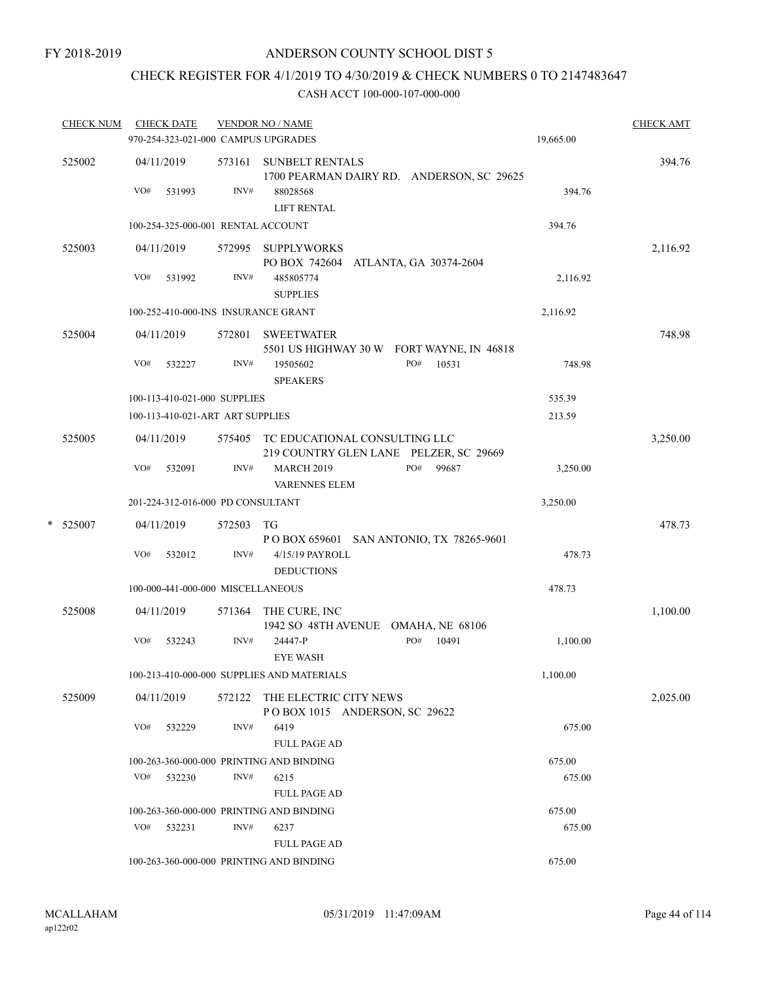## CHECK REGISTER FOR 4/1/2019 TO 4/30/2019 & CHECK NUMBERS 0 TO 2147483647

| <b>CHECK NUM</b> |     | <b>CHECK DATE</b>                        |                | <b>VENDOR NO / NAME</b><br>970-254-323-021-000 CAMPUS UPGRADES                                        | 19,665.00 | <b>CHECK AMT</b> |
|------------------|-----|------------------------------------------|----------------|-------------------------------------------------------------------------------------------------------|-----------|------------------|
| 525002           | VO# | 04/11/2019<br>531993                     | 573161<br>INV# | <b>SUNBELT RENTALS</b><br>1700 PEARMAN DAIRY RD. ANDERSON, SC 29625<br>88028568<br><b>LIFT RENTAL</b> | 394.76    | 394.76           |
|                  |     | 100-254-325-000-001 RENTAL ACCOUNT       |                |                                                                                                       | 394.76    |                  |
| 525003           |     | 04/11/2019                               |                | 572995 SUPPLYWORKS<br>PO BOX 742604 ATLANTA, GA 30374-2604                                            |           | 2,116.92         |
|                  | VO# | 531992                                   | INV#           | 485805774<br><b>SUPPLIES</b>                                                                          | 2,116.92  |                  |
|                  |     |                                          |                | 100-252-410-000-INS INSURANCE GRANT                                                                   | 2,116.92  |                  |
| 525004           |     | 04/11/2019                               | 572801         | <b>SWEETWATER</b><br>5501 US HIGHWAY 30 W FORT WAYNE, IN 46818                                        |           | 748.98           |
|                  | VO# | 532227                                   | INV#           | PO#<br>10531<br>19505602<br><b>SPEAKERS</b>                                                           | 748.98    |                  |
|                  |     | 100-113-410-021-000 SUPPLIES             |                |                                                                                                       | 535.39    |                  |
|                  |     | 100-113-410-021-ART ART SUPPLIES         |                |                                                                                                       | 213.59    |                  |
| 525005           |     | 04/11/2019                               |                | 575405 TC EDUCATIONAL CONSULTING LLC<br>219 COUNTRY GLEN LANE PELZER, SC 29669                        |           | 3,250.00         |
|                  | VO# | 532091                                   | INV#           | PO#<br>99687<br><b>MARCH 2019</b><br><b>VARENNES ELEM</b>                                             | 3,250.00  |                  |
|                  |     | 201-224-312-016-000 PD CONSULTANT        |                |                                                                                                       | 3,250.00  |                  |
| * 525007         |     | 04/11/2019                               | 572503         | TG<br>P O BOX 659601 SAN ANTONIO, TX 78265-9601                                                       |           | 478.73           |
|                  | VO# | 532012                                   | $\text{INV}\#$ | 4/15/19 PAYROLL<br><b>DEDUCTIONS</b>                                                                  | 478.73    |                  |
|                  |     | 100-000-441-000-000 MISCELLANEOUS        |                |                                                                                                       | 478.73    |                  |
| 525008           |     | 04/11/2019                               | 571364         | THE CURE, INC<br>1942 SO 48TH AVENUE OMAHA, NE 68106                                                  |           | 1,100.00         |
|                  | VO# | 532243                                   | INV#           | PO#<br>10491<br>24447-P<br><b>EYE WASH</b>                                                            | 1,100.00  |                  |
|                  |     |                                          |                | 100-213-410-000-000 SUPPLIES AND MATERIALS                                                            | 1,100.00  |                  |
| 525009           |     | 04/11/2019                               | 572122         | THE ELECTRIC CITY NEWS<br>POBOX 1015 ANDERSON, SC 29622                                               |           | 2,025.00         |
|                  | VO# | 532229                                   | INV#           | 6419<br><b>FULL PAGE AD</b>                                                                           | 675.00    |                  |
|                  |     |                                          |                | 100-263-360-000-000 PRINTING AND BINDING                                                              | 675.00    |                  |
|                  | VO# | 532230                                   | INV#           | 6215<br><b>FULL PAGE AD</b>                                                                           | 675.00    |                  |
|                  |     | 100-263-360-000-000 PRINTING AND BINDING | 675.00         |                                                                                                       |           |                  |
|                  | VO# | 532231                                   | INV#           | 6237<br><b>FULL PAGE AD</b>                                                                           | 675.00    |                  |
|                  |     |                                          |                | 100-263-360-000-000 PRINTING AND BINDING                                                              | 675.00    |                  |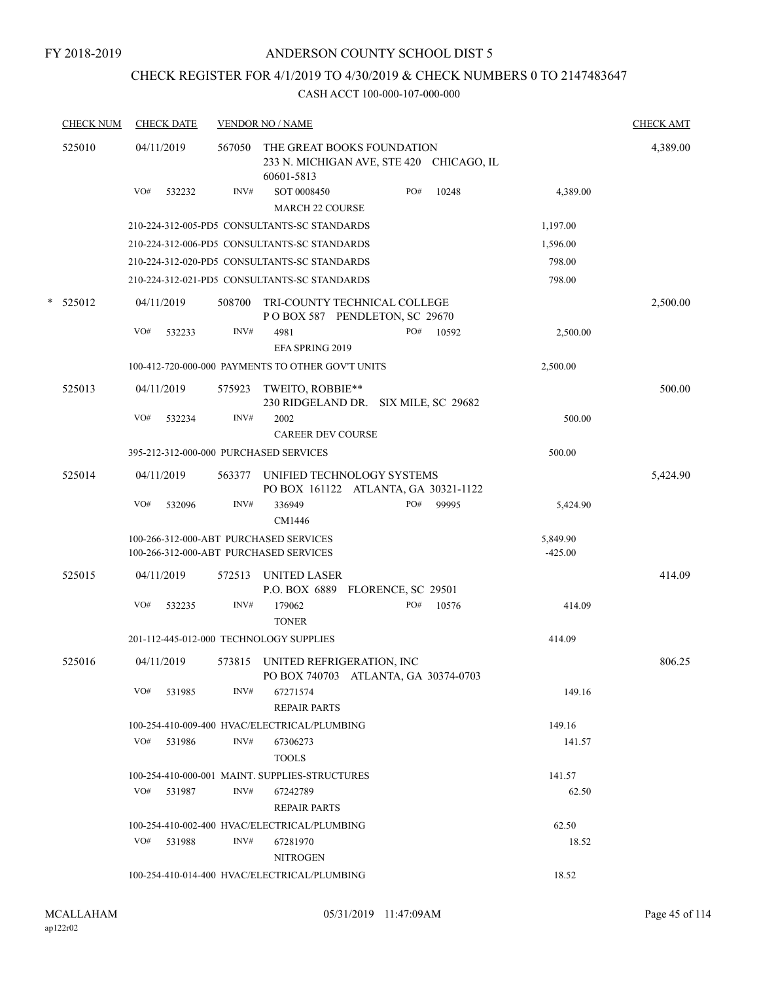## CHECK REGISTER FOR 4/1/2019 TO 4/30/2019 & CHECK NUMBERS 0 TO 2147483647

|   | <b>CHECK NUM</b> | <b>CHECK DATE</b> |        |        | <b>VENDOR NO / NAME</b>                                                              |     |       |                       | <b>CHECK AMT</b> |
|---|------------------|-------------------|--------|--------|--------------------------------------------------------------------------------------|-----|-------|-----------------------|------------------|
|   | 525010           | 04/11/2019        |        | 567050 | THE GREAT BOOKS FOUNDATION<br>233 N. MICHIGAN AVE, STE 420 CHICAGO, IL<br>60601-5813 |     |       |                       | 4,389.00         |
|   |                  | VO#               | 532232 | INV#   | SOT 0008450<br><b>MARCH 22 COURSE</b>                                                | PO# | 10248 | 4,389.00              |                  |
|   |                  |                   |        |        | 210-224-312-005-PD5 CONSULTANTS-SC STANDARDS                                         |     |       | 1,197.00              |                  |
|   |                  |                   |        |        | 210-224-312-006-PD5 CONSULTANTS-SC STANDARDS                                         |     |       | 1,596.00              |                  |
|   |                  |                   |        |        | 210-224-312-020-PD5 CONSULTANTS-SC STANDARDS                                         |     |       | 798.00                |                  |
|   |                  |                   |        |        | 210-224-312-021-PD5 CONSULTANTS-SC STANDARDS                                         |     |       | 798.00                |                  |
| * | 525012           | 04/11/2019        |        | 508700 | TRI-COUNTY TECHNICAL COLLEGE<br>POBOX 587 PENDLETON, SC 29670                        |     |       |                       | 2,500.00         |
|   |                  | VO#               | 532233 | INV#   | 4981<br>EFA SPRING 2019                                                              | PO# | 10592 | 2,500.00              |                  |
|   |                  |                   |        |        | 100-412-720-000-000 PAYMENTS TO OTHER GOV'T UNITS                                    |     |       | 2,500.00              |                  |
|   | 525013           | 04/11/2019        |        | 575923 | TWEITO, ROBBIE**<br>230 RIDGELAND DR. SIX MILE, SC 29682                             |     |       |                       | 500.00           |
|   |                  | VO#               | 532234 | INV#   | 2002<br><b>CAREER DEV COURSE</b>                                                     |     |       | 500.00                |                  |
|   |                  |                   |        |        | 395-212-312-000-000 PURCHASED SERVICES                                               |     |       | 500.00                |                  |
|   | 525014           | 04/11/2019        |        | 563377 | UNIFIED TECHNOLOGY SYSTEMS<br>PO BOX 161122 ATLANTA, GA 30321-1122                   |     |       |                       | 5,424.90         |
|   |                  | VO#               | 532096 | INV#   | 336949<br>CM1446                                                                     | PO# | 99995 | 5,424.90              |                  |
|   |                  |                   |        |        | 100-266-312-000-ABT PURCHASED SERVICES<br>100-266-312-000-ABT PURCHASED SERVICES     |     |       | 5,849.90<br>$-425.00$ |                  |
|   | 525015           | 04/11/2019        |        | 572513 | <b>UNITED LASER</b><br>P.O. BOX 6889 FLORENCE, SC 29501                              |     |       |                       | 414.09           |
|   |                  | VO#               | 532235 | INV#   | 179062<br><b>TONER</b>                                                               | PO# | 10576 | 414.09                |                  |
|   |                  |                   |        |        | 201-112-445-012-000 TECHNOLOGY SUPPLIES                                              |     |       | 414.09                |                  |
|   | 525016           | 04/11/2019        |        |        | 573815 UNITED REFRIGERATION, INC<br>PO BOX 740703 AILANTA, GA 30374-0703             |     |       |                       | 806.25           |
|   |                  | VO#               | 531985 | INV#   | 67271574<br><b>REPAIR PARTS</b>                                                      |     |       | 149.16                |                  |
|   |                  |                   |        |        | 100-254-410-009-400 HVAC/ELECTRICAL/PLUMBING                                         |     |       | 149.16                |                  |
|   |                  | VO# 531986        |        | INV#   | 67306273<br><b>TOOLS</b>                                                             |     |       | 141.57                |                  |
|   |                  |                   |        |        | 100-254-410-000-001 MAINT. SUPPLIES-STRUCTURES                                       |     |       | 141.57                |                  |
|   |                  | VO#               | 531987 | INV#   | 67242789<br>REPAIR PARTS                                                             |     |       | 62.50                 |                  |
|   |                  |                   |        |        | 100-254-410-002-400 HVAC/ELECTRICAL/PLUMBING                                         |     |       | 62.50                 |                  |
|   |                  | VO#               | 531988 | INV#   | 67281970<br><b>NITROGEN</b>                                                          |     |       | 18.52                 |                  |
|   |                  |                   |        |        | 100-254-410-014-400 HVAC/ELECTRICAL/PLUMBING                                         |     |       | 18.52                 |                  |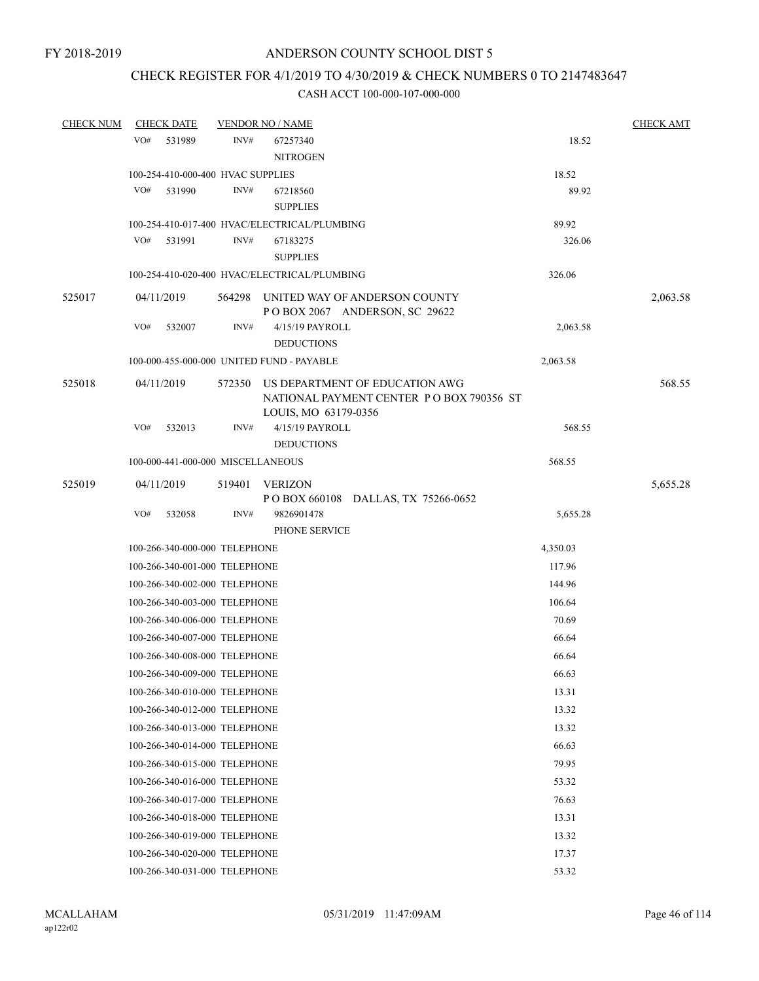## CHECK REGISTER FOR 4/1/2019 TO 4/30/2019 & CHECK NUMBERS 0 TO 2147483647

| <b>CHECK NUM</b> | <b>CHECK DATE</b>                 |        | <b>VENDOR NO / NAME</b>                                               |          | <b>CHECK AMT</b> |
|------------------|-----------------------------------|--------|-----------------------------------------------------------------------|----------|------------------|
|                  | VO#<br>531989                     | INV#   | 67257340                                                              | 18.52    |                  |
|                  |                                   |        | <b>NITROGEN</b>                                                       |          |                  |
|                  | 100-254-410-000-400 HVAC SUPPLIES |        |                                                                       | 18.52    |                  |
|                  | VO#<br>531990                     | INV#   | 67218560                                                              | 89.92    |                  |
|                  |                                   |        | <b>SUPPLIES</b>                                                       |          |                  |
|                  |                                   |        | 100-254-410-017-400 HVAC/ELECTRICAL/PLUMBING                          | 89.92    |                  |
|                  | VO#<br>531991                     | INV#   | 67183275                                                              | 326.06   |                  |
|                  |                                   |        | <b>SUPPLIES</b>                                                       |          |                  |
|                  |                                   |        | 100-254-410-020-400 HVAC/ELECTRICAL/PLUMBING                          | 326.06   |                  |
| 525017           | 04/11/2019                        |        | 564298 UNITED WAY OF ANDERSON COUNTY<br>POBOX 2067 ANDERSON, SC 29622 |          | 2,063.58         |
|                  | VO#<br>532007                     | INV#   | 4/15/19 PAYROLL                                                       | 2,063.58 |                  |
|                  |                                   |        | <b>DEDUCTIONS</b>                                                     |          |                  |
|                  |                                   |        | 100-000-455-000-000 UNITED FUND - PAYABLE                             | 2,063.58 |                  |
| 525018           | 04/11/2019                        | 572350 | US DEPARTMENT OF EDUCATION AWG                                        |          | 568.55           |
|                  |                                   |        | NATIONAL PAYMENT CENTER PO BOX 790356 ST                              |          |                  |
|                  |                                   |        | LOUIS, MO 63179-0356                                                  |          |                  |
|                  | VO#<br>532013                     | INV#   | 4/15/19 PAYROLL<br><b>DEDUCTIONS</b>                                  | 568.55   |                  |
|                  | 100-000-441-000-000 MISCELLANEOUS |        |                                                                       | 568.55   |                  |
| 525019           | 04/11/2019                        |        | 519401 VERIZON                                                        |          | 5,655.28         |
|                  |                                   |        | P O BOX 660108 DALLAS, TX 75266-0652                                  |          |                  |
|                  | VO#<br>532058                     | INV#   | 9826901478                                                            | 5,655.28 |                  |
|                  |                                   |        | PHONE SERVICE                                                         |          |                  |
|                  | 100-266-340-000-000 TELEPHONE     |        |                                                                       | 4,350.03 |                  |
|                  | 100-266-340-001-000 TELEPHONE     |        |                                                                       | 117.96   |                  |
|                  | 100-266-340-002-000 TELEPHONE     |        |                                                                       | 144.96   |                  |
|                  | 100-266-340-003-000 TELEPHONE     |        |                                                                       | 106.64   |                  |
|                  | 100-266-340-006-000 TELEPHONE     |        |                                                                       | 70.69    |                  |
|                  | 100-266-340-007-000 TELEPHONE     |        |                                                                       | 66.64    |                  |
|                  | 100-266-340-008-000 TELEPHONE     |        |                                                                       | 66.64    |                  |
|                  | 100-266-340-009-000 TELEPHONE     |        |                                                                       | 66.63    |                  |
|                  | 100-266-340-010-000 TELEPHONE     |        |                                                                       | 13.31    |                  |
|                  | 100-266-340-012-000 TELEPHONE     |        |                                                                       | 13.32    |                  |
|                  | 100-266-340-013-000 TELEPHONE     |        |                                                                       | 13.32    |                  |
|                  | 100-266-340-014-000 TELEPHONE     |        |                                                                       | 66.63    |                  |
|                  | 100-266-340-015-000 TELEPHONE     |        |                                                                       | 79.95    |                  |
|                  | 100-266-340-016-000 TELEPHONE     |        |                                                                       | 53.32    |                  |
|                  | 100-266-340-017-000 TELEPHONE     |        |                                                                       | 76.63    |                  |
|                  | 100-266-340-018-000 TELEPHONE     |        |                                                                       | 13.31    |                  |
|                  | 100-266-340-019-000 TELEPHONE     |        |                                                                       | 13.32    |                  |
|                  | 100-266-340-020-000 TELEPHONE     |        |                                                                       | 17.37    |                  |
|                  | 100-266-340-031-000 TELEPHONE     |        |                                                                       | 53.32    |                  |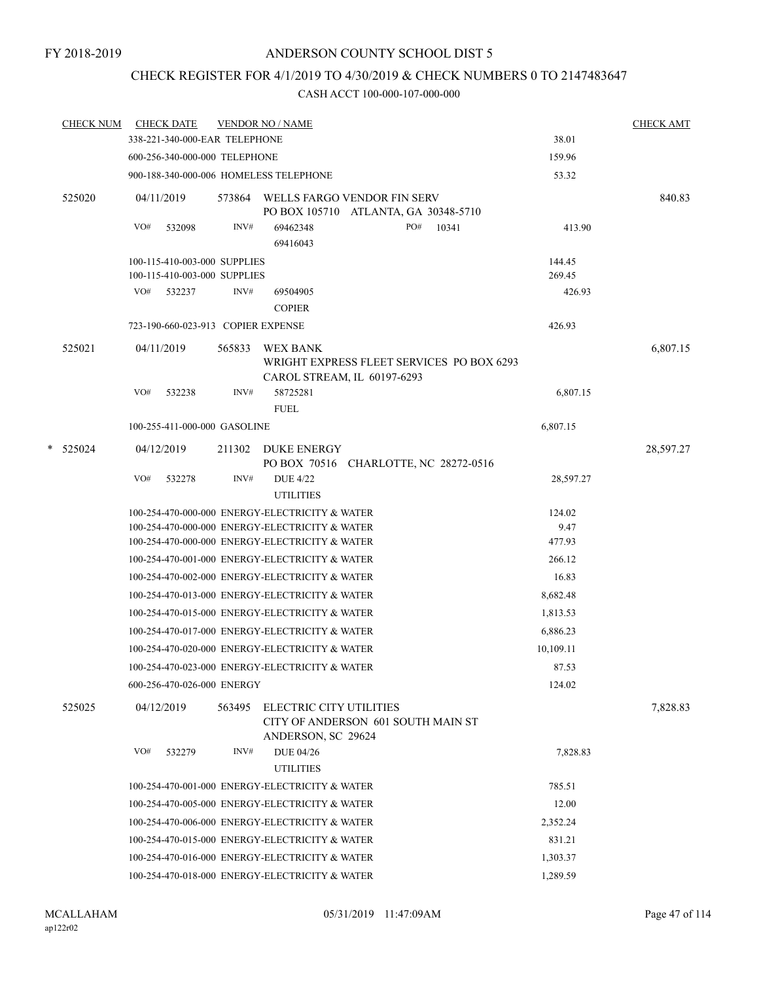## CHECK REGISTER FOR 4/1/2019 TO 4/30/2019 & CHECK NUMBERS 0 TO 2147483647

| <b>CHECK NUM</b> |     | <b>CHECK DATE</b>                  |        | <b>VENDOR NO / NAME</b>                                                                                                                            |                          | <b>CHECK AMT</b> |
|------------------|-----|------------------------------------|--------|----------------------------------------------------------------------------------------------------------------------------------------------------|--------------------------|------------------|
|                  |     | 338-221-340-000-EAR TELEPHONE      |        |                                                                                                                                                    | 38.01                    |                  |
|                  |     | 600-256-340-000-000 TELEPHONE      |        |                                                                                                                                                    | 159.96                   |                  |
|                  |     |                                    |        | 900-188-340-000-006 HOMELESS TELEPHONE                                                                                                             | 53.32                    |                  |
| 525020           |     | 04/11/2019                         |        | 573864 WELLS FARGO VENDOR FIN SERV<br>PO BOX 105710 ATLANTA, GA 30348-5710                                                                         |                          | 840.83           |
|                  | VO# | 532098                             | INV#   | 69462348<br>PO# 10341<br>69416043                                                                                                                  | 413.90                   |                  |
|                  |     | 100-115-410-003-000 SUPPLIES       |        |                                                                                                                                                    | 144.45                   |                  |
|                  |     | 100-115-410-003-000 SUPPLIES       |        |                                                                                                                                                    | 269.45                   |                  |
|                  |     | VO# 532237                         | INV#   | 69504905<br><b>COPIER</b>                                                                                                                          | 426.93                   |                  |
|                  |     | 723-190-660-023-913 COPIER EXPENSE |        |                                                                                                                                                    | 426.93                   |                  |
| 525021           |     | 04/11/2019                         | 565833 | WEX BANK<br>WRIGHT EXPRESS FLEET SERVICES PO BOX 6293                                                                                              |                          | 6,807.15         |
|                  | VO# | 532238                             | INV#   | CAROL STREAM, IL 60197-6293<br>58725281<br><b>FUEL</b>                                                                                             | 6,807.15                 |                  |
|                  |     | 100-255-411-000-000 GASOLINE       |        |                                                                                                                                                    | 6,807.15                 |                  |
| $*$ 525024       |     | 04/12/2019                         |        | 211302 DUKE ENERGY<br>PO BOX 70516 CHARLOTTE, NC 28272-0516                                                                                        |                          | 28,597.27        |
|                  | VO# | 532278                             | INV#   | <b>DUE 4/22</b><br><b>UTILITIES</b>                                                                                                                | 28,597.27                |                  |
|                  |     |                                    |        | 100-254-470-000-000 ENERGY-ELECTRICITY & WATER<br>100-254-470-000-000 ENERGY-ELECTRICITY & WATER<br>100-254-470-000-000 ENERGY-ELECTRICITY & WATER | 124.02<br>9.47<br>477.93 |                  |
|                  |     |                                    |        | 100-254-470-001-000 ENERGY-ELECTRICITY & WATER                                                                                                     | 266.12                   |                  |
|                  |     |                                    |        | 100-254-470-002-000 ENERGY-ELECTRICITY & WATER                                                                                                     | 16.83                    |                  |
|                  |     |                                    |        | 100-254-470-013-000 ENERGY-ELECTRICITY & WATER                                                                                                     | 8,682.48                 |                  |
|                  |     |                                    |        | 100-254-470-015-000 ENERGY-ELECTRICITY & WATER                                                                                                     | 1,813.53                 |                  |
|                  |     |                                    |        | 100-254-470-017-000 ENERGY-ELECTRICITY & WATER                                                                                                     | 6,886.23                 |                  |
|                  |     |                                    |        | 100-254-470-020-000 ENERGY-ELECTRICITY & WATER                                                                                                     | 10,109.11                |                  |
|                  |     |                                    |        | 100-254-470-023-000 ENERGY-ELECTRICITY & WATER                                                                                                     | 87.53                    |                  |
|                  |     | 600-256-470-026-000 ENERGY         |        |                                                                                                                                                    | 124.02                   |                  |
| 525025           |     | 04/12/2019                         | 563495 | ELECTRIC CITY UTILITIES<br>CITY OF ANDERSON 601 SOUTH MAIN ST<br>ANDERSON, SC 29624                                                                |                          | 7,828.83         |
|                  | VO# | 532279                             | INV#   | <b>DUE 04/26</b><br><b>UTILITIES</b>                                                                                                               | 7,828.83                 |                  |
|                  |     |                                    |        | 100-254-470-001-000 ENERGY-ELECTRICITY & WATER                                                                                                     | 785.51                   |                  |
|                  |     |                                    |        | 100-254-470-005-000 ENERGY-ELECTRICITY & WATER                                                                                                     | 12.00                    |                  |
|                  |     |                                    |        | 100-254-470-006-000 ENERGY-ELECTRICITY & WATER                                                                                                     | 2,352.24                 |                  |
|                  |     |                                    |        | 100-254-470-015-000 ENERGY-ELECTRICITY & WATER                                                                                                     | 831.21                   |                  |
|                  |     |                                    |        | 100-254-470-016-000 ENERGY-ELECTRICITY & WATER                                                                                                     | 1,303.37                 |                  |
|                  |     |                                    |        | 100-254-470-018-000 ENERGY-ELECTRICITY & WATER                                                                                                     | 1,289.59                 |                  |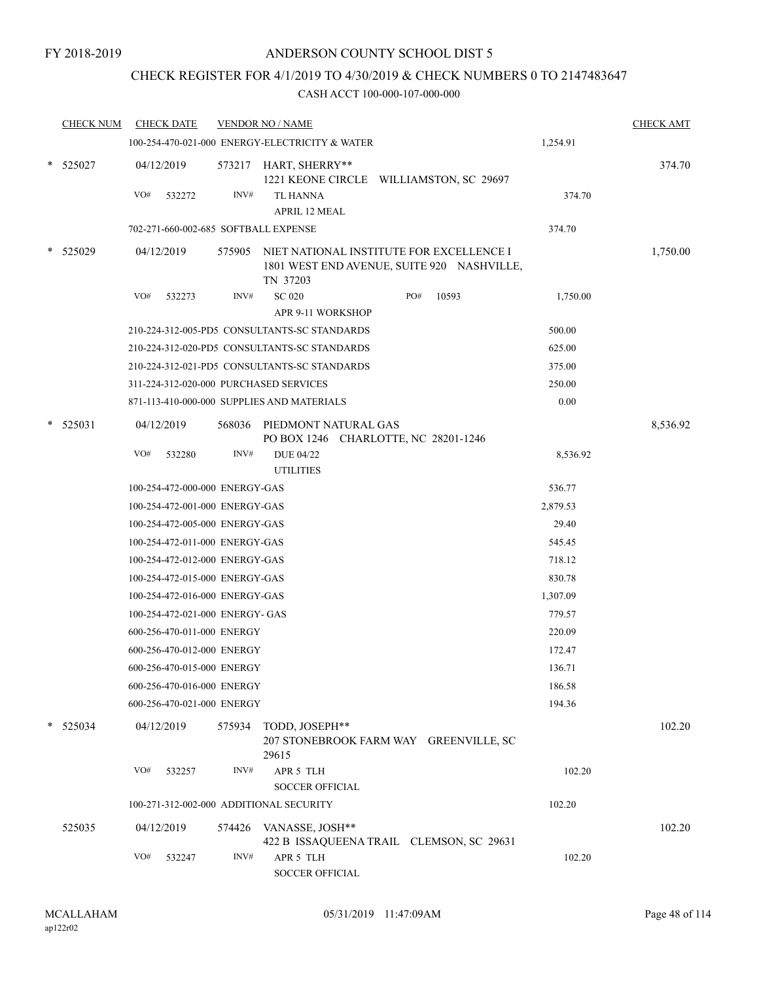## CHECK REGISTER FOR 4/1/2019 TO 4/30/2019 & CHECK NUMBERS 0 TO 2147483647

|   | <b>CHECK NUM</b> |     | <b>CHECK DATE</b>               |        | <b>VENDOR NO / NAME</b>                                                                            |     |       |          | <b>CHECK AMT</b> |
|---|------------------|-----|---------------------------------|--------|----------------------------------------------------------------------------------------------------|-----|-------|----------|------------------|
|   |                  |     |                                 |        | 100-254-470-021-000 ENERGY-ELECTRICITY & WATER                                                     |     |       | 1,254.91 |                  |
|   | $*$ 525027       |     | 04/12/2019                      |        | 573217 HART, SHERRY**<br>1221 KEONE CIRCLE WILLIAMSTON, SC 29697                                   |     |       |          | 374.70           |
|   |                  | VO# | 532272                          | INV#   | <b>TL HANNA</b>                                                                                    |     |       | 374.70   |                  |
|   |                  |     |                                 |        | <b>APRIL 12 MEAL</b>                                                                               |     |       |          |                  |
|   |                  |     |                                 |        | 702-271-660-002-685 SOFTBALL EXPENSE                                                               |     |       | 374.70   |                  |
|   | * 525029         |     | 04/12/2019                      | 575905 | NIET NATIONAL INSTITUTE FOR EXCELLENCE I<br>1801 WEST END AVENUE, SUITE 920 NASHVILLE,<br>TN 37203 |     |       |          | 1,750.00         |
|   |                  | VO# | 532273                          | INV#   | <b>SC 020</b><br>APR 9-11 WORKSHOP                                                                 | PO# | 10593 | 1,750.00 |                  |
|   |                  |     |                                 |        | 210-224-312-005-PD5 CONSULTANTS-SC STANDARDS                                                       |     |       | 500.00   |                  |
|   |                  |     |                                 |        | 210-224-312-020-PD5 CONSULTANTS-SC STANDARDS                                                       |     |       | 625.00   |                  |
|   |                  |     |                                 |        | 210-224-312-021-PD5 CONSULTANTS-SC STANDARDS                                                       |     |       | 375.00   |                  |
|   |                  |     |                                 |        | 311-224-312-020-000 PURCHASED SERVICES                                                             |     |       | 250.00   |                  |
|   |                  |     |                                 |        | 871-113-410-000-000 SUPPLIES AND MATERIALS                                                         |     |       | 0.00     |                  |
| * | 525031           |     | 04/12/2019                      | 568036 | PIEDMONT NATURAL GAS<br>PO BOX 1246 CHARLOTTE, NC 28201-1246                                       |     |       |          | 8,536.92         |
|   |                  | VO# | 532280                          | INV#   | <b>DUE 04/22</b><br><b>UTILITIES</b>                                                               |     |       | 8,536.92 |                  |
|   |                  |     | 100-254-472-000-000 ENERGY-GAS  |        |                                                                                                    |     |       | 536.77   |                  |
|   |                  |     | 100-254-472-001-000 ENERGY-GAS  |        |                                                                                                    |     |       | 2,879.53 |                  |
|   |                  |     | 100-254-472-005-000 ENERGY-GAS  |        |                                                                                                    |     |       | 29.40    |                  |
|   |                  |     | 100-254-472-011-000 ENERGY-GAS  |        |                                                                                                    |     |       | 545.45   |                  |
|   |                  |     | 100-254-472-012-000 ENERGY-GAS  |        |                                                                                                    |     |       | 718.12   |                  |
|   |                  |     | 100-254-472-015-000 ENERGY-GAS  |        |                                                                                                    |     |       | 830.78   |                  |
|   |                  |     | 100-254-472-016-000 ENERGY-GAS  |        |                                                                                                    |     |       | 1,307.09 |                  |
|   |                  |     | 100-254-472-021-000 ENERGY- GAS |        |                                                                                                    |     |       | 779.57   |                  |
|   |                  |     | 600-256-470-011-000 ENERGY      |        |                                                                                                    |     |       | 220.09   |                  |
|   |                  |     | 600-256-470-012-000 ENERGY      |        |                                                                                                    |     |       | 172.47   |                  |
|   |                  |     | 600-256-470-015-000 ENERGY      |        |                                                                                                    |     |       | 136.71   |                  |
|   |                  |     | 600-256-470-016-000 ENERGY      |        |                                                                                                    |     |       | 186.58   |                  |
|   |                  |     | 600-256-470-021-000 ENERGY      |        |                                                                                                    |     |       | 194.36   |                  |
|   | $*$ 525034       |     | 04/12/2019                      | 575934 | TODD, JOSEPH**<br>207 STONEBROOK FARM WAY GREENVILLE, SC                                           |     |       |          | 102.20           |
|   |                  | VO# | 532257                          | INV#   | 29615<br>APR 5 TLH<br><b>SOCCER OFFICIAL</b>                                                       |     |       | 102.20   |                  |
|   |                  |     |                                 |        | 100-271-312-002-000 ADDITIONAL SECURITY                                                            |     |       | 102.20   |                  |
|   | 525035           |     | 04/12/2019                      |        | 574426 VANASSE, JOSH**<br>422 B ISSAQUEENA TRAIL CLEMSON, SC 29631                                 |     |       |          | 102.20           |
|   |                  | VO# | 532247                          | INV#   | APR 5 TLH<br>SOCCER OFFICIAL                                                                       |     |       | 102.20   |                  |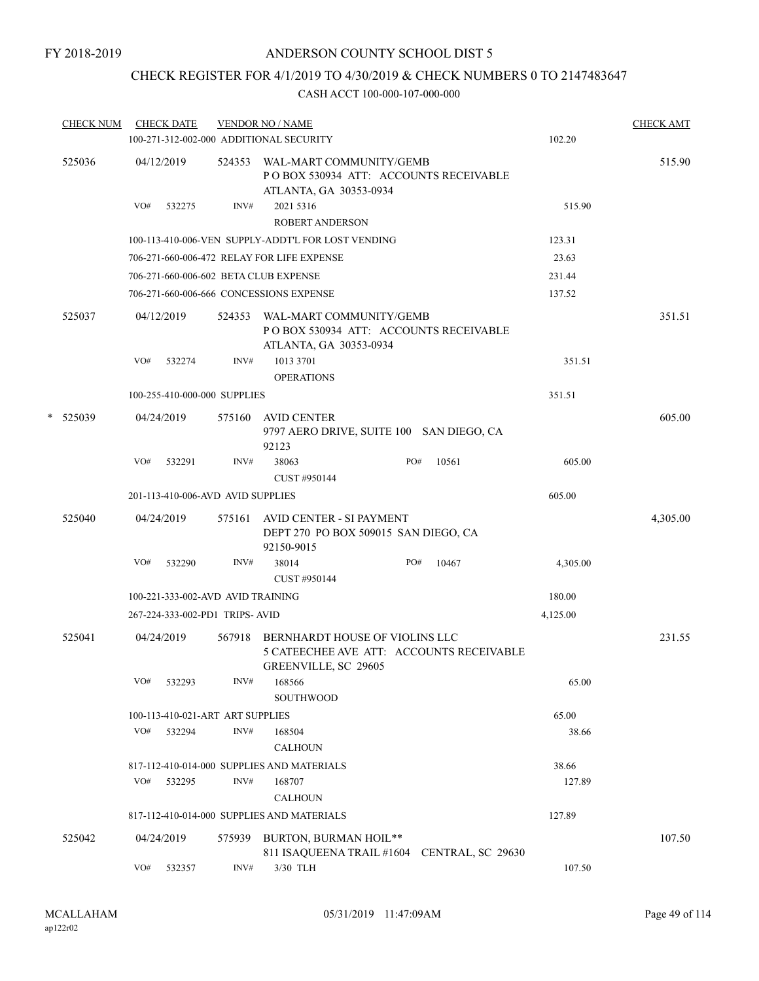## CHECK REGISTER FOR 4/1/2019 TO 4/30/2019 & CHECK NUMBERS 0 TO 2147483647

|        | <b>CHECK NUM</b> |     | <b>CHECK DATE</b>                 |        | <b>VENDOR NO / NAME</b><br>100-271-312-002-000 ADDITIONAL SECURITY                                        |     |       | 102.20   | <b>CHECK AMT</b> |
|--------|------------------|-----|-----------------------------------|--------|-----------------------------------------------------------------------------------------------------------|-----|-------|----------|------------------|
|        | 525036           |     | 04/12/2019                        |        | 524353 WAL-MART COMMUNITY/GEMB<br>POBOX 530934 ATT: ACCOUNTS RECEIVABLE<br>ATLANTA, GA 30353-0934         |     |       |          | 515.90           |
|        |                  | VO# | 532275                            | INV#   | 2021 5316<br><b>ROBERT ANDERSON</b>                                                                       |     |       | 515.90   |                  |
|        |                  |     |                                   |        | 100-113-410-006-VEN SUPPLY-ADDT'L FOR LOST VENDING                                                        |     |       | 123.31   |                  |
|        |                  |     |                                   |        | 706-271-660-006-472 RELAY FOR LIFE EXPENSE                                                                |     |       | 23.63    |                  |
|        |                  |     |                                   |        | 706-271-660-006-602 BETA CLUB EXPENSE                                                                     |     |       | 231.44   |                  |
|        |                  |     |                                   |        | 706-271-660-006-666 CONCESSIONS EXPENSE                                                                   |     |       | 137.52   |                  |
|        | 525037           |     | 04/12/2019                        | 524353 | WAL-MART COMMUNITY/GEMB<br>PO BOX 530934 ATT: ACCOUNTS RECEIVABLE<br>ATLANTA, GA 30353-0934               |     |       |          | 351.51           |
|        |                  | VO# | 532274                            | INV#   | 1013 3701<br><b>OPERATIONS</b>                                                                            |     |       | 351.51   |                  |
|        |                  |     | 100-255-410-000-000 SUPPLIES      |        |                                                                                                           |     |       | 351.51   |                  |
| $\ast$ | 525039           |     | 04/24/2019                        | 575160 | AVID CENTER<br>9797 AERO DRIVE, SUITE 100 SAN DIEGO, CA<br>92123                                          |     |       |          | 605.00           |
|        |                  | VO# | 532291                            | INV#   | 38063<br>CUST #950144                                                                                     | PO# | 10561 | 605.00   |                  |
|        |                  |     | 201-113-410-006-AVD AVID SUPPLIES |        |                                                                                                           |     |       | 605.00   |                  |
|        | 525040           |     | 04/24/2019                        |        | 575161 AVID CENTER - SI PAYMENT<br>DEPT 270 PO BOX 509015 SAN DIEGO, CA<br>92150-9015                     |     |       |          | 4,305.00         |
|        |                  | VO# | 532290                            | INV#   | 38014<br>CUST #950144                                                                                     | PO# | 10467 | 4,305.00 |                  |
|        |                  |     | 100-221-333-002-AVD AVID TRAINING |        |                                                                                                           |     |       | 180.00   |                  |
|        |                  |     | 267-224-333-002-PD1 TRIPS-AVID    |        |                                                                                                           |     |       | 4,125.00 |                  |
|        | 525041           |     | 04/24/2019                        | 567918 | BERNHARDT HOUSE OF VIOLINS LLC<br>5 CATEECHEE AVE ATT: ACCOUNTS RECEIVABLE<br><b>GREENVILLE, SC 29605</b> |     |       |          | 231.55           |
|        |                  | VO# | 532293                            | INV#   | 168566<br>SOUTHWOOD                                                                                       |     |       | 65.00    |                  |
|        |                  |     | 100-113-410-021-ART ART SUPPLIES  |        |                                                                                                           |     |       | 65.00    |                  |
|        |                  | VO# | 532294                            | INV#   | 168504<br><b>CALHOUN</b>                                                                                  |     |       | 38.66    |                  |
|        |                  |     |                                   |        | 817-112-410-014-000 SUPPLIES AND MATERIALS                                                                |     |       | 38.66    |                  |
|        |                  | VO# | 532295                            | INV#   | 168707<br><b>CALHOUN</b>                                                                                  |     |       | 127.89   |                  |
|        |                  |     |                                   |        | 817-112-410-014-000 SUPPLIES AND MATERIALS                                                                |     |       | 127.89   |                  |
|        | 525042           |     | 04/24/2019                        | 575939 | BURTON, BURMAN HOIL**<br>811 ISAQUEENA TRAIL #1604 CENTRAL, SC 29630                                      |     |       |          | 107.50           |
|        |                  | VO# | 532357                            | INV#   | 3/30 TLH                                                                                                  |     |       | 107.50   |                  |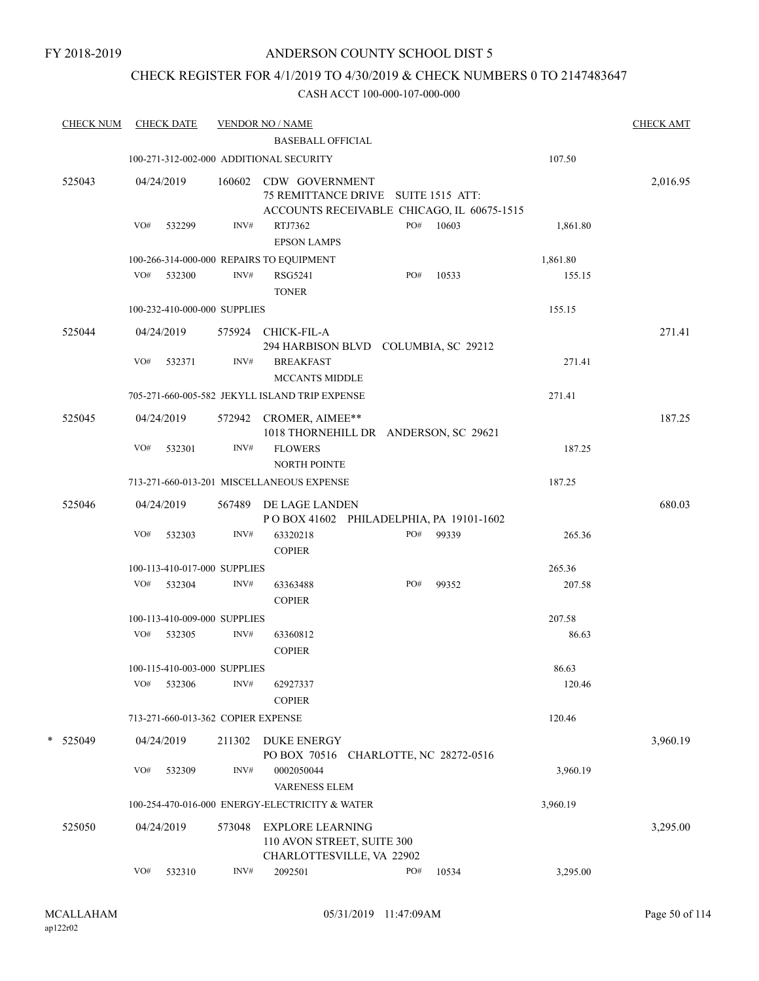## CHECK REGISTER FOR 4/1/2019 TO 4/30/2019 & CHECK NUMBERS 0 TO 2147483647

| <b>CHECK NUM</b> |     | <b>CHECK DATE</b>                  |        | <b>VENDOR NO / NAME</b><br><b>BASEBALL OFFICIAL</b>                                                        |                          |       |          | <b>CHECK AMT</b> |
|------------------|-----|------------------------------------|--------|------------------------------------------------------------------------------------------------------------|--------------------------|-------|----------|------------------|
|                  |     |                                    |        | 100-271-312-002-000 ADDITIONAL SECURITY                                                                    |                          |       | 107.50   |                  |
|                  |     |                                    |        |                                                                                                            |                          |       |          |                  |
| 525043           |     | 04/24/2019                         |        | 160602 CDW GOVERNMENT<br>75 REMITTANCE DRIVE SUITE 1515 ATT:<br>ACCOUNTS RECEIVABLE CHICAGO, IL 60675-1515 |                          |       |          | 2,016.95         |
|                  | VO# | 532299                             | INV#   | RTJ7362<br><b>EPSON LAMPS</b>                                                                              | PO#                      | 10603 | 1,861.80 |                  |
|                  |     |                                    |        | 100-266-314-000-000 REPAIRS TO EQUIPMENT                                                                   |                          |       | 1,861.80 |                  |
|                  |     | VO# 532300                         | INV#   | <b>RSG5241</b><br><b>TONER</b>                                                                             | PO#                      | 10533 | 155.15   |                  |
|                  |     | 100-232-410-000-000 SUPPLIES       |        |                                                                                                            |                          |       | 155.15   |                  |
| 525044           |     | 04/24/2019                         |        | 575924 CHICK-FIL-A<br>294 HARBISON BLVD COLUMBIA, SC 29212                                                 |                          |       |          | 271.41           |
|                  | VO# | 532371                             | INV#   | <b>BREAKFAST</b><br><b>MCCANTS MIDDLE</b>                                                                  |                          |       | 271.41   |                  |
|                  |     |                                    |        | 705-271-660-005-582 JEKYLL ISLAND TRIP EXPENSE                                                             |                          |       | 271.41   |                  |
| 525045           |     | 04/24/2019                         |        | 572942 CROMER, AIMEE**<br>1018 THORNEHILL DR ANDERSON, SC 29621                                            |                          |       |          | 187.25           |
|                  | VO# | 532301                             | INV#   | <b>FLOWERS</b><br>NORTH POINTE                                                                             |                          |       | 187.25   |                  |
|                  |     |                                    |        | 713-271-660-013-201 MISCELLANEOUS EXPENSE                                                                  |                          |       | 187.25   |                  |
| 525046           |     | 04/24/2019                         |        | 567489 DE LAGE LANDEN<br>POBOX 41602 PHILADELPHIA, PA 19101-1602                                           |                          |       |          | 680.03           |
|                  | VO# | 532303                             | INV#   | 63320218<br><b>COPIER</b>                                                                                  | PO#                      | 99339 | 265.36   |                  |
|                  |     | 100-113-410-017-000 SUPPLIES       |        |                                                                                                            |                          |       | 265.36   |                  |
|                  |     | VO# 532304                         | INV#   | 63363488<br><b>COPIER</b>                                                                                  | PO#                      | 99352 | 207.58   |                  |
|                  |     | 100-113-410-009-000 SUPPLIES       |        |                                                                                                            |                          |       | 207.58   |                  |
|                  |     | VO# 532305                         | INV#   | 63360812<br><b>COPIER</b>                                                                                  |                          |       | 86.63    |                  |
|                  |     | 100-115-410-003-000 SUPPLIES       |        |                                                                                                            |                          |       | 86.63    |                  |
|                  | VO# | 532306                             | INV#   | 62927337<br><b>COPIER</b>                                                                                  |                          |       | 120.46   |                  |
|                  |     | 713-271-660-013-362 COPIER EXPENSE |        |                                                                                                            |                          |       | 120.46   |                  |
| * 525049         |     | 04/24/2019                         | 211302 | <b>DUKE ENERGY</b><br>PO BOX 70516                                                                         | CHARLOTTE, NC 28272-0516 |       |          | 3,960.19         |
|                  | VO# | 532309                             | INV#   | 0002050044<br><b>VARENESS ELEM</b>                                                                         |                          |       | 3,960.19 |                  |
|                  |     |                                    |        | 100-254-470-016-000 ENERGY-ELECTRICITY & WATER                                                             |                          |       | 3,960.19 |                  |
| 525050           |     | 04/24/2019                         | 573048 | <b>EXPLORE LEARNING</b><br>110 AVON STREET, SUITE 300<br>CHARLOTTESVILLE, VA 22902                         |                          |       |          | 3,295.00         |
|                  | VO# | 532310                             | INV#   | 2092501                                                                                                    | PO#                      | 10534 | 3,295.00 |                  |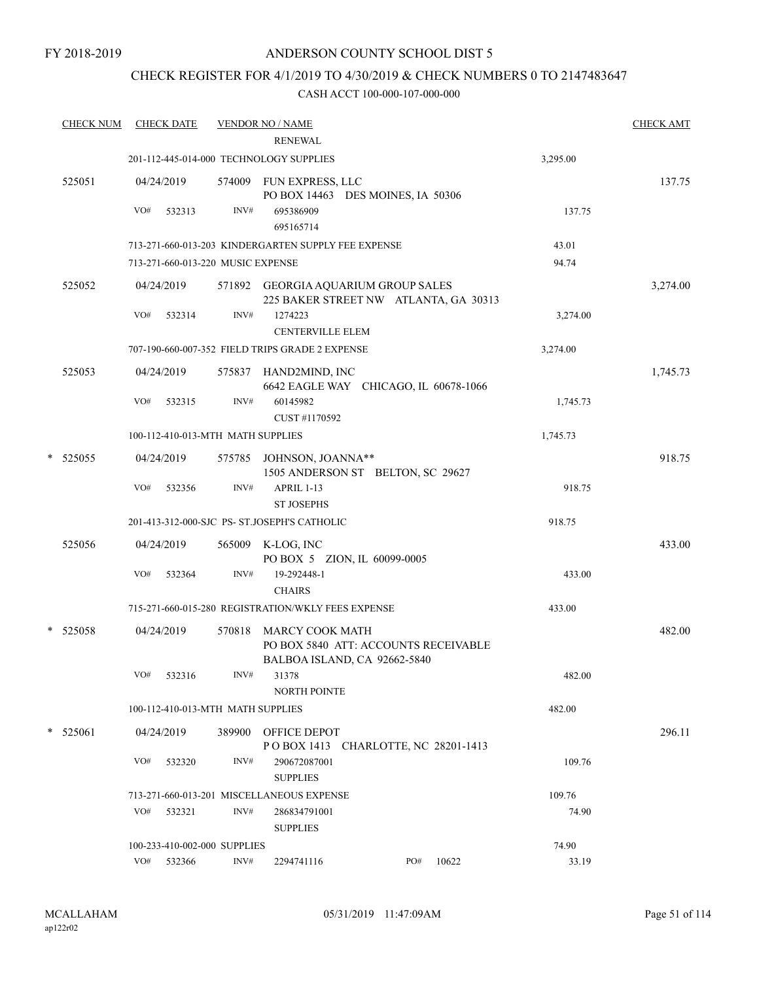## CHECK REGISTER FOR 4/1/2019 TO 4/30/2019 & CHECK NUMBERS 0 TO 2147483647

|   | <b>CHECK NUM</b> |     | <b>CHECK DATE</b>                 |        | <b>VENDOR NO / NAME</b>                                                                        |     |       |          | <b>CHECK AMT</b> |
|---|------------------|-----|-----------------------------------|--------|------------------------------------------------------------------------------------------------|-----|-------|----------|------------------|
|   |                  |     |                                   |        | <b>RENEWAL</b>                                                                                 |     |       |          |                  |
|   |                  |     |                                   |        | 201-112-445-014-000 TECHNOLOGY SUPPLIES                                                        |     |       | 3,295.00 |                  |
|   | 525051           | VO# | 04/24/2019<br>532313              | INV#   | 574009 FUN EXPRESS, LLC<br>PO BOX 14463 DES MOINES, IA 50306<br>695386909                      |     |       | 137.75   | 137.75           |
|   |                  |     |                                   |        | 695165714                                                                                      |     |       |          |                  |
|   |                  |     |                                   |        | 713-271-660-013-203 KINDERGARTEN SUPPLY FEE EXPENSE                                            |     |       | 43.01    |                  |
|   |                  |     | 713-271-660-013-220 MUSIC EXPENSE |        |                                                                                                |     |       | 94.74    |                  |
|   | 525052           |     | 04/24/2019                        |        | 571892 GEORGIA AQUARIUM GROUP SALES<br>225 BAKER STREET NW ATLANTA, GA 30313                   |     |       |          | 3,274.00         |
|   |                  | VO# | 532314                            | INV#   | 1274223<br><b>CENTERVILLE ELEM</b>                                                             |     |       | 3,274.00 |                  |
|   |                  |     |                                   |        | 707-190-660-007-352 FIELD TRIPS GRADE 2 EXPENSE                                                |     |       | 3,274.00 |                  |
|   | 525053           |     | 04/24/2019                        |        | 575837 HAND2MIND, INC<br>6642 EAGLE WAY CHICAGO, IL 60678-1066                                 |     |       |          | 1,745.73         |
|   |                  | VO# | 532315                            | INV#   | 60145982<br>CUST #1170592                                                                      |     |       | 1,745.73 |                  |
|   |                  |     | 100-112-410-013-MTH MATH SUPPLIES |        |                                                                                                |     |       | 1,745.73 |                  |
| * | 525055           |     | 04/24/2019                        |        | 575785 JOHNSON, JOANNA**<br>1505 ANDERSON ST BELTON, SC 29627                                  |     |       |          | 918.75           |
|   |                  | VO# | 532356                            | INV#   | APRIL 1-13<br><b>ST JOSEPHS</b>                                                                |     |       | 918.75   |                  |
|   |                  |     |                                   |        | 201-413-312-000-SJC PS- ST.JOSEPH'S CATHOLIC                                                   |     |       | 918.75   |                  |
|   | 525056           |     | 04/24/2019                        |        | 565009 K-LOG, INC<br>PO BOX 5 ZION, IL 60099-0005                                              |     |       |          | 433.00           |
|   |                  | VO# | 532364                            | INV#   | 19-292448-1<br><b>CHAIRS</b>                                                                   |     |       | 433.00   |                  |
|   |                  |     |                                   |        | 715-271-660-015-280 REGISTRATION/WKLY FEES EXPENSE                                             |     |       | 433.00   |                  |
|   | * 525058         |     | 04/24/2019                        | 570818 | <b>MARCY COOK MATH</b><br>PO BOX 5840 ATT: ACCOUNTS RECEIVABLE<br>BALBOA ISLAND, CA 92662-5840 |     |       |          | 482.00           |
|   |                  | VO# | 532316                            | INV#   | 31378<br><b>NORTH POINTE</b>                                                                   |     |       | 482.00   |                  |
|   |                  |     | 100-112-410-013-MTH MATH SUPPLIES |        |                                                                                                |     |       | 482.00   |                  |
|   | $*$ 525061       |     | 04/24/2019                        |        | 389900 OFFICE DEPOT<br>POBOX 1413 CHARLOTTE, NC 28201-1413                                     |     |       |          | 296.11           |
|   |                  | VO# | 532320                            | INV#   | 290672087001<br><b>SUPPLIES</b>                                                                |     |       | 109.76   |                  |
|   |                  |     |                                   |        | 713-271-660-013-201 MISCELLANEOUS EXPENSE                                                      |     |       | 109.76   |                  |
|   |                  | VO# | 532321                            | INV#   | 286834791001<br><b>SUPPLIES</b>                                                                |     |       | 74.90    |                  |
|   |                  |     | 100-233-410-002-000 SUPPLIES      |        |                                                                                                |     |       | 74.90    |                  |
|   |                  | VO# | 532366                            | INV#   | 2294741116                                                                                     | PO# | 10622 | 33.19    |                  |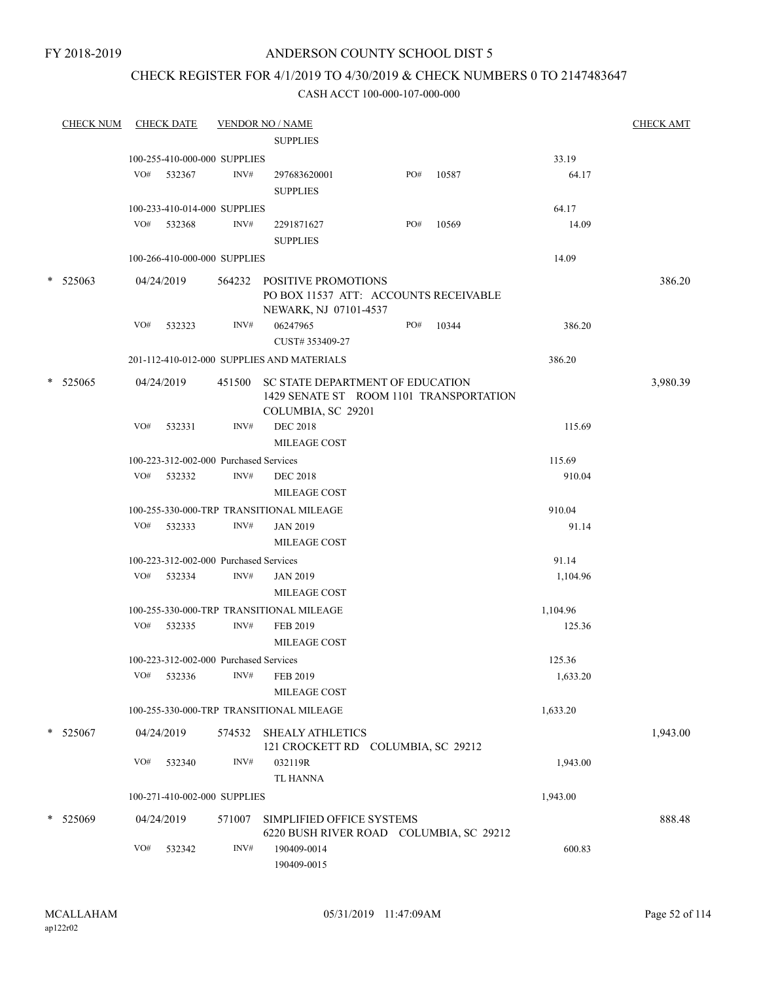#### FY 2018-2019

## ANDERSON COUNTY SCHOOL DIST 5

## CHECK REGISTER FOR 4/1/2019 TO 4/30/2019 & CHECK NUMBERS 0 TO 2147483647

|        | <b>CHECK NUM</b> |     | <b>CHECK DATE</b>                      |        | <b>VENDOR NO / NAME</b>                                                                           |     |       |          | <b>CHECK AMT</b> |
|--------|------------------|-----|----------------------------------------|--------|---------------------------------------------------------------------------------------------------|-----|-------|----------|------------------|
|        |                  |     |                                        |        | <b>SUPPLIES</b>                                                                                   |     |       |          |                  |
|        |                  |     | 100-255-410-000-000 SUPPLIES           |        |                                                                                                   |     |       | 33.19    |                  |
|        |                  |     | VO# 532367                             | INV#   | 297683620001                                                                                      | PO# | 10587 | 64.17    |                  |
|        |                  |     |                                        |        | <b>SUPPLIES</b>                                                                                   |     |       |          |                  |
|        |                  |     | 100-233-410-014-000 SUPPLIES           |        |                                                                                                   |     |       | 64.17    |                  |
|        |                  | VO# | 532368                                 | INV#   | 2291871627                                                                                        | PO# | 10569 | 14.09    |                  |
|        |                  |     |                                        |        | <b>SUPPLIES</b>                                                                                   |     |       |          |                  |
|        |                  |     | 100-266-410-000-000 SUPPLIES           |        |                                                                                                   |     |       | 14.09    |                  |
| $\ast$ | 525063           |     | 04/24/2019                             |        | 564232 POSITIVE PROMOTIONS<br>PO BOX 11537 ATT: ACCOUNTS RECEIVABLE<br>NEWARK, NJ 07101-4537      |     |       |          | 386.20           |
|        |                  | VO# | 532323                                 | INV#   | 06247965                                                                                          | PO# | 10344 | 386.20   |                  |
|        |                  |     |                                        |        | CUST#353409-27                                                                                    |     |       |          |                  |
|        |                  |     |                                        |        | 201-112-410-012-000 SUPPLIES AND MATERIALS                                                        |     |       | 386.20   |                  |
|        |                  |     |                                        |        |                                                                                                   |     |       |          |                  |
|        | $*$ 525065       |     | 04/24/2019                             | 451500 | SC STATE DEPARTMENT OF EDUCATION<br>1429 SENATE ST ROOM 1101 TRANSPORTATION<br>COLUMBIA, SC 29201 |     |       |          | 3,980.39         |
|        |                  | VO# | 532331                                 | INV#   | <b>DEC 2018</b>                                                                                   |     |       | 115.69   |                  |
|        |                  |     |                                        |        | <b>MILEAGE COST</b>                                                                               |     |       |          |                  |
|        |                  |     | 100-223-312-002-000 Purchased Services |        |                                                                                                   |     |       | 115.69   |                  |
|        |                  | VO# | 532332                                 | INV#   | <b>DEC 2018</b>                                                                                   |     |       | 910.04   |                  |
|        |                  |     |                                        |        | <b>MILEAGE COST</b>                                                                               |     |       |          |                  |
|        |                  |     |                                        |        | 100-255-330-000-TRP TRANSITIONAL MILEAGE                                                          |     |       | 910.04   |                  |
|        |                  | VO# | 532333                                 | INV#   | <b>JAN 2019</b>                                                                                   |     |       | 91.14    |                  |
|        |                  |     |                                        |        | <b>MILEAGE COST</b>                                                                               |     |       |          |                  |
|        |                  |     | 100-223-312-002-000 Purchased Services |        |                                                                                                   |     |       | 91.14    |                  |
|        |                  |     | VO# 532334                             | INV#   | <b>JAN 2019</b>                                                                                   |     |       | 1,104.96 |                  |
|        |                  |     |                                        |        | MILEAGE COST                                                                                      |     |       |          |                  |
|        |                  |     |                                        |        | 100-255-330-000-TRP TRANSITIONAL MILEAGE                                                          |     |       | 1,104.96 |                  |
|        |                  |     | VO# 532335                             | INV#   | FEB 2019                                                                                          |     |       | 125.36   |                  |
|        |                  |     |                                        |        | MILEAGE COST                                                                                      |     |       |          |                  |
|        |                  |     | 100-223-312-002-000 Purchased Services |        |                                                                                                   |     |       | 125.36   |                  |
|        |                  | VO# | 532336                                 | INV#   | FEB 2019                                                                                          |     |       | 1,633.20 |                  |
|        |                  |     |                                        |        | MILEAGE COST                                                                                      |     |       |          |                  |
|        |                  |     |                                        |        | 100-255-330-000-TRP TRANSITIONAL MILEAGE                                                          |     |       | 1,633.20 |                  |
|        |                  |     |                                        |        |                                                                                                   |     |       |          |                  |
|        | $*$ 525067       |     | 04/24/2019                             | 574532 | <b>SHEALY ATHLETICS</b><br>121 CROCKETT RD COLUMBIA, SC 29212                                     |     |       |          | 1,943.00         |
|        |                  | VO# | 532340                                 | INV#   | 032119R                                                                                           |     |       | 1,943.00 |                  |
|        |                  |     |                                        |        | <b>TL HANNA</b>                                                                                   |     |       |          |                  |
|        |                  |     | 100-271-410-002-000 SUPPLIES           |        |                                                                                                   |     |       | 1,943.00 |                  |
|        |                  |     |                                        |        |                                                                                                   |     |       |          |                  |
|        | $*$ 525069       |     | 04/24/2019                             | 571007 | SIMPLIFIED OFFICE SYSTEMS                                                                         |     |       |          | 888.48           |
|        |                  |     |                                        |        | 6220 BUSH RIVER ROAD COLUMBIA, SC 29212                                                           |     |       |          |                  |
|        |                  | VO# | 532342                                 | INV#   | 190409-0014<br>190409-0015                                                                        |     |       | 600.83   |                  |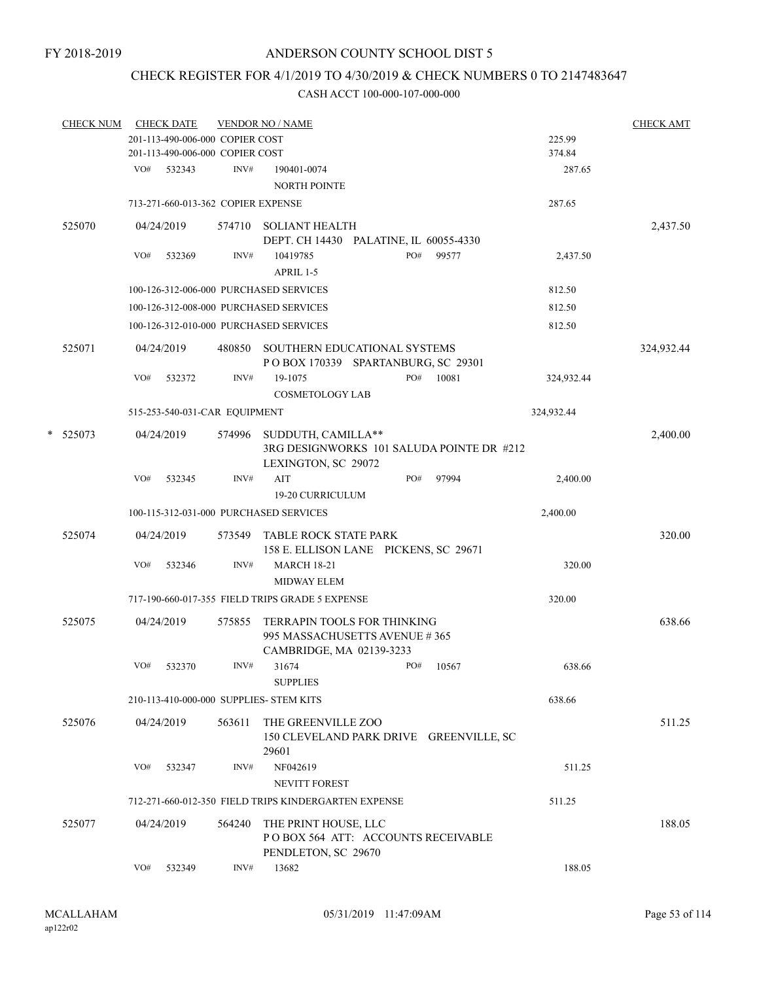## CHECK REGISTER FOR 4/1/2019 TO 4/30/2019 & CHECK NUMBERS 0 TO 2147483647

|   | <b>CHECK NUM</b> |     | <b>CHECK DATE</b> |                                    | <b>VENDOR NO / NAME</b>                                                                         |     |       |            | <b>CHECK AMT</b> |
|---|------------------|-----|-------------------|------------------------------------|-------------------------------------------------------------------------------------------------|-----|-------|------------|------------------|
|   |                  |     |                   | 201-113-490-006-000 COPIER COST    |                                                                                                 |     |       | 225.99     |                  |
|   |                  |     |                   | 201-113-490-006-000 COPIER COST    |                                                                                                 |     |       | 374.84     |                  |
|   |                  | VO# | 532343            | INV#                               | 190401-0074<br>NORTH POINTE                                                                     |     |       | 287.65     |                  |
|   |                  |     |                   | 713-271-660-013-362 COPIER EXPENSE |                                                                                                 |     |       | 287.65     |                  |
|   | 525070           |     | 04/24/2019        | 574710                             | <b>SOLIANT HEALTH</b><br>DEPT. CH 14430 PALATINE, IL 60055-4330                                 |     |       |            | 2,437.50         |
|   |                  | VO# | 532369            | INV#                               | 10419785<br>APRIL 1-5                                                                           | PO# | 99577 | 2,437.50   |                  |
|   |                  |     |                   |                                    | 100-126-312-006-000 PURCHASED SERVICES                                                          |     |       | 812.50     |                  |
|   |                  |     |                   |                                    | 100-126-312-008-000 PURCHASED SERVICES                                                          |     |       | 812.50     |                  |
|   |                  |     |                   |                                    |                                                                                                 |     |       |            |                  |
|   |                  |     |                   |                                    | 100-126-312-010-000 PURCHASED SERVICES                                                          |     |       | 812.50     |                  |
|   | 525071           |     | 04/24/2019        | 480850                             | SOUTHERN EDUCATIONAL SYSTEMS<br>POBOX 170339 SPARTANBURG, SC 29301                              |     |       |            | 324,932.44       |
|   |                  | VO# | 532372            | INV#                               | 19-1075<br><b>COSMETOLOGY LAB</b>                                                               | PO# | 10081 | 324,932.44 |                  |
|   |                  |     |                   | 515-253-540-031-CAR EQUIPMENT      |                                                                                                 |     |       | 324,932.44 |                  |
| * | 525073           |     | 04/24/2019        | 574996                             | SUDDUTH, CAMILLA**<br>3RG DESIGNWORKS 101 SALUDA POINTE DR #212<br>LEXINGTON, SC 29072          |     |       |            | 2,400.00         |
|   |                  | VO# | 532345            | INV#                               | AIT<br>19-20 CURRICULUM                                                                         | PO# | 97994 | 2,400.00   |                  |
|   |                  |     |                   |                                    | 100-115-312-031-000 PURCHASED SERVICES                                                          |     |       | 2,400.00   |                  |
|   |                  |     |                   |                                    |                                                                                                 |     |       |            |                  |
|   | 525074           |     | 04/24/2019        | 573549                             | TABLE ROCK STATE PARK<br>158 E. ELLISON LANE PICKENS, SC 29671                                  |     |       |            | 320.00           |
|   |                  | VO# | 532346            | INV#                               | <b>MARCH 18-21</b><br>MIDWAY ELEM                                                               |     |       | 320.00     |                  |
|   |                  |     |                   |                                    | 717-190-660-017-355 FIELD TRIPS GRADE 5 EXPENSE                                                 |     |       | 320.00     |                  |
|   | 525075           |     | 04/24/2019        | 575855                             | <b>TERRAPIN TOOLS FOR THINKING</b><br>995 MASSACHUSETTS AVENUE #365<br>CAMBRIDGE, MA 02139-3233 |     |       |            | 638.66           |
|   |                  | VO# | 532370            | INV#                               | 31674<br><b>SUPPLIES</b>                                                                        | PO# | 10567 | 638.66     |                  |
|   |                  |     |                   |                                    | 210-113-410-000-000 SUPPLIES- STEM KITS                                                         |     |       | 638.66     |                  |
|   | 525076           |     | 04/24/2019        | 563611                             | THE GREENVILLE ZOO<br>150 CLEVELAND PARK DRIVE GREENVILLE, SC                                   |     |       |            | 511.25           |
|   |                  | VO# | 532347            | INV#                               | 29601<br>NF042619                                                                               |     |       | 511.25     |                  |
|   |                  |     |                   |                                    | <b>NEVITT FOREST</b>                                                                            |     |       |            |                  |
|   |                  |     |                   |                                    | 712-271-660-012-350 FIELD TRIPS KINDERGARTEN EXPENSE                                            |     |       | 511.25     |                  |
|   | 525077           |     | 04/24/2019        | 564240                             | THE PRINT HOUSE, LLC<br>POBOX 564 ATT: ACCOUNTS RECEIVABLE<br>PENDLETON, SC 29670               |     |       |            | 188.05           |
|   |                  | VO# | 532349            | INV#                               | 13682                                                                                           |     |       | 188.05     |                  |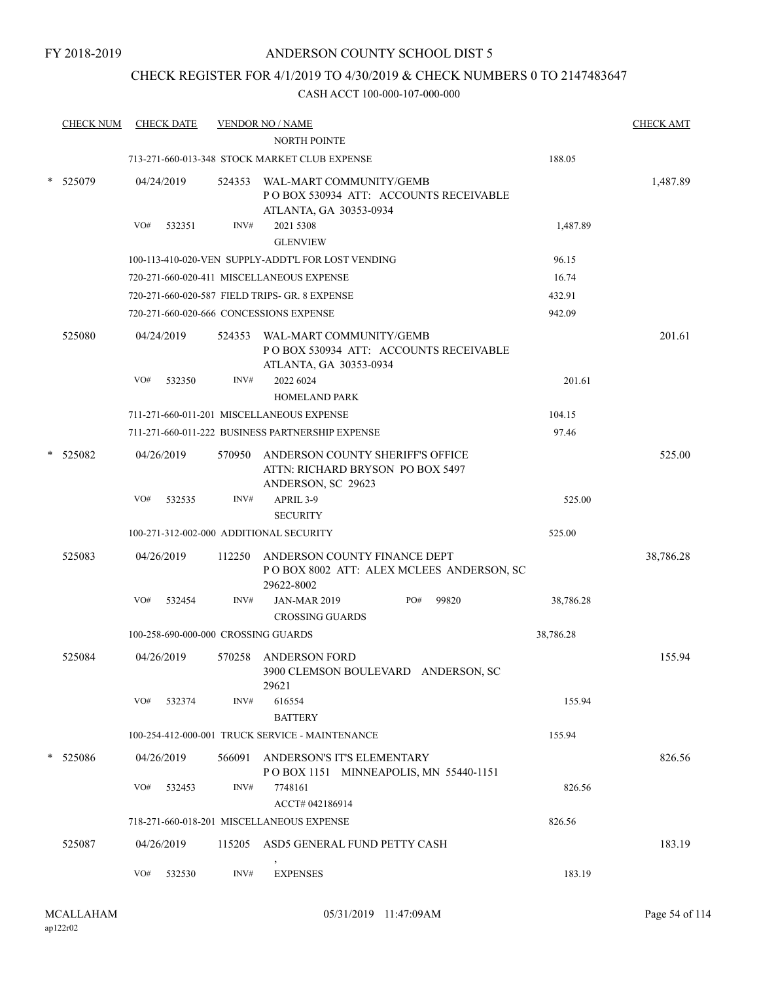## CHECK REGISTER FOR 4/1/2019 TO 4/30/2019 & CHECK NUMBERS 0 TO 2147483647

| <b>CHECK NUM</b> | <b>CHECK DATE</b> |                                     | <b>VENDOR NO / NAME</b>                                                                            |     |       |           | <b>CHECK AMT</b> |
|------------------|-------------------|-------------------------------------|----------------------------------------------------------------------------------------------------|-----|-------|-----------|------------------|
|                  |                   |                                     | <b>NORTH POINTE</b>                                                                                |     |       |           |                  |
|                  |                   |                                     | 713-271-660-013-348 STOCK MARKET CLUB EXPENSE                                                      |     |       | 188.05    |                  |
| 525079           | 04/24/2019        |                                     | 524353 WAL-MART COMMUNITY/GEMB<br>PO BOX 530934 ATT: ACCOUNTS RECEIVABLE<br>ATLANTA, GA 30353-0934 |     |       |           | 1,487.89         |
|                  | VO#<br>532351     | INV#                                | 2021 5308<br><b>GLENVIEW</b>                                                                       |     |       | 1,487.89  |                  |
|                  |                   |                                     | 100-113-410-020-VEN SUPPLY-ADDT'L FOR LOST VENDING                                                 |     |       | 96.15     |                  |
|                  |                   |                                     | 720-271-660-020-411 MISCELLANEOUS EXPENSE                                                          |     |       | 16.74     |                  |
|                  |                   |                                     | 720-271-660-020-587 FIELD TRIPS- GR. 8 EXPENSE                                                     |     |       | 432.91    |                  |
|                  |                   |                                     | 720-271-660-020-666 CONCESSIONS EXPENSE                                                            |     |       | 942.09    |                  |
| 525080           | 04/24/2019        |                                     | 524353 WAL-MART COMMUNITY/GEMB<br>POBOX 530934 ATT: ACCOUNTS RECEIVABLE<br>ATLANTA, GA 30353-0934  |     |       |           | 201.61           |
|                  | VO#<br>532350     | INV#                                | 2022 6024<br><b>HOMELAND PARK</b>                                                                  |     |       | 201.61    |                  |
|                  |                   |                                     | 711-271-660-011-201 MISCELLANEOUS EXPENSE                                                          |     |       | 104.15    |                  |
|                  |                   |                                     | 711-271-660-011-222 BUSINESS PARTNERSHIP EXPENSE                                                   |     |       | 97.46     |                  |
| 525082           | 04/26/2019        | 570950                              | ANDERSON COUNTY SHERIFF'S OFFICE<br>ATTN: RICHARD BRYSON PO BOX 5497<br>ANDERSON, SC 29623         |     |       |           | 525.00           |
|                  | VO#<br>532535     | INV#                                | APRIL 3-9<br><b>SECURITY</b>                                                                       |     |       | 525.00    |                  |
|                  |                   |                                     | 100-271-312-002-000 ADDITIONAL SECURITY                                                            |     |       | 525.00    |                  |
| 525083           | 04/26/2019        | 112250                              | ANDERSON COUNTY FINANCE DEPT<br>POBOX 8002 ATT: ALEX MCLEES ANDERSON, SC<br>29622-8002             |     |       |           | 38,786.28        |
|                  | VO#<br>532454     | INV#                                | <b>JAN-MAR 2019</b><br><b>CROSSING GUARDS</b>                                                      | PO# | 99820 | 38,786.28 |                  |
|                  |                   | 100-258-690-000-000 CROSSING GUARDS |                                                                                                    |     |       | 38,786.28 |                  |
| 525084           | 04/26/2019        | 570258                              | <b>ANDERSON FORD</b><br>3900 CLEMSON BOULEVARD ANDERSON. SC<br>29621                               |     |       |           | 155.94           |
|                  | VO#<br>532374     | INV#                                | 616554<br><b>BATTERY</b>                                                                           |     |       | 155.94    |                  |
|                  |                   |                                     | 100-254-412-000-001 TRUCK SERVICE - MAINTENANCE                                                    |     |       | 155.94    |                  |
| * 525086         | 04/26/2019        |                                     | 566091 ANDERSON'S IT'S ELEMENTARY<br>POBOX 1151 MINNEAPOLIS, MN 55440-1151                         |     |       |           | 826.56           |
|                  | VO#<br>532453     | INV#                                | 7748161<br>ACCT# 042186914                                                                         |     |       | 826.56    |                  |
|                  |                   |                                     | 718-271-660-018-201 MISCELLANEOUS EXPENSE                                                          |     |       | 826.56    |                  |
| 525087           | 04/26/2019        | 115205                              | ASD5 GENERAL FUND PETTY CASH                                                                       |     |       |           | 183.19           |
|                  | VO#<br>532530     | INV#                                | <b>EXPENSES</b>                                                                                    |     |       | 183.19    |                  |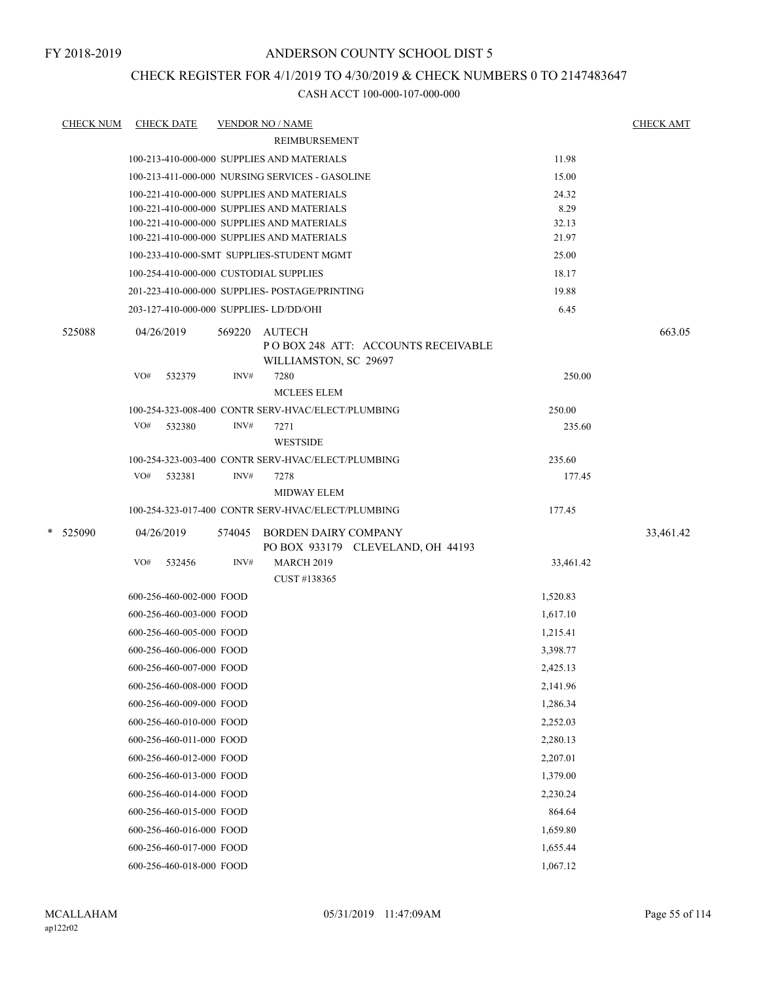## CHECK REGISTER FOR 4/1/2019 TO 4/30/2019 & CHECK NUMBERS 0 TO 2147483647

| <b>CHECK NUM</b> | <b>CHECK DATE</b>        |        |        | <b>VENDOR NO / NAME</b>                                                                  |               | <b>CHECK AMT</b> |
|------------------|--------------------------|--------|--------|------------------------------------------------------------------------------------------|---------------|------------------|
|                  |                          |        |        | <b>REIMBURSEMENT</b>                                                                     |               |                  |
|                  |                          |        |        | 100-213-410-000-000 SUPPLIES AND MATERIALS                                               | 11.98         |                  |
|                  |                          |        |        | 100-213-411-000-000 NURSING SERVICES - GASOLINE                                          | 15.00         |                  |
|                  |                          |        |        | 100-221-410-000-000 SUPPLIES AND MATERIALS                                               | 24.32         |                  |
|                  |                          |        |        | 100-221-410-000-000 SUPPLIES AND MATERIALS<br>100-221-410-000-000 SUPPLIES AND MATERIALS | 8.29<br>32.13 |                  |
|                  |                          |        |        | 100-221-410-000-000 SUPPLIES AND MATERIALS                                               | 21.97         |                  |
|                  |                          |        |        | 100-233-410-000-SMT SUPPLIES-STUDENT MGMT                                                | 25.00         |                  |
|                  |                          |        |        | 100-254-410-000-000 CUSTODIAL SUPPLIES                                                   | 18.17         |                  |
|                  |                          |        |        | 201-223-410-000-000 SUPPLIES- POSTAGE/PRINTING                                           | 19.88         |                  |
|                  |                          |        |        | 203-127-410-000-000 SUPPLIES-LD/DD/OHI                                                   | 6.45          |                  |
| 525088           | 04/26/2019               |        | 569220 | <b>AUTECH</b>                                                                            |               | 663.05           |
|                  |                          |        |        | POBOX 248 ATT: ACCOUNTS RECEIVABLE<br>WILLIAMSTON, SC 29697                              |               |                  |
|                  | VO#                      | 532379 | INV#   | 7280                                                                                     | 250.00        |                  |
|                  |                          |        |        | <b>MCLEES ELEM</b>                                                                       |               |                  |
|                  |                          |        |        | 100-254-323-008-400 CONTR SERV-HVAC/ELECT/PLUMBING                                       | 250.00        |                  |
|                  | VO#                      | 532380 | INV#   | 7271                                                                                     | 235.60        |                  |
|                  |                          |        |        | <b>WESTSIDE</b>                                                                          |               |                  |
|                  |                          |        |        | 100-254-323-003-400 CONTR SERV-HVAC/ELECT/PLUMBING                                       | 235.60        |                  |
|                  | VO#                      | 532381 | INV#   | 7278<br><b>MIDWAY ELEM</b>                                                               | 177.45        |                  |
|                  |                          |        |        | 100-254-323-017-400 CONTR SERV-HVAC/ELECT/PLUMBING                                       | 177.45        |                  |
| * 525090         | 04/26/2019               |        | 574045 | BORDEN DAIRY COMPANY                                                                     |               | 33,461.42        |
|                  |                          |        |        | PO BOX 933179 CLEVELAND, OH 44193                                                        |               |                  |
|                  | VO#                      | 532456 | INV#   | <b>MARCH 2019</b>                                                                        | 33,461.42     |                  |
|                  |                          |        |        | CUST #138365                                                                             |               |                  |
|                  | 600-256-460-002-000 FOOD |        |        |                                                                                          | 1,520.83      |                  |
|                  | 600-256-460-003-000 FOOD |        |        |                                                                                          | 1,617.10      |                  |
|                  | 600-256-460-005-000 FOOD |        |        |                                                                                          | 1,215.41      |                  |
|                  | 600-256-460-006-000 FOOD |        |        |                                                                                          | 3,398.77      |                  |
|                  | 600-256-460-007-000 FOOD |        |        |                                                                                          | 2,425.13      |                  |
|                  | 600-256-460-008-000 FOOD |        |        |                                                                                          | 2,141.96      |                  |
|                  | 600-256-460-009-000 FOOD |        |        |                                                                                          | 1,286.34      |                  |
|                  | 600-256-460-010-000 FOOD |        |        |                                                                                          | 2,252.03      |                  |
|                  | 600-256-460-011-000 FOOD |        |        |                                                                                          | 2,280.13      |                  |
|                  | 600-256-460-012-000 FOOD |        |        |                                                                                          | 2,207.01      |                  |
|                  | 600-256-460-013-000 FOOD |        |        |                                                                                          | 1,379.00      |                  |
|                  | 600-256-460-014-000 FOOD |        |        |                                                                                          | 2,230.24      |                  |
|                  | 600-256-460-015-000 FOOD |        |        |                                                                                          | 864.64        |                  |
|                  | 600-256-460-016-000 FOOD |        |        |                                                                                          | 1,659.80      |                  |
|                  | 600-256-460-017-000 FOOD |        |        |                                                                                          | 1,655.44      |                  |
|                  | 600-256-460-018-000 FOOD |        |        |                                                                                          | 1,067.12      |                  |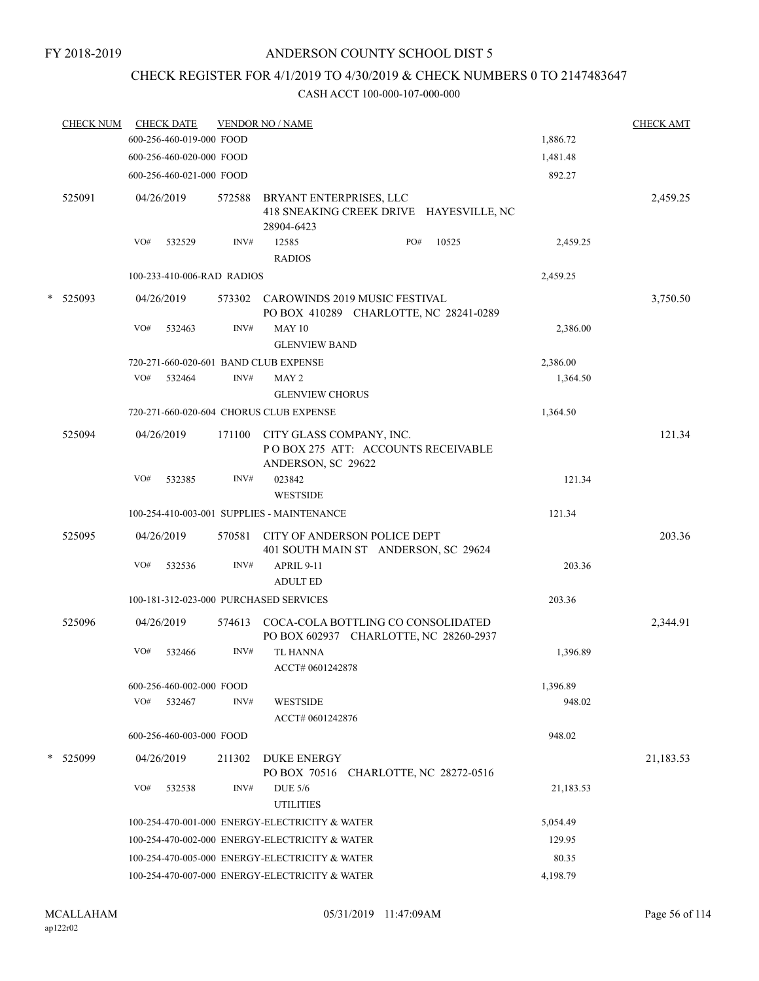## CHECK REGISTER FOR 4/1/2019 TO 4/30/2019 & CHECK NUMBERS 0 TO 2147483647

|   | <u>CHECK NUM</u> |     | <b>CHECK DATE</b>          |        | <b>VENDOR NO / NAME</b>                                                          |           | <b>CHECK AMT</b> |
|---|------------------|-----|----------------------------|--------|----------------------------------------------------------------------------------|-----------|------------------|
|   |                  |     | 600-256-460-019-000 FOOD   |        |                                                                                  | 1,886.72  |                  |
|   |                  |     | 600-256-460-020-000 FOOD   |        |                                                                                  | 1,481.48  |                  |
|   |                  |     | 600-256-460-021-000 FOOD   |        |                                                                                  | 892.27    |                  |
|   | 525091           |     | 04/26/2019                 | 572588 | BRYANT ENTERPRISES, LLC<br>418 SNEAKING CREEK DRIVE HAYESVILLE, NC<br>28904-6423 |           | 2,459.25         |
|   |                  | VO# | 532529                     | INV#   | PO#<br>12585<br>10525<br><b>RADIOS</b>                                           | 2,459.25  |                  |
|   |                  |     | 100-233-410-006-RAD RADIOS |        |                                                                                  | 2,459.25  |                  |
| * | 525093           |     | 04/26/2019                 |        | 573302 CAROWINDS 2019 MUSIC FESTIVAL                                             |           | 3,750.50         |
|   |                  | VO# | 532463                     | INV#   | PO BOX 410289 CHARLOTTE, NC 28241-0289<br><b>MAY 10</b><br><b>GLENVIEW BAND</b>  | 2,386.00  |                  |
|   |                  |     |                            |        | 720-271-660-020-601 BAND CLUB EXPENSE                                            | 2,386.00  |                  |
|   |                  | VO# | 532464                     | INV#   | MAY <sub>2</sub><br><b>GLENVIEW CHORUS</b>                                       | 1,364.50  |                  |
|   |                  |     |                            |        | 720-271-660-020-604 CHORUS CLUB EXPENSE                                          | 1,364.50  |                  |
|   | 525094           |     | 04/26/2019                 | 171100 | CITY GLASS COMPANY, INC.<br>POBOX 275 ATT: ACCOUNTS RECEIVABLE                   |           | 121.34           |
|   |                  | VO# | 532385                     | INV#   | ANDERSON, SC 29622<br>023842<br><b>WESTSIDE</b>                                  | 121.34    |                  |
|   |                  |     |                            |        | 100-254-410-003-001 SUPPLIES - MAINTENANCE                                       | 121.34    |                  |
|   | 525095           |     | 04/26/2019                 | 570581 | CITY OF ANDERSON POLICE DEPT<br>401 SOUTH MAIN ST ANDERSON, SC 29624             |           | 203.36           |
|   |                  | VO# | 532536                     | INV#   | APRIL 9-11<br><b>ADULT ED</b>                                                    | 203.36    |                  |
|   |                  |     |                            |        | 100-181-312-023-000 PURCHASED SERVICES                                           | 203.36    |                  |
|   | 525096           |     | 04/26/2019                 | 574613 | COCA-COLA BOTTLING CO CONSOLIDATED<br>PO BOX 602937 CHARLOTTE, NC 28260-2937     |           | 2,344.91         |
|   |                  | VO# | 532466                     | INV#   | <b>TL HANNA</b><br>ACCT# 0601242878                                              | 1,396.89  |                  |
|   |                  |     | 600-256-460-002-000 FOOD   |        |                                                                                  | 1,396.89  |                  |
|   |                  | VO# | 532467                     | INV#   | <b>WESTSIDE</b><br>ACCT# 0601242876                                              | 948.02    |                  |
|   |                  |     | 600-256-460-003-000 FOOD   |        |                                                                                  | 948.02    |                  |
|   | * 525099         |     | 04/26/2019                 | 211302 | <b>DUKE ENERGY</b><br>PO BOX 70516 CHARLOTTE, NC 28272-0516                      |           | 21,183.53        |
|   |                  | VO# | 532538                     | INV#   | <b>DUE 5/6</b><br><b>UTILITIES</b>                                               | 21,183.53 |                  |
|   |                  |     |                            |        | 100-254-470-001-000 ENERGY-ELECTRICITY & WATER                                   | 5,054.49  |                  |
|   |                  |     |                            |        | 100-254-470-002-000 ENERGY-ELECTRICITY & WATER                                   | 129.95    |                  |
|   |                  |     |                            |        | 100-254-470-005-000 ENERGY-ELECTRICITY & WATER                                   | 80.35     |                  |
|   |                  |     |                            |        | 100-254-470-007-000 ENERGY-ELECTRICITY & WATER                                   | 4,198.79  |                  |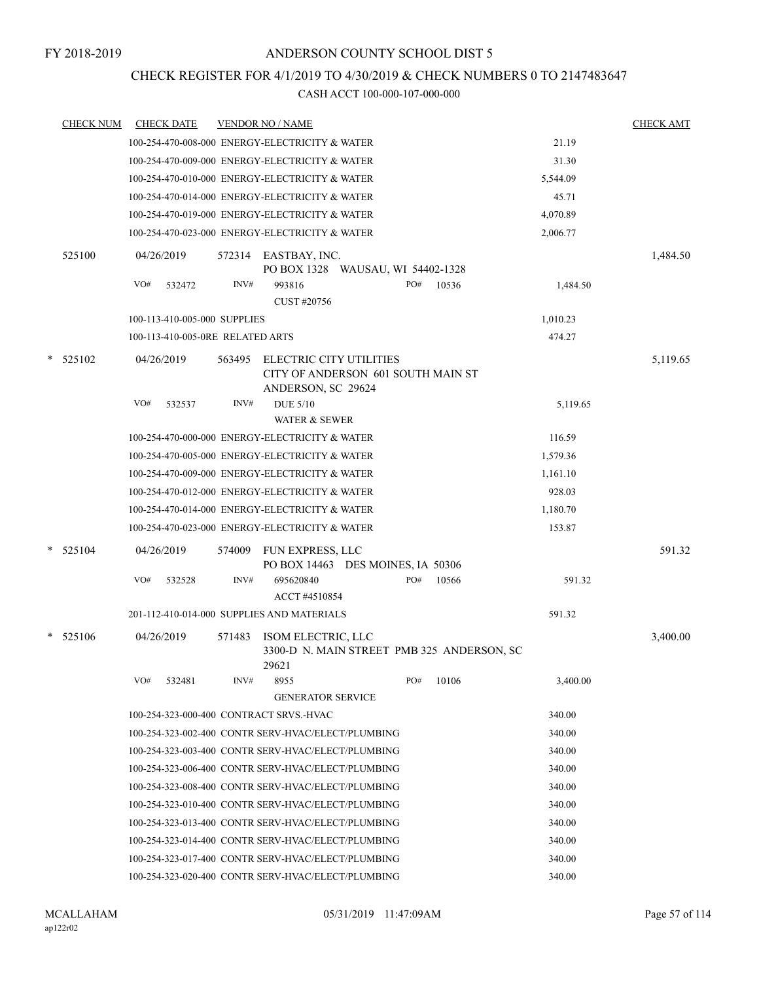## CHECK REGISTER FOR 4/1/2019 TO 4/30/2019 & CHECK NUMBERS 0 TO 2147483647

|   | <u>CHECK NUM</u> |            | <b>CHECK DATE</b>                |        | <b>VENDOR NO / NAME</b>                                         |     |       |          | <b>CHECK AMT</b> |
|---|------------------|------------|----------------------------------|--------|-----------------------------------------------------------------|-----|-------|----------|------------------|
|   |                  |            |                                  |        | 100-254-470-008-000 ENERGY-ELECTRICITY & WATER                  |     |       | 21.19    |                  |
|   |                  |            |                                  |        | 100-254-470-009-000 ENERGY-ELECTRICITY & WATER                  |     |       | 31.30    |                  |
|   |                  |            |                                  |        | 100-254-470-010-000 ENERGY-ELECTRICITY & WATER                  |     |       | 5,544.09 |                  |
|   |                  |            |                                  |        | 100-254-470-014-000 ENERGY-ELECTRICITY & WATER                  |     |       | 45.71    |                  |
|   |                  |            |                                  |        | 100-254-470-019-000 ENERGY-ELECTRICITY & WATER                  |     |       | 4,070.89 |                  |
|   |                  |            |                                  |        | 100-254-470-023-000 ENERGY-ELECTRICITY & WATER                  |     |       | 2,006.77 |                  |
|   | 525100           |            | 04/26/2019                       | 572314 | EASTBAY, INC.<br>PO BOX 1328  WAUSAU, WI 54402-1328             |     |       |          | 1,484.50         |
|   |                  | VO#        | 532472                           | INV#   | 993816<br>CUST #20756                                           | PO# | 10536 | 1,484.50 |                  |
|   |                  |            | 100-113-410-005-000 SUPPLIES     |        |                                                                 |     |       | 1,010.23 |                  |
|   |                  |            | 100-113-410-005-0RE RELATED ARTS |        |                                                                 |     |       | 474.27   |                  |
|   | $*$ 525102       |            | 04/26/2019                       | 563495 | ELECTRIC CITY UTILITIES                                         |     |       |          | 5,119.65         |
|   |                  |            |                                  |        | CITY OF ANDERSON 601 SOUTH MAIN ST<br>ANDERSON, SC 29624        |     |       |          |                  |
|   |                  | VO#        | 532537                           | INV#   | <b>DUE 5/10</b>                                                 |     |       | 5,119.65 |                  |
|   |                  |            |                                  |        | <b>WATER &amp; SEWER</b>                                        |     |       |          |                  |
|   |                  |            |                                  |        | 100-254-470-000-000 ENERGY-ELECTRICITY & WATER                  |     |       | 116.59   |                  |
|   |                  |            |                                  |        | 100-254-470-005-000 ENERGY-ELECTRICITY & WATER                  |     |       | 1,579.36 |                  |
|   |                  |            |                                  |        | 100-254-470-009-000 ENERGY-ELECTRICITY & WATER                  |     |       | 1,161.10 |                  |
|   |                  |            |                                  |        | 100-254-470-012-000 ENERGY-ELECTRICITY & WATER                  |     |       | 928.03   |                  |
|   |                  |            |                                  |        | 100-254-470-014-000 ENERGY-ELECTRICITY & WATER                  |     |       | 1,180.70 |                  |
|   |                  |            |                                  |        | 100-254-470-023-000 ENERGY-ELECTRICITY & WATER                  |     |       | 153.87   |                  |
| * | 525104           |            | 04/26/2019                       | 574009 | <b>FUN EXPRESS, LLC</b>                                         |     |       |          | 591.32           |
|   |                  | VO#        | 532528                           | INV#   | PO BOX 14463 DES MOINES, IA 50306<br>695620840<br>ACCT #4510854 | PO# | 10566 | 591.32   |                  |
|   |                  |            |                                  |        | 201-112-410-014-000 SUPPLIES AND MATERIALS                      |     |       | 591.32   |                  |
| * | 525106           | 04/26/2019 |                                  | 571483 | ISOM ELECTRIC, LLC                                              |     |       |          | 3,400.00         |
|   |                  |            |                                  |        | 3300-D N. MAIN STREET PMB 325 ANDERSON, SC<br>29621             |     |       |          |                  |
|   |                  | VO#        | 532481                           | INV#   | 8955<br><b>GENERATOR SERVICE</b>                                | PO# | 10106 | 3,400.00 |                  |
|   |                  |            |                                  |        | 100-254-323-000-400 CONTRACT SRVS.-HVAC                         |     |       | 340.00   |                  |
|   |                  |            |                                  |        | 100-254-323-002-400 CONTR SERV-HVAC/ELECT/PLUMBING              |     |       | 340.00   |                  |
|   |                  |            |                                  |        | 100-254-323-003-400 CONTR SERV-HVAC/ELECT/PLUMBING              |     |       | 340.00   |                  |
|   |                  |            |                                  |        | 100-254-323-006-400 CONTR SERV-HVAC/ELECT/PLUMBING              |     |       | 340.00   |                  |
|   |                  |            |                                  |        | 100-254-323-008-400 CONTR SERV-HVAC/ELECT/PLUMBING              |     |       | 340.00   |                  |
|   |                  |            |                                  |        | 100-254-323-010-400 CONTR SERV-HVAC/ELECT/PLUMBING              |     |       | 340.00   |                  |
|   |                  |            |                                  |        | 100-254-323-013-400 CONTR SERV-HVAC/ELECT/PLUMBING              |     |       | 340.00   |                  |
|   |                  |            |                                  |        | 100-254-323-014-400 CONTR SERV-HVAC/ELECT/PLUMBING              |     |       | 340.00   |                  |
|   |                  |            |                                  |        | 100-254-323-017-400 CONTR SERV-HVAC/ELECT/PLUMBING              |     |       | 340.00   |                  |
|   |                  |            |                                  |        | 100-254-323-020-400 CONTR SERV-HVAC/ELECT/PLUMBING              |     |       | 340.00   |                  |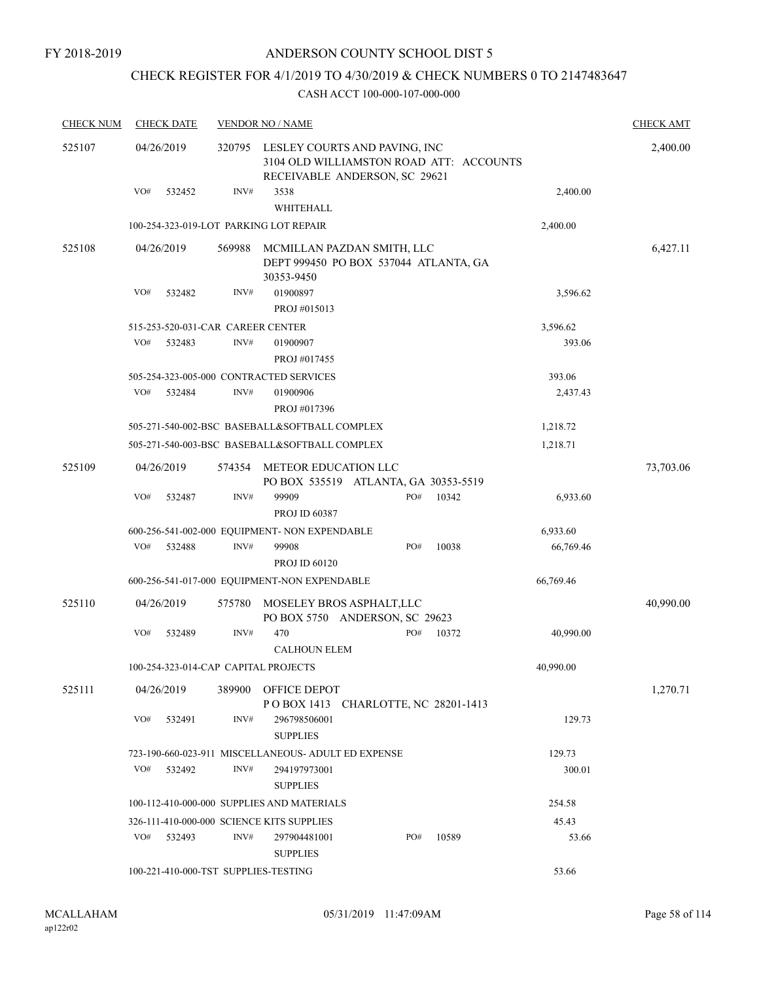## CHECK REGISTER FOR 4/1/2019 TO 4/30/2019 & CHECK NUMBERS 0 TO 2147483647

| <b>CHECK NUM</b> | <b>CHECK DATE</b>                         |        | <b>VENDOR NO / NAME</b>                                                                                   |                    | <b>CHECK AMT</b> |
|------------------|-------------------------------------------|--------|-----------------------------------------------------------------------------------------------------------|--------------------|------------------|
| 525107           | 04/26/2019                                | 320795 | LESLEY COURTS AND PAVING, INC<br>3104 OLD WILLIAMSTON ROAD ATT: ACCOUNTS<br>RECEIVABLE ANDERSON, SC 29621 |                    | 2,400.00         |
|                  | VO#<br>532452                             | INV#   | 3538                                                                                                      | 2,400.00           |                  |
|                  |                                           |        | WHITEHALL                                                                                                 |                    |                  |
|                  | 100-254-323-019-LOT PARKING LOT REPAIR    |        |                                                                                                           | 2,400.00           |                  |
| 525108           | 04/26/2019                                | 569988 | MCMILLAN PAZDAN SMITH, LLC<br>DEPT 999450 PO BOX 537044 ATLANTA, GA<br>30353-9450                         |                    | 6,427.11         |
|                  | VO#<br>532482                             | INV#   | 01900897<br>PROJ #015013                                                                                  | 3,596.62           |                  |
|                  | 515-253-520-031-CAR CAREER CENTER         |        |                                                                                                           | 3,596.62           |                  |
|                  | VO#<br>532483                             | INV#   | 01900907<br>PROJ #017455                                                                                  | 393.06             |                  |
|                  | 505-254-323-005-000 CONTRACTED SERVICES   |        |                                                                                                           | 393.06             |                  |
|                  | VO#<br>532484                             | INV#   | 01900906<br>PROJ #017396                                                                                  | 2,437.43           |                  |
|                  |                                           |        | 505-271-540-002-BSC BASEBALL&SOFTBALL COMPLEX                                                             | 1,218.72           |                  |
|                  |                                           |        | 505-271-540-003-BSC BASEBALL&SOFTBALL COMPLEX                                                             | 1,218.71           |                  |
| 525109           | 04/26/2019                                | 574354 | METEOR EDUCATION LLC<br>PO BOX 535519 ATLANTA, GA 30353-5519                                              |                    | 73,703.06        |
|                  | VO#<br>532487                             | INV#   | 99909<br>PO#<br><b>PROJ ID 60387</b>                                                                      | 10342<br>6,933.60  |                  |
|                  |                                           |        | 600-256-541-002-000 EQUIPMENT- NON EXPENDABLE                                                             | 6,933.60           |                  |
|                  | VO#<br>532488                             | INV#   | 99908<br>PO#<br><b>PROJ ID 60120</b>                                                                      | 10038<br>66,769.46 |                  |
|                  |                                           |        | 600-256-541-017-000 EQUIPMENT-NON EXPENDABLE                                                              | 66,769.46          |                  |
| 525110           | 04/26/2019                                | 575780 | MOSELEY BROS ASPHALT, LLC<br>PO BOX 5750 ANDERSON, SC 29623                                               |                    | 40,990.00        |
|                  | VO#<br>532489                             | INV#   | 470<br>PO#<br><b>CALHOUN ELEM</b>                                                                         | 10372<br>40,990.00 |                  |
|                  | 100-254-323-014-CAP CAPITAL PROJECTS      |        |                                                                                                           | 40,990.00          |                  |
| 525111           | 04/26/2019                                | 389900 | OFFICE DEPOT<br>POBOX 1413 CHARLOTTE, NC 28201-1413                                                       |                    | 1,270.71         |
|                  | VO#<br>532491                             | INV#   | 296798506001<br><b>SUPPLIES</b>                                                                           | 129.73             |                  |
|                  |                                           |        | 723-190-660-023-911 MISCELLANEOUS- ADULT ED EXPENSE                                                       | 129.73             |                  |
|                  | VO#<br>532492                             | INV#   | 294197973001<br><b>SUPPLIES</b>                                                                           | 300.01             |                  |
|                  |                                           |        | 100-112-410-000-000 SUPPLIES AND MATERIALS                                                                | 254.58             |                  |
|                  | 326-111-410-000-000 SCIENCE KITS SUPPLIES |        |                                                                                                           | 45.43              |                  |
|                  | VO#<br>532493                             | INV#   | PO#<br>297904481001<br><b>SUPPLIES</b>                                                                    | 10589<br>53.66     |                  |
|                  | 100-221-410-000-TST SUPPLIES-TESTING      |        |                                                                                                           | 53.66              |                  |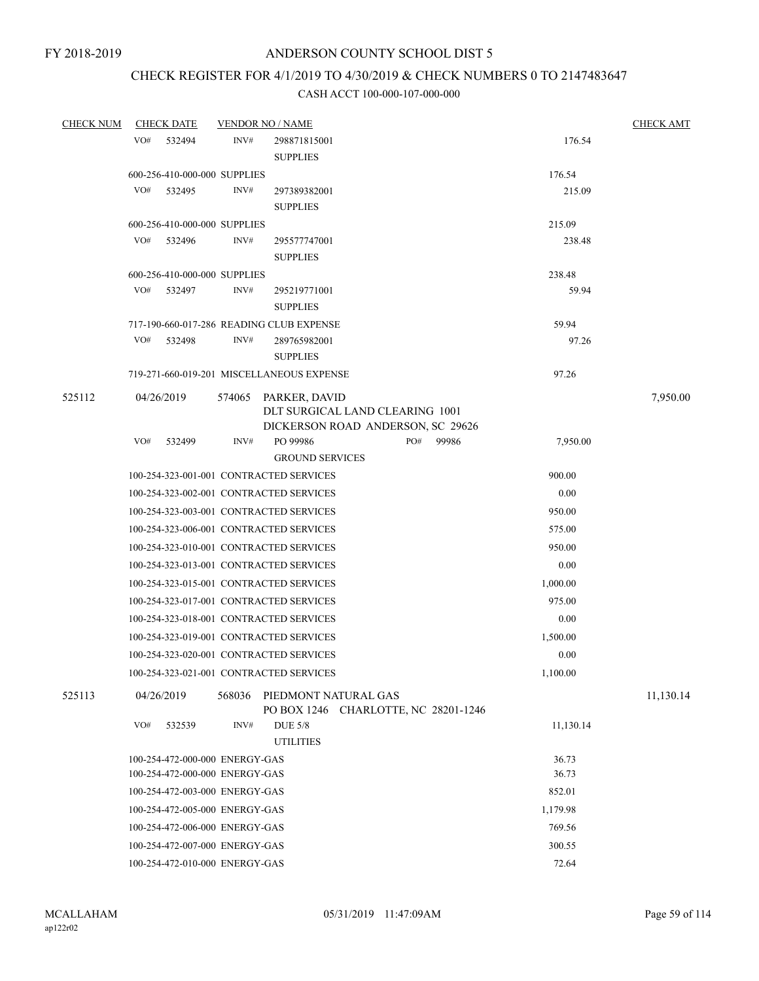## CHECK REGISTER FOR 4/1/2019 TO 4/30/2019 & CHECK NUMBERS 0 TO 2147483647

| <b>CHECK NUM</b> | <b>CHECK DATE</b>                        | <b>VENDOR NO / NAME</b> |                                                                     |           |           | <b>CHECK AMT</b> |
|------------------|------------------------------------------|-------------------------|---------------------------------------------------------------------|-----------|-----------|------------------|
|                  | VO#<br>532494                            | INV#                    | 298871815001                                                        |           | 176.54    |                  |
|                  |                                          |                         | <b>SUPPLIES</b>                                                     |           |           |                  |
|                  | 600-256-410-000-000 SUPPLIES             |                         |                                                                     |           | 176.54    |                  |
|                  | VO#<br>532495                            | INV#                    | 297389382001                                                        |           | 215.09    |                  |
|                  |                                          |                         | <b>SUPPLIES</b>                                                     |           |           |                  |
|                  | 600-256-410-000-000 SUPPLIES             |                         |                                                                     |           | 215.09    |                  |
|                  | VO# 532496                               | INV#                    | 295577747001                                                        |           | 238.48    |                  |
|                  |                                          |                         | <b>SUPPLIES</b>                                                     |           |           |                  |
|                  | 600-256-410-000-000 SUPPLIES             |                         |                                                                     |           | 238.48    |                  |
|                  | VO#<br>532497                            | INV#                    | 295219771001                                                        |           | 59.94     |                  |
|                  |                                          |                         | <b>SUPPLIES</b>                                                     |           |           |                  |
|                  | 717-190-660-017-286 READING CLUB EXPENSE |                         |                                                                     |           | 59.94     |                  |
|                  | VO#<br>532498                            | INV#                    | 289765982001                                                        |           | 97.26     |                  |
|                  |                                          |                         | <b>SUPPLIES</b>                                                     |           |           |                  |
|                  |                                          |                         | 719-271-660-019-201 MISCELLANEOUS EXPENSE                           |           | 97.26     |                  |
| 525112           | 04/26/2019                               |                         | 574065 PARKER, DAVID                                                |           |           | 7,950.00         |
|                  |                                          |                         | DLT SURGICAL LAND CLEARING 1001                                     |           |           |                  |
|                  | VO# 532499                               | INV#                    | DICKERSON ROAD ANDERSON, SC 29626                                   |           |           |                  |
|                  |                                          |                         | PO 99986<br><b>GROUND SERVICES</b>                                  | PO# 99986 | 7,950.00  |                  |
|                  | 100-254-323-001-001 CONTRACTED SERVICES  |                         |                                                                     |           | 900.00    |                  |
|                  | 100-254-323-002-001 CONTRACTED SERVICES  |                         |                                                                     |           | 0.00      |                  |
|                  | 100-254-323-003-001 CONTRACTED SERVICES  |                         |                                                                     |           | 950.00    |                  |
|                  |                                          |                         |                                                                     |           |           |                  |
|                  | 100-254-323-006-001 CONTRACTED SERVICES  |                         |                                                                     |           | 575.00    |                  |
|                  | 100-254-323-010-001 CONTRACTED SERVICES  |                         |                                                                     |           | 950.00    |                  |
|                  | 100-254-323-013-001 CONTRACTED SERVICES  |                         |                                                                     |           | 0.00      |                  |
|                  | 100-254-323-015-001 CONTRACTED SERVICES  |                         |                                                                     |           | 1,000.00  |                  |
|                  | 100-254-323-017-001 CONTRACTED SERVICES  |                         |                                                                     |           | 975.00    |                  |
|                  | 100-254-323-018-001 CONTRACTED SERVICES  |                         |                                                                     |           | 0.00      |                  |
|                  | 100-254-323-019-001 CONTRACTED SERVICES  |                         |                                                                     |           | 1,500.00  |                  |
|                  | 100-254-323-020-001 CONTRACTED SERVICES  |                         |                                                                     |           | 0.00      |                  |
|                  | 100-254-323-021-001 CONTRACTED SERVICES  |                         |                                                                     |           | 1,100.00  |                  |
| 525113           | 04/26/2019                               |                         | 568036 PIEDMONT NATURAL GAS<br>PO BOX 1246 CHARLOTTE, NC 28201-1246 |           |           | 11,130.14        |
|                  | VO#<br>532539                            | INV#                    | <b>DUE 5/8</b>                                                      |           | 11,130.14 |                  |
|                  |                                          |                         | <b>UTILITIES</b>                                                    |           |           |                  |
|                  | 100-254-472-000-000 ENERGY-GAS           |                         |                                                                     |           | 36.73     |                  |
|                  | 100-254-472-000-000 ENERGY-GAS           |                         |                                                                     |           | 36.73     |                  |
|                  | 100-254-472-003-000 ENERGY-GAS           |                         |                                                                     |           | 852.01    |                  |
|                  | 100-254-472-005-000 ENERGY-GAS           |                         |                                                                     |           | 1,179.98  |                  |
|                  | 100-254-472-006-000 ENERGY-GAS           |                         |                                                                     |           | 769.56    |                  |
|                  | 100-254-472-007-000 ENERGY-GAS           |                         |                                                                     |           | 300.55    |                  |
|                  | 100-254-472-010-000 ENERGY-GAS           |                         |                                                                     |           | 72.64     |                  |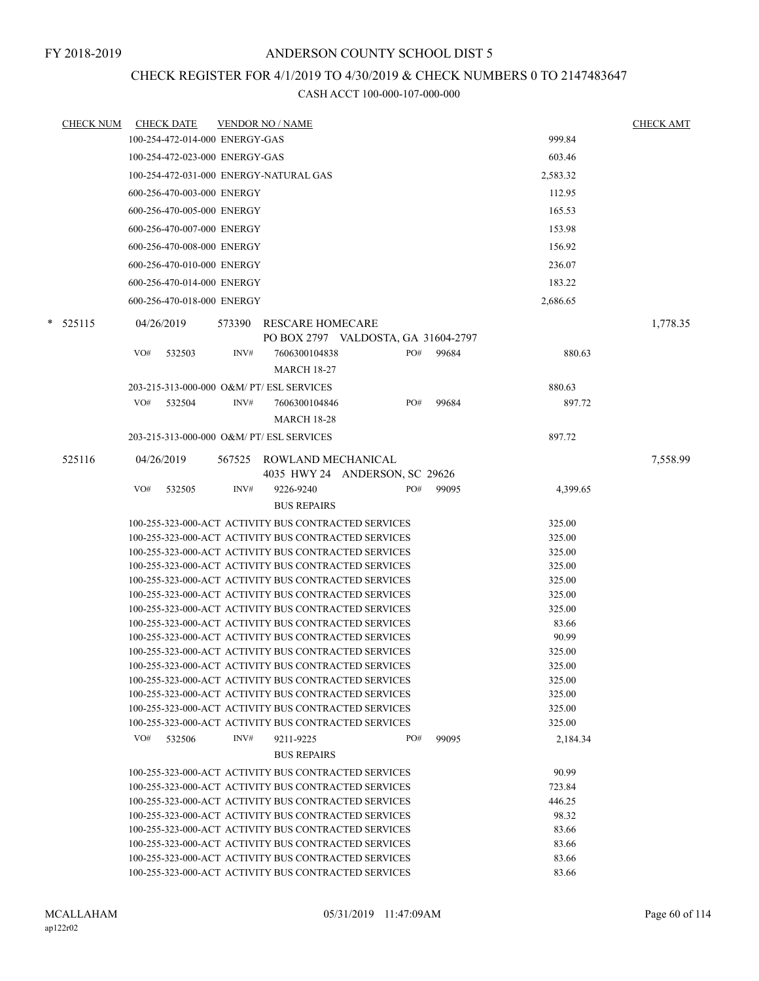## CHECK REGISTER FOR 4/1/2019 TO 4/30/2019 & CHECK NUMBERS 0 TO 2147483647

| <b>CHECK NUM</b> |     | <b>CHECK DATE</b>              |        | <b>VENDOR NO / NAME</b>                                                                                      |     |       |                  | <b>CHECK AMT</b> |
|------------------|-----|--------------------------------|--------|--------------------------------------------------------------------------------------------------------------|-----|-------|------------------|------------------|
|                  |     | 100-254-472-014-000 ENERGY-GAS |        |                                                                                                              |     |       | 999.84           |                  |
|                  |     | 100-254-472-023-000 ENERGY-GAS |        |                                                                                                              |     |       | 603.46           |                  |
|                  |     |                                |        | 100-254-472-031-000 ENERGY-NATURAL GAS                                                                       |     |       | 2,583.32         |                  |
|                  |     | 600-256-470-003-000 ENERGY     |        |                                                                                                              |     |       | 112.95           |                  |
|                  |     | 600-256-470-005-000 ENERGY     |        |                                                                                                              |     |       | 165.53           |                  |
|                  |     |                                |        |                                                                                                              |     |       |                  |                  |
|                  |     | 600-256-470-007-000 ENERGY     |        |                                                                                                              |     |       | 153.98           |                  |
|                  |     | 600-256-470-008-000 ENERGY     |        |                                                                                                              |     |       | 156.92           |                  |
|                  |     | 600-256-470-010-000 ENERGY     |        |                                                                                                              |     |       | 236.07           |                  |
|                  |     | 600-256-470-014-000 ENERGY     |        |                                                                                                              |     |       | 183.22           |                  |
|                  |     | 600-256-470-018-000 ENERGY     |        |                                                                                                              |     |       | 2,686.65         |                  |
| $*$ 525115       |     | 04/26/2019                     | 573390 | <b>RESCARE HOMECARE</b><br>PO BOX 2797 VALDOSTA, GA 31604-2797                                               |     |       |                  | 1,778.35         |
|                  | VO# | 532503                         | INV#   | 7606300104838<br><b>MARCH 18-27</b>                                                                          | PO# | 99684 | 880.63           |                  |
|                  |     |                                |        |                                                                                                              |     |       |                  |                  |
|                  |     |                                |        | 203-215-313-000-000 O&M/ PT/ ESL SERVICES                                                                    |     |       | 880.63           |                  |
|                  | VO# | 532504                         | INV#   | 7606300104846                                                                                                | PO# | 99684 | 897.72           |                  |
|                  |     |                                |        | <b>MARCH 18-28</b>                                                                                           |     |       |                  |                  |
|                  |     |                                |        | 203-215-313-000-000 O&M/ PT/ ESL SERVICES                                                                    |     |       | 897.72           |                  |
| 525116           |     | 04/26/2019                     |        | 567525 ROWLAND MECHANICAL<br>4035 HWY 24 ANDERSON, SC 29626                                                  |     |       |                  | 7,558.99         |
|                  | VO# | 532505                         | INV#   | 9226-9240                                                                                                    | PO# | 99095 | 4,399.65         |                  |
|                  |     |                                |        | <b>BUS REPAIRS</b>                                                                                           |     |       |                  |                  |
|                  |     |                                |        | 100-255-323-000-ACT ACTIVITY BUS CONTRACTED SERVICES                                                         |     |       | 325.00           |                  |
|                  |     |                                |        | 100-255-323-000-ACT ACTIVITY BUS CONTRACTED SERVICES                                                         |     |       | 325.00           |                  |
|                  |     |                                |        | 100-255-323-000-ACT ACTIVITY BUS CONTRACTED SERVICES                                                         |     |       | 325.00           |                  |
|                  |     |                                |        | 100-255-323-000-ACT ACTIVITY BUS CONTRACTED SERVICES                                                         |     |       | 325.00           |                  |
|                  |     |                                |        | 100-255-323-000-ACT ACTIVITY BUS CONTRACTED SERVICES                                                         |     |       | 325.00           |                  |
|                  |     |                                |        | 100-255-323-000-ACT ACTIVITY BUS CONTRACTED SERVICES                                                         |     |       | 325.00           |                  |
|                  |     |                                |        | 100-255-323-000-ACT ACTIVITY BUS CONTRACTED SERVICES                                                         |     |       | 325.00           |                  |
|                  |     |                                |        | 100-255-323-000-ACT ACTIVITY BUS CONTRACTED SERVICES                                                         |     |       | 83.66            |                  |
|                  |     |                                |        | 100-255-323-000-ACT ACTIVITY BUS CONTRACTED SERVICES                                                         |     |       | 90.99            |                  |
|                  |     |                                |        | 100-255-323-000-ACT ACTIVITY BUS CONTRACTED SERVICES<br>100-255-323-000-ACT ACTIVITY BUS CONTRACTED SERVICES |     |       | 325.00<br>325.00 |                  |
|                  |     |                                |        | 100-255-323-000-ACT ACTIVITY BUS CONTRACTED SERVICES                                                         |     |       | 325.00           |                  |
|                  |     |                                |        | 100-255-323-000-ACT ACTIVITY BUS CONTRACTED SERVICES                                                         |     |       | 325.00           |                  |
|                  |     |                                |        | 100-255-323-000-ACT ACTIVITY BUS CONTRACTED SERVICES                                                         |     |       | 325.00           |                  |
|                  |     |                                |        | 100-255-323-000-ACT ACTIVITY BUS CONTRACTED SERVICES                                                         |     |       | 325.00           |                  |
|                  | VO# | 532506                         | INV#   | 9211-9225                                                                                                    | PO# | 99095 | 2,184.34         |                  |
|                  |     |                                |        | <b>BUS REPAIRS</b>                                                                                           |     |       |                  |                  |
|                  |     |                                |        | 100-255-323-000-ACT ACTIVITY BUS CONTRACTED SERVICES                                                         |     |       | 90.99            |                  |
|                  |     |                                |        | 100-255-323-000-ACT ACTIVITY BUS CONTRACTED SERVICES                                                         |     |       | 723.84           |                  |
|                  |     |                                |        | 100-255-323-000-ACT ACTIVITY BUS CONTRACTED SERVICES                                                         |     |       | 446.25           |                  |
|                  |     |                                |        | 100-255-323-000-ACT ACTIVITY BUS CONTRACTED SERVICES                                                         |     |       | 98.32            |                  |
|                  |     |                                |        | 100-255-323-000-ACT ACTIVITY BUS CONTRACTED SERVICES                                                         |     |       | 83.66            |                  |
|                  |     |                                |        | 100-255-323-000-ACT ACTIVITY BUS CONTRACTED SERVICES                                                         |     |       | 83.66            |                  |
|                  |     |                                |        | 100-255-323-000-ACT ACTIVITY BUS CONTRACTED SERVICES                                                         |     |       | 83.66            |                  |
|                  |     |                                |        | 100-255-323-000-ACT ACTIVITY BUS CONTRACTED SERVICES                                                         |     |       | 83.66            |                  |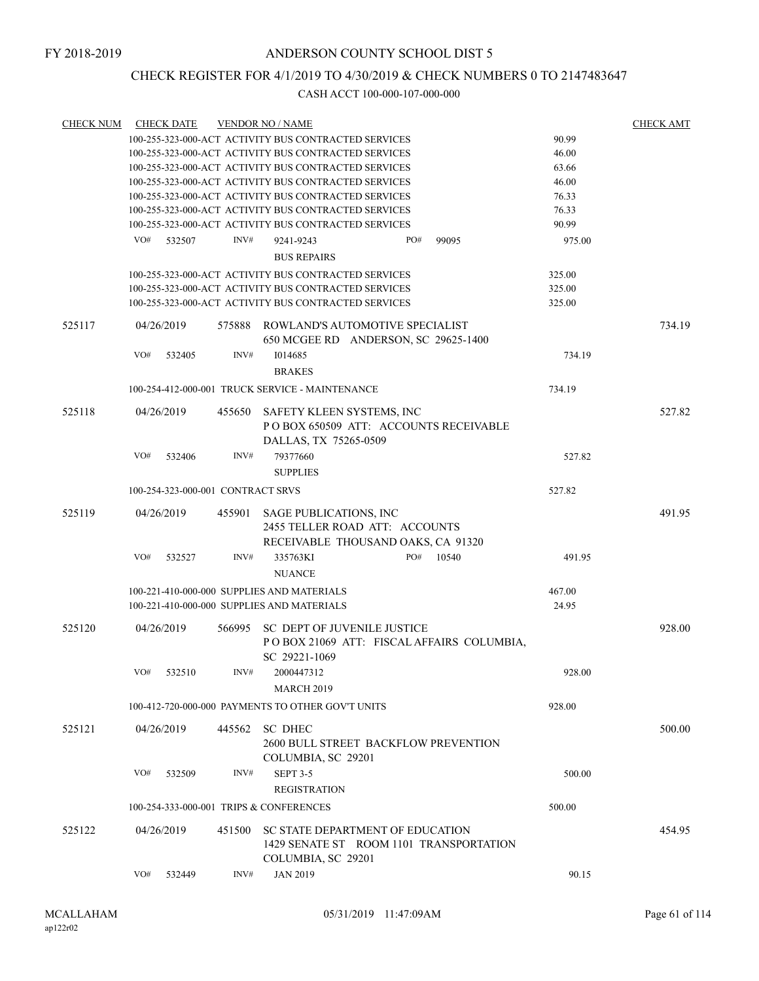## CHECK REGISTER FOR 4/1/2019 TO 4/30/2019 & CHECK NUMBERS 0 TO 2147483647

| <b>CHECK NUM</b> | <b>CHECK DATE</b> |        |                                   | <b>VENDOR NO / NAME</b>                                                                           |     |       |        | <b>CHECK AMT</b> |
|------------------|-------------------|--------|-----------------------------------|---------------------------------------------------------------------------------------------------|-----|-------|--------|------------------|
|                  |                   |        |                                   | 100-255-323-000-ACT ACTIVITY BUS CONTRACTED SERVICES                                              |     |       | 90.99  |                  |
|                  |                   |        |                                   | 100-255-323-000-ACT ACTIVITY BUS CONTRACTED SERVICES                                              |     |       | 46.00  |                  |
|                  |                   |        |                                   | 100-255-323-000-ACT ACTIVITY BUS CONTRACTED SERVICES                                              |     |       | 63.66  |                  |
|                  |                   |        |                                   | 100-255-323-000-ACT ACTIVITY BUS CONTRACTED SERVICES                                              |     |       | 46.00  |                  |
|                  |                   |        |                                   | 100-255-323-000-ACT ACTIVITY BUS CONTRACTED SERVICES                                              |     |       | 76.33  |                  |
|                  |                   |        |                                   | 100-255-323-000-ACT ACTIVITY BUS CONTRACTED SERVICES                                              |     |       | 76.33  |                  |
|                  |                   |        |                                   | 100-255-323-000-ACT ACTIVITY BUS CONTRACTED SERVICES                                              |     |       | 90.99  |                  |
|                  | VO#               | 532507 | INV#                              | 9241-9243<br><b>BUS REPAIRS</b>                                                                   | PO# | 99095 | 975.00 |                  |
|                  |                   |        |                                   | 100-255-323-000-ACT ACTIVITY BUS CONTRACTED SERVICES                                              |     |       | 325.00 |                  |
|                  |                   |        |                                   | 100-255-323-000-ACT ACTIVITY BUS CONTRACTED SERVICES                                              |     |       | 325.00 |                  |
|                  |                   |        |                                   | 100-255-323-000-ACT ACTIVITY BUS CONTRACTED SERVICES                                              |     |       | 325.00 |                  |
| 525117           | 04/26/2019        |        | 575888                            | ROWLAND'S AUTOMOTIVE SPECIALIST<br>650 MCGEE RD ANDERSON, SC 29625-1400                           |     |       |        | 734.19           |
|                  | VO#               | 532405 | INV#                              | 1014685<br><b>BRAKES</b>                                                                          |     |       | 734.19 |                  |
|                  |                   |        |                                   | 100-254-412-000-001 TRUCK SERVICE - MAINTENANCE                                                   |     |       | 734.19 |                  |
| 525118           |                   |        | 455650                            | SAFETY KLEEN SYSTEMS, INC                                                                         |     |       |        | 527.82           |
|                  | 04/26/2019        |        |                                   | POBOX 650509 ATT: ACCOUNTS RECEIVABLE<br>DALLAS, TX 75265-0509                                    |     |       |        |                  |
|                  | VO#               | 532406 | INV#                              | 79377660                                                                                          |     |       | 527.82 |                  |
|                  |                   |        |                                   | <b>SUPPLIES</b>                                                                                   |     |       |        |                  |
|                  |                   |        | 100-254-323-000-001 CONTRACT SRVS |                                                                                                   |     |       | 527.82 |                  |
|                  |                   |        |                                   |                                                                                                   |     |       |        |                  |
| 525119           | 04/26/2019        |        | 455901                            | <b>SAGE PUBLICATIONS, INC</b>                                                                     |     |       |        | 491.95           |
|                  |                   |        |                                   | 2455 TELLER ROAD ATT: ACCOUNTS                                                                    |     |       |        |                  |
|                  |                   |        |                                   | RECEIVABLE THOUSAND OAKS, CA 91320                                                                |     |       |        |                  |
|                  | VO#               | 532527 | INV#                              | 335763KI                                                                                          | PO# | 10540 | 491.95 |                  |
|                  |                   |        |                                   | <b>NUANCE</b>                                                                                     |     |       |        |                  |
|                  |                   |        |                                   | 100-221-410-000-000 SUPPLIES AND MATERIALS                                                        |     |       | 467.00 |                  |
|                  |                   |        |                                   | 100-221-410-000-000 SUPPLIES AND MATERIALS                                                        |     |       | 24.95  |                  |
| 525120           | 04/26/2019        |        |                                   | 566995 SC DEPT OF JUVENILE JUSTICE<br>POBOX 21069 ATT: FISCAL AFFAIRS COLUMBIA,                   |     |       |        | 928.00           |
|                  |                   |        |                                   | SC 29221-1069                                                                                     |     |       |        |                  |
|                  | VO#               | 532510 | INV#                              | 2000447312                                                                                        |     |       | 928.00 |                  |
|                  |                   |        |                                   | <b>MARCH 2019</b>                                                                                 |     |       |        |                  |
|                  |                   |        |                                   | 100-412-720-000-000 PAYMENTS TO OTHER GOV'T UNITS                                                 |     |       | 928.00 |                  |
|                  |                   |        |                                   |                                                                                                   |     |       |        |                  |
| 525121           | 04/26/2019        |        | 445562                            | SC DHEC<br>2600 BULL STREET BACKFLOW PREVENTION                                                   |     |       |        | 500.00           |
|                  |                   |        |                                   | COLUMBIA, SC 29201                                                                                |     |       |        |                  |
|                  | VO#               | 532509 | INV#                              | SEPT 3-5<br><b>REGISTRATION</b>                                                                   |     |       | 500.00 |                  |
|                  |                   |        |                                   | 100-254-333-000-001 TRIPS & CONFERENCES                                                           |     |       | 500.00 |                  |
|                  |                   |        |                                   |                                                                                                   |     |       |        |                  |
| 525122           | 04/26/2019        |        | 451500                            | SC STATE DEPARTMENT OF EDUCATION<br>1429 SENATE ST ROOM 1101 TRANSPORTATION<br>COLUMBIA, SC 29201 |     |       |        | 454.95           |
|                  | VO#               | 532449 | INV#                              | <b>JAN 2019</b>                                                                                   |     |       | 90.15  |                  |
|                  |                   |        |                                   |                                                                                                   |     |       |        |                  |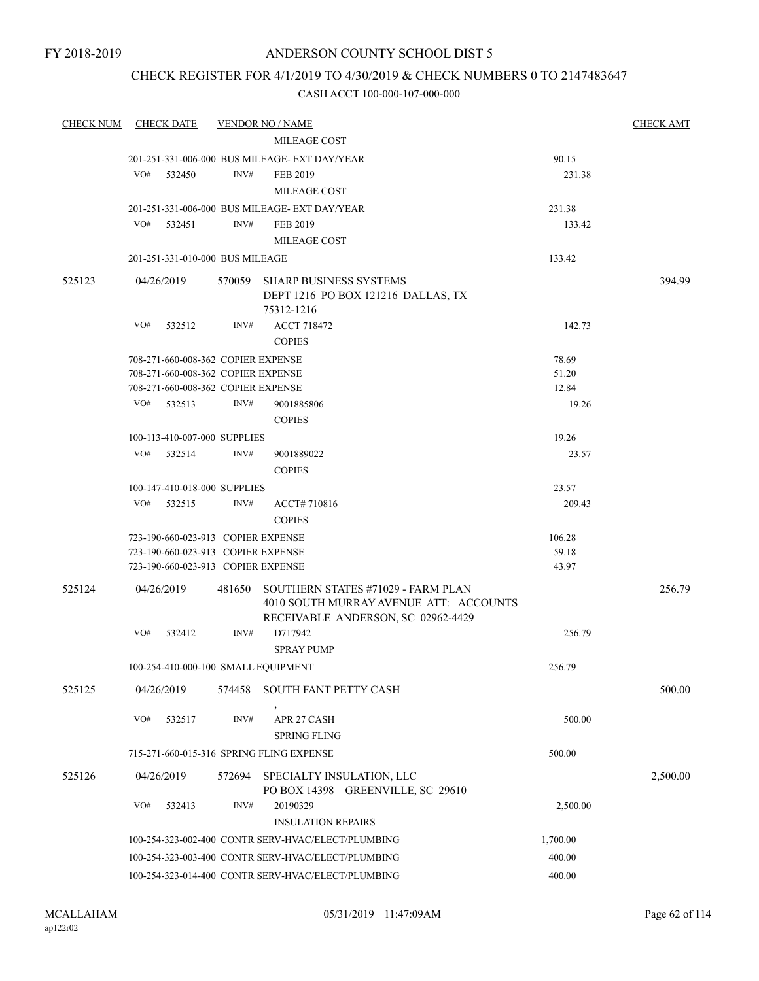## CHECK REGISTER FOR 4/1/2019 TO 4/30/2019 & CHECK NUMBERS 0 TO 2147483647

| <b>CHECK NUM</b> | <b>CHECK DATE</b> |                                     | <b>VENDOR NO / NAME</b>                                                                                            |          | <b>CHECK AMT</b> |
|------------------|-------------------|-------------------------------------|--------------------------------------------------------------------------------------------------------------------|----------|------------------|
|                  |                   |                                     | MILEAGE COST                                                                                                       |          |                  |
|                  |                   |                                     | 201-251-331-006-000 BUS MILEAGE- EXT DAY/YEAR                                                                      | 90.15    |                  |
|                  | VO#<br>532450     | INV#                                | FEB 2019                                                                                                           | 231.38   |                  |
|                  |                   |                                     | MILEAGE COST                                                                                                       |          |                  |
|                  |                   |                                     | 201-251-331-006-000 BUS MILEAGE- EXT DAY/YEAR                                                                      | 231.38   |                  |
|                  | VO#<br>532451     | INV#                                | FEB 2019                                                                                                           | 133.42   |                  |
|                  |                   |                                     | MILEAGE COST                                                                                                       |          |                  |
|                  |                   | 201-251-331-010-000 BUS MILEAGE     |                                                                                                                    | 133.42   |                  |
| 525123           | 04/26/2019        |                                     | 570059 SHARP BUSINESS SYSTEMS<br>DEPT 1216 PO BOX 121216 DALLAS, TX<br>75312-1216                                  |          | 394.99           |
|                  | VO#<br>532512     | INV#                                | <b>ACCT 718472</b>                                                                                                 | 142.73   |                  |
|                  |                   |                                     | <b>COPIES</b>                                                                                                      |          |                  |
|                  |                   | 708-271-660-008-362 COPIER EXPENSE  |                                                                                                                    | 78.69    |                  |
|                  |                   | 708-271-660-008-362 COPIER EXPENSE  |                                                                                                                    | 51.20    |                  |
|                  |                   | 708-271-660-008-362 COPIER EXPENSE  |                                                                                                                    | 12.84    |                  |
|                  | VO# 532513        | INV#                                | 9001885806                                                                                                         | 19.26    |                  |
|                  |                   |                                     | <b>COPIES</b>                                                                                                      |          |                  |
|                  |                   | 100-113-410-007-000 SUPPLIES        |                                                                                                                    | 19.26    |                  |
|                  | VO#<br>532514     | INV#                                | 9001889022<br><b>COPIES</b>                                                                                        | 23.57    |                  |
|                  |                   | 100-147-410-018-000 SUPPLIES        |                                                                                                                    | 23.57    |                  |
|                  | VO#<br>532515     | INV#                                | ACCT# 710816<br><b>COPIES</b>                                                                                      | 209.43   |                  |
|                  |                   | 723-190-660-023-913 COPIER EXPENSE  |                                                                                                                    | 106.28   |                  |
|                  |                   | 723-190-660-023-913 COPIER EXPENSE  |                                                                                                                    | 59.18    |                  |
|                  |                   | 723-190-660-023-913 COPIER EXPENSE  |                                                                                                                    | 43.97    |                  |
| 525124           | 04/26/2019        | 481650                              | SOUTHERN STATES #71029 - FARM PLAN<br>4010 SOUTH MURRAY AVENUE ATT: ACCOUNTS<br>RECEIVABLE ANDERSON, SC 02962-4429 |          | 256.79           |
|                  | VO#<br>532412     | INV#                                | D717942<br><b>SPRAY PUMP</b>                                                                                       | 256.79   |                  |
|                  |                   | 100-254-410-000-100 SMALL EQUIPMENT |                                                                                                                    | 256.79   |                  |
| 525125           | 04/26/2019        |                                     | 574458 SOUTH FANT PETTY CASH                                                                                       |          | 500.00           |
|                  | VO#<br>532517     | INV#                                | APR 27 CASH<br><b>SPRING FLING</b>                                                                                 | 500.00   |                  |
|                  |                   |                                     | 715-271-660-015-316 SPRING FLING EXPENSE                                                                           | 500.00   |                  |
| 525126           | 04/26/2019        | 572694                              | SPECIALTY INSULATION, LLC<br>PO BOX 14398 GREENVILLE, SC 29610                                                     |          | 2,500.00         |
|                  | VO#<br>532413     | INV#                                | 20190329                                                                                                           | 2,500.00 |                  |
|                  |                   |                                     | <b>INSULATION REPAIRS</b>                                                                                          |          |                  |
|                  |                   |                                     | 100-254-323-002-400 CONTR SERV-HVAC/ELECT/PLUMBING                                                                 | 1,700.00 |                  |
|                  |                   |                                     | 100-254-323-003-400 CONTR SERV-HVAC/ELECT/PLUMBING                                                                 | 400.00   |                  |
|                  |                   |                                     | 100-254-323-014-400 CONTR SERV-HVAC/ELECT/PLUMBING                                                                 | 400.00   |                  |
|                  |                   |                                     |                                                                                                                    |          |                  |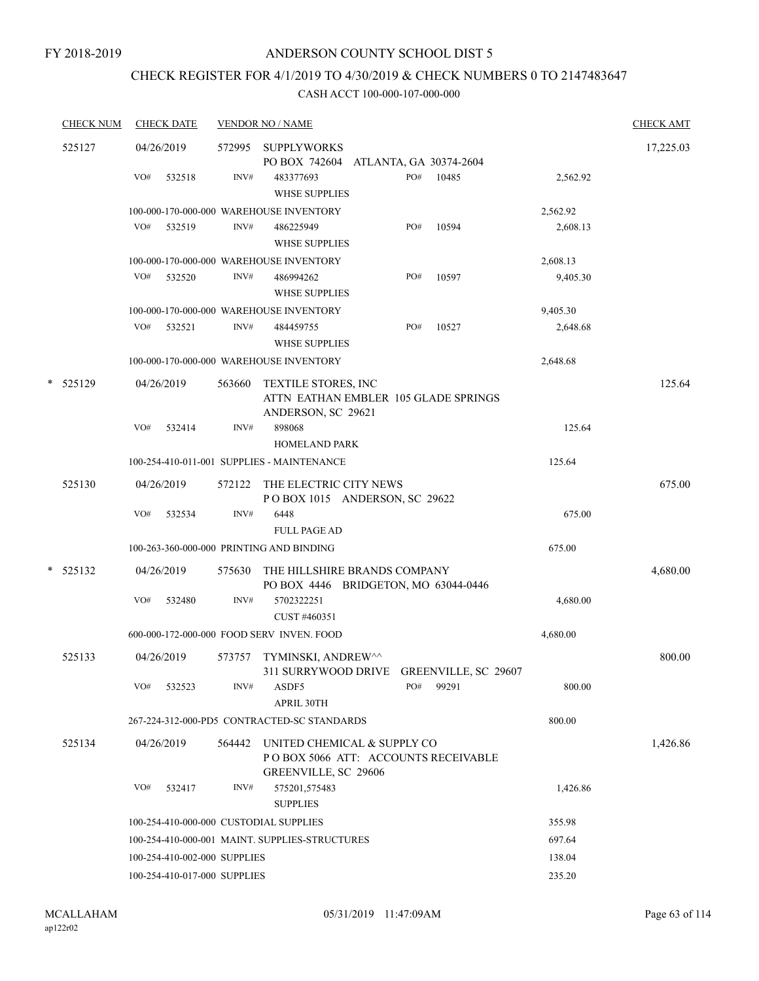## CHECK REGISTER FOR 4/1/2019 TO 4/30/2019 & CHECK NUMBERS 0 TO 2147483647

| <b>CHECK NUM</b> |     | <b>CHECK DATE</b>            |        | <b>VENDOR NO / NAME</b>                                                                     |     |       |          | <b>CHECK AMT</b> |
|------------------|-----|------------------------------|--------|---------------------------------------------------------------------------------------------|-----|-------|----------|------------------|
| 525127           |     | 04/26/2019                   | 572995 | <b>SUPPLYWORKS</b>                                                                          |     |       |          | 17,225.03        |
|                  |     |                              |        | PO BOX 742604 ATLANTA, GA 30374-2604                                                        |     |       |          |                  |
|                  | VO# | 532518                       | INV#   | 483377693<br><b>WHSE SUPPLIES</b>                                                           | PO# | 10485 | 2,562.92 |                  |
|                  |     |                              |        | 100-000-170-000-000 WAREHOUSE INVENTORY                                                     |     |       | 2,562.92 |                  |
|                  | VO# | 532519                       | INV#   | 486225949<br><b>WHSE SUPPLIES</b>                                                           | PO# | 10594 | 2,608.13 |                  |
|                  |     |                              |        | 100-000-170-000-000 WAREHOUSE INVENTORY                                                     |     |       | 2,608.13 |                  |
|                  | VO# | 532520                       | INV#   | 486994262<br><b>WHSE SUPPLIES</b>                                                           | PO# | 10597 | 9,405.30 |                  |
|                  |     |                              |        | 100-000-170-000-000 WAREHOUSE INVENTORY                                                     |     |       | 9,405.30 |                  |
|                  | VO# | 532521                       | INV#   | 484459755<br><b>WHSE SUPPLIES</b>                                                           | PO# | 10527 | 2,648.68 |                  |
|                  |     |                              |        | 100-000-170-000-000 WAREHOUSE INVENTORY                                                     |     |       | 2,648.68 |                  |
|                  |     |                              |        |                                                                                             |     |       |          |                  |
| * 525129         |     | 04/26/2019                   | 563660 | TEXTILE STORES, INC<br>ATTN EATHAN EMBLER 105 GLADE SPRINGS<br>ANDERSON, SC 29621           |     |       |          | 125.64           |
|                  | VO# | 532414                       | INV#   | 898068<br><b>HOMELAND PARK</b>                                                              |     |       | 125.64   |                  |
|                  |     |                              |        | 100-254-410-011-001 SUPPLIES - MAINTENANCE                                                  |     |       | 125.64   |                  |
| 525130           |     | 04/26/2019                   | 572122 | THE ELECTRIC CITY NEWS<br>POBOX 1015 ANDERSON, SC 29622                                     |     |       |          | 675.00           |
|                  | VO# | 532534                       | INV#   | 6448<br><b>FULL PAGE AD</b>                                                                 |     |       | 675.00   |                  |
|                  |     |                              |        | 100-263-360-000-000 PRINTING AND BINDING                                                    |     |       | 675.00   |                  |
|                  |     |                              |        |                                                                                             |     |       |          |                  |
| $*$ 525132       |     | 04/26/2019                   | 575630 | THE HILLSHIRE BRANDS COMPANY<br>PO BOX 4446 BRIDGETON, MO 63044-0446                        |     |       |          | 4,680.00         |
|                  | VO# | 532480                       | INV#   | 5702322251<br>CUST #460351                                                                  |     |       | 4,680.00 |                  |
|                  |     |                              |        | 600-000-172-000-000 FOOD SERV INVEN. FOOD                                                   |     |       | 4,680.00 |                  |
| 525133           |     | 04/26/2019                   | 573757 | TYMINSKI, ANDREW^^<br>311 SURRYWOOD DRIVE GREENVILLE, SC 29607                              |     |       |          | 800.00           |
|                  | VO# | 532523                       | INV#   | ASDF5<br>APRIL 30TH                                                                         | PO# | 99291 | 800.00   |                  |
|                  |     |                              |        | 267-224-312-000-PD5 CONTRACTED-SC STANDARDS                                                 |     |       | 800.00   |                  |
| 525134           |     | 04/26/2019                   | 564442 | UNITED CHEMICAL & SUPPLY CO<br>PO BOX 5066 ATT: ACCOUNTS RECEIVABLE<br>GREENVILLE, SC 29606 |     |       |          | 1,426.86         |
|                  | VO# | 532417                       | INV#   | 575201,575483<br><b>SUPPLIES</b>                                                            |     |       | 1,426.86 |                  |
|                  |     |                              |        | 100-254-410-000-000 CUSTODIAL SUPPLIES                                                      |     |       | 355.98   |                  |
|                  |     |                              |        | 100-254-410-000-001 MAINT. SUPPLIES-STRUCTURES                                              |     |       | 697.64   |                  |
|                  |     | 100-254-410-002-000 SUPPLIES |        |                                                                                             |     |       | 138.04   |                  |
|                  |     | 100-254-410-017-000 SUPPLIES |        |                                                                                             |     |       | 235.20   |                  |
|                  |     |                              |        |                                                                                             |     |       |          |                  |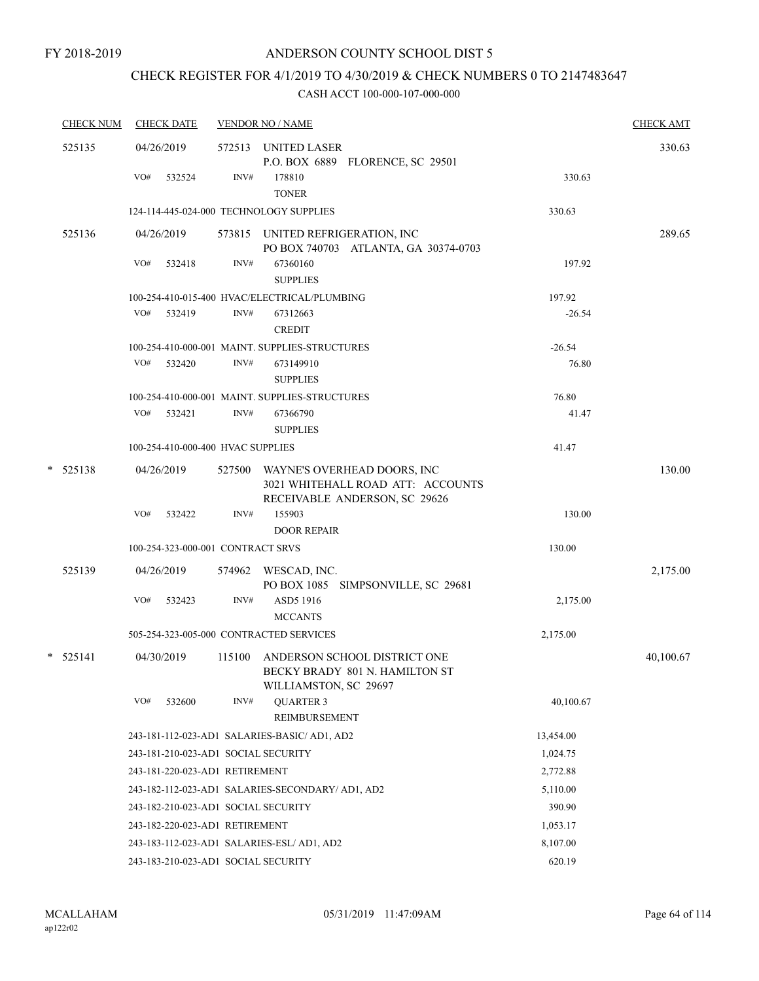## CHECK REGISTER FOR 4/1/2019 TO 4/30/2019 & CHECK NUMBERS 0 TO 2147483647

|            | <b>CHECK NUM</b> |     | <b>CHECK DATE</b>                 |      | <b>VENDOR NO / NAME</b>                                                                        |           | <b>CHECK AMT</b> |
|------------|------------------|-----|-----------------------------------|------|------------------------------------------------------------------------------------------------|-----------|------------------|
|            | 525135           |     | 04/26/2019                        |      | 572513 UNITED LASER<br>P.O. BOX 6889 FLORENCE, SC 29501                                        |           | 330.63           |
|            |                  | VO# | 532524                            | INV# | 178810<br><b>TONER</b>                                                                         | 330.63    |                  |
|            |                  |     |                                   |      | 124-114-445-024-000 TECHNOLOGY SUPPLIES                                                        | 330.63    |                  |
|            | 525136           |     | 04/26/2019                        |      | 573815 UNITED REFRIGERATION, INC<br>PO BOX 740703 ATLANTA, GA 30374-0703                       |           | 289.65           |
|            |                  | VO# | 532418                            | INV# | 67360160<br><b>SUPPLIES</b>                                                                    | 197.92    |                  |
|            |                  |     |                                   |      | 100-254-410-015-400 HVAC/ELECTRICAL/PLUMBING                                                   | 197.92    |                  |
|            |                  |     | VO# 532419                        | INV# | 67312663<br><b>CREDIT</b>                                                                      | $-26.54$  |                  |
|            |                  |     |                                   |      | 100-254-410-000-001 MAINT. SUPPLIES-STRUCTURES                                                 | $-26.54$  |                  |
|            |                  |     | VO# 532420                        | INV# | 673149910<br><b>SUPPLIES</b>                                                                   | 76.80     |                  |
|            |                  |     |                                   |      | 100-254-410-000-001 MAINT. SUPPLIES-STRUCTURES                                                 | 76.80     |                  |
|            |                  |     | VO# 532421                        | INV# | 67366790<br><b>SUPPLIES</b>                                                                    | 41.47     |                  |
|            |                  |     | 100-254-410-000-400 HVAC SUPPLIES |      |                                                                                                | 41.47     |                  |
| $*$ 525138 |                  |     | 04/26/2019                        |      | 527500 WAYNE'S OVERHEAD DOORS, INC<br>3021 WHITEHALL ROAD ATT: ACCOUNTS                        |           | 130.00           |
|            |                  | VO# | 532422                            | INV# | RECEIVABLE ANDERSON, SC 29626<br>155903<br><b>DOOR REPAIR</b>                                  | 130.00    |                  |
|            |                  |     | 100-254-323-000-001 CONTRACT SRVS |      |                                                                                                | 130.00    |                  |
|            | 525139           |     |                                   |      |                                                                                                |           | 2,175.00         |
|            |                  |     | 04/26/2019                        |      | 574962 WESCAD, INC.<br>PO BOX 1085 SIMPSONVILLE, SC 29681                                      |           |                  |
|            |                  | VO# | 532423                            | INV# | ASD5 1916<br><b>MCCANTS</b>                                                                    | 2,175.00  |                  |
|            |                  |     |                                   |      | 505-254-323-005-000 CONTRACTED SERVICES                                                        | 2,175.00  |                  |
|            | $*$ 525141       |     | 04/30/2019                        |      | 115100 ANDERSON SCHOOL DISTRICT ONE<br>BECKY BRADY 801 N. HAMILTON ST<br>WILLIAMSTON, SC 29697 |           | 40,100.67        |
|            |                  | VO# | 532600                            | INV# | <b>QUARTER 3</b><br>REIMBURSEMENT                                                              | 40,100.67 |                  |
|            |                  |     |                                   |      | 243-181-112-023-AD1 SALARIES-BASIC/ AD1, AD2                                                   | 13,454.00 |                  |
|            |                  |     |                                   |      | 243-181-210-023-AD1 SOCIAL SECURITY                                                            | 1,024.75  |                  |
|            |                  |     | 243-181-220-023-AD1 RETIREMENT    |      |                                                                                                | 2,772.88  |                  |
|            |                  |     |                                   |      | 243-182-112-023-AD1 SALARIES-SECONDARY/ AD1, AD2                                               | 5,110.00  |                  |
|            |                  |     |                                   |      | 243-182-210-023-AD1 SOCIAL SECURITY                                                            | 390.90    |                  |
|            |                  |     | 243-182-220-023-AD1 RETIREMENT    |      |                                                                                                | 1,053.17  |                  |
|            |                  |     |                                   |      | 243-183-112-023-AD1 SALARIES-ESL/AD1, AD2                                                      | 8,107.00  |                  |
|            |                  |     |                                   |      | 243-183-210-023-AD1 SOCIAL SECURITY                                                            | 620.19    |                  |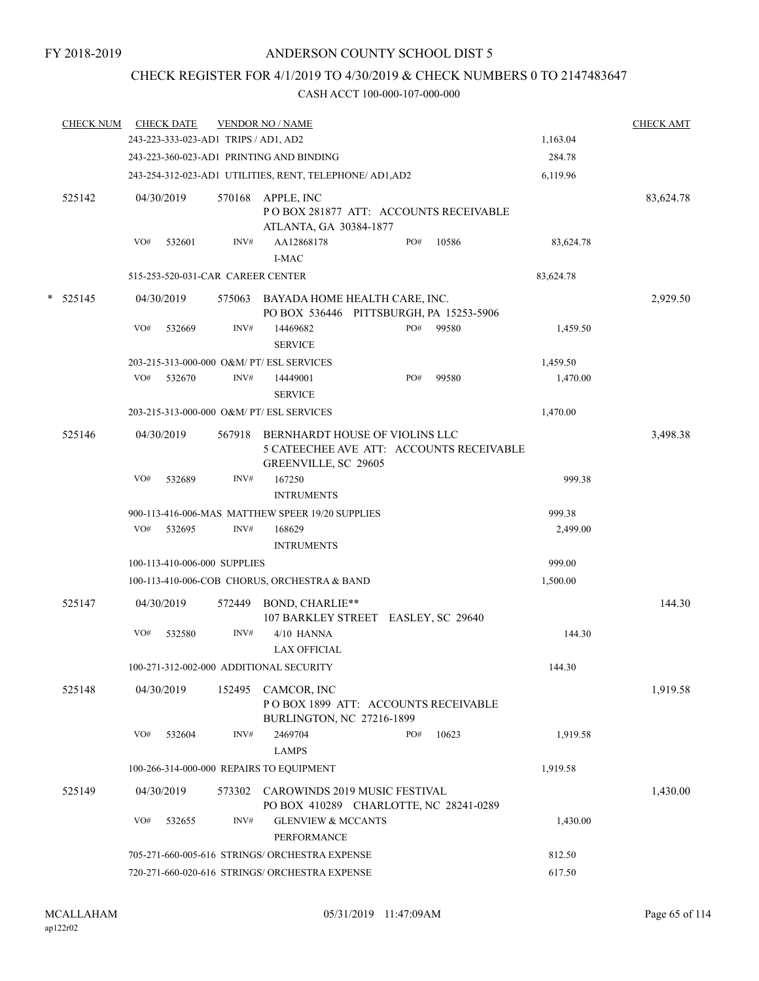## CHECK REGISTER FOR 4/1/2019 TO 4/30/2019 & CHECK NUMBERS 0 TO 2147483647

|   | <b>CHECK NUM</b> |     | <b>CHECK DATE</b> |                                      | <b>VENDOR NO / NAME</b>                                                                            |     |       |           | <b>CHECK AMT</b> |
|---|------------------|-----|-------------------|--------------------------------------|----------------------------------------------------------------------------------------------------|-----|-------|-----------|------------------|
|   |                  |     |                   | 243-223-333-023-AD1 TRIPS / AD1, AD2 |                                                                                                    |     |       | 1,163.04  |                  |
|   |                  |     |                   |                                      | 243-223-360-023-AD1 PRINTING AND BINDING                                                           |     |       | 284.78    |                  |
|   |                  |     |                   |                                      | 243-254-312-023-AD1 UTILITIES, RENT, TELEPHONE/ AD1, AD2                                           |     |       | 6,119.96  |                  |
|   | 525142           |     | 04/30/2019        | 570168                               | APPLE, INC<br>POBOX 281877 ATT: ACCOUNTS RECEIVABLE<br>ATLANTA, GA 30384-1877                      |     |       |           | 83,624.78        |
|   |                  | VO# | 532601            | INV#                                 | AA12868178<br><b>I-MAC</b>                                                                         | PO# | 10586 | 83,624.78 |                  |
|   |                  |     |                   | 515-253-520-031-CAR CAREER CENTER    |                                                                                                    |     |       | 83,624.78 |                  |
| * | 525145           |     | 04/30/2019        | 575063                               | BAYADA HOME HEALTH CARE, INC.<br>PO BOX 536446 PITTSBURGH, PA 15253-5906                           |     |       |           | 2,929.50         |
|   |                  | VO# | 532669            | INV#                                 | 14469682<br><b>SERVICE</b>                                                                         | PO# | 99580 | 1,459.50  |                  |
|   |                  |     |                   |                                      | 203-215-313-000-000 O&M/ PT/ ESL SERVICES                                                          |     |       | 1,459.50  |                  |
|   |                  | VO# | 532670            | INV#                                 | 14449001<br><b>SERVICE</b>                                                                         | PO# | 99580 | 1,470.00  |                  |
|   |                  |     |                   |                                      | 203-215-313-000-000 O&M/ PT/ ESL SERVICES                                                          |     |       | 1,470.00  |                  |
|   | 525146           |     | 04/30/2019        | 567918                               | BERNHARDT HOUSE OF VIOLINS LLC<br>5 CATEECHEE AVE ATT: ACCOUNTS RECEIVABLE<br>GREENVILLE, SC 29605 |     |       |           | 3,498.38         |
|   |                  | VO# | 532689            | INV#                                 | 167250<br><b>INTRUMENTS</b>                                                                        |     |       | 999.38    |                  |
|   |                  |     |                   |                                      | 900-113-416-006-MAS MATTHEW SPEER 19/20 SUPPLIES                                                   |     |       | 999.38    |                  |
|   |                  | VO# | 532695            | INV#                                 | 168629                                                                                             |     |       | 2,499.00  |                  |
|   |                  |     |                   |                                      | <b>INTRUMENTS</b>                                                                                  |     |       |           |                  |
|   |                  |     |                   | 100-113-410-006-000 SUPPLIES         |                                                                                                    |     |       | 999.00    |                  |
|   |                  |     |                   |                                      | 100-113-410-006-COB CHORUS, ORCHESTRA & BAND                                                       |     |       | 1,500.00  |                  |
|   | 525147           |     | 04/30/2019        | 572449                               | BOND, CHARLIE**<br>107 BARKLEY STREET EASLEY, SC 29640                                             |     |       |           | 144.30           |
|   |                  | VO# | 532580            | INV#                                 | 4/10 HANNA<br><b>LAX OFFICIAL</b>                                                                  |     |       | 144.30    |                  |
|   |                  |     |                   |                                      | 100-271-312-002-000 ADDITIONAL SECURITY                                                            |     |       | 144.30    |                  |
|   | 525148           |     | 04/30/2019        |                                      | 152495 CAMCOR, INC<br>POBOX 1899 ATT: ACCOUNTS RECEIVABLE<br>BURLINGTON, NC 27216-1899             |     |       |           | 1,919.58         |
|   |                  | VO# | 532604            | INV#                                 | 2469704<br><b>LAMPS</b>                                                                            | PO# | 10623 | 1,919.58  |                  |
|   |                  |     |                   |                                      | 100-266-314-000-000 REPAIRS TO EQUIPMENT                                                           |     |       | 1,919.58  |                  |
|   | 525149           |     | 04/30/2019        | 573302                               | CAROWINDS 2019 MUSIC FESTIVAL<br>PO BOX 410289 CHARLOTTE, NC 28241-0289                            |     |       |           | 1,430.00         |
|   |                  | VO# | 532655            | INV#                                 | <b>GLENVIEW &amp; MCCANTS</b><br>PERFORMANCE                                                       |     |       | 1,430.00  |                  |
|   |                  |     |                   |                                      | 705-271-660-005-616 STRINGS/ ORCHESTRA EXPENSE                                                     |     |       | 812.50    |                  |
|   |                  |     |                   |                                      | 720-271-660-020-616 STRINGS/ ORCHESTRA EXPENSE                                                     |     |       | 617.50    |                  |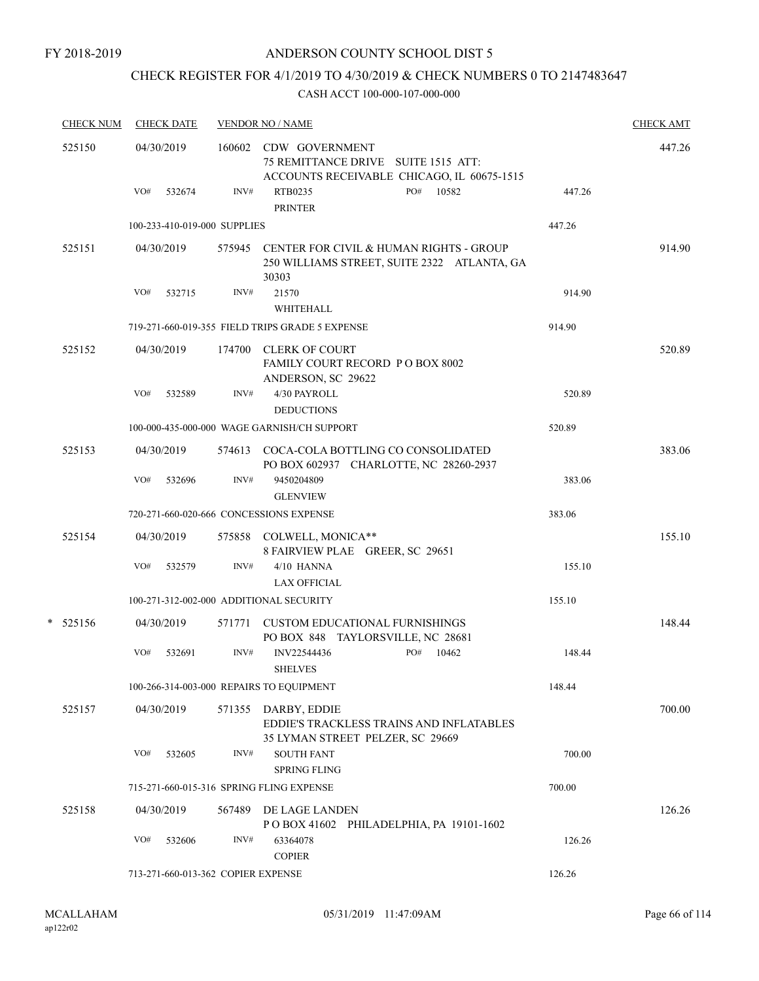FY 2018-2019

## ANDERSON COUNTY SCHOOL DIST 5

# CHECK REGISTER FOR 4/1/2019 TO 4/30/2019 & CHECK NUMBERS 0 TO 2147483647

| <b>CHECK NUM</b> |     | <b>CHECK DATE</b> |                                    | <b>VENDOR NO / NAME</b>                                                                                    |     |       |        | <b>CHECK AMT</b> |
|------------------|-----|-------------------|------------------------------------|------------------------------------------------------------------------------------------------------------|-----|-------|--------|------------------|
| 525150           |     | 04/30/2019        |                                    | 160602 CDW GOVERNMENT<br>75 REMITTANCE DRIVE SUITE 1515 ATT:<br>ACCOUNTS RECEIVABLE CHICAGO, IL 60675-1515 |     |       |        | 447.26           |
|                  | VO# | 532674            | INV#                               | RTB0235<br><b>PRINTER</b>                                                                                  | PO# | 10582 | 447.26 |                  |
|                  |     |                   | 100-233-410-019-000 SUPPLIES       |                                                                                                            |     |       | 447.26 |                  |
| 525151           |     | 04/30/2019        | 575945                             | CENTER FOR CIVIL & HUMAN RIGHTS - GROUP<br>250 WILLIAMS STREET, SUITE 2322 ATLANTA, GA<br>30303            |     |       |        | 914.90           |
|                  | VO# | 532715            | INV#                               | 21570                                                                                                      |     |       | 914.90 |                  |
|                  |     |                   |                                    | WHITEHALL                                                                                                  |     |       |        |                  |
|                  |     |                   |                                    | 719-271-660-019-355 FIELD TRIPS GRADE 5 EXPENSE                                                            |     |       | 914.90 |                  |
| 525152           |     | 04/30/2019        | 174700                             | <b>CLERK OF COURT</b><br>FAMILY COURT RECORD P O BOX 8002<br>ANDERSON, SC 29622                            |     |       |        | 520.89           |
|                  | VO# | 532589            | INV#                               | 4/30 PAYROLL<br><b>DEDUCTIONS</b>                                                                          |     |       | 520.89 |                  |
|                  |     |                   |                                    | 100-000-435-000-000 WAGE GARNISH/CH SUPPORT                                                                |     |       | 520.89 |                  |
| 525153           |     | 04/30/2019        |                                    | 574613 COCA-COLA BOTTLING CO CONSOLIDATED<br>PO BOX 602937 CHARLOTTE, NC 28260-2937                        |     |       |        | 383.06           |
|                  | VO# | 532696            | INV#                               | 9450204809<br><b>GLENVIEW</b>                                                                              |     |       | 383.06 |                  |
|                  |     |                   |                                    | 720-271-660-020-666 CONCESSIONS EXPENSE                                                                    |     |       | 383.06 |                  |
| 525154           |     | 04/30/2019        |                                    | 575858 COLWELL, MONICA**<br>8 FAIRVIEW PLAE GREER, SC 29651                                                |     |       |        | 155.10           |
|                  | VO# | 532579            | INV#                               | 4/10 HANNA<br><b>LAX OFFICIAL</b>                                                                          |     |       | 155.10 |                  |
|                  |     |                   |                                    | 100-271-312-002-000 ADDITIONAL SECURITY                                                                    |     |       | 155.10 |                  |
| $* 525156$       |     | 04/30/2019        |                                    | 571771 CUSTOM EDUCATIONAL FURNISHINGS<br>PO BOX 848 TAYLORSVILLE, NC 28681                                 |     |       |        | 148.44           |
|                  | VO# | 532691            | INV#                               | INV22544436<br><b>SHELVES</b>                                                                              | PO# | 10462 | 148.44 |                  |
|                  |     |                   |                                    | 100-266-314-003-000 REPAIRS TO EQUIPMENT                                                                   |     |       | 148.44 |                  |
| 525157           |     | 04/30/2019        | 571355                             | DARBY, EDDIE<br><b>EDDIE'S TRACKLESS TRAINS AND INFLATABLES</b><br>35 LYMAN STREET PELZER, SC 29669        |     |       |        | 700.00           |
|                  | VO# | 532605            | INV#                               | <b>SOUTH FANT</b><br><b>SPRING FLING</b>                                                                   |     |       | 700.00 |                  |
|                  |     |                   |                                    | 715-271-660-015-316 SPRING FLING EXPENSE                                                                   |     |       | 700.00 |                  |
| 525158           |     | 04/30/2019        | 567489                             | DE LAGE LANDEN<br>POBOX 41602 PHILADELPHIA, PA 19101-1602                                                  |     |       |        | 126.26           |
|                  | VO# | 532606            | INV#                               | 63364078<br><b>COPIER</b>                                                                                  |     |       | 126.26 |                  |
|                  |     |                   | 713-271-660-013-362 COPIER EXPENSE |                                                                                                            |     |       | 126.26 |                  |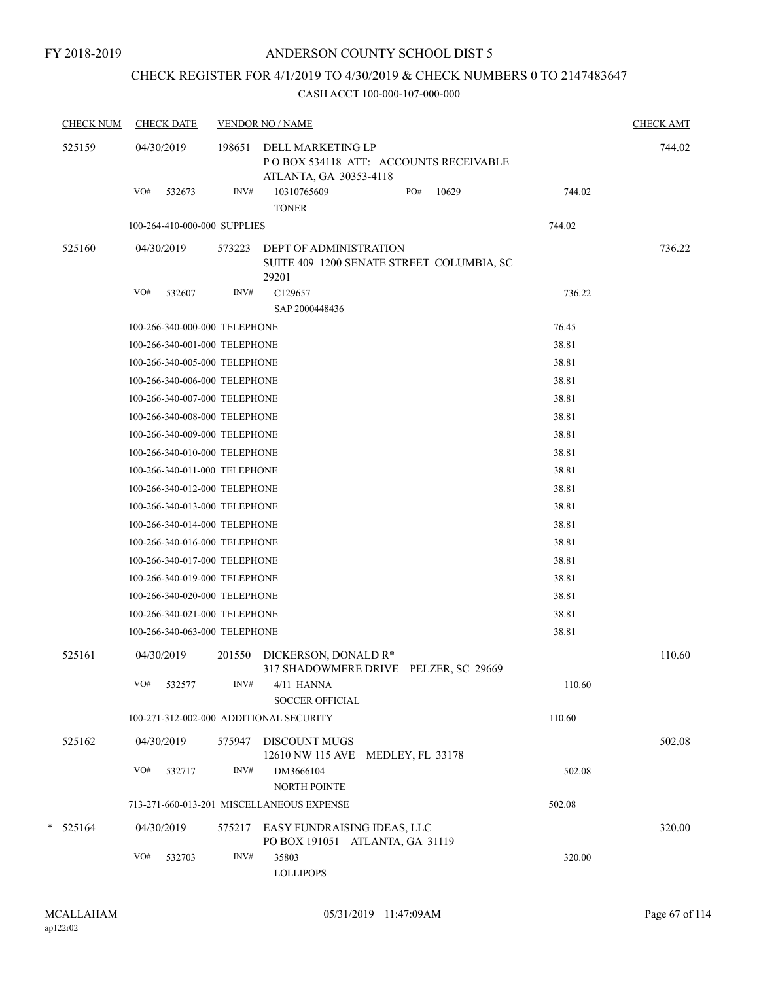## CHECK REGISTER FOR 4/1/2019 TO 4/30/2019 & CHECK NUMBERS 0 TO 2147483647

| <b>CHECK NUM</b> |     | <b>CHECK DATE</b>             |        | <b>VENDOR NO / NAME</b>                                                              |                  |       |        | <b>CHECK AMT</b> |
|------------------|-----|-------------------------------|--------|--------------------------------------------------------------------------------------|------------------|-------|--------|------------------|
| 525159           |     | 04/30/2019                    | 198651 | DELL MARKETING LP<br>POBOX 534118 ATT: ACCOUNTS RECEIVABLE<br>ATLANTA, GA 30353-4118 |                  |       |        | 744.02           |
|                  | VO# | 532673                        | INV#   | 10310765609<br><b>TONER</b>                                                          | PO#              | 10629 | 744.02 |                  |
|                  |     | 100-264-410-000-000 SUPPLIES  |        |                                                                                      |                  |       | 744.02 |                  |
| 525160           |     | 04/30/2019                    | 573223 | DEPT OF ADMINISTRATION<br>SUITE 409 1200 SENATE STREET COLUMBIA, SC<br>29201         |                  |       |        | 736.22           |
|                  | VO# | 532607                        | INV#   | C129657<br>SAP 2000448436                                                            |                  |       | 736.22 |                  |
|                  |     | 100-266-340-000-000 TELEPHONE |        |                                                                                      |                  |       | 76.45  |                  |
|                  |     | 100-266-340-001-000 TELEPHONE |        |                                                                                      |                  |       | 38.81  |                  |
|                  |     | 100-266-340-005-000 TELEPHONE |        |                                                                                      |                  |       | 38.81  |                  |
|                  |     | 100-266-340-006-000 TELEPHONE |        |                                                                                      |                  |       | 38.81  |                  |
|                  |     | 100-266-340-007-000 TELEPHONE |        |                                                                                      |                  |       | 38.81  |                  |
|                  |     | 100-266-340-008-000 TELEPHONE |        |                                                                                      |                  |       | 38.81  |                  |
|                  |     | 100-266-340-009-000 TELEPHONE |        |                                                                                      |                  |       | 38.81  |                  |
|                  |     | 100-266-340-010-000 TELEPHONE |        |                                                                                      |                  |       | 38.81  |                  |
|                  |     | 100-266-340-011-000 TELEPHONE |        |                                                                                      |                  |       | 38.81  |                  |
|                  |     | 100-266-340-012-000 TELEPHONE |        |                                                                                      |                  |       | 38.81  |                  |
|                  |     | 100-266-340-013-000 TELEPHONE |        |                                                                                      |                  |       | 38.81  |                  |
|                  |     | 100-266-340-014-000 TELEPHONE |        |                                                                                      |                  |       | 38.81  |                  |
|                  |     | 100-266-340-016-000 TELEPHONE |        |                                                                                      |                  |       | 38.81  |                  |
|                  |     | 100-266-340-017-000 TELEPHONE |        |                                                                                      |                  |       | 38.81  |                  |
|                  |     | 100-266-340-019-000 TELEPHONE |        |                                                                                      |                  |       | 38.81  |                  |
|                  |     | 100-266-340-020-000 TELEPHONE |        |                                                                                      |                  |       | 38.81  |                  |
|                  |     | 100-266-340-021-000 TELEPHONE |        |                                                                                      |                  |       | 38.81  |                  |
|                  |     | 100-266-340-063-000 TELEPHONE |        |                                                                                      |                  |       | 38.81  |                  |
| 525161           |     | 04/30/2019                    | 201550 | DICKERSON, DONALD R*<br>317 SHADOWMERE DRIVE PELZER, SC 29669                        |                  |       |        | 110.60           |
|                  | VO# | 532577                        | INV#   | 4/11 HANNA<br><b>SOCCER OFFICIAL</b>                                                 |                  |       | 110.60 |                  |
|                  |     |                               |        | 100-271-312-002-000 ADDITIONAL SECURITY                                              |                  |       | 110.60 |                  |
| 525162           |     | 04/30/2019                    | 575947 | <b>DISCOUNT MUGS</b><br>12610 NW 115 AVE                                             | MEDLEY, FL 33178 |       |        | 502.08           |
|                  | VO# | 532717                        | INV#   | DM3666104<br>NORTH POINTE                                                            |                  |       | 502.08 |                  |
|                  |     |                               |        | 713-271-660-013-201 MISCELLANEOUS EXPENSE                                            |                  |       | 502.08 |                  |
| $*$ 525164       |     | 04/30/2019                    | 575217 | EASY FUNDRAISING IDEAS, LLC<br>PO BOX 191051 ATLANTA, GA 31119                       |                  |       |        | 320.00           |
|                  | VO# | 532703                        | INV#   | 35803<br><b>LOLLIPOPS</b>                                                            |                  |       | 320.00 |                  |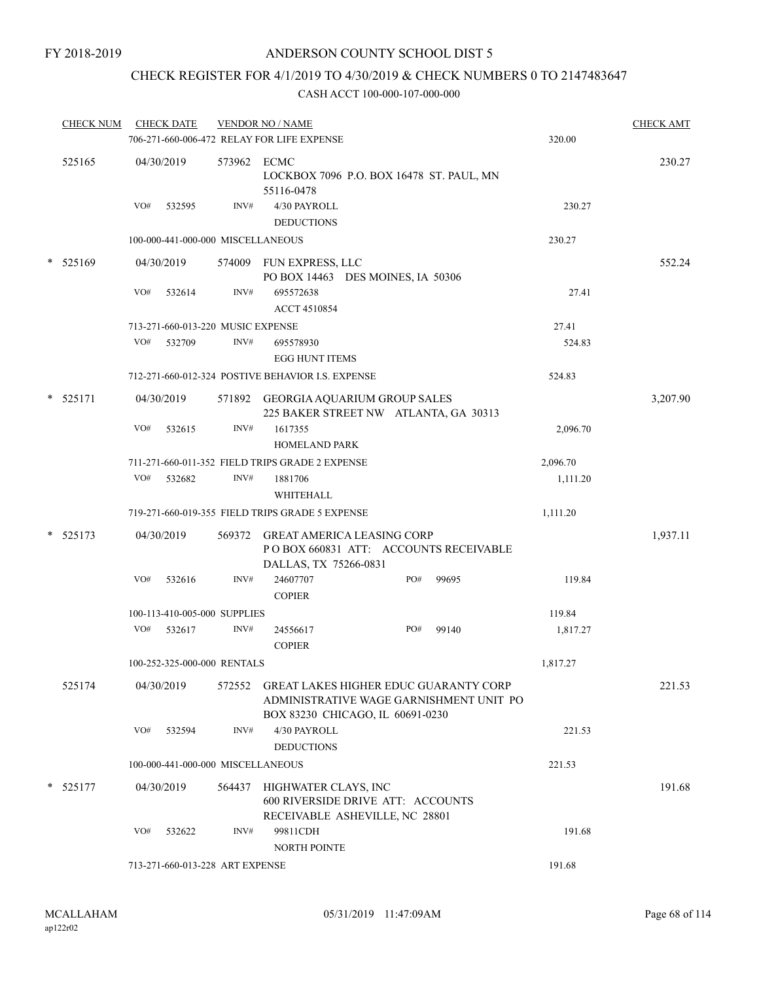## CHECK REGISTER FOR 4/1/2019 TO 4/30/2019 & CHECK NUMBERS 0 TO 2147483647

|   | <b>CHECK NUM</b> |     | <b>CHECK DATE</b> |                                   | <b>VENDOR NO / NAME</b><br>706-271-660-006-472 RELAY FOR LIFE EXPENSE                                                |     |       | 320.00   | <b>CHECK AMT</b> |
|---|------------------|-----|-------------------|-----------------------------------|----------------------------------------------------------------------------------------------------------------------|-----|-------|----------|------------------|
|   | 525165           |     | 04/30/2019        | 573962 ECMC                       | LOCKBOX 7096 P.O. BOX 16478 ST. PAUL, MN<br>55116-0478                                                               |     |       |          | 230.27           |
|   |                  | VO# | 532595            | INV#                              | 4/30 PAYROLL<br><b>DEDUCTIONS</b>                                                                                    |     |       | 230.27   |                  |
|   |                  |     |                   | 100-000-441-000-000 MISCELLANEOUS |                                                                                                                      |     |       | 230.27   |                  |
|   | $*$ 525169       |     | 04/30/2019        |                                   | 574009 FUN EXPRESS, LLC<br>PO BOX 14463 DES MOINES, IA 50306                                                         |     |       |          | 552.24           |
|   |                  | VO# | 532614            | INV#                              | 695572638<br>ACCT 4510854                                                                                            |     |       | 27.41    |                  |
|   |                  |     |                   | 713-271-660-013-220 MUSIC EXPENSE |                                                                                                                      |     |       | 27.41    |                  |
|   |                  | VO# | 532709            | INV#                              | 695578930<br><b>EGG HUNT ITEMS</b>                                                                                   |     |       | 524.83   |                  |
|   |                  |     |                   |                                   | 712-271-660-012-324 POSTIVE BEHAVIOR I.S. EXPENSE                                                                    |     |       | 524.83   |                  |
|   | * 525171         |     | 04/30/2019        |                                   | 571892 GEORGIA AQUARIUM GROUP SALES<br>225 BAKER STREET NW ATLANTA, GA 30313                                         |     |       |          | 3,207.90         |
|   |                  | VO# | 532615            | INV#                              | 1617355<br><b>HOMELAND PARK</b>                                                                                      |     |       | 2,096.70 |                  |
|   |                  |     |                   |                                   | 711-271-660-011-352 FIELD TRIPS GRADE 2 EXPENSE                                                                      |     |       | 2,096.70 |                  |
|   |                  | VO# | 532682            | INV#                              | 1881706<br>WHITEHALL                                                                                                 |     |       | 1,111.20 |                  |
|   |                  |     |                   |                                   | 719-271-660-019-355 FIELD TRIPS GRADE 5 EXPENSE                                                                      |     |       | 1,111.20 |                  |
| * | 525173           |     | 04/30/2019        | 569372                            | GREAT AMERICA LEASING CORP<br>PO BOX 660831 ATT: ACCOUNTS RECEIVABLE<br>DALLAS, TX 75266-0831                        |     |       |          | 1,937.11         |
|   |                  | VO# | 532616            | INV#                              | 24607707<br><b>COPIER</b>                                                                                            | PO# | 99695 | 119.84   |                  |
|   |                  |     |                   | 100-113-410-005-000 SUPPLIES      |                                                                                                                      |     |       | 119.84   |                  |
|   |                  | VO# | 532617            | INV#                              | 24556617<br><b>COPIER</b>                                                                                            | PO# | 99140 | 1,817.27 |                  |
|   |                  |     |                   | 100-252-325-000-000 RENTALS       |                                                                                                                      |     |       | 1,817.27 |                  |
|   | 525174           |     | 04/30/2019        | 572552                            | GREAT LAKES HIGHER EDUC GUARANTY CORP<br>ADMINISTRATIVE WAGE GARNISHMENT UNIT PO<br>BOX 83230 CHICAGO, IL 60691-0230 |     |       |          | 221.53           |
|   |                  | VO# | 532594            | INV#                              | 4/30 PAYROLL<br><b>DEDUCTIONS</b>                                                                                    |     |       | 221.53   |                  |
|   |                  |     |                   | 100-000-441-000-000 MISCELLANEOUS |                                                                                                                      |     |       | 221.53   |                  |
|   | * 525177         |     | 04/30/2019        | 564437                            | HIGHWATER CLAYS, INC<br>600 RIVERSIDE DRIVE ATT: ACCOUNTS                                                            |     |       |          | 191.68           |
|   |                  | VO# | 532622            | INV#                              | RECEIVABLE ASHEVILLE, NC 28801<br>99811CDH<br>NORTH POINTE                                                           |     |       | 191.68   |                  |
|   |                  |     |                   | 713-271-660-013-228 ART EXPENSE   |                                                                                                                      |     |       | 191.68   |                  |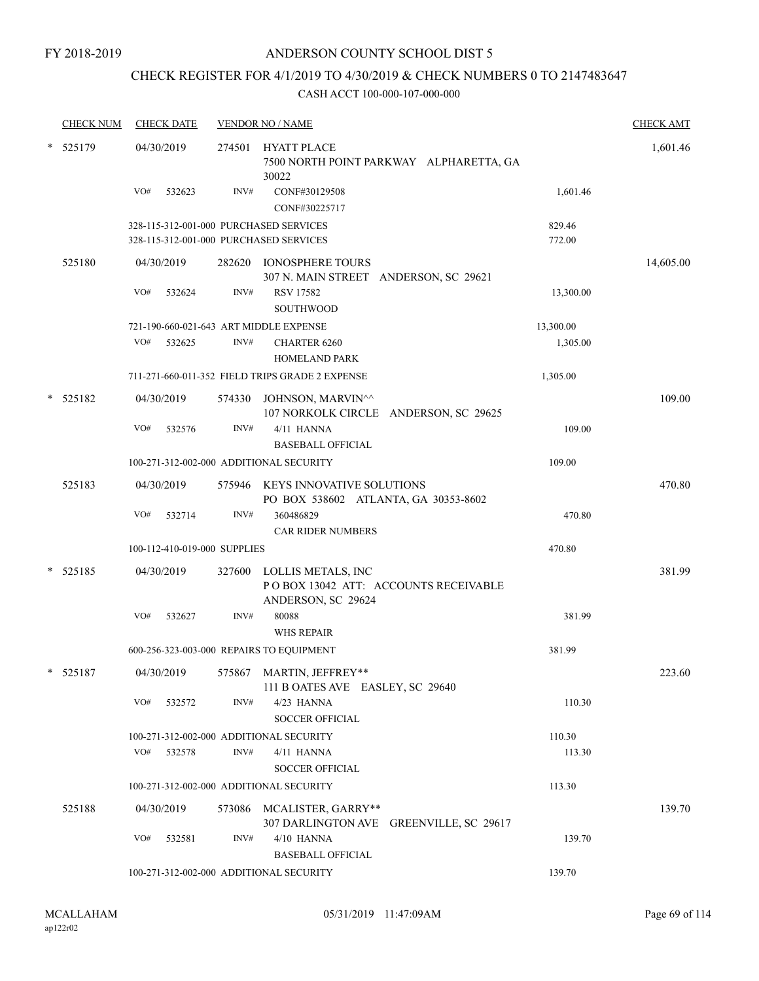## CHECK REGISTER FOR 4/1/2019 TO 4/30/2019 & CHECK NUMBERS 0 TO 2147483647

|        | <b>CHECK NUM</b> |            | <b>CHECK DATE</b> |                              | <b>VENDOR NO / NAME</b>                                                           |                  | <b>CHECK AMT</b> |
|--------|------------------|------------|-------------------|------------------------------|-----------------------------------------------------------------------------------|------------------|------------------|
| *      | 525179           | 04/30/2019 |                   | 274501                       | HYATT PLACE<br>7500 NORTH POINT PARKWAY ALPHARETTA, GA<br>30022                   |                  | 1,601.46         |
|        |                  | VO#        | 532623            | INV#                         | CONF#30129508<br>CONF#30225717                                                    | 1,601.46         |                  |
|        |                  |            |                   |                              | 328-115-312-001-000 PURCHASED SERVICES<br>328-115-312-001-000 PURCHASED SERVICES  | 829.46<br>772.00 |                  |
|        | 525180           | 04/30/2019 |                   |                              | 282620 IONOSPHERE TOURS<br>307 N. MAIN STREET ANDERSON, SC 29621                  |                  | 14,605.00        |
|        |                  | VO#        | 532624            | INV#                         | <b>RSV 17582</b><br><b>SOUTHWOOD</b>                                              | 13,300.00        |                  |
|        |                  |            |                   |                              | 721-190-660-021-643 ART MIDDLE EXPENSE                                            | 13,300.00        |                  |
|        |                  | VO#        | 532625            | INV#                         | <b>CHARTER 6260</b><br><b>HOMELAND PARK</b>                                       | 1,305.00         |                  |
|        |                  |            |                   |                              | 711-271-660-011-352 FIELD TRIPS GRADE 2 EXPENSE                                   | 1,305.00         |                  |
| *      | 525182           | 04/30/2019 |                   |                              | 574330 JOHNSON, MARVIN^^<br>107 NORKOLK CIRCLE ANDERSON, SC 29625                 |                  | 109.00           |
|        |                  | VO#        | 532576            | INV#                         | 4/11 HANNA<br><b>BASEBALL OFFICIAL</b>                                            | 109.00           |                  |
|        |                  |            |                   |                              | 100-271-312-002-000 ADDITIONAL SECURITY                                           | 109.00           |                  |
|        | 525183           | 04/30/2019 |                   |                              | 575946 KEYS INNOVATIVE SOLUTIONS<br>PO BOX 538602 ATLANTA, GA 30353-8602          |                  | 470.80           |
|        |                  | VO#        | 532714            | INV#                         | 360486829<br><b>CAR RIDER NUMBERS</b>                                             | 470.80           |                  |
|        |                  |            |                   | 100-112-410-019-000 SUPPLIES |                                                                                   | 470.80           |                  |
| $\ast$ | 525185           | 04/30/2019 |                   | 327600                       | LOLLIS METALS, INC<br>PO BOX 13042 ATT: ACCOUNTS RECEIVABLE<br>ANDERSON, SC 29624 |                  | 381.99           |
|        |                  | VO#        | 532627            | INV#                         | 80088<br><b>WHS REPAIR</b>                                                        | 381.99           |                  |
|        |                  |            |                   |                              | 600-256-323-003-000 REPAIRS TO EQUIPMENT                                          | 381.99           |                  |
|        | * 525187         |            | 04/30/2019        |                              | 575867 MARTIN, JEFFREY**<br>111 B OATES AVE EASLEY, SC 29640                      |                  | 223.60           |
|        |                  | VO#        | 532572            | INV#                         | 4/23 HANNA<br><b>SOCCER OFFICIAL</b>                                              | 110.30           |                  |
|        |                  |            |                   |                              | 100-271-312-002-000 ADDITIONAL SECURITY                                           | 110.30           |                  |
|        |                  | VO#        | 532578            | INV#                         | $4/11$ HANNA<br><b>SOCCER OFFICIAL</b>                                            | 113.30           |                  |
|        |                  |            |                   |                              | 100-271-312-002-000 ADDITIONAL SECURITY                                           | 113.30           |                  |
|        | 525188           | 04/30/2019 |                   |                              | 573086 MCALISTER, GARRY**<br>307 DARLINGTON AVE GREENVILLE, SC 29617              |                  | 139.70           |
|        |                  | VO#        | 532581            | INV#                         | 4/10 HANNA<br><b>BASEBALL OFFICIAL</b>                                            | 139.70           |                  |
|        |                  |            |                   |                              | 100-271-312-002-000 ADDITIONAL SECURITY                                           | 139.70           |                  |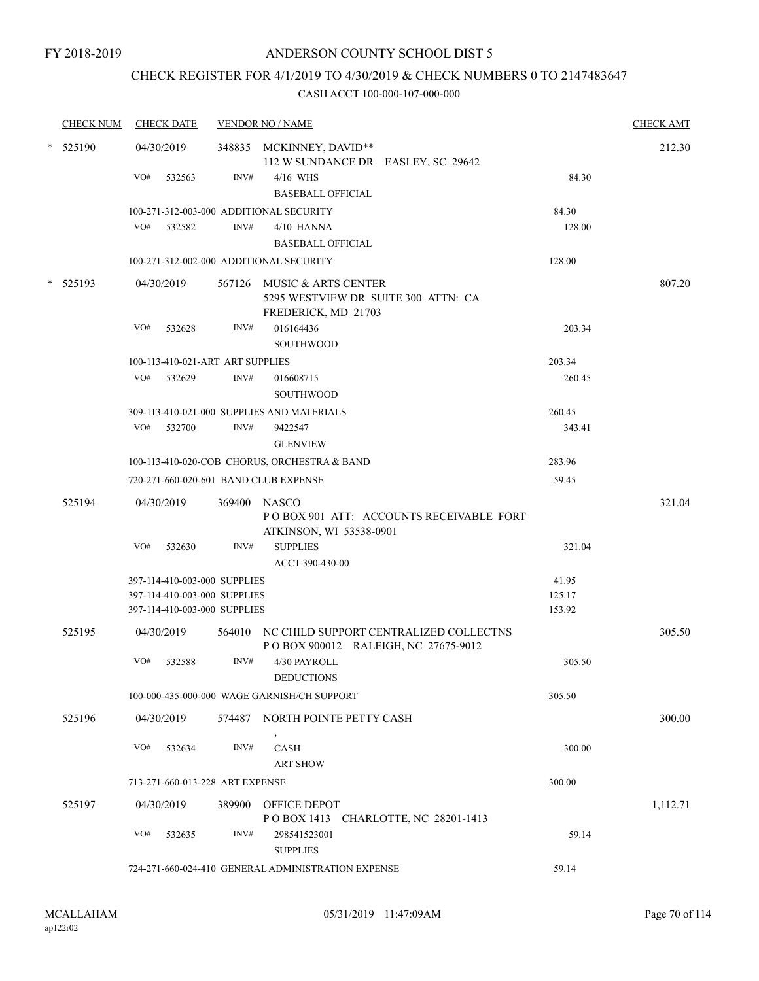## CHECK REGISTER FOR 4/1/2019 TO 4/30/2019 & CHECK NUMBERS 0 TO 2147483647

|   | <b>CHECK NUM</b> | <b>CHECK DATE</b>                                 |      | <b>VENDOR NO / NAME</b>                                                                  |                  | <b>CHECK AMT</b> |
|---|------------------|---------------------------------------------------|------|------------------------------------------------------------------------------------------|------------------|------------------|
| * | 525190           | 04/30/2019<br>VO#<br>532563                       | INV# | 348835 MCKINNEY, DAVID**<br>112 W SUNDANCE DR EASLEY, SC 29642<br>4/16 WHS               | 84.30            | 212.30           |
|   |                  |                                                   |      | <b>BASEBALL OFFICIAL</b>                                                                 |                  |                  |
|   |                  | 100-271-312-003-000 ADDITIONAL SECURITY           |      |                                                                                          | 84.30            |                  |
|   |                  | VO#<br>532582                                     | INV# | $4/10$ HANNA                                                                             | 128.00           |                  |
|   |                  |                                                   |      | <b>BASEBALL OFFICIAL</b>                                                                 |                  |                  |
|   |                  | 100-271-312-002-000 ADDITIONAL SECURITY           |      |                                                                                          | 128.00           |                  |
|   | $*$ 525193       | 04/30/2019                                        |      | 567126 MUSIC & ARTS CENTER<br>5295 WESTVIEW DR SUITE 300 ATTN: CA<br>FREDERICK, MD 21703 |                  | 807.20           |
|   |                  | VO#<br>532628                                     | INV# | 016164436                                                                                | 203.34           |                  |
|   |                  |                                                   |      | <b>SOUTHWOOD</b>                                                                         |                  |                  |
|   |                  | 100-113-410-021-ART ART SUPPLIES<br>VO#<br>532629 | INV# | 016608715                                                                                | 203.34<br>260.45 |                  |
|   |                  |                                                   |      | <b>SOUTHWOOD</b>                                                                         |                  |                  |
|   |                  |                                                   |      | 309-113-410-021-000 SUPPLIES AND MATERIALS                                               | 260.45           |                  |
|   |                  | VO#<br>532700                                     | INV# | 9422547<br><b>GLENVIEW</b>                                                               | 343.41           |                  |
|   |                  |                                                   |      | 100-113-410-020-COB CHORUS, ORCHESTRA & BAND                                             | 283.96           |                  |
|   |                  | 720-271-660-020-601 BAND CLUB EXPENSE             |      |                                                                                          | 59.45            |                  |
|   |                  |                                                   |      |                                                                                          |                  |                  |
|   | 525194           | 04/30/2019                                        |      | 369400 NASCO<br>POBOX 901 ATT: ACCOUNTS RECEIVABLE FORT<br>ATKINSON, WI 53538-0901       |                  | 321.04           |
|   |                  | VO#<br>532630                                     | INV# | <b>SUPPLIES</b><br>ACCT 390-430-00                                                       | 321.04           |                  |
|   |                  | 397-114-410-003-000 SUPPLIES                      |      |                                                                                          | 41.95            |                  |
|   |                  | 397-114-410-003-000 SUPPLIES                      |      |                                                                                          | 125.17           |                  |
|   |                  | 397-114-410-003-000 SUPPLIES                      |      |                                                                                          | 153.92           |                  |
|   | 525195           | 04/30/2019                                        |      | 564010 NC CHILD SUPPORT CENTRALIZED COLLECTNS<br>POBOX 900012 RALEIGH, NC 27675-9012     |                  | 305.50           |
|   |                  | VO#<br>532588                                     | INV# | 4/30 PAYROLL<br><b>DEDUCTIONS</b>                                                        | 305.50           |                  |
|   |                  |                                                   |      | 100-000-435-000-000 WAGE GARNISH/CH SUPPORT                                              | 305.50           |                  |
|   | 525196           | 04/30/2019                                        |      | 574487 NORTH POINTE PETTY CASH                                                           |                  | 300.00           |
|   |                  | VO#<br>532634                                     | INV# | $\,$<br><b>CASH</b><br><b>ART SHOW</b>                                                   | 300.00           |                  |
|   |                  | 713-271-660-013-228 ART EXPENSE                   |      |                                                                                          | 300.00           |                  |
|   | 525197           | 04/30/2019                                        |      | 389900 OFFICE DEPOT                                                                      |                  | 1,112.71         |
|   |                  |                                                   |      | POBOX 1413 CHARLOTTE, NC 28201-1413                                                      |                  |                  |
|   |                  | VO#<br>532635                                     | INV# | 298541523001<br><b>SUPPLIES</b>                                                          | 59.14            |                  |
|   |                  |                                                   |      | 724-271-660-024-410 GENERAL ADMINISTRATION EXPENSE                                       | 59.14            |                  |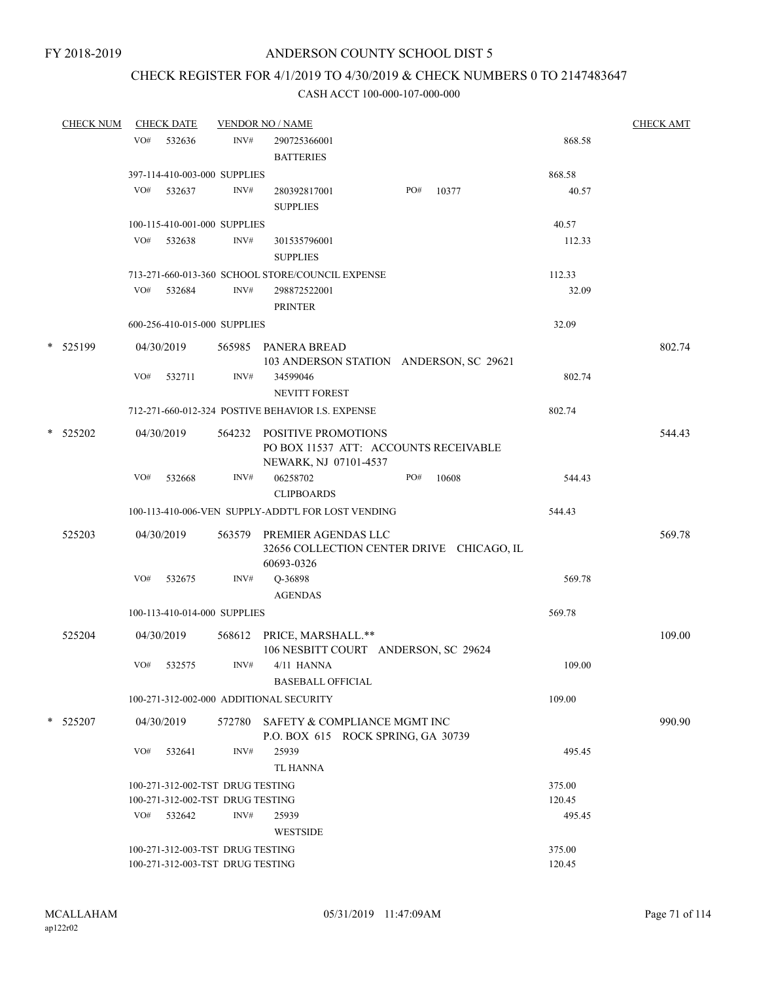## CHECK REGISTER FOR 4/1/2019 TO 4/30/2019 & CHECK NUMBERS 0 TO 2147483647

|        | <b>CHECK NUM</b> |     | <b>CHECK DATE</b>                |      | <b>VENDOR NO / NAME</b>                                                                      |     |       |        | <b>CHECK AMT</b> |
|--------|------------------|-----|----------------------------------|------|----------------------------------------------------------------------------------------------|-----|-------|--------|------------------|
|        |                  | VO# | 532636                           | INV# | 290725366001                                                                                 |     |       | 868.58 |                  |
|        |                  |     |                                  |      | <b>BATTERIES</b>                                                                             |     |       |        |                  |
|        |                  |     | 397-114-410-003-000 SUPPLIES     |      |                                                                                              |     |       | 868.58 |                  |
|        |                  | VO# | 532637                           | INV# | 280392817001<br><b>SUPPLIES</b>                                                              | PO# | 10377 | 40.57  |                  |
|        |                  |     | 100-115-410-001-000 SUPPLIES     |      |                                                                                              |     |       | 40.57  |                  |
|        |                  | VO# | 532638                           | INV# | 301535796001<br><b>SUPPLIES</b>                                                              |     |       | 112.33 |                  |
|        |                  |     |                                  |      | 713-271-660-013-360 SCHOOL STORE/COUNCIL EXPENSE                                             |     |       | 112.33 |                  |
|        |                  | VO# | 532684                           | INV# | 298872522001<br><b>PRINTER</b>                                                               |     |       | 32.09  |                  |
|        |                  |     | 600-256-410-015-000 SUPPLIES     |      |                                                                                              |     |       | 32.09  |                  |
|        | * 525199         |     | 04/30/2019                       |      | 565985 PANERA BREAD<br>103 ANDERSON STATION ANDERSON, SC 29621                               |     |       |        | 802.74           |
|        |                  | VO# | 532711                           | INV# | 34599046<br><b>NEVITT FOREST</b>                                                             |     |       | 802.74 |                  |
|        |                  |     |                                  |      | 712-271-660-012-324 POSTIVE BEHAVIOR I.S. EXPENSE                                            |     |       | 802.74 |                  |
|        | * 525202         |     | 04/30/2019                       |      | 564232 POSITIVE PROMOTIONS<br>PO BOX 11537 ATT: ACCOUNTS RECEIVABLE<br>NEWARK, NJ 07101-4537 |     |       |        | 544.43           |
|        |                  | VO# | 532668                           | INV# | 06258702<br><b>CLIPBOARDS</b>                                                                | PO# | 10608 | 544.43 |                  |
|        |                  |     |                                  |      | 100-113-410-006-VEN SUPPLY-ADDT'L FOR LOST VENDING                                           |     |       | 544.43 |                  |
|        | 525203           |     | 04/30/2019                       |      | 563579 PREMIER AGENDAS LLC<br>32656 COLLECTION CENTER DRIVE CHICAGO, IL<br>60693-0326        |     |       |        | 569.78           |
|        |                  | VO# | 532675                           | INV# | Q-36898<br><b>AGENDAS</b>                                                                    |     |       | 569.78 |                  |
|        |                  |     | 100-113-410-014-000 SUPPLIES     |      |                                                                                              |     |       | 569.78 |                  |
|        | 525204           |     | 04/30/2019                       |      | 568612 PRICE, MARSHALL.**                                                                    |     |       |        | 109.00           |
|        |                  | VO# | 532575                           | INV# | 106 NESBITT COURT ANDERSON, SC 29624<br>4/11 HANNA<br><b>BASEBALL OFFICIAL</b>               |     |       | 109.00 |                  |
|        |                  |     |                                  |      | 100-271-312-002-000 ADDITIONAL SECURITY                                                      |     |       | 109.00 |                  |
| $\ast$ | 525207           |     | 04/30/2019                       |      | 572780 SAFETY & COMPLIANCE MGMT INC<br>P.O. BOX 615 ROCK SPRING, GA 30739                    |     |       |        | 990.90           |
|        |                  | VO# | 532641                           | INV# | 25939<br><b>TL HANNA</b>                                                                     |     |       | 495.45 |                  |
|        |                  |     | 100-271-312-002-TST DRUG TESTING |      |                                                                                              |     |       | 375.00 |                  |
|        |                  |     | 100-271-312-002-TST DRUG TESTING |      |                                                                                              |     |       | 120.45 |                  |
|        |                  | VO# | 532642                           | INV# | 25939<br><b>WESTSIDE</b>                                                                     |     |       | 495.45 |                  |
|        |                  |     | 100-271-312-003-TST DRUG TESTING |      |                                                                                              |     |       | 375.00 |                  |
|        |                  |     | 100-271-312-003-TST DRUG TESTING |      |                                                                                              |     |       | 120.45 |                  |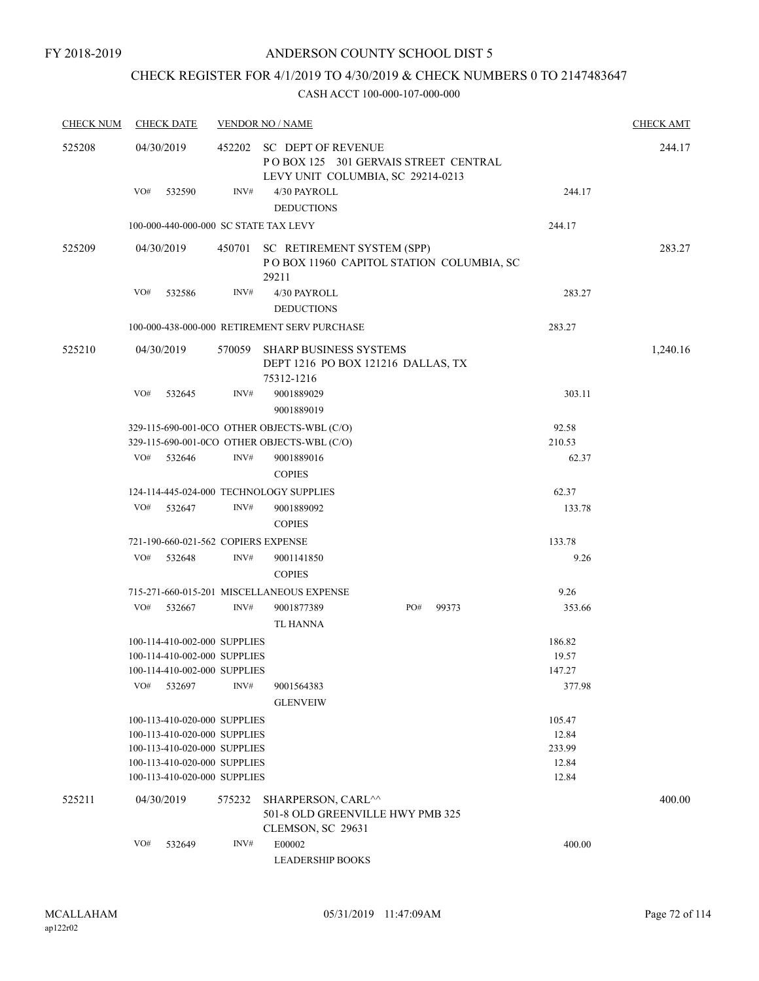## CHECK REGISTER FOR 4/1/2019 TO 4/30/2019 & CHECK NUMBERS 0 TO 2147483647

| <b>CHECK NUM</b> | <b>CHECK DATE</b>                                                                                                                             |        | <b>VENDOR NO / NAME</b>                                                                                  |     |       |                                               | <b>CHECK AMT</b> |
|------------------|-----------------------------------------------------------------------------------------------------------------------------------------------|--------|----------------------------------------------------------------------------------------------------------|-----|-------|-----------------------------------------------|------------------|
| 525208           | 04/30/2019                                                                                                                                    | 452202 | <b>SC DEPT OF REVENUE</b><br>POBOX 125 301 GERVAIS STREET CENTRAL<br>LEVY UNIT COLUMBIA, SC 29214-0213   |     |       |                                               | 244.17           |
|                  | VO#<br>532590                                                                                                                                 | INV#   | 4/30 PAYROLL<br><b>DEDUCTIONS</b>                                                                        |     |       | 244.17                                        |                  |
|                  | 100-000-440-000-000 SC STATE TAX LEVY                                                                                                         |        |                                                                                                          |     |       | 244.17                                        |                  |
| 525209           | 04/30/2019                                                                                                                                    |        | 450701 SC RETIREMENT SYSTEM (SPP)<br>POBOX 11960 CAPITOL STATION COLUMBIA, SC<br>29211                   |     |       |                                               | 283.27           |
|                  | VO#<br>532586                                                                                                                                 | INV#   | 4/30 PAYROLL<br><b>DEDUCTIONS</b>                                                                        |     |       | 283.27                                        |                  |
|                  |                                                                                                                                               |        | 100-000-438-000-000 RETIREMENT SERV PURCHASE                                                             |     |       | 283.27                                        |                  |
| 525210           | 04/30/2019                                                                                                                                    | 570059 | <b>SHARP BUSINESS SYSTEMS</b><br>DEPT 1216 PO BOX 121216 DALLAS, TX<br>75312-1216                        |     |       |                                               | 1,240.16         |
|                  | VO#<br>532645                                                                                                                                 | INV#   | 9001889029<br>9001889019                                                                                 |     |       | 303.11                                        |                  |
|                  | VO#<br>532646                                                                                                                                 | INV#   | 329-115-690-001-0CO OTHER OBJECTS-WBL (C/O)<br>329-115-690-001-0CO OTHER OBJECTS-WBL (C/O)<br>9001889016 |     |       | 92.58<br>210.53<br>62.37                      |                  |
|                  |                                                                                                                                               |        | <b>COPIES</b>                                                                                            |     |       |                                               |                  |
|                  | 124-114-445-024-000 TECHNOLOGY SUPPLIES                                                                                                       |        |                                                                                                          |     |       | 62.37                                         |                  |
|                  | VO#<br>532647                                                                                                                                 | INV#   | 9001889092<br><b>COPIES</b>                                                                              |     |       | 133.78                                        |                  |
|                  | 721-190-660-021-562 COPIERS EXPENSE                                                                                                           |        |                                                                                                          |     |       | 133.78                                        |                  |
|                  | VO#<br>532648                                                                                                                                 | INV#   | 9001141850<br><b>COPIES</b>                                                                              |     |       | 9.26                                          |                  |
|                  |                                                                                                                                               |        | 715-271-660-015-201 MISCELLANEOUS EXPENSE                                                                |     |       | 9.26                                          |                  |
|                  | VO#<br>532667                                                                                                                                 | INV#   | 9001877389<br><b>TL HANNA</b>                                                                            | PO# | 99373 | 353.66                                        |                  |
|                  | 100-114-410-002-000 SUPPLIES<br>100-114-410-002-000 SUPPLIES<br>100-114-410-002-000 SUPPLIES<br>VO#<br>532697<br>100-113-410-020-000 SUPPLIES | INV#   | 9001564383<br><b>GLENVEIW</b>                                                                            |     |       | 186.82<br>19.57<br>147.27<br>377.98<br>105.47 |                  |
|                  | 100-113-410-020-000 SUPPLIES<br>100-113-410-020-000 SUPPLIES<br>100-113-410-020-000 SUPPLIES<br>100-113-410-020-000 SUPPLIES                  |        |                                                                                                          |     |       | 12.84<br>233.99<br>12.84<br>12.84             |                  |
| 525211           | 04/30/2019                                                                                                                                    | 575232 | SHARPERSON, CARL^^<br>501-8 OLD GREENVILLE HWY PMB 325<br>CLEMSON, SC 29631                              |     |       |                                               | 400.00           |
|                  | VO#<br>532649                                                                                                                                 | INV#   | E00002<br><b>LEADERSHIP BOOKS</b>                                                                        |     |       | 400.00                                        |                  |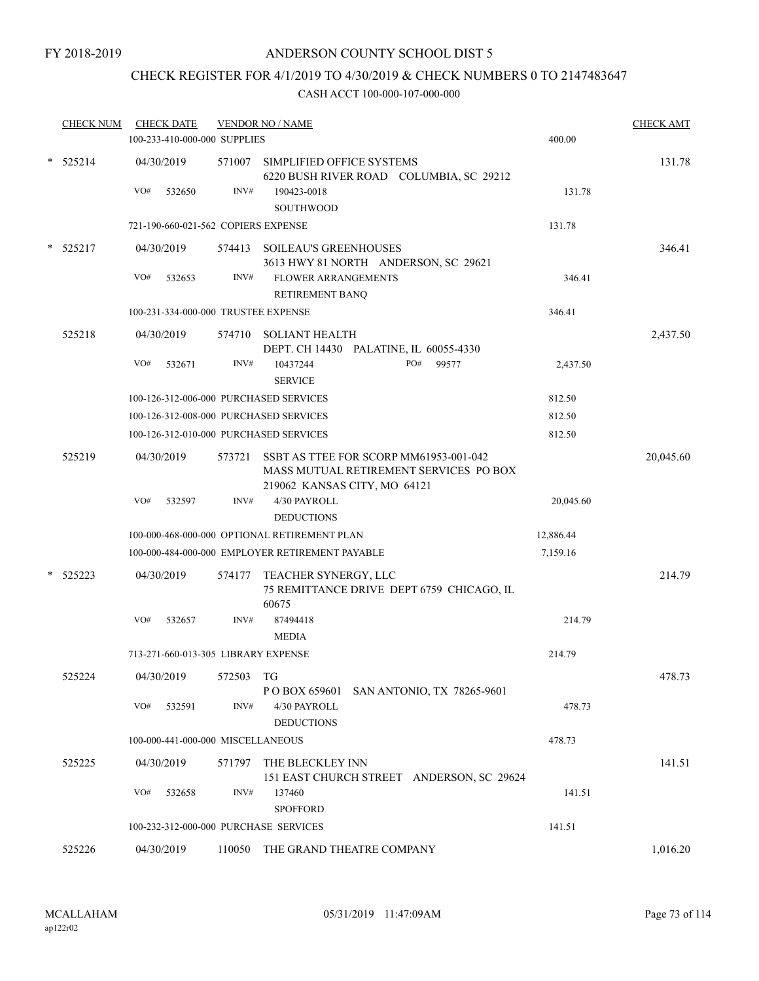# CHECK REGISTER FOR 4/1/2019 TO 4/30/2019 & CHECK NUMBERS 0 TO 2147483647

| <b>CHECK NUM</b> | <b>CHECK DATE</b><br>100-233-410-000-000 SUPPLIES |        | <b>VENDOR NO / NAME</b>                                                                                          |           | <b>CHECK AMT</b> |
|------------------|---------------------------------------------------|--------|------------------------------------------------------------------------------------------------------------------|-----------|------------------|
|                  |                                                   |        |                                                                                                                  | 400.00    |                  |
| $*$ 525214       | 04/30/2019                                        | 571007 | SIMPLIFIED OFFICE SYSTEMS<br>6220 BUSH RIVER ROAD COLUMBIA, SC 29212                                             |           | 131.78           |
|                  | VO#<br>532650                                     | INV#   | 190423-0018                                                                                                      | 131.78    |                  |
|                  |                                                   |        | <b>SOUTHWOOD</b>                                                                                                 |           |                  |
|                  | 721-190-660-021-562 COPIERS EXPENSE               |        |                                                                                                                  | 131.78    |                  |
| $*$ 525217       | 04/30/2019                                        |        | 574413 SOILEAU'S GREENHOUSES<br>3613 HWY 81 NORTH ANDERSON, SC 29621                                             |           | 346.41           |
|                  | VO#<br>532653                                     | INV#   | <b>FLOWER ARRANGEMENTS</b><br>RETIREMENT BANQ                                                                    | 346.41    |                  |
|                  | 100-231-334-000-000 TRUSTEE EXPENSE               |        |                                                                                                                  | 346.41    |                  |
| 525218           | 04/30/2019                                        |        | 574710 SOLIANT HEALTH<br>DEPT. CH 14430 PALATINE, IL 60055-4330                                                  |           | 2,437.50         |
|                  | VO#<br>532671                                     | INV#   | PO#<br>99577<br>10437244<br><b>SERVICE</b>                                                                       | 2,437.50  |                  |
|                  | 100-126-312-006-000 PURCHASED SERVICES            |        |                                                                                                                  | 812.50    |                  |
|                  | 100-126-312-008-000 PURCHASED SERVICES            |        |                                                                                                                  | 812.50    |                  |
|                  | 100-126-312-010-000 PURCHASED SERVICES            |        |                                                                                                                  | 812.50    |                  |
| 525219           | 04/30/2019                                        | 573721 | SSBT AS TTEE FOR SCORP MM61953-001-042<br>MASS MUTUAL RETIREMENT SERVICES PO BOX<br>219062 KANSAS CITY, MO 64121 |           | 20,045.60        |
|                  | VO#<br>532597                                     | INV#   | 4/30 PAYROLL                                                                                                     | 20,045.60 |                  |
|                  |                                                   |        | <b>DEDUCTIONS</b>                                                                                                |           |                  |
|                  |                                                   |        | 100-000-468-000-000 OPTIONAL RETIREMENT PLAN                                                                     | 12,886.44 |                  |
|                  |                                                   |        | 100-000-484-000-000 EMPLOYER RETIREMENT PAYABLE                                                                  | 7,159.16  |                  |
| 525223           | 04/30/2019                                        | 574177 | TEACHER SYNERGY, LLC<br>75 REMITTANCE DRIVE DEPT 6759 CHICAGO, IL<br>60675                                       |           | 214.79           |
|                  | VO#<br>532657                                     | INV#   | 87494418<br><b>MEDIA</b>                                                                                         | 214.79    |                  |
|                  | 713-271-660-013-305 LIBRARY EXPENSE               |        |                                                                                                                  | 214.79    |                  |
| 525224           | 04/30/2019                                        | 572503 | TG<br>P O BOX 659601 SAN ANTONIO, TX 78265-9601                                                                  |           | 478.73           |
|                  | VO#<br>532591                                     | INV#   | 4/30 PAYROLL<br><b>DEDUCTIONS</b>                                                                                | 478.73    |                  |
|                  | 100-000-441-000-000 MISCELLANEOUS                 |        |                                                                                                                  | 478.73    |                  |
| 525225           | 04/30/2019                                        |        | 571797 THE BLECKLEY INN<br>151 EAST CHURCH STREET ANDERSON, SC 29624                                             |           | 141.51           |
|                  | VO#<br>532658                                     | INV#   | 137460<br><b>SPOFFORD</b>                                                                                        | 141.51    |                  |
|                  | 100-232-312-000-000 PURCHASE SERVICES             |        |                                                                                                                  | 141.51    |                  |
| 525226           | 04/30/2019                                        |        | 110050 THE GRAND THEATRE COMPANY                                                                                 |           | 1,016.20         |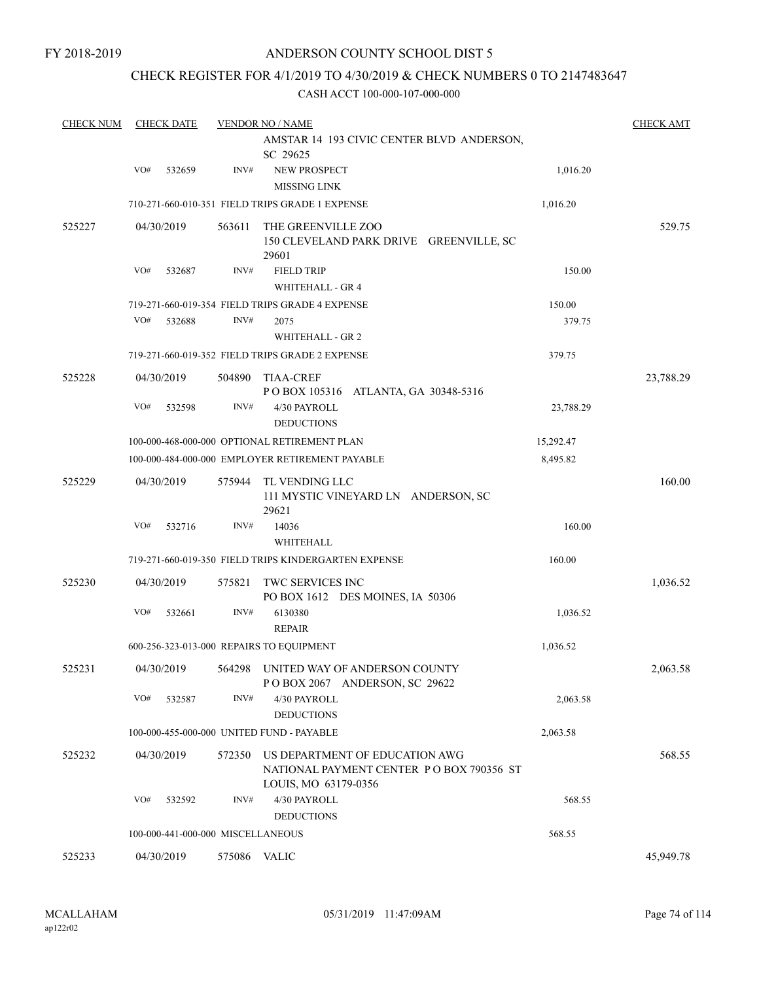### CHECK REGISTER FOR 4/1/2019 TO 4/30/2019 & CHECK NUMBERS 0 TO 2147483647

| <b>CHECK NUM</b> |     | <b>CHECK DATE</b>                 |              | <b>VENDOR NO / NAME</b><br>AMSTAR 14 193 CIVIC CENTER BLVD ANDERSON,                               |           | <b>CHECK AMT</b> |
|------------------|-----|-----------------------------------|--------------|----------------------------------------------------------------------------------------------------|-----------|------------------|
|                  |     |                                   |              | SC 29625                                                                                           |           |                  |
|                  | VO# | 532659                            | INV#         | NEW PROSPECT<br><b>MISSING LINK</b>                                                                | 1,016.20  |                  |
|                  |     |                                   |              | 710-271-660-010-351 FIELD TRIPS GRADE 1 EXPENSE                                                    | 1,016.20  |                  |
| 525227           |     | 04/30/2019                        | 563611       | THE GREENVILLE ZOO<br>150 CLEVELAND PARK DRIVE GREENVILLE, SC<br>29601                             |           | 529.75           |
|                  | VO# | 532687                            | INV#         | <b>FIELD TRIP</b><br><b>WHITEHALL - GR 4</b>                                                       | 150.00    |                  |
|                  |     |                                   |              | 719-271-660-019-354 FIELD TRIPS GRADE 4 EXPENSE                                                    | 150.00    |                  |
|                  | VO# | 532688                            | INV#         | 2075<br>WHITEHALL - GR 2                                                                           | 379.75    |                  |
|                  |     |                                   |              | 719-271-660-019-352 FIELD TRIPS GRADE 2 EXPENSE                                                    | 379.75    |                  |
| 525228           |     | 04/30/2019                        | 504890       | <b>TIAA-CREF</b><br>POBOX 105316 ATLANTA, GA 30348-5316                                            |           | 23,788.29        |
|                  | VO# | 532598                            | INV#         | 4/30 PAYROLL<br><b>DEDUCTIONS</b>                                                                  | 23,788.29 |                  |
|                  |     |                                   |              | 100-000-468-000-000 OPTIONAL RETIREMENT PLAN                                                       | 15,292.47 |                  |
|                  |     |                                   |              | 100-000-484-000-000 EMPLOYER RETIREMENT PAYABLE                                                    | 8,495.82  |                  |
| 525229           |     | 04/30/2019                        | 575944       | TL VENDING LLC<br>111 MYSTIC VINEYARD LN ANDERSON, SC<br>29621                                     |           | 160.00           |
|                  | VO# | 532716                            | INV#         | 14036<br>WHITEHALL                                                                                 | 160.00    |                  |
|                  |     |                                   |              | 719-271-660-019-350 FIELD TRIPS KINDERGARTEN EXPENSE                                               | 160.00    |                  |
| 525230           |     | 04/30/2019                        | 575821       | TWC SERVICES INC<br>PO BOX 1612 DES MOINES, IA 50306                                               |           | 1,036.52         |
|                  | VO# | 532661                            | INV#         | 6130380<br><b>REPAIR</b>                                                                           | 1,036.52  |                  |
|                  |     |                                   |              | 600-256-323-013-000 REPAIRS TO EQUIPMENT                                                           | 1,036.52  |                  |
| 525231           |     | 04/30/2019                        | 564298       | UNITED WAY OF ANDERSON COUNTY<br>POBOX 2067 ANDERSON, SC 29622                                     |           | 2,063.58         |
|                  | VO# | 532587                            | INV#         | 4/30 PAYROLL<br><b>DEDUCTIONS</b>                                                                  | 2,063.58  |                  |
|                  |     |                                   |              | 100-000-455-000-000 UNITED FUND - PAYABLE                                                          | 2,063.58  |                  |
| 525232           |     | 04/30/2019                        | 572350       | US DEPARTMENT OF EDUCATION AWG<br>NATIONAL PAYMENT CENTER PO BOX 790356 ST<br>LOUIS, MO 63179-0356 |           | 568.55           |
|                  | VO# | 532592                            | INV#         | 4/30 PAYROLL<br><b>DEDUCTIONS</b>                                                                  | 568.55    |                  |
|                  |     | 100-000-441-000-000 MISCELLANEOUS |              |                                                                                                    | 568.55    |                  |
| 525233           |     | 04/30/2019                        | 575086 VALIC |                                                                                                    |           | 45,949.78        |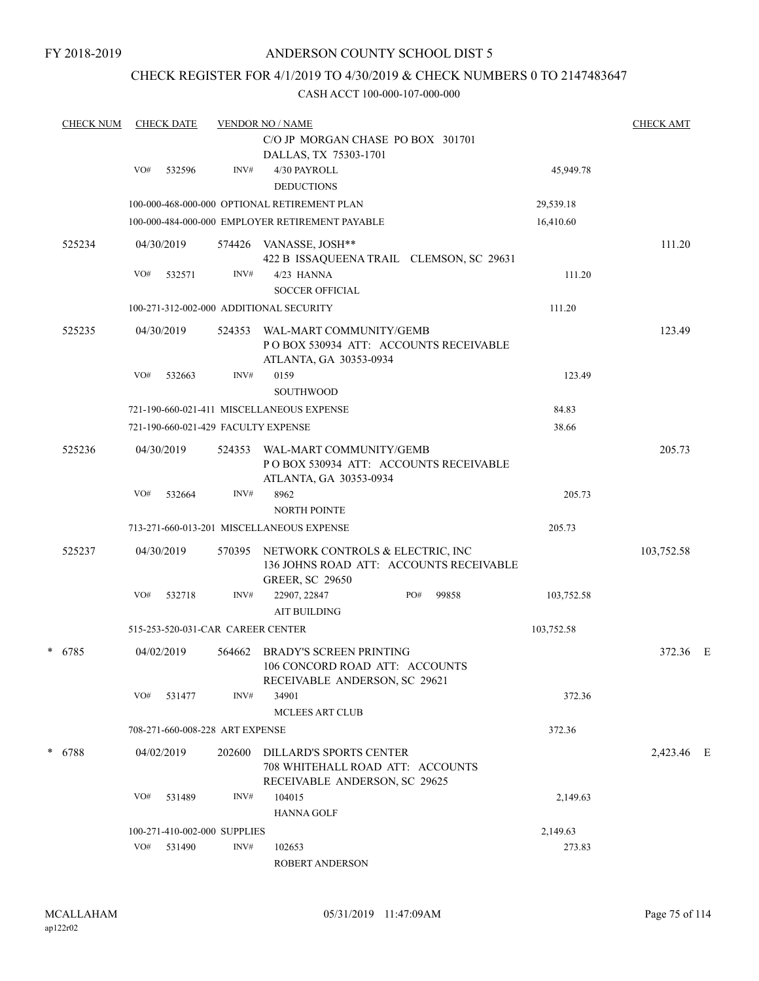### CHECK REGISTER FOR 4/1/2019 TO 4/30/2019 & CHECK NUMBERS 0 TO 2147483647

| <b>CHECK NUM</b> | <b>CHECK DATE</b>                       |        | <b>VENDOR NO / NAME</b>                         |            | <b>CHECK AMT</b> |  |
|------------------|-----------------------------------------|--------|-------------------------------------------------|------------|------------------|--|
|                  |                                         |        | C/O JP MORGAN CHASE PO BOX 301701               |            |                  |  |
|                  |                                         |        | DALLAS, TX 75303-1701                           |            |                  |  |
|                  | VO#<br>532596                           | INV#   | 4/30 PAYROLL                                    | 45,949.78  |                  |  |
|                  |                                         |        | <b>DEDUCTIONS</b>                               |            |                  |  |
|                  |                                         |        | 100-000-468-000-000 OPTIONAL RETIREMENT PLAN    | 29,539.18  |                  |  |
|                  |                                         |        | 100-000-484-000-000 EMPLOYER RETIREMENT PAYABLE | 16,410.60  |                  |  |
| 525234           | 04/30/2019                              |        | 574426 VANASSE, JOSH**                          |            | 111.20           |  |
|                  |                                         |        | 422 B ISSAQUEENA TRAIL CLEMSON, SC 29631        |            |                  |  |
|                  | VO#<br>532571                           | INV#   | 4/23 HANNA                                      | 111.20     |                  |  |
|                  |                                         |        | <b>SOCCER OFFICIAL</b>                          |            |                  |  |
|                  | 100-271-312-002-000 ADDITIONAL SECURITY |        |                                                 | 111.20     |                  |  |
| 525235           | 04/30/2019                              | 524353 | WAL-MART COMMUNITY/GEMB                         |            | 123.49           |  |
|                  |                                         |        | POBOX 530934 ATT: ACCOUNTS RECEIVABLE           |            |                  |  |
|                  |                                         |        | ATLANTA, GA 30353-0934                          |            |                  |  |
|                  | VO#<br>532663                           | INV#   | 0159                                            | 123.49     |                  |  |
|                  |                                         |        | <b>SOUTHWOOD</b>                                |            |                  |  |
|                  |                                         |        | 721-190-660-021-411 MISCELLANEOUS EXPENSE       | 84.83      |                  |  |
|                  | 721-190-660-021-429 FACULTY EXPENSE     |        |                                                 | 38.66      |                  |  |
| 525236           | 04/30/2019                              | 524353 | WAL-MART COMMUNITY/GEMB                         |            | 205.73           |  |
|                  |                                         |        | POBOX 530934 ATT: ACCOUNTS RECEIVABLE           |            |                  |  |
|                  |                                         |        | ATLANTA, GA 30353-0934                          |            |                  |  |
|                  | VO#<br>532664                           | INV#   | 8962                                            | 205.73     |                  |  |
|                  |                                         |        | <b>NORTH POINTE</b>                             |            |                  |  |
|                  |                                         |        | 713-271-660-013-201 MISCELLANEOUS EXPENSE       | 205.73     |                  |  |
| 525237           | 04/30/2019                              | 570395 | NETWORK CONTROLS & ELECTRIC, INC                |            | 103,752.58       |  |
|                  |                                         |        | 136 JOHNS ROAD ATT: ACCOUNTS RECEIVABLE         |            |                  |  |
|                  |                                         |        | <b>GREER, SC 29650</b>                          |            |                  |  |
|                  | VO#<br>532718                           | INV#   | 22907, 22847<br>PO#<br>99858                    | 103,752.58 |                  |  |
|                  |                                         |        | <b>AIT BUILDING</b>                             |            |                  |  |
|                  | 515-253-520-031-CAR CAREER CENTER       |        |                                                 | 103,752.58 |                  |  |
| * 6785           | 04/02/2019                              | 564662 | <b>BRADY'S SCREEN PRINTING</b>                  |            | 372.36 E         |  |
|                  |                                         |        | 106 CONCORD ROAD ATT: ACCOUNTS                  |            |                  |  |
|                  |                                         |        | RECEIVABLE ANDERSON, SC 29621                   |            |                  |  |
|                  | VO#<br>531477                           | INV#   | 34901                                           | 372.36     |                  |  |
|                  |                                         |        | <b>MCLEES ART CLUB</b>                          |            |                  |  |
|                  | 708-271-660-008-228 ART EXPENSE         |        |                                                 | 372.36     |                  |  |
| * 6788           | 04/02/2019                              | 202600 | DILLARD'S SPORTS CENTER                         |            | 2,423.46 E       |  |
|                  |                                         |        | 708 WHITEHALL ROAD ATT: ACCOUNTS                |            |                  |  |
|                  |                                         |        | RECEIVABLE ANDERSON, SC 29625                   |            |                  |  |
|                  | VO#<br>531489                           | INV#   | 104015                                          | 2,149.63   |                  |  |
|                  |                                         |        | <b>HANNA GOLF</b>                               |            |                  |  |
|                  | 100-271-410-002-000 SUPPLIES            |        |                                                 | 2,149.63   |                  |  |
|                  | VO#<br>531490                           | INV#   | 102653                                          | 273.83     |                  |  |
|                  |                                         |        | ROBERT ANDERSON                                 |            |                  |  |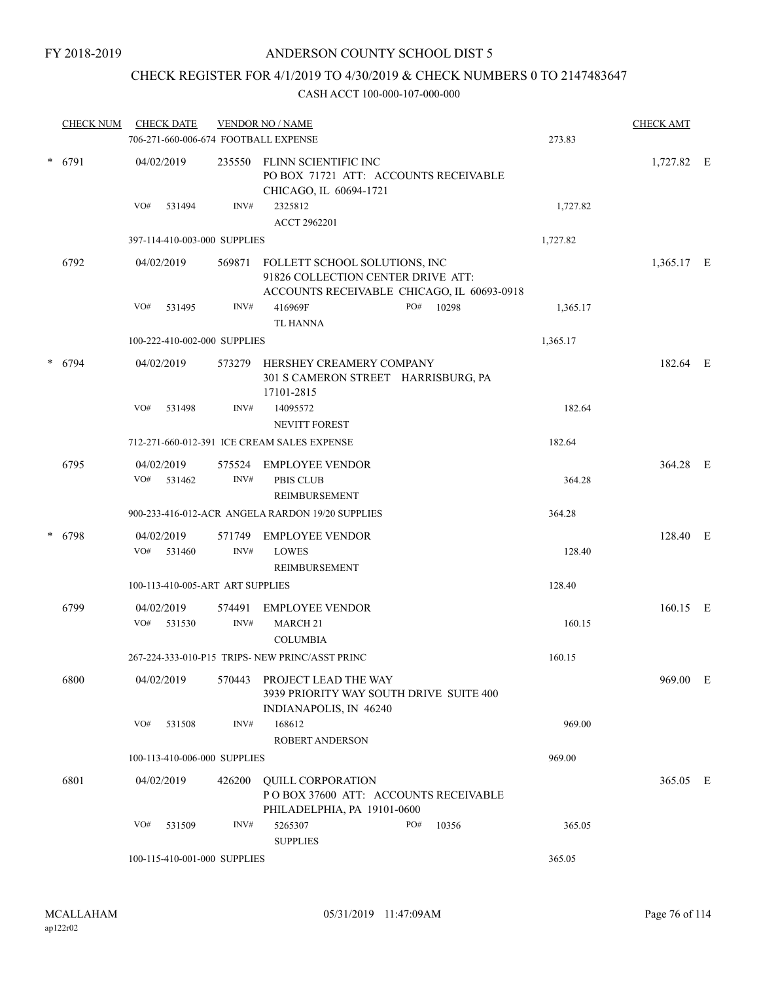## CHECK REGISTER FOR 4/1/2019 TO 4/30/2019 & CHECK NUMBERS 0 TO 2147483647

|        | <b>CHECK NUM</b> | <b>CHECK DATE</b>        |                                  |                | <b>VENDOR NO / NAME</b>                                                                                           |     |       |          | <b>CHECK AMT</b> |  |
|--------|------------------|--------------------------|----------------------------------|----------------|-------------------------------------------------------------------------------------------------------------------|-----|-------|----------|------------------|--|
|        |                  |                          |                                  |                | 706-271-660-006-674 FOOTBALL EXPENSE                                                                              |     |       | 273.83   |                  |  |
| * 6791 |                  | 04/02/2019               |                                  | 235550         | FLINN SCIENTIFIC INC<br>PO BOX 71721 ATT: ACCOUNTS RECEIVABLE<br>CHICAGO, IL 60694-1721                           |     |       |          | 1,727.82 E       |  |
|        |                  | VO#                      | 531494                           | INV#           | 2325812<br>ACCT 2962201                                                                                           |     |       | 1,727.82 |                  |  |
|        |                  |                          | 397-114-410-003-000 SUPPLIES     |                |                                                                                                                   |     |       | 1,727.82 |                  |  |
|        | 6792             | 04/02/2019               |                                  | 569871         | FOLLETT SCHOOL SOLUTIONS, INC<br>91826 COLLECTION CENTER DRIVE ATT:<br>ACCOUNTS RECEIVABLE CHICAGO, IL 60693-0918 |     |       |          | 1,365.17 E       |  |
|        |                  | VO#                      | 531495                           | INV#           | 416969F<br><b>TL HANNA</b>                                                                                        | PO# | 10298 | 1,365.17 |                  |  |
|        |                  |                          | 100-222-410-002-000 SUPPLIES     |                |                                                                                                                   |     |       | 1,365.17 |                  |  |
|        | * 6794           | 04/02/2019               |                                  | 573279         | HERSHEY CREAMERY COMPANY<br>301 S CAMERON STREET HARRISBURG, PA<br>17101-2815                                     |     |       |          | 182.64 E         |  |
|        |                  | VO#                      | 531498                           | INV#           | 14095572<br>NEVITT FOREST                                                                                         |     |       | 182.64   |                  |  |
|        |                  |                          |                                  |                | 712-271-660-012-391 ICE CREAM SALES EXPENSE                                                                       |     |       | 182.64   |                  |  |
|        | 6795             | 04/02/2019<br>VO# 531462 |                                  | $\text{INV}\#$ | 575524 EMPLOYEE VENDOR<br><b>PBIS CLUB</b><br>REIMBURSEMENT                                                       |     |       | 364.28   | 364.28 E         |  |
|        |                  |                          |                                  |                | 900-233-416-012-ACR ANGELA RARDON 19/20 SUPPLIES                                                                  |     |       | 364.28   |                  |  |
|        | * 6798           | 04/02/2019<br>VO#        | 531460                           | 571749<br>INV# | <b>EMPLOYEE VENDOR</b><br><b>LOWES</b>                                                                            |     |       | 128.40   | 128.40 E         |  |
|        |                  |                          | 100-113-410-005-ART ART SUPPLIES |                | REIMBURSEMENT                                                                                                     |     |       | 128.40   |                  |  |
|        | 6799             | 04/02/2019               |                                  | 574491         | <b>EMPLOYEE VENDOR</b>                                                                                            |     |       |          | 160.15 E         |  |
|        |                  | VO#                      | 531530                           | INV#           | MARCH <sub>21</sub><br><b>COLUMBIA</b>                                                                            |     |       | 160.15   |                  |  |
|        |                  |                          |                                  |                | 267-224-333-010-P15 TRIPS- NEW PRINC/ASST PRINC                                                                   |     |       | 160.15   |                  |  |
|        | 6800             | 04/02/2019               |                                  | 570443         | PROJECT LEAD THE WAY<br>3939 PRIORITY WAY SOUTH DRIVE SUITE 400<br>INDIANAPOLIS, IN 46240                         |     |       |          | 969.00 E         |  |
|        |                  | VO#                      | 531508                           | INV#           | 168612<br>ROBERT ANDERSON                                                                                         |     |       | 969.00   |                  |  |
|        |                  |                          | 100-113-410-006-000 SUPPLIES     |                |                                                                                                                   |     |       | 969.00   |                  |  |
|        | 6801             | 04/02/2019               |                                  | 426200         | <b>QUILL CORPORATION</b><br>POBOX 37600 ATT: ACCOUNTS RECEIVABLE<br>PHILADELPHIA, PA 19101-0600                   |     |       |          | 365.05 E         |  |
|        |                  | VO#                      | 531509                           | INV#           | 5265307<br><b>SUPPLIES</b>                                                                                        | PO# | 10356 | 365.05   |                  |  |
|        |                  |                          | 100-115-410-001-000 SUPPLIES     |                |                                                                                                                   |     |       | 365.05   |                  |  |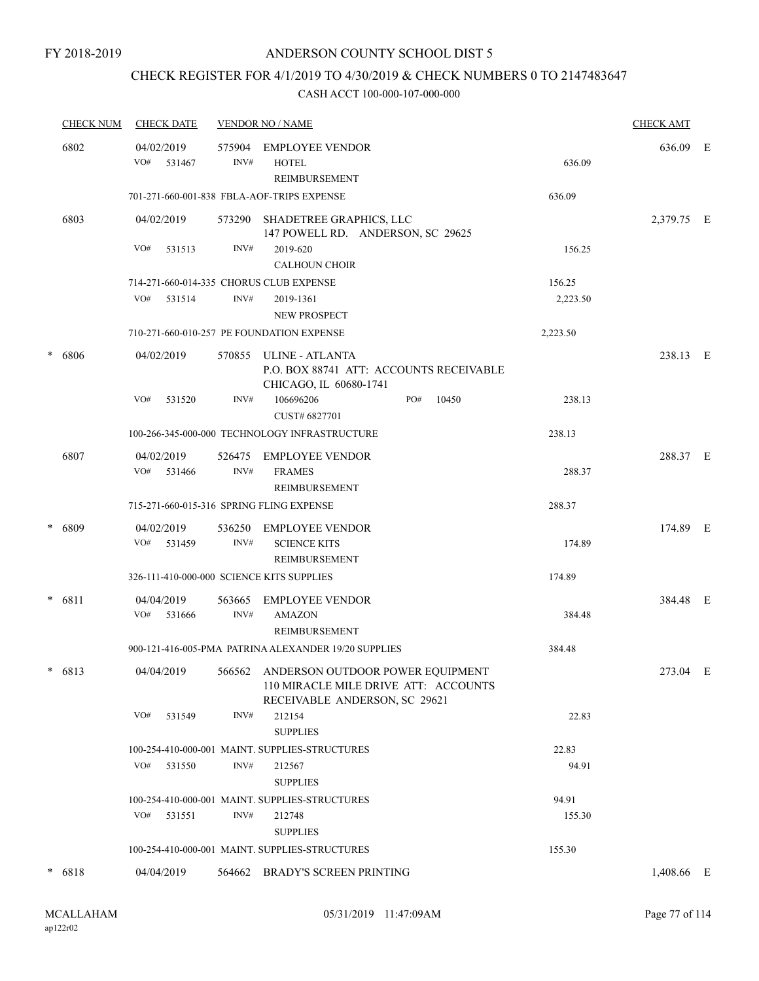### CHECK REGISTER FOR 4/1/2019 TO 4/30/2019 & CHECK NUMBERS 0 TO 2147483647

|        | <b>CHECK NUM</b> | <b>CHECK DATE</b>                         |                | <b>VENDOR NO / NAME</b>                                                                                          |          | <b>CHECK AMT</b> |  |
|--------|------------------|-------------------------------------------|----------------|------------------------------------------------------------------------------------------------------------------|----------|------------------|--|
|        | 6802             | 04/02/2019<br>VO#<br>531467               | 575904<br>INV# | <b>EMPLOYEE VENDOR</b><br><b>HOTEL</b><br>REIMBURSEMENT                                                          | 636.09   | 636.09 E         |  |
|        |                  |                                           |                | 701-271-660-001-838 FBLA-AOF-TRIPS EXPENSE                                                                       | 636.09   |                  |  |
|        | 6803             | 04/02/2019                                |                | 573290 SHADETREE GRAPHICS, LLC<br>147 POWELL RD. ANDERSON, SC 29625                                              |          | 2,379.75 E       |  |
|        |                  | VO#<br>531513                             | INV#           | 2019-620<br><b>CALHOUN CHOIR</b>                                                                                 | 156.25   |                  |  |
|        |                  | 714-271-660-014-335 CHORUS CLUB EXPENSE   |                |                                                                                                                  | 156.25   |                  |  |
|        |                  | VO#<br>531514                             | INV#           | 2019-1361<br><b>NEW PROSPECT</b>                                                                                 | 2,223.50 |                  |  |
|        |                  |                                           |                | 710-271-660-010-257 PE FOUNDATION EXPENSE                                                                        | 2,223.50 |                  |  |
| $\ast$ | 6806             | 04/02/2019                                | 570855         | ULINE - ATLANTA<br>P.O. BOX 88741 ATT: ACCOUNTS RECEIVABLE<br>CHICAGO, IL 60680-1741                             |          | 238.13 E         |  |
|        |                  | VO#<br>531520                             | INV#           | 106696206<br>PO#<br>10450<br>CUST# 6827701                                                                       | 238.13   |                  |  |
|        |                  |                                           |                | 100-266-345-000-000 TECHNOLOGY INFRASTRUCTURE                                                                    | 238.13   |                  |  |
|        | 6807             | 04/02/2019<br>VO#<br>531466               | 526475<br>INV# | EMPLOYEE VENDOR<br><b>FRAMES</b><br>REIMBURSEMENT                                                                | 288.37   | 288.37 E         |  |
|        |                  | 715-271-660-015-316 SPRING FLING EXPENSE  |                |                                                                                                                  | 288.37   |                  |  |
|        | * 6809           | 04/02/2019<br>VO#<br>531459               | 536250<br>INV# | EMPLOYEE VENDOR                                                                                                  |          | 174.89 E         |  |
|        |                  |                                           |                | <b>SCIENCE KITS</b><br>REIMBURSEMENT                                                                             | 174.89   |                  |  |
|        |                  | 326-111-410-000-000 SCIENCE KITS SUPPLIES |                |                                                                                                                  | 174.89   |                  |  |
|        | $* 6811$         | 04/04/2019<br>$VO#$ 531666                | 563665<br>INV# | <b>EMPLOYEE VENDOR</b><br><b>AMAZON</b>                                                                          | 384.48   | 384.48 E         |  |
|        |                  |                                           |                | REIMBURSEMENT                                                                                                    |          |                  |  |
|        |                  |                                           |                | 900-121-416-005-PMA PATRINA ALEXANDER 19/20 SUPPLIES                                                             | 384.48   |                  |  |
|        | * 6813           | 04/04/2019                                |                | 566562 ANDERSON OUTDOOR POWER EQUIPMENT<br>110 MIRACLE MILE DRIVE ATT: ACCOUNTS<br>RECEIVABLE ANDERSON, SC 29621 |          | 273.04 E         |  |
|        |                  | VO# 531549                                | INV#           | 212154<br><b>SUPPLIES</b>                                                                                        | 22.83    |                  |  |
|        |                  |                                           |                | 100-254-410-000-001 MAINT. SUPPLIES-STRUCTURES                                                                   | 22.83    |                  |  |
|        |                  | VO#<br>531550                             | INV#           | 212567<br><b>SUPPLIES</b>                                                                                        | 94.91    |                  |  |
|        |                  |                                           |                | 100-254-410-000-001 MAINT. SUPPLIES-STRUCTURES                                                                   | 94.91    |                  |  |
|        |                  | VO# 531551                                | INV#           | 212748                                                                                                           | 155.30   |                  |  |
|        |                  |                                           |                | <b>SUPPLIES</b>                                                                                                  |          |                  |  |
|        |                  |                                           |                | 100-254-410-000-001 MAINT. SUPPLIES-STRUCTURES                                                                   | 155.30   |                  |  |
|        | $* 6818$         | 04/04/2019                                |                | 564662 BRADY'S SCREEN PRINTING                                                                                   |          | 1,408.66 E       |  |
|        |                  |                                           |                |                                                                                                                  |          |                  |  |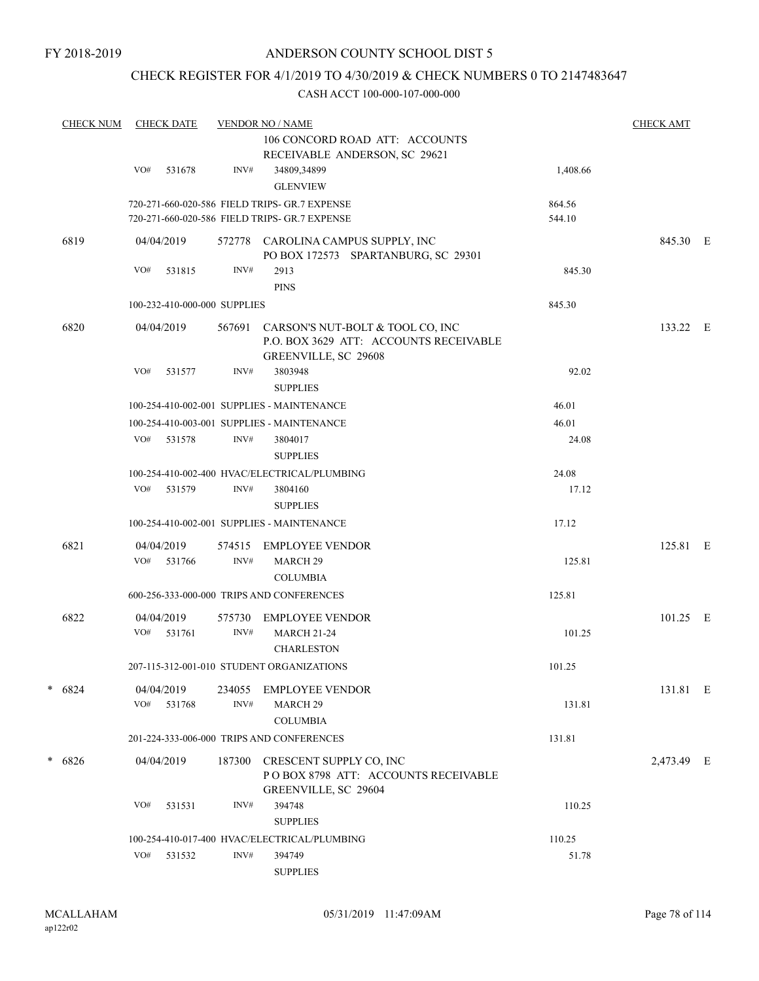### CHECK REGISTER FOR 4/1/2019 TO 4/30/2019 & CHECK NUMBERS 0 TO 2147483647

| <b>CHECK NUM</b> |     | <b>CHECK DATE</b>    |                              | <b>VENDOR NO / NAME</b><br>106 CONCORD ROAD ATT: ACCOUNTS<br>RECEIVABLE ANDERSON, SC 29621           |                  | <b>CHECK AMT</b> |  |
|------------------|-----|----------------------|------------------------------|------------------------------------------------------------------------------------------------------|------------------|------------------|--|
|                  | VO# | 531678               | INV#                         | 34809,34899<br><b>GLENVIEW</b>                                                                       | 1,408.66         |                  |  |
|                  |     |                      |                              | 720-271-660-020-586 FIELD TRIPS- GR.7 EXPENSE<br>720-271-660-020-586 FIELD TRIPS- GR.7 EXPENSE       | 864.56<br>544.10 |                  |  |
| 6819             |     | 04/04/2019           | 572778                       | CAROLINA CAMPUS SUPPLY, INC<br>PO BOX 172573 SPARTANBURG, SC 29301                                   |                  | 845.30 E         |  |
|                  | VO# | 531815               | INV#                         | 2913<br><b>PINS</b>                                                                                  | 845.30           |                  |  |
|                  |     |                      | 100-232-410-000-000 SUPPLIES |                                                                                                      | 845.30           |                  |  |
| 6820             |     | 04/04/2019           | 567691                       | CARSON'S NUT-BOLT & TOOL CO, INC<br>P.O. BOX 3629 ATT: ACCOUNTS RECEIVABLE<br>GREENVILLE, SC 29608   |                  | 133.22 E         |  |
|                  | VO# | 531577               | INV#                         | 3803948<br><b>SUPPLIES</b>                                                                           | 92.02            |                  |  |
|                  |     |                      |                              | 100-254-410-002-001 SUPPLIES - MAINTENANCE                                                           | 46.01            |                  |  |
|                  |     |                      |                              | 100-254-410-003-001 SUPPLIES - MAINTENANCE                                                           | 46.01            |                  |  |
|                  | VO# | 531578               | INV#                         | 3804017<br><b>SUPPLIES</b>                                                                           | 24.08            |                  |  |
|                  |     |                      |                              | 100-254-410-002-400 HVAC/ELECTRICAL/PLUMBING                                                         | 24.08            |                  |  |
|                  | VO# | 531579               | INV#                         | 3804160<br><b>SUPPLIES</b>                                                                           | 17.12            |                  |  |
|                  |     |                      |                              | 100-254-410-002-001 SUPPLIES - MAINTENANCE                                                           | 17.12            |                  |  |
| 6821             | VO# | 04/04/2019<br>531766 | 574515<br>INV#               | <b>EMPLOYEE VENDOR</b><br>MARCH <sub>29</sub>                                                        | 125.81           | 125.81 E         |  |
|                  |     |                      |                              | <b>COLUMBIA</b>                                                                                      |                  |                  |  |
|                  |     |                      |                              | 600-256-333-000-000 TRIPS AND CONFERENCES                                                            | 125.81           |                  |  |
| 6822             | VO# | 04/04/2019<br>531761 | 575730<br>INV#               | <b>EMPLOYEE VENDOR</b><br><b>MARCH 21-24</b><br><b>CHARLESTON</b>                                    | 101.25           | $101.25$ E       |  |
|                  |     |                      |                              | 207-115-312-001-010 STUDENT ORGANIZATIONS                                                            | 101.25           |                  |  |
| $* 6824$         |     | 04/04/2019           |                              | 234055 EMPLOYEE VENDOR                                                                               |                  | 131.81 E         |  |
|                  | VO# | 531768               | INV#                         | MARCH <sub>29</sub><br><b>COLUMBIA</b>                                                               | 131.81           |                  |  |
|                  |     |                      |                              | 201-224-333-006-000 TRIPS AND CONFERENCES                                                            | 131.81           |                  |  |
| $* 6826$         |     | 04/04/2019           |                              | 187300 CRESCENT SUPPLY CO, INC<br>POBOX 8798 ATT: ACCOUNTS RECEIVABLE<br><b>GREENVILLE, SC 29604</b> |                  | 2,473.49 E       |  |
|                  | VO# | 531531               | INV#                         | 394748<br><b>SUPPLIES</b>                                                                            | 110.25           |                  |  |
|                  |     |                      |                              | 100-254-410-017-400 HVAC/ELECTRICAL/PLUMBING                                                         | 110.25           |                  |  |
|                  | VO# | 531532               | INV#                         | 394749<br><b>SUPPLIES</b>                                                                            | 51.78            |                  |  |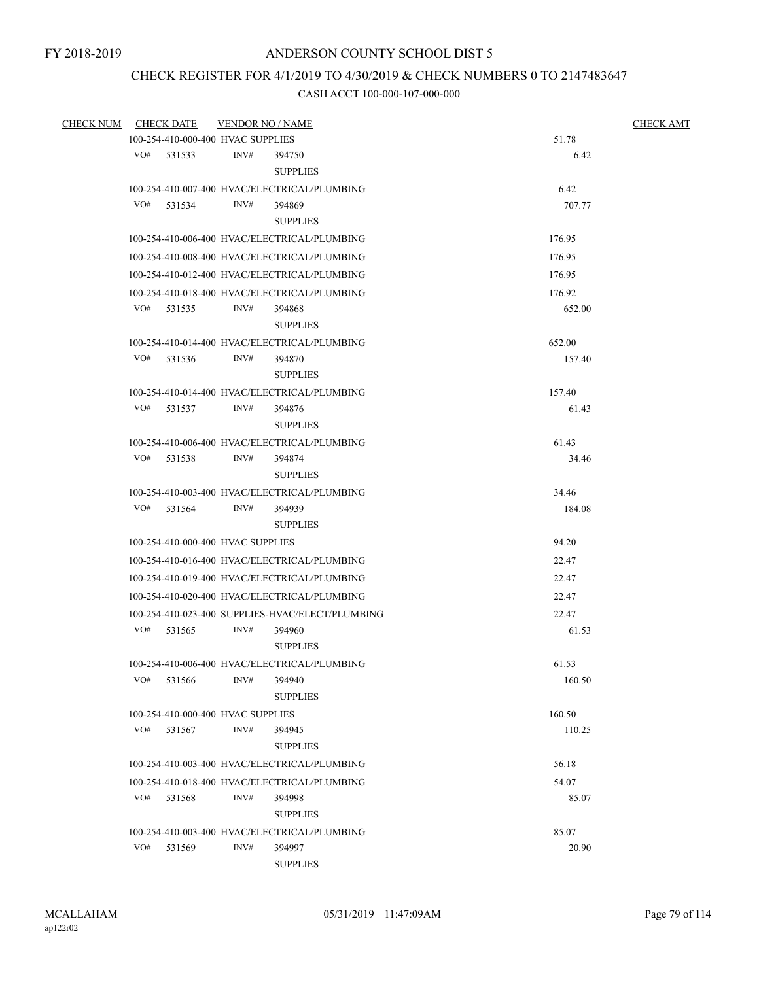## CHECK REGISTER FOR 4/1/2019 TO 4/30/2019 & CHECK NUMBERS 0 TO 2147483647

| CHECK NUM CHECK DATE |     |                                   | <b>VENDOR NO / NAME</b> |                                                  | <b>CHECK AMT</b> |  |
|----------------------|-----|-----------------------------------|-------------------------|--------------------------------------------------|------------------|--|
|                      |     | 100-254-410-000-400 HVAC SUPPLIES |                         |                                                  | 51.78            |  |
|                      |     | VO# 531533                        | INV#                    | 394750                                           | 6.42             |  |
|                      |     |                                   |                         | <b>SUPPLIES</b>                                  |                  |  |
|                      |     |                                   |                         | 100-254-410-007-400 HVAC/ELECTRICAL/PLUMBING     | 6.42             |  |
|                      |     | VO# 531534                        | INV#                    | 394869                                           | 707.77           |  |
|                      |     |                                   |                         | <b>SUPPLIES</b>                                  |                  |  |
|                      |     |                                   |                         | 100-254-410-006-400 HVAC/ELECTRICAL/PLUMBING     | 176.95           |  |
|                      |     |                                   |                         | 100-254-410-008-400 HVAC/ELECTRICAL/PLUMBING     | 176.95           |  |
|                      |     |                                   |                         | 100-254-410-012-400 HVAC/ELECTRICAL/PLUMBING     | 176.95           |  |
|                      |     |                                   |                         | 100-254-410-018-400 HVAC/ELECTRICAL/PLUMBING     | 176.92           |  |
|                      |     | VO# 531535                        | INV#                    | 394868                                           | 652.00           |  |
|                      |     |                                   |                         | <b>SUPPLIES</b>                                  |                  |  |
|                      |     |                                   |                         | 100-254-410-014-400 HVAC/ELECTRICAL/PLUMBING     | 652.00           |  |
|                      | VO# | 531536                            | INV#                    | 394870                                           | 157.40           |  |
|                      |     |                                   |                         | <b>SUPPLIES</b>                                  |                  |  |
|                      |     |                                   |                         | 100-254-410-014-400 HVAC/ELECTRICAL/PLUMBING     | 157.40           |  |
|                      |     | VO# 531537                        | INV#                    | 394876                                           | 61.43            |  |
|                      |     |                                   |                         | <b>SUPPLIES</b>                                  |                  |  |
|                      |     |                                   |                         | 100-254-410-006-400 HVAC/ELECTRICAL/PLUMBING     | 61.43            |  |
|                      |     | VO# 531538                        | INV#                    | 394874                                           | 34.46            |  |
|                      |     |                                   |                         | <b>SUPPLIES</b>                                  |                  |  |
|                      |     |                                   |                         | 100-254-410-003-400 HVAC/ELECTRICAL/PLUMBING     | 34.46            |  |
|                      |     | $VO#$ 531564                      | INV#                    | 394939                                           | 184.08           |  |
|                      |     |                                   |                         | <b>SUPPLIES</b>                                  |                  |  |
|                      |     | 100-254-410-000-400 HVAC SUPPLIES |                         |                                                  | 94.20            |  |
|                      |     |                                   |                         | 100-254-410-016-400 HVAC/ELECTRICAL/PLUMBING     | 22.47            |  |
|                      |     |                                   |                         | 100-254-410-019-400 HVAC/ELECTRICAL/PLUMBING     | 22.47            |  |
|                      |     |                                   |                         | 100-254-410-020-400 HVAC/ELECTRICAL/PLUMBING     | 22.47            |  |
|                      |     |                                   |                         | 100-254-410-023-400 SUPPLIES-HVAC/ELECT/PLUMBING | 22.47            |  |
|                      |     | VO# 531565                        | INV#                    | 394960                                           | 61.53            |  |
|                      |     |                                   |                         | <b>SUPPLIES</b>                                  |                  |  |
|                      |     |                                   |                         | 100-254-410-006-400 HVAC/ELECTRICAL/PLUMBING     | 61.53            |  |
|                      | VO# | 531566                            | INV#                    | 394940                                           | 160.50           |  |
|                      |     |                                   |                         | <b>SUPPLIES</b>                                  |                  |  |
|                      |     | 100-254-410-000-400 HVAC SUPPLIES |                         |                                                  | 160.50           |  |
|                      | VO# | 531567                            | INV#                    | 394945                                           | 110.25           |  |
|                      |     |                                   |                         | <b>SUPPLIES</b>                                  |                  |  |
|                      |     |                                   |                         | 100-254-410-003-400 HVAC/ELECTRICAL/PLUMBING     | 56.18            |  |
|                      |     |                                   |                         | 100-254-410-018-400 HVAC/ELECTRICAL/PLUMBING     | 54.07            |  |
|                      | VO# | 531568                            | INV#                    | 394998                                           | 85.07            |  |
|                      |     |                                   |                         | <b>SUPPLIES</b>                                  |                  |  |
|                      |     |                                   |                         | 100-254-410-003-400 HVAC/ELECTRICAL/PLUMBING     | 85.07            |  |
|                      | VO# | 531569                            | INV#                    | 394997                                           | 20.90            |  |
|                      |     |                                   |                         | <b>SUPPLIES</b>                                  |                  |  |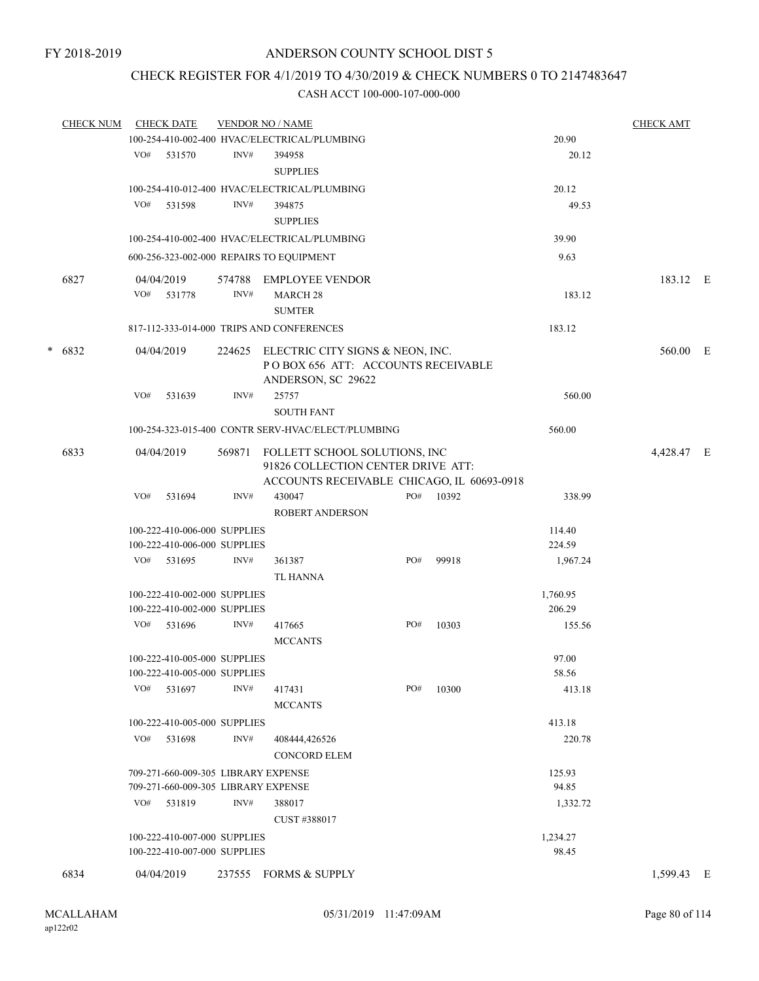### CHECK REGISTER FOR 4/1/2019 TO 4/30/2019 & CHECK NUMBERS 0 TO 2147483647

| <b>CHECK NUM</b> |     | <b>CHECK DATE</b>                                                          |        | <b>VENDOR NO / NAME</b>                                             |     |       |                 | <b>CHECK AMT</b> |  |
|------------------|-----|----------------------------------------------------------------------------|--------|---------------------------------------------------------------------|-----|-------|-----------------|------------------|--|
|                  |     |                                                                            |        | 100-254-410-002-400 HVAC/ELECTRICAL/PLUMBING                        |     |       | 20.90           |                  |  |
|                  |     | VO# 531570                                                                 | INV#   | 394958                                                              |     |       | 20.12           |                  |  |
|                  |     |                                                                            |        | <b>SUPPLIES</b>                                                     |     |       |                 |                  |  |
|                  |     |                                                                            |        | 100-254-410-012-400 HVAC/ELECTRICAL/PLUMBING                        |     |       | 20.12           |                  |  |
|                  | VO# | 531598                                                                     | INV#   | 394875                                                              |     |       | 49.53           |                  |  |
|                  |     |                                                                            |        | <b>SUPPLIES</b>                                                     |     |       |                 |                  |  |
|                  |     |                                                                            |        |                                                                     |     |       |                 |                  |  |
|                  |     |                                                                            |        | 100-254-410-002-400 HVAC/ELECTRICAL/PLUMBING                        |     |       | 39.90           |                  |  |
|                  |     |                                                                            |        | 600-256-323-002-000 REPAIRS TO EQUIPMENT                            |     |       | 9.63            |                  |  |
| 6827             |     | 04/04/2019                                                                 | 574788 | <b>EMPLOYEE VENDOR</b>                                              |     |       |                 | 183.12 E         |  |
|                  |     | VO# 531778                                                                 | INV#   | <b>MARCH 28</b>                                                     |     |       | 183.12          |                  |  |
|                  |     |                                                                            |        | <b>SUMTER</b>                                                       |     |       |                 |                  |  |
|                  |     |                                                                            |        | 817-112-333-014-000 TRIPS AND CONFERENCES                           |     |       | 183.12          |                  |  |
|                  |     |                                                                            |        |                                                                     |     |       |                 |                  |  |
| $* 6832$         |     | 04/04/2019                                                                 |        | 224625 ELECTRIC CITY SIGNS & NEON, INC.                             |     |       |                 | 560.00 E         |  |
|                  |     |                                                                            |        | POBOX 656 ATT: ACCOUNTS RECEIVABLE                                  |     |       |                 |                  |  |
|                  |     |                                                                            |        | ANDERSON, SC 29622                                                  |     |       |                 |                  |  |
|                  | VO# | 531639                                                                     | INV#   | 25757                                                               |     |       | 560.00          |                  |  |
|                  |     |                                                                            |        | <b>SOUTH FANT</b>                                                   |     |       |                 |                  |  |
|                  |     |                                                                            |        | 100-254-323-015-400 CONTR SERV-HVAC/ELECT/PLUMBING                  |     |       | 560.00          |                  |  |
|                  |     |                                                                            |        |                                                                     |     |       |                 |                  |  |
| 6833             |     | 04/04/2019                                                                 | 569871 | FOLLETT SCHOOL SOLUTIONS, INC<br>91826 COLLECTION CENTER DRIVE ATT: |     |       |                 | 4,428.47 E       |  |
|                  |     |                                                                            |        | ACCOUNTS RECEIVABLE CHICAGO, IL 60693-0918                          |     |       |                 |                  |  |
|                  | VO# | 531694                                                                     | INV#   | 430047                                                              | PO# | 10392 | 338.99          |                  |  |
|                  |     |                                                                            |        |                                                                     |     |       |                 |                  |  |
|                  |     |                                                                            |        | <b>ROBERT ANDERSON</b>                                              |     |       |                 |                  |  |
|                  |     | 100-222-410-006-000 SUPPLIES                                               |        |                                                                     |     |       | 114.40          |                  |  |
|                  |     | 100-222-410-006-000 SUPPLIES                                               |        |                                                                     |     |       | 224.59          |                  |  |
|                  |     | $VO#$ 531695                                                               | INV#   | 361387                                                              | PO# | 99918 | 1,967.24        |                  |  |
|                  |     |                                                                            |        | TL HANNA                                                            |     |       |                 |                  |  |
|                  |     | 100-222-410-002-000 SUPPLIES                                               |        |                                                                     |     |       | 1,760.95        |                  |  |
|                  |     | 100-222-410-002-000 SUPPLIES                                               |        |                                                                     |     |       | 206.29          |                  |  |
|                  |     | VO# 531696                                                                 | INV#   | 417665                                                              | PO# | 10303 | 155.56          |                  |  |
|                  |     |                                                                            |        | <b>MCCANTS</b>                                                      |     |       |                 |                  |  |
|                  |     | 100-222-410-005-000 SUPPLIES                                               |        |                                                                     |     |       | 97.00           |                  |  |
|                  |     | 100-222-410-005-000 SUPPLIES                                               |        |                                                                     |     |       | 58.56           |                  |  |
|                  | VO# | 531697                                                                     | INV#   | 417431                                                              | PO# | 10300 | 413.18          |                  |  |
|                  |     |                                                                            |        | <b>MCCANTS</b>                                                      |     |       |                 |                  |  |
|                  |     | 100-222-410-005-000 SUPPLIES                                               |        |                                                                     |     |       | 413.18          |                  |  |
|                  |     | VO# 531698                                                                 | INV#   | 408444,426526                                                       |     |       | 220.78          |                  |  |
|                  |     |                                                                            |        | <b>CONCORD ELEM</b>                                                 |     |       |                 |                  |  |
|                  |     |                                                                            |        |                                                                     |     |       |                 |                  |  |
|                  |     | 709-271-660-009-305 LIBRARY EXPENSE<br>709-271-660-009-305 LIBRARY EXPENSE |        |                                                                     |     |       | 125.93<br>94.85 |                  |  |
|                  |     |                                                                            |        |                                                                     |     |       |                 |                  |  |
|                  |     | VO# 531819                                                                 | INV#   | 388017                                                              |     |       | 1,332.72        |                  |  |
|                  |     |                                                                            |        | CUST #388017                                                        |     |       |                 |                  |  |
|                  |     | 100-222-410-007-000 SUPPLIES                                               |        |                                                                     |     |       | 1,234.27        |                  |  |
|                  |     | 100-222-410-007-000 SUPPLIES                                               |        |                                                                     |     |       | 98.45           |                  |  |
| 6834             |     | 04/04/2019                                                                 |        | 237555 FORMS & SUPPLY                                               |     |       |                 | 1,599.43 E       |  |
|                  |     |                                                                            |        |                                                                     |     |       |                 |                  |  |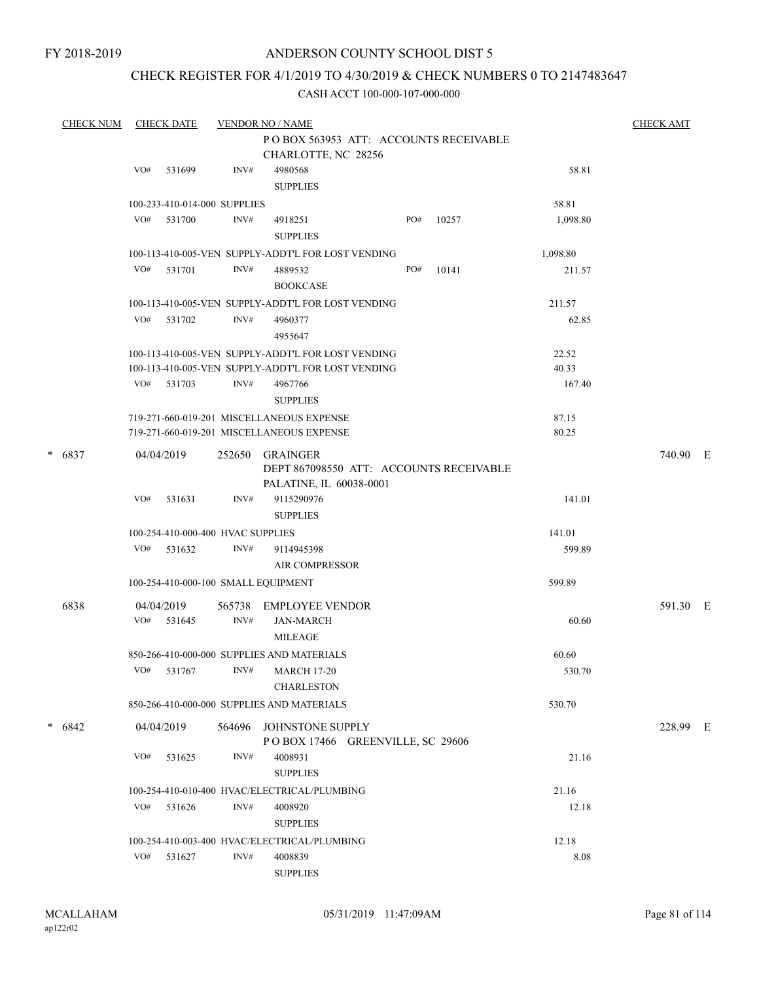#### CHECK REGISTER FOR 4/1/2019 TO 4/30/2019 & CHECK NUMBERS 0 TO 2147483647

|          | <b>CHECK NUM</b> |     | <b>CHECK DATE</b> |                                   | <b>VENDOR NO / NAME</b>                                                                                  |     |       |                | <b>CHECK AMT</b> |  |
|----------|------------------|-----|-------------------|-----------------------------------|----------------------------------------------------------------------------------------------------------|-----|-------|----------------|------------------|--|
|          |                  |     |                   |                                   | POBOX 563953 ATT: ACCOUNTS RECEIVABLE                                                                    |     |       |                |                  |  |
|          |                  |     |                   |                                   | CHARLOTTE, NC 28256                                                                                      |     |       |                |                  |  |
|          |                  | VO# | 531699            | INV#                              | 4980568                                                                                                  |     |       | 58.81          |                  |  |
|          |                  |     |                   |                                   | <b>SUPPLIES</b>                                                                                          |     |       |                |                  |  |
|          |                  |     |                   | 100-233-410-014-000 SUPPLIES      |                                                                                                          |     |       | 58.81          |                  |  |
|          |                  |     | VO# 531700        | INV#                              | 4918251                                                                                                  | PO# | 10257 | 1,098.80       |                  |  |
|          |                  |     |                   |                                   | <b>SUPPLIES</b>                                                                                          |     |       |                |                  |  |
|          |                  |     |                   |                                   | 100-113-410-005-VEN SUPPLY-ADDT'L FOR LOST VENDING                                                       |     |       | 1,098.80       |                  |  |
|          |                  |     | VO# 531701        | INV#                              | 4889532                                                                                                  | PO# | 10141 | 211.57         |                  |  |
|          |                  |     |                   |                                   | <b>BOOKCASE</b>                                                                                          |     |       |                |                  |  |
|          |                  |     |                   |                                   | 100-113-410-005-VEN SUPPLY-ADDT'L FOR LOST VENDING                                                       |     |       | 211.57         |                  |  |
|          |                  |     | VO# 531702        | INV#                              | 4960377                                                                                                  |     |       | 62.85          |                  |  |
|          |                  |     |                   |                                   | 4955647                                                                                                  |     |       |                |                  |  |
|          |                  |     |                   |                                   |                                                                                                          |     |       |                |                  |  |
|          |                  |     |                   |                                   | 100-113-410-005-VEN SUPPLY-ADDT'L FOR LOST VENDING<br>100-113-410-005-VEN SUPPLY-ADDT'L FOR LOST VENDING |     |       | 22.52<br>40.33 |                  |  |
|          |                  |     | VO# 531703        |                                   |                                                                                                          |     |       | 167.40         |                  |  |
|          |                  |     |                   | INV#                              | 4967766                                                                                                  |     |       |                |                  |  |
|          |                  |     |                   |                                   | <b>SUPPLIES</b>                                                                                          |     |       |                |                  |  |
|          |                  |     |                   |                                   | 719-271-660-019-201 MISCELLANEOUS EXPENSE                                                                |     |       | 87.15          |                  |  |
|          |                  |     |                   |                                   | 719-271-660-019-201 MISCELLANEOUS EXPENSE                                                                |     |       | 80.25          |                  |  |
| $* 6837$ |                  |     | 04/04/2019        | 252650                            | <b>GRAINGER</b>                                                                                          |     |       |                | 740.90 E         |  |
|          |                  |     |                   |                                   | DEPT 867098550 ATT: ACCOUNTS RECEIVABLE                                                                  |     |       |                |                  |  |
|          |                  |     |                   |                                   | PALATINE, IL 60038-0001                                                                                  |     |       |                |                  |  |
|          |                  | VO# | 531631            | INV#                              | 9115290976                                                                                               |     |       | 141.01         |                  |  |
|          |                  |     |                   |                                   | <b>SUPPLIES</b>                                                                                          |     |       |                |                  |  |
|          |                  |     |                   | 100-254-410-000-400 HVAC SUPPLIES |                                                                                                          |     |       | 141.01         |                  |  |
|          |                  | VO# | 531632            | INV#                              | 9114945398                                                                                               |     |       | 599.89         |                  |  |
|          |                  |     |                   |                                   | <b>AIR COMPRESSOR</b>                                                                                    |     |       |                |                  |  |
|          |                  |     |                   |                                   | 100-254-410-000-100 SMALL EQUIPMENT                                                                      |     |       | 599.89         |                  |  |
|          | 6838             |     | 04/04/2019        |                                   | 565738 EMPLOYEE VENDOR                                                                                   |     |       |                | 591.30 E         |  |
|          |                  |     | $VO#$ 531645      | INV#                              | <b>JAN-MARCH</b>                                                                                         |     |       | 60.60          |                  |  |
|          |                  |     |                   |                                   | <b>MILEAGE</b>                                                                                           |     |       |                |                  |  |
|          |                  |     |                   |                                   |                                                                                                          |     |       |                |                  |  |
|          |                  |     |                   |                                   | 850-266-410-000-000 SUPPLIES AND MATERIALS                                                               |     |       | 60.60          |                  |  |
|          |                  |     |                   |                                   | VO# 531767 INV# MARCH 17-20                                                                              |     |       | 530.70         |                  |  |
|          |                  |     |                   |                                   | <b>CHARLESTON</b>                                                                                        |     |       |                |                  |  |
|          |                  |     |                   |                                   | 850-266-410-000-000 SUPPLIES AND MATERIALS                                                               |     |       | 530.70         |                  |  |
| $* 6842$ |                  |     | 04/04/2019        |                                   | 564696 JOHNSTONE SUPPLY                                                                                  |     |       |                | 228.99 E         |  |
|          |                  |     |                   |                                   | POBOX 17466 GREENVILLE, SC 29606                                                                         |     |       |                |                  |  |
|          |                  | VO# | 531625            | INV#                              | 4008931                                                                                                  |     |       | 21.16          |                  |  |
|          |                  |     |                   |                                   | <b>SUPPLIES</b>                                                                                          |     |       |                |                  |  |
|          |                  |     |                   |                                   | 100-254-410-010-400 HVAC/ELECTRICAL/PLUMBING                                                             |     |       | 21.16          |                  |  |
|          |                  | VO# | 531626            | INV#                              | 4008920                                                                                                  |     |       | 12.18          |                  |  |
|          |                  |     |                   |                                   | <b>SUPPLIES</b>                                                                                          |     |       |                |                  |  |
|          |                  |     |                   |                                   |                                                                                                          |     |       |                |                  |  |
|          |                  |     |                   |                                   | 100-254-410-003-400 HVAC/ELECTRICAL/PLUMBING                                                             |     |       | 12.18          |                  |  |
|          |                  | VO# | 531627            | INV#                              | 4008839                                                                                                  |     |       | 8.08           |                  |  |
|          |                  |     |                   |                                   | <b>SUPPLIES</b>                                                                                          |     |       |                |                  |  |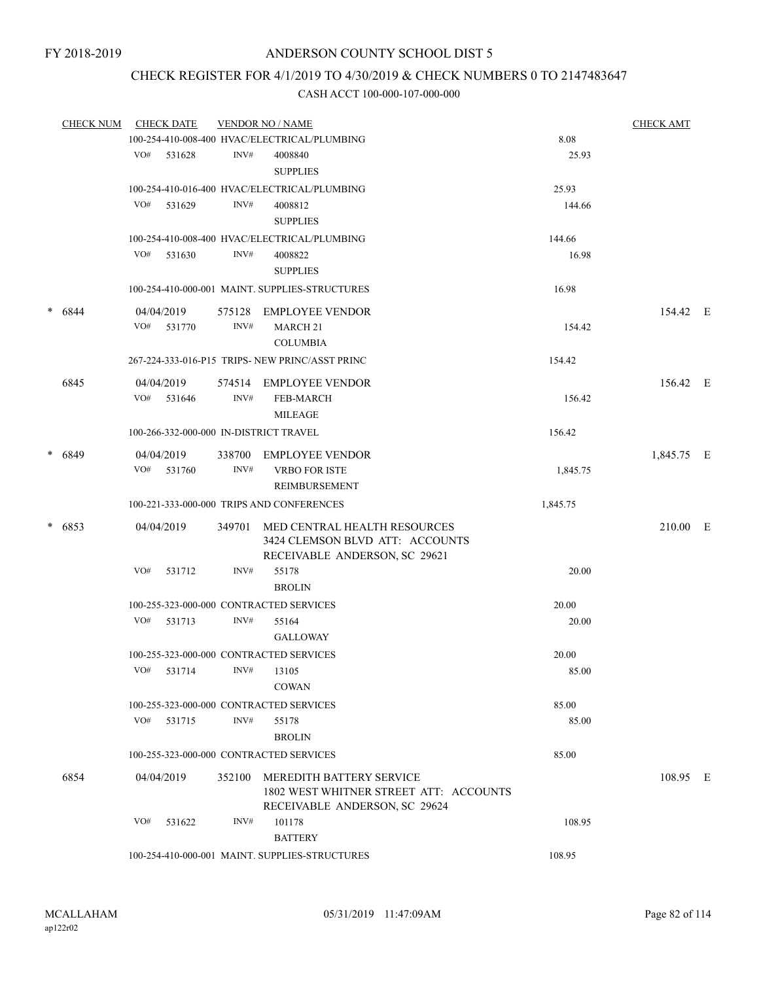# CHECK REGISTER FOR 4/1/2019 TO 4/30/2019 & CHECK NUMBERS 0 TO 2147483647

|        | CHECK NUM CHECK DATE |     |              |        | <b>VENDOR NO / NAME</b>                         |          | <b>CHECK AMT</b> |  |
|--------|----------------------|-----|--------------|--------|-------------------------------------------------|----------|------------------|--|
|        |                      |     |              |        | 100-254-410-008-400 HVAC/ELECTRICAL/PLUMBING    | 8.08     |                  |  |
|        |                      |     | VO# 531628   | INV#   | 4008840                                         | 25.93    |                  |  |
|        |                      |     |              |        | <b>SUPPLIES</b>                                 |          |                  |  |
|        |                      |     |              |        | 100-254-410-016-400 HVAC/ELECTRICAL/PLUMBING    | 25.93    |                  |  |
|        |                      | VO# | 531629       | INV#   | 4008812                                         | 144.66   |                  |  |
|        |                      |     |              |        | <b>SUPPLIES</b>                                 |          |                  |  |
|        |                      |     |              |        | 100-254-410-008-400 HVAC/ELECTRICAL/PLUMBING    | 144.66   |                  |  |
|        |                      |     | VO# 531630   | INV#   | 4008822                                         | 16.98    |                  |  |
|        |                      |     |              |        | <b>SUPPLIES</b>                                 |          |                  |  |
|        |                      |     |              |        | 100-254-410-000-001 MAINT. SUPPLIES-STRUCTURES  | 16.98    |                  |  |
| $\ast$ | 6844                 |     | 04/04/2019   | 575128 | EMPLOYEE VENDOR                                 |          | 154.42 E         |  |
|        |                      | VO# | 531770       | INV#   | MARCH <sub>21</sub>                             | 154.42   |                  |  |
|        |                      |     |              |        | <b>COLUMBIA</b>                                 |          |                  |  |
|        |                      |     |              |        | 267-224-333-016-P15 TRIPS- NEW PRINC/ASST PRINC | 154.42   |                  |  |
|        | 6845                 |     | 04/04/2019   |        | 574514 EMPLOYEE VENDOR                          |          | 156.42 E         |  |
|        |                      |     | VO# 531646   | INV#   | <b>FEB-MARCH</b>                                | 156.42   |                  |  |
|        |                      |     |              |        | MILEAGE                                         |          |                  |  |
|        |                      |     |              |        | 100-266-332-000-000 IN-DISTRICT TRAVEL          | 156.42   |                  |  |
|        | * 6849               |     | 04/04/2019   |        | 338700 EMPLOYEE VENDOR                          |          | 1,845.75 E       |  |
|        |                      |     | VO# 531760   | INV#   | <b>VRBO FOR ISTE</b>                            | 1,845.75 |                  |  |
|        |                      |     |              |        | REIMBURSEMENT                                   |          |                  |  |
|        |                      |     |              |        | 100-221-333-000-000 TRIPS AND CONFERENCES       | 1,845.75 |                  |  |
|        | * 6853               |     | 04/04/2019   | 349701 | MED CENTRAL HEALTH RESOURCES                    |          | 210.00 E         |  |
|        |                      |     |              |        | 3424 CLEMSON BLVD ATT: ACCOUNTS                 |          |                  |  |
|        |                      |     |              |        | RECEIVABLE ANDERSON, SC 29621                   |          |                  |  |
|        |                      | VO# | 531712       | INV#   | 55178                                           | 20.00    |                  |  |
|        |                      |     |              |        | <b>BROLIN</b>                                   |          |                  |  |
|        |                      |     |              |        | 100-255-323-000-000 CONTRACTED SERVICES         | 20.00    |                  |  |
|        |                      |     | VO# 531713   | INV#   | 55164                                           | 20.00    |                  |  |
|        |                      |     |              |        | GALLOWAY                                        |          |                  |  |
|        |                      |     |              |        | 100-255-323-000-000 CONTRACTED SERVICES         | 20.00    |                  |  |
|        |                      |     | $VO#$ 531714 |        | $INV#$ 13105                                    | 85.00    |                  |  |
|        |                      |     |              |        | <b>COWAN</b>                                    |          |                  |  |
|        |                      |     |              |        | 100-255-323-000-000 CONTRACTED SERVICES         | 85.00    |                  |  |
|        |                      | VO# | 531715       | INV#   | 55178                                           | 85.00    |                  |  |
|        |                      |     |              |        | <b>BROLIN</b>                                   |          |                  |  |
|        |                      |     |              |        | 100-255-323-000-000 CONTRACTED SERVICES         | 85.00    |                  |  |
|        | 6854                 |     | 04/04/2019   | 352100 | <b>MEREDITH BATTERY SERVICE</b>                 |          | 108.95 E         |  |
|        |                      |     |              |        | 1802 WEST WHITNER STREET ATT: ACCOUNTS          |          |                  |  |
|        |                      |     |              |        | RECEIVABLE ANDERSON, SC 29624                   |          |                  |  |
|        |                      | VO# | 531622       | INV#   | 101178                                          | 108.95   |                  |  |
|        |                      |     |              |        | <b>BATTERY</b>                                  |          |                  |  |
|        |                      |     |              |        | 100-254-410-000-001 MAINT. SUPPLIES-STRUCTURES  | 108.95   |                  |  |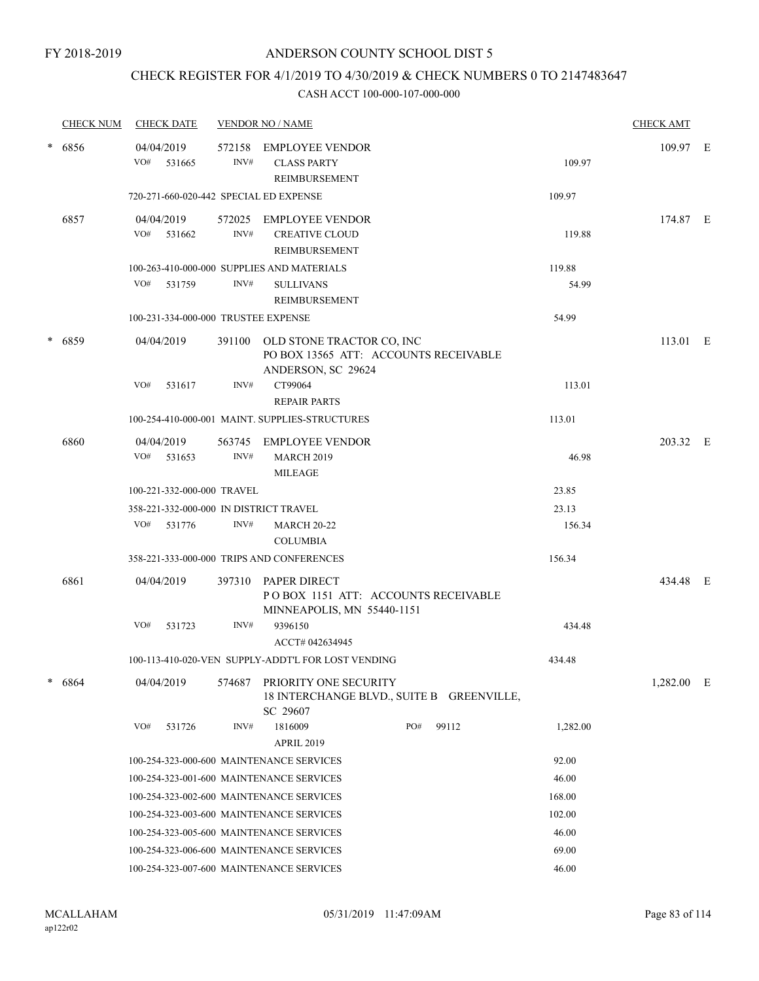### CHECK REGISTER FOR 4/1/2019 TO 4/30/2019 & CHECK NUMBERS 0 TO 2147483647

|                | <b>CHECK NUM</b> | <b>CHECK DATE</b> |                            |                | <b>VENDOR NO / NAME</b>                                                                         |     |       |                 | <b>CHECK AMT</b> |  |
|----------------|------------------|-------------------|----------------------------|----------------|-------------------------------------------------------------------------------------------------|-----|-------|-----------------|------------------|--|
| $\ast$         | 6856             | 04/04/2019<br>VO# | 531665                     | 572158<br>INV# | <b>EMPLOYEE VENDOR</b><br><b>CLASS PARTY</b><br>REIMBURSEMENT                                   |     |       | 109.97          | 109.97 E         |  |
|                |                  |                   |                            |                | 720-271-660-020-442 SPECIAL ED EXPENSE                                                          |     |       | 109.97          |                  |  |
|                | 6857             | 04/04/2019<br>VO# | 531662                     | INV#           | 572025 EMPLOYEE VENDOR<br><b>CREATIVE CLOUD</b><br>REIMBURSEMENT                                |     |       | 119.88          | 174.87 E         |  |
|                |                  | VO#               | 531759                     | INV#           | 100-263-410-000-000 SUPPLIES AND MATERIALS<br><b>SULLIVANS</b><br>REIMBURSEMENT                 |     |       | 119.88<br>54.99 |                  |  |
|                |                  |                   |                            |                | 100-231-334-000-000 TRUSTEE EXPENSE                                                             |     |       | 54.99           |                  |  |
| $\ast$<br>6859 |                  | 04/04/2019        |                            |                | 391100 OLD STONE TRACTOR CO, INC<br>PO BOX 13565 ATT: ACCOUNTS RECEIVABLE<br>ANDERSON, SC 29624 |     |       |                 | 113.01 E         |  |
|                |                  | VO#               | 531617                     | INV#           | CT99064<br><b>REPAIR PARTS</b>                                                                  |     |       | 113.01          |                  |  |
|                |                  |                   |                            |                | 100-254-410-000-001 MAINT. SUPPLIES-STRUCTURES                                                  |     |       | 113.01          |                  |  |
|                | 6860             | 04/04/2019<br>VO# | 531653                     | INV#           | 563745 EMPLOYEE VENDOR<br><b>MARCH 2019</b><br><b>MILEAGE</b>                                   |     |       | 46.98           | 203.32 E         |  |
|                |                  |                   | 100-221-332-000-000 TRAVEL |                |                                                                                                 |     |       | 23.85           |                  |  |
|                |                  | VO# 531776        |                            | INV#           | 358-221-332-000-000 IN DISTRICT TRAVEL<br><b>MARCH 20-22</b><br><b>COLUMBIA</b>                 |     |       | 23.13<br>156.34 |                  |  |
|                |                  |                   |                            |                | 358-221-333-000-000 TRIPS AND CONFERENCES                                                       |     |       | 156.34          |                  |  |
|                | 6861             | 04/04/2019        |                            |                | 397310 PAPER DIRECT<br>POBOX 1151 ATT: ACCOUNTS RECEIVABLE<br>MINNEAPOLIS, MN 55440-1151        |     |       |                 | 434.48 E         |  |
|                |                  | VO#               | 531723                     | INV#           | 9396150<br>ACCT# 042634945                                                                      |     |       | 434.48          |                  |  |
|                |                  |                   |                            |                | 100-113-410-020-VEN SUPPLY-ADDT'L FOR LOST VENDING                                              |     |       | 434.48          |                  |  |
| $\ast$         | 6864             | 04/04/2019        |                            | 574687         | PRIORITY ONE SECURITY<br>18 INTERCHANGE BLVD., SUITE B GREENVILLE,<br>SC 29607                  |     |       |                 | 1,282.00 E       |  |
|                |                  | VO#               | 531726                     | INV#           | 1816009<br><b>APRIL 2019</b>                                                                    | PO# | 99112 | 1,282.00        |                  |  |
|                |                  |                   |                            |                | 100-254-323-000-600 MAINTENANCE SERVICES                                                        |     |       | 92.00           |                  |  |
|                |                  |                   |                            |                | 100-254-323-001-600 MAINTENANCE SERVICES                                                        |     |       | 46.00           |                  |  |
|                |                  |                   |                            |                | 100-254-323-002-600 MAINTENANCE SERVICES                                                        |     |       | 168.00          |                  |  |
|                |                  |                   |                            |                | 100-254-323-003-600 MAINTENANCE SERVICES                                                        |     |       | 102.00          |                  |  |
|                |                  |                   |                            |                | 100-254-323-005-600 MAINTENANCE SERVICES                                                        |     |       | 46.00           |                  |  |
|                |                  |                   |                            |                | 100-254-323-006-600 MAINTENANCE SERVICES                                                        |     |       | 69.00           |                  |  |
|                |                  |                   |                            |                | 100-254-323-007-600 MAINTENANCE SERVICES                                                        |     |       | 46.00           |                  |  |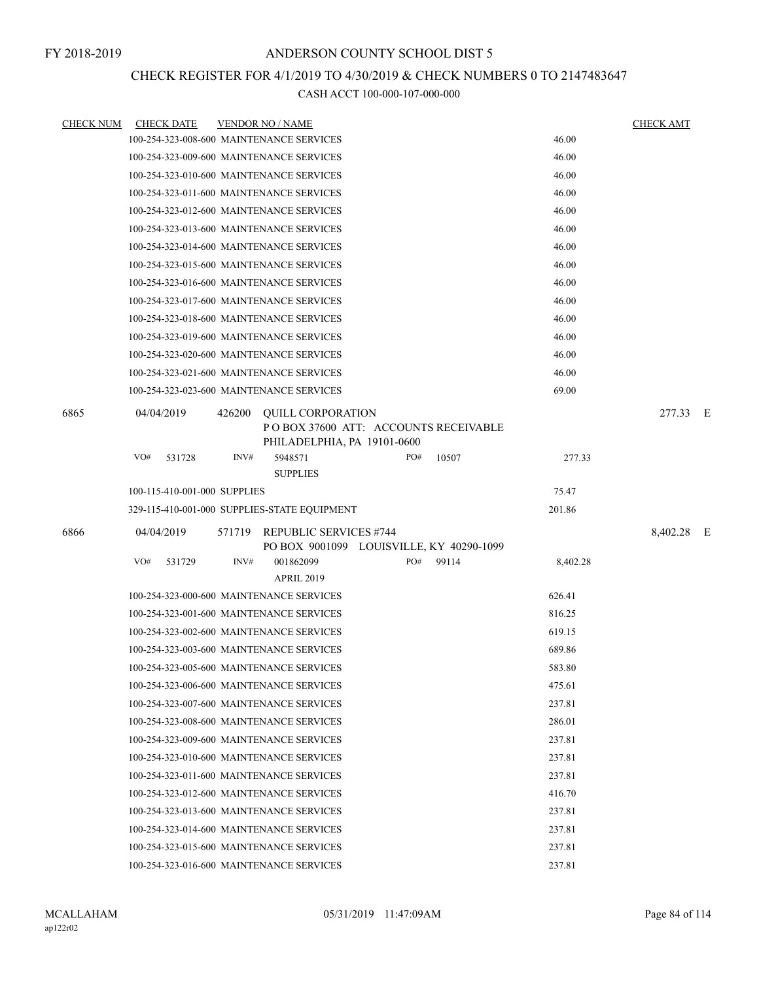### CHECK REGISTER FOR 4/1/2019 TO 4/30/2019 & CHECK NUMBERS 0 TO 2147483647

| <b>CHECK NUM</b> | <b>CHECK DATE</b>            | <b>VENDOR NO / NAME</b>                                                                                   | <b>CHECK AMT</b> |
|------------------|------------------------------|-----------------------------------------------------------------------------------------------------------|------------------|
|                  |                              | 46.00<br>100-254-323-008-600 MAINTENANCE SERVICES                                                         |                  |
|                  |                              | 46.00<br>100-254-323-009-600 MAINTENANCE SERVICES                                                         |                  |
|                  |                              | 100-254-323-010-600 MAINTENANCE SERVICES<br>46.00                                                         |                  |
|                  |                              | 46.00<br>100-254-323-011-600 MAINTENANCE SERVICES                                                         |                  |
|                  |                              | 100-254-323-012-600 MAINTENANCE SERVICES<br>46.00                                                         |                  |
|                  |                              | 46.00<br>100-254-323-013-600 MAINTENANCE SERVICES                                                         |                  |
|                  |                              | 46.00<br>100-254-323-014-600 MAINTENANCE SERVICES                                                         |                  |
|                  |                              | 46.00<br>100-254-323-015-600 MAINTENANCE SERVICES                                                         |                  |
|                  |                              | 46.00<br>100-254-323-016-600 MAINTENANCE SERVICES                                                         |                  |
|                  |                              | 100-254-323-017-600 MAINTENANCE SERVICES<br>46.00                                                         |                  |
|                  |                              | 100-254-323-018-600 MAINTENANCE SERVICES<br>46.00                                                         |                  |
|                  |                              | 100-254-323-019-600 MAINTENANCE SERVICES<br>46.00                                                         |                  |
|                  |                              | 46.00<br>100-254-323-020-600 MAINTENANCE SERVICES                                                         |                  |
|                  |                              | 46.00<br>100-254-323-021-600 MAINTENANCE SERVICES                                                         |                  |
|                  |                              | 69.00<br>100-254-323-023-600 MAINTENANCE SERVICES                                                         |                  |
| 6865             | 04/04/2019                   | 426200<br><b>QUILL CORPORATION</b><br>POBOX 37600 ATT: ACCOUNTS RECEIVABLE<br>PHILADELPHIA, PA 19101-0600 | 277.33 E         |
|                  | VO#<br>531728                | INV#<br>PO#<br>10507<br>5948571<br><b>SUPPLIES</b>                                                        | 277.33           |
|                  | 100-115-410-001-000 SUPPLIES | 75.47                                                                                                     |                  |
|                  |                              | 329-115-410-001-000 SUPPLIES-STATE EQUIPMENT<br>201.86                                                    |                  |
| 6866             | 04/04/2019                   | 571719<br><b>REPUBLIC SERVICES #744</b><br>PO BOX 9001099 LOUISVILLE, KY 40290-1099                       | 8,402.28 E       |
|                  | VO#<br>531729                | INV#<br>PO#<br>99114<br>001862099<br>8,402.28<br><b>APRIL 2019</b>                                        |                  |
|                  |                              | 100-254-323-000-600 MAINTENANCE SERVICES<br>626.41                                                        |                  |
|                  |                              | 100-254-323-001-600 MAINTENANCE SERVICES<br>816.25                                                        |                  |
|                  |                              | 100-254-323-002-600 MAINTENANCE SERVICES<br>619.15                                                        |                  |
|                  |                              | 100-254-323-003-600 MAINTENANCE SERVICES<br>689.86                                                        |                  |
|                  |                              | 583.80<br>100-254-323-005-600 MAINTENANCE SERVICES                                                        |                  |
|                  |                              | 100-254-323-006-600 MAINTENANCE SERVICES<br>475.61                                                        |                  |
|                  |                              | 100-254-323-007-600 MAINTENANCE SERVICES<br>237.81                                                        |                  |
|                  |                              | 100-254-323-008-600 MAINTENANCE SERVICES<br>286.01                                                        |                  |
|                  |                              | 100-254-323-009-600 MAINTENANCE SERVICES<br>237.81                                                        |                  |
|                  |                              | 100-254-323-010-600 MAINTENANCE SERVICES<br>237.81                                                        |                  |
|                  |                              | 100-254-323-011-600 MAINTENANCE SERVICES<br>237.81                                                        |                  |
|                  |                              | 100-254-323-012-600 MAINTENANCE SERVICES<br>416.70                                                        |                  |
|                  |                              | 100-254-323-013-600 MAINTENANCE SERVICES<br>237.81                                                        |                  |
|                  |                              | 100-254-323-014-600 MAINTENANCE SERVICES<br>237.81                                                        |                  |
|                  |                              | 100-254-323-015-600 MAINTENANCE SERVICES<br>237.81                                                        |                  |
|                  |                              | 100-254-323-016-600 MAINTENANCE SERVICES<br>237.81                                                        |                  |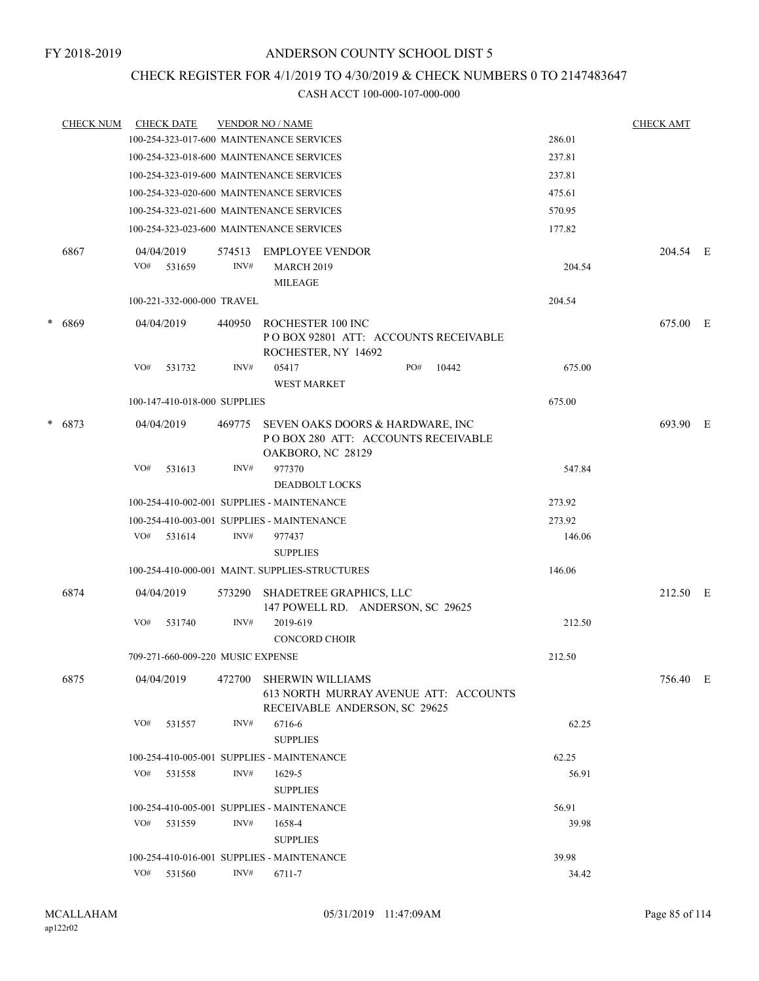### CHECK REGISTER FOR 4/1/2019 TO 4/30/2019 & CHECK NUMBERS 0 TO 2147483647

|   | <b>CHECK NUM</b> |     | <b>CHECK DATE</b>                 |                | <b>VENDOR NO / NAME</b>                                                                           |                 | <u>CHECK AMT</u> |  |
|---|------------------|-----|-----------------------------------|----------------|---------------------------------------------------------------------------------------------------|-----------------|------------------|--|
|   |                  |     |                                   |                | 100-254-323-017-600 MAINTENANCE SERVICES                                                          | 286.01          |                  |  |
|   |                  |     |                                   |                | 100-254-323-018-600 MAINTENANCE SERVICES                                                          | 237.81          |                  |  |
|   |                  |     |                                   |                | 100-254-323-019-600 MAINTENANCE SERVICES                                                          | 237.81          |                  |  |
|   |                  |     |                                   |                | 100-254-323-020-600 MAINTENANCE SERVICES                                                          | 475.61          |                  |  |
|   |                  |     |                                   |                | 100-254-323-021-600 MAINTENANCE SERVICES                                                          | 570.95          |                  |  |
|   |                  |     |                                   |                | 100-254-323-023-600 MAINTENANCE SERVICES                                                          | 177.82          |                  |  |
|   | 6867             | VO# | 04/04/2019<br>531659              | 574513<br>INV# | <b>EMPLOYEE VENDOR</b><br><b>MARCH 2019</b><br><b>MILEAGE</b>                                     | 204.54          | 204.54 E         |  |
|   |                  |     | 100-221-332-000-000 TRAVEL        |                |                                                                                                   | 204.54          |                  |  |
| * | 6869             |     | 04/04/2019                        | 440950         | ROCHESTER 100 INC<br>PO BOX 92801 ATT: ACCOUNTS RECEIVABLE<br>ROCHESTER, NY 14692                 |                 | 675.00 E         |  |
|   |                  | VO# | 531732                            | INV#           | 05417<br>PO#<br><b>WEST MARKET</b>                                                                | 675.00<br>10442 |                  |  |
|   |                  |     | 100-147-410-018-000 SUPPLIES      |                |                                                                                                   | 675.00          |                  |  |
|   | $* 6873$         |     | 04/04/2019                        | 469775         | SEVEN OAKS DOORS & HARDWARE, INC<br>PO BOX 280 ATT: ACCOUNTS RECEIVABLE<br>OAKBORO, NC 28129      |                 | 693.90 E         |  |
|   |                  | VO# | 531613                            | INV#           | 977370<br><b>DEADBOLT LOCKS</b>                                                                   | 547.84          |                  |  |
|   |                  |     |                                   |                | 100-254-410-002-001 SUPPLIES - MAINTENANCE                                                        | 273.92          |                  |  |
|   |                  |     |                                   |                | 100-254-410-003-001 SUPPLIES - MAINTENANCE                                                        | 273.92          |                  |  |
|   |                  |     | VO# 531614                        | INV#           | 977437<br><b>SUPPLIES</b>                                                                         | 146.06          |                  |  |
|   |                  |     |                                   |                | 100-254-410-000-001 MAINT. SUPPLIES-STRUCTURES                                                    | 146.06          |                  |  |
|   | 6874             |     | 04/04/2019                        | 573290         | SHADETREE GRAPHICS, LLC<br>147 POWELL RD. ANDERSON, SC 29625                                      |                 | 212.50 E         |  |
|   |                  | VO# | 531740                            | INV#           | 2019-619<br><b>CONCORD CHOIR</b>                                                                  | 212.50          |                  |  |
|   |                  |     | 709-271-660-009-220 MUSIC EXPENSE |                |                                                                                                   | 212.50          |                  |  |
|   | 6875             |     | 04/04/2019                        | 472700         | <b>SHERWIN WILLIAMS</b><br>613 NORTH MURRAY AVENUE ATT: ACCOUNTS<br>RECEIVABLE ANDERSON, SC 29625 |                 | 756.40 E         |  |
|   |                  | VO# | 531557                            | INV#           | 6716-6<br><b>SUPPLIES</b>                                                                         | 62.25           |                  |  |
|   |                  |     |                                   |                | 100-254-410-005-001 SUPPLIES - MAINTENANCE                                                        | 62.25           |                  |  |
|   |                  | VO# | 531558                            | INV#           | 1629-5<br><b>SUPPLIES</b>                                                                         | 56.91           |                  |  |
|   |                  |     |                                   |                | 100-254-410-005-001 SUPPLIES - MAINTENANCE                                                        | 56.91           |                  |  |
|   |                  | VO# | 531559                            | INV#           | 1658-4<br><b>SUPPLIES</b>                                                                         | 39.98           |                  |  |
|   |                  |     |                                   |                | 100-254-410-016-001 SUPPLIES - MAINTENANCE                                                        | 39.98           |                  |  |
|   |                  |     | VO# 531560                        | INV#           | 6711-7                                                                                            | 34.42           |                  |  |
|   |                  |     |                                   |                |                                                                                                   |                 |                  |  |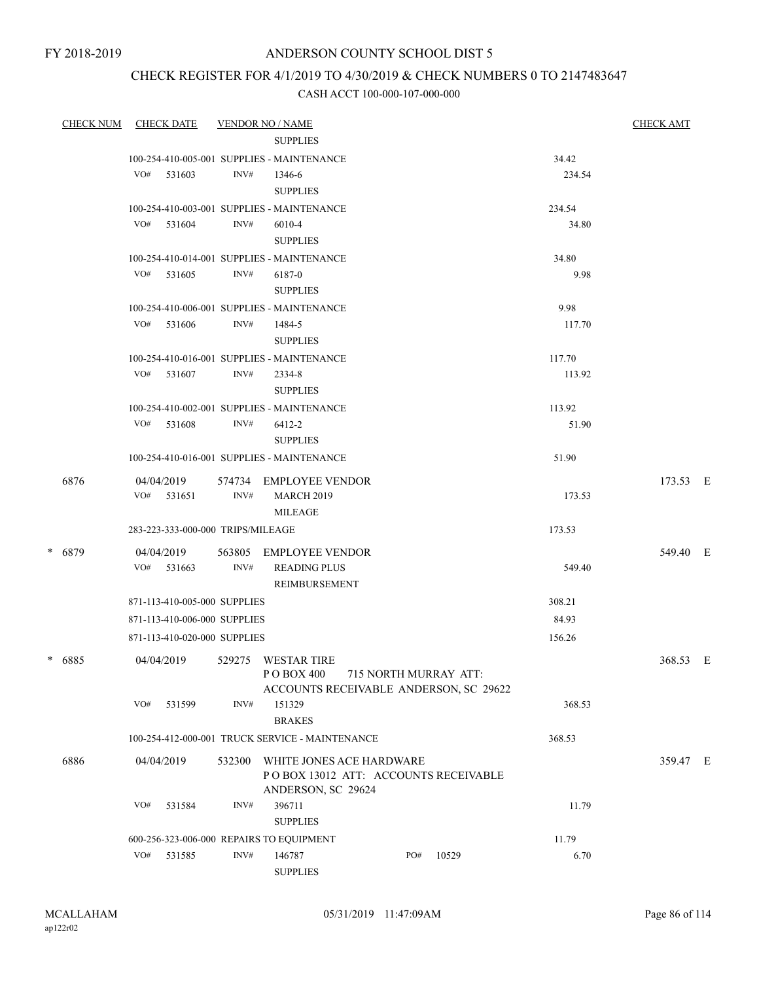# CHECK REGISTER FOR 4/1/2019 TO 4/30/2019 & CHECK NUMBERS 0 TO 2147483647

| <b>CHECK NUM</b> |     | <b>CHECK DATE</b>                 |        | <b>VENDOR NO / NAME</b>                              |                       |     |       |               | <b>CHECK AMT</b> |  |
|------------------|-----|-----------------------------------|--------|------------------------------------------------------|-----------------------|-----|-------|---------------|------------------|--|
|                  |     |                                   |        | <b>SUPPLIES</b>                                      |                       |     |       |               |                  |  |
|                  |     |                                   |        | 100-254-410-005-001 SUPPLIES - MAINTENANCE           |                       |     |       | 34.42         |                  |  |
|                  | VO# | 531603                            | INV#   | 1346-6                                               |                       |     |       | 234.54        |                  |  |
|                  |     |                                   |        | <b>SUPPLIES</b>                                      |                       |     |       |               |                  |  |
|                  |     |                                   |        | 100-254-410-003-001 SUPPLIES - MAINTENANCE           |                       |     |       | 234.54        |                  |  |
|                  |     | VO# 531604                        | INV#   | 6010-4                                               |                       |     |       | 34.80         |                  |  |
|                  |     |                                   |        | <b>SUPPLIES</b>                                      |                       |     |       |               |                  |  |
|                  |     | VO# 531605                        | INV#   | 100-254-410-014-001 SUPPLIES - MAINTENANCE<br>6187-0 |                       |     |       | 34.80<br>9.98 |                  |  |
|                  |     |                                   |        | <b>SUPPLIES</b>                                      |                       |     |       |               |                  |  |
|                  |     |                                   |        | 100-254-410-006-001 SUPPLIES - MAINTENANCE           |                       |     |       | 9.98          |                  |  |
|                  | VO# | 531606                            | INV#   | 1484-5                                               |                       |     |       | 117.70        |                  |  |
|                  |     |                                   |        | <b>SUPPLIES</b>                                      |                       |     |       |               |                  |  |
|                  |     |                                   |        | 100-254-410-016-001 SUPPLIES - MAINTENANCE           |                       |     |       | 117.70        |                  |  |
|                  |     | VO# 531607                        | INV#   | 2334-8                                               |                       |     |       | 113.92        |                  |  |
|                  |     |                                   |        | <b>SUPPLIES</b>                                      |                       |     |       |               |                  |  |
|                  |     |                                   |        | 100-254-410-002-001 SUPPLIES - MAINTENANCE           |                       |     |       | 113.92        |                  |  |
|                  |     | VO# 531608                        | INV#   | 6412-2                                               |                       |     |       | 51.90         |                  |  |
|                  |     |                                   |        | <b>SUPPLIES</b>                                      |                       |     |       |               |                  |  |
|                  |     |                                   |        | 100-254-410-016-001 SUPPLIES - MAINTENANCE           |                       |     |       | 51.90         |                  |  |
| 6876             |     | 04/04/2019                        |        | 574734 EMPLOYEE VENDOR                               |                       |     |       |               | 173.53 E         |  |
|                  |     | $VO#$ 531651                      | INV#   | <b>MARCH 2019</b>                                    |                       |     |       | 173.53        |                  |  |
|                  |     |                                   |        | <b>MILEAGE</b>                                       |                       |     |       |               |                  |  |
|                  |     | 283-223-333-000-000 TRIPS/MILEAGE |        |                                                      |                       |     |       | 173.53        |                  |  |
| * 6879           |     | 04/04/2019                        | 563805 | EMPLOYEE VENDOR                                      |                       |     |       |               | 549.40 E         |  |
|                  |     | $VO#$ 531663                      | INV#   | <b>READING PLUS</b>                                  |                       |     |       | 549.40        |                  |  |
|                  |     |                                   |        | REIMBURSEMENT                                        |                       |     |       |               |                  |  |
|                  |     | 871-113-410-005-000 SUPPLIES      |        |                                                      |                       |     |       | 308.21        |                  |  |
|                  |     | 871-113-410-006-000 SUPPLIES      |        |                                                      |                       |     |       | 84.93         |                  |  |
|                  |     | 871-113-410-020-000 SUPPLIES      |        |                                                      |                       |     |       | 156.26        |                  |  |
| * 6885           |     | 04/04/2019                        |        | 529275 WESTAR TIRE                                   |                       |     |       |               | 368.53 E         |  |
|                  |     |                                   |        | PO BOX 400                                           | 715 NORTH MURRAY ATT: |     |       |               |                  |  |
|                  |     |                                   |        | ACCOUNTS RECEIVABLE ANDERSON, SC 29622               |                       |     |       |               |                  |  |
|                  | VO# | 531599                            | INV#   | 151329                                               |                       |     |       | 368.53        |                  |  |
|                  |     |                                   |        | <b>BRAKES</b>                                        |                       |     |       |               |                  |  |
|                  |     |                                   |        | 100-254-412-000-001 TRUCK SERVICE - MAINTENANCE      |                       |     |       | 368.53        |                  |  |
| 6886             |     | 04/04/2019                        | 532300 | WHITE JONES ACE HARDWARE                             |                       |     |       |               | 359.47 E         |  |
|                  |     |                                   |        | PO BOX 13012 ATT: ACCOUNTS RECEIVABLE                |                       |     |       |               |                  |  |
|                  |     |                                   |        | ANDERSON, SC 29624                                   |                       |     |       |               |                  |  |
|                  | VO# | 531584                            | INV#   | 396711                                               |                       |     |       | 11.79         |                  |  |
|                  |     |                                   |        | <b>SUPPLIES</b>                                      |                       |     |       |               |                  |  |
|                  |     |                                   |        | 600-256-323-006-000 REPAIRS TO EQUIPMENT             |                       |     |       | 11.79         |                  |  |
|                  | VO# | 531585                            | INV#   | 146787                                               |                       | PO# | 10529 | 6.70          |                  |  |
|                  |     |                                   |        | <b>SUPPLIES</b>                                      |                       |     |       |               |                  |  |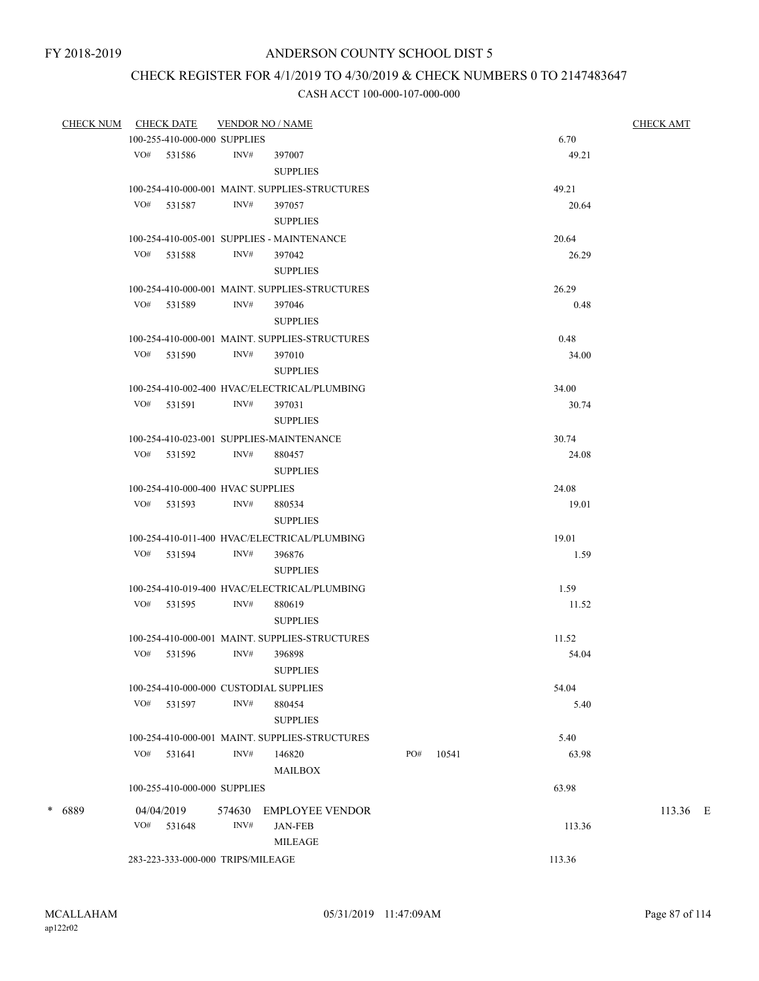### CHECK REGISTER FOR 4/1/2019 TO 4/30/2019 & CHECK NUMBERS 0 TO 2147483647

|        | CHECK NUM CHECK DATE         | <b>VENDOR NO / NAME</b>                                |                 |     |       |        |        | <b>CHECK AMT</b> |
|--------|------------------------------|--------------------------------------------------------|-----------------|-----|-------|--------|--------|------------------|
|        | 100-255-410-000-000 SUPPLIES |                                                        |                 |     |       | 6.70   |        |                  |
|        | VO# 531586                   | INV#<br>397007                                         |                 |     |       |        | 49.21  |                  |
|        |                              | <b>SUPPLIES</b>                                        |                 |     |       |        |        |                  |
|        |                              | 100-254-410-000-001 MAINT. SUPPLIES-STRUCTURES         |                 |     |       | 49.21  |        |                  |
|        | VO# 531587                   | INV#<br>397057                                         |                 |     |       |        | 20.64  |                  |
|        |                              | <b>SUPPLIES</b>                                        |                 |     |       |        |        |                  |
|        |                              | 100-254-410-005-001 SUPPLIES - MAINTENANCE             |                 |     |       | 20.64  |        |                  |
|        | VO# 531588                   | INV#<br>397042                                         |                 |     |       |        | 26.29  |                  |
|        |                              | <b>SUPPLIES</b>                                        |                 |     |       |        |        |                  |
|        |                              | 100-254-410-000-001 MAINT. SUPPLIES-STRUCTURES         |                 |     |       | 26.29  |        |                  |
|        | VO# 531589                   | INV#<br>397046                                         |                 |     |       |        | 0.48   |                  |
|        |                              | <b>SUPPLIES</b>                                        |                 |     |       |        |        |                  |
|        |                              |                                                        |                 |     |       |        |        |                  |
|        |                              | 100-254-410-000-001 MAINT. SUPPLIES-STRUCTURES<br>INV# |                 |     |       | 0.48   |        |                  |
|        | VO# 531590                   | 397010                                                 |                 |     |       |        | 34.00  |                  |
|        |                              | <b>SUPPLIES</b>                                        |                 |     |       |        |        |                  |
|        |                              | 100-254-410-002-400 HVAC/ELECTRICAL/PLUMBING           |                 |     |       | 34.00  |        |                  |
|        | $VO#$ 531591                 | INV#<br>397031                                         |                 |     |       |        | 30.74  |                  |
|        |                              | <b>SUPPLIES</b>                                        |                 |     |       |        |        |                  |
|        |                              | 100-254-410-023-001 SUPPLIES-MAINTENANCE               |                 |     |       | 30.74  |        |                  |
|        | VO# 531592                   | INV#<br>880457                                         |                 |     |       |        | 24.08  |                  |
|        |                              | <b>SUPPLIES</b>                                        |                 |     |       |        |        |                  |
|        |                              | 100-254-410-000-400 HVAC SUPPLIES                      |                 |     |       | 24.08  |        |                  |
|        | VO# 531593                   | INV#<br>880534                                         |                 |     |       |        | 19.01  |                  |
|        |                              | <b>SUPPLIES</b>                                        |                 |     |       |        |        |                  |
|        |                              | 100-254-410-011-400 HVAC/ELECTRICAL/PLUMBING           |                 |     |       | 19.01  |        |                  |
|        | VO# 531594                   | INV#<br>396876                                         |                 |     |       |        | 1.59   |                  |
|        |                              | <b>SUPPLIES</b>                                        |                 |     |       |        |        |                  |
|        |                              | 100-254-410-019-400 HVAC/ELECTRICAL/PLUMBING           |                 |     |       | 1.59   |        |                  |
|        | VO# 531595                   | INV#<br>880619                                         |                 |     |       |        | 11.52  |                  |
|        |                              | <b>SUPPLIES</b>                                        |                 |     |       |        |        |                  |
|        |                              | 100-254-410-000-001 MAINT. SUPPLIES-STRUCTURES         |                 |     |       | 11.52  |        |                  |
|        | VO#<br>531596                | INV#<br>396898                                         |                 |     |       |        | 54.04  |                  |
|        |                              | <b>SUPPLIES</b>                                        |                 |     |       |        |        |                  |
|        |                              | 100-254-410-000-000 CUSTODIAL SUPPLIES                 |                 |     |       | 54.04  |        |                  |
|        | VO# 531597                   | INV#<br>880454                                         |                 |     |       |        | 5.40   |                  |
|        |                              | <b>SUPPLIES</b>                                        |                 |     |       |        |        |                  |
|        |                              | 100-254-410-000-001 MAINT. SUPPLIES-STRUCTURES         |                 |     |       | 5.40   |        |                  |
|        | $VO#$ 531641                 | INV#<br>146820                                         |                 | PO# | 10541 |        | 63.98  |                  |
|        |                              |                                                        | <b>MAILBOX</b>  |     |       |        |        |                  |
|        | 100-255-410-000-000 SUPPLIES |                                                        |                 |     |       | 63.98  |        |                  |
|        |                              |                                                        |                 |     |       |        |        |                  |
| * 6889 | 04/04/2019                   | 574630<br>INV#                                         | EMPLOYEE VENDOR |     |       |        |        | 113.36 E         |
|        | $VO#$ 531648                 | <b>JAN-FEB</b><br><b>MILEAGE</b>                       |                 |     |       |        | 113.36 |                  |
|        |                              |                                                        |                 |     |       |        |        |                  |
|        |                              | 283-223-333-000-000 TRIPS/MILEAGE                      |                 |     |       | 113.36 |        |                  |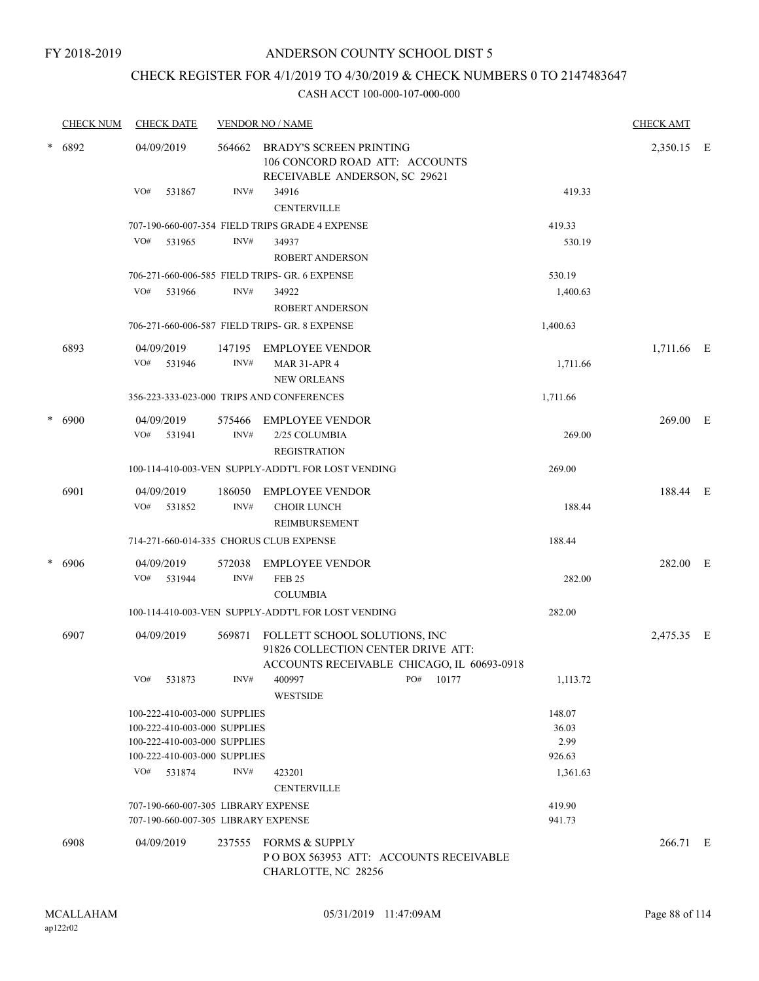# CHECK REGISTER FOR 4/1/2019 TO 4/30/2019 & CHECK NUMBERS 0 TO 2147483647

|   | <b>CHECK NUM</b> | <b>CHECK DATE</b>                                            |                | <b>VENDOR NO / NAME</b>                                                                                           |              |                 | <b>CHECK AMT</b> |  |
|---|------------------|--------------------------------------------------------------|----------------|-------------------------------------------------------------------------------------------------------------------|--------------|-----------------|------------------|--|
| * | 6892             | 04/09/2019                                                   | 564662         | <b>BRADY'S SCREEN PRINTING</b><br>106 CONCORD ROAD ATT: ACCOUNTS<br>RECEIVABLE ANDERSON, SC 29621                 |              |                 | 2,350.15 E       |  |
|   |                  | VO#<br>531867                                                | INV#           | 34916<br><b>CENTERVILLE</b>                                                                                       |              | 419.33          |                  |  |
|   |                  |                                                              |                | 707-190-660-007-354 FIELD TRIPS GRADE 4 EXPENSE                                                                   |              | 419.33          |                  |  |
|   |                  | VO#<br>531965                                                | INV#           | 34937<br><b>ROBERT ANDERSON</b>                                                                                   |              | 530.19          |                  |  |
|   |                  |                                                              |                | 706-271-660-006-585 FIELD TRIPS- GR. 6 EXPENSE                                                                    |              | 530.19          |                  |  |
|   |                  | VO#<br>531966                                                | INV#           | 34922<br><b>ROBERT ANDERSON</b>                                                                                   |              | 1,400.63        |                  |  |
|   |                  |                                                              |                | 706-271-660-006-587 FIELD TRIPS- GR. 8 EXPENSE                                                                    |              | 1,400.63        |                  |  |
|   | 6893             | 04/09/2019<br>VO# 531946                                     | INV#           | 147195 EMPLOYEE VENDOR<br><b>MAR 31-APR 4</b>                                                                     |              | 1,711.66        | 1,711.66 E       |  |
|   |                  |                                                              |                | <b>NEW ORLEANS</b>                                                                                                |              |                 |                  |  |
|   |                  |                                                              |                | 356-223-333-023-000 TRIPS AND CONFERENCES                                                                         |              | 1,711.66        |                  |  |
| * | 6900             | 04/09/2019<br>VO# 531941                                     | 575466<br>INV# | EMPLOYEE VENDOR<br>2/25 COLUMBIA<br><b>REGISTRATION</b>                                                           |              | 269.00          | 269.00 E         |  |
|   |                  |                                                              |                | 100-114-410-003-VEN SUPPLY-ADDT'L FOR LOST VENDING                                                                |              | 269.00          |                  |  |
|   | 6901             | 04/09/2019<br>VO#<br>531852                                  | 186050<br>INV# | <b>EMPLOYEE VENDOR</b><br><b>CHOIR LUNCH</b><br><b>REIMBURSEMENT</b>                                              |              | 188.44          | 188.44 E         |  |
|   |                  | 714-271-660-014-335 CHORUS CLUB EXPENSE                      |                |                                                                                                                   |              | 188.44          |                  |  |
|   | 6906             | 04/09/2019<br>VO#<br>531944                                  | 572038<br>INV# | <b>EMPLOYEE VENDOR</b><br><b>FEB 25</b>                                                                           |              | 282.00          | 282.00 E         |  |
|   |                  |                                                              |                | <b>COLUMBIA</b>                                                                                                   |              | 282.00          |                  |  |
|   |                  |                                                              |                | 100-114-410-003-VEN SUPPLY-ADDT'L FOR LOST VENDING                                                                |              |                 |                  |  |
|   | 6907             | 04/09/2019                                                   | 569871         | FOLLETT SCHOOL SOLUTIONS, INC<br>91826 COLLECTION CENTER DRIVE ATT:<br>ACCOUNTS RECEIVABLE CHICAGO, IL 60693-0918 |              |                 | 2,475.35 E       |  |
|   |                  | VO#<br>531873                                                | INV#           | 400997<br><b>WESTSIDE</b>                                                                                         | PO#<br>10177 | 1,113.72        |                  |  |
|   |                  | 100-222-410-003-000 SUPPLIES<br>100-222-410-003-000 SUPPLIES |                |                                                                                                                   |              | 148.07<br>36.03 |                  |  |
|   |                  | 100-222-410-003-000 SUPPLIES<br>100-222-410-003-000 SUPPLIES |                |                                                                                                                   |              | 2.99<br>926.63  |                  |  |
|   |                  | VO# 531874                                                   | INV#           | 423201<br><b>CENTERVILLE</b>                                                                                      |              | 1,361.63        |                  |  |
|   |                  | 707-190-660-007-305 LIBRARY EXPENSE                          |                |                                                                                                                   |              | 419.90          |                  |  |
|   |                  | 707-190-660-007-305 LIBRARY EXPENSE                          |                |                                                                                                                   |              | 941.73          |                  |  |
|   | 6908             | 04/09/2019                                                   |                | 237555 FORMS & SUPPLY<br>PO BOX 563953 ATT: ACCOUNTS RECEIVABLE<br>CHARLOTTE, NC 28256                            |              |                 | 266.71 E         |  |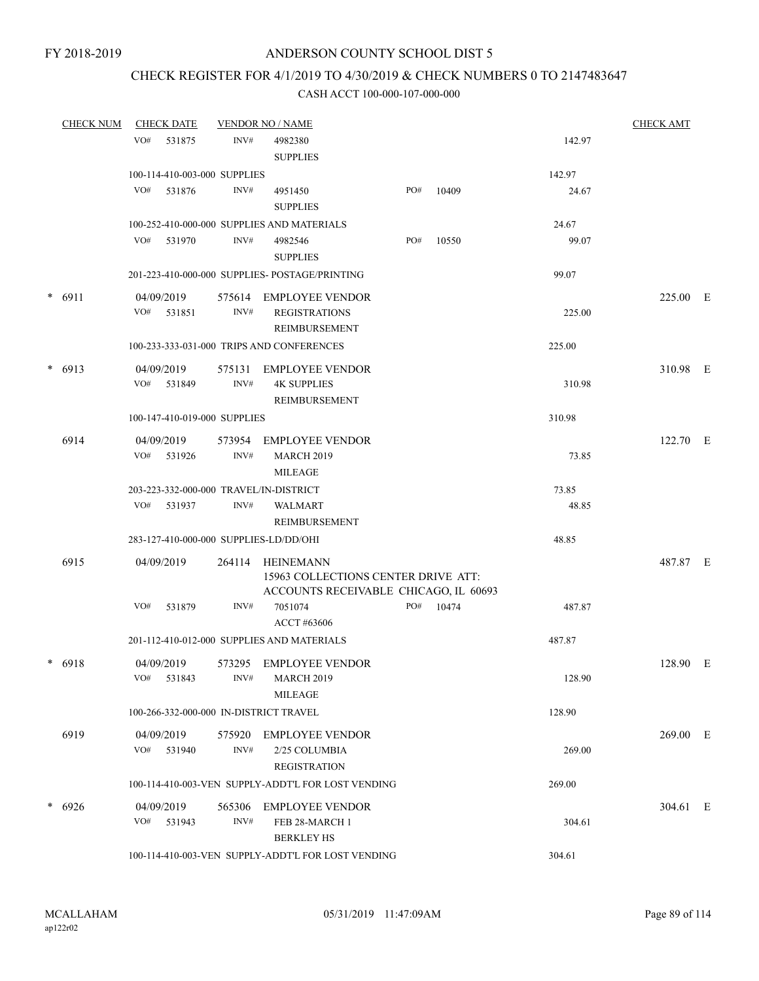### CHECK REGISTER FOR 4/1/2019 TO 4/30/2019 & CHECK NUMBERS 0 TO 2147483647

| <u>CHECK NUM</u> |     | <b>CHECK DATE</b>        |                              | <b>VENDOR NO / NAME</b>                                                                   |     |       |        | <b>CHECK AMT</b> |  |
|------------------|-----|--------------------------|------------------------------|-------------------------------------------------------------------------------------------|-----|-------|--------|------------------|--|
|                  | VO# | 531875                   | INV#                         | 4982380                                                                                   |     |       | 142.97 |                  |  |
|                  |     |                          |                              | <b>SUPPLIES</b>                                                                           |     |       |        |                  |  |
|                  |     |                          | 100-114-410-003-000 SUPPLIES |                                                                                           |     |       | 142.97 |                  |  |
|                  | VO# | 531876                   | INV#                         | 4951450<br><b>SUPPLIES</b>                                                                | PO# | 10409 | 24.67  |                  |  |
|                  |     |                          |                              | 100-252-410-000-000 SUPPLIES AND MATERIALS                                                |     |       | 24.67  |                  |  |
|                  |     | VO# 531970               | INV#                         | 4982546<br><b>SUPPLIES</b>                                                                | PO# | 10550 | 99.07  |                  |  |
|                  |     |                          |                              | 201-223-410-000-000 SUPPLIES- POSTAGE/PRINTING                                            |     |       | 99.07  |                  |  |
| $* 6911$         |     | 04/09/2019               | 575614                       | EMPLOYEE VENDOR                                                                           |     |       |        | 225.00 E         |  |
|                  |     | VO# 531851               | INV#                         | <b>REGISTRATIONS</b><br>REIMBURSEMENT                                                     |     |       | 225.00 |                  |  |
|                  |     |                          |                              | 100-233-333-031-000 TRIPS AND CONFERENCES                                                 |     |       | 225.00 |                  |  |
|                  |     |                          |                              |                                                                                           |     |       |        |                  |  |
| $* 6913$         |     | 04/09/2019<br>VO# 531849 | 575131<br>INV#               | <b>EMPLOYEE VENDOR</b><br><b>4K SUPPLIES</b><br><b>REIMBURSEMENT</b>                      |     |       | 310.98 | 310.98 E         |  |
|                  |     |                          | 100-147-410-019-000 SUPPLIES |                                                                                           |     |       | 310.98 |                  |  |
|                  |     |                          |                              |                                                                                           |     |       |        |                  |  |
| 6914             |     | 04/09/2019<br>VO# 531926 | 573954<br>INV#               | EMPLOYEE VENDOR<br><b>MARCH 2019</b><br><b>MILEAGE</b>                                    |     |       | 73.85  | $122.70$ E       |  |
|                  |     |                          |                              | 203-223-332-000-000 TRAVEL/IN-DISTRICT                                                    |     |       | 73.85  |                  |  |
|                  |     | VO# 531937               | INV#                         | <b>WALMART</b>                                                                            |     |       | 48.85  |                  |  |
|                  |     |                          |                              | REIMBURSEMENT                                                                             |     |       |        |                  |  |
|                  |     |                          |                              | 283-127-410-000-000 SUPPLIES-LD/DD/OHI                                                    |     |       | 48.85  |                  |  |
| 6915             |     | 04/09/2019               | 264114                       | HEINEMANN<br>15963 COLLECTIONS CENTER DRIVE ATT:<br>ACCOUNTS RECEIVABLE CHICAGO, IL 60693 |     |       |        | 487.87 E         |  |
|                  | VO# | 531879                   | INV#                         | 7051074<br>ACCT #63606                                                                    | PO# | 10474 | 487.87 |                  |  |
|                  |     |                          |                              | 201-112-410-012-000 SUPPLIES AND MATERIALS                                                |     |       | 487.87 |                  |  |
|                  |     |                          |                              |                                                                                           |     |       |        |                  |  |
| * 6918           | VO# | 04/09/2019<br>531843     | INV#                         | 573295 EMPLOYEE VENDOR<br><b>MARCH 2019</b><br><b>MILEAGE</b>                             |     |       | 128.90 | 128.90 E         |  |
|                  |     |                          |                              | 100-266-332-000-000 IN-DISTRICT TRAVEL                                                    |     |       | 128.90 |                  |  |
|                  |     |                          |                              |                                                                                           |     |       |        |                  |  |
| 6919             | VO# | 04/09/2019<br>531940     | 575920<br>INV#               | <b>EMPLOYEE VENDOR</b><br>2/25 COLUMBIA<br><b>REGISTRATION</b>                            |     |       | 269.00 | $269.00$ E       |  |
|                  |     |                          |                              | 100-114-410-003-VEN SUPPLY-ADDT'L FOR LOST VENDING                                        |     |       | 269.00 |                  |  |
| $* 6926$         |     | 04/09/2019               | 565306                       | <b>EMPLOYEE VENDOR</b>                                                                    |     |       |        | 304.61 E         |  |
|                  |     | VO# 531943               | INV#                         | FEB 28-MARCH 1<br><b>BERKLEY HS</b>                                                       |     |       | 304.61 |                  |  |
|                  |     |                          |                              | 100-114-410-003-VEN SUPPLY-ADDT'L FOR LOST VENDING                                        |     |       | 304.61 |                  |  |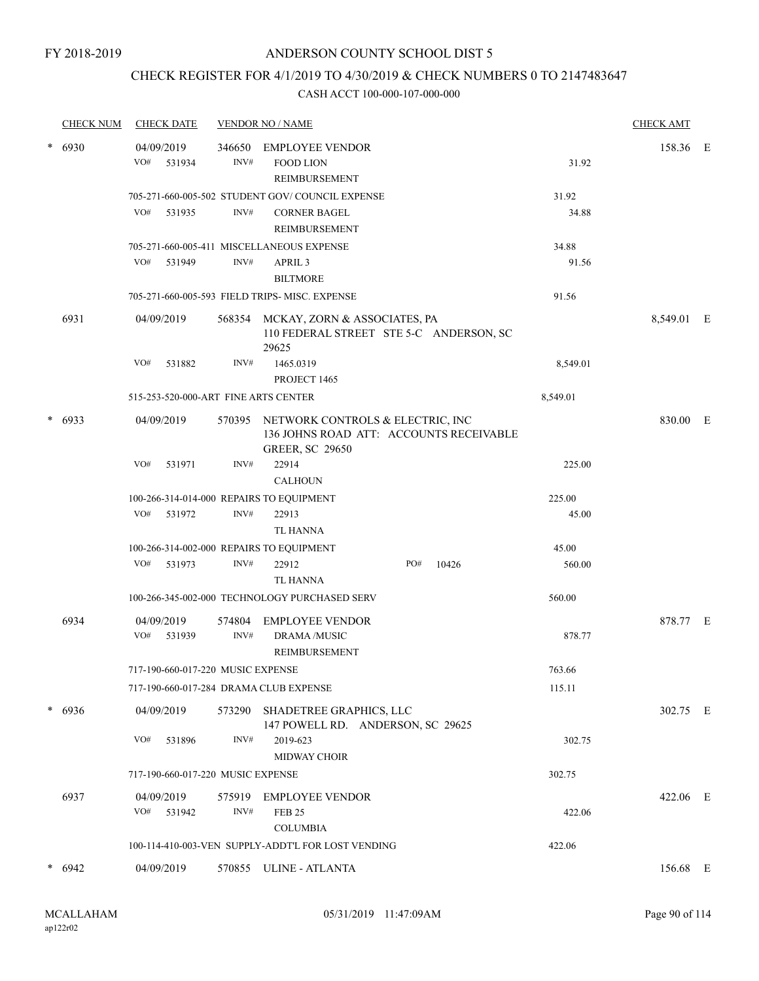### CHECK REGISTER FOR 4/1/2019 TO 4/30/2019 & CHECK NUMBERS 0 TO 2147483647

|        | <b>CHECK NUM</b> | <b>CHECK DATE</b>                        |                | <b>VENDOR NO / NAME</b>                                                                 |                                         |                | <b>CHECK AMT</b> |  |
|--------|------------------|------------------------------------------|----------------|-----------------------------------------------------------------------------------------|-----------------------------------------|----------------|------------------|--|
| $\ast$ | 6930             | 04/09/2019<br>VO#<br>531934              | 346650<br>INV# | <b>EMPLOYEE VENDOR</b><br><b>FOOD LION</b><br>REIMBURSEMENT                             |                                         | 31.92          | 158.36 E         |  |
|        |                  | VO#<br>531935                            | INV#           | 705-271-660-005-502 STUDENT GOV/COUNCIL EXPENSE<br><b>CORNER BAGEL</b><br>REIMBURSEMENT |                                         | 31.92<br>34.88 |                  |  |
|        |                  |                                          |                | 705-271-660-005-411 MISCELLANEOUS EXPENSE                                               |                                         | 34.88          |                  |  |
|        |                  | VO#<br>531949                            | INV#           | APRIL <sub>3</sub>                                                                      |                                         | 91.56          |                  |  |
|        |                  |                                          |                | <b>BILTMORE</b>                                                                         |                                         |                |                  |  |
|        |                  |                                          |                | 705-271-660-005-593 FIELD TRIPS- MISC. EXPENSE                                          |                                         | 91.56          |                  |  |
|        | 6931             | 04/09/2019                               | 568354         | MCKAY, ZORN & ASSOCIATES, PA<br>29625                                                   | 110 FEDERAL STREET STE 5-C ANDERSON, SC |                | 8,549.01 E       |  |
|        |                  | VO#<br>531882                            | INV#           | 1465.0319<br>PROJECT 1465                                                               |                                         | 8,549.01       |                  |  |
|        |                  | 515-253-520-000-ART FINE ARTS CENTER     |                |                                                                                         |                                         | 8,549.01       |                  |  |
| *      | 6933             | 04/09/2019                               | 570395         | NETWORK CONTROLS & ELECTRIC, INC<br><b>GREER, SC 29650</b>                              | 136 JOHNS ROAD ATT: ACCOUNTS RECEIVABLE |                | 830.00 E         |  |
|        |                  | VO#<br>531971                            | INV#           | 22914<br><b>CALHOUN</b>                                                                 |                                         | 225.00         |                  |  |
|        |                  | 100-266-314-014-000 REPAIRS TO EQUIPMENT |                |                                                                                         |                                         | 225.00         |                  |  |
|        |                  | VO#<br>531972                            | INV#           | 22913                                                                                   |                                         | 45.00          |                  |  |
|        |                  |                                          |                | <b>TL HANNA</b>                                                                         |                                         |                |                  |  |
|        |                  | 100-266-314-002-000 REPAIRS TO EQUIPMENT |                |                                                                                         |                                         | 45.00          |                  |  |
|        |                  | VO#<br>531973                            | INV#           | 22912                                                                                   | PO#<br>10426                            | 560.00         |                  |  |
|        |                  |                                          |                | <b>TL HANNA</b>                                                                         |                                         |                |                  |  |
|        |                  |                                          |                | 100-266-345-002-000 TECHNOLOGY PURCHASED SERV                                           |                                         | 560.00         |                  |  |
|        | 6934             | 04/09/2019<br>VO#<br>531939              | 574804<br>INV# | <b>EMPLOYEE VENDOR</b><br>DRAMA /MUSIC<br>REIMBURSEMENT                                 |                                         | 878.77         | 878.77 E         |  |
|        |                  | 717-190-660-017-220 MUSIC EXPENSE        |                |                                                                                         |                                         | 763.66         |                  |  |
|        |                  | 717-190-660-017-284 DRAMA CLUB EXPENSE   |                |                                                                                         |                                         | 115.11         |                  |  |
|        | $* 6936$         | 04/09/2019                               |                | 573290 SHADETREE GRAPHICS, LLC<br>147 POWELL RD. ANDERSON, SC 29625                     |                                         |                | 302.75 E         |  |
|        |                  | VO#<br>531896                            | INV#           | 2019-623<br><b>MIDWAY CHOIR</b>                                                         |                                         | 302.75         |                  |  |
|        |                  | 717-190-660-017-220 MUSIC EXPENSE        |                |                                                                                         |                                         | 302.75         |                  |  |
|        | 6937             | 04/09/2019<br>VO# 531942                 | INV#           | 575919 EMPLOYEE VENDOR<br><b>FEB 25</b><br><b>COLUMBIA</b>                              |                                         | 422.06         | 422.06 E         |  |
|        |                  |                                          |                | 100-114-410-003-VEN SUPPLY-ADDT'L FOR LOST VENDING                                      |                                         | 422.06         |                  |  |
|        | $* 6942$         | 04/09/2019                               |                | 570855 ULINE - ATLANTA                                                                  |                                         |                | 156.68 E         |  |
|        |                  |                                          |                |                                                                                         |                                         |                |                  |  |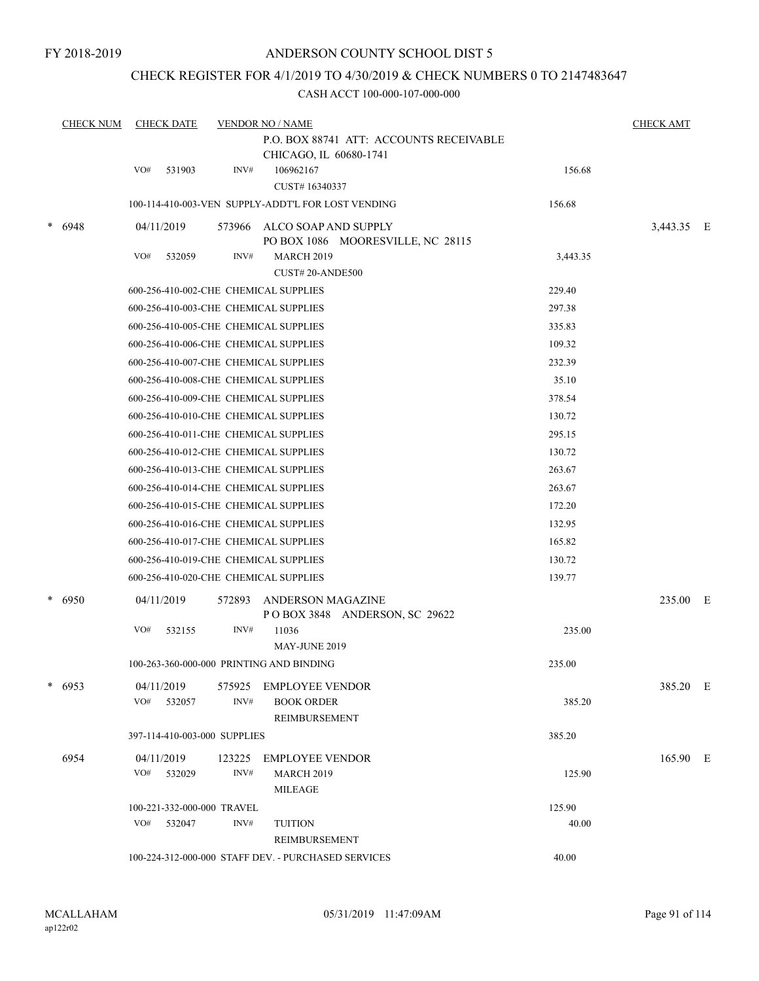### CHECK REGISTER FOR 4/1/2019 TO 4/30/2019 & CHECK NUMBERS 0 TO 2147483647

| <b>CHECK NUM</b>                                                                                      | <b>CHECK DATE</b><br><b>VENDOR NO / NAME</b><br>P.O. BOX 88741 ATT: ACCOUNTS RECEIVABLE |            |  |  |  |  |  |
|-------------------------------------------------------------------------------------------------------|-----------------------------------------------------------------------------------------|------------|--|--|--|--|--|
| CHICAGO, IL 60680-1741<br>VO#<br>531903<br>INV#<br>106962167<br>CUST#16340337                         | 156.68                                                                                  |            |  |  |  |  |  |
| 100-114-410-003-VEN SUPPLY-ADDT'L FOR LOST VENDING                                                    | 156.68                                                                                  |            |  |  |  |  |  |
| $* 6948$<br>04/11/2019<br>ALCO SOAP AND SUPPLY<br>573966<br>PO BOX 1086 MOORESVILLE, NC 28115         |                                                                                         | 3,443.35 E |  |  |  |  |  |
| VO#<br>INV#<br><b>MARCH 2019</b><br>532059<br>CUST#20-ANDE500                                         | 3,443.35                                                                                |            |  |  |  |  |  |
| 600-256-410-002-CHE CHEMICAL SUPPLIES                                                                 | 229.40                                                                                  |            |  |  |  |  |  |
| 600-256-410-003-CHE CHEMICAL SUPPLIES                                                                 | 297.38                                                                                  |            |  |  |  |  |  |
| 600-256-410-005-CHE CHEMICAL SUPPLIES                                                                 | 335.83                                                                                  |            |  |  |  |  |  |
| 600-256-410-006-CHE CHEMICAL SUPPLIES                                                                 | 109.32                                                                                  |            |  |  |  |  |  |
| 600-256-410-007-CHE CHEMICAL SUPPLIES                                                                 | 232.39                                                                                  |            |  |  |  |  |  |
| 600-256-410-008-CHE CHEMICAL SUPPLIES                                                                 | 35.10                                                                                   |            |  |  |  |  |  |
| 600-256-410-009-CHE CHEMICAL SUPPLIES                                                                 | 378.54                                                                                  |            |  |  |  |  |  |
| 600-256-410-010-CHE CHEMICAL SUPPLIES                                                                 | 130.72                                                                                  |            |  |  |  |  |  |
| 600-256-410-011-CHE CHEMICAL SUPPLIES                                                                 | 295.15                                                                                  |            |  |  |  |  |  |
| 600-256-410-012-CHE CHEMICAL SUPPLIES                                                                 | 130.72                                                                                  |            |  |  |  |  |  |
| 600-256-410-013-CHE CHEMICAL SUPPLIES                                                                 | 263.67                                                                                  |            |  |  |  |  |  |
| 600-256-410-014-CHE CHEMICAL SUPPLIES                                                                 | 263.67                                                                                  |            |  |  |  |  |  |
| 600-256-410-015-CHE CHEMICAL SUPPLIES                                                                 | 172.20                                                                                  |            |  |  |  |  |  |
| 600-256-410-016-CHE CHEMICAL SUPPLIES                                                                 | 132.95                                                                                  |            |  |  |  |  |  |
| 600-256-410-017-CHE CHEMICAL SUPPLIES                                                                 | 165.82                                                                                  |            |  |  |  |  |  |
| 600-256-410-019-CHE CHEMICAL SUPPLIES                                                                 | 130.72                                                                                  |            |  |  |  |  |  |
| 600-256-410-020-CHE CHEMICAL SUPPLIES                                                                 | 139.77                                                                                  |            |  |  |  |  |  |
| * 6950<br>04/11/2019<br>572893<br>ANDERSON MAGAZINE<br>POBOX 3848 ANDERSON, SC 29622                  |                                                                                         | 235.00 E   |  |  |  |  |  |
| INV#<br>VO#<br>11036<br>532155<br>MAY-JUNE 2019                                                       | 235.00                                                                                  |            |  |  |  |  |  |
| 100-263-360-000-000 PRINTING AND BINDING                                                              | 235.00                                                                                  |            |  |  |  |  |  |
| $* 6953$<br><b>EMPLOYEE VENDOR</b><br>04/11/2019<br>575925<br>VO# 532057<br>INV#<br><b>BOOK ORDER</b> | 385.20                                                                                  | 385.20 E   |  |  |  |  |  |
| REIMBURSEMENT                                                                                         |                                                                                         |            |  |  |  |  |  |
| 397-114-410-003-000 SUPPLIES                                                                          | 385.20                                                                                  |            |  |  |  |  |  |
| 6954<br>04/11/2019<br>123225<br>EMPLOYEE VENDOR                                                       |                                                                                         | 165.90 E   |  |  |  |  |  |
| VO# 532029<br>INV#<br><b>MARCH 2019</b><br><b>MILEAGE</b>                                             | 125.90                                                                                  |            |  |  |  |  |  |
| 100-221-332-000-000 TRAVEL                                                                            | 125.90                                                                                  |            |  |  |  |  |  |
| INV#<br>VO# 532047<br><b>TUITION</b><br>REIMBURSEMENT                                                 | 40.00                                                                                   |            |  |  |  |  |  |
| 100-224-312-000-000 STAFF DEV. - PURCHASED SERVICES                                                   | 40.00                                                                                   |            |  |  |  |  |  |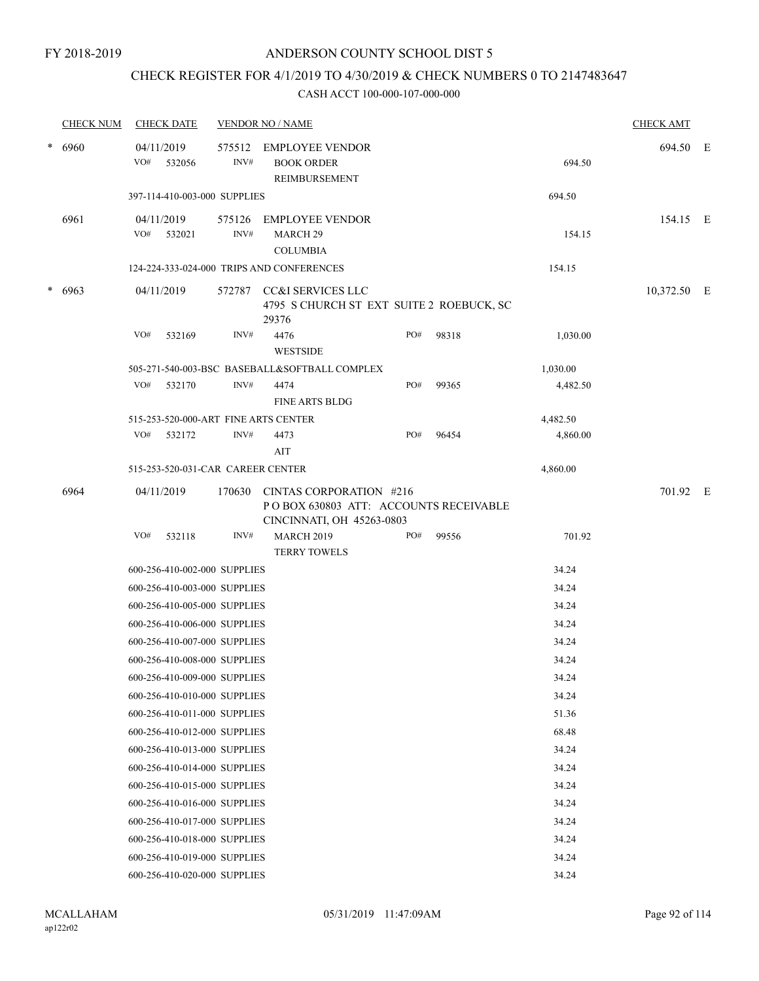### CHECK REGISTER FOR 4/1/2019 TO 4/30/2019 & CHECK NUMBERS 0 TO 2147483647

|        | <b>CHECK NUM</b> |     | <b>CHECK DATE</b>                 |                | <b>VENDOR NO / NAME</b>                                                                        |     |       |          | <b>CHECK AMT</b> |  |
|--------|------------------|-----|-----------------------------------|----------------|------------------------------------------------------------------------------------------------|-----|-------|----------|------------------|--|
| $\ast$ | 6960             | VO# | 04/11/2019<br>532056              | 575512<br>INV# | <b>EMPLOYEE VENDOR</b><br><b>BOOK ORDER</b><br><b>REIMBURSEMENT</b>                            |     |       | 694.50   | 694.50 E         |  |
|        |                  |     | 397-114-410-003-000 SUPPLIES      |                |                                                                                                |     |       | 694.50   |                  |  |
|        | 6961             | VO# | 04/11/2019<br>532021              | 575126<br>INV# | <b>EMPLOYEE VENDOR</b><br>MARCH <sub>29</sub><br><b>COLUMBIA</b>                               |     |       | 154.15   | 154.15 E         |  |
|        |                  |     |                                   |                | 124-224-333-024-000 TRIPS AND CONFERENCES                                                      |     |       | 154.15   |                  |  |
| $\ast$ | 6963             |     | 04/11/2019                        | 572787         | CC&I SERVICES LLC<br>4795 S CHURCH ST EXT SUITE 2 ROEBUCK, SC<br>29376                         |     |       |          | 10,372.50 E      |  |
|        |                  | VO# | 532169                            | INV#           | 4476<br><b>WESTSIDE</b>                                                                        | PO# | 98318 | 1,030.00 |                  |  |
|        |                  |     |                                   |                | 505-271-540-003-BSC BASEBALL&SOFTBALL COMPLEX                                                  |     |       | 1,030.00 |                  |  |
|        |                  | VO# | 532170                            | INV#           | 4474<br><b>FINE ARTS BLDG</b>                                                                  | PO# | 99365 | 4,482.50 |                  |  |
|        |                  |     |                                   |                | 515-253-520-000-ART FINE ARTS CENTER                                                           |     |       | 4,482.50 |                  |  |
|        |                  | VO# | 532172                            | INV#           | 4473<br>AIT                                                                                    | PO# | 96454 | 4,860.00 |                  |  |
|        |                  |     | 515-253-520-031-CAR CAREER CENTER |                |                                                                                                |     |       | 4,860.00 |                  |  |
|        | 6964             |     | 04/11/2019                        | 170630         | CINTAS CORPORATION #216<br>PO BOX 630803 ATT: ACCOUNTS RECEIVABLE<br>CINCINNATI, OH 45263-0803 |     |       |          | 701.92 E         |  |
|        |                  | VO# | 532118                            | INV#           | <b>MARCH 2019</b><br><b>TERRY TOWELS</b>                                                       | PO# | 99556 | 701.92   |                  |  |
|        |                  |     | 600-256-410-002-000 SUPPLIES      |                |                                                                                                |     |       | 34.24    |                  |  |
|        |                  |     | 600-256-410-003-000 SUPPLIES      |                |                                                                                                |     |       | 34.24    |                  |  |
|        |                  |     | 600-256-410-005-000 SUPPLIES      |                |                                                                                                |     |       | 34.24    |                  |  |
|        |                  |     | 600-256-410-006-000 SUPPLIES      |                |                                                                                                |     |       | 34.24    |                  |  |
|        |                  |     | 600-256-410-007-000 SUPPLIES      |                |                                                                                                |     |       | 34.24    |                  |  |
|        |                  |     | 600-256-410-008-000 SUPPLIES      |                |                                                                                                |     |       | 34.24    |                  |  |
|        |                  |     | 600-256-410-009-000 SUPPLIES      |                |                                                                                                |     |       | 34.24    |                  |  |
|        |                  |     | 600-256-410-010-000 SUPPLIES      |                |                                                                                                |     |       | 34.24    |                  |  |
|        |                  |     | 600-256-410-011-000 SUPPLIES      |                |                                                                                                |     |       | 51.36    |                  |  |
|        |                  |     | 600-256-410-012-000 SUPPLIES      |                |                                                                                                |     |       | 68.48    |                  |  |
|        |                  |     | 600-256-410-013-000 SUPPLIES      |                |                                                                                                |     |       | 34.24    |                  |  |
|        |                  |     | 600-256-410-014-000 SUPPLIES      |                |                                                                                                |     |       | 34.24    |                  |  |
|        |                  |     | 600-256-410-015-000 SUPPLIES      |                |                                                                                                |     |       | 34.24    |                  |  |
|        |                  |     | 600-256-410-016-000 SUPPLIES      |                |                                                                                                |     |       | 34.24    |                  |  |
|        |                  |     | 600-256-410-017-000 SUPPLIES      |                |                                                                                                |     |       | 34.24    |                  |  |
|        |                  |     | 600-256-410-018-000 SUPPLIES      |                |                                                                                                |     |       | 34.24    |                  |  |
|        |                  |     | 600-256-410-019-000 SUPPLIES      |                |                                                                                                |     |       | 34.24    |                  |  |
|        |                  |     | 600-256-410-020-000 SUPPLIES      |                |                                                                                                |     |       | 34.24    |                  |  |
|        |                  |     |                                   |                |                                                                                                |     |       |          |                  |  |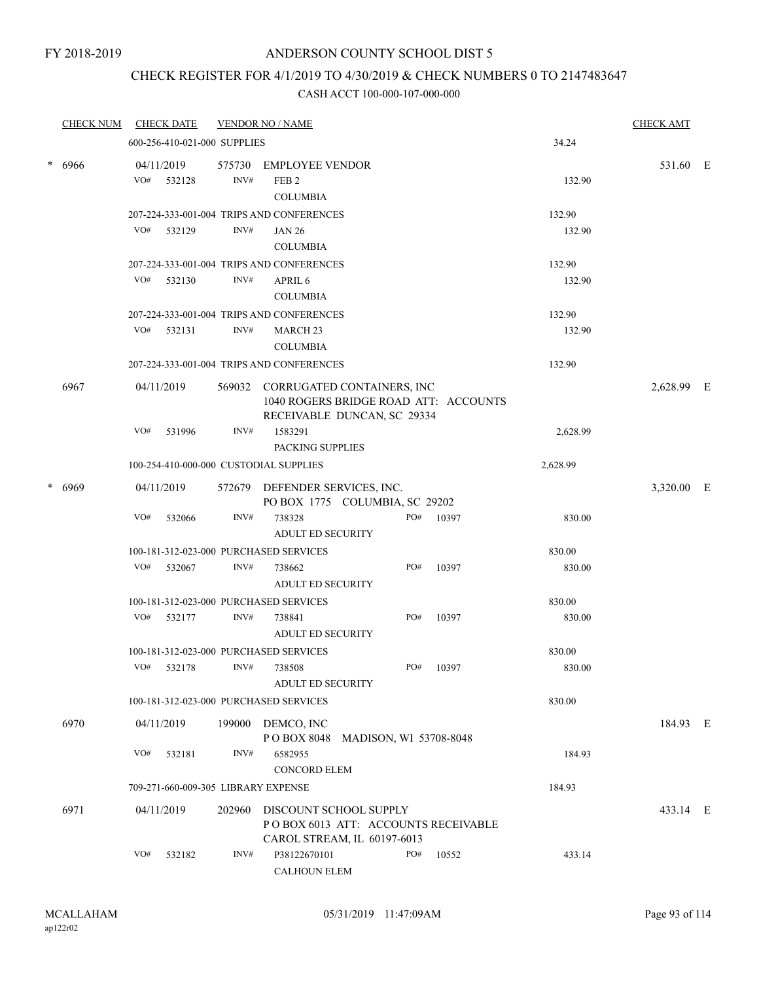### CHECK REGISTER FOR 4/1/2019 TO 4/30/2019 & CHECK NUMBERS 0 TO 2147483647

|        | <b>CHECK NUM</b> |     | <b>CHECK DATE</b>            |                | <b>VENDOR NO / NAME</b>                                                                            |     |       |          | <b>CHECK AMT</b> |  |
|--------|------------------|-----|------------------------------|----------------|----------------------------------------------------------------------------------------------------|-----|-------|----------|------------------|--|
|        |                  |     | 600-256-410-021-000 SUPPLIES |                |                                                                                                    |     |       | 34.24    |                  |  |
| $\ast$ | 6966             |     | 04/11/2019<br>VO# 532128     | 575730<br>INV# | <b>EMPLOYEE VENDOR</b><br>FEB <sub>2</sub><br><b>COLUMBIA</b>                                      |     |       | 132.90   | 531.60 E         |  |
|        |                  |     |                              |                | 207-224-333-001-004 TRIPS AND CONFERENCES                                                          |     |       | 132.90   |                  |  |
|        |                  | VO# | 532129                       | INV#           | <b>JAN 26</b>                                                                                      |     |       | 132.90   |                  |  |
|        |                  |     |                              |                | <b>COLUMBIA</b>                                                                                    |     |       |          |                  |  |
|        |                  |     |                              |                | 207-224-333-001-004 TRIPS AND CONFERENCES                                                          |     |       | 132.90   |                  |  |
|        |                  | VO# | 532130                       | INV#           | APRIL 6                                                                                            |     |       | 132.90   |                  |  |
|        |                  |     |                              |                | <b>COLUMBIA</b>                                                                                    |     |       |          |                  |  |
|        |                  |     |                              |                | 207-224-333-001-004 TRIPS AND CONFERENCES                                                          |     |       | 132.90   |                  |  |
|        |                  |     | VO# 532131                   | INV#           | <b>MARCH 23</b>                                                                                    |     |       | 132.90   |                  |  |
|        |                  |     |                              |                | <b>COLUMBIA</b>                                                                                    |     |       |          |                  |  |
|        |                  |     |                              |                | 207-224-333-001-004 TRIPS AND CONFERENCES                                                          |     |       | 132.90   |                  |  |
|        | 6967             |     | 04/11/2019                   | 569032         | CORRUGATED CONTAINERS, INC<br>1040 ROGERS BRIDGE ROAD ATT: ACCOUNTS<br>RECEIVABLE DUNCAN, SC 29334 |     |       |          | 2,628.99 E       |  |
|        |                  | VO# | 531996                       | INV#           | 1583291                                                                                            |     |       | 2,628.99 |                  |  |
|        |                  |     |                              |                | PACKING SUPPLIES                                                                                   |     |       |          |                  |  |
|        |                  |     |                              |                | 100-254-410-000-000 CUSTODIAL SUPPLIES                                                             |     |       | 2,628.99 |                  |  |
| $\ast$ | 6969             |     | 04/11/2019                   |                | 572679 DEFENDER SERVICES, INC.<br>PO BOX 1775 COLUMBIA, SC 29202                                   |     |       |          | 3,320.00 E       |  |
|        |                  | VO# | 532066                       | INV#           | 738328<br><b>ADULT ED SECURITY</b>                                                                 | PO# | 10397 | 830.00   |                  |  |
|        |                  |     |                              |                | 100-181-312-023-000 PURCHASED SERVICES                                                             |     |       | 830.00   |                  |  |
|        |                  | VO# | 532067                       | INV#           | 738662<br><b>ADULT ED SECURITY</b>                                                                 | PO# | 10397 | 830.00   |                  |  |
|        |                  |     |                              |                | 100-181-312-023-000 PURCHASED SERVICES                                                             |     |       | 830.00   |                  |  |
|        |                  | VO# | 532177                       | INV#           | 738841<br><b>ADULT ED SECURITY</b>                                                                 | PO# | 10397 | 830.00   |                  |  |
|        |                  |     |                              |                | 100-181-312-023-000 PURCHASED SERVICES                                                             |     |       | 830.00   |                  |  |
|        |                  | VO# | 532178                       | INV#           | 738508<br><b>ADULT ED SECURITY</b>                                                                 | PO# | 10397 | 830.00   |                  |  |
|        |                  |     |                              |                | 100-181-312-023-000 PURCHASED SERVICES                                                             |     |       | 830.00   |                  |  |
|        | 6970             |     | 04/11/2019                   |                | 199000 DEMCO, INC<br>POBOX 8048 MADISON, WI 53708-8048                                             |     |       |          | 184.93 E         |  |
|        |                  | VO# | 532181                       | INV#           | 6582955<br><b>CONCORD ELEM</b>                                                                     |     |       | 184.93   |                  |  |
|        |                  |     |                              |                | 709-271-660-009-305 LIBRARY EXPENSE                                                                |     |       | 184.93   |                  |  |
|        | 6971             |     | 04/11/2019                   | 202960         | DISCOUNT SCHOOL SUPPLY<br>POBOX 6013 ATT: ACCOUNTS RECEIVABLE<br>CAROL STREAM, IL 60197-6013       |     |       |          | 433.14 E         |  |
|        |                  | VO# | 532182                       | INV#           | P38122670101<br>CALHOUN ELEM                                                                       | PO# | 10552 | 433.14   |                  |  |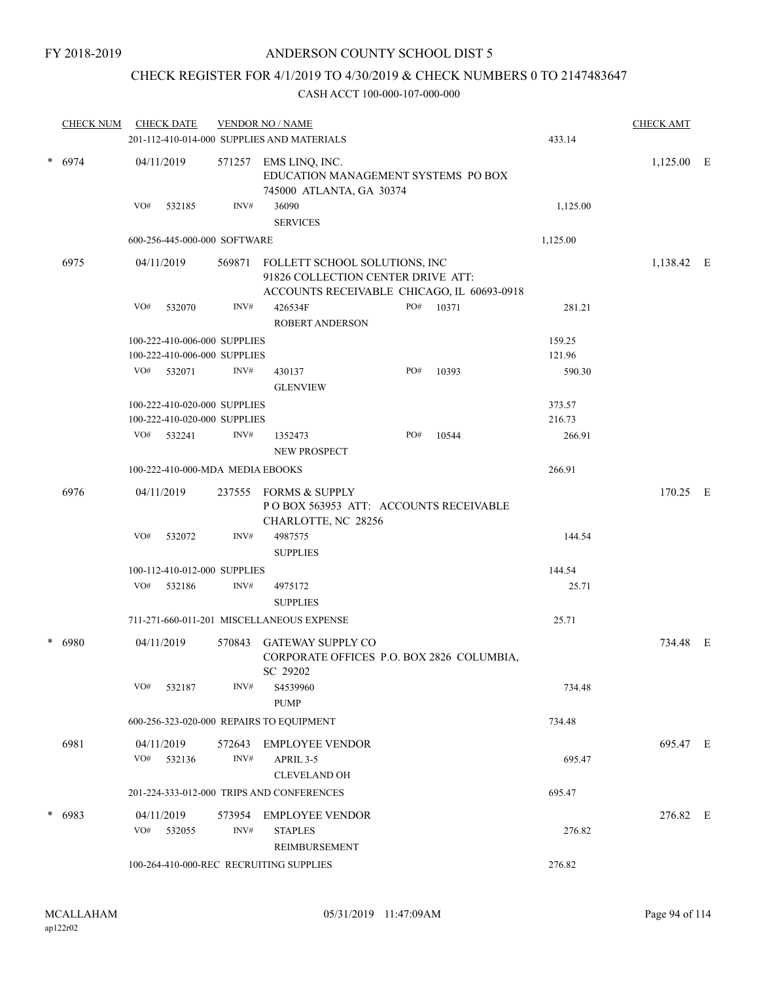### CHECK REGISTER FOR 4/1/2019 TO 4/30/2019 & CHECK NUMBERS 0 TO 2147483647

|          | <b>CHECK NUM</b> | <b>CHECK DATE</b>                                                                                                                         |                                                                                   | <b>VENDOR NO / NAME</b><br>201-112-410-014-000 SUPPLIES AND MATERIALS          |     |       | 433.14       | <b>CHECK AMT</b> |  |
|----------|------------------|-------------------------------------------------------------------------------------------------------------------------------------------|-----------------------------------------------------------------------------------|--------------------------------------------------------------------------------|-----|-------|--------------|------------------|--|
| $* 6974$ | 04/11/2019       | 571257                                                                                                                                    | EMS LINQ, INC.<br>EDUCATION MANAGEMENT SYSTEMS PO BOX<br>745000 ATLANTA, GA 30374 |                                                                                |     |       | $1,125.00$ E |                  |  |
|          |                  | VO#<br>532185                                                                                                                             | INV#                                                                              | 36090<br><b>SERVICES</b>                                                       |     |       | 1,125.00     |                  |  |
|          |                  | 600-256-445-000-000 SOFTWARE                                                                                                              |                                                                                   |                                                                                |     |       | 1,125.00     |                  |  |
|          | 6975             | 04/11/2019<br>569871<br>FOLLETT SCHOOL SOLUTIONS, INC<br>91826 COLLECTION CENTER DRIVE ATT:<br>ACCOUNTS RECEIVABLE CHICAGO, IL 60693-0918 |                                                                                   |                                                                                |     |       |              | 1,138.42 E       |  |
|          |                  | VO#<br>532070                                                                                                                             | INV#                                                                              | 426534F<br><b>ROBERT ANDERSON</b>                                              | PO# | 10371 | 281.21       |                  |  |
|          |                  | 100-222-410-006-000 SUPPLIES                                                                                                              |                                                                                   |                                                                                |     |       | 159.25       |                  |  |
|          |                  | 100-222-410-006-000 SUPPLIES                                                                                                              |                                                                                   |                                                                                |     |       | 121.96       |                  |  |
|          |                  | VO#<br>532071                                                                                                                             | INV#                                                                              | 430137<br><b>GLENVIEW</b>                                                      | PO# | 10393 | 590.30       |                  |  |
|          |                  | 100-222-410-020-000 SUPPLIES                                                                                                              |                                                                                   |                                                                                |     |       | 373.57       |                  |  |
|          |                  | 100-222-410-020-000 SUPPLIES                                                                                                              |                                                                                   |                                                                                |     |       | 216.73       |                  |  |
|          |                  | VO# 532241                                                                                                                                | INV#                                                                              | 1352473<br><b>NEW PROSPECT</b>                                                 | PO# | 10544 | 266.91       |                  |  |
|          |                  | 100-222-410-000-MDA MEDIA EBOOKS                                                                                                          |                                                                                   |                                                                                |     |       | 266.91       |                  |  |
|          | 6976             | 04/11/2019                                                                                                                                | 237555                                                                            | FORMS & SUPPLY<br>POBOX 563953 ATT: ACCOUNTS RECEIVABLE<br>CHARLOTTE, NC 28256 |     |       |              | 170.25 E         |  |
|          |                  | VO#<br>532072                                                                                                                             | INV#                                                                              | 4987575<br><b>SUPPLIES</b>                                                     |     |       | 144.54       |                  |  |
|          |                  | 100-112-410-012-000 SUPPLIES                                                                                                              |                                                                                   |                                                                                |     |       | 144.54       |                  |  |
|          |                  | VO#<br>532186                                                                                                                             | INV#                                                                              | 4975172<br><b>SUPPLIES</b>                                                     |     |       | 25.71        |                  |  |
|          |                  |                                                                                                                                           |                                                                                   | 711-271-660-011-201 MISCELLANEOUS EXPENSE                                      |     |       | 25.71        |                  |  |
|          |                  |                                                                                                                                           |                                                                                   |                                                                                |     |       |              |                  |  |
| $\ast$   | 6980             | 04/11/2019                                                                                                                                | 570843                                                                            | GATEWAY SUPPLY CO<br>CORPORATE OFFICES P.O. BOX 2826 COLUMBIA,<br>SC 29202     |     |       |              | 734.48 E         |  |
|          |                  | VO#<br>532187                                                                                                                             | INV#                                                                              | S4539960<br><b>PUMP</b>                                                        |     |       | 734.48       |                  |  |
|          |                  | 600-256-323-020-000 REPAIRS TO EQUIPMENT                                                                                                  |                                                                                   |                                                                                |     |       | 734.48       |                  |  |
|          | 6981             | 04/11/2019<br>VO# 532136                                                                                                                  | 572643<br>INV#                                                                    | EMPLOYEE VENDOR<br>APRIL 3-5                                                   |     |       | 695.47       | 695.47 E         |  |
|          |                  |                                                                                                                                           |                                                                                   | <b>CLEVELAND OH</b>                                                            |     |       |              |                  |  |
|          |                  |                                                                                                                                           |                                                                                   | 201-224-333-012-000 TRIPS AND CONFERENCES                                      |     |       | 695.47       |                  |  |
| $\ast$   |                  | 04/11/2019                                                                                                                                | 573954                                                                            | EMPLOYEE VENDOR                                                                |     |       |              | 276.82 E         |  |
| 6983     |                  | VO# 532055                                                                                                                                | INV#                                                                              | <b>STAPLES</b><br>REIMBURSEMENT                                                |     |       | 276.82       |                  |  |
|          |                  | 100-264-410-000-REC RECRUITING SUPPLIES                                                                                                   |                                                                                   |                                                                                |     |       | 276.82       |                  |  |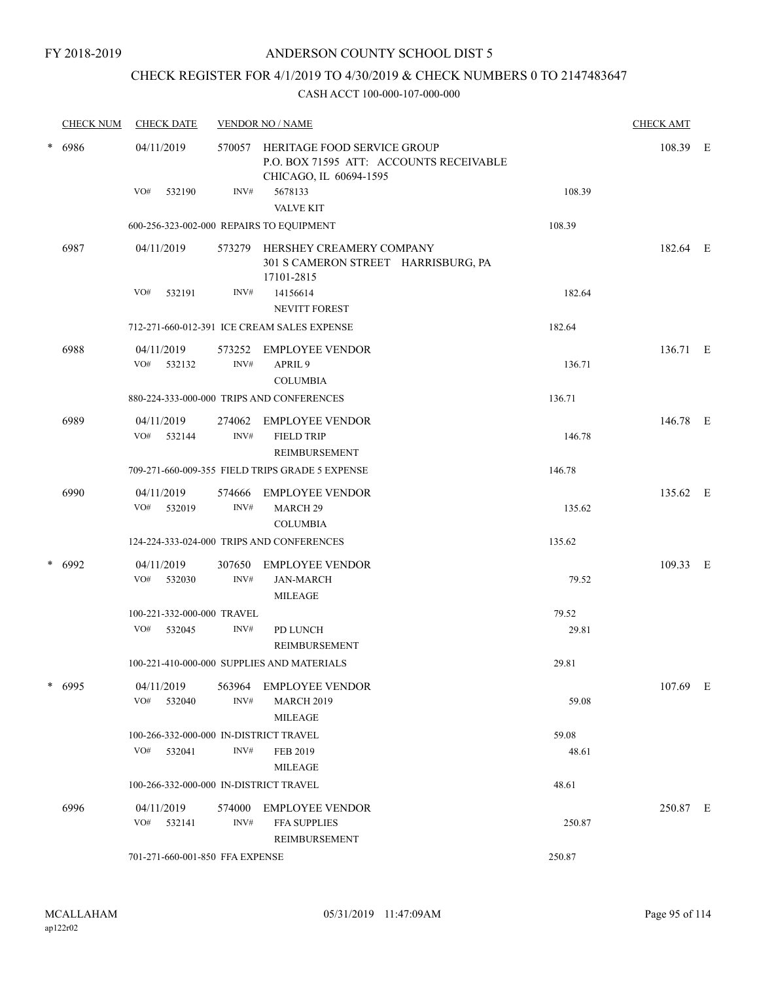## CHECK REGISTER FOR 4/1/2019 TO 4/30/2019 & CHECK NUMBERS 0 TO 2147483647

|        | <b>CHECK NUM</b> | <b>CHECK DATE</b>                        |                                                                                                         | <b>VENDOR NO / NAME</b>                                                              |          | <b>CHECK AMT</b> |  |
|--------|------------------|------------------------------------------|---------------------------------------------------------------------------------------------------------|--------------------------------------------------------------------------------------|----------|------------------|--|
| * 6986 | 04/11/2019       |                                          | 570057 HERITAGE FOOD SERVICE GROUP<br>P.O. BOX 71595 ATT: ACCOUNTS RECEIVABLE<br>CHICAGO, IL 60694-1595 |                                                                                      | 108.39 E |                  |  |
|        |                  | VO#<br>532190                            | INV#                                                                                                    | 5678133<br><b>VALVE KIT</b>                                                          | 108.39   |                  |  |
|        |                  | 600-256-323-002-000 REPAIRS TO EQUIPMENT |                                                                                                         |                                                                                      | 108.39   |                  |  |
|        | 6987             | 04/11/2019                               |                                                                                                         | 573279 HERSHEY CREAMERY COMPANY<br>301 S CAMERON STREET HARRISBURG, PA<br>17101-2815 |          | 182.64 E         |  |
|        |                  | VO#<br>532191                            | INV#                                                                                                    | 14156614<br><b>NEVITT FOREST</b>                                                     | 182.64   |                  |  |
|        |                  |                                          |                                                                                                         | 712-271-660-012-391 ICE CREAM SALES EXPENSE                                          | 182.64   |                  |  |
|        | 6988             | 04/11/2019<br>VO# 532132                 | INV#                                                                                                    | 573252 EMPLOYEE VENDOR<br>APRIL <sub>9</sub><br><b>COLUMBIA</b>                      | 136.71   | 136.71 E         |  |
|        |                  |                                          |                                                                                                         | 880-224-333-000-000 TRIPS AND CONFERENCES                                            | 136.71   |                  |  |
|        | 6989             | 04/11/2019<br>VO#<br>532144              | INV#                                                                                                    | 274062 EMPLOYEE VENDOR<br><b>FIELD TRIP</b><br>REIMBURSEMENT                         | 146.78   | 146.78 E         |  |
|        |                  |                                          |                                                                                                         | 709-271-660-009-355 FIELD TRIPS GRADE 5 EXPENSE                                      | 146.78   |                  |  |
|        | 6990             | 04/11/2019<br>VO#<br>532019              | 574666<br>INV#                                                                                          | <b>EMPLOYEE VENDOR</b><br><b>MARCH 29</b><br><b>COLUMBIA</b>                         | 135.62   | 135.62 E         |  |
|        |                  |                                          |                                                                                                         | 124-224-333-024-000 TRIPS AND CONFERENCES                                            | 135.62   |                  |  |
| $\ast$ | 6992             | 04/11/2019<br>VO#<br>532030              | 307650<br>INV#                                                                                          | <b>EMPLOYEE VENDOR</b><br><b>JAN-MARCH</b><br><b>MILEAGE</b>                         | 79.52    | 109.33 E         |  |
|        |                  | 100-221-332-000-000 TRAVEL               |                                                                                                         |                                                                                      | 79.52    |                  |  |
|        |                  | VO#<br>532045                            | INV#                                                                                                    | PD LUNCH<br>REIMBURSEMENT                                                            | 29.81    |                  |  |
|        |                  |                                          |                                                                                                         | 100-221-410-000-000 SUPPLIES AND MATERIALS                                           | 29.81    |                  |  |
|        | $*$ 6995         | 04/11/2019<br>VO#<br>532040              | INV#                                                                                                    | 563964 EMPLOYEE VENDOR<br><b>MARCH 2019</b><br>MILEAGE                               | 59.08    | 107.69 E         |  |
|        |                  | 100-266-332-000-000 IN-DISTRICT TRAVEL   |                                                                                                         |                                                                                      | 59.08    |                  |  |
|        |                  | VO# 532041                               | INV#                                                                                                    | FEB 2019<br><b>MILEAGE</b>                                                           | 48.61    |                  |  |
|        |                  | 100-266-332-000-000 IN-DISTRICT TRAVEL   |                                                                                                         |                                                                                      | 48.61    |                  |  |
|        | 6996             | 04/11/2019<br>VO#<br>532141              | INV#                                                                                                    | 574000 EMPLOYEE VENDOR<br><b>FFA SUPPLIES</b><br>REIMBURSEMENT                       | 250.87   | 250.87 E         |  |
|        |                  | 701-271-660-001-850 FFA EXPENSE          |                                                                                                         |                                                                                      | 250.87   |                  |  |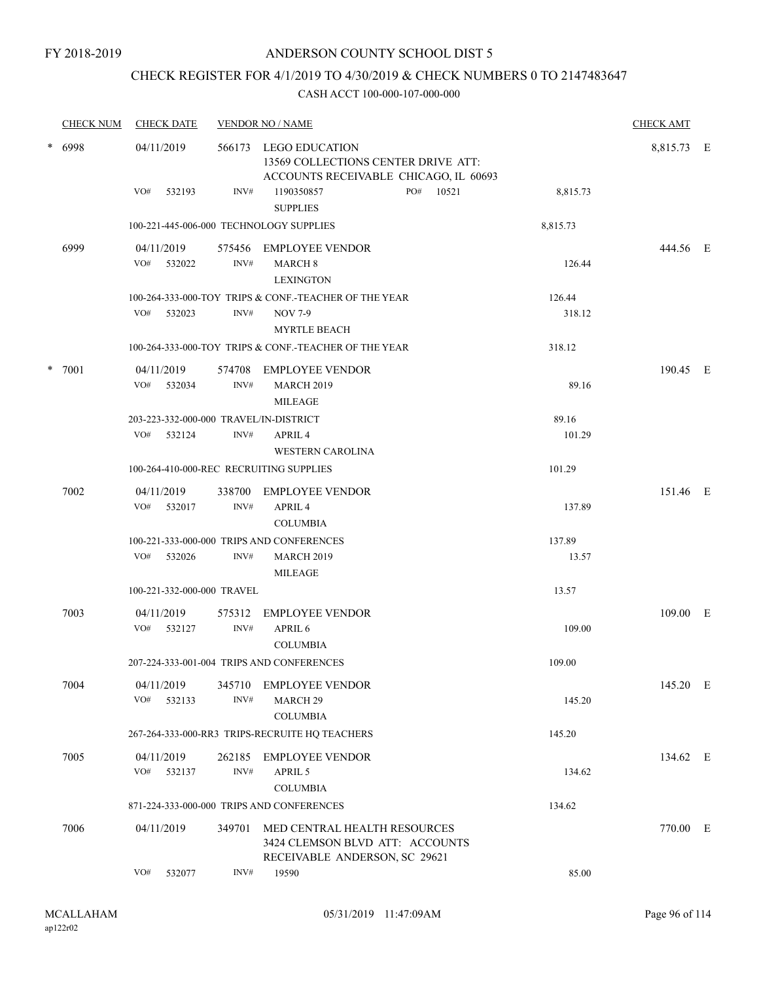### CHECK REGISTER FOR 4/1/2019 TO 4/30/2019 & CHECK NUMBERS 0 TO 2147483647

|        | <b>CHECK NUM</b> | <b>CHECK DATE</b>                       |                                                                                                | <b>VENDOR NO / NAME</b>                                                                          |            | <b>CHECK AMT</b> |  |
|--------|------------------|-----------------------------------------|------------------------------------------------------------------------------------------------|--------------------------------------------------------------------------------------------------|------------|------------------|--|
| * 6998 | 04/11/2019       | 566173                                  | LEGO EDUCATION<br>13569 COLLECTIONS CENTER DRIVE ATT:<br>ACCOUNTS RECEIVABLE CHICAGO, IL 60693 |                                                                                                  | 8,815.73 E |                  |  |
|        |                  | VO#<br>532193                           | INV#                                                                                           | PO#<br>10521<br>1190350857<br><b>SUPPLIES</b>                                                    | 8,815.73   |                  |  |
|        |                  | 100-221-445-006-000 TECHNOLOGY SUPPLIES |                                                                                                |                                                                                                  | 8,815.73   |                  |  |
|        | 6999             | 04/11/2019<br>VO#<br>532022             | INV#                                                                                           | 575456 EMPLOYEE VENDOR<br><b>MARCH 8</b><br><b>LEXINGTON</b>                                     | 126.44     | 444.56 E         |  |
|        |                  |                                         |                                                                                                | 100-264-333-000-TOY TRIPS & CONF.-TEACHER OF THE YEAR                                            | 126.44     |                  |  |
|        |                  | VO#<br>532023                           | INV#                                                                                           | <b>NOV 7-9</b><br><b>MYRTLE BEACH</b>                                                            | 318.12     |                  |  |
|        |                  |                                         |                                                                                                | 100-264-333-000-TOY TRIPS & CONF.-TEACHER OF THE YEAR                                            | 318.12     |                  |  |
| $\ast$ | 7001             | 04/11/2019                              |                                                                                                | 574708 EMPLOYEE VENDOR                                                                           |            | 190.45 E         |  |
|        |                  | VO#<br>532034                           | INV#                                                                                           | <b>MARCH 2019</b><br>MILEAGE                                                                     | 89.16      |                  |  |
|        |                  | 203-223-332-000-000 TRAVEL/IN-DISTRICT  |                                                                                                |                                                                                                  | 89.16      |                  |  |
|        |                  | VO# 532124                              | INV#                                                                                           | APRIL <sub>4</sub><br><b>WESTERN CAROLINA</b>                                                    | 101.29     |                  |  |
|        |                  | 100-264-410-000-REC RECRUITING SUPPLIES |                                                                                                |                                                                                                  | 101.29     |                  |  |
|        | 7002             | 04/11/2019<br>VO#<br>532017             | 338700<br>INV#                                                                                 | <b>EMPLOYEE VENDOR</b><br>APRIL <sub>4</sub><br><b>COLUMBIA</b>                                  | 137.89     | 151.46 E         |  |
|        |                  |                                         |                                                                                                | 100-221-333-000-000 TRIPS AND CONFERENCES                                                        | 137.89     |                  |  |
|        |                  | VO#<br>532026                           | INV#                                                                                           | <b>MARCH 2019</b><br>MILEAGE                                                                     | 13.57      |                  |  |
|        |                  | 100-221-332-000-000 TRAVEL              |                                                                                                |                                                                                                  | 13.57      |                  |  |
|        | 7003             | 04/11/2019<br>VO#<br>532127             | 575312<br>INV#                                                                                 | <b>EMPLOYEE VENDOR</b><br>APRIL 6                                                                | 109.00     | 109.00 E         |  |
|        |                  |                                         |                                                                                                | <b>COLUMBIA</b>                                                                                  |            |                  |  |
|        |                  |                                         |                                                                                                | 207-224-333-001-004 TRIPS AND CONFERENCES                                                        | 109.00     |                  |  |
|        | 7004             | 04/11/2019<br>VO#<br>532133             | 345710<br>INV#                                                                                 | <b>EMPLOYEE VENDOR</b><br>MARCH <sub>29</sub><br><b>COLUMBIA</b>                                 | 145.20     | 145.20 E         |  |
|        |                  |                                         |                                                                                                | 267-264-333-000-RR3 TRIPS-RECRUITE HQ TEACHERS                                                   | 145.20     |                  |  |
|        | 7005             | 04/11/2019<br>VO#<br>532137             | 262185<br>$\mathrm{INV}\#$                                                                     | <b>EMPLOYEE VENDOR</b><br>APRIL 5<br><b>COLUMBIA</b>                                             | 134.62     | 134.62 E         |  |
|        |                  |                                         |                                                                                                | 871-224-333-000-000 TRIPS AND CONFERENCES                                                        | 134.62     |                  |  |
|        | 7006             | 04/11/2019                              | 349701                                                                                         | MED CENTRAL HEALTH RESOURCES<br>3424 CLEMSON BLVD ATT: ACCOUNTS<br>RECEIVABLE ANDERSON, SC 29621 |            | 770.00 E         |  |
|        |                  | VO#<br>532077                           | INV#                                                                                           | 19590                                                                                            | 85.00      |                  |  |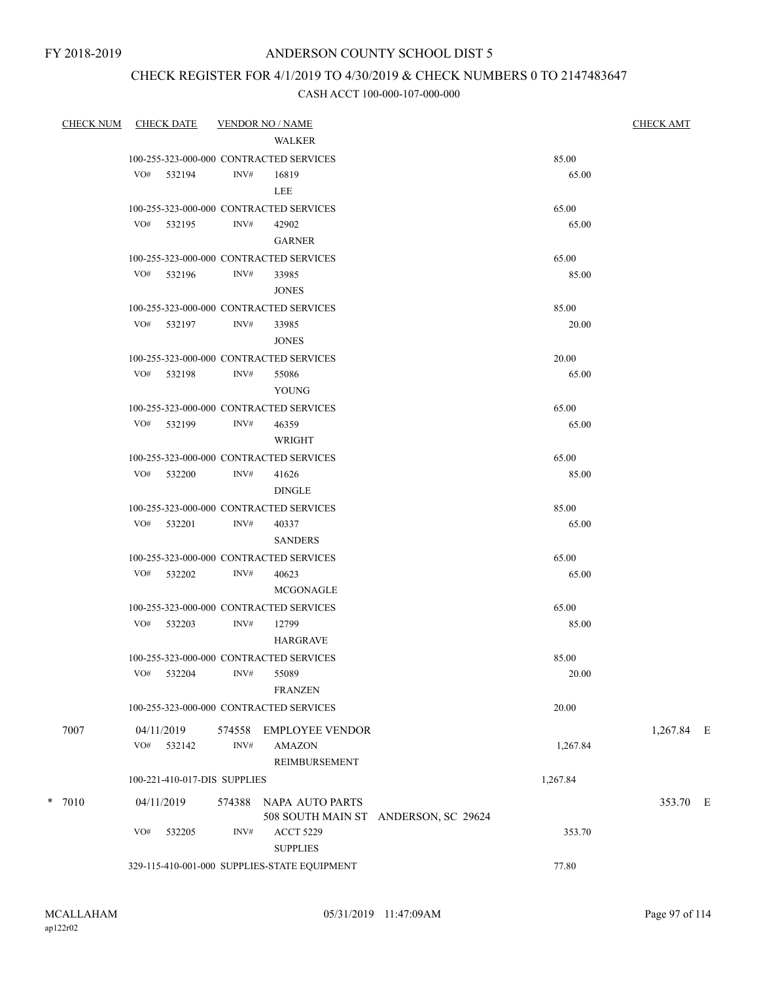### CHECK REGISTER FOR 4/1/2019 TO 4/30/2019 & CHECK NUMBERS 0 TO 2147483647

| <b>CHECK NUM</b> | <b>CHECK DATE</b>                       |        | <b>VENDOR NO / NAME</b>                          |                                      |          | <b>CHECK AMT</b> |  |
|------------------|-----------------------------------------|--------|--------------------------------------------------|--------------------------------------|----------|------------------|--|
|                  |                                         |        | WALKER                                           |                                      |          |                  |  |
|                  |                                         |        | 100-255-323-000-000 CONTRACTED SERVICES          |                                      | 85.00    |                  |  |
|                  | VO# 532194                              | INV#   | 16819                                            |                                      | 65.00    |                  |  |
|                  |                                         |        | LEE                                              |                                      |          |                  |  |
|                  |                                         |        | 100-255-323-000-000 CONTRACTED SERVICES          |                                      | 65.00    |                  |  |
|                  | VO# 532195                              | INV#   | 42902                                            |                                      | 65.00    |                  |  |
|                  |                                         |        | <b>GARNER</b>                                    |                                      |          |                  |  |
|                  | 100-255-323-000-000 CONTRACTED SERVICES |        |                                                  |                                      | 65.00    |                  |  |
|                  | VO# 532196                              | INV#   | 33985                                            |                                      | 85.00    |                  |  |
|                  |                                         |        | <b>JONES</b>                                     |                                      |          |                  |  |
|                  |                                         |        | 100-255-323-000-000 CONTRACTED SERVICES          |                                      | 85.00    |                  |  |
|                  | VO# 532197                              | INV#   | 33985                                            |                                      | 20.00    |                  |  |
|                  |                                         |        | <b>JONES</b>                                     |                                      |          |                  |  |
|                  |                                         |        | 100-255-323-000-000 CONTRACTED SERVICES          |                                      | 20.00    |                  |  |
|                  | VO# 532198                              | INV#   | 55086                                            |                                      | 65.00    |                  |  |
|                  |                                         |        | YOUNG                                            |                                      |          |                  |  |
|                  |                                         |        | 100-255-323-000-000 CONTRACTED SERVICES          |                                      | 65.00    |                  |  |
|                  | VO# 532199                              | INV#   | 46359                                            |                                      | 65.00    |                  |  |
|                  |                                         |        | WRIGHT                                           |                                      |          |                  |  |
|                  |                                         |        | 100-255-323-000-000 CONTRACTED SERVICES          |                                      | 65.00    |                  |  |
|                  | VO# 532200                              | INV#   | 41626<br><b>DINGLE</b>                           |                                      | 85.00    |                  |  |
|                  |                                         |        |                                                  |                                      | 85.00    |                  |  |
|                  | VO# 532201                              | INV#   | 100-255-323-000-000 CONTRACTED SERVICES<br>40337 |                                      | 65.00    |                  |  |
|                  |                                         |        | <b>SANDERS</b>                                   |                                      |          |                  |  |
|                  |                                         |        | 100-255-323-000-000 CONTRACTED SERVICES          |                                      | 65.00    |                  |  |
|                  | VO# 532202                              | INV#   | 40623                                            |                                      | 65.00    |                  |  |
|                  |                                         |        | MCGONAGLE                                        |                                      |          |                  |  |
|                  |                                         |        | 100-255-323-000-000 CONTRACTED SERVICES          |                                      | 65.00    |                  |  |
|                  | VO# 532203                              | INV#   | 12799                                            |                                      | 85.00    |                  |  |
|                  |                                         |        | <b>HARGRAVE</b>                                  |                                      |          |                  |  |
|                  |                                         |        | 100-255-323-000-000 CONTRACTED SERVICES          |                                      | 85.00    |                  |  |
|                  | VO#<br>532204                           |        | INV# 55089                                       |                                      | 20.00    |                  |  |
|                  |                                         |        | <b>FRANZEN</b>                                   |                                      |          |                  |  |
|                  |                                         |        | 100-255-323-000-000 CONTRACTED SERVICES          |                                      | 20.00    |                  |  |
| 7007             | 04/11/2019                              | 574558 | EMPLOYEE VENDOR                                  |                                      |          | 1,267.84 E       |  |
|                  | VO# 532142                              | INV#   | AMAZON                                           |                                      | 1,267.84 |                  |  |
|                  |                                         |        | REIMBURSEMENT                                    |                                      |          |                  |  |
|                  | 100-221-410-017-DIS SUPPLIES            |        |                                                  |                                      | 1,267.84 |                  |  |
|                  |                                         |        |                                                  |                                      |          |                  |  |
| $* 7010$         | 04/11/2019                              | 574388 | NAPA AUTO PARTS                                  |                                      |          | 353.70 E         |  |
|                  | VO#<br>532205                           | INV#   | <b>ACCT 5229</b>                                 | 508 SOUTH MAIN ST ANDERSON, SC 29624 | 353.70   |                  |  |
|                  |                                         |        | <b>SUPPLIES</b>                                  |                                      |          |                  |  |
|                  |                                         |        | 329-115-410-001-000 SUPPLIES-STATE EQUIPMENT     |                                      | 77.80    |                  |  |
|                  |                                         |        |                                                  |                                      |          |                  |  |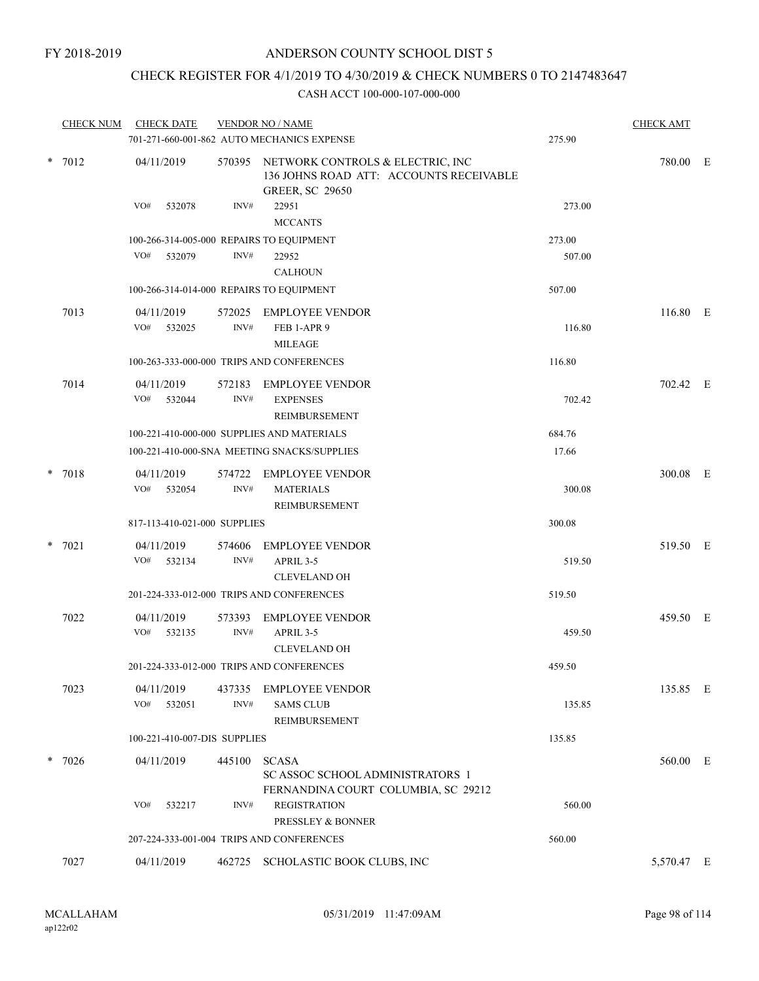## CHECK REGISTER FOR 4/1/2019 TO 4/30/2019 & CHECK NUMBERS 0 TO 2147483647

|          | <b>CHECK NUM</b>                         | <b>CHECK DATE</b>                        |                                                                                                              | <b>VENDOR NO / NAME</b><br>701-271-660-001-862 AUTO MECHANICS EXPENSE           | 275.90   | <b>CHECK AMT</b> |  |
|----------|------------------------------------------|------------------------------------------|--------------------------------------------------------------------------------------------------------------|---------------------------------------------------------------------------------|----------|------------------|--|
| $* 7012$ | 04/11/2019                               |                                          | 570395 NETWORK CONTROLS & ELECTRIC, INC<br>136 JOHNS ROAD ATT: ACCOUNTS RECEIVABLE<br><b>GREER, SC 29650</b> |                                                                                 | 780.00 E |                  |  |
|          |                                          | VO#<br>532078                            | INV#                                                                                                         | 22951<br><b>MCCANTS</b>                                                         | 273.00   |                  |  |
|          |                                          | 100-266-314-005-000 REPAIRS TO EQUIPMENT |                                                                                                              |                                                                                 | 273.00   |                  |  |
|          |                                          | VO#<br>532079                            | INV#                                                                                                         | 22952<br><b>CALHOUN</b>                                                         | 507.00   |                  |  |
|          | 100-266-314-014-000 REPAIRS TO EQUIPMENT |                                          |                                                                                                              | 507.00                                                                          |          |                  |  |
|          | 7013                                     | 04/11/2019<br>VO#<br>532025              | 572025<br>INV#                                                                                               | <b>EMPLOYEE VENDOR</b><br>FEB 1-APR 9<br><b>MILEAGE</b>                         | 116.80   | 116.80 E         |  |
|          |                                          |                                          |                                                                                                              | 100-263-333-000-000 TRIPS AND CONFERENCES                                       | 116.80   |                  |  |
|          | 7014                                     | 04/11/2019<br>VO# 532044                 | 572183<br>$\text{INV}\#$                                                                                     | <b>EMPLOYEE VENDOR</b><br><b>EXPENSES</b><br>REIMBURSEMENT                      | 702.42   | 702.42 E         |  |
|          |                                          |                                          |                                                                                                              | 100-221-410-000-000 SUPPLIES AND MATERIALS                                      | 684.76   |                  |  |
|          |                                          |                                          |                                                                                                              | 100-221-410-000-SNA MEETING SNACKS/SUPPLIES                                     | 17.66    |                  |  |
|          | $* 7018$                                 | 04/11/2019<br>VO#<br>532054              | 574722<br>INV#                                                                                               | <b>EMPLOYEE VENDOR</b><br><b>MATERIALS</b><br>REIMBURSEMENT                     | 300.08   | 300.08 E         |  |
|          |                                          | 817-113-410-021-000 SUPPLIES             |                                                                                                              |                                                                                 | 300.08   |                  |  |
|          | $* 7021$                                 | 04/11/2019                               | 574606                                                                                                       | <b>EMPLOYEE VENDOR</b>                                                          |          | 519.50 E         |  |
|          |                                          | VO#<br>532134                            | INV#                                                                                                         | APRIL 3-5<br><b>CLEVELAND OH</b>                                                | 519.50   |                  |  |
|          |                                          |                                          |                                                                                                              | 201-224-333-012-000 TRIPS AND CONFERENCES                                       | 519.50   |                  |  |
|          | 7022                                     | 04/11/2019<br>VO#<br>532135              | 573393<br>INV#                                                                                               | <b>EMPLOYEE VENDOR</b><br>APRIL 3-5                                             | 459.50   | 459.50 E         |  |
|          |                                          |                                          |                                                                                                              | <b>CLEVELAND OH</b>                                                             |          |                  |  |
|          |                                          |                                          |                                                                                                              | 201-224-333-012-000 TRIPS AND CONFERENCES                                       | 459.50   |                  |  |
|          | 7023                                     | 04/11/2019<br>VO#<br>532051              | INV#                                                                                                         | 437335 EMPLOYEE VENDOR<br><b>SAMS CLUB</b><br>REIMBURSEMENT                     | 135.85   | 135.85 E         |  |
|          |                                          | 100-221-410-007-DIS SUPPLIES             |                                                                                                              |                                                                                 | 135.85   |                  |  |
|          | $* 7026$                                 | 04/11/2019                               | 445100                                                                                                       | <b>SCASA</b><br>SC ASSOC SCHOOL ADMINISTRATORS 1                                |          | 560.00 E         |  |
|          |                                          | VO#<br>532217                            | INV#                                                                                                         | FERNANDINA COURT COLUMBIA, SC 29212<br><b>REGISTRATION</b><br>PRESSLEY & BONNER | 560.00   |                  |  |
|          |                                          |                                          |                                                                                                              | 207-224-333-001-004 TRIPS AND CONFERENCES                                       | 560.00   |                  |  |
|          | 7027                                     | 04/11/2019                               |                                                                                                              | 462725 SCHOLASTIC BOOK CLUBS, INC                                               |          | 5,570.47 E       |  |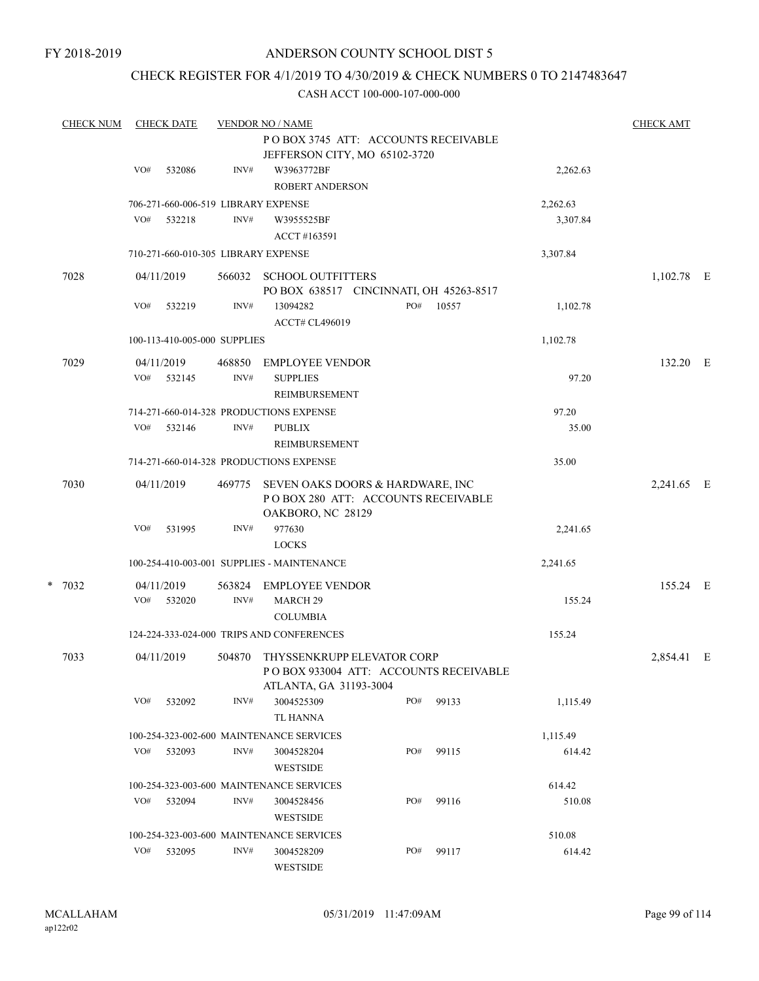### CHECK REGISTER FOR 4/1/2019 TO 4/30/2019 & CHECK NUMBERS 0 TO 2147483647

| <b>CHECK NUM</b> | <b>CHECK DATE</b><br><b>VENDOR NO / NAME</b> |                              |            |        |                                                                     |     | <b>CHECK AMT</b> |          |              |  |
|------------------|----------------------------------------------|------------------------------|------------|--------|---------------------------------------------------------------------|-----|------------------|----------|--------------|--|
|                  |                                              |                              |            |        | PO BOX 3745 ATT: ACCOUNTS RECEIVABLE                                |     |                  |          |              |  |
|                  |                                              |                              |            |        | JEFFERSON CITY, MO 65102-3720                                       |     |                  |          |              |  |
|                  |                                              | VO#                          | 532086     | INV#   | W3963772BF                                                          |     |                  | 2,262.63 |              |  |
|                  |                                              |                              |            |        | <b>ROBERT ANDERSON</b>                                              |     |                  |          |              |  |
|                  |                                              |                              |            |        | 706-271-660-006-519 LIBRARY EXPENSE                                 |     |                  | 2,262.63 |              |  |
|                  |                                              | VO#                          | 532218     | INV#   | W3955525BF                                                          |     |                  | 3,307.84 |              |  |
|                  |                                              |                              |            |        | ACCT #163591                                                        |     |                  |          |              |  |
|                  |                                              |                              |            |        | 710-271-660-010-305 LIBRARY EXPENSE                                 |     |                  | 3,307.84 |              |  |
|                  |                                              |                              |            |        |                                                                     |     |                  |          |              |  |
| 7028             |                                              |                              | 04/11/2019 |        | 566032 SCHOOL OUTFITTERS<br>PO BOX 638517 CINCINNATI, OH 45263-8517 |     |                  |          | $1,102.78$ E |  |
|                  |                                              | VO#                          | 532219     | INV#   | 13094282                                                            | PO# | 10557            | 1,102.78 |              |  |
|                  |                                              |                              |            |        | <b>ACCT# CL496019</b>                                               |     |                  |          |              |  |
|                  |                                              | 100-113-410-005-000 SUPPLIES |            |        |                                                                     |     |                  |          |              |  |
|                  |                                              |                              |            |        |                                                                     |     | 1,102.78         |          |              |  |
| 7029             |                                              |                              | 04/11/2019 | 468850 | <b>EMPLOYEE VENDOR</b>                                              |     |                  |          | 132.20 E     |  |
|                  |                                              | VO#                          | 532145     | INV#   | <b>SUPPLIES</b>                                                     |     |                  | 97.20    |              |  |
|                  |                                              |                              |            |        | <b>REIMBURSEMENT</b>                                                |     |                  |          |              |  |
|                  |                                              |                              |            |        | 714-271-660-014-328 PRODUCTIONS EXPENSE                             |     |                  | 97.20    |              |  |
|                  |                                              | VO#                          | 532146     | INV#   | <b>PUBLIX</b>                                                       |     |                  | 35.00    |              |  |
|                  |                                              |                              |            |        | <b>REIMBURSEMENT</b>                                                |     |                  |          |              |  |
|                  |                                              |                              |            |        | 714-271-660-014-328 PRODUCTIONS EXPENSE                             |     |                  | 35.00    |              |  |
| 7030             |                                              |                              | 04/11/2019 | 469775 | SEVEN OAKS DOORS & HARDWARE, INC                                    |     |                  |          | 2,241.65 E   |  |
|                  |                                              |                              |            |        | POBOX 280 ATT: ACCOUNTS RECEIVABLE                                  |     |                  |          |              |  |
|                  |                                              |                              |            |        | OAKBORO, NC 28129                                                   |     |                  |          |              |  |
|                  |                                              | VO#                          | 531995     | INV#   | 977630                                                              |     |                  | 2,241.65 |              |  |
|                  |                                              |                              |            |        | <b>LOCKS</b>                                                        |     |                  |          |              |  |
|                  |                                              |                              |            |        | 100-254-410-003-001 SUPPLIES - MAINTENANCE                          |     |                  | 2,241.65 |              |  |
| $* 7032$         |                                              |                              | 04/11/2019 | 563824 | <b>EMPLOYEE VENDOR</b>                                              |     |                  |          | 155.24 E     |  |
|                  |                                              | VO#                          | 532020     | INV#   | <b>MARCH 29</b>                                                     |     |                  | 155.24   |              |  |
|                  |                                              |                              |            |        | <b>COLUMBIA</b>                                                     |     |                  |          |              |  |
|                  |                                              |                              |            |        | 124-224-333-024-000 TRIPS AND CONFERENCES                           |     |                  | 155.24   |              |  |
| 7033             |                                              |                              | 04/11/2019 |        | 504870 THYSSENKRUPP ELEVATOR CORP                                   |     |                  |          | 2,854.41 E   |  |
|                  |                                              |                              |            |        | POBOX 933004 ATT: ACCOUNTS RECEIVABLE                               |     |                  |          |              |  |
|                  |                                              |                              |            |        | ATLANTA, GA 31193-3004                                              |     |                  |          |              |  |
|                  |                                              | VO#                          | 532092     | INV#   | 3004525309                                                          | PO# | 99133            | 1,115.49 |              |  |
|                  |                                              |                              |            |        | TL HANNA                                                            |     |                  |          |              |  |
|                  |                                              |                              |            |        | 100-254-323-002-600 MAINTENANCE SERVICES                            |     |                  | 1,115.49 |              |  |
|                  |                                              | VO#                          | 532093     | INV#   | 3004528204                                                          | PO# | 99115            | 614.42   |              |  |
|                  |                                              |                              |            |        | WESTSIDE                                                            |     |                  |          |              |  |
|                  |                                              |                              |            |        | 100-254-323-003-600 MAINTENANCE SERVICES                            |     |                  | 614.42   |              |  |
|                  |                                              | VO#                          | 532094     | INV#   | 3004528456                                                          | PO# | 99116            | 510.08   |              |  |
|                  |                                              |                              |            |        | WESTSIDE                                                            |     |                  |          |              |  |
|                  |                                              |                              |            |        | 100-254-323-003-600 MAINTENANCE SERVICES                            |     |                  | 510.08   |              |  |
|                  |                                              | VO#                          | 532095     | INV#   | 3004528209                                                          | PO# | 99117            | 614.42   |              |  |
|                  |                                              |                              |            |        | WESTSIDE                                                            |     |                  |          |              |  |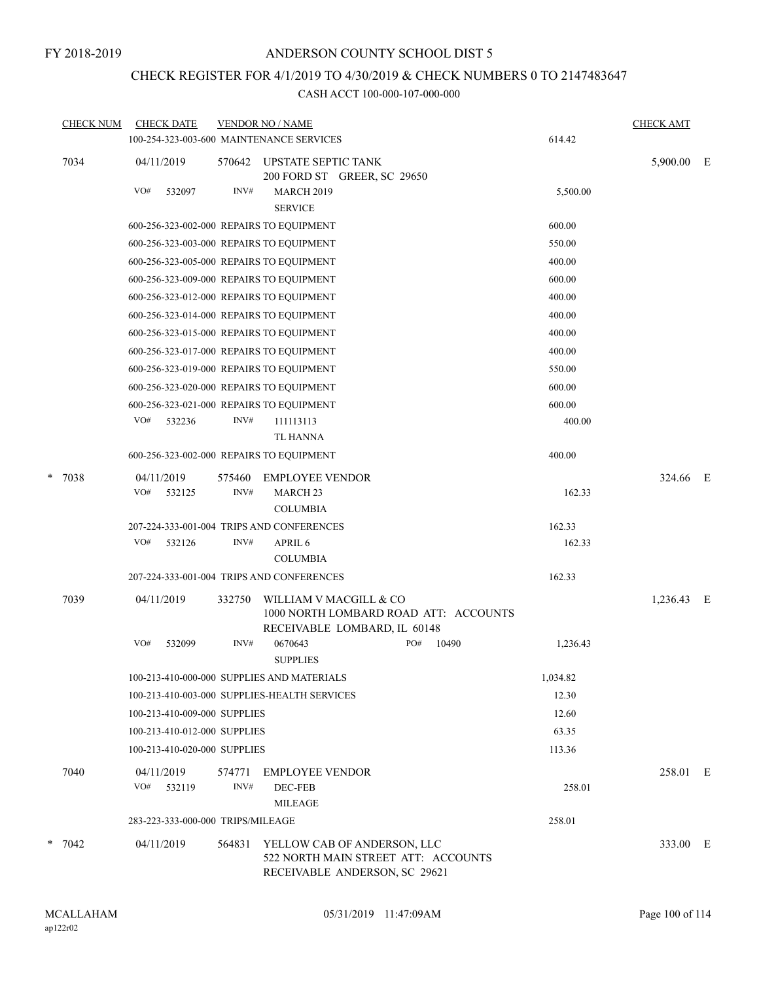# CHECK REGISTER FOR 4/1/2019 TO 4/30/2019 & CHECK NUMBERS 0 TO 2147483647

|      | <b>CHECK NUM</b> | <b>CHECK DATE</b>                 |                            | <b>VENDOR NO / NAME</b>                                      |                                                                                                     |                                       |            | <b>CHECK AMT</b> |  |
|------|------------------|-----------------------------------|----------------------------|--------------------------------------------------------------|-----------------------------------------------------------------------------------------------------|---------------------------------------|------------|------------------|--|
|      |                  |                                   |                            | 100-254-323-003-600 MAINTENANCE SERVICES                     |                                                                                                     |                                       | 614.42     |                  |  |
| 7034 | 04/11/2019       | 570642                            | <b>UPSTATE SEPTIC TANK</b> | 200 FORD ST GREER, SC 29650                                  |                                                                                                     |                                       | 5,900.00 E |                  |  |
|      |                  | VO#<br>532097                     | INV#                       | <b>MARCH 2019</b><br><b>SERVICE</b>                          |                                                                                                     |                                       | 5,500.00   |                  |  |
|      |                  |                                   |                            | 600-256-323-002-000 REPAIRS TO EQUIPMENT                     |                                                                                                     |                                       | 600.00     |                  |  |
|      |                  |                                   |                            | 600-256-323-003-000 REPAIRS TO EQUIPMENT                     |                                                                                                     |                                       | 550.00     |                  |  |
|      |                  |                                   |                            | 600-256-323-005-000 REPAIRS TO EQUIPMENT                     |                                                                                                     |                                       | 400.00     |                  |  |
|      |                  |                                   |                            | 600-256-323-009-000 REPAIRS TO EQUIPMENT                     |                                                                                                     |                                       | 600.00     |                  |  |
|      |                  |                                   |                            | 600-256-323-012-000 REPAIRS TO EQUIPMENT                     |                                                                                                     |                                       | 400.00     |                  |  |
|      |                  |                                   |                            | 600-256-323-014-000 REPAIRS TO EQUIPMENT                     |                                                                                                     |                                       | 400.00     |                  |  |
|      |                  |                                   |                            | 600-256-323-015-000 REPAIRS TO EQUIPMENT                     |                                                                                                     |                                       | 400.00     |                  |  |
|      |                  |                                   |                            | 600-256-323-017-000 REPAIRS TO EQUIPMENT                     |                                                                                                     |                                       | 400.00     |                  |  |
|      |                  |                                   |                            | 600-256-323-019-000 REPAIRS TO EQUIPMENT                     |                                                                                                     |                                       | 550.00     |                  |  |
|      |                  |                                   |                            | 600-256-323-020-000 REPAIRS TO EQUIPMENT                     |                                                                                                     |                                       | 600.00     |                  |  |
|      |                  |                                   |                            | 600-256-323-021-000 REPAIRS TO EQUIPMENT                     |                                                                                                     |                                       | 600.00     |                  |  |
|      |                  | VO#<br>532236                     | INV#                       | 111113113                                                    |                                                                                                     |                                       | 400.00     |                  |  |
|      |                  |                                   |                            | TL HANNA                                                     |                                                                                                     |                                       |            |                  |  |
|      |                  |                                   |                            | 600-256-323-002-000 REPAIRS TO EQUIPMENT                     |                                                                                                     |                                       | 400.00     |                  |  |
| *    | 7038             | 04/11/2019                        | 575460                     | <b>EMPLOYEE VENDOR</b>                                       |                                                                                                     |                                       |            | 324.66 E         |  |
|      |                  | VO#<br>532125                     | INV#                       | MARCH <sub>23</sub><br><b>COLUMBIA</b>                       |                                                                                                     |                                       | 162.33     |                  |  |
|      |                  |                                   |                            | 207-224-333-001-004 TRIPS AND CONFERENCES                    |                                                                                                     |                                       | 162.33     |                  |  |
|      |                  | VO#<br>532126                     | INV#                       | APRIL 6                                                      |                                                                                                     |                                       | 162.33     |                  |  |
|      |                  |                                   |                            | <b>COLUMBIA</b><br>207-224-333-001-004 TRIPS AND CONFERENCES |                                                                                                     |                                       | 162.33     |                  |  |
|      |                  |                                   |                            |                                                              |                                                                                                     |                                       |            |                  |  |
|      | 7039             | 04/11/2019                        | 332750                     | WILLIAM V MACGILL & CO                                       | RECEIVABLE LOMBARD, IL 60148                                                                        | 1000 NORTH LOMBARD ROAD ATT: ACCOUNTS |            | 1,236.43 E       |  |
|      |                  | VO#<br>532099                     | INV#                       | 0670643<br><b>SUPPLIES</b>                                   | PO#                                                                                                 | 10490                                 | 1,236.43   |                  |  |
|      |                  |                                   |                            | 100-213-410-000-000 SUPPLIES AND MATERIALS                   |                                                                                                     |                                       | 1,034.82   |                  |  |
|      |                  |                                   |                            | 100-213-410-003-000 SUPPLIES-HEALTH SERVICES                 |                                                                                                     |                                       | 12.30      |                  |  |
|      |                  | 100-213-410-009-000 SUPPLIES      |                            |                                                              |                                                                                                     |                                       | 12.60      |                  |  |
|      |                  | 100-213-410-012-000 SUPPLIES      |                            |                                                              |                                                                                                     |                                       | 63.35      |                  |  |
|      |                  | 100-213-410-020-000 SUPPLIES      |                            |                                                              |                                                                                                     |                                       | 113.36     |                  |  |
|      | 7040             | 04/11/2019                        | 574771                     | <b>EMPLOYEE VENDOR</b>                                       |                                                                                                     |                                       |            | 258.01 E         |  |
|      |                  | VO#<br>532119                     | INV#                       | DEC-FEB<br><b>MILEAGE</b>                                    |                                                                                                     |                                       | 258.01     |                  |  |
|      |                  | 283-223-333-000-000 TRIPS/MILEAGE |                            |                                                              |                                                                                                     |                                       | 258.01     |                  |  |
|      | $*$ 7042         | 04/11/2019                        | 564831                     |                                                              | YELLOW CAB OF ANDERSON, LLC<br>522 NORTH MAIN STREET ATT: ACCOUNTS<br>RECEIVABLE ANDERSON, SC 29621 |                                       |            | 333.00 E         |  |
|      |                  |                                   |                            |                                                              |                                                                                                     |                                       |            |                  |  |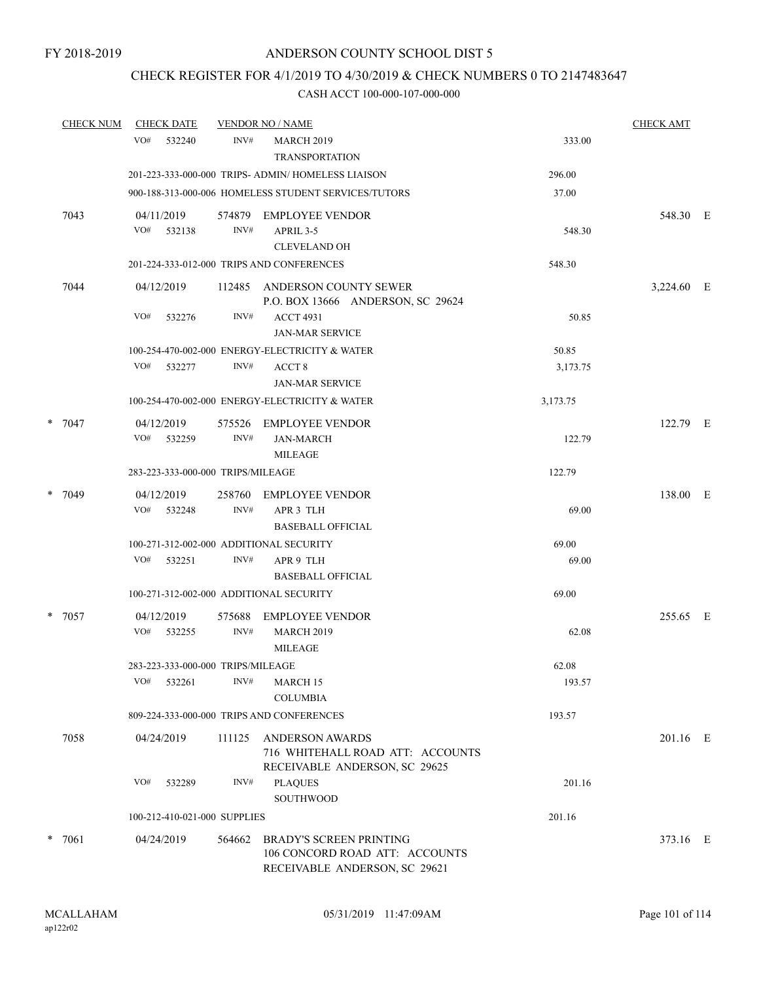## CHECK REGISTER FOR 4/1/2019 TO 4/30/2019 & CHECK NUMBERS 0 TO 2147483647

| <b>CHECK NUM</b> | <b>CHECK DATE</b>                                        |                | <b>VENDOR NO / NAME</b>                                                                           |                | <b>CHECK AMT</b> |  |
|------------------|----------------------------------------------------------|----------------|---------------------------------------------------------------------------------------------------|----------------|------------------|--|
|                  | VO#<br>532240                                            | INV#           | <b>MARCH 2019</b><br><b>TRANSPORTATION</b>                                                        | 333.00         |                  |  |
|                  |                                                          |                | 201-223-333-000-000 TRIPS- ADMIN/HOMELESS LIAISON                                                 | 296.00         |                  |  |
|                  |                                                          |                | 900-188-313-000-006 HOMELESS STUDENT SERVICES/TUTORS                                              | 37.00          |                  |  |
| 7043             | 04/11/2019<br>VO# 532138                                 | INV#           | 574879 EMPLOYEE VENDOR<br>APRIL 3-5<br><b>CLEVELAND OH</b>                                        | 548.30         | 548.30 E         |  |
|                  |                                                          |                | 201-224-333-012-000 TRIPS AND CONFERENCES                                                         | 548.30         |                  |  |
| 7044             | 04/12/2019                                               |                | 112485 ANDERSON COUNTY SEWER<br>P.O. BOX 13666 ANDERSON, SC 29624                                 |                | 3,224.60 E       |  |
|                  | VO#<br>532276                                            | INV#           | <b>ACCT 4931</b><br><b>JAN-MAR SERVICE</b>                                                        | 50.85          |                  |  |
|                  |                                                          |                | 100-254-470-002-000 ENERGY-ELECTRICITY & WATER                                                    | 50.85          |                  |  |
|                  | VO#<br>532277                                            | INV#           | ACCT <sub>8</sub><br><b>JAN-MAR SERVICE</b>                                                       | 3,173.75       |                  |  |
|                  |                                                          |                | 100-254-470-002-000 ENERGY-ELECTRICITY & WATER                                                    | 3,173.75       |                  |  |
| $* 7047$         | 04/12/2019<br>VO# 532259                                 | 575526<br>INV# | EMPLOYEE VENDOR<br><b>JAN-MARCH</b><br><b>MILEAGE</b>                                             | 122.79         | 122.79 E         |  |
|                  | 283-223-333-000-000 TRIPS/MILEAGE                        |                |                                                                                                   | 122.79         |                  |  |
| * 7049           | 04/12/2019                                               |                | <b>EMPLOYEE VENDOR</b>                                                                            |                | 138.00 E         |  |
|                  | VO# 532248                                               | 258760<br>INV# | APR 3 TLH<br><b>BASEBALL OFFICIAL</b>                                                             | 69.00          |                  |  |
|                  | 100-271-312-002-000 ADDITIONAL SECURITY<br>VO#<br>532251 | INV#           | APR 9 TLH<br><b>BASEBALL OFFICIAL</b>                                                             | 69.00<br>69.00 |                  |  |
|                  | 100-271-312-002-000 ADDITIONAL SECURITY                  |                |                                                                                                   | 69.00          |                  |  |
| $* 7057$         | 04/12/2019<br>VO# 532255                                 | 575688<br>INV# | <b>EMPLOYEE VENDOR</b><br><b>MARCH 2019</b><br><b>MILEAGE</b>                                     | 62.08          | 255.65 E         |  |
|                  | 283-223-333-000-000 TRIPS/MILEAGE                        |                |                                                                                                   | 62.08          |                  |  |
|                  | VO#<br>532261                                            | INV#           | MARCH 15<br><b>COLUMBIA</b>                                                                       | 193.57         |                  |  |
|                  |                                                          |                | 809-224-333-000-000 TRIPS AND CONFERENCES                                                         | 193.57         |                  |  |
| 7058             | 04/24/2019                                               | 111125         | ANDERSON AWARDS<br>716 WHITEHALL ROAD ATT: ACCOUNTS<br>RECEIVABLE ANDERSON, SC 29625              |                | 201.16 E         |  |
|                  | VO#<br>532289                                            | INV#           | <b>PLAQUES</b><br><b>SOUTHWOOD</b>                                                                | 201.16         |                  |  |
|                  | 100-212-410-021-000 SUPPLIES                             |                |                                                                                                   | 201.16         |                  |  |
| $* 7061$         | 04/24/2019                                               | 564662         | <b>BRADY'S SCREEN PRINTING</b><br>106 CONCORD ROAD ATT: ACCOUNTS<br>RECEIVABLE ANDERSON, SC 29621 |                | 373.16 E         |  |
|                  |                                                          |                |                                                                                                   |                |                  |  |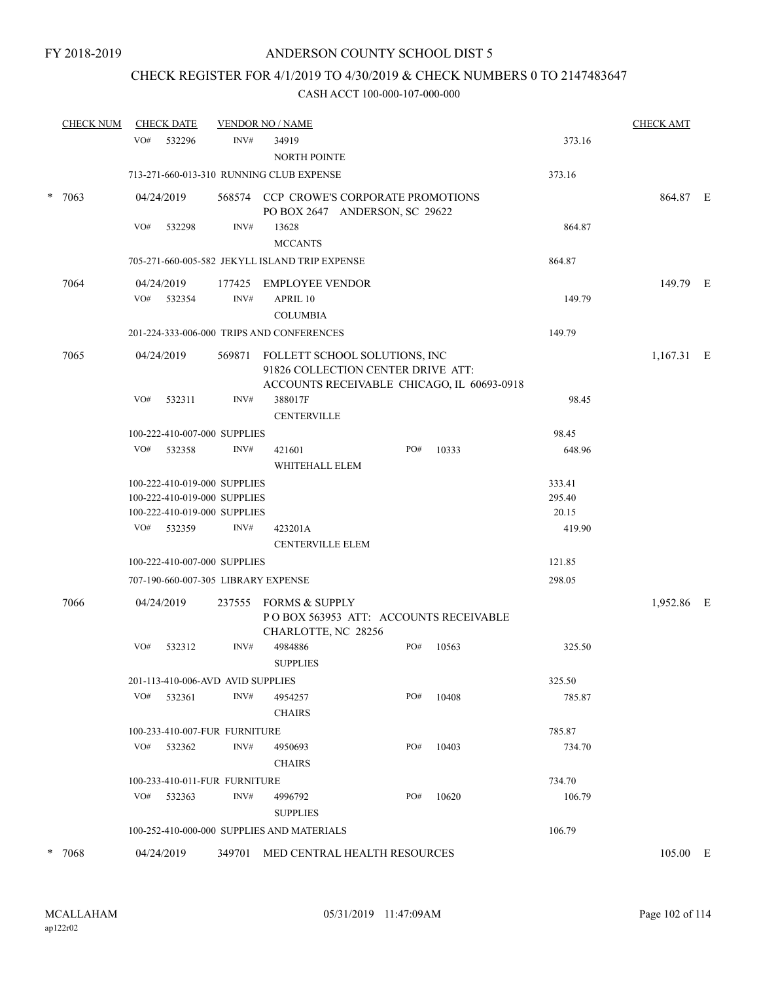### CHECK REGISTER FOR 4/1/2019 TO 4/30/2019 & CHECK NUMBERS 0 TO 2147483647

|  | <b>CHECK NUM</b> |                                        | <b>CHECK DATE</b> |                                     | <b>VENDOR NO / NAME</b>                                                                                                  |  |     |              |        |  | <b>CHECK AMT</b> |  |
|--|------------------|----------------------------------------|-------------------|-------------------------------------|--------------------------------------------------------------------------------------------------------------------------|--|-----|--------------|--------|--|------------------|--|
|  |                  | VO#                                    | 532296            | INV#                                | 34919                                                                                                                    |  |     |              | 373.16 |  |                  |  |
|  |                  |                                        |                   |                                     | <b>NORTH POINTE</b>                                                                                                      |  |     |              |        |  |                  |  |
|  |                  |                                        |                   |                                     | 713-271-660-013-310 RUNNING CLUB EXPENSE                                                                                 |  |     |              | 373.16 |  |                  |  |
|  | $* 7063$         |                                        | 04/24/2019        |                                     | 568574 CCP CROWE'S CORPORATE PROMOTIONS<br>PO BOX 2647 ANDERSON, SC 29622                                                |  |     |              |        |  | 864.87 E         |  |
|  |                  | VO#                                    | 532298            | INV#                                | 13628<br><b>MCCANTS</b>                                                                                                  |  |     |              | 864.87 |  |                  |  |
|  |                  |                                        |                   |                                     | 705-271-660-005-582 JEKYLL ISLAND TRIP EXPENSE                                                                           |  |     |              | 864.87 |  |                  |  |
|  | 7064             |                                        | 04/24/2019        |                                     | 177425 EMPLOYEE VENDOR                                                                                                   |  |     |              |        |  | 149.79 E         |  |
|  |                  |                                        | VO# 532354        | INV#                                | APRIL 10                                                                                                                 |  |     |              | 149.79 |  |                  |  |
|  |                  |                                        |                   | <b>COLUMBIA</b>                     |                                                                                                                          |  |     |              |        |  |                  |  |
|  |                  |                                        |                   |                                     | 201-224-333-006-000 TRIPS AND CONFERENCES<br>149.79                                                                      |  |     |              |        |  |                  |  |
|  | 7065             |                                        | 04/24/2019        |                                     | 569871 FOLLETT SCHOOL SOLUTIONS, INC<br>91826 COLLECTION CENTER DRIVE ATT:<br>ACCOUNTS RECEIVABLE CHICAGO, IL 60693-0918 |  |     | $1,167.31$ E |        |  |                  |  |
|  |                  | VO#                                    | 532311            | INV#                                | 388017F                                                                                                                  |  |     |              | 98.45  |  |                  |  |
|  |                  |                                        |                   |                                     | <b>CENTERVILLE</b>                                                                                                       |  |     |              |        |  |                  |  |
|  |                  |                                        |                   | 100-222-410-007-000 SUPPLIES        |                                                                                                                          |  |     |              | 98.45  |  |                  |  |
|  |                  | VO#                                    | 532358            | INV#                                | 421601<br>WHITEHALL ELEM                                                                                                 |  | PO# | 10333        | 648.96 |  |                  |  |
|  |                  |                                        |                   | 100-222-410-019-000 SUPPLIES        |                                                                                                                          |  |     |              | 333.41 |  |                  |  |
|  |                  |                                        |                   | 100-222-410-019-000 SUPPLIES        |                                                                                                                          |  |     |              | 295.40 |  |                  |  |
|  |                  |                                        |                   | 100-222-410-019-000 SUPPLIES        |                                                                                                                          |  |     |              | 20.15  |  |                  |  |
|  |                  | VO#                                    | 532359            | INV#                                | 423201A<br><b>CENTERVILLE ELEM</b>                                                                                       |  |     |              | 419.90 |  |                  |  |
|  |                  | 100-222-410-007-000 SUPPLIES<br>121.85 |                   |                                     |                                                                                                                          |  |     |              |        |  |                  |  |
|  |                  |                                        |                   | 707-190-660-007-305 LIBRARY EXPENSE |                                                                                                                          |  |     |              | 298.05 |  |                  |  |
|  | 7066             |                                        | 04/24/2019        |                                     | 237555 FORMS & SUPPLY<br>POBOX 563953 ATT: ACCOUNTS RECEIVABLE                                                           |  |     |              |        |  | 1,952.86 E       |  |
|  |                  |                                        |                   |                                     | CHARLOTTE, NC 28256                                                                                                      |  |     |              |        |  |                  |  |
|  |                  | VO#                                    | 532312            | INV#                                | 4984886<br><b>SUPPLIES</b>                                                                                               |  | PO# | 10563        | 325.50 |  |                  |  |
|  |                  |                                        |                   | 201-113-410-006-AVD AVID SUPPLIES   |                                                                                                                          |  |     |              | 325.50 |  |                  |  |
|  |                  | VO#                                    | 532361            | INV#                                | 4954257<br><b>CHAIRS</b>                                                                                                 |  | PO# | 10408        | 785.87 |  |                  |  |
|  |                  |                                        |                   | 100-233-410-007-FUR FURNITURE       |                                                                                                                          |  |     |              | 785.87 |  |                  |  |
|  |                  | VO#                                    | 532362            | INV#                                | 4950693                                                                                                                  |  | PO# | 10403        | 734.70 |  |                  |  |
|  |                  |                                        |                   |                                     | <b>CHAIRS</b>                                                                                                            |  |     |              |        |  |                  |  |
|  |                  |                                        |                   | 100-233-410-011-FUR FURNITURE       |                                                                                                                          |  |     |              | 734.70 |  |                  |  |
|  |                  |                                        | $VO#$ 532363      | INV#                                | 4996792<br><b>SUPPLIES</b>                                                                                               |  | PO# | 10620        | 106.79 |  |                  |  |
|  |                  |                                        |                   |                                     | 100-252-410-000-000 SUPPLIES AND MATERIALS                                                                               |  |     |              | 106.79 |  |                  |  |
|  | * 7068           |                                        | 04/24/2019        |                                     | 349701 MED CENTRAL HEALTH RESOURCES                                                                                      |  |     |              |        |  | 105.00 E         |  |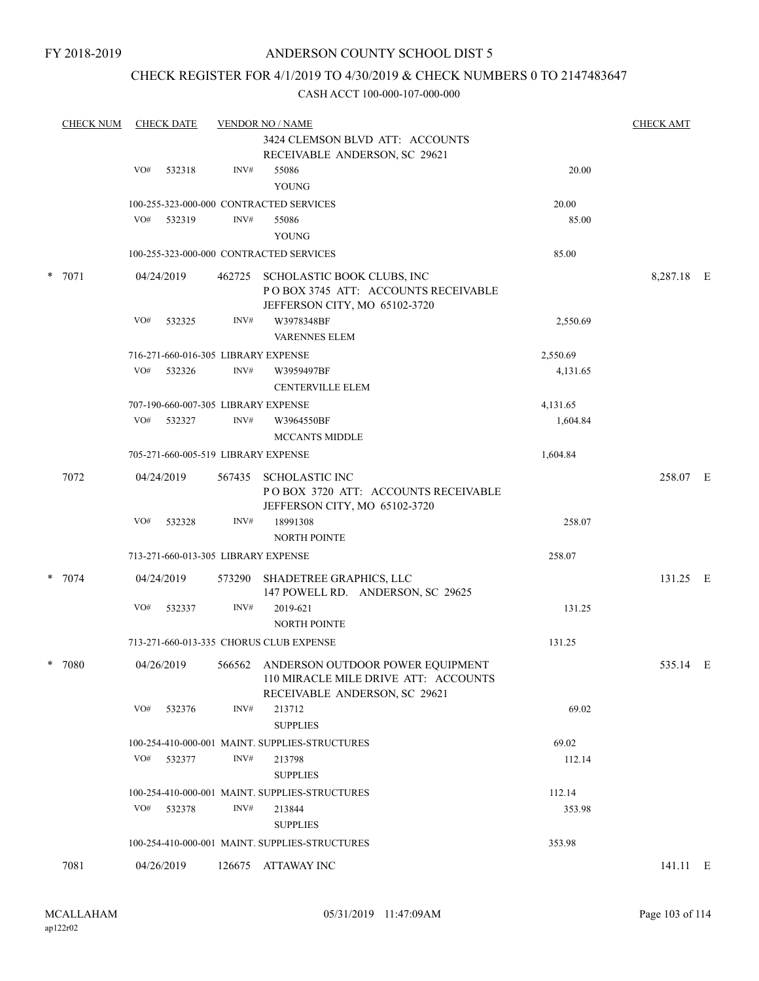### CHECK REGISTER FOR 4/1/2019 TO 4/30/2019 & CHECK NUMBERS 0 TO 2147483647

| <b>CHECK NUM</b> |                                     | <b>CHECK DATE</b><br><b>VENDOR NO / NAME</b> |        |                                                                   |          |            |  |  |
|------------------|-------------------------------------|----------------------------------------------|--------|-------------------------------------------------------------------|----------|------------|--|--|
|                  |                                     |                                              |        | 3424 CLEMSON BLVD ATT: ACCOUNTS                                   |          |            |  |  |
|                  |                                     |                                              |        | RECEIVABLE ANDERSON, SC 29621                                     |          |            |  |  |
|                  | VO#                                 | 532318                                       | INV#   | 55086                                                             | 20.00    |            |  |  |
|                  |                                     |                                              |        | <b>YOUNG</b>                                                      |          |            |  |  |
|                  |                                     |                                              |        | 100-255-323-000-000 CONTRACTED SERVICES                           | 20.00    |            |  |  |
|                  | VO#                                 | 532319                                       | INV#   | 55086                                                             | 85.00    |            |  |  |
|                  |                                     |                                              |        | YOUNG                                                             |          |            |  |  |
|                  |                                     |                                              |        | 100-255-323-000-000 CONTRACTED SERVICES                           | 85.00    |            |  |  |
|                  |                                     |                                              |        |                                                                   |          |            |  |  |
| $* 7071$         | 04/24/2019                          |                                              | 462725 | SCHOLASTIC BOOK CLUBS, INC<br>POBOX 3745 ATT: ACCOUNTS RECEIVABLE |          | 8,287.18 E |  |  |
|                  |                                     |                                              |        | JEFFERSON CITY, MO 65102-3720                                     |          |            |  |  |
|                  | VO#                                 | 532325                                       | INV#   | W3978348BF                                                        | 2,550.69 |            |  |  |
|                  |                                     |                                              |        | <b>VARENNES ELEM</b>                                              |          |            |  |  |
|                  |                                     |                                              |        | 716-271-660-016-305 LIBRARY EXPENSE                               | 2,550.69 |            |  |  |
|                  | VO#                                 | 532326                                       | INV#   |                                                                   |          |            |  |  |
|                  |                                     |                                              |        | W3959497BF<br><b>CENTERVILLE ELEM</b>                             | 4,131.65 |            |  |  |
|                  |                                     |                                              |        |                                                                   |          |            |  |  |
|                  |                                     |                                              |        | 707-190-660-007-305 LIBRARY EXPENSE                               | 4,131.65 |            |  |  |
|                  | VO#                                 | 532327                                       | INV#   | W3964550BF                                                        | 1,604.84 |            |  |  |
|                  |                                     |                                              |        | <b>MCCANTS MIDDLE</b>                                             |          |            |  |  |
|                  |                                     |                                              |        | 705-271-660-005-519 LIBRARY EXPENSE                               | 1,604.84 |            |  |  |
| 7072             |                                     | 04/24/2019                                   | 567435 | SCHOLASTIC INC                                                    |          | 258.07 E   |  |  |
|                  |                                     |                                              |        | POBOX 3720 ATT: ACCOUNTS RECEIVABLE                               |          |            |  |  |
|                  |                                     |                                              |        | JEFFERSON CITY, MO 65102-3720                                     |          |            |  |  |
|                  | VO#                                 | 532328                                       | INV#   | 18991308                                                          | 258.07   |            |  |  |
|                  |                                     |                                              |        | <b>NORTH POINTE</b>                                               |          |            |  |  |
|                  | 713-271-660-013-305 LIBRARY EXPENSE |                                              |        |                                                                   | 258.07   |            |  |  |
| * 7074           |                                     | 04/24/2019                                   | 573290 | SHADETREE GRAPHICS, LLC                                           |          | 131.25 E   |  |  |
|                  |                                     |                                              |        | 147 POWELL RD. ANDERSON, SC 29625                                 |          |            |  |  |
|                  | VO#                                 | 532337                                       | INV#   | 2019-621                                                          | 131.25   |            |  |  |
|                  |                                     |                                              |        | <b>NORTH POINTE</b>                                               |          |            |  |  |
|                  |                                     |                                              |        | 713-271-660-013-335 CHORUS CLUB EXPENSE                           | 131.25   |            |  |  |
| $*$ 7080         |                                     | 04/26/2019                                   |        | 566562 ANDERSON OUTDOOR POWER EQUIPMENT                           |          | 535.14 E   |  |  |
|                  |                                     |                                              |        | 110 MIRACLE MILE DRIVE ATT: ACCOUNTS                              |          |            |  |  |
|                  |                                     |                                              |        | RECEIVABLE ANDERSON, SC 29621                                     |          |            |  |  |
|                  | VO#                                 | 532376                                       | INV#   | 213712                                                            | 69.02    |            |  |  |
|                  |                                     |                                              |        | <b>SUPPLIES</b>                                                   |          |            |  |  |
|                  |                                     |                                              |        | 100-254-410-000-001 MAINT. SUPPLIES-STRUCTURES                    | 69.02    |            |  |  |
|                  | VO#                                 | 532377                                       | INV#   | 213798                                                            | 112.14   |            |  |  |
|                  |                                     |                                              |        | <b>SUPPLIES</b>                                                   |          |            |  |  |
|                  |                                     |                                              |        | 100-254-410-000-001 MAINT. SUPPLIES-STRUCTURES                    | 112.14   |            |  |  |
|                  | VO#                                 | 532378                                       | INV#   | 213844                                                            | 353.98   |            |  |  |
|                  |                                     |                                              |        | <b>SUPPLIES</b>                                                   |          |            |  |  |
|                  |                                     |                                              |        | 100-254-410-000-001 MAINT. SUPPLIES-STRUCTURES                    | 353.98   |            |  |  |
|                  |                                     |                                              |        |                                                                   |          |            |  |  |
| 7081             |                                     | 04/26/2019                                   | 126675 | ATTAWAY INC                                                       |          | 141.11 E   |  |  |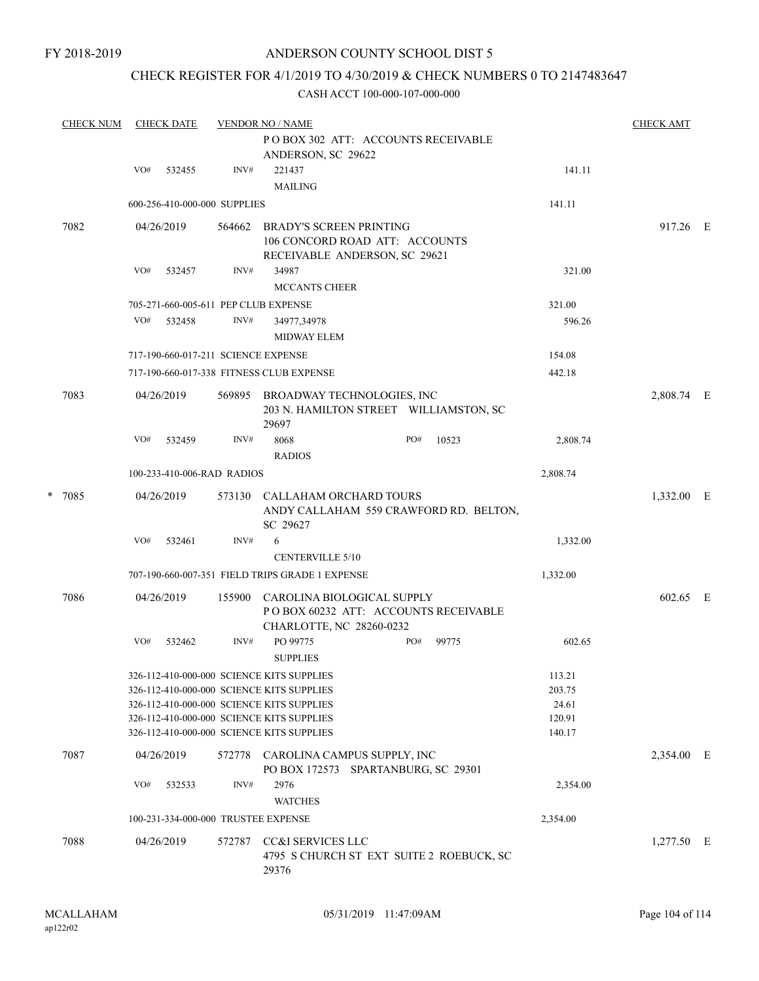### CHECK REGISTER FOR 4/1/2019 TO 4/30/2019 & CHECK NUMBERS 0 TO 2147483647

| <b>CHECK NUM</b> |        | <b>CHECK DATE</b><br><b>VENDOR NO / NAME</b> |                                                                                  |                                       |                                                                                                                                                                                                                                                                                                                                                                                                                                                                                                                                      |                                                                                      |                                                                                                                                                                                                                                                                                                                                                                              |                                        |                  |
|------------------|--------|----------------------------------------------|----------------------------------------------------------------------------------|---------------------------------------|--------------------------------------------------------------------------------------------------------------------------------------------------------------------------------------------------------------------------------------------------------------------------------------------------------------------------------------------------------------------------------------------------------------------------------------------------------------------------------------------------------------------------------------|--------------------------------------------------------------------------------------|------------------------------------------------------------------------------------------------------------------------------------------------------------------------------------------------------------------------------------------------------------------------------------------------------------------------------------------------------------------------------|----------------------------------------|------------------|
|                  |        |                                              |                                                                                  | ANDERSON, SC 29622                    |                                                                                                                                                                                                                                                                                                                                                                                                                                                                                                                                      |                                                                                      |                                                                                                                                                                                                                                                                                                                                                                              |                                        |                  |
|                  | VO#    | 532455                                       | INV#                                                                             | 221437<br><b>MAILING</b>              |                                                                                                                                                                                                                                                                                                                                                                                                                                                                                                                                      |                                                                                      | 141.11                                                                                                                                                                                                                                                                                                                                                                       |                                        |                  |
|                  |        |                                              |                                                                                  |                                       |                                                                                                                                                                                                                                                                                                                                                                                                                                                                                                                                      |                                                                                      | 141.11                                                                                                                                                                                                                                                                                                                                                                       |                                        |                  |
| 7082             |        |                                              | 564662                                                                           |                                       |                                                                                                                                                                                                                                                                                                                                                                                                                                                                                                                                      |                                                                                      | 917.26 E                                                                                                                                                                                                                                                                                                                                                                     |                                        |                  |
|                  | VO#    | 532457                                       | INV#                                                                             | 34987<br><b>MCCANTS CHEER</b>         |                                                                                                                                                                                                                                                                                                                                                                                                                                                                                                                                      |                                                                                      | 321.00                                                                                                                                                                                                                                                                                                                                                                       |                                        |                  |
|                  |        |                                              |                                                                                  |                                       |                                                                                                                                                                                                                                                                                                                                                                                                                                                                                                                                      |                                                                                      | 321.00                                                                                                                                                                                                                                                                                                                                                                       |                                        |                  |
|                  | VO#    | 532458                                       | INV#                                                                             | 34977,34978<br><b>MIDWAY ELEM</b>     |                                                                                                                                                                                                                                                                                                                                                                                                                                                                                                                                      |                                                                                      | 596.26                                                                                                                                                                                                                                                                                                                                                                       |                                        |                  |
|                  |        |                                              |                                                                                  |                                       |                                                                                                                                                                                                                                                                                                                                                                                                                                                                                                                                      |                                                                                      | 154.08                                                                                                                                                                                                                                                                                                                                                                       |                                        |                  |
|                  |        |                                              |                                                                                  |                                       |                                                                                                                                                                                                                                                                                                                                                                                                                                                                                                                                      |                                                                                      | 442.18                                                                                                                                                                                                                                                                                                                                                                       |                                        |                  |
| 7083             |        |                                              | 569895                                                                           | 29697                                 |                                                                                                                                                                                                                                                                                                                                                                                                                                                                                                                                      |                                                                                      |                                                                                                                                                                                                                                                                                                                                                                              | 2,808.74 E                             |                  |
|                  | VO#    | 532459                                       | INV#                                                                             | 8068<br><b>RADIOS</b>                 | PO#                                                                                                                                                                                                                                                                                                                                                                                                                                                                                                                                  | 10523                                                                                | 2,808.74                                                                                                                                                                                                                                                                                                                                                                     |                                        |                  |
|                  |        |                                              |                                                                                  |                                       |                                                                                                                                                                                                                                                                                                                                                                                                                                                                                                                                      |                                                                                      | 2,808.74                                                                                                                                                                                                                                                                                                                                                                     |                                        |                  |
|                  |        |                                              |                                                                                  | SC 29627                              |                                                                                                                                                                                                                                                                                                                                                                                                                                                                                                                                      |                                                                                      |                                                                                                                                                                                                                                                                                                                                                                              | 1,332.00 E                             |                  |
|                  | VO#    | 532461                                       | INV#                                                                             | 6<br><b>CENTERVILLE 5/10</b>          |                                                                                                                                                                                                                                                                                                                                                                                                                                                                                                                                      |                                                                                      | 1,332.00                                                                                                                                                                                                                                                                                                                                                                     |                                        |                  |
|                  |        |                                              |                                                                                  |                                       |                                                                                                                                                                                                                                                                                                                                                                                                                                                                                                                                      |                                                                                      | 1,332.00                                                                                                                                                                                                                                                                                                                                                                     |                                        |                  |
| 7086             |        |                                              | 155900                                                                           |                                       |                                                                                                                                                                                                                                                                                                                                                                                                                                                                                                                                      |                                                                                      |                                                                                                                                                                                                                                                                                                                                                                              | 602.65 E                               |                  |
|                  | VO#    | 532462                                       | INV#                                                                             | PO 99775<br><b>SUPPLIES</b>           | PO#                                                                                                                                                                                                                                                                                                                                                                                                                                                                                                                                  | 99775                                                                                | 602.65                                                                                                                                                                                                                                                                                                                                                                       |                                        |                  |
|                  |        |                                              |                                                                                  |                                       |                                                                                                                                                                                                                                                                                                                                                                                                                                                                                                                                      |                                                                                      | 113.21<br>203.75<br>24.61<br>120.91<br>140.17                                                                                                                                                                                                                                                                                                                                |                                        |                  |
| 7087             |        |                                              |                                                                                  |                                       |                                                                                                                                                                                                                                                                                                                                                                                                                                                                                                                                      |                                                                                      |                                                                                                                                                                                                                                                                                                                                                                              | 2,354.00 E                             |                  |
|                  | VO#    | 532533                                       | INV#                                                                             | 2976<br><b>WATCHES</b>                |                                                                                                                                                                                                                                                                                                                                                                                                                                                                                                                                      |                                                                                      | 2,354.00                                                                                                                                                                                                                                                                                                                                                                     |                                        |                  |
|                  |        |                                              |                                                                                  |                                       |                                                                                                                                                                                                                                                                                                                                                                                                                                                                                                                                      |                                                                                      | 2,354.00                                                                                                                                                                                                                                                                                                                                                                     |                                        |                  |
| 7088             |        |                                              |                                                                                  | <b>CC&amp;I SERVICES LLC</b><br>29376 |                                                                                                                                                                                                                                                                                                                                                                                                                                                                                                                                      |                                                                                      |                                                                                                                                                                                                                                                                                                                                                                              | $1,277.50$ E                           |                  |
|                  | * 7085 |                                              | 04/26/2019<br>04/26/2019<br>04/26/2019<br>04/26/2019<br>04/26/2019<br>04/26/2019 |                                       | 600-256-410-000-000 SUPPLIES<br>705-271-660-005-611 PEP CLUB EXPENSE<br>717-190-660-017-211 SCIENCE EXPENSE<br>717-190-660-017-338 FITNESS CLUB EXPENSE<br>100-233-410-006-RAD RADIOS<br>573130<br>707-190-660-007-351 FIELD TRIPS GRADE 1 EXPENSE<br>326-112-410-000-000 SCIENCE KITS SUPPLIES<br>326-112-410-000-000 SCIENCE KITS SUPPLIES<br>326-112-410-000-000 SCIENCE KITS SUPPLIES<br>326-112-410-000-000 SCIENCE KITS SUPPLIES<br>326-112-410-000-000 SCIENCE KITS SUPPLIES<br>100-231-334-000-000 TRUSTEE EXPENSE<br>572787 | <b>BRADY'S SCREEN PRINTING</b><br>CALLAHAM ORCHARD TOURS<br>CHARLOTTE, NC 28260-0232 | POBOX 302 ATT: ACCOUNTS RECEIVABLE<br>106 CONCORD ROAD ATT: ACCOUNTS<br>RECEIVABLE ANDERSON, SC 29621<br>BROADWAY TECHNOLOGIES, INC<br>203 N. HAMILTON STREET WILLIAMSTON, SC<br>CAROLINA BIOLOGICAL SUPPLY<br>POBOX 60232 ATT: ACCOUNTS RECEIVABLE<br>572778 CAROLINA CAMPUS SUPPLY, INC<br>PO BOX 172573 SPARTANBURG, SC 29301<br>4795 S CHURCH ST EXT SUITE 2 ROEBUCK, SC | ANDY CALLAHAM 559 CRAWFORD RD. BELTON, | <b>CHECK AMT</b> |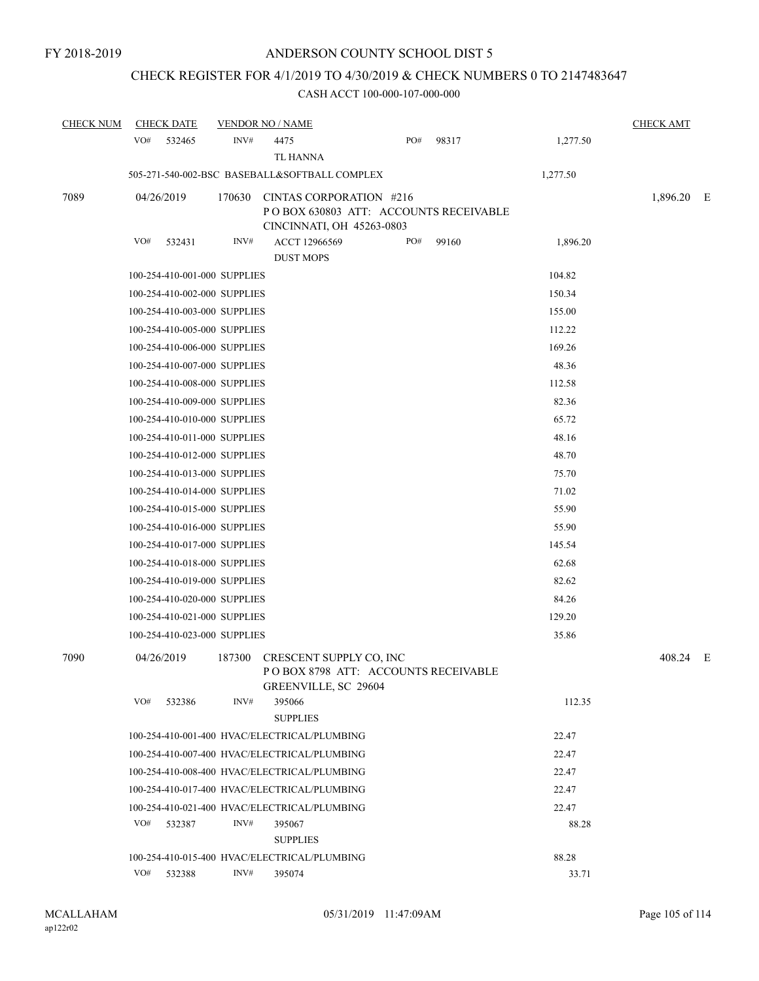# CHECK REGISTER FOR 4/1/2019 TO 4/30/2019 & CHECK NUMBERS 0 TO 2147483647

| <b>CHECK NUM</b> | <b>CHECK DATE</b>            |        | <b>VENDOR NO / NAME</b>                                                                       |     |       |          | <b>CHECK AMT</b> |  |
|------------------|------------------------------|--------|-----------------------------------------------------------------------------------------------|-----|-------|----------|------------------|--|
|                  | VO#<br>532465                | INV#   | 4475<br>TL HANNA                                                                              | PO# | 98317 | 1,277.50 |                  |  |
|                  |                              |        | 505-271-540-002-BSC BASEBALL&SOFTBALL COMPLEX                                                 |     |       | 1,277.50 |                  |  |
| 7089             | 04/26/2019                   | 170630 | CINTAS CORPORATION #216<br>POBOX 630803 ATT: ACCOUNTS RECEIVABLE<br>CINCINNATI, OH 45263-0803 |     |       |          | 1,896.20 E       |  |
|                  | VO#<br>532431                | INV#   | ACCT 12966569                                                                                 | PO# | 99160 | 1,896.20 |                  |  |
|                  |                              |        | <b>DUST MOPS</b>                                                                              |     |       |          |                  |  |
|                  | 100-254-410-001-000 SUPPLIES |        |                                                                                               |     |       | 104.82   |                  |  |
|                  | 100-254-410-002-000 SUPPLIES |        |                                                                                               |     |       | 150.34   |                  |  |
|                  | 100-254-410-003-000 SUPPLIES |        |                                                                                               |     |       | 155.00   |                  |  |
|                  | 100-254-410-005-000 SUPPLIES |        |                                                                                               |     |       | 112.22   |                  |  |
|                  | 100-254-410-006-000 SUPPLIES |        |                                                                                               |     |       | 169.26   |                  |  |
|                  | 100-254-410-007-000 SUPPLIES |        |                                                                                               |     |       | 48.36    |                  |  |
|                  | 100-254-410-008-000 SUPPLIES |        |                                                                                               |     |       | 112.58   |                  |  |
|                  | 100-254-410-009-000 SUPPLIES |        |                                                                                               |     |       | 82.36    |                  |  |
|                  | 100-254-410-010-000 SUPPLIES |        |                                                                                               |     |       | 65.72    |                  |  |
|                  | 100-254-410-011-000 SUPPLIES |        |                                                                                               |     |       | 48.16    |                  |  |
|                  | 100-254-410-012-000 SUPPLIES |        |                                                                                               |     |       | 48.70    |                  |  |
|                  | 100-254-410-013-000 SUPPLIES |        |                                                                                               |     |       | 75.70    |                  |  |
|                  | 100-254-410-014-000 SUPPLIES |        |                                                                                               |     |       | 71.02    |                  |  |
|                  | 100-254-410-015-000 SUPPLIES |        |                                                                                               |     |       | 55.90    |                  |  |
|                  | 100-254-410-016-000 SUPPLIES |        |                                                                                               |     |       | 55.90    |                  |  |
|                  | 100-254-410-017-000 SUPPLIES |        |                                                                                               |     |       | 145.54   |                  |  |
|                  | 100-254-410-018-000 SUPPLIES |        |                                                                                               |     |       | 62.68    |                  |  |
|                  | 100-254-410-019-000 SUPPLIES |        |                                                                                               |     |       | 82.62    |                  |  |
|                  | 100-254-410-020-000 SUPPLIES |        |                                                                                               |     |       | 84.26    |                  |  |
|                  | 100-254-410-021-000 SUPPLIES |        |                                                                                               |     |       | 129.20   |                  |  |
|                  | 100-254-410-023-000 SUPPLIES |        |                                                                                               |     |       | 35.86    |                  |  |
| 7090             | 04/26/2019                   | 187300 | CRESCENT SUPPLY CO, INC<br>POBOX 8798 ATT: ACCOUNTS RECEIVABLE<br>GREENVILLE, SC 29604        |     |       |          | 408.24 E         |  |
|                  | VO#<br>532386                | INV#   | 395066<br><b>SUPPLIES</b>                                                                     |     |       | 112.35   |                  |  |
|                  |                              |        | 100-254-410-001-400 HVAC/ELECTRICAL/PLUMBING                                                  |     |       | 22.47    |                  |  |
|                  |                              |        | 100-254-410-007-400 HVAC/ELECTRICAL/PLUMBING                                                  |     |       | 22.47    |                  |  |
|                  |                              |        | 100-254-410-008-400 HVAC/ELECTRICAL/PLUMBING                                                  |     |       | 22.47    |                  |  |
|                  |                              |        | 100-254-410-017-400 HVAC/ELECTRICAL/PLUMBING                                                  |     |       | 22.47    |                  |  |
|                  |                              |        | 100-254-410-021-400 HVAC/ELECTRICAL/PLUMBING                                                  |     |       | 22.47    |                  |  |
|                  | VO#<br>532387                | INV#   | 395067<br><b>SUPPLIES</b>                                                                     |     |       | 88.28    |                  |  |
|                  |                              |        | 100-254-410-015-400 HVAC/ELECTRICAL/PLUMBING                                                  |     |       | 88.28    |                  |  |
|                  | VO#<br>532388                | INV#   | 395074                                                                                        |     |       | 33.71    |                  |  |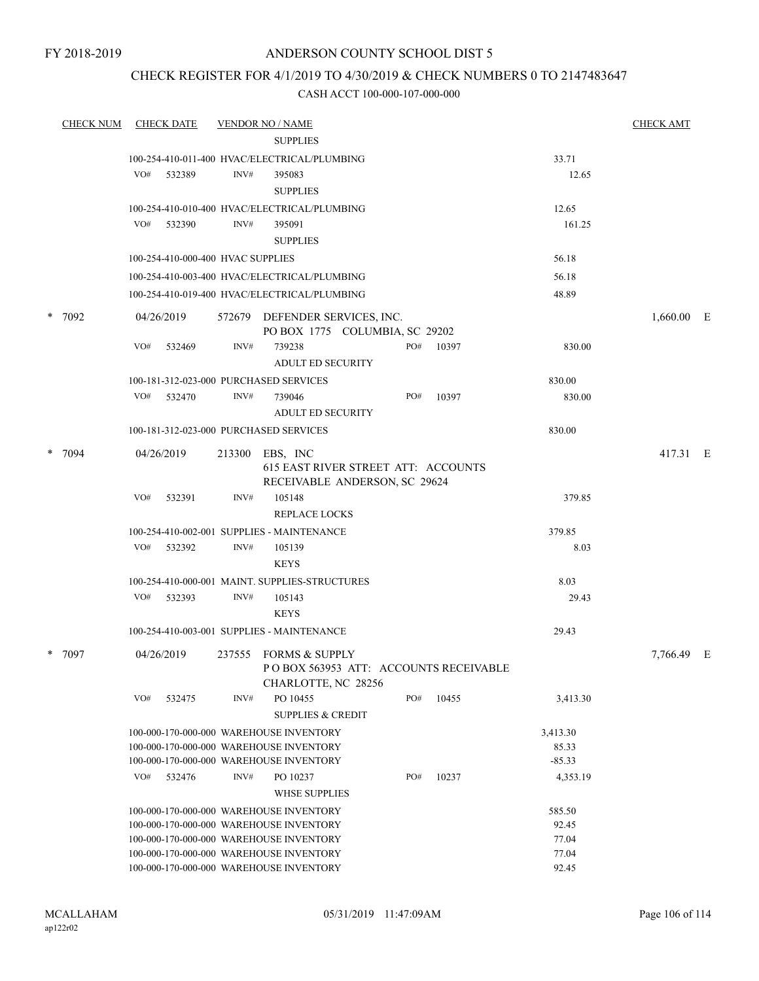FY 2018-2019

### ANDERSON COUNTY SCHOOL DIST 5

### CHECK REGISTER FOR 4/1/2019 TO 4/30/2019 & CHECK NUMBERS 0 TO 2147483647

| <b>CHECK NUM</b> | <b>CHECK DATE</b>                      |        | <b>VENDOR NO / NAME</b>                                                                 |     |           |          | <b>CHECK AMT</b> |  |
|------------------|----------------------------------------|--------|-----------------------------------------------------------------------------------------|-----|-----------|----------|------------------|--|
|                  |                                        |        | <b>SUPPLIES</b>                                                                         |     |           |          |                  |  |
|                  |                                        |        | 100-254-410-011-400 HVAC/ELECTRICAL/PLUMBING                                            |     |           | 33.71    |                  |  |
|                  | VO#<br>532389                          | INV#   | 395083                                                                                  |     |           | 12.65    |                  |  |
|                  |                                        |        | <b>SUPPLIES</b>                                                                         |     |           |          |                  |  |
|                  |                                        |        | 100-254-410-010-400 HVAC/ELECTRICAL/PLUMBING                                            |     |           | 12.65    |                  |  |
|                  | VO# 532390                             | INV#   | 395091                                                                                  |     |           | 161.25   |                  |  |
|                  |                                        |        | <b>SUPPLIES</b>                                                                         |     |           |          |                  |  |
|                  | 100-254-410-000-400 HVAC SUPPLIES      |        |                                                                                         |     |           | 56.18    |                  |  |
|                  |                                        |        | 100-254-410-003-400 HVAC/ELECTRICAL/PLUMBING                                            |     |           | 56.18    |                  |  |
|                  |                                        |        |                                                                                         |     |           |          |                  |  |
|                  |                                        |        | 100-254-410-019-400 HVAC/ELECTRICAL/PLUMBING                                            |     |           | 48.89    |                  |  |
| $*$ 7092         | 04/26/2019                             |        | 572679 DEFENDER SERVICES, INC.<br>PO BOX 1775 COLUMBIA, SC 29202                        |     |           |          | 1,660.00 E       |  |
|                  | VO#<br>532469                          | INV#   | 739238<br><b>ADULT ED SECURITY</b>                                                      |     | PO# 10397 | 830.00   |                  |  |
|                  | 100-181-312-023-000 PURCHASED SERVICES |        |                                                                                         |     |           | 830.00   |                  |  |
|                  | VO#<br>532470                          | INV#   | 739046                                                                                  | PO# | 10397     | 830.00   |                  |  |
|                  |                                        |        | <b>ADULT ED SECURITY</b>                                                                |     |           |          |                  |  |
|                  | 100-181-312-023-000 PURCHASED SERVICES |        |                                                                                         |     |           | 830.00   |                  |  |
|                  |                                        |        |                                                                                         |     |           |          |                  |  |
| $*$ 7094         | 04/26/2019                             | 213300 | EBS, INC<br><b>615 EAST RIVER STREET ATT: ACCOUNTS</b><br>RECEIVABLE ANDERSON, SC 29624 |     |           |          | 417.31 E         |  |
|                  | VO#<br>532391                          | INV#   | 105148                                                                                  |     |           | 379.85   |                  |  |
|                  |                                        |        | <b>REPLACE LOCKS</b>                                                                    |     |           |          |                  |  |
|                  |                                        |        | 100-254-410-002-001 SUPPLIES - MAINTENANCE                                              |     |           | 379.85   |                  |  |
|                  | VO#<br>532392                          | INV#   | 105139                                                                                  |     |           | 8.03     |                  |  |
|                  |                                        |        | <b>KEYS</b>                                                                             |     |           |          |                  |  |
|                  |                                        |        | 100-254-410-000-001 MAINT. SUPPLIES-STRUCTURES                                          |     |           | 8.03     |                  |  |
|                  | VO# 532393                             | INV#   | 105143                                                                                  |     |           | 29.43    |                  |  |
|                  |                                        |        | <b>KEYS</b>                                                                             |     |           |          |                  |  |
|                  |                                        |        | 100-254-410-003-001 SUPPLIES - MAINTENANCE                                              |     |           | 29.43    |                  |  |
|                  |                                        |        |                                                                                         |     |           |          |                  |  |
| $*$ 7097         | 04/26/2019                             |        | 237555 FORMS & SUPPLY<br>PO BOX 563953 ATT: ACCOUNTS RECEIVABLE<br>CHARLOTTE, NC 28256  |     |           |          | 7,766.49 E       |  |
|                  | VO#<br>532475                          | INV#   | PO 10455<br><b>SUPPLIES &amp; CREDIT</b>                                                | PO# | 10455     | 3,413.30 |                  |  |
|                  |                                        |        | 100-000-170-000-000 WAREHOUSE INVENTORY                                                 |     |           | 3,413.30 |                  |  |
|                  |                                        |        | 100-000-170-000-000 WAREHOUSE INVENTORY                                                 |     |           | 85.33    |                  |  |
|                  |                                        |        | 100-000-170-000-000 WAREHOUSE INVENTORY                                                 |     |           | $-85.33$ |                  |  |
|                  | VO#<br>532476                          | INV#   | PO 10237                                                                                | PO# | 10237     | 4,353.19 |                  |  |
|                  |                                        |        | <b>WHSE SUPPLIES</b>                                                                    |     |           |          |                  |  |
|                  |                                        |        | 100-000-170-000-000 WAREHOUSE INVENTORY                                                 |     |           | 585.50   |                  |  |
|                  |                                        |        | 100-000-170-000-000 WAREHOUSE INVENTORY                                                 |     |           | 92.45    |                  |  |
|                  |                                        |        | 100-000-170-000-000 WAREHOUSE INVENTORY                                                 |     |           | 77.04    |                  |  |
|                  |                                        |        | 100-000-170-000-000 WAREHOUSE INVENTORY                                                 |     |           | 77.04    |                  |  |
|                  |                                        |        | 100-000-170-000-000 WAREHOUSE INVENTORY                                                 |     |           | 92.45    |                  |  |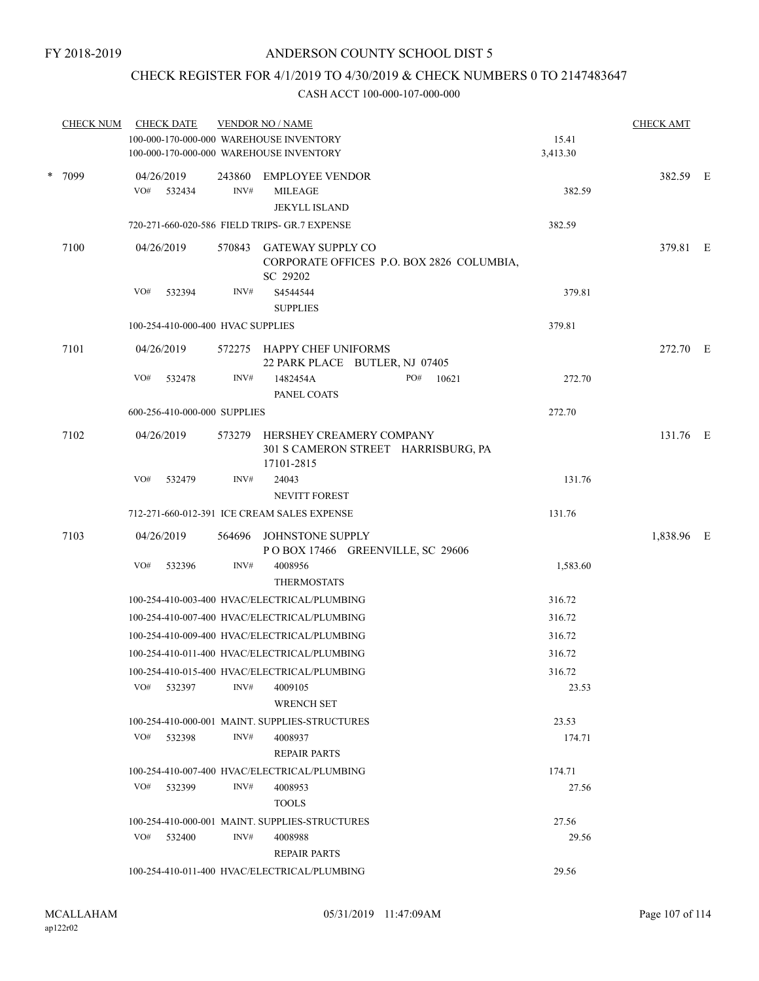### CHECK REGISTER FOR 4/1/2019 TO 4/30/2019 & CHECK NUMBERS 0 TO 2147483647

|      | <b>CHECK NUM</b>                  |            | <b>CHECK DATE</b>            |                                                              | <b>VENDOR NO / NAME</b>                                                              |  |        |       |                   | <b>CHECK AMT</b> |  |
|------|-----------------------------------|------------|------------------------------|--------------------------------------------------------------|--------------------------------------------------------------------------------------|--|--------|-------|-------------------|------------------|--|
|      |                                   |            |                              |                                                              | 100-000-170-000-000 WAREHOUSE INVENTORY<br>100-000-170-000-000 WAREHOUSE INVENTORY   |  |        |       | 15.41<br>3,413.30 |                  |  |
|      | * 7099                            |            | 04/26/2019<br>VO# 532434     | 243860<br>INV#                                               | EMPLOYEE VENDOR<br><b>MILEAGE</b><br><b>JEKYLL ISLAND</b>                            |  |        |       | 382.59            | 382.59 E         |  |
|      |                                   |            |                              |                                                              | 720-271-660-020-586 FIELD TRIPS- GR.7 EXPENSE                                        |  |        |       | 382.59            |                  |  |
|      | 7100                              |            | 04/26/2019                   | 570843                                                       | <b>GATEWAY SUPPLY CO</b>                                                             |  |        |       |                   | 379.81 E         |  |
|      |                                   |            |                              |                                                              | CORPORATE OFFICES P.O. BOX 2826 COLUMBIA,<br>SC 29202                                |  |        |       |                   |                  |  |
|      |                                   | VO#        | 532394                       | INV#                                                         | S4544544<br><b>SUPPLIES</b>                                                          |  |        |       | 379.81            |                  |  |
| 7101 | 100-254-410-000-400 HVAC SUPPLIES |            |                              |                                                              |                                                                                      |  | 379.81 |       |                   |                  |  |
|      |                                   | 04/26/2019 |                              | 572275 HAPPY CHEF UNIFORMS<br>22 PARK PLACE BUTLER, NJ 07405 |                                                                                      |  |        |       | 272.70 E          |                  |  |
|      |                                   | VO#        | 532478                       | INV#                                                         | 1482454A<br>PANEL COATS                                                              |  | PO#    | 10621 | 272.70            |                  |  |
|      |                                   |            | 600-256-410-000-000 SUPPLIES |                                                              |                                                                                      |  |        |       | 272.70            |                  |  |
|      | 7102                              |            | 04/26/2019                   |                                                              | 573279 HERSHEY CREAMERY COMPANY<br>301 S CAMERON STREET HARRISBURG, PA<br>17101-2815 |  |        |       |                   | 131.76 E         |  |
|      |                                   | VO#        | 532479                       | INV#                                                         | 24043<br>NEVITT FOREST                                                               |  |        |       | 131.76            |                  |  |
|      |                                   |            |                              |                                                              | 712-271-660-012-391 ICE CREAM SALES EXPENSE                                          |  |        |       | 131.76            |                  |  |
|      | 7103                              |            | 04/26/2019                   |                                                              | 564696 JOHNSTONE SUPPLY<br>POBOX 17466 GREENVILLE, SC 29606                          |  |        |       |                   | 1,838.96 E       |  |
|      |                                   | VO#        | 532396                       | INV#                                                         | 4008956<br><b>THERMOSTATS</b>                                                        |  |        |       | 1,583.60          |                  |  |
|      |                                   |            |                              |                                                              | 100-254-410-003-400 HVAC/ELECTRICAL/PLUMBING                                         |  |        |       | 316.72            |                  |  |
|      |                                   |            |                              |                                                              | 100-254-410-007-400 HVAC/ELECTRICAL/PLUMBING                                         |  |        |       | 316.72            |                  |  |
|      |                                   |            |                              |                                                              | 100-254-410-009-400 HVAC/ELECTRICAL/PLUMBING                                         |  |        |       | 316.72            |                  |  |
|      |                                   |            |                              |                                                              | 100-254-410-011-400 HVAC/ELECTRICAL/PLUMBING                                         |  |        |       | 316.72            |                  |  |
|      |                                   |            |                              |                                                              | 100-254-410-015-400 HVAC/ELECTRICAL/PLUMBING                                         |  |        |       | 316.72            |                  |  |
|      |                                   | VO#        | 532397                       | INV#                                                         | 4009105<br><b>WRENCH SET</b>                                                         |  |        |       | 23.53             |                  |  |
|      |                                   |            |                              |                                                              | 100-254-410-000-001 MAINT. SUPPLIES-STRUCTURES                                       |  |        |       | 23.53             |                  |  |
|      |                                   |            | VO# 532398                   | INV#                                                         | 4008937<br><b>REPAIR PARTS</b>                                                       |  |        |       | 174.71            |                  |  |
|      |                                   |            |                              |                                                              | 100-254-410-007-400 HVAC/ELECTRICAL/PLUMBING                                         |  |        |       | 174.71            |                  |  |
|      |                                   |            | VO# 532399                   | INV#                                                         | 4008953<br><b>TOOLS</b>                                                              |  |        |       | 27.56             |                  |  |
|      |                                   |            |                              |                                                              | 100-254-410-000-001 MAINT. SUPPLIES-STRUCTURES                                       |  |        |       | 27.56             |                  |  |
|      |                                   |            | $VO#$ 532400                 | INV#                                                         | 4008988<br><b>REPAIR PARTS</b>                                                       |  |        |       | 29.56             |                  |  |
|      |                                   |            |                              |                                                              | 100-254-410-011-400 HVAC/ELECTRICAL/PLUMBING                                         |  |        |       | 29.56             |                  |  |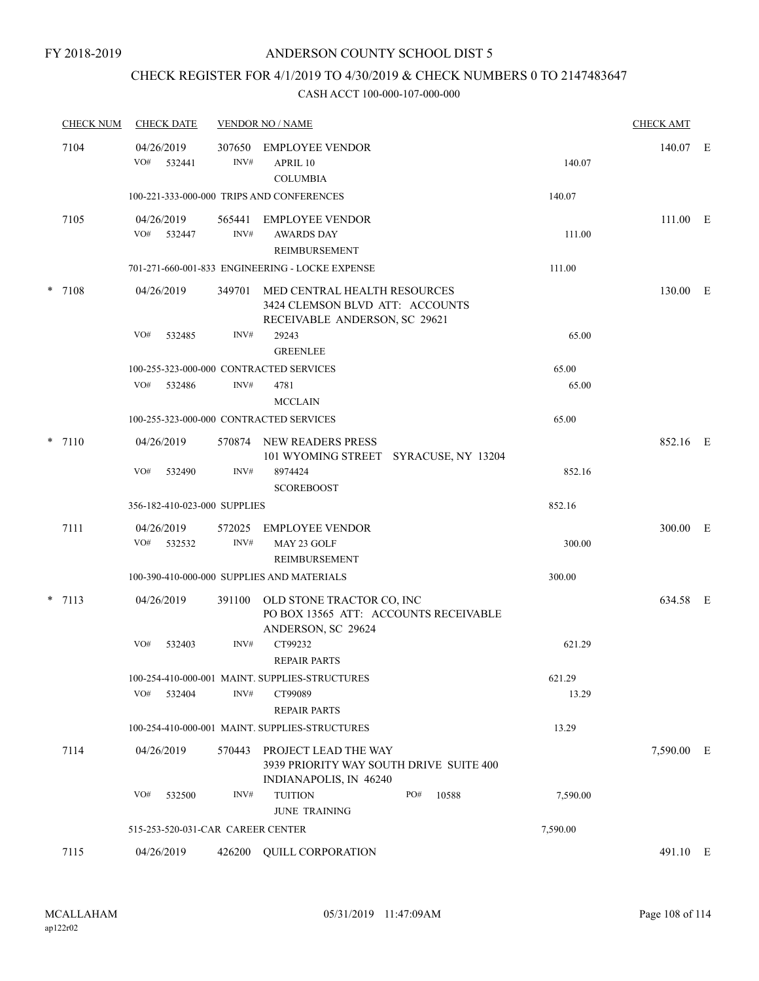### CHECK REGISTER FOR 4/1/2019 TO 4/30/2019 & CHECK NUMBERS 0 TO 2147483647

| <b>CHECK NUM</b> | <b>CHECK DATE</b>                       |                | <b>VENDOR NO / NAME</b>                                                                          |          | <b>CHECK AMT</b> |  |
|------------------|-----------------------------------------|----------------|--------------------------------------------------------------------------------------------------|----------|------------------|--|
| 7104             | 04/26/2019<br>VO#<br>532441             | 307650<br>INV# | <b>EMPLOYEE VENDOR</b><br>APRIL 10<br><b>COLUMBIA</b>                                            | 140.07   | 140.07 E         |  |
|                  |                                         |                | 100-221-333-000-000 TRIPS AND CONFERENCES                                                        | 140.07   |                  |  |
| 7105             | 04/26/2019<br>VO# 532447                | 565441<br>INV# | EMPLOYEE VENDOR<br><b>AWARDS DAY</b><br><b>REIMBURSEMENT</b>                                     | 111.00   | 111.00 E         |  |
|                  |                                         |                | 701-271-660-001-833 ENGINEERING - LOCKE EXPENSE                                                  | 111.00   |                  |  |
| $*$ 7108         | 04/26/2019                              | 349701         | MED CENTRAL HEALTH RESOURCES<br>3424 CLEMSON BLVD ATT: ACCOUNTS<br>RECEIVABLE ANDERSON, SC 29621 |          | 130.00 E         |  |
|                  | VO#<br>532485                           | INV#           | 29243<br><b>GREENLEE</b>                                                                         | 65.00    |                  |  |
|                  | 100-255-323-000-000 CONTRACTED SERVICES |                |                                                                                                  | 65.00    |                  |  |
|                  | VO#<br>532486                           | INV#           | 4781<br><b>MCCLAIN</b>                                                                           | 65.00    |                  |  |
|                  | 100-255-323-000-000 CONTRACTED SERVICES |                |                                                                                                  | 65.00    |                  |  |
| $*$ 7110         | 04/26/2019                              | 570874         | NEW READERS PRESS<br>101 WYOMING STREET SYRACUSE, NY 13204                                       |          | 852.16 E         |  |
|                  | VO#<br>532490                           | INV#           | 8974424<br><b>SCOREBOOST</b>                                                                     | 852.16   |                  |  |
|                  | 356-182-410-023-000 SUPPLIES            |                |                                                                                                  | 852.16   |                  |  |
| 7111             | 04/26/2019<br>VO#<br>532532             | 572025<br>INV# | EMPLOYEE VENDOR<br>MAY 23 GOLF                                                                   | 300.00   | 300.00 E         |  |
|                  |                                         |                | <b>REIMBURSEMENT</b><br>100-390-410-000-000 SUPPLIES AND MATERIALS                               | 300.00   |                  |  |
|                  |                                         |                |                                                                                                  |          |                  |  |
| $*$ 7113         | 04/26/2019                              | 391100         | OLD STONE TRACTOR CO, INC<br>PO BOX 13565 ATT: ACCOUNTS RECEIVABLE<br>ANDERSON, SC 29624         |          | 634.58 E         |  |
|                  | VO#<br>532403                           | INV#           | CT99232<br><b>REPAIR PARTS</b>                                                                   | 621.29   |                  |  |
|                  |                                         |                | 100-254-410-000-001 MAINT, SUPPLIES-STRUCTURES                                                   | 621.29   |                  |  |
|                  | VO#<br>532404                           | INV#           | CT99089<br><b>REPAIR PARTS</b>                                                                   | 13.29    |                  |  |
|                  |                                         |                | 100-254-410-000-001 MAINT. SUPPLIES-STRUCTURES                                                   | 13.29    |                  |  |
| 7114             | 04/26/2019                              | 570443         | PROJECT LEAD THE WAY<br>3939 PRIORITY WAY SOUTH DRIVE SUITE 400<br>INDIANAPOLIS, IN 46240        |          | 7,590.00 E       |  |
|                  | VO#<br>532500                           | INV#           | <b>TUITION</b><br>PO#<br>10588<br><b>JUNE TRAINING</b>                                           | 7,590.00 |                  |  |
|                  | 515-253-520-031-CAR CAREER CENTER       |                |                                                                                                  | 7,590.00 |                  |  |
| 7115             | 04/26/2019                              | 426200         | <b>QUILL CORPORATION</b>                                                                         |          | 491.10 E         |  |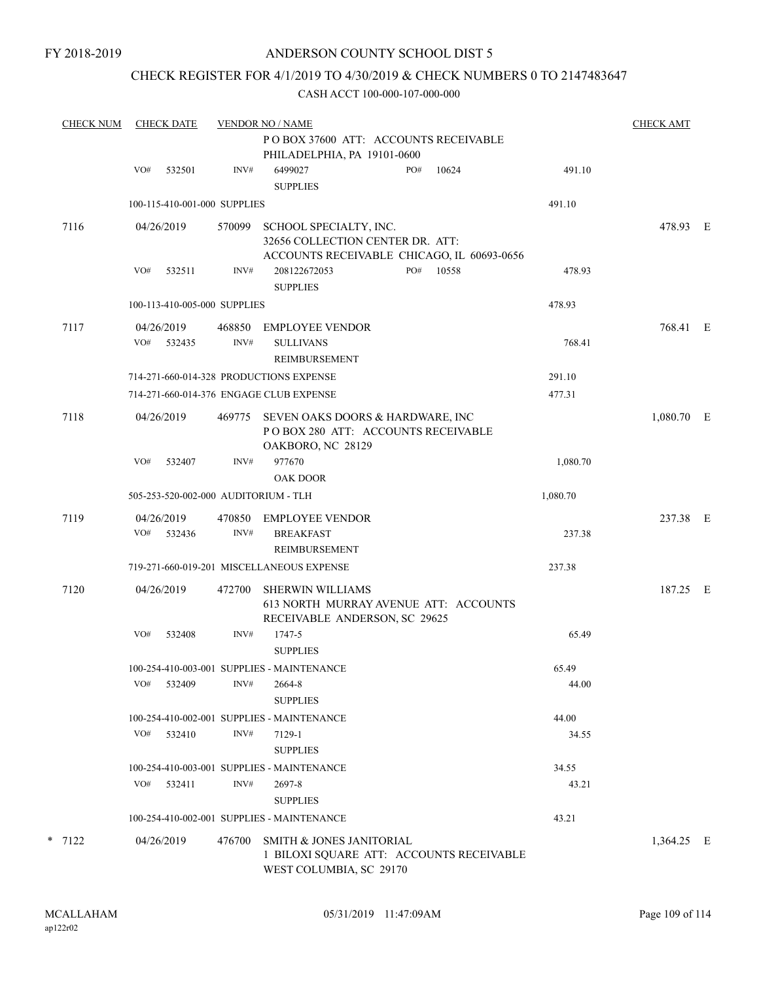## CHECK REGISTER FOR 4/1/2019 TO 4/30/2019 & CHECK NUMBERS 0 TO 2147483647

| <b>CHECK NUM</b> | <b>CHECK DATE</b>            |        |                | <b>VENDOR NO / NAME</b>                                                                                  |     |       |          | <b>CHECK AMT</b> |  |
|------------------|------------------------------|--------|----------------|----------------------------------------------------------------------------------------------------------|-----|-------|----------|------------------|--|
|                  |                              |        |                | PO BOX 37600 ATT: ACCOUNTS RECEIVABLE<br>PHILADELPHIA, PA 19101-0600                                     |     |       |          |                  |  |
|                  | VO#                          | 532501 | INV#           | 6499027<br><b>SUPPLIES</b>                                                                               | PO# | 10624 | 491.10   |                  |  |
|                  | 100-115-410-001-000 SUPPLIES |        |                |                                                                                                          |     |       | 491.10   |                  |  |
| 7116             | 04/26/2019                   |        | 570099         | SCHOOL SPECIALTY, INC.<br>32656 COLLECTION CENTER DR. ATT:<br>ACCOUNTS RECEIVABLE CHICAGO, IL 60693-0656 |     |       |          | 478.93 E         |  |
|                  | VO#                          | 532511 | INV#           | 208122672053<br><b>SUPPLIES</b>                                                                          | PO# | 10558 | 478.93   |                  |  |
|                  | 100-113-410-005-000 SUPPLIES |        |                |                                                                                                          |     |       | 478.93   |                  |  |
| 7117             | 04/26/2019<br>VO#            | 532435 | 468850<br>INV# | EMPLOYEE VENDOR<br><b>SULLIVANS</b><br><b>REIMBURSEMENT</b>                                              |     |       | 768.41   | 768.41 E         |  |
|                  |                              |        |                | 714-271-660-014-328 PRODUCTIONS EXPENSE                                                                  |     |       | 291.10   |                  |  |
|                  |                              |        |                | 714-271-660-014-376 ENGAGE CLUB EXPENSE                                                                  |     |       | 477.31   |                  |  |
| 7118             | 04/26/2019                   |        | 469775         | SEVEN OAKS DOORS & HARDWARE, INC<br>POBOX 280 ATT: ACCOUNTS RECEIVABLE<br>OAKBORO, NC 28129              |     |       |          | $1,080.70$ E     |  |
|                  | VO#                          | 532407 | INV#           | 977670<br><b>OAK DOOR</b>                                                                                |     |       | 1,080.70 |                  |  |
|                  |                              |        |                | 505-253-520-002-000 AUDITORIUM - TLH                                                                     |     |       | 1,080.70 |                  |  |
| 7119             | 04/26/2019<br>VO#            | 532436 | 470850<br>INV# | EMPLOYEE VENDOR<br><b>BREAKFAST</b><br><b>REIMBURSEMENT</b>                                              |     |       | 237.38   | 237.38 E         |  |
|                  |                              |        |                | 719-271-660-019-201 MISCELLANEOUS EXPENSE                                                                |     |       | 237.38   |                  |  |
| 7120             | 04/26/2019                   |        | 472700         | <b>SHERWIN WILLIAMS</b><br>613 NORTH MURRAY AVENUE ATT: ACCOUNTS<br>RECEIVABLE ANDERSON, SC 29625        |     |       |          | 187.25 E         |  |
|                  | VO#                          | 532408 | INV#           | 1747-5<br><b>SUPPLIES</b>                                                                                |     |       | 65.49    |                  |  |
|                  |                              |        |                | 100-254-410-003-001 SUPPLIES - MAINTENANCE                                                               |     |       | 65.49    |                  |  |
|                  | VO#                          | 532409 | INV#           | 2664-8<br><b>SUPPLIES</b>                                                                                |     |       | 44.00    |                  |  |
|                  |                              |        |                | 100-254-410-002-001 SUPPLIES - MAINTENANCE                                                               |     |       | 44.00    |                  |  |
|                  | VO#                          | 532410 | INV#           | 7129-1<br><b>SUPPLIES</b>                                                                                |     |       | 34.55    |                  |  |
|                  |                              |        |                | 100-254-410-003-001 SUPPLIES - MAINTENANCE                                                               |     |       | 34.55    |                  |  |
|                  | VO#                          | 532411 | INV#           | 2697-8<br><b>SUPPLIES</b>                                                                                |     |       | 43.21    |                  |  |
|                  |                              |        |                | 100-254-410-002-001 SUPPLIES - MAINTENANCE                                                               |     |       | 43.21    |                  |  |
| $*$ 7122         | 04/26/2019                   |        | 476700         | SMITH & JONES JANITORIAL<br>1 BILOXI SQUARE ATT: ACCOUNTS RECEIVABLE<br>WEST COLUMBIA, SC 29170          |     |       |          | 1,364.25 E       |  |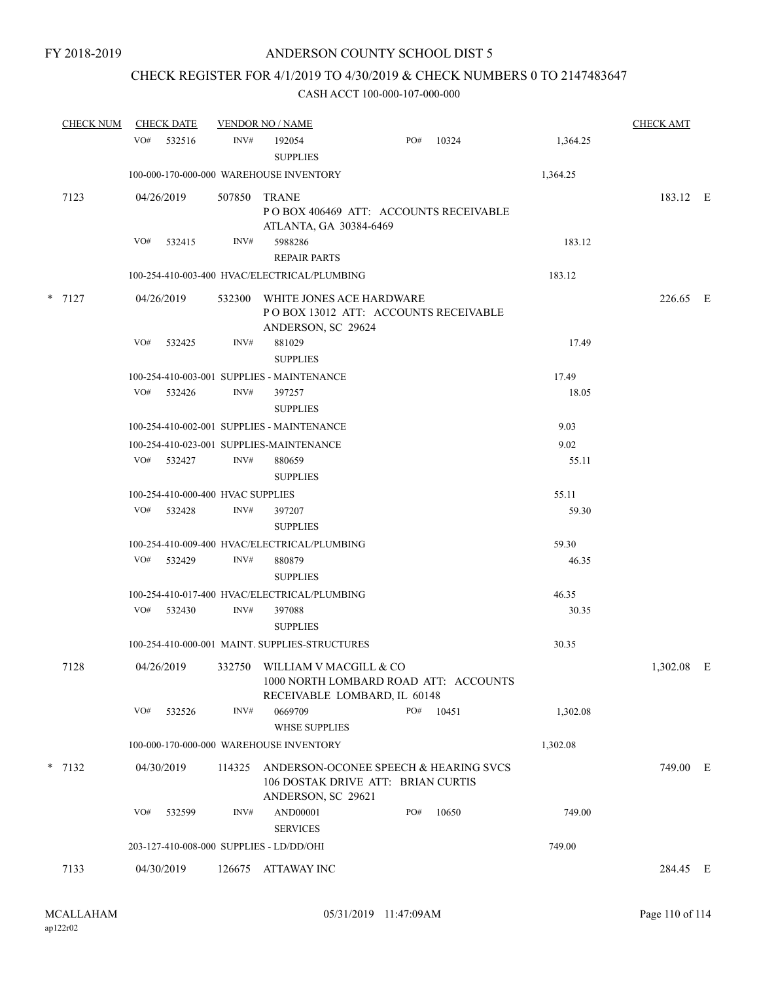## CHECK REGISTER FOR 4/1/2019 TO 4/30/2019 & CHECK NUMBERS 0 TO 2147483647

| <b>CHECK NUM</b> |     | <b>CHECK DATE</b>                 |        | <b>VENDOR NO / NAME</b>                                                                           |     |                                       |          | <b>CHECK AMT</b> |   |
|------------------|-----|-----------------------------------|--------|---------------------------------------------------------------------------------------------------|-----|---------------------------------------|----------|------------------|---|
|                  | VO# | 532516                            | INV#   | 192054<br><b>SUPPLIES</b>                                                                         | PO# | 10324                                 | 1,364.25 |                  |   |
|                  |     |                                   |        | 100-000-170-000-000 WAREHOUSE INVENTORY                                                           |     |                                       | 1,364.25 |                  |   |
| 7123             |     | 04/26/2019                        | 507850 | <b>TRANE</b><br>POBOX 406469 ATT: ACCOUNTS RECEIVABLE<br>ATLANTA, GA 30384-6469                   |     |                                       |          | 183.12 E         |   |
|                  | VO# | 532415                            | INV#   | 5988286<br><b>REPAIR PARTS</b>                                                                    |     |                                       | 183.12   |                  |   |
|                  |     |                                   |        | 100-254-410-003-400 HVAC/ELECTRICAL/PLUMBING                                                      |     |                                       | 183.12   |                  |   |
| $*$ 7127         |     | 04/26/2019                        | 532300 | WHITE JONES ACE HARDWARE<br>POBOX 13012 ATT: ACCOUNTS RECEIVABLE<br>ANDERSON, SC 29624            |     |                                       |          | 226.65 E         |   |
|                  | VO# | 532425                            | INV#   | 881029<br><b>SUPPLIES</b>                                                                         |     |                                       | 17.49    |                  |   |
|                  |     |                                   |        | 100-254-410-003-001 SUPPLIES - MAINTENANCE                                                        |     |                                       | 17.49    |                  |   |
|                  |     | VO# 532426                        | INV#   | 397257                                                                                            |     |                                       | 18.05    |                  |   |
|                  |     |                                   |        | <b>SUPPLIES</b>                                                                                   |     |                                       |          |                  |   |
|                  |     |                                   |        | 100-254-410-002-001 SUPPLIES - MAINTENANCE                                                        |     |                                       | 9.03     |                  |   |
|                  |     |                                   |        | 100-254-410-023-001 SUPPLIES-MAINTENANCE                                                          |     |                                       | 9.02     |                  |   |
|                  |     | VO# 532427                        | INV#   | 880659<br><b>SUPPLIES</b>                                                                         |     |                                       | 55.11    |                  |   |
|                  |     | 100-254-410-000-400 HVAC SUPPLIES |        |                                                                                                   |     |                                       | 55.11    |                  |   |
|                  |     | VO# 532428                        | INV#   | 397207<br><b>SUPPLIES</b>                                                                         |     |                                       | 59.30    |                  |   |
|                  |     |                                   |        | 100-254-410-009-400 HVAC/ELECTRICAL/PLUMBING                                                      |     |                                       | 59.30    |                  |   |
|                  | VO# | 532429                            | INV#   | 880879<br><b>SUPPLIES</b>                                                                         |     |                                       | 46.35    |                  |   |
|                  |     |                                   |        | 100-254-410-017-400 HVAC/ELECTRICAL/PLUMBING                                                      |     |                                       | 46.35    |                  |   |
|                  |     | VO# 532430                        | INV#   | 397088<br><b>SUPPLIES</b>                                                                         |     |                                       | 30.35    |                  |   |
|                  |     |                                   |        | 100-254-410-000-001 MAINT. SUPPLIES-STRUCTURES                                                    |     |                                       | 30.35    |                  |   |
| 7128             |     | 04/26/2019                        |        | 332750 WILLIAM V MACGILL & CO<br>RECEIVABLE LOMBARD, IL 60148                                     |     | 1000 NORTH LOMBARD ROAD ATT: ACCOUNTS |          | 1,302.08         | E |
|                  | VO# | 532526                            | INV#   | 0669709<br><b>WHSE SUPPLIES</b>                                                                   | PO# | 10451                                 | 1,302.08 |                  |   |
|                  |     |                                   |        | 100-000-170-000-000 WAREHOUSE INVENTORY                                                           |     |                                       | 1,302.08 |                  |   |
| $*$ 7132         |     | 04/30/2019                        | 114325 | ANDERSON-OCONEE SPEECH & HEARING SVCS<br>106 DOSTAK DRIVE ATT: BRIAN CURTIS<br>ANDERSON, SC 29621 |     |                                       |          | 749.00 E         |   |
|                  | VO# | 532599                            | INV#   | AND00001<br><b>SERVICES</b>                                                                       | PO# | 10650                                 | 749.00   |                  |   |
|                  |     |                                   |        | 203-127-410-008-000 SUPPLIES - LD/DD/OHI                                                          |     |                                       | 749.00   |                  |   |
| 7133             |     | 04/30/2019                        |        | 126675 ATTAWAY INC                                                                                |     |                                       |          | 284.45 E         |   |
|                  |     |                                   |        |                                                                                                   |     |                                       |          |                  |   |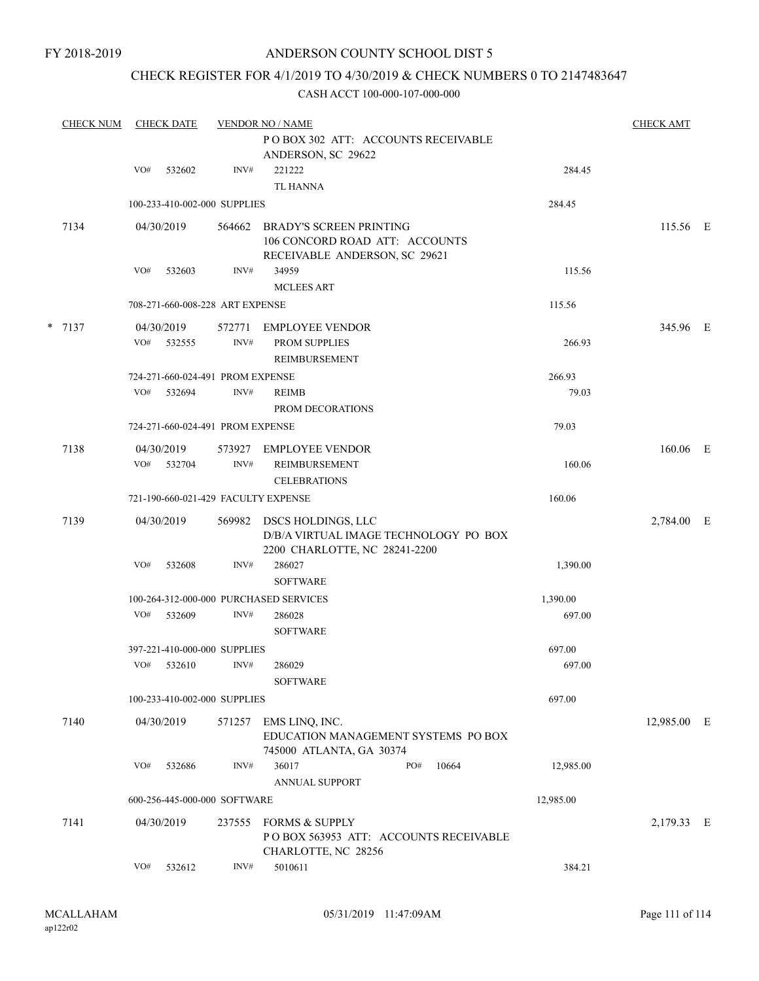## CHECK REGISTER FOR 4/1/2019 TO 4/30/2019 & CHECK NUMBERS 0 TO 2147483647

| <b>CHECK NUM</b> |     | <b>CHECK DATE</b>        |                                  | <b>VENDOR NO / NAME</b>                                                                           |           | <b>CHECK AMT</b> |  |
|------------------|-----|--------------------------|----------------------------------|---------------------------------------------------------------------------------------------------|-----------|------------------|--|
|                  |     |                          |                                  | POBOX 302 ATT: ACCOUNTS RECEIVABLE<br>ANDERSON, SC 29622                                          |           |                  |  |
|                  | VO# | 532602                   | INV#                             | 221222<br><b>TL HANNA</b>                                                                         | 284.45    |                  |  |
|                  |     |                          | 100-233-410-002-000 SUPPLIES     |                                                                                                   | 284.45    |                  |  |
| 7134             |     | 04/30/2019               | 564662                           | <b>BRADY'S SCREEN PRINTING</b><br>106 CONCORD ROAD ATT: ACCOUNTS<br>RECEIVABLE ANDERSON, SC 29621 |           | 115.56 E         |  |
|                  | VO# | 532603                   | INV#                             | 34959<br><b>MCLEES ART</b>                                                                        | 115.56    |                  |  |
|                  |     |                          | 708-271-660-008-228 ART EXPENSE  |                                                                                                   | 115.56    |                  |  |
| $* 7137$         | VO# | 04/30/2019<br>532555     | 572771<br>INV#                   | EMPLOYEE VENDOR<br>PROM SUPPLIES<br>REIMBURSEMENT                                                 | 266.93    | 345.96 E         |  |
|                  |     |                          | 724-271-660-024-491 PROM EXPENSE |                                                                                                   | 266.93    |                  |  |
|                  | VO# | 532694                   | INV#                             | <b>REIMB</b><br>PROM DECORATIONS                                                                  | 79.03     |                  |  |
|                  |     |                          | 724-271-660-024-491 PROM EXPENSE |                                                                                                   | 79.03     |                  |  |
| 7138             |     | 04/30/2019<br>VO# 532704 | INV#                             | 573927 EMPLOYEE VENDOR<br>REIMBURSEMENT<br><b>CELEBRATIONS</b>                                    | 160.06    | 160.06 E         |  |
|                  |     |                          |                                  | 721-190-660-021-429 FACULTY EXPENSE                                                               | 160.06    |                  |  |
| 7139             |     | 04/30/2019               | 569982                           | DSCS HOLDINGS, LLC<br>D/B/A VIRTUAL IMAGE TECHNOLOGY PO BOX<br>2200 CHARLOTTE, NC 28241-2200      |           | 2,784.00 E       |  |
|                  | VO# | 532608                   | INV#                             | 286027<br><b>SOFTWARE</b>                                                                         | 1,390.00  |                  |  |
|                  |     |                          |                                  | 100-264-312-000-000 PURCHASED SERVICES                                                            | 1,390.00  |                  |  |
|                  |     | VO# 532609               | INV#                             | 286028<br><b>SOFTWARE</b>                                                                         | 697.00    |                  |  |
|                  |     |                          | 397-221-410-000-000 SUPPLIES     |                                                                                                   | 697.00    |                  |  |
|                  | VO# | 532610                   | INV#                             | 286029<br><b>SOFTWARE</b>                                                                         | 697.00    |                  |  |
|                  |     |                          | 100-233-410-002-000 SUPPLIES     |                                                                                                   | 697.00    |                  |  |
| 7140             |     | 04/30/2019               | 571257                           | EMS LINQ, INC.<br>EDUCATION MANAGEMENT SYSTEMS PO BOX<br>745000 ATLANTA, GA 30374                 |           | 12,985.00 E      |  |
|                  | VO# | 532686                   | INV#                             | PO#<br>36017<br>10664<br><b>ANNUAL SUPPORT</b>                                                    | 12,985.00 |                  |  |
|                  |     |                          | 600-256-445-000-000 SOFTWARE     |                                                                                                   | 12,985.00 |                  |  |
| 7141             |     | 04/30/2019               | 237555                           | <b>FORMS &amp; SUPPLY</b><br>PO BOX 563953 ATT: ACCOUNTS RECEIVABLE<br>CHARLOTTE, NC 28256        |           | 2,179.33 E       |  |
|                  | VO# | 532612                   | INV#                             | 5010611                                                                                           | 384.21    |                  |  |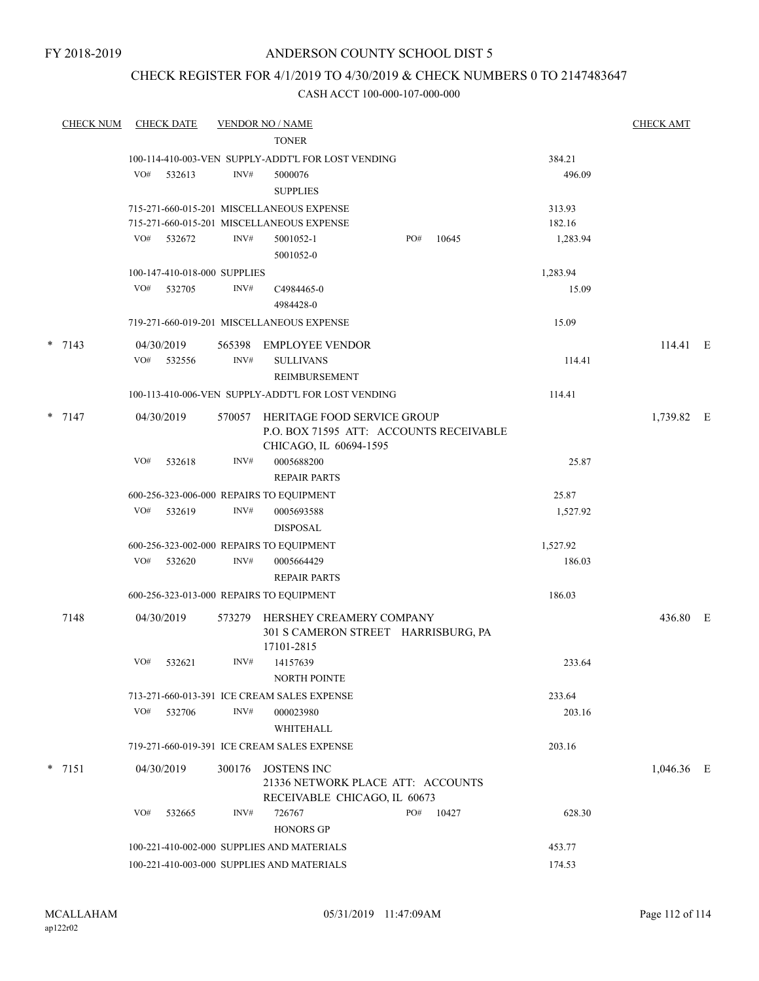## CHECK REGISTER FOR 4/1/2019 TO 4/30/2019 & CHECK NUMBERS 0 TO 2147483647

| <b>CHECK NUM</b> |     | <b>CHECK DATE</b>            |        | <b>VENDOR NO / NAME</b>                                                                          |     |       |          | <b>CHECK AMT</b> |  |
|------------------|-----|------------------------------|--------|--------------------------------------------------------------------------------------------------|-----|-------|----------|------------------|--|
|                  |     |                              |        | <b>TONER</b>                                                                                     |     |       |          |                  |  |
|                  |     |                              |        | 100-114-410-003-VEN SUPPLY-ADDT'L FOR LOST VENDING                                               |     |       | 384.21   |                  |  |
|                  | VO# | 532613                       | INV#   | 5000076<br><b>SUPPLIES</b>                                                                       |     |       | 496.09   |                  |  |
|                  |     |                              |        | 715-271-660-015-201 MISCELLANEOUS EXPENSE                                                        |     |       | 313.93   |                  |  |
|                  |     |                              |        | 715-271-660-015-201 MISCELLANEOUS EXPENSE                                                        |     |       | 182.16   |                  |  |
|                  | VO# | 532672                       | INV#   | 5001052-1<br>5001052-0                                                                           | PO# | 10645 | 1,283.94 |                  |  |
|                  |     | 100-147-410-018-000 SUPPLIES |        |                                                                                                  |     |       | 1,283.94 |                  |  |
|                  | VO# | 532705                       | INV#   | C4984465-0<br>4984428-0                                                                          |     |       | 15.09    |                  |  |
|                  |     |                              |        | 719-271-660-019-201 MISCELLANEOUS EXPENSE                                                        |     |       | 15.09    |                  |  |
| $*$ 7143         |     | 04/30/2019                   | 565398 | EMPLOYEE VENDOR                                                                                  |     |       |          | 114.41 E         |  |
|                  | VO# | 532556                       | INV#   | <b>SULLIVANS</b><br>REIMBURSEMENT                                                                |     |       | 114.41   |                  |  |
|                  |     |                              |        | 100-113-410-006-VEN SUPPLY-ADDT'L FOR LOST VENDING                                               |     |       | 114.41   |                  |  |
|                  |     |                              |        |                                                                                                  |     |       |          |                  |  |
| $*$ 7147         |     | 04/30/2019                   | 570057 | HERITAGE FOOD SERVICE GROUP<br>P.O. BOX 71595 ATT: ACCOUNTS RECEIVABLE<br>CHICAGO, IL 60694-1595 |     |       |          | 1,739.82 E       |  |
|                  | VO# | 532618                       | INV#   | 0005688200<br><b>REPAIR PARTS</b>                                                                |     |       | 25.87    |                  |  |
|                  |     |                              |        | 600-256-323-006-000 REPAIRS TO EQUIPMENT                                                         |     |       | 25.87    |                  |  |
|                  | VO# | 532619                       | INV#   | 0005693588                                                                                       |     |       | 1,527.92 |                  |  |
|                  |     |                              |        | <b>DISPOSAL</b>                                                                                  |     |       |          |                  |  |
|                  |     |                              |        | 600-256-323-002-000 REPAIRS TO EQUIPMENT                                                         |     |       | 1,527.92 |                  |  |
|                  | VO# | 532620                       | INV#   | 0005664429<br><b>REPAIR PARTS</b>                                                                |     |       | 186.03   |                  |  |
|                  |     |                              |        | 600-256-323-013-000 REPAIRS TO EQUIPMENT                                                         |     |       | 186.03   |                  |  |
| 7148             |     | 04/30/2019                   |        | 573279 HERSHEY CREAMERY COMPANY<br>301 S CAMERON STREET HARRISBURG, PA                           |     |       |          | 436.80 E         |  |
|                  |     |                              |        | 17101-2815                                                                                       |     |       |          |                  |  |
|                  | VO# | 532621                       | INV#   | 14157639<br><b>NORTH POINTE</b>                                                                  |     |       | 233.64   |                  |  |
|                  |     |                              |        | 713-271-660-013-391 ICE CREAM SALES EXPENSE                                                      |     |       | 233.64   |                  |  |
|                  | VO# | 532706                       | INV#   | 000023980                                                                                        |     |       | 203.16   |                  |  |
|                  |     |                              |        | WHITEHALL                                                                                        |     |       |          |                  |  |
|                  |     |                              |        | 719-271-660-019-391 ICE CREAM SALES EXPENSE                                                      |     |       | 203.16   |                  |  |
| $*$ 7151         |     | 04/30/2019                   | 300176 | <b>JOSTENS INC</b>                                                                               |     |       |          | $1,046.36$ E     |  |
|                  |     |                              |        | 21336 NETWORK PLACE ATT: ACCOUNTS<br>RECEIVABLE CHICAGO, IL 60673                                |     |       |          |                  |  |
|                  | VO# | 532665                       | INV#   | 726767<br><b>HONORS GP</b>                                                                       | PO# | 10427 | 628.30   |                  |  |
|                  |     |                              |        | 100-221-410-002-000 SUPPLIES AND MATERIALS                                                       |     |       | 453.77   |                  |  |
|                  |     |                              |        | 100-221-410-003-000 SUPPLIES AND MATERIALS                                                       |     |       | 174.53   |                  |  |
|                  |     |                              |        |                                                                                                  |     |       |          |                  |  |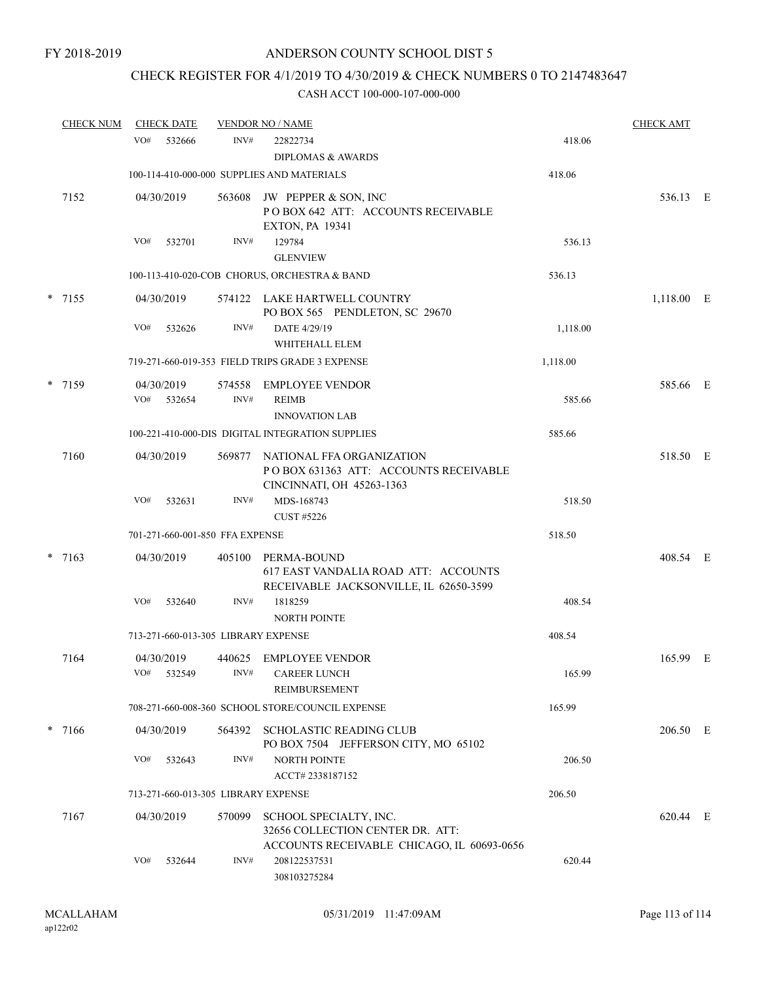# CHECK REGISTER FOR 4/1/2019 TO 4/30/2019 & CHECK NUMBERS 0 TO 2147483647

| <b>CHECK NUM</b> | <b>CHECK DATE</b>                   |                                     | <b>VENDOR NO / NAME</b>                                                                                  |          | <b>CHECK AMT</b> |  |
|------------------|-------------------------------------|-------------------------------------|----------------------------------------------------------------------------------------------------------|----------|------------------|--|
|                  | VO#<br>532666                       | INV#                                | 22822734<br><b>DIPLOMAS &amp; AWARDS</b>                                                                 | 418.06   |                  |  |
|                  |                                     |                                     | 100-114-410-000-000 SUPPLIES AND MATERIALS                                                               | 418.06   |                  |  |
|                  |                                     |                                     |                                                                                                          |          |                  |  |
| 7152             | 04/30/2019                          | 563608                              | JW PEPPER & SON, INC<br>POBOX 642 ATT: ACCOUNTS RECEIVABLE<br><b>EXTON, PA 19341</b>                     |          | 536.13 E         |  |
|                  | VO#<br>532701                       | INV#                                | 129784<br><b>GLENVIEW</b>                                                                                | 536.13   |                  |  |
|                  |                                     |                                     | 100-113-410-020-COB CHORUS, ORCHESTRA & BAND                                                             | 536.13   |                  |  |
| $*$ 7155         | 04/30/2019                          |                                     | 574122 LAKE HARTWELL COUNTRY<br>PO BOX 565 PENDLETON, SC 29670                                           |          | 1,118.00 E       |  |
|                  | VO#<br>532626                       | INV#                                | DATE 4/29/19<br>WHITEHALL ELEM                                                                           | 1,118.00 |                  |  |
|                  |                                     |                                     | 719-271-660-019-353 FIELD TRIPS GRADE 3 EXPENSE                                                          | 1,118.00 |                  |  |
| * 7159           | 04/30/2019<br>VO#<br>532654         | 574558<br>INV#                      | <b>EMPLOYEE VENDOR</b><br><b>REIMB</b><br><b>INNOVATION LAB</b>                                          | 585.66   | 585.66 E         |  |
|                  |                                     |                                     | 100-221-410-000-DIS DIGITAL INTEGRATION SUPPLIES                                                         | 585.66   |                  |  |
| 7160             | 04/30/2019                          | 569877                              | NATIONAL FFA ORGANIZATION<br>POBOX 631363 ATT: ACCOUNTS RECEIVABLE<br>CINCINNATI, OH 45263-1363          |          | 518.50 E         |  |
|                  | VO#<br>532631                       | INV#                                | MDS-168743<br><b>CUST #5226</b>                                                                          | 518.50   |                  |  |
|                  |                                     | 701-271-660-001-850 FFA EXPENSE     |                                                                                                          | 518.50   |                  |  |
| $*$ 7163         | 04/30/2019                          | 405100                              | PERMA-BOUND<br>617 EAST VANDALIA ROAD ATT: ACCOUNTS<br>RECEIVABLE JACKSONVILLE, IL 62650-3599            |          | 408.54 E         |  |
|                  | VO#<br>532640                       | INV#                                | 1818259<br><b>NORTH POINTE</b>                                                                           | 408.54   |                  |  |
|                  | 713-271-660-013-305 LIBRARY EXPENSE |                                     |                                                                                                          | 408.54   |                  |  |
| 7164             | 04/30/2019<br>VO#<br>532549         | INV#                                | 440625 EMPLOYEE VENDOR<br><b>CAREER LUNCH</b><br>REIMBURSEMENT                                           | 165.99   | 165.99 E         |  |
|                  |                                     |                                     | 708-271-660-008-360 SCHOOL STORE/COUNCIL EXPENSE                                                         | 165.99   |                  |  |
| $* 7166$         | 04/30/2019                          | 564392                              | <b>SCHOLASTIC READING CLUB</b><br>PO BOX 7504 JEFFERSON CITY, MO 65102                                   |          | 206.50 E         |  |
|                  | VO#<br>532643                       | INV#                                | <b>NORTH POINTE</b><br>ACCT# 2338187152                                                                  | 206.50   |                  |  |
|                  |                                     | 713-271-660-013-305 LIBRARY EXPENSE |                                                                                                          | 206.50   |                  |  |
| 7167             | 04/30/2019                          | 570099                              | SCHOOL SPECIALTY, INC.<br>32656 COLLECTION CENTER DR. ATT:<br>ACCOUNTS RECEIVABLE CHICAGO, IL 60693-0656 |          | 620.44 E         |  |
|                  | VO#<br>532644                       | INV#                                | 208122537531<br>308103275284                                                                             | 620.44   |                  |  |